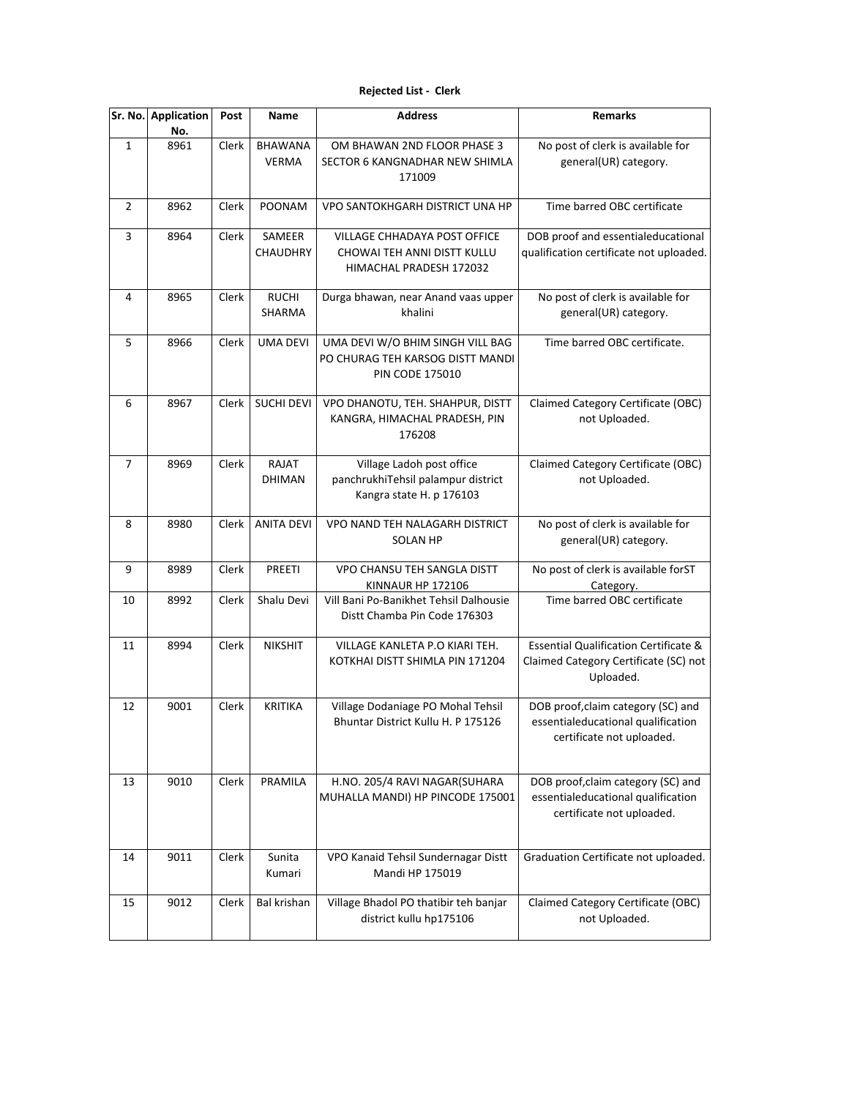## **Rejected List - Clerk**

| Sr. No.      | <b>Application</b> | Post  | Name                    | <b>Address</b>                                                                                 | <b>Remarks</b>                                                                                         |
|--------------|--------------------|-------|-------------------------|------------------------------------------------------------------------------------------------|--------------------------------------------------------------------------------------------------------|
| $\mathbf{1}$ | No.<br>8961        | Clerk | BHAWANA<br><b>VERMA</b> | OM BHAWAN 2ND FLOOR PHASE 3<br>SECTOR 6 KANGNADHAR NEW SHIMLA<br>171009                        | No post of clerk is available for<br>general(UR) category.                                             |
| 2            | 8962               | Clerk | <b>POONAM</b>           | VPO SANTOKHGARH DISTRICT UNA HP                                                                | Time barred OBC certificate                                                                            |
| 3            | 8964               | Clerk | SAMEER<br>CHAUDHRY      | <b>VILLAGE CHHADAYA POST OFFICE</b><br>CHOWAI TEH ANNI DISTT KULLU<br>HIMACHAL PRADESH 172032  | DOB proof and essentialeducational<br>qualification certificate not uploaded.                          |
| 4            | 8965               | Clerk | <b>RUCHI</b><br>SHARMA  | Durga bhawan, near Anand vaas upper<br>khalini                                                 | No post of clerk is available for<br>general(UR) category.                                             |
| 5            | 8966               | Clerk | <b>UMA DEVI</b>         | UMA DEVI W/O BHIM SINGH VILL BAG<br>PO CHURAG TEH KARSOG DISTT MANDI<br><b>PIN CODE 175010</b> | Time barred OBC certificate.                                                                           |
| 6            | 8967               | Clerk | <b>SUCHI DEVI</b>       | VPO DHANOTU, TEH. SHAHPUR, DISTT<br>KANGRA, HIMACHAL PRADESH, PIN<br>176208                    | Claimed Category Certificate (OBC)<br>not Uploaded.                                                    |
| 7            | 8969               | Clerk | RAJAT<br><b>DHIMAN</b>  | Village Ladoh post office<br>panchrukhiTehsil palampur district<br>Kangra state H. p 176103    | Claimed Category Certificate (OBC)<br>not Uploaded.                                                    |
| 8            | 8980               | Clerk | <b>ANITA DEVI</b>       | VPO NAND TEH NALAGARH DISTRICT<br><b>SOLAN HP</b>                                              | No post of clerk is available for<br>general(UR) category.                                             |
| 9            | 8989               | Clerk | <b>PREETI</b>           | VPO CHANSU TEH SANGLA DISTT<br><b>KINNAUR HP 172106</b>                                        | No post of clerk is available forST<br>Category.                                                       |
| 10           | 8992               | Clerk | Shalu Devi              | Vill Bani Po-Banikhet Tehsil Dalhousie<br>Distt Chamba Pin Code 176303                         | Time barred OBC certificate                                                                            |
| 11           | 8994               | Clerk | <b>NIKSHIT</b>          | VILLAGE KANLETA P.O KIARI TEH.<br>KOTKHAI DISTT SHIMLA PIN 171204                              | <b>Essential Qualification Certificate &amp;</b><br>Claimed Category Certificate (SC) not<br>Uploaded. |
| 12           | 9001               | Clerk | <b>KRITIKA</b>          | Village Dodaniage PO Mohal Tehsil<br>Bhuntar District Kullu H. P 175126                        | DOB proof, claim category (SC) and<br>essentialeducational qualification<br>certificate not uploaded.  |
| 13           | 9010               | Clerk | PRAMILA                 | H.NO. 205/4 RAVI NAGAR(SUHARA<br>MUHALLA MANDI) HP PINCODE 175001                              | DOB proof, claim category (SC) and<br>essentialeducational qualification<br>certificate not uploaded.  |
| 14           | 9011               | Clerk | Sunita<br>Kumari        | VPO Kanaid Tehsil Sundernagar Distt<br>Mandi HP 175019                                         | Graduation Certificate not uploaded.                                                                   |
| 15           | 9012               | Clerk | Bal krishan             | Village Bhadol PO thatibir teh banjar<br>district kullu hp175106                               | Claimed Category Certificate (OBC)<br>not Uploaded.                                                    |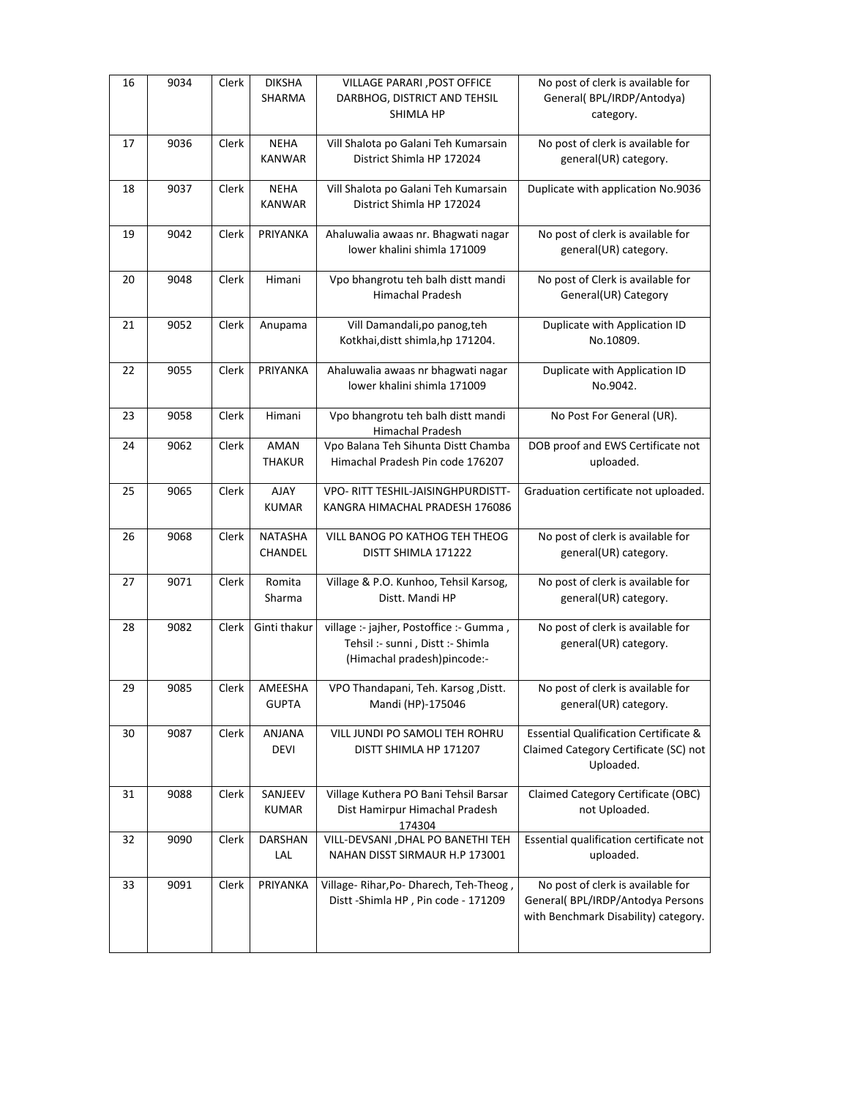| 16 | 9034 | Clerk | <b>DIKSHA</b><br>SHARMA      | <b>VILLAGE PARARI , POST OFFICE</b><br>DARBHOG, DISTRICT AND TEHSIL<br>SHIMLA HP                           | No post of clerk is available for<br>General(BPL/IRDP/Antodya)<br>category.                                    |
|----|------|-------|------------------------------|------------------------------------------------------------------------------------------------------------|----------------------------------------------------------------------------------------------------------------|
| 17 | 9036 | Clerk | <b>NEHA</b><br><b>KANWAR</b> | Vill Shalota po Galani Teh Kumarsain<br>District Shimla HP 172024                                          | No post of clerk is available for<br>general(UR) category.                                                     |
| 18 | 9037 | Clerk | <b>NEHA</b><br><b>KANWAR</b> | Vill Shalota po Galani Teh Kumarsain<br>District Shimla HP 172024                                          | Duplicate with application No.9036                                                                             |
| 19 | 9042 | Clerk | PRIYANKA                     | Ahaluwalia awaas nr. Bhagwati nagar<br>lower khalini shimla 171009                                         | No post of clerk is available for<br>general(UR) category.                                                     |
| 20 | 9048 | Clerk | Himani                       | Vpo bhangrotu teh balh distt mandi<br>Himachal Pradesh                                                     | No post of Clerk is available for<br>General(UR) Category                                                      |
| 21 | 9052 | Clerk | Anupama                      | Vill Damandali, po panog, teh<br>Kotkhai, distt shimla, hp 171204.                                         | Duplicate with Application ID<br>No.10809.                                                                     |
| 22 | 9055 | Clerk | PRIYANKA                     | Ahaluwalia awaas nr bhagwati nagar<br>lower khalini shimla 171009                                          | Duplicate with Application ID<br>No.9042.                                                                      |
| 23 | 9058 | Clerk | Himani                       | Vpo bhangrotu teh balh distt mandi<br>Himachal Pradesh                                                     | No Post For General (UR).                                                                                      |
| 24 | 9062 | Clerk | <b>AMAN</b><br><b>THAKUR</b> | Vpo Balana Teh Sihunta Distt Chamba<br>Himachal Pradesh Pin code 176207                                    | DOB proof and EWS Certificate not<br>uploaded.                                                                 |
| 25 | 9065 | Clerk | <b>AJAY</b><br><b>KUMAR</b>  | VPO- RITT TESHIL-JAISINGHPURDISTT-<br>KANGRA HIMACHAL PRADESH 176086                                       | Graduation certificate not uploaded.                                                                           |
| 26 | 9068 | Clerk | <b>NATASHA</b><br>CHANDEL    | VILL BANOG PO KATHOG TEH THEOG<br>DISTT SHIMLA 171222                                                      | No post of clerk is available for<br>general(UR) category.                                                     |
| 27 | 9071 | Clerk | Romita<br>Sharma             | Village & P.O. Kunhoo, Tehsil Karsog,<br>Distt. Mandi HP                                                   | No post of clerk is available for<br>general(UR) category.                                                     |
| 28 | 9082 | Clerk | Ginti thakur                 | village :- jajher, Postoffice :- Gumma,<br>Tehsil :- sunni, Distt :- Shimla<br>(Himachal pradesh)pincode:- | No post of clerk is available for<br>general(UR) category.                                                     |
| 29 | 9085 | Clerk | AMEESHA<br><b>GUPTA</b>      | VPO Thandapani, Teh. Karsog , Distt.<br>Mandi (HP)-175046                                                  | No post of clerk is available for<br>general(UR) category.                                                     |
| 30 | 9087 | Clerk | ANJANA<br><b>DEVI</b>        | VILL JUNDI PO SAMOLI TEH ROHRU<br>DISTT SHIMLA HP 171207                                                   | <b>Essential Qualification Certificate &amp;</b><br>Claimed Category Certificate (SC) not<br>Uploaded.         |
| 31 | 9088 | Clerk | SANJEEV<br><b>KUMAR</b>      | Village Kuthera PO Bani Tehsil Barsar<br>Dist Hamirpur Himachal Pradesh<br>174304                          | Claimed Category Certificate (OBC)<br>not Uploaded.                                                            |
| 32 | 9090 | Clerk | <b>DARSHAN</b><br>LAL        | VILL-DEVSANI, DHAL PO BANETHI TEH<br>NAHAN DISST SIRMAUR H.P 173001                                        | Essential qualification certificate not<br>uploaded.                                                           |
| 33 | 9091 | Clerk | PRIYANKA                     | Village-Rihar, Po-Dharech, Teh-Theog,<br>Distt - Shimla HP, Pin code - 171209                              | No post of clerk is available for<br>General( BPL/IRDP/Antodya Persons<br>with Benchmark Disability) category. |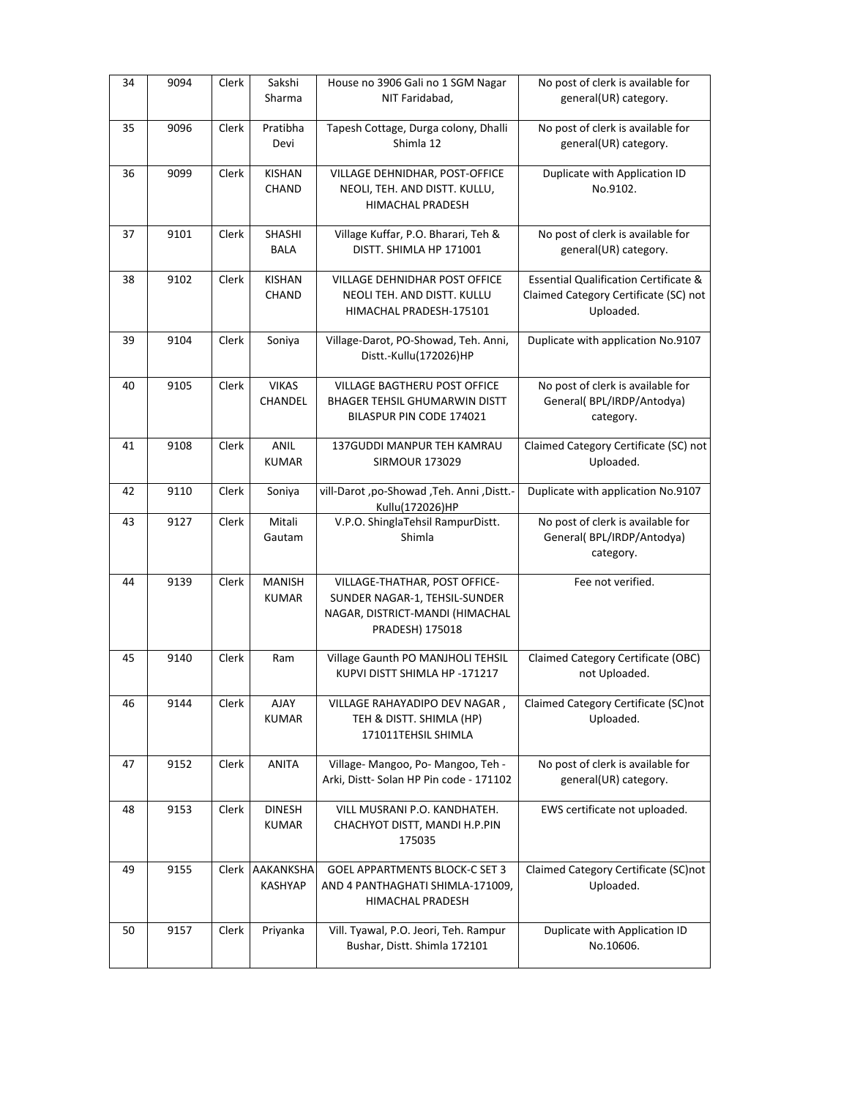| 34 | 9094 | Clerk | Sakshi<br>Sharma              | House no 3906 Gali no 1 SGM Nagar<br>NIT Faridabad,                                                                  | No post of clerk is available for<br>general(UR) category.                                             |
|----|------|-------|-------------------------------|----------------------------------------------------------------------------------------------------------------------|--------------------------------------------------------------------------------------------------------|
| 35 | 9096 | Clerk | Pratibha<br>Devi              | Tapesh Cottage, Durga colony, Dhalli<br>Shimla 12                                                                    | No post of clerk is available for<br>general(UR) category.                                             |
| 36 | 9099 | Clerk | <b>KISHAN</b><br>CHAND        | VILLAGE DEHNIDHAR, POST-OFFICE<br>NEOLI, TEH. AND DISTT. KULLU,<br><b>HIMACHAL PRADESH</b>                           | Duplicate with Application ID<br>No.9102.                                                              |
| 37 | 9101 | Clerk | SHASHI<br><b>BALA</b>         | Village Kuffar, P.O. Bharari, Teh &<br>DISTT. SHIMLA HP 171001                                                       | No post of clerk is available for<br>general(UR) category.                                             |
| 38 | 9102 | Clerk | <b>KISHAN</b><br>CHAND        | VILLAGE DEHNIDHAR POST OFFICE<br>NEOLI TEH. AND DISTT. KULLU<br>HIMACHAL PRADESH-175101                              | <b>Essential Qualification Certificate &amp;</b><br>Claimed Category Certificate (SC) not<br>Uploaded. |
| 39 | 9104 | Clerk | Soniya                        | Village-Darot, PO-Showad, Teh. Anni,<br>Distt.-Kullu(172026)HP                                                       | Duplicate with application No.9107                                                                     |
| 40 | 9105 | Clerk | <b>VIKAS</b><br>CHANDEL       | VILLAGE BAGTHERU POST OFFICE<br><b>BHAGER TEHSIL GHUMARWIN DISTT</b><br>BILASPUR PIN CODE 174021                     | No post of clerk is available for<br>General(BPL/IRDP/Antodya)<br>category.                            |
| 41 | 9108 | Clerk | <b>ANIL</b><br><b>KUMAR</b>   | 137GUDDI MANPUR TEH KAMRAU<br><b>SIRMOUR 173029</b>                                                                  | Claimed Category Certificate (SC) not<br>Uploaded.                                                     |
| 42 | 9110 | Clerk | Soniya                        | vill-Darot ,po-Showad ,Teh. Anni ,Distt.-<br>Kullu(172026)HP                                                         | Duplicate with application No.9107                                                                     |
| 43 | 9127 | Clerk | Mitali<br>Gautam              | V.P.O. ShinglaTehsil RampurDistt.<br>Shimla                                                                          | No post of clerk is available for<br>General(BPL/IRDP/Antodya)<br>category.                            |
| 44 | 9139 | Clerk | <b>MANISH</b><br><b>KUMAR</b> | VILLAGE-THATHAR, POST OFFICE-<br>SUNDER NAGAR-1, TEHSIL-SUNDER<br>NAGAR, DISTRICT-MANDI (HIMACHAL<br>PRADESH) 175018 | Fee not verified.                                                                                      |
| 45 | 9140 | Clerk | Ram                           | Village Gaunth PO MANJHOLI TEHSIL<br>KUPVI DISTT SHIMLA HP -171217                                                   | Claimed Category Certificate (OBC)<br>not Uploaded.                                                    |
| 46 | 9144 | Clerk | AJAY<br><b>KUMAR</b>          | VILLAGE RAHAYADIPO DEV NAGAR,<br>TEH & DISTT. SHIMLA (HP)<br>171011TEHSIL SHIMLA                                     | Claimed Category Certificate (SC)not<br>Uploaded.                                                      |
| 47 | 9152 | Clerk | <b>ANITA</b>                  | Village-Mangoo, Po-Mangoo, Teh -<br>Arki, Distt- Solan HP Pin code - 171102                                          | No post of clerk is available for<br>general(UR) category.                                             |
| 48 | 9153 | Clerk | <b>DINESH</b><br><b>KUMAR</b> | VILL MUSRANI P.O. KANDHATEH.<br>CHACHYOT DISTT, MANDI H.P.PIN<br>175035                                              | EWS certificate not uploaded.                                                                          |
| 49 | 9155 | Clerk | AAKANKSHA<br>KASHYAP          | <b>GOEL APPARTMENTS BLOCK-C SET 3</b><br>AND 4 PANTHAGHATI SHIMLA-171009,<br>HIMACHAL PRADESH                        | Claimed Category Certificate (SC)not<br>Uploaded.                                                      |
| 50 | 9157 | Clerk | Priyanka                      | Vill. Tyawal, P.O. Jeori, Teh. Rampur<br>Bushar, Distt. Shimla 172101                                                | Duplicate with Application ID<br>No.10606.                                                             |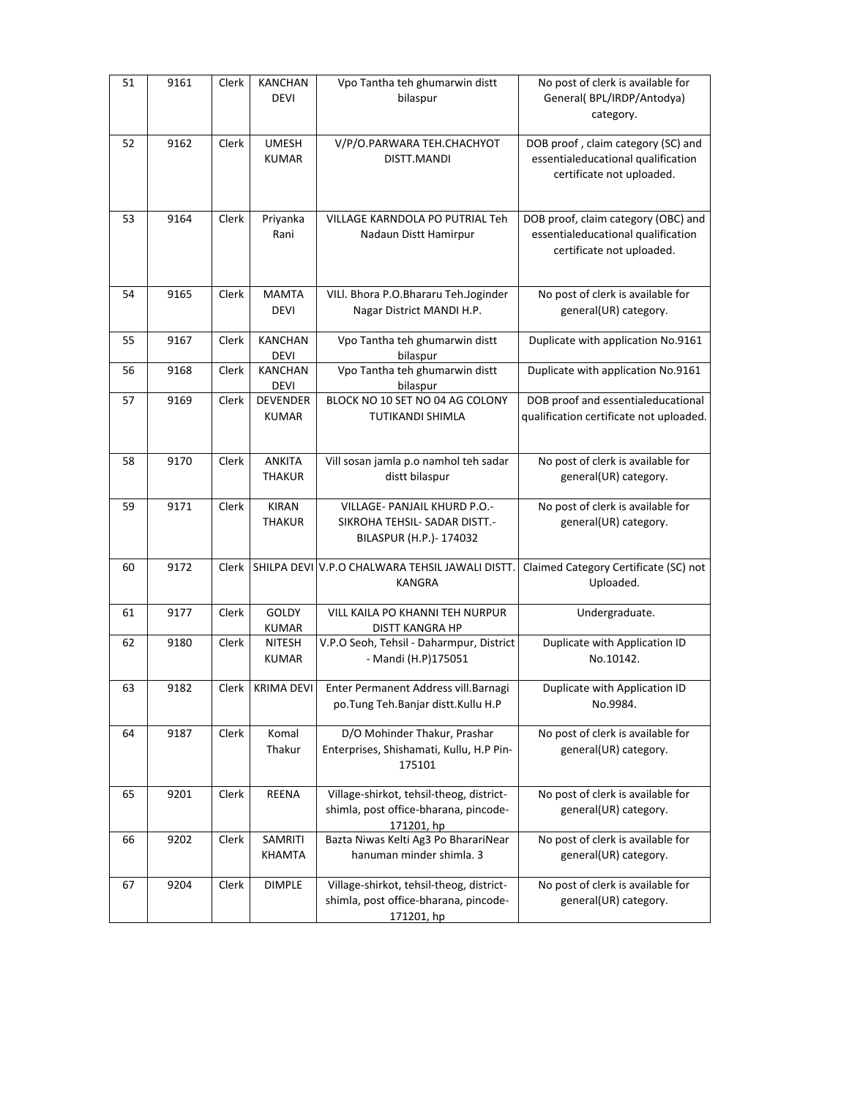| 51 | 9161 | Clerk | <b>KANCHAN</b><br><b>DEVI</b>   | Vpo Tantha teh ghumarwin distt<br>bilaspur                                                      | No post of clerk is available for<br>General(BPL/IRDP/Antodya)<br>category.                            |
|----|------|-------|---------------------------------|-------------------------------------------------------------------------------------------------|--------------------------------------------------------------------------------------------------------|
| 52 | 9162 | Clerk | <b>UMESH</b><br><b>KUMAR</b>    | V/P/O.PARWARA TEH.CHACHYOT<br>DISTT.MANDI                                                       | DOB proof, claim category (SC) and<br>essentialeducational qualification<br>certificate not uploaded.  |
| 53 | 9164 | Clerk | Priyanka<br>Rani                | VILLAGE KARNDOLA PO PUTRIAL Teh<br>Nadaun Distt Hamirpur                                        | DOB proof, claim category (OBC) and<br>essentialeducational qualification<br>certificate not uploaded. |
| 54 | 9165 | Clerk | <b>MAMTA</b><br><b>DEVI</b>     | VILI. Bhora P.O.Bhararu Teh.Joginder<br>Nagar District MANDI H.P.                               | No post of clerk is available for<br>general(UR) category.                                             |
| 55 | 9167 | Clerk | <b>KANCHAN</b><br>DEVI          | Vpo Tantha teh ghumarwin distt<br>bilaspur                                                      | Duplicate with application No.9161                                                                     |
| 56 | 9168 | Clerk | <b>KANCHAN</b><br><b>DEVI</b>   | Vpo Tantha teh ghumarwin distt<br>bilaspur                                                      | Duplicate with application No.9161                                                                     |
| 57 | 9169 | Clerk | <b>DEVENDER</b><br><b>KUMAR</b> | BLOCK NO 10 SET NO 04 AG COLONY<br>TUTIKANDI SHIMLA                                             | DOB proof and essentialeducational<br>qualification certificate not uploaded.                          |
| 58 | 9170 | Clerk | <b>ANKITA</b><br><b>THAKUR</b>  | Vill sosan jamla p.o namhol teh sadar<br>distt bilaspur                                         | No post of clerk is available for<br>general(UR) category.                                             |
| 59 | 9171 | Clerk | <b>KIRAN</b><br><b>THAKUR</b>   | VILLAGE- PANJAIL KHURD P.O.-<br>SIKROHA TEHSIL- SADAR DISTT.-<br>BILASPUR (H.P.)- 174032        | No post of clerk is available for<br>general(UR) category.                                             |
| 60 | 9172 | Clerk |                                 | SHILPA DEVI V.P.O CHALWARA TEHSIL JAWALI DISTT.<br><b>KANGRA</b>                                | Claimed Category Certificate (SC) not<br>Uploaded.                                                     |
| 61 | 9177 | Clerk | GOLDY<br><b>KUMAR</b>           | VILL KAILA PO KHANNI TEH NURPUR<br>DISTT KANGRA HP                                              | Undergraduate.                                                                                         |
| 62 | 9180 | Clerk | <b>NITESH</b><br><b>KUMAR</b>   | V.P.O Seoh, Tehsil - Daharmpur, District<br>- Mandi (H.P)175051                                 | Duplicate with Application ID<br>No.10142.                                                             |
| 63 | 9182 |       | Clerk   KRIMA DEVI              | Enter Permanent Address vill. Barnagi<br>po.Tung Teh.Banjar distt.Kullu H.P                     | Duplicate with Application ID<br>No.9984.                                                              |
| 64 | 9187 | Clerk | Komal<br>Thakur                 | D/O Mohinder Thakur, Prashar<br>Enterprises, Shishamati, Kullu, H.P Pin-<br>175101              | No post of clerk is available for<br>general(UR) category.                                             |
| 65 | 9201 | Clerk | REENA                           | Village-shirkot, tehsil-theog, district-<br>shimla, post office-bharana, pincode-<br>171201, hp | No post of clerk is available for<br>general(UR) category.                                             |
| 66 | 9202 | Clerk | SAMRITI<br>KHAMTA               | Bazta Niwas Kelti Ag3 Po BharariNear<br>hanuman minder shimla. 3                                | No post of clerk is available for<br>general(UR) category.                                             |
| 67 | 9204 | Clerk | <b>DIMPLE</b>                   | Village-shirkot, tehsil-theog, district-<br>shimla, post office-bharana, pincode-<br>171201, hp | No post of clerk is available for<br>general(UR) category.                                             |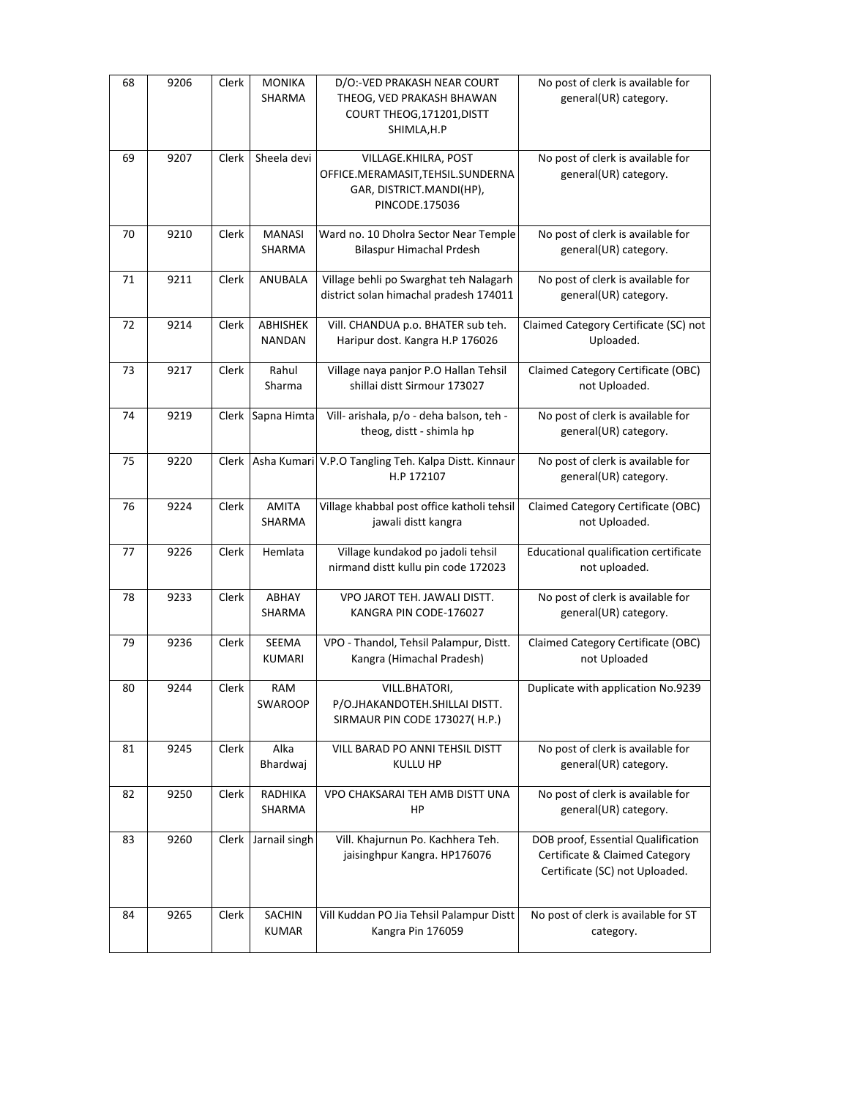| 68 | 9206 | Clerk | <b>MONIKA</b><br>SHARMA       | D/O:-VED PRAKASH NEAR COURT<br>THEOG, VED PRAKASH BHAWAN<br>COURT THEOG, 171201, DISTT<br>SHIMLA, H.P   | No post of clerk is available for<br>general(UR) category.                                             |
|----|------|-------|-------------------------------|---------------------------------------------------------------------------------------------------------|--------------------------------------------------------------------------------------------------------|
| 69 | 9207 | Clerk | Sheela devi                   | VILLAGE.KHILRA, POST<br>OFFICE.MERAMASIT, TEHSIL.SUNDERNA<br>GAR, DISTRICT.MANDI(HP),<br>PINCODE.175036 | No post of clerk is available for<br>general(UR) category.                                             |
| 70 | 9210 | Clerk | MANASI<br>SHARMA              | Ward no. 10 Dholra Sector Near Temple<br><b>Bilaspur Himachal Prdesh</b>                                | No post of clerk is available for<br>general(UR) category.                                             |
| 71 | 9211 | Clerk | ANUBALA                       | Village behli po Swarghat teh Nalagarh<br>district solan himachal pradesh 174011                        | No post of clerk is available for<br>general(UR) category.                                             |
| 72 | 9214 | Clerk | ABHISHEK<br><b>NANDAN</b>     | Vill. CHANDUA p.o. BHATER sub teh.<br>Haripur dost. Kangra H.P 176026                                   | Claimed Category Certificate (SC) not<br>Uploaded.                                                     |
| 73 | 9217 | Clerk | Rahul<br>Sharma               | Village naya panjor P.O Hallan Tehsil<br>shillai distt Sirmour 173027                                   | Claimed Category Certificate (OBC)<br>not Uploaded.                                                    |
| 74 | 9219 | Clerk | Sapna Himta                   | Vill- arishala, p/o - deha balson, teh -<br>theog, distt - shimla hp                                    | No post of clerk is available for<br>general(UR) category.                                             |
| 75 | 9220 | Clerk |                               | Asha Kumari V.P.O Tangling Teh. Kalpa Distt. Kinnaur<br>H.P 172107                                      | No post of clerk is available for<br>general(UR) category.                                             |
| 76 | 9224 | Clerk | <b>AMITA</b><br>SHARMA        | Village khabbal post office katholi tehsil<br>jawali distt kangra                                       | Claimed Category Certificate (OBC)<br>not Uploaded.                                                    |
| 77 | 9226 | Clerk | Hemlata                       | Village kundakod po jadoli tehsil<br>nirmand distt kullu pin code 172023                                | Educational qualification certificate<br>not uploaded.                                                 |
| 78 | 9233 | Clerk | ABHAY<br>SHARMA               | VPO JAROT TEH. JAWALI DISTT.<br>KANGRA PIN CODE-176027                                                  | No post of clerk is available for<br>general(UR) category.                                             |
| 79 | 9236 | Clerk | SEEMA<br><b>KUMARI</b>        | VPO - Thandol, Tehsil Palampur, Distt.<br>Kangra (Himachal Pradesh)                                     | Claimed Category Certificate (OBC)<br>not Uploaded                                                     |
| 80 | 9244 | Clerk | RAM<br>SWAROOP                | VILL.BHATORI,<br>P/O.JHAKANDOTEH.SHILLAI DISTT.<br>SIRMAUR PIN CODE 173027(H.P.)                        | Duplicate with application No.9239                                                                     |
| 81 | 9245 | Clerk | Alka<br>Bhardwaj              | VILL BARAD PO ANNI TEHSIL DISTT<br>KULLU HP                                                             | No post of clerk is available for<br>general(UR) category.                                             |
| 82 | 9250 | Clerk | RADHIKA<br>SHARMA             | VPO CHAKSARAI TEH AMB DISTT UNA<br><b>HP</b>                                                            | No post of clerk is available for<br>general(UR) category.                                             |
| 83 | 9260 | Clerk | Jarnail singh                 | Vill. Khajurnun Po. Kachhera Teh.<br>jaisinghpur Kangra. HP176076                                       | DOB proof, Essential Qualification<br>Certificate & Claimed Category<br>Certificate (SC) not Uploaded. |
| 84 | 9265 | Clerk | <b>SACHIN</b><br><b>KUMAR</b> | Vill Kuddan PO Jia Tehsil Palampur Distt<br>Kangra Pin 176059                                           | No post of clerk is available for ST<br>category.                                                      |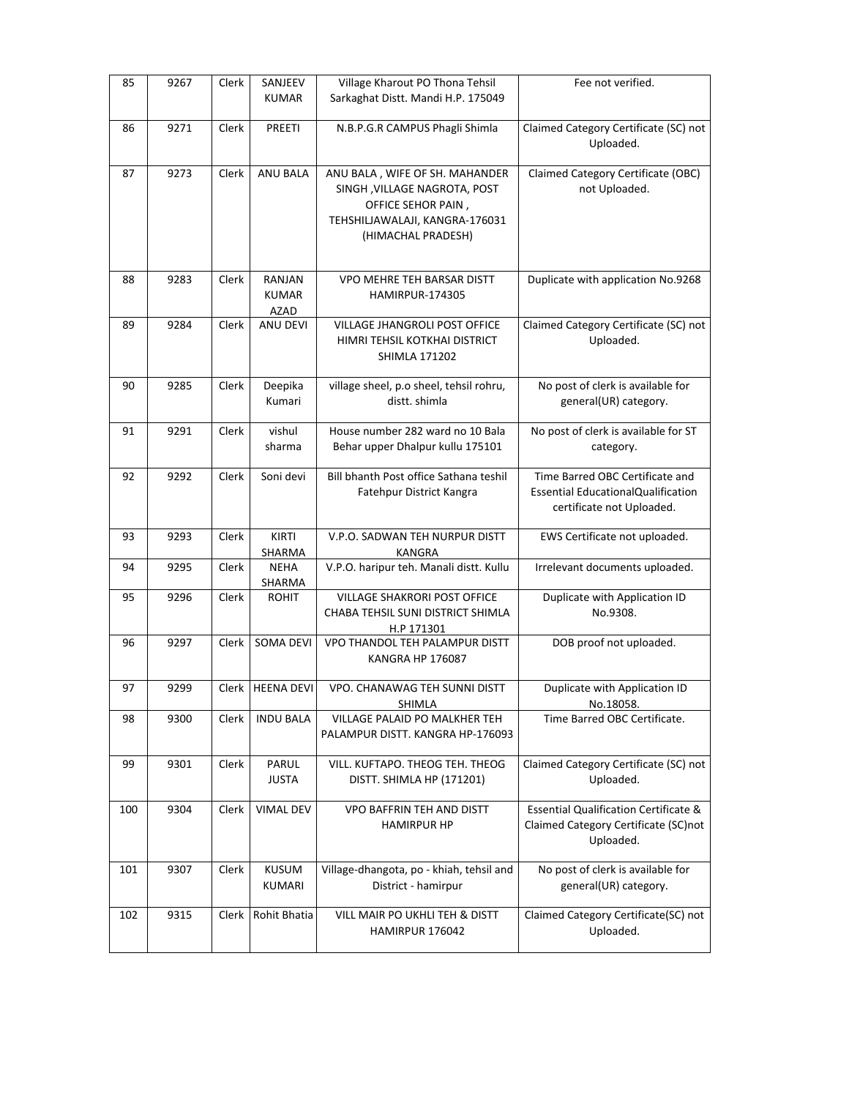| 85  | 9267 | Clerk | SANJEEV<br><b>KUMAR</b>               | Village Kharout PO Thona Tehsil<br>Sarkaghat Distt. Mandi H.P. 175049                                                                        | Fee not verified.                                                                                     |
|-----|------|-------|---------------------------------------|----------------------------------------------------------------------------------------------------------------------------------------------|-------------------------------------------------------------------------------------------------------|
| 86  | 9271 | Clerk | PREETI                                | N.B.P.G.R CAMPUS Phagli Shimla                                                                                                               | Claimed Category Certificate (SC) not<br>Uploaded.                                                    |
| 87  | 9273 | Clerk | <b>ANU BALA</b>                       | ANU BALA, WIFE OF SH. MAHANDER<br>SINGH, VILLAGE NAGROTA, POST<br>OFFICE SEHOR PAIN,<br>TEHSHILJAWALAJI, KANGRA-176031<br>(HIMACHAL PRADESH) | Claimed Category Certificate (OBC)<br>not Uploaded.                                                   |
| 88  | 9283 | Clerk | RANJAN<br><b>KUMAR</b><br><b>AZAD</b> | VPO MEHRE TEH BARSAR DISTT<br><b>HAMIRPUR-174305</b>                                                                                         | Duplicate with application No.9268                                                                    |
| 89  | 9284 | Clerk | ANU DEVI                              | VILLAGE JHANGROLI POST OFFICE<br>HIMRI TEHSIL KOTKHAI DISTRICT<br><b>SHIMLA 171202</b>                                                       | Claimed Category Certificate (SC) not<br>Uploaded.                                                    |
| 90  | 9285 | Clerk | Deepika<br>Kumari                     | village sheel, p.o sheel, tehsil rohru,<br>distt. shimla                                                                                     | No post of clerk is available for<br>general(UR) category.                                            |
| 91  | 9291 | Clerk | vishul<br>sharma                      | House number 282 ward no 10 Bala<br>Behar upper Dhalpur kullu 175101                                                                         | No post of clerk is available for ST<br>category.                                                     |
| 92  | 9292 | Clerk | Soni devi                             | Bill bhanth Post office Sathana teshil<br>Fatehpur District Kangra                                                                           | Time Barred OBC Certificate and<br>Essential EducationalQualification<br>certificate not Uploaded.    |
| 93  | 9293 | Clerk | KIRTI<br>SHARMA                       | V.P.O. SADWAN TEH NURPUR DISTT<br>KANGRA                                                                                                     | EWS Certificate not uploaded.                                                                         |
| 94  | 9295 | Clerk | <b>NEHA</b><br>SHARMA                 | V.P.O. haripur teh. Manali distt. Kullu                                                                                                      | Irrelevant documents uploaded.                                                                        |
| 95  | 9296 | Clerk | <b>ROHIT</b>                          | VILLAGE SHAKRORI POST OFFICE<br>CHABA TEHSIL SUNI DISTRICT SHIMLA<br>H.P 171301                                                              | Duplicate with Application ID<br>No.9308.                                                             |
| 96  | 9297 | Clerk | SOMA DEVI                             | VPO THANDOL TEH PALAMPUR DISTT<br>KANGRA HP 176087                                                                                           | DOB proof not uploaded.                                                                               |
| 97  | 9299 |       | Clerk   HEENA DEVI                    | VPO. CHANAWAG TEH SUNNI DISTT<br>SHIMLA                                                                                                      | Duplicate with Application ID<br>No.18058.                                                            |
| 98  | 9300 | Clerk | <b>INDU BALA</b>                      | VILLAGE PALAID PO MALKHER TEH<br>PALAMPUR DISTT. KANGRA HP-176093                                                                            | Time Barred OBC Certificate.                                                                          |
| 99  | 9301 | Clerk | PARUL<br><b>JUSTA</b>                 | VILL, KUFTAPO, THEOG TEH, THEOG<br>DISTT. SHIMLA HP (171201)                                                                                 | Claimed Category Certificate (SC) not<br>Uploaded.                                                    |
| 100 | 9304 | Clerk | <b>VIMAL DEV</b>                      | <b>VPO BAFFRIN TEH AND DISTT</b><br><b>HAMIRPUR HP</b>                                                                                       | <b>Essential Qualification Certificate &amp;</b><br>Claimed Category Certificate (SC)not<br>Uploaded. |
| 101 | 9307 | Clerk | <b>KUSUM</b><br><b>KUMARI</b>         | Village-dhangota, po - khiah, tehsil and<br>District - hamirpur                                                                              | No post of clerk is available for<br>general(UR) category.                                            |
| 102 | 9315 | Clerk | Rohit Bhatia                          | VILL MAIR PO UKHLI TEH & DISTT<br>HAMIRPUR 176042                                                                                            | Claimed Category Certificate(SC) not<br>Uploaded.                                                     |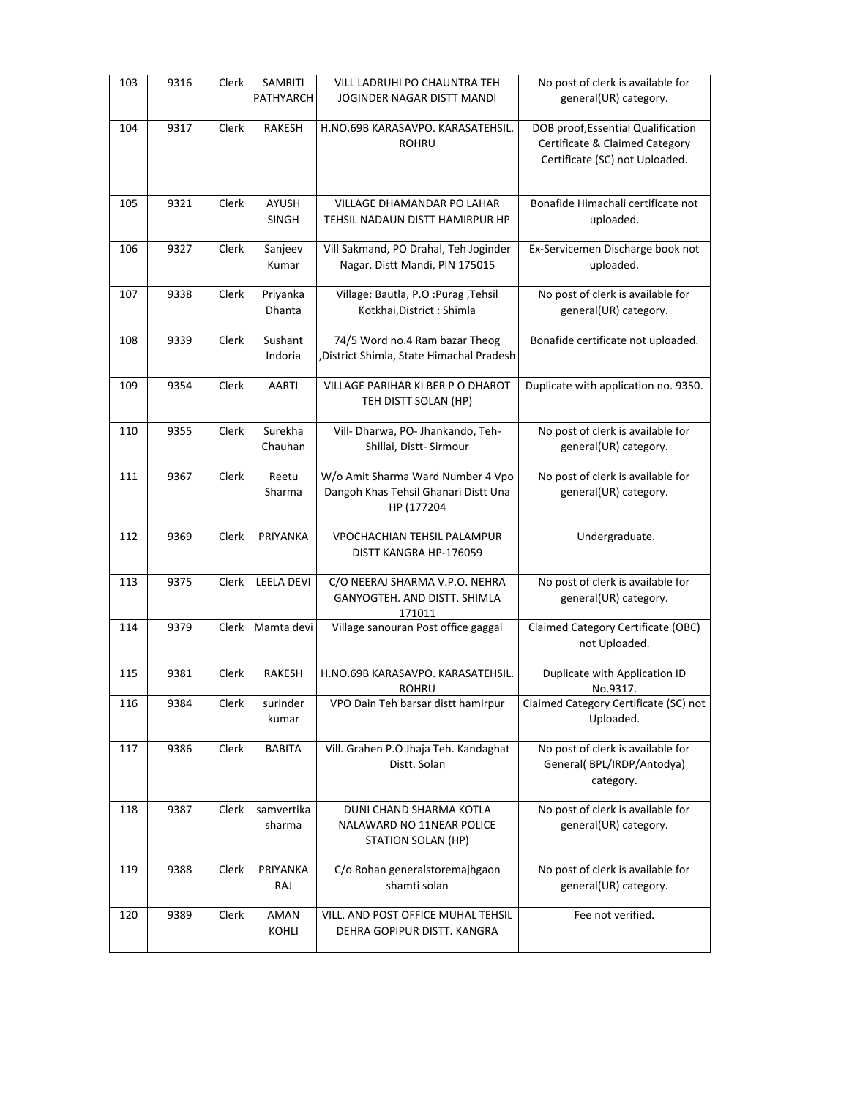| 103 | 9316 | Clerk | SAMRITI<br>PATHYARCH  | VILL LADRUHI PO CHAUNTRA TEH<br>JOGINDER NAGAR DISTT MANDI                              | No post of clerk is available for<br>general(UR) category.                                             |
|-----|------|-------|-----------------------|-----------------------------------------------------------------------------------------|--------------------------------------------------------------------------------------------------------|
| 104 | 9317 | Clerk | RAKESH                | H.NO.69B KARASAVPO. KARASATEHSIL.<br><b>ROHRU</b>                                       | DOB proof, Essential Qualification<br>Certificate & Claimed Category<br>Certificate (SC) not Uploaded. |
| 105 | 9321 | Clerk | AYUSH<br><b>SINGH</b> | VILLAGE DHAMANDAR PO LAHAR<br>TEHSIL NADAUN DISTT HAMIRPUR HP                           | Bonafide Himachali certificate not<br>uploaded.                                                        |
| 106 | 9327 | Clerk | Sanjeev<br>Kumar      | Vill Sakmand, PO Drahal, Teh Joginder<br>Nagar, Distt Mandi, PIN 175015                 | Ex-Servicemen Discharge book not<br>uploaded.                                                          |
| 107 | 9338 | Clerk | Priyanka<br>Dhanta    | Village: Bautla, P.O : Purag , Tehsil<br>Kotkhai, District: Shimla                      | No post of clerk is available for<br>general(UR) category.                                             |
| 108 | 9339 | Clerk | Sushant<br>Indoria    | 74/5 Word no.4 Ram bazar Theog<br>District Shimla, State Himachal Pradesh               | Bonafide certificate not uploaded.                                                                     |
| 109 | 9354 | Clerk | AARTI                 | <b>VILLAGE PARIHAR KI BER P O DHAROT</b><br>TEH DISTT SOLAN (HP)                        | Duplicate with application no. 9350.                                                                   |
| 110 | 9355 | Clerk | Surekha<br>Chauhan    | Vill- Dharwa, PO- Jhankando, Teh-<br>Shillai, Distt-Sirmour                             | No post of clerk is available for<br>general(UR) category.                                             |
| 111 | 9367 | Clerk | Reetu<br>Sharma       | W/o Amit Sharma Ward Number 4 Vpo<br>Dangoh Khas Tehsil Ghanari Distt Una<br>HP (177204 | No post of clerk is available for<br>general(UR) category.                                             |
| 112 | 9369 | Clerk | PRIYANKA              | VPOCHACHIAN TEHSIL PALAMPUR<br>DISTT KANGRA HP-176059                                   | Undergraduate.                                                                                         |
| 113 | 9375 | Clerk | <b>LEELA DEVI</b>     | C/O NEERAJ SHARMA V.P.O. NEHRA<br>GANYOGTEH. AND DISTT. SHIMLA<br>171011                | No post of clerk is available for<br>general(UR) category.                                             |
| 114 | 9379 | Clerk | Mamta devi            | Village sanouran Post office gaggal                                                     | Claimed Category Certificate (OBC)<br>not Uploaded.                                                    |
| 115 | 9381 | Clerk | <b>RAKESH</b>         | H.NO.69B KARASAVPO. KARASATEHSIL.<br><b>ROHRU</b>                                       | Duplicate with Application ID<br>No.9317.                                                              |
| 116 | 9384 | Clerk | surinder<br>kumar     | VPO Dain Teh barsar distt hamirpur                                                      | Claimed Category Certificate (SC) not<br>Uploaded.                                                     |
| 117 | 9386 | Clerk | <b>BABITA</b>         | Vill. Grahen P.O Jhaja Teh. Kandaghat<br>Distt. Solan                                   | No post of clerk is available for<br>General(BPL/IRDP/Antodya)<br>category.                            |
| 118 | 9387 | Clerk | samvertika<br>sharma  | DUNI CHAND SHARMA KOTLA<br>NALAWARD NO 11NEAR POLICE<br>STATION SOLAN (HP)              | No post of clerk is available for<br>general(UR) category.                                             |
| 119 | 9388 | Clerk | PRIYANKA<br>RAJ       | C/o Rohan generalstoremajhgaon<br>shamti solan                                          | No post of clerk is available for<br>general(UR) category.                                             |
| 120 | 9389 | Clerk | <b>AMAN</b><br>KOHLI  | VILL. AND POST OFFICE MUHAL TEHSIL<br>DEHRA GOPIPUR DISTT. KANGRA                       | Fee not verified.                                                                                      |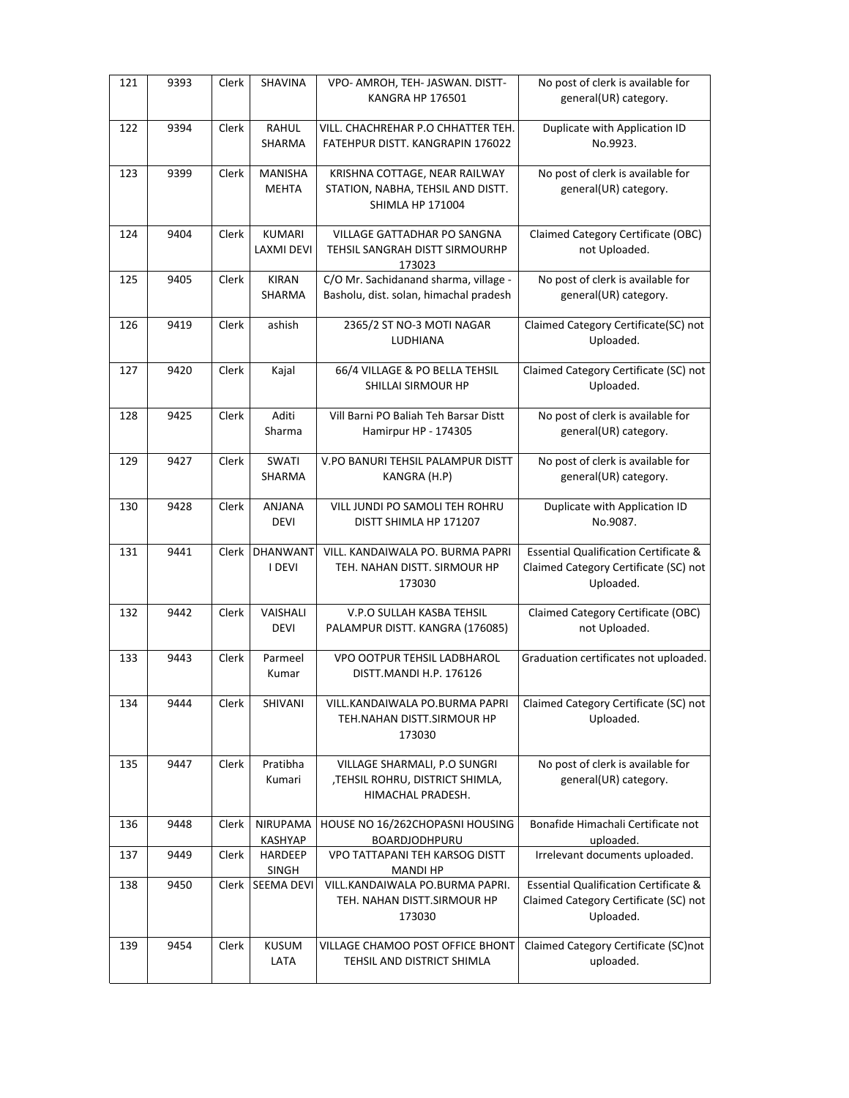| 121 | 9393 | Clerk | SHAVINA                            | VPO- AMROH, TEH- JASWAN. DISTT-<br><b>KANGRA HP 176501</b>                                    | No post of clerk is available for<br>general(UR) category.                                             |
|-----|------|-------|------------------------------------|-----------------------------------------------------------------------------------------------|--------------------------------------------------------------------------------------------------------|
| 122 | 9394 | Clerk | RAHUL<br><b>SHARMA</b>             | VILL. CHACHREHAR P.O CHHATTER TEH.<br>FATEHPUR DISTT. KANGRAPIN 176022                        | Duplicate with Application ID<br>No.9923.                                                              |
| 123 | 9399 | Clerk | MANISHA<br><b>MEHTA</b>            | KRISHNA COTTAGE, NEAR RAILWAY<br>STATION, NABHA, TEHSIL AND DISTT.<br><b>SHIMLA HP 171004</b> | No post of clerk is available for<br>general(UR) category.                                             |
| 124 | 9404 | Clerk | <b>KUMARI</b><br><b>LAXMI DEVI</b> | VILLAGE GATTADHAR PO SANGNA<br>TEHSIL SANGRAH DISTT SIRMOURHP<br>173023                       | Claimed Category Certificate (OBC)<br>not Uploaded.                                                    |
| 125 | 9405 | Clerk | <b>KIRAN</b><br>SHARMA             | C/O Mr. Sachidanand sharma, village -<br>Basholu, dist. solan, himachal pradesh               | No post of clerk is available for<br>general(UR) category.                                             |
| 126 | 9419 | Clerk | ashish                             | 2365/2 ST NO-3 MOTI NAGAR<br>LUDHIANA                                                         | Claimed Category Certificate(SC) not<br>Uploaded.                                                      |
| 127 | 9420 | Clerk | Kajal                              | 66/4 VILLAGE & PO BELLA TEHSIL<br>SHILLAI SIRMOUR HP                                          | Claimed Category Certificate (SC) not<br>Uploaded.                                                     |
| 128 | 9425 | Clerk | Aditi<br>Sharma                    | Vill Barni PO Baliah Teh Barsar Distt<br>Hamirpur HP - 174305                                 | No post of clerk is available for<br>general(UR) category.                                             |
| 129 | 9427 | Clerk | SWATI<br><b>SHARMA</b>             | V.PO BANURI TEHSIL PALAMPUR DISTT<br>KANGRA (H.P)                                             | No post of clerk is available for<br>general(UR) category.                                             |
| 130 | 9428 | Clerk | <b>ANJANA</b><br><b>DEVI</b>       | VILL JUNDI PO SAMOLI TEH ROHRU<br>DISTT SHIMLA HP 171207                                      | Duplicate with Application ID<br>No.9087.                                                              |
| 131 | 9441 | Clerk | DHANWANT<br>I DEVI                 | VILL. KANDAIWALA PO. BURMA PAPRI<br>TEH. NAHAN DISTT. SIRMOUR HP<br>173030                    | <b>Essential Qualification Certificate &amp;</b><br>Claimed Category Certificate (SC) not<br>Uploaded. |
| 132 | 9442 | Clerk | VAISHALI<br><b>DEVI</b>            | V.P.O SULLAH KASBA TEHSIL<br>PALAMPUR DISTT. KANGRA (176085)                                  | Claimed Category Certificate (OBC)<br>not Uploaded.                                                    |
| 133 | 9443 | Clerk | Parmeel<br>Kumar                   | VPO OOTPUR TEHSIL LADBHAROL<br>DISTT.MANDI H.P. 176126                                        | Graduation certificates not uploaded.                                                                  |
| 134 | 9444 | Clerk | SHIVANI                            | VILL.KANDAIWALA PO.BURMA PAPRI<br>TEH.NAHAN DISTT.SIRMOUR HP<br>173030                        | Claimed Category Certificate (SC) not<br>Uploaded.                                                     |
| 135 | 9447 | Clerk | Pratibha<br>Kumari                 | VILLAGE SHARMALI, P.O SUNGRI<br>,TEHSIL ROHRU, DISTRICT SHIMLA,<br>HIMACHAL PRADESH.          | No post of clerk is available for<br>general(UR) category.                                             |
| 136 | 9448 | Clerk | NIRUPAMA<br><b>KASHYAP</b>         | HOUSE NO 16/262CHOPASNI HOUSING<br>BOARDJODHPURU                                              | Bonafide Himachali Certificate not<br>uploaded.                                                        |
| 137 | 9449 | Clerk | HARDEEP<br>SINGH                   | VPO TATTAPANI TEH KARSOG DISTT<br><b>MANDI HP</b>                                             | Irrelevant documents uploaded.                                                                         |
| 138 | 9450 | Clerk | SEEMA DEVI                         | VILL.KANDAIWALA PO.BURMA PAPRI.<br>TEH. NAHAN DISTT.SIRMOUR HP<br>173030                      | <b>Essential Qualification Certificate &amp;</b><br>Claimed Category Certificate (SC) not<br>Uploaded. |
| 139 | 9454 | Clerk | <b>KUSUM</b><br>LATA               | VILLAGE CHAMOO POST OFFICE BHONT<br>TEHSIL AND DISTRICT SHIMLA                                | Claimed Category Certificate (SC)not<br>uploaded.                                                      |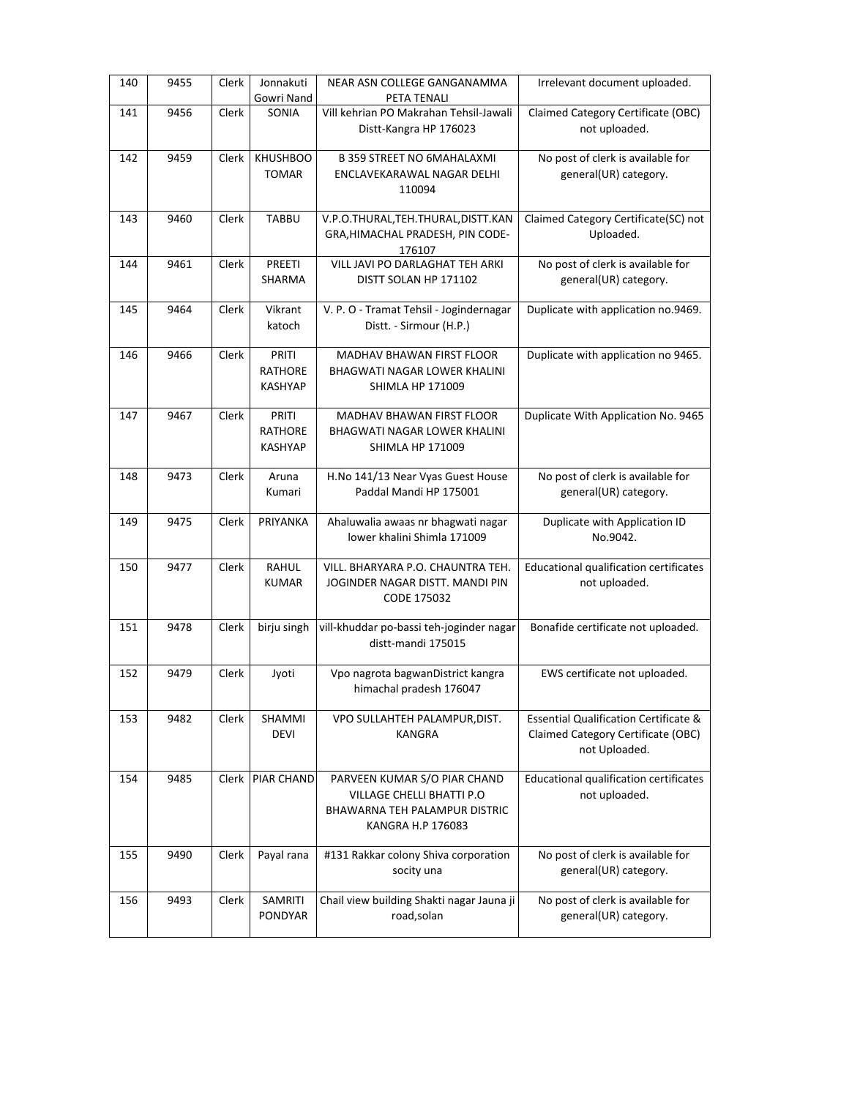| 140 | 9455 | Clerk | Jonnakuti<br>Gowri Nand                   | NEAR ASN COLLEGE GANGANAMMA<br>PETA TENALI                                                                      | Irrelevant document uploaded.                                                                           |
|-----|------|-------|-------------------------------------------|-----------------------------------------------------------------------------------------------------------------|---------------------------------------------------------------------------------------------------------|
| 141 | 9456 | Clerk | SONIA                                     | Vill kehrian PO Makrahan Tehsil-Jawali<br>Distt-Kangra HP 176023                                                | Claimed Category Certificate (OBC)<br>not uploaded.                                                     |
| 142 | 9459 | Clerk | <b>KHUSHBOO</b><br>TOMAR                  | <b>B 359 STREET NO 6MAHALAXMI</b><br>ENCLAVEKARAWAL NAGAR DELHI<br>110094                                       | No post of clerk is available for<br>general(UR) category.                                              |
| 143 | 9460 | Clerk | <b>TABBU</b>                              | V.P.O.THURAL, TEH. THURAL, DISTT. KAN<br>GRA, HIMACHAL PRADESH, PIN CODE-<br>176107                             | Claimed Category Certificate(SC) not<br>Uploaded.                                                       |
| 144 | 9461 | Clerk | <b>PREETI</b><br>SHARMA                   | VILL JAVI PO DARLAGHAT TEH ARKI<br>DISTT SOLAN HP 171102                                                        | No post of clerk is available for<br>general(UR) category.                                              |
| 145 | 9464 | Clerk | Vikrant<br>katoch                         | V. P. O - Tramat Tehsil - Jogindernagar<br>Distt. - Sirmour (H.P.)                                              | Duplicate with application no.9469.                                                                     |
| 146 | 9466 | Clerk | PRITI<br><b>RATHORE</b><br><b>KASHYAP</b> | MADHAV BHAWAN FIRST FLOOR<br>BHAGWATI NAGAR LOWER KHALINI<br><b>SHIMLA HP 171009</b>                            | Duplicate with application no 9465.                                                                     |
| 147 | 9467 | Clerk | PRITI<br><b>RATHORE</b><br><b>KASHYAP</b> | MADHAV BHAWAN FIRST FLOOR<br>BHAGWATI NAGAR LOWER KHALINI<br><b>SHIMLA HP 171009</b>                            | Duplicate With Application No. 9465                                                                     |
| 148 | 9473 | Clerk | Aruna<br>Kumari                           | H.No 141/13 Near Vyas Guest House<br>Paddal Mandi HP 175001                                                     | No post of clerk is available for<br>general(UR) category.                                              |
| 149 | 9475 | Clerk | PRIYANKA                                  | Ahaluwalia awaas nr bhagwati nagar<br>lower khalini Shimla 171009                                               | Duplicate with Application ID<br>No.9042.                                                               |
| 150 | 9477 | Clerk | <b>RAHUL</b><br><b>KUMAR</b>              | VILL. BHARYARA P.O. CHAUNTRA TEH.<br>JOGINDER NAGAR DISTT. MANDI PIN<br>CODE 175032                             | Educational qualification certificates<br>not uploaded.                                                 |
| 151 | 9478 | Clerk | birju singh                               | vill-khuddar po-bassi teh-joginder nagar<br>distt-mandi 175015                                                  | Bonafide certificate not uploaded.                                                                      |
| 152 | 9479 | Clerk | Jyoti                                     | Vpo nagrota bagwanDistrict kangra<br>himachal pradesh 176047                                                    | EWS certificate not uploaded.                                                                           |
| 153 | 9482 | Clerk | SHAMMI<br><b>DEVI</b>                     | VPO SULLAHTEH PALAMPUR, DIST.<br><b>KANGRA</b>                                                                  | <b>Essential Qualification Certificate &amp;</b><br>Claimed Category Certificate (OBC)<br>not Uploaded. |
| 154 | 9485 | Clerk | <b>PIAR CHAND</b>                         | PARVEEN KUMAR S/O PIAR CHAND<br>VILLAGE CHELLI BHATTI P.O<br>BHAWARNA TEH PALAMPUR DISTRIC<br>KANGRA H.P 176083 | Educational qualification certificates<br>not uploaded.                                                 |
| 155 | 9490 | Clerk | Payal rana                                | #131 Rakkar colony Shiva corporation<br>socity una                                                              | No post of clerk is available for<br>general(UR) category.                                              |
| 156 | 9493 | Clerk | SAMRITI<br><b>PONDYAR</b>                 | Chail view building Shakti nagar Jauna ji<br>road, solan                                                        | No post of clerk is available for<br>general(UR) category.                                              |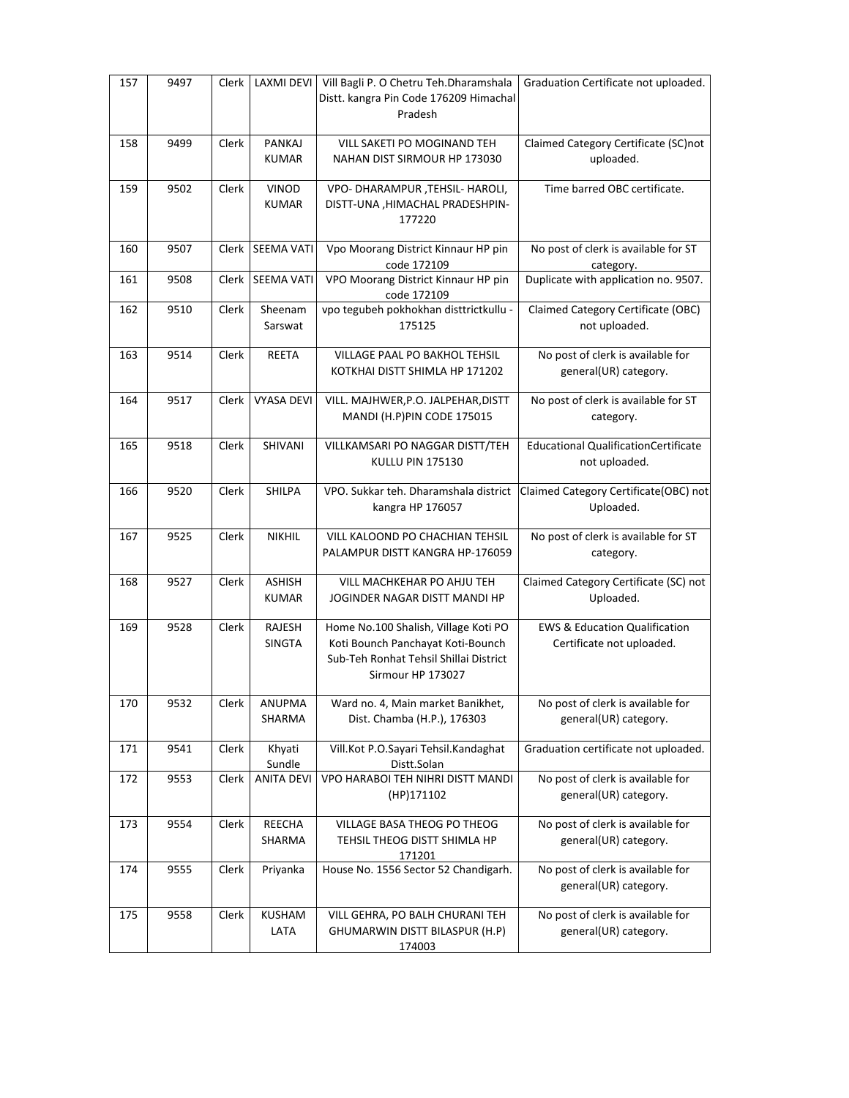| 157 | 9497 | Clerk | LAXMI DEVI I                  | Vill Bagli P. O Chetru Teh.Dharamshala<br>Distt. kangra Pin Code 176209 Himachal<br>Pradesh                                              | Graduation Certificate not uploaded.                                  |
|-----|------|-------|-------------------------------|------------------------------------------------------------------------------------------------------------------------------------------|-----------------------------------------------------------------------|
| 158 | 9499 | Clerk | PANKAJ<br><b>KUMAR</b>        | VILL SAKETI PO MOGINAND TEH<br>NAHAN DIST SIRMOUR HP 173030                                                                              | Claimed Category Certificate (SC)not<br>uploaded.                     |
| 159 | 9502 | Clerk | <b>VINOD</b><br><b>KUMAR</b>  | VPO- DHARAMPUR, TEHSIL- HAROLI,<br>DISTT-UNA , HIMACHAL PRADESHPIN-<br>177220                                                            | Time barred OBC certificate.                                          |
| 160 | 9507 | Clerk | SEEMA VATI                    | Vpo Moorang District Kinnaur HP pin<br>code 172109                                                                                       | No post of clerk is available for ST<br>category.                     |
| 161 | 9508 | Clerk | SEEMA VATI                    | VPO Moorang District Kinnaur HP pin<br>code 172109                                                                                       | Duplicate with application no. 9507.                                  |
| 162 | 9510 | Clerk | Sheenam<br>Sarswat            | vpo tegubeh pokhokhan disttrictkullu -<br>175125                                                                                         | Claimed Category Certificate (OBC)<br>not uploaded.                   |
| 163 | 9514 | Clerk | <b>REETA</b>                  | VILLAGE PAAL PO BAKHOL TEHSIL<br>KOTKHAI DISTT SHIMLA HP 171202                                                                          | No post of clerk is available for<br>general(UR) category.            |
| 164 | 9517 | Clerk | <b>VYASA DEVI</b>             | VILL. MAJHWER, P.O. JALPEHAR, DISTT<br>MANDI (H.P)PIN CODE 175015                                                                        | No post of clerk is available for ST<br>category.                     |
| 165 | 9518 | Clerk | SHIVANI                       | VILLKAMSARI PO NAGGAR DISTT/TEH<br><b>KULLU PIN 175130</b>                                                                               | <b>Educational QualificationCertificate</b><br>not uploaded.          |
| 166 | 9520 | Clerk | SHILPA                        | VPO. Sukkar teh. Dharamshala district<br>kangra HP 176057                                                                                | Claimed Category Certificate(OBC) not<br>Uploaded.                    |
| 167 | 9525 | Clerk | <b>NIKHIL</b>                 | VILL KALOOND PO CHACHIAN TEHSIL<br>PALAMPUR DISTT KANGRA HP-176059                                                                       | No post of clerk is available for ST<br>category.                     |
| 168 | 9527 | Clerk | <b>ASHISH</b><br><b>KUMAR</b> | VILL MACHKEHAR PO AHJU TEH<br>JOGINDER NAGAR DISTT MANDI HP                                                                              | Claimed Category Certificate (SC) not<br>Uploaded.                    |
| 169 | 9528 | Clerk | RAJESH<br><b>SINGTA</b>       | Home No.100 Shalish, Village Koti PO<br>Koti Bounch Panchayat Koti-Bounch<br>Sub-Teh Ronhat Tehsil Shillai District<br>Sirmour HP 173027 | <b>EWS &amp; Education Qualification</b><br>Certificate not uploaded. |
| 170 | 9532 | Clerk | <b>ANUPMA</b><br>SHARMA       | Ward no. 4, Main market Banikhet,<br>Dist. Chamba (H.P.), 176303                                                                         | No post of clerk is available for<br>general(UR) category.            |
| 171 | 9541 | Clerk | Khyati<br>Sundle              | Vill.Kot P.O.Sayari Tehsil.Kandaghat<br>Distt.Solan                                                                                      | Graduation certificate not uploaded.                                  |
| 172 | 9553 | Clerk | <b>ANITA DEVI</b>             | VPO HARABOI TEH NIHRI DISTT MANDI<br>(HP)171102                                                                                          | No post of clerk is available for<br>general(UR) category.            |
| 173 | 9554 | Clerk | <b>REECHA</b><br>SHARMA       | VILLAGE BASA THEOG PO THEOG<br>TEHSIL THEOG DISTT SHIMLA HP<br>171201                                                                    | No post of clerk is available for<br>general(UR) category.            |
| 174 | 9555 | Clerk | Priyanka                      | House No. 1556 Sector 52 Chandigarh.                                                                                                     | No post of clerk is available for<br>general(UR) category.            |
| 175 | 9558 | Clerk | <b>KUSHAM</b><br>LATA         | VILL GEHRA, PO BALH CHURANI TEH<br>GHUMARWIN DISTT BILASPUR (H.P)<br>174003                                                              | No post of clerk is available for<br>general(UR) category.            |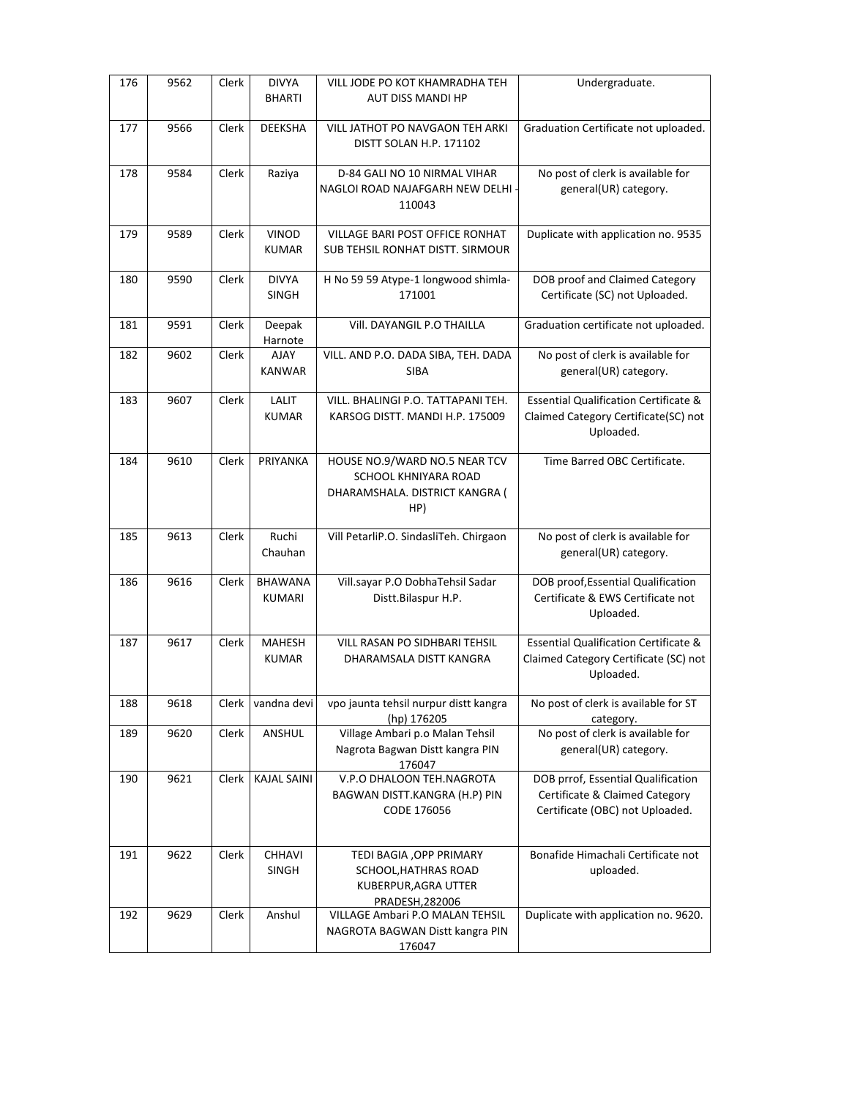| 176 | 9562 | Clerk        | <b>DIVYA</b><br><b>BHARTI</b> | VILL JODE PO KOT KHAMRADHA TEH<br><b>AUT DISS MANDI HP</b>                                     | Undergraduate.                                                                                          |
|-----|------|--------------|-------------------------------|------------------------------------------------------------------------------------------------|---------------------------------------------------------------------------------------------------------|
| 177 | 9566 | Clerk        | <b>DEEKSHA</b>                | VILL JATHOT PO NAVGAON TEH ARKI<br>DISTT SOLAN H.P. 171102                                     | Graduation Certificate not uploaded.                                                                    |
| 178 | 9584 | Clerk        | Raziya                        | D-84 GALI NO 10 NIRMAL VIHAR<br>NAGLOI ROAD NAJAFGARH NEW DELHI -<br>110043                    | No post of clerk is available for<br>general(UR) category.                                              |
| 179 | 9589 | <b>Clerk</b> | <b>VINOD</b><br><b>KUMAR</b>  | VILLAGE BARI POST OFFICE RONHAT<br><b>SUB TEHSIL RONHAT DISTT. SIRMOUR</b>                     | Duplicate with application no. 9535                                                                     |
| 180 | 9590 | Clerk        | <b>DIVYA</b><br><b>SINGH</b>  | H No 59 59 Atype-1 longwood shimla-<br>171001                                                  | DOB proof and Claimed Category<br>Certificate (SC) not Uploaded.                                        |
| 181 | 9591 | Clerk        | Deepak<br>Harnote             | VIII. DAYANGIL P.O THAILLA                                                                     | Graduation certificate not uploaded.                                                                    |
| 182 | 9602 | Clerk        | AJAY<br><b>KANWAR</b>         | VILL. AND P.O. DADA SIBA, TEH. DADA<br><b>SIBA</b>                                             | No post of clerk is available for<br>general(UR) category.                                              |
| 183 | 9607 | Clerk        | LALIT<br><b>KUMAR</b>         | VILL. BHALINGI P.O. TATTAPANI TEH.<br>KARSOG DISTT. MANDI H.P. 175009                          | Essential Qualification Certificate &<br>Claimed Category Certificate(SC) not<br>Uploaded.              |
| 184 | 9610 | Clerk        | PRIYANKA                      | HOUSE NO.9/WARD NO.5 NEAR TCV<br>SCHOOL KHNIYARA ROAD<br>DHARAMSHALA. DISTRICT KANGRA (<br>HP) | Time Barred OBC Certificate.                                                                            |
| 185 | 9613 | Clerk        | Ruchi<br>Chauhan              | Vill PetarliP.O. SindasliTeh. Chirgaon                                                         | No post of clerk is available for<br>general(UR) category.                                              |
| 186 | 9616 | Clerk        | <b>BHAWANA</b><br>KUMARI      | Vill.sayar P.O DobhaTehsil Sadar<br>Distt.Bilaspur H.P.                                        | DOB proof, Essential Qualification<br>Certificate & EWS Certificate not<br>Uploaded.                    |
| 187 | 9617 | Clerk        | <b>MAHESH</b><br><b>KUMAR</b> | VILL RASAN PO SIDHBARI TEHSIL<br>DHARAMSALA DISTT KANGRA                                       | <b>Essential Qualification Certificate &amp;</b><br>Claimed Category Certificate (SC) not<br>Uploaded.  |
| 188 | 9618 | Clerk        | vandna devi                   | vpo jaunta tehsil nurpur distt kangra<br>(hp) 176205                                           | No post of clerk is available for ST<br>category.                                                       |
| 189 | 9620 | Clerk        | ANSHUL                        | Village Ambari p.o Malan Tehsil<br>Nagrota Bagwan Distt kangra PIN<br>176047                   | No post of clerk is available for<br>general(UR) category.                                              |
| 190 | 9621 | Clerk        | <b>KAJAL SAINI</b>            | V.P.O DHALOON TEH.NAGROTA<br>BAGWAN DISTT.KANGRA (H.P) PIN<br>CODE 176056                      | DOB prrof, Essential Qualification<br>Certificate & Claimed Category<br>Certificate (OBC) not Uploaded. |
| 191 | 9622 | Clerk        | <b>CHHAVI</b><br>SINGH        | TEDI BAGIA , OPP PRIMARY<br>SCHOOL, HATHRAS ROAD<br>KUBERPUR, AGRA UTTER<br>PRADESH, 282006    | Bonafide Himachali Certificate not<br>uploaded.                                                         |
| 192 | 9629 | Clerk        | Anshul                        | VILLAGE Ambari P.O MALAN TEHSIL<br>NAGROTA BAGWAN Distt kangra PIN<br>176047                   | Duplicate with application no. 9620.                                                                    |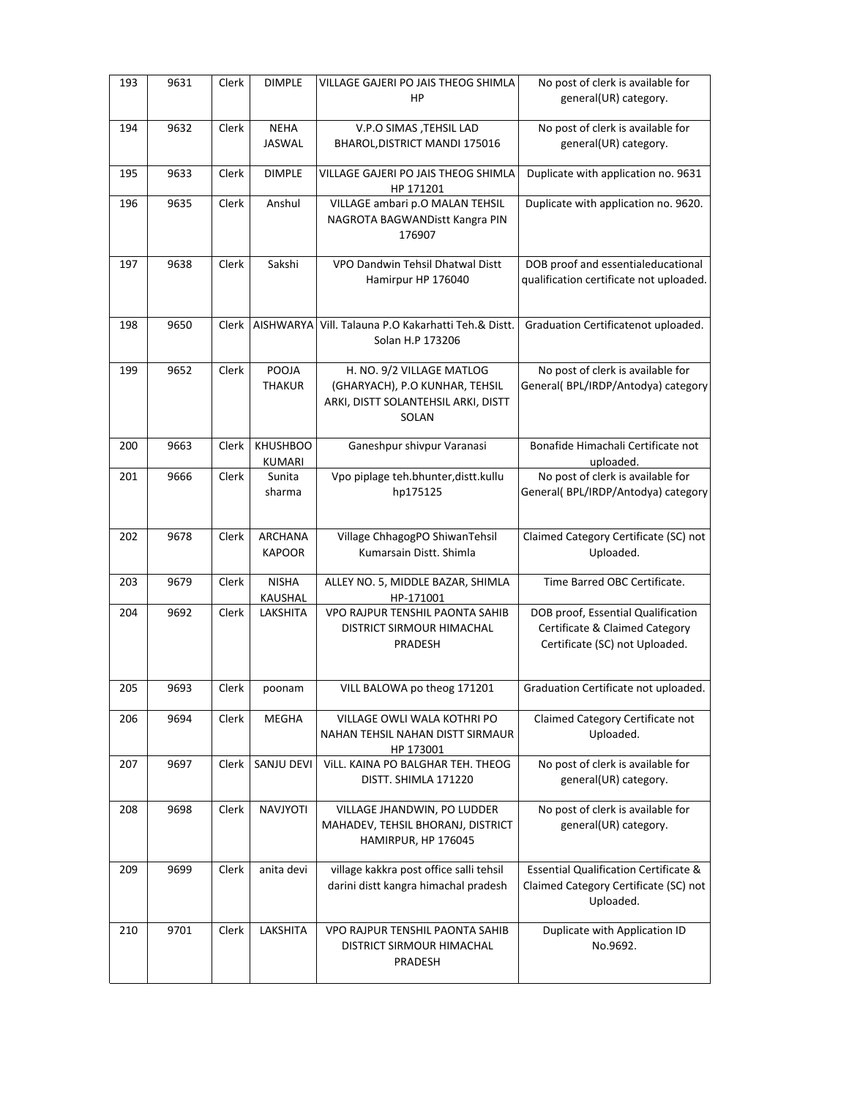| 193 | 9631 | Clerk        | <b>DIMPLE</b>                    | VILLAGE GAJERI PO JAIS THEOG SHIMLA<br>HP                                                                   | No post of clerk is available for<br>general(UR) category.                                             |
|-----|------|--------------|----------------------------------|-------------------------------------------------------------------------------------------------------------|--------------------------------------------------------------------------------------------------------|
| 194 | 9632 | Clerk        | <b>NEHA</b><br>JASWAL            | V.P.O SIMAS , TEHSIL LAD<br>BHAROL, DISTRICT MANDI 175016                                                   | No post of clerk is available for<br>general(UR) category.                                             |
| 195 | 9633 | Clerk        | <b>DIMPLE</b>                    | VILLAGE GAJERI PO JAIS THEOG SHIMLA<br>HP 171201                                                            | Duplicate with application no. 9631                                                                    |
| 196 | 9635 | Clerk        | Anshul                           | VILLAGE ambari p.O MALAN TEHSIL<br>NAGROTA BAGWANDistt Kangra PIN<br>176907                                 | Duplicate with application no. 9620.                                                                   |
| 197 | 9638 | Clerk        | Sakshi                           | VPO Dandwin Tehsil Dhatwal Distt<br>Hamirpur HP 176040                                                      | DOB proof and essentialeducational<br>qualification certificate not uploaded.                          |
| 198 | 9650 | Clerk        | <b>AISHWARYA</b>                 | Vill. Talauna P.O Kakarhatti Teh.& Distt.<br>Solan H.P 173206                                               | Graduation Certificatenot uploaded.                                                                    |
| 199 | 9652 | Clerk        | POOJA<br><b>THAKUR</b>           | H. NO. 9/2 VILLAGE MATLOG<br>(GHARYACH), P.O KUNHAR, TEHSIL<br>ARKI, DISTT SOLANTEHSIL ARKI, DISTT<br>SOLAN | No post of clerk is available for<br>General( BPL/IRDP/Antodya) category                               |
| 200 | 9663 | Clerk        | <b>KHUSHBOO</b><br><b>KUMARI</b> | Ganeshpur shivpur Varanasi                                                                                  | Bonafide Himachali Certificate not<br>uploaded.                                                        |
| 201 | 9666 | Clerk        | Sunita<br>sharma                 | Vpo piplage teh.bhunter, distt.kullu<br>hp175125                                                            | No post of clerk is available for<br>General( BPL/IRDP/Antodya) category                               |
| 202 | 9678 | Clerk        | <b>ARCHANA</b><br><b>KAPOOR</b>  | Village ChhagogPO ShiwanTehsil<br>Kumarsain Distt. Shimla                                                   | Claimed Category Certificate (SC) not<br>Uploaded.                                                     |
| 203 | 9679 | Clerk        | <b>NISHA</b><br>KAUSHAL          | ALLEY NO. 5, MIDDLE BAZAR, SHIMLA<br>HP-171001                                                              | Time Barred OBC Certificate.                                                                           |
| 204 | 9692 | Clerk        | LAKSHITA                         | VPO RAJPUR TENSHIL PAONTA SAHIB<br>DISTRICT SIRMOUR HIMACHAL<br>PRADESH                                     | DOB proof, Essential Qualification<br>Certificate & Claimed Category<br>Certificate (SC) not Uploaded. |
| 205 | 9693 | <b>Clerk</b> | poonam                           | VILL BALOWA po theog 171201                                                                                 | Graduation Certificate not uploaded.                                                                   |
| 206 | 9694 | Clerk        | <b>MEGHA</b>                     | VILLAGE OWLI WALA KOTHRI PO<br>NAHAN TEHSIL NAHAN DISTT SIRMAUR                                             | Claimed Category Certificate not<br>Uploaded.                                                          |
| 207 |      |              |                                  | HP 173001                                                                                                   |                                                                                                        |
|     | 9697 | Clerk        | SANJU DEVI                       | VILL. KAINA PO BALGHAR TEH. THEOG<br>DISTT. SHIMLA 171220                                                   | No post of clerk is available for<br>general(UR) category.                                             |
| 208 | 9698 | Clerk        | NAVJYOTI                         | VILLAGE JHANDWIN, PO LUDDER<br>MAHADEV, TEHSIL BHORANJ, DISTRICT<br>HAMIRPUR, HP 176045                     | No post of clerk is available for<br>general(UR) category.                                             |
| 209 | 9699 | Clerk        | anita devi                       | village kakkra post office salli tehsil<br>darini distt kangra himachal pradesh                             | <b>Essential Qualification Certificate &amp;</b><br>Claimed Category Certificate (SC) not<br>Uploaded. |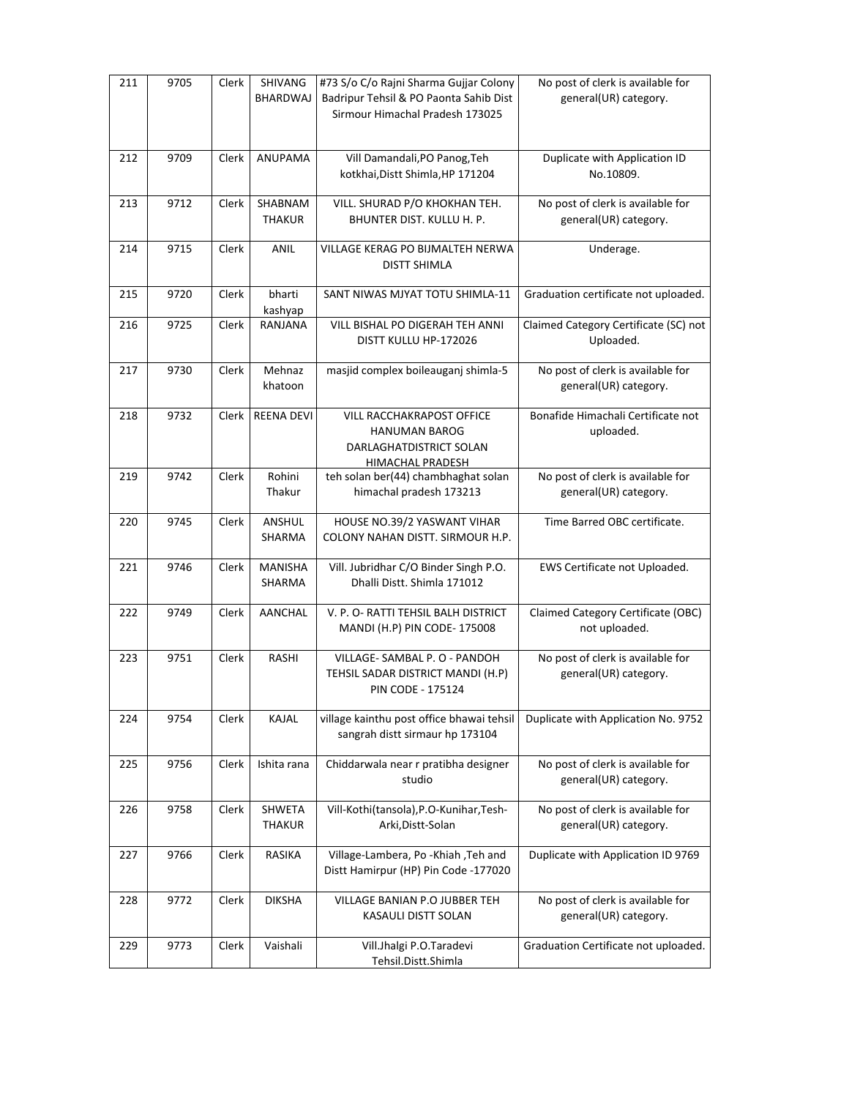| 211 | 9705 | Clerk | SHIVANG<br><b>BHARDWAJ</b> | #73 S/o C/o Rajni Sharma Gujjar Colony<br>Badripur Tehsil & PO Paonta Sahib Dist<br>Sirmour Himachal Pradesh 173025 | No post of clerk is available for<br>general(UR) category. |
|-----|------|-------|----------------------------|---------------------------------------------------------------------------------------------------------------------|------------------------------------------------------------|
| 212 | 9709 | Clerk | <b>ANUPAMA</b>             | Vill Damandali, PO Panog, Teh<br>kotkhai, Distt Shimla, HP 171204                                                   | Duplicate with Application ID<br>No.10809.                 |
| 213 | 9712 | Clerk | SHABNAM<br><b>THAKUR</b>   | VILL. SHURAD P/O KHOKHAN TEH.<br>BHUNTER DIST. KULLU H. P.                                                          | No post of clerk is available for<br>general(UR) category. |
| 214 | 9715 | Clerk | ANIL                       | VILLAGE KERAG PO BIJMALTEH NERWA<br><b>DISTT SHIMLA</b>                                                             | Underage.                                                  |
| 215 | 9720 | Clerk | bharti<br>kashyap          | SANT NIWAS MJYAT TOTU SHIMLA-11                                                                                     | Graduation certificate not uploaded.                       |
| 216 | 9725 | Clerk | RANJANA                    | VILL BISHAL PO DIGERAH TEH ANNI<br>DISTT KULLU HP-172026                                                            | Claimed Category Certificate (SC) not<br>Uploaded.         |
| 217 | 9730 | Clerk | Mehnaz<br>khatoon          | masjid complex boileauganj shimla-5                                                                                 | No post of clerk is available for<br>general(UR) category. |
| 218 | 9732 | Clerk | <b>REENA DEVI</b>          | VILL RACCHAKRAPOST OFFICE<br><b>HANUMAN BAROG</b><br>DARLAGHATDISTRICT SOLAN<br>HIMACHAL PRADESH                    | Bonafide Himachali Certificate not<br>uploaded.            |
| 219 | 9742 | Clerk | Rohini<br>Thakur           | teh solan ber(44) chambhaghat solan<br>himachal pradesh 173213                                                      | No post of clerk is available for<br>general(UR) category. |
| 220 | 9745 | Clerk | ANSHUL<br>SHARMA           | HOUSE NO.39/2 YASWANT VIHAR<br>COLONY NAHAN DISTT. SIRMOUR H.P.                                                     | Time Barred OBC certificate.                               |
| 221 | 9746 | Clerk | <b>MANISHA</b><br>SHARMA   | Vill. Jubridhar C/O Binder Singh P.O.<br>Dhalli Distt. Shimla 171012                                                | EWS Certificate not Uploaded.                              |
| 222 | 9749 | Clerk | <b>AANCHAL</b>             | V. P. O- RATTI TEHSIL BALH DISTRICT<br>MANDI (H.P) PIN CODE-175008                                                  | Claimed Category Certificate (OBC)<br>not uploaded.        |
| 223 | 9751 | Clerk | <b>RASHI</b>               | VILLAGE-SAMBAL P. O - PANDOH<br>TEHSIL SADAR DISTRICT MANDI (H.P)<br>PIN CODE - 175124                              | No post of clerk is available for<br>general(UR) category. |
| 224 | 9754 | Clerk | KAJAL                      | village kainthu post office bhawai tehsil<br>sangrah distt sirmaur hp 173104                                        | Duplicate with Application No. 9752                        |
| 225 | 9756 | Clerk | Ishita rana                | Chiddarwala near r pratibha designer<br>studio                                                                      | No post of clerk is available for<br>general(UR) category. |
| 226 | 9758 | Clerk | SHWETA<br><b>THAKUR</b>    | Vill-Kothi(tansola), P.O-Kunihar, Tesh-<br>Arki, Distt-Solan                                                        | No post of clerk is available for<br>general(UR) category. |
| 227 | 9766 | Clerk | RASIKA                     | Village-Lambera, Po -Khiah , Teh and<br>Distt Hamirpur (HP) Pin Code -177020                                        | Duplicate with Application ID 9769                         |
| 228 | 9772 | Clerk | <b>DIKSHA</b>              | VILLAGE BANIAN P.O JUBBER TEH<br>KASAULI DISTT SOLAN                                                                | No post of clerk is available for<br>general(UR) category. |
| 229 | 9773 | Clerk | Vaishali                   | Vill.Jhalgi P.O.Taradevi<br>Tehsil.Distt.Shimla                                                                     | Graduation Certificate not uploaded.                       |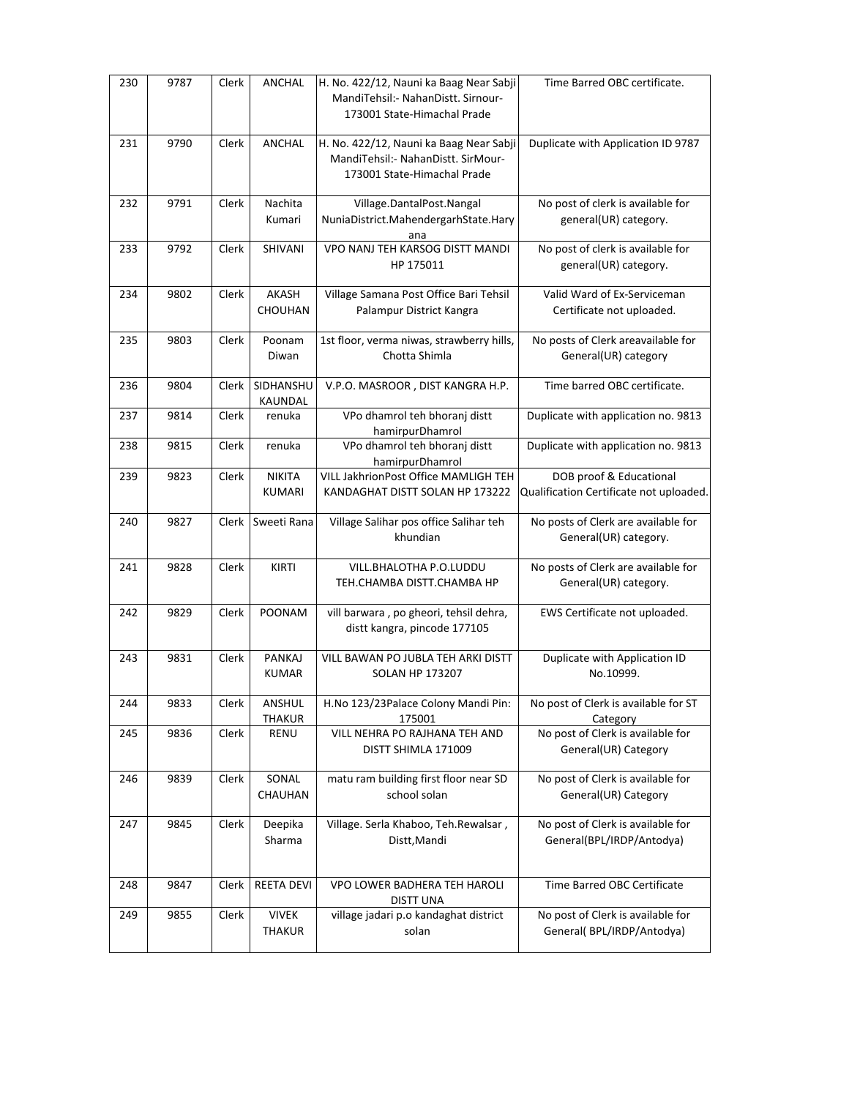| 230 | 9787 | Clerk | <b>ANCHAL</b>                  | H. No. 422/12, Nauni ka Baag Near Sabji<br>MandiTehsil:- NahanDistt. Sirnour-<br>173001 State-Himachal Prade | Time Barred OBC certificate.                                       |
|-----|------|-------|--------------------------------|--------------------------------------------------------------------------------------------------------------|--------------------------------------------------------------------|
| 231 | 9790 | Clerk | ANCHAL                         | H. No. 422/12, Nauni ka Baag Near Sabji<br>MandiTehsil:- NahanDistt. SirMour-<br>173001 State-Himachal Prade | Duplicate with Application ID 9787                                 |
| 232 | 9791 | Clerk | Nachita<br>Kumari              | Village.DantalPost.Nangal<br>NuniaDistrict.MahendergarhState.Hary<br>ana                                     | No post of clerk is available for<br>general(UR) category.         |
| 233 | 9792 | Clerk | SHIVANI                        | VPO NANJ TEH KARSOG DISTT MANDI<br>HP 175011                                                                 | No post of clerk is available for<br>general(UR) category.         |
| 234 | 9802 | Clerk | AKASH<br>CHOUHAN               | Village Samana Post Office Bari Tehsil<br>Palampur District Kangra                                           | Valid Ward of Ex-Serviceman<br>Certificate not uploaded.           |
| 235 | 9803 | Clerk | Poonam<br>Diwan                | 1st floor, verma niwas, strawberry hills,<br>Chotta Shimla                                                   | No posts of Clerk areavailable for<br>General(UR) category         |
| 236 | 9804 | Clerk | SIDHANSHU<br>KAUNDAL           | V.P.O. MASROOR, DIST KANGRA H.P.                                                                             | Time barred OBC certificate.                                       |
| 237 | 9814 | Clerk | renuka                         | VPo dhamrol teh bhoranj distt<br>hamirpurDhamrol                                                             | Duplicate with application no. 9813                                |
| 238 | 9815 | Clerk | renuka                         | VPo dhamrol teh bhoranj distt<br>hamirpurDhamrol                                                             | Duplicate with application no. 9813                                |
| 239 | 9823 | Clerk | <b>NIKITA</b><br><b>KUMARI</b> | VILL JakhrionPost Office MAMLIGH TEH<br>KANDAGHAT DISTT SOLAN HP 173222                                      | DOB proof & Educational<br>Qualification Certificate not uploaded. |
| 240 | 9827 | Clerk | Sweeti Rana                    | Village Salihar pos office Salihar teh<br>khundian                                                           | No posts of Clerk are available for<br>General(UR) category.       |
| 241 | 9828 | Clerk | KIRTI                          | VILL.BHALOTHA P.O.LUDDU<br>TEH.CHAMBA DISTT.CHAMBA HP                                                        | No posts of Clerk are available for<br>General(UR) category.       |
| 242 | 9829 | Clerk | POONAM                         | vill barwara, po gheori, tehsil dehra,<br>distt kangra, pincode 177105                                       | EWS Certificate not uploaded.                                      |
| 243 | 9831 | Clerk | PANKAJ<br><b>KUMAR</b>         | VILL BAWAN PO JUBLA TEH ARKI DISTT<br><b>SOLAN HP 173207</b>                                                 | Duplicate with Application ID<br>No.10999.                         |
| 244 | 9833 | Clerk | ANSHUL<br>THAKUR               | H.No 123/23Palace Colony Mandi Pin:<br>175001                                                                | No post of Clerk is available for ST<br>Category                   |
| 245 | 9836 | Clerk | RENU                           | VILL NEHRA PO RAJHANA TEH AND<br>DISTT SHIMLA 171009                                                         | No post of Clerk is available for<br>General(UR) Category          |
| 246 | 9839 | Clerk | SONAL<br>CHAUHAN               | matu ram building first floor near SD<br>school solan                                                        | No post of Clerk is available for<br>General(UR) Category          |
| 247 | 9845 | Clerk | Deepika<br>Sharma              | Village. Serla Khaboo, Teh.Rewalsar,<br>Distt, Mandi                                                         | No post of Clerk is available for<br>General(BPL/IRDP/Antodya)     |
| 248 | 9847 | Clerk | <b>REETA DEVI</b>              | VPO LOWER BADHERA TEH HAROLI<br><b>DISTT UNA</b>                                                             | Time Barred OBC Certificate                                        |
| 249 | 9855 | Clerk | <b>VIVEK</b><br><b>THAKUR</b>  | village jadari p.o kandaghat district<br>solan                                                               | No post of Clerk is available for<br>General(BPL/IRDP/Antodya)     |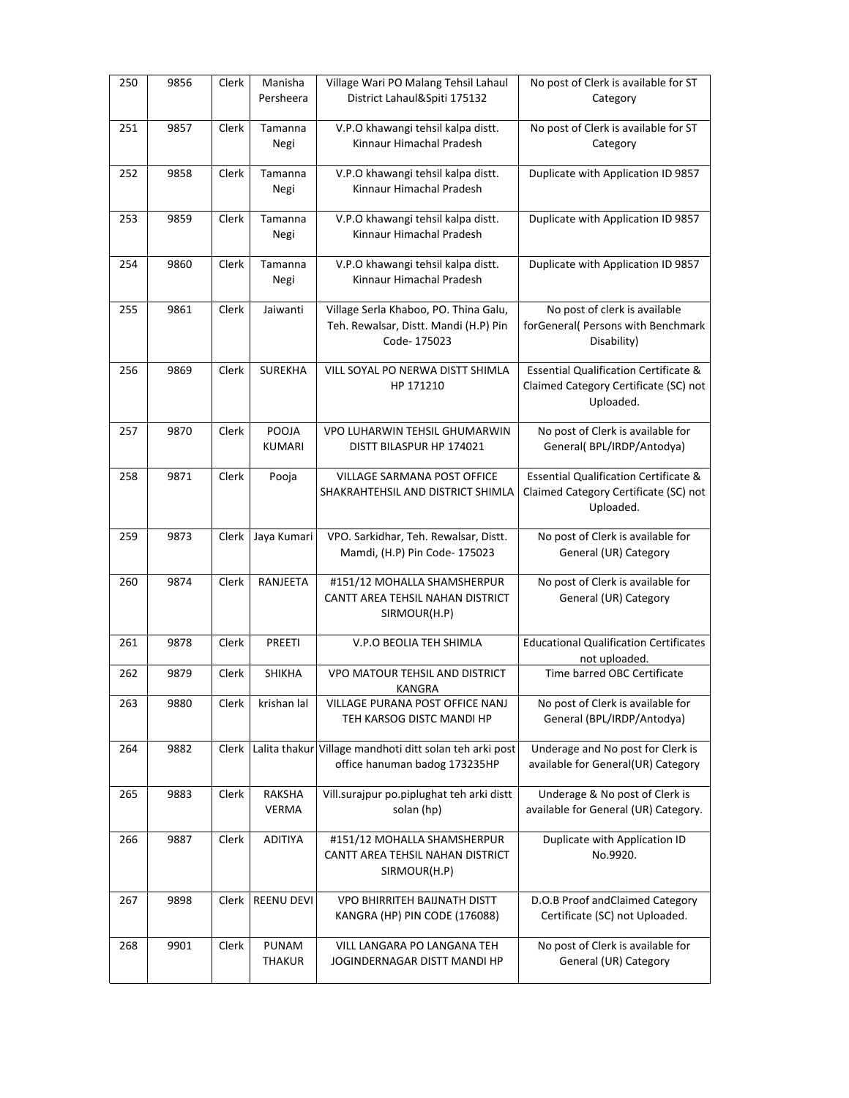| 250 | 9856 | Clerk | Manisha<br>Persheera   | Village Wari PO Malang Tehsil Lahaul<br>District Lahaul&Spiti 175132                          | No post of Clerk is available for ST<br>Category                                                       |
|-----|------|-------|------------------------|-----------------------------------------------------------------------------------------------|--------------------------------------------------------------------------------------------------------|
| 251 | 9857 | Clerk | Tamanna<br>Negi        | V.P.O khawangi tehsil kalpa distt.<br>Kinnaur Himachal Pradesh                                | No post of Clerk is available for ST<br>Category                                                       |
| 252 | 9858 | Clerk | Tamanna<br>Negi        | V.P.O khawangi tehsil kalpa distt.<br>Kinnaur Himachal Pradesh                                | Duplicate with Application ID 9857                                                                     |
| 253 | 9859 | Clerk | Tamanna<br>Negi        | V.P.O khawangi tehsil kalpa distt.<br>Kinnaur Himachal Pradesh                                | Duplicate with Application ID 9857                                                                     |
| 254 | 9860 | Clerk | Tamanna<br>Negi        | V.P.O khawangi tehsil kalpa distt.<br>Kinnaur Himachal Pradesh                                | Duplicate with Application ID 9857                                                                     |
| 255 | 9861 | Clerk | Jaiwanti               | Village Serla Khaboo, PO. Thina Galu,<br>Teh. Rewalsar, Distt. Mandi (H.P) Pin<br>Code-175023 | No post of clerk is available<br>forGeneral( Persons with Benchmark<br>Disability)                     |
| 256 | 9869 | Clerk | <b>SUREKHA</b>         | VILL SOYAL PO NERWA DISTT SHIMLA<br>HP 171210                                                 | <b>Essential Qualification Certificate &amp;</b><br>Claimed Category Certificate (SC) not<br>Uploaded. |
| 257 | 9870 | Clerk | POOJA<br><b>KUMARI</b> | VPO LUHARWIN TEHSIL GHUMARWIN<br>DISTT BILASPUR HP 174021                                     | No post of Clerk is available for<br>General(BPL/IRDP/Antodya)                                         |
| 258 | 9871 | Clerk | Pooja                  | VILLAGE SARMANA POST OFFICE<br>SHAKRAHTEHSIL AND DISTRICT SHIMLA                              | <b>Essential Qualification Certificate &amp;</b><br>Claimed Category Certificate (SC) not<br>Uploaded. |
| 259 | 9873 | Clerk | Jaya Kumari            | VPO. Sarkidhar, Teh. Rewalsar, Distt.<br>Mamdi, (H.P) Pin Code- 175023                        | No post of Clerk is available for<br>General (UR) Category                                             |
| 260 | 9874 | Clerk | RANJEETA               | #151/12 MOHALLA SHAMSHERPUR<br>CANTT AREA TEHSIL NAHAN DISTRICT<br>SIRMOUR(H.P)               | No post of Clerk is available for<br>General (UR) Category                                             |
| 261 | 9878 | Clerk | <b>PREETI</b>          | V.P.O BEOLIA TEH SHIMLA                                                                       | <b>Educational Qualification Certificates</b><br>not uploaded.                                         |
| 262 | 9879 | Clerk | <b>SHIKHA</b>          | <b>VPO MATOUR TEHSIL AND DISTRICT</b><br>KANGRA                                               | Time barred OBC Certificate                                                                            |
| 263 | 9880 | Clerk | krishan lal            | VILLAGE PURANA POST OFFICE NANJ<br>TEH KARSOG DISTC MANDI HP                                  | No post of Clerk is available for<br>General (BPL/IRDP/Antodya)                                        |
| 264 | 9882 | Clerk |                        | Lalita thakur Village mandhoti ditt solan teh arki post<br>office hanuman badog 173235HP      | Underage and No post for Clerk is<br>available for General(UR) Category                                |
| 265 | 9883 | Clerk | RAKSHA<br><b>VERMA</b> | Vill.surajpur po.piplughat teh arki distt<br>solan (hp)                                       | Underage & No post of Clerk is<br>available for General (UR) Category.                                 |
| 266 | 9887 | Clerk | <b>ADITIYA</b>         | #151/12 MOHALLA SHAMSHERPUR<br>CANTT AREA TEHSIL NAHAN DISTRICT<br>SIRMOUR(H.P)               | Duplicate with Application ID<br>No.9920.                                                              |
| 267 | 9898 | Clerk | REENU DEVI             | VPO BHIRRITEH BAIJNATH DISTT<br>KANGRA (HP) PIN CODE (176088)                                 | D.O.B Proof andClaimed Category<br>Certificate (SC) not Uploaded.                                      |
| 268 | 9901 |       |                        |                                                                                               | No post of Clerk is available for                                                                      |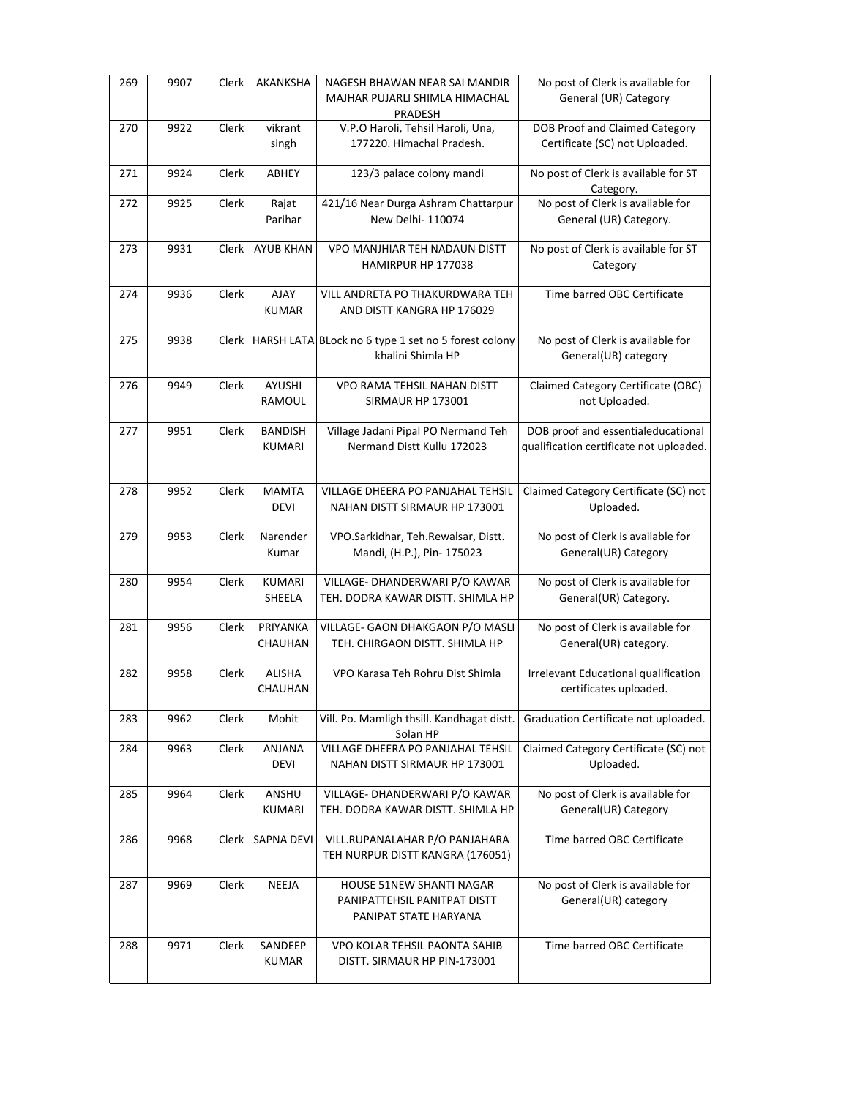| 269 | 9907 | Clerk | AKANKSHA                     | NAGESH BHAWAN NEAR SAI MANDIR<br>MAJHAR PUJARLI SHIMLA HIMACHAL     | No post of Clerk is available for<br>General (UR) Category              |
|-----|------|-------|------------------------------|---------------------------------------------------------------------|-------------------------------------------------------------------------|
|     |      |       |                              | PRADESH                                                             |                                                                         |
| 270 | 9922 | Clerk | vikrant<br>singh             | V.P.O Haroli, Tehsil Haroli, Una,<br>177220. Himachal Pradesh.      | <b>DOB Proof and Claimed Category</b><br>Certificate (SC) not Uploaded. |
| 271 | 9924 | Clerk | ABHEY                        | 123/3 palace colony mandi                                           | No post of Clerk is available for ST<br>Category.                       |
| 272 | 9925 | Clerk | Rajat                        | 421/16 Near Durga Ashram Chattarpur                                 | No post of Clerk is available for                                       |
|     |      |       | Parihar                      | New Delhi-110074                                                    | General (UR) Category.                                                  |
| 273 | 9931 | Clerk | <b>AYUB KHAN</b>             | VPO MANJHIAR TEH NADAUN DISTT<br>HAMIRPUR HP 177038                 | No post of Clerk is available for ST<br>Category                        |
| 274 | 9936 | Clerk | AJAY                         | VILL ANDRETA PO THAKURDWARA TEH                                     | Time barred OBC Certificate                                             |
|     |      |       | <b>KUMAR</b>                 | AND DISTT KANGRA HP 176029                                          |                                                                         |
| 275 | 9938 | Clerk |                              | HARSH LATA BLock no 6 type 1 set no 5 forest colony                 | No post of Clerk is available for                                       |
|     |      |       |                              | khalini Shimla HP                                                   | General(UR) category                                                    |
| 276 | 9949 | Clerk | AYUSHI                       | VPO RAMA TEHSIL NAHAN DISTT                                         | Claimed Category Certificate (OBC)                                      |
|     |      |       | RAMOUL                       | SIRMAUR HP 173001                                                   | not Uploaded.                                                           |
| 277 | 9951 | Clerk | <b>BANDISH</b>               | Village Jadani Pipal PO Nermand Teh                                 | DOB proof and essentialeducational                                      |
|     |      |       | <b>KUMARI</b>                | Nermand Distt Kullu 172023                                          | qualification certificate not uploaded.                                 |
| 278 | 9952 | Clerk | <b>MAMTA</b>                 | VILLAGE DHEERA PO PANJAHAL TEHSIL                                   | Claimed Category Certificate (SC) not                                   |
|     |      |       | <b>DEVI</b>                  | NAHAN DISTT SIRMAUR HP 173001                                       | Uploaded.                                                               |
| 279 | 9953 | Clerk | Narender                     | VPO.Sarkidhar, Teh.Rewalsar, Distt.                                 | No post of Clerk is available for                                       |
|     |      |       | Kumar                        | Mandi, (H.P.), Pin- 175023                                          | General(UR) Category                                                    |
| 280 | 9954 | Clerk | KUMARI                       | VILLAGE- DHANDERWARI P/O KAWAR                                      | No post of Clerk is available for                                       |
|     |      |       | SHEELA                       | TEH. DODRA KAWAR DISTT. SHIMLA HP                                   | General(UR) Category.                                                   |
| 281 | 9956 | Clerk | PRIYANKA<br>CHAUHAN          | VILLAGE- GAON DHAKGAON P/O MASLI<br>TEH. CHIRGAON DISTT. SHIMLA HP  | No post of Clerk is available for<br>General(UR) category.              |
|     |      |       |                              |                                                                     |                                                                         |
| 282 | 9958 | Clerk | ALISHA                       | VPO Karasa Teh Rohru Dist Shimla                                    | Irrelevant Educational qualification                                    |
|     |      |       | CHAUHAN                      |                                                                     | certificates uploaded.                                                  |
| 283 | 9962 | Clerk | Mohit                        | Vill. Po. Mamligh thsill. Kandhagat distt.<br>Solan HP              | Graduation Certificate not uploaded.                                    |
| 284 | 9963 | Clerk | <b>ANJANA</b><br><b>DEVI</b> | VILLAGE DHEERA PO PANJAHAL TEHSIL<br>NAHAN DISTT SIRMAUR HP 173001  | Claimed Category Certificate (SC) not<br>Uploaded.                      |
|     |      |       |                              |                                                                     | No post of Clerk is available for                                       |
| 285 | 9964 | Clerk | ANSHU<br><b>KUMARI</b>       | VILLAGE- DHANDERWARI P/O KAWAR<br>TEH. DODRA KAWAR DISTT. SHIMLA HP | General(UR) Category                                                    |
| 286 | 9968 | Clerk | SAPNA DEVI                   | VILL.RUPANALAHAR P/O PANJAHARA                                      | Time barred OBC Certificate                                             |
|     |      |       |                              | TEH NURPUR DISTT KANGRA (176051)                                    |                                                                         |
| 287 | 9969 | Clerk | NEEJA                        | HOUSE 51NEW SHANTI NAGAR                                            | No post of Clerk is available for                                       |
|     |      |       |                              | PANIPATTEHSIL PANITPAT DISTT<br>PANIPAT STATE HARYANA               | General(UR) category                                                    |
|     |      |       |                              |                                                                     |                                                                         |
| 288 | 9971 | Clerk | SANDEEP<br><b>KUMAR</b>      | VPO KOLAR TEHSIL PAONTA SAHIB<br>DISTT. SIRMAUR HP PIN-173001       | Time barred OBC Certificate                                             |
|     |      |       |                              |                                                                     |                                                                         |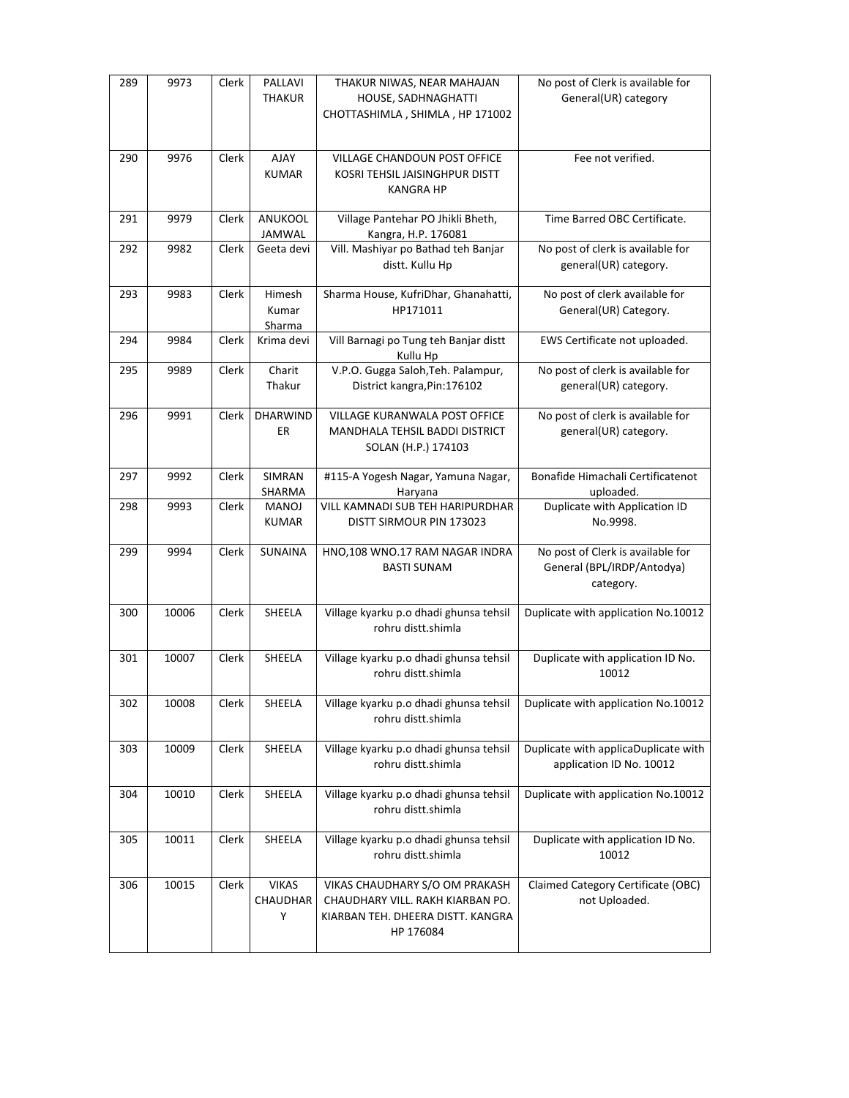| 289 | 9973  | Clerk | PALLAVI<br><b>THAKUR</b>      | THAKUR NIWAS, NEAR MAHAJAN<br>HOUSE, SADHNAGHATTI<br>CHOTTASHIMLA, SHIMLA, HP 171002                                 | No post of Clerk is available for<br>General(UR) category                    |
|-----|-------|-------|-------------------------------|----------------------------------------------------------------------------------------------------------------------|------------------------------------------------------------------------------|
| 290 | 9976  | Clerk | <b>AJAY</b><br><b>KUMAR</b>   | VILLAGE CHANDOUN POST OFFICE<br>KOSRI TEHSIL JAISINGHPUR DISTT<br><b>KANGRA HP</b>                                   | Fee not verified.                                                            |
| 291 | 9979  | Clerk | ANUKOOL<br>JAMWAL             | Village Pantehar PO Jhikli Bheth,<br>Kangra, H.P. 176081                                                             | Time Barred OBC Certificate.                                                 |
| 292 | 9982  | Clerk | Geeta devi                    | Vill. Mashiyar po Bathad teh Banjar<br>distt. Kullu Hp                                                               | No post of clerk is available for<br>general(UR) category.                   |
| 293 | 9983  | Clerk | Himesh<br>Kumar<br>Sharma     | Sharma House, KufriDhar, Ghanahatti,<br>HP171011                                                                     | No post of clerk available for<br>General(UR) Category.                      |
| 294 | 9984  | Clerk | Krima devi                    | Vill Barnagi po Tung teh Banjar distt<br>Kullu Hp                                                                    | EWS Certificate not uploaded.                                                |
| 295 | 9989  | Clerk | Charit<br>Thakur              | V.P.O. Gugga Saloh, Teh. Palampur,<br>District kangra, Pin: 176102                                                   | No post of clerk is available for<br>general(UR) category.                   |
| 296 | 9991  | Clerk | <b>DHARWIND</b><br>ER.        | <b>VILLAGE KURANWALA POST OFFICE</b><br>MANDHALA TEHSIL BADDI DISTRICT<br>SOLAN (H.P.) 174103                        | No post of clerk is available for<br>general(UR) category.                   |
| 297 | 9992  | Clerk | SIMRAN<br>SHARMA              | #115-A Yogesh Nagar, Yamuna Nagar,<br>Haryana                                                                        | Bonafide Himachali Certificatenot<br>uploaded.                               |
| 298 | 9993  | Clerk | MANOJ<br><b>KUMAR</b>         | VILL KAMNADI SUB TEH HARIPURDHAR<br>DISTT SIRMOUR PIN 173023                                                         | Duplicate with Application ID<br>No.9998.                                    |
| 299 | 9994  | Clerk | <b>SUNAINA</b>                | HNO,108 WNO.17 RAM NAGAR INDRA<br><b>BASTI SUNAM</b>                                                                 | No post of Clerk is available for<br>General (BPL/IRDP/Antodya)<br>category. |
| 300 | 10006 | Clerk | SHEELA                        | Village kyarku p.o dhadi ghunsa tehsil<br>rohru distt.shimla                                                         | Duplicate with application No.10012                                          |
| 301 | 10007 | Clerk | SHEELA                        | Village kyarku p.o dhadi ghunsa tehsil<br>rohru distt.shimla                                                         | Duplicate with application ID No.<br>10012                                   |
| 302 | 10008 | Clerk | SHEELA                        | Village kyarku p.o dhadi ghunsa tehsil<br>rohru distt.shimla                                                         | Duplicate with application No.10012                                          |
| 303 | 10009 | Clerk | SHEELA                        | Village kyarku p.o dhadi ghunsa tehsil<br>rohru distt.shimla                                                         | Duplicate with applicaDuplicate with<br>application ID No. 10012             |
| 304 | 10010 | Clerk | SHEELA                        | Village kyarku p.o dhadi ghunsa tehsil<br>rohru distt.shimla                                                         | Duplicate with application No.10012                                          |
| 305 | 10011 | Clerk | SHEELA                        | Village kyarku p.o dhadi ghunsa tehsil<br>rohru distt.shimla                                                         | Duplicate with application ID No.<br>10012                                   |
| 306 | 10015 | Clerk | <b>VIKAS</b><br>CHAUDHAR<br>Y | VIKAS CHAUDHARY S/O OM PRAKASH<br>CHAUDHARY VILL. RAKH KIARBAN PO.<br>KIARBAN TEH. DHEERA DISTT. KANGRA<br>HP 176084 | Claimed Category Certificate (OBC)<br>not Uploaded.                          |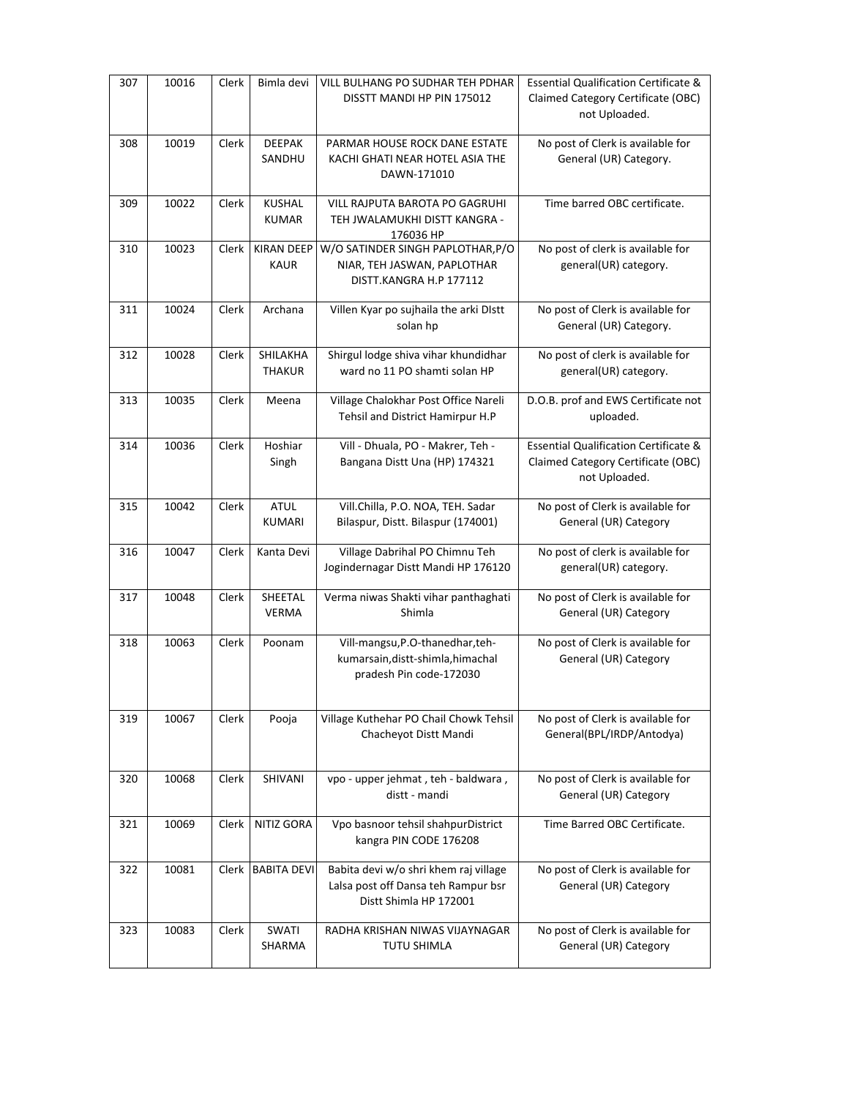| 307 | 10016 | Clerk | Bimla devi                       | VILL BULHANG PO SUDHAR TEH PDHAR<br>DISSTT MANDI HP PIN 175012                                         | <b>Essential Qualification Certificate &amp;</b><br>Claimed Category Certificate (OBC)<br>not Uploaded. |
|-----|-------|-------|----------------------------------|--------------------------------------------------------------------------------------------------------|---------------------------------------------------------------------------------------------------------|
| 308 | 10019 | Clerk | <b>DEEPAK</b><br>SANDHU          | PARMAR HOUSE ROCK DANE ESTATE<br>KACHI GHATI NEAR HOTEL ASIA THE<br>DAWN-171010                        | No post of Clerk is available for<br>General (UR) Category.                                             |
| 309 | 10022 | Clerk | <b>KUSHAL</b><br><b>KUMAR</b>    | VILL RAJPUTA BAROTA PO GAGRUHI<br>TEH JWALAMUKHI DISTT KANGRA -<br>176036 HP                           | Time barred OBC certificate.                                                                            |
| 310 | 10023 | Clerk | <b>KIRAN DEEP</b><br><b>KAUR</b> | W/O SATINDER SINGH PAPLOTHAR, P/O<br>NIAR, TEH JASWAN, PAPLOTHAR<br>DISTT.KANGRA H.P 177112            | No post of clerk is available for<br>general(UR) category.                                              |
| 311 | 10024 | Clerk | Archana                          | Villen Kyar po sujhaila the arki Distt<br>solan hp                                                     | No post of Clerk is available for<br>General (UR) Category.                                             |
| 312 | 10028 | Clerk | <b>SHILAKHA</b><br><b>THAKUR</b> | Shirgul lodge shiva vihar khundidhar<br>ward no 11 PO shamti solan HP                                  | No post of clerk is available for<br>general(UR) category.                                              |
| 313 | 10035 | Clerk | Meena                            | Village Chalokhar Post Office Nareli<br>Tehsil and District Hamirpur H.P                               | D.O.B. prof and EWS Certificate not<br>uploaded.                                                        |
| 314 | 10036 | Clerk | Hoshiar<br>Singh                 | Vill - Dhuala, PO - Makrer, Teh -<br>Bangana Distt Una (HP) 174321                                     | <b>Essential Qualification Certificate &amp;</b><br>Claimed Category Certificate (OBC)<br>not Uploaded. |
| 315 | 10042 | Clerk | <b>ATUL</b><br><b>KUMARI</b>     | Vill.Chilla, P.O. NOA, TEH. Sadar<br>Bilaspur, Distt. Bilaspur (174001)                                | No post of Clerk is available for<br>General (UR) Category                                              |
| 316 | 10047 | Clerk | Kanta Devi                       | Village Dabrihal PO Chimnu Teh<br>Jogindernagar Distt Mandi HP 176120                                  | No post of clerk is available for<br>general(UR) category.                                              |
| 317 | 10048 | Clerk | SHEETAL<br><b>VERMA</b>          | Verma niwas Shakti vihar panthaghati<br>Shimla                                                         | No post of Clerk is available for<br>General (UR) Category                                              |
| 318 | 10063 | Clerk | Poonam                           | Vill-mangsu, P.O-thanedhar, teh-<br>kumarsain, distt-shimla, himachal<br>pradesh Pin code-172030       | No post of Clerk is available for<br>General (UR) Category                                              |
| 319 | 10067 | Clerk | Pooja                            | Village Kuthehar PO Chail Chowk Tehsil<br>Chacheyot Distt Mandi                                        | No post of Clerk is available for<br>General(BPL/IRDP/Antodya)                                          |
| 320 | 10068 | Clerk | SHIVANI                          | vpo - upper jehmat, teh - baldwara,<br>distt - mandi                                                   | No post of Clerk is available for<br>General (UR) Category                                              |
| 321 | 10069 | Clerk | <b>NITIZ GORA</b>                | Vpo basnoor tehsil shahpurDistrict<br>kangra PIN CODE 176208                                           | Time Barred OBC Certificate.                                                                            |
| 322 | 10081 | Clerk | <b>BABITA DEVI</b>               | Babita devi w/o shri khem raj village<br>Lalsa post off Dansa teh Rampur bsr<br>Distt Shimla HP 172001 | No post of Clerk is available for<br>General (UR) Category                                              |
| 323 | 10083 | Clerk | SWATI<br>SHARMA                  | RADHA KRISHAN NIWAS VIJAYNAGAR<br>TUTU SHIMLA                                                          | No post of Clerk is available for<br>General (UR) Category                                              |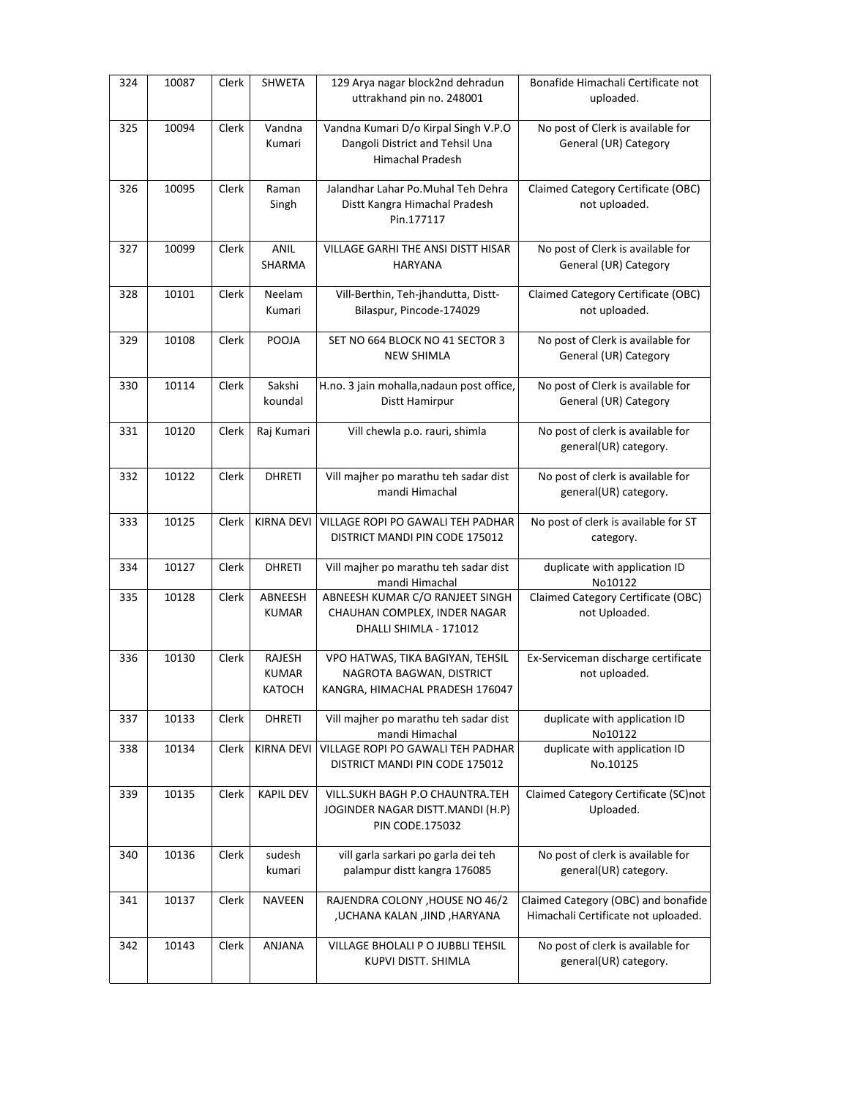| 324 | 10087 | Clerk | <b>SHWETA</b>                                  | 129 Arya nagar block2nd dehradun<br>uttrakhand pin no. 248001                                      | Bonafide Himachali Certificate not<br>uploaded.                            |
|-----|-------|-------|------------------------------------------------|----------------------------------------------------------------------------------------------------|----------------------------------------------------------------------------|
| 325 | 10094 | Clerk | Vandna<br>Kumari                               | Vandna Kumari D/o Kirpal Singh V.P.O<br>Dangoli District and Tehsil Una<br><b>Himachal Pradesh</b> | No post of Clerk is available for<br>General (UR) Category                 |
| 326 | 10095 | Clerk | Raman<br>Singh                                 | Jalandhar Lahar Po.Muhal Teh Dehra<br>Distt Kangra Himachal Pradesh<br>Pin.177117                  | Claimed Category Certificate (OBC)<br>not uploaded.                        |
| 327 | 10099 | Clerk | ANIL<br>SHARMA                                 | VILLAGE GARHI THE ANSI DISTT HISAR<br><b>HARYANA</b>                                               | No post of Clerk is available for<br>General (UR) Category                 |
| 328 | 10101 | Clerk | Neelam<br>Kumari                               | Vill-Berthin, Teh-jhandutta, Distt-<br>Bilaspur, Pincode-174029                                    | Claimed Category Certificate (OBC)<br>not uploaded.                        |
| 329 | 10108 | Clerk | POOJA                                          | SET NO 664 BLOCK NO 41 SECTOR 3<br><b>NEW SHIMLA</b>                                               | No post of Clerk is available for<br>General (UR) Category                 |
| 330 | 10114 | Clerk | Sakshi<br>koundal                              | H.no. 3 jain mohalla, nadaun post office,<br>Distt Hamirpur                                        | No post of Clerk is available for<br>General (UR) Category                 |
| 331 | 10120 | Clerk | Raj Kumari                                     | Vill chewla p.o. rauri, shimla                                                                     | No post of clerk is available for<br>general(UR) category.                 |
| 332 | 10122 | Clerk | <b>DHRETI</b>                                  | Vill majher po marathu teh sadar dist<br>mandi Himachal                                            | No post of clerk is available for<br>general(UR) category.                 |
| 333 | 10125 | Clerk | <b>KIRNA DEVI</b>                              | VILLAGE ROPI PO GAWALI TEH PADHAR<br>DISTRICT MANDI PIN CODE 175012                                | No post of clerk is available for ST<br>category.                          |
| 334 | 10127 | Clerk | <b>DHRETI</b>                                  | Vill majher po marathu teh sadar dist<br>mandi Himachal                                            | duplicate with application ID<br>No10122                                   |
| 335 | 10128 | Clerk | ABNEESH<br><b>KUMAR</b>                        | ABNEESH KUMAR C/O RANJEET SINGH<br>CHAUHAN COMPLEX, INDER NAGAR<br>DHALLI SHIMLA - 171012          | Claimed Category Certificate (OBC)<br>not Uploaded.                        |
| 336 | 10130 | Clerk | <b>RAJESH</b><br><b>KUMAR</b><br><b>KATOCH</b> | VPO HATWAS, TIKA BAGIYAN, TEHSIL<br>NAGROTA BAGWAN, DISTRICT<br>KANGRA, HIMACHAL PRADESH 176047    | Ex-Serviceman discharge certificate<br>not uploaded.                       |
| 337 | 10133 | Clerk | <b>DHRETI</b>                                  | Vill majher po marathu teh sadar dist<br>mandi Himachal                                            | duplicate with application ID<br>No10122                                   |
| 338 | 10134 | Clerk | <b>KIRNA DEVI</b>                              | VILLAGE ROPI PO GAWALI TEH PADHAR<br>DISTRICT MANDI PIN CODE 175012                                | duplicate with application ID<br>No.10125                                  |
| 339 | 10135 | Clerk | <b>KAPIL DEV</b>                               | VILL.SUKH BAGH P.O CHAUNTRA.TEH<br>JOGINDER NAGAR DISTT.MANDI (H.P)<br><b>PIN CODE.175032</b>      | Claimed Category Certificate (SC)not<br>Uploaded.                          |
| 340 | 10136 | Clerk | sudesh<br>kumari                               | vill garla sarkari po garla dei teh<br>palampur distt kangra 176085                                | No post of clerk is available for<br>general(UR) category.                 |
| 341 | 10137 | Clerk | <b>NAVEEN</b>                                  | RAJENDRA COLONY , HOUSE NO 46/2<br>,UCHANA KALAN ,JIND ,HARYANA                                    | Claimed Category (OBC) and bonafide<br>Himachali Certificate not uploaded. |
| 342 | 10143 | Clerk | ANJANA                                         | VILLAGE BHOLALI P O JUBBLI TEHSIL<br>KUPVI DISTT. SHIMLA                                           | No post of clerk is available for<br>general(UR) category.                 |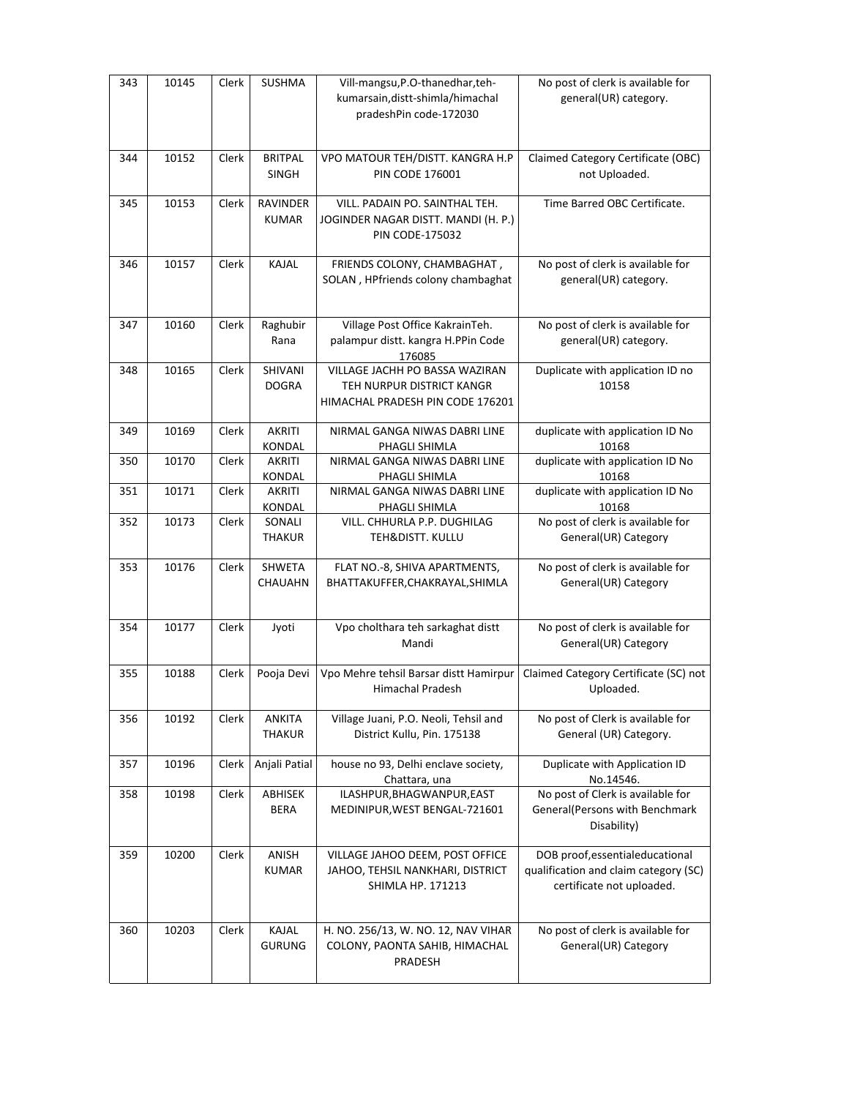| 343 | 10145 | Clerk | <b>SUSHMA</b>           | Vill-mangsu, P.O-thanedhar, teh-                                    | No post of clerk is available for                                         |
|-----|-------|-------|-------------------------|---------------------------------------------------------------------|---------------------------------------------------------------------------|
|     |       |       |                         | kumarsain, distt-shimla/himachal                                    | general(UR) category.                                                     |
|     |       |       |                         | pradeshPin code-172030                                              |                                                                           |
|     |       |       |                         |                                                                     |                                                                           |
| 344 | 10152 | Clerk | <b>BRITPAL</b>          | VPO MATOUR TEH/DISTT. KANGRA H.P                                    | Claimed Category Certificate (OBC)                                        |
|     |       |       | SINGH                   | <b>PIN CODE 176001</b>                                              | not Uploaded.                                                             |
|     |       |       |                         |                                                                     |                                                                           |
| 345 | 10153 | Clerk | RAVINDER                | VILL. PADAIN PO. SAINTHAL TEH.                                      | Time Barred OBC Certificate.                                              |
|     |       |       | <b>KUMAR</b>            | JOGINDER NAGAR DISTT. MANDI (H. P.)<br>PIN CODE-175032              |                                                                           |
|     |       |       |                         |                                                                     |                                                                           |
| 346 | 10157 | Clerk | KAJAL                   | FRIENDS COLONY, CHAMBAGHAT,                                         | No post of clerk is available for                                         |
|     |       |       |                         | SOLAN, HPfriends colony chambaghat                                  | general(UR) category.                                                     |
|     |       |       |                         |                                                                     |                                                                           |
|     |       |       |                         |                                                                     |                                                                           |
| 347 | 10160 | Clerk | Raghubir                | Village Post Office KakrainTeh.                                     | No post of clerk is available for                                         |
|     |       |       | Rana                    | palampur distt. kangra H.PPin Code                                  | general(UR) category.                                                     |
| 348 | 10165 | Clerk | SHIVANI                 | 176085<br>VILLAGE JACHH PO BASSA WAZIRAN                            | Duplicate with application ID no                                          |
|     |       |       | <b>DOGRA</b>            | TEH NURPUR DISTRICT KANGR                                           | 10158                                                                     |
|     |       |       |                         | HIMACHAL PRADESH PIN CODE 176201                                    |                                                                           |
|     |       |       |                         |                                                                     |                                                                           |
| 349 | 10169 | Clerk | <b>AKRITI</b>           | NIRMAL GANGA NIWAS DABRI LINE                                       | duplicate with application ID No                                          |
|     |       |       | KONDAL                  | PHAGLI SHIMLA                                                       | 10168                                                                     |
| 350 | 10170 | Clerk | <b>AKRITI</b>           | NIRMAL GANGA NIWAS DABRI LINE                                       | duplicate with application ID No                                          |
|     |       |       | KONDAL                  | PHAGLI SHIMLA                                                       | 10168                                                                     |
| 351 | 10171 | Clerk | <b>AKRITI</b><br>KONDAL | NIRMAL GANGA NIWAS DABRI LINE<br>PHAGLI SHIMLA                      | duplicate with application ID No<br>10168                                 |
| 352 | 10173 | Clerk | SONALI                  | VILL. CHHURLA P.P. DUGHILAG                                         | No post of clerk is available for                                         |
|     |       |       | THAKUR                  | TEH&DISTT. KULLU                                                    | General(UR) Category                                                      |
|     |       |       |                         |                                                                     |                                                                           |
| 353 | 10176 | Clerk | SHWETA                  | FLAT NO.-8, SHIVA APARTMENTS,                                       | No post of clerk is available for                                         |
|     |       |       | CHAUAHN                 | BHATTAKUFFER, CHAKRAYAL, SHIMLA                                     | General(UR) Category                                                      |
|     |       |       |                         |                                                                     |                                                                           |
| 354 | 10177 | Clerk | Jyoti                   | Vpo cholthara teh sarkaghat distt                                   | No post of clerk is available for                                         |
|     |       |       |                         | Mandi                                                               | General(UR) Category                                                      |
|     |       |       |                         |                                                                     |                                                                           |
| 355 | 10188 | Clerk | Pooja Devi              | Vpo Mehre tehsil Barsar distt Hamirpur                              | Claimed Category Certificate (SC) not                                     |
|     |       |       |                         | Himachal Pradesh                                                    | Uploaded.                                                                 |
|     |       |       |                         |                                                                     |                                                                           |
| 356 | 10192 | Clerk | ANKITA                  | Village Juani, P.O. Neoli, Tehsil and                               | No post of Clerk is available for                                         |
|     |       |       | <b>THAKUR</b>           | District Kullu, Pin. 175138                                         | General (UR) Category.                                                    |
| 357 | 10196 | Clerk | Anjali Patial           | house no 93, Delhi enclave society,                                 | Duplicate with Application ID                                             |
|     |       |       |                         | Chattara, una                                                       | No.14546.                                                                 |
| 358 | 10198 | Clerk | ABHISEK                 | ILASHPUR, BHAGWANPUR, EAST                                          | No post of Clerk is available for                                         |
|     |       |       | <b>BERA</b>             | MEDINIPUR, WEST BENGAL-721601                                       | General(Persons with Benchmark                                            |
|     |       |       |                         |                                                                     | Disability)                                                               |
|     |       |       |                         |                                                                     |                                                                           |
| 359 | 10200 | Clerk | ANISH<br><b>KUMAR</b>   | VILLAGE JAHOO DEEM, POST OFFICE<br>JAHOO, TEHSIL NANKHARI, DISTRICT | DOB proof, essential educational<br>qualification and claim category (SC) |
|     |       |       |                         | SHIMLA HP. 171213                                                   | certificate not uploaded.                                                 |
|     |       |       |                         |                                                                     |                                                                           |
|     |       |       |                         |                                                                     |                                                                           |
| 360 | 10203 | Clerk | KAJAL                   | H. NO. 256/13, W. NO. 12, NAV VIHAR                                 | No post of clerk is available for                                         |
|     |       |       | <b>GURUNG</b>           | COLONY, PAONTA SAHIB, HIMACHAL                                      | General(UR) Category                                                      |
|     |       |       |                         | PRADESH                                                             |                                                                           |
|     |       |       |                         |                                                                     |                                                                           |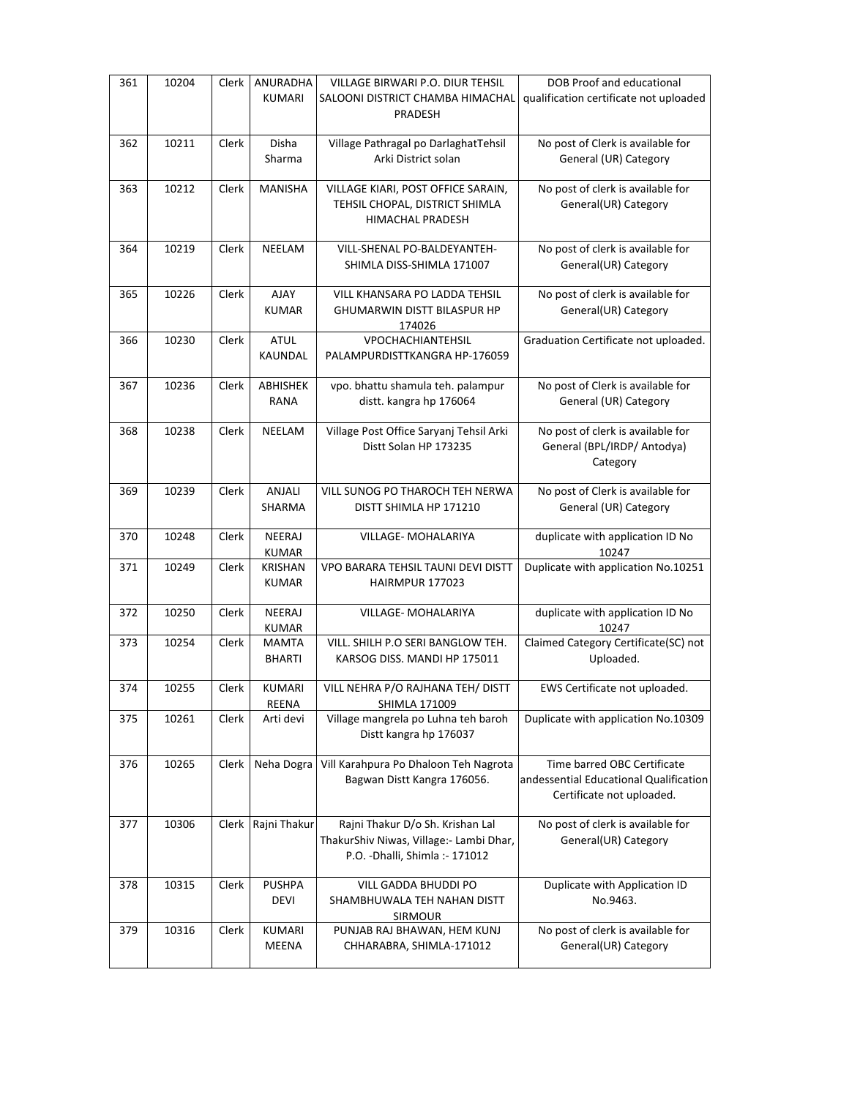| 361 | 10204 | Clerk | ANURADHA<br><b>KUMARI</b>      | VILLAGE BIRWARI P.O. DIUR TEHSIL<br>SALOONI DISTRICT CHAMBA HIMACHAL<br>PRADESH                                | DOB Proof and educational<br>qualification certificate not uploaded                                |
|-----|-------|-------|--------------------------------|----------------------------------------------------------------------------------------------------------------|----------------------------------------------------------------------------------------------------|
| 362 | 10211 | Clerk | Disha<br>Sharma                | Village Pathragal po DarlaghatTehsil<br>Arki District solan                                                    | No post of Clerk is available for<br>General (UR) Category                                         |
| 363 | 10212 | Clerk | <b>MANISHA</b>                 | VILLAGE KIARI, POST OFFICE SARAIN,<br>TEHSIL CHOPAL, DISTRICT SHIMLA<br>HIMACHAL PRADESH                       | No post of clerk is available for<br>General(UR) Category                                          |
| 364 | 10219 | Clerk | NEELAM                         | VILL-SHENAL PO-BALDEYANTEH-<br>SHIMLA DISS-SHIMLA 171007                                                       | No post of clerk is available for<br>General(UR) Category                                          |
| 365 | 10226 | Clerk | <b>AJAY</b><br><b>KUMAR</b>    | VILL KHANSARA PO LADDA TEHSIL<br><b>GHUMARWIN DISTT BILASPUR HP</b><br>174026                                  | No post of clerk is available for<br>General(UR) Category                                          |
| 366 | 10230 | Clerk | <b>ATUL</b><br>KAUNDAL         | VPOCHACHIANTEHSIL<br>PALAMPURDISTTKANGRA HP-176059                                                             | Graduation Certificate not uploaded.                                                               |
| 367 | 10236 | Clerk | ABHISHEK<br><b>RANA</b>        | vpo. bhattu shamula teh. palampur<br>distt. kangra hp 176064                                                   | No post of Clerk is available for<br>General (UR) Category                                         |
| 368 | 10238 | Clerk | NEELAM                         | Village Post Office Saryanj Tehsil Arki<br>Distt Solan HP 173235                                               | No post of clerk is available for<br>General (BPL/IRDP/ Antodya)<br>Category                       |
| 369 | 10239 | Clerk | ANJALI<br>SHARMA               | VILL SUNOG PO THAROCH TEH NERWA<br>DISTT SHIMLA HP 171210                                                      | No post of Clerk is available for<br>General (UR) Category                                         |
| 370 | 10248 | Clerk | <b>NEERAJ</b><br><b>KUMAR</b>  | VILLAGE- MOHALARIYA                                                                                            | duplicate with application ID No<br>10247                                                          |
| 371 | 10249 | Clerk | <b>KRISHAN</b><br><b>KUMAR</b> | VPO BARARA TEHSIL TAUNI DEVI DISTT<br>HAIRMPUR 177023                                                          | Duplicate with application No.10251                                                                |
| 372 | 10250 | Clerk | <b>NEERAJ</b><br><b>KUMAR</b>  | VILLAGE- MOHALARIYA                                                                                            | duplicate with application ID No<br>10247                                                          |
| 373 | 10254 | Clerk | <b>MAMTA</b><br><b>BHARTI</b>  | VILL. SHILH P.O SERI BANGLOW TEH.<br>KARSOG DISS. MANDI HP 175011                                              | Claimed Category Certificate(SC) not<br>Uploaded.                                                  |
| 374 | 10255 | Clerk | <b>KUMARI</b><br>REENA         | VILL NEHRA P/O RAJHANA TEH/ DISTT<br>SHIMLA 171009                                                             | EWS Certificate not uploaded.                                                                      |
| 375 | 10261 | Clerk | Arti devi                      | Village mangrela po Luhna teh baroh<br>Distt kangra hp 176037                                                  | Duplicate with application No.10309                                                                |
| 376 | 10265 | Clerk | Neha Dogra                     | Vill Karahpura Po Dhaloon Teh Nagrota<br>Bagwan Distt Kangra 176056.                                           | Time barred OBC Certificate<br>andessential Educational Qualification<br>Certificate not uploaded. |
| 377 | 10306 | Clerk | Rajni Thakur                   | Rajni Thakur D/o Sh. Krishan Lal<br>ThakurShiv Niwas, Village:- Lambi Dhar,<br>P.O. - Dhalli, Shimla: - 171012 | No post of clerk is available for<br>General(UR) Category                                          |
| 378 | 10315 | Clerk | <b>PUSHPA</b><br>DEVI          | VILL GADDA BHUDDI PO<br>SHAMBHUWALA TEH NAHAN DISTT<br>SIRMOUR                                                 | Duplicate with Application ID<br>No.9463.                                                          |
| 379 | 10316 | Clerk | KUMARI<br>MEENA                | PUNJAB RAJ BHAWAN, HEM KUNJ<br>CHHARABRA, SHIMLA-171012                                                        | No post of clerk is available for<br>General(UR) Category                                          |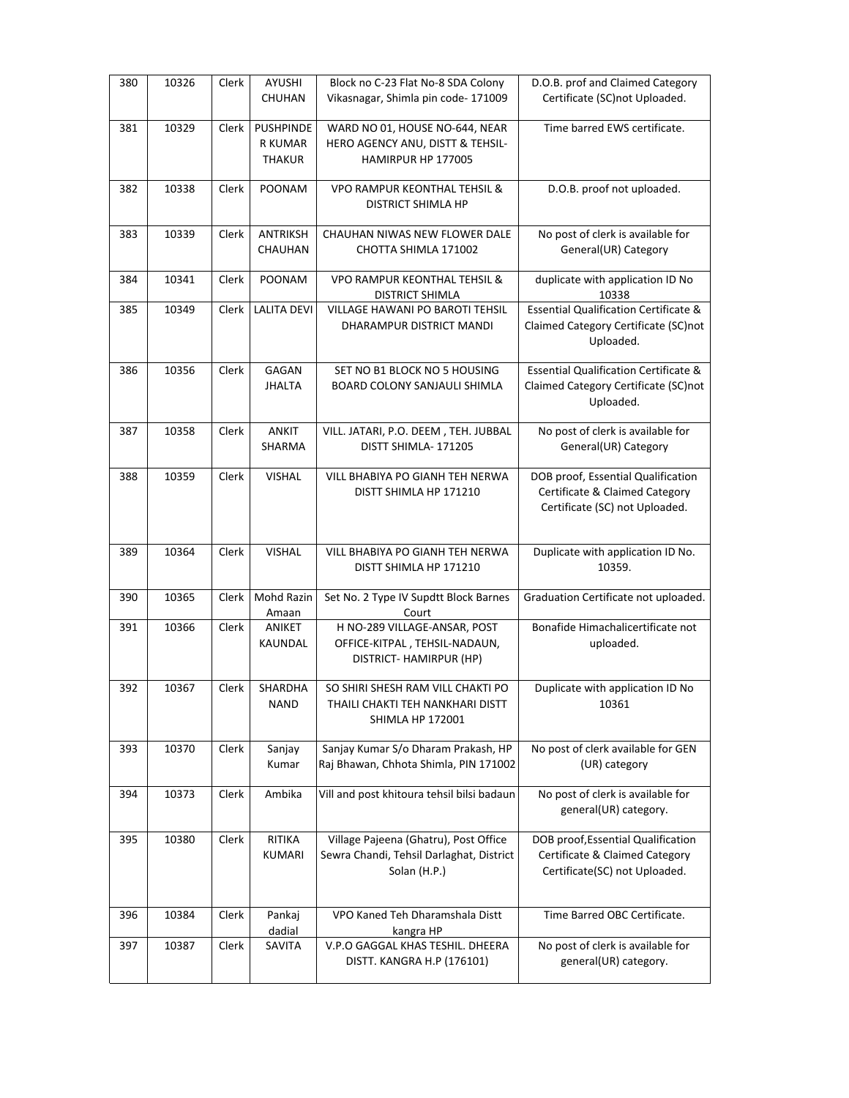| 380 | 10326 | <b>Clerk</b> | AYUSHI<br>CHUHAN                                    | Block no C-23 Flat No-8 SDA Colony<br>Vikasnagar, Shimla pin code-171009                          | D.O.B. prof and Claimed Category<br>Certificate (SC)not Uploaded.                                      |
|-----|-------|--------------|-----------------------------------------------------|---------------------------------------------------------------------------------------------------|--------------------------------------------------------------------------------------------------------|
| 381 | 10329 | Clerk        | <b>PUSHPINDE</b><br><b>R KUMAR</b><br><b>THAKUR</b> | WARD NO 01, HOUSE NO-644, NEAR<br>HERO AGENCY ANU, DISTT & TEHSIL-<br>HAMIRPUR HP 177005          | Time barred EWS certificate.                                                                           |
| 382 | 10338 | Clerk        | POONAM                                              | VPO RAMPUR KEONTHAL TEHSIL &<br><b>DISTRICT SHIMLA HP</b>                                         | D.O.B. proof not uploaded.                                                                             |
| 383 | 10339 | Clerk        | <b>ANTRIKSH</b><br>CHAUHAN                          | CHAUHAN NIWAS NEW FLOWER DALE<br>CHOTTA SHIMLA 171002                                             | No post of clerk is available for<br>General(UR) Category                                              |
| 384 | 10341 | Clerk        | POONAM                                              | <b>VPO RAMPUR KEONTHAL TEHSIL &amp;</b><br>DISTRICT SHIMLA                                        | duplicate with application ID No<br>10338                                                              |
| 385 | 10349 | Clerk        | <b>LALITA DEVI</b>                                  | <b>VILLAGE HAWANI PO BAROTI TEHSIL</b><br>DHARAMPUR DISTRICT MANDI                                | <b>Essential Qualification Certificate &amp;</b><br>Claimed Category Certificate (SC)not<br>Uploaded.  |
| 386 | 10356 | Clerk        | GAGAN<br><b>JHALTA</b>                              | SET NO B1 BLOCK NO 5 HOUSING<br>BOARD COLONY SANJAULI SHIMLA                                      | <b>Essential Qualification Certificate &amp;</b><br>Claimed Category Certificate (SC)not<br>Uploaded.  |
| 387 | 10358 | Clerk        | <b>ANKIT</b><br>SHARMA                              | VILL. JATARI, P.O. DEEM, TEH. JUBBAL<br>DISTT SHIMLA-171205                                       | No post of clerk is available for<br>General(UR) Category                                              |
| 388 | 10359 | Clerk        | <b>VISHAL</b>                                       | VILL BHABIYA PO GIANH TEH NERWA<br>DISTT SHIMLA HP 171210                                         | DOB proof, Essential Qualification<br>Certificate & Claimed Category<br>Certificate (SC) not Uploaded. |
| 389 | 10364 | Clerk        | <b>VISHAL</b>                                       | VILL BHABIYA PO GIANH TEH NERWA<br>DISTT SHIMLA HP 171210                                         | Duplicate with application ID No.<br>10359.                                                            |
| 390 | 10365 | Clerk        | Mohd Razin<br>Amaan                                 | Set No. 2 Type IV Supdtt Block Barnes<br>Court                                                    | Graduation Certificate not uploaded.                                                                   |
| 391 | 10366 | Clerk        | ANIKET<br>KAUNDAL                                   | H NO-289 VILLAGE-ANSAR, POST<br>OFFICE-KITPAL, TEHSIL-NADAUN,<br>DISTRICT- HAMIRPUR (HP)          | Bonafide Himachalicertificate not<br>uploaded.                                                         |
| 392 | 10367 | Clerk        | SHARDHA<br><b>NAND</b>                              | SO SHIRI SHESH RAM VILL CHAKTI PO<br>THAILI CHAKTI TEH NANKHARI DISTT<br>SHIMLA HP 172001         | Duplicate with application ID No<br>10361                                                              |
| 393 | 10370 | Clerk        | Sanjay<br>Kumar                                     | Sanjay Kumar S/o Dharam Prakash, HP<br>Raj Bhawan, Chhota Shimla, PIN 171002                      | No post of clerk available for GEN<br>(UR) category                                                    |
| 394 | 10373 | Clerk        | Ambika                                              | Vill and post khitoura tehsil bilsi badaun                                                        | No post of clerk is available for<br>general(UR) category.                                             |
| 395 | 10380 | Clerk        | <b>RITIKA</b><br><b>KUMARI</b>                      | Village Pajeena (Ghatru), Post Office<br>Sewra Chandi, Tehsil Darlaghat, District<br>Solan (H.P.) | DOB proof, Essential Qualification<br>Certificate & Claimed Category<br>Certificate(SC) not Uploaded.  |
| 396 | 10384 | Clerk        | Pankaj<br>dadial                                    | VPO Kaned Teh Dharamshala Distt<br>kangra HP                                                      | Time Barred OBC Certificate.                                                                           |
| 397 | 10387 | Clerk        | SAVITA                                              | V.P.O GAGGAL KHAS TESHIL. DHEERA<br>DISTT. KANGRA H.P (176101)                                    | No post of clerk is available for<br>general(UR) category.                                             |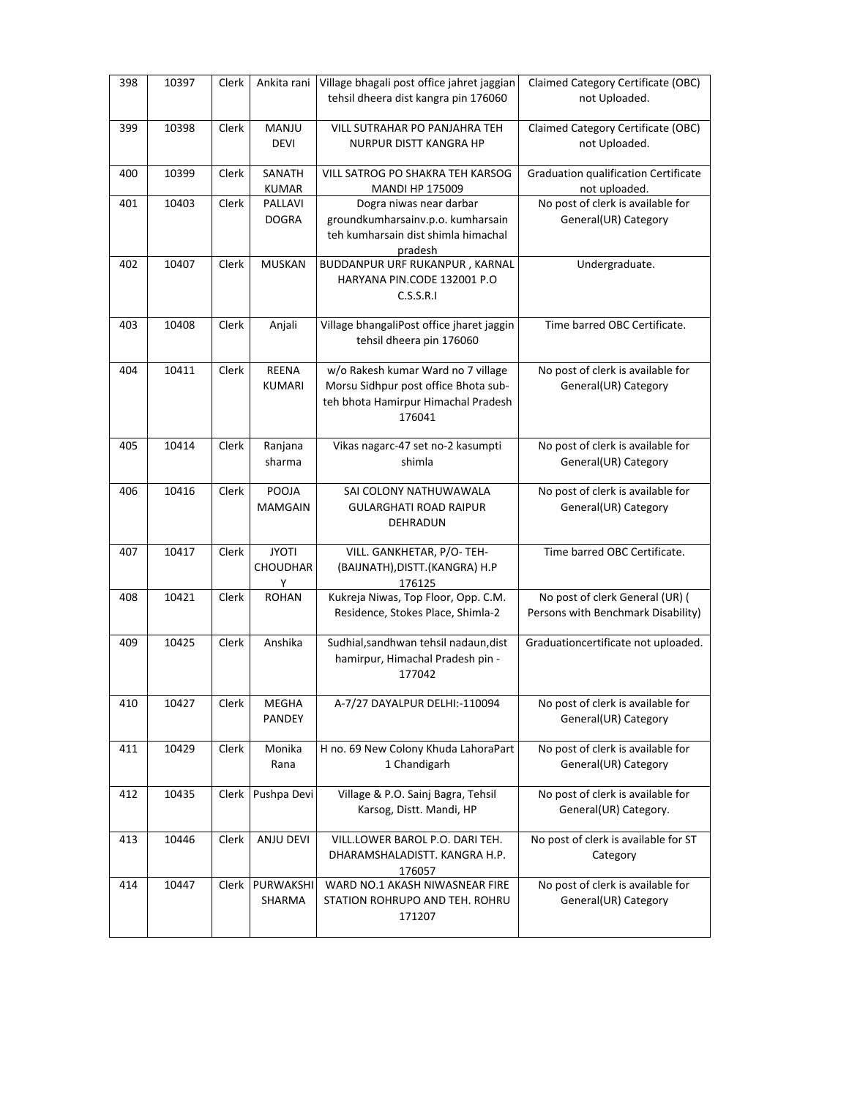| 398 | 10397 | Clerk | Ankita rani                   | Village bhagali post office jahret jaggian<br>tehsil dheera dist kangra pin 176060                                          | Claimed Category Certificate (OBC)<br>not Uploaded.                   |
|-----|-------|-------|-------------------------------|-----------------------------------------------------------------------------------------------------------------------------|-----------------------------------------------------------------------|
| 399 | 10398 | Clerk | MANJU<br><b>DEVI</b>          | VILL SUTRAHAR PO PANJAHRA TEH<br>NURPUR DISTT KANGRA HP                                                                     | Claimed Category Certificate (OBC)<br>not Uploaded.                   |
| 400 | 10399 | Clerk | SANATH<br><b>KUMAR</b>        | VILL SATROG PO SHAKRA TEH KARSOG<br><b>MANDI HP 175009</b>                                                                  | <b>Graduation qualification Certificate</b><br>not uploaded.          |
| 401 | 10403 | Clerk | PALLAVI<br><b>DOGRA</b>       | Dogra niwas near darbar<br>groundkumharsainv.p.o. kumharsain<br>teh kumharsain dist shimla himachal<br>pradesh              | No post of clerk is available for<br>General(UR) Category             |
| 402 | 10407 | Clerk | <b>MUSKAN</b>                 | BUDDANPUR URF RUKANPUR, KARNAL<br>HARYANA PIN.CODE 132001 P.O<br>C.S.S.R.I                                                  | Undergraduate.                                                        |
| 403 | 10408 | Clerk | Anjali                        | Village bhangaliPost office jharet jaggin<br>tehsil dheera pin 176060                                                       | Time barred OBC Certificate.                                          |
| 404 | 10411 | Clerk | <b>REENA</b><br><b>KUMARI</b> | w/o Rakesh kumar Ward no 7 village<br>Morsu Sidhpur post office Bhota sub-<br>teh bhota Hamirpur Himachal Pradesh<br>176041 | No post of clerk is available for<br>General(UR) Category             |
| 405 | 10414 | Clerk | Ranjana<br>sharma             | Vikas nagarc-47 set no-2 kasumpti<br>shimla                                                                                 | No post of clerk is available for<br>General(UR) Category             |
| 406 | 10416 | Clerk | POOJA<br><b>MAMGAIN</b>       | SAI COLONY NATHUWAWALA<br><b>GULARGHATI ROAD RAIPUR</b><br>DEHRADUN                                                         | No post of clerk is available for<br>General(UR) Category             |
| 407 | 10417 | Clerk | <b>JYOTI</b><br>CHOUDHAR<br>Y | VILL. GANKHETAR, P/O-TEH-<br>(BAIJNATH), DISTT. (KANGRA) H.P<br>176125                                                      | Time barred OBC Certificate.                                          |
| 408 | 10421 | Clerk | <b>ROHAN</b>                  | Kukreja Niwas, Top Floor, Opp. C.M.<br>Residence, Stokes Place, Shimla-2                                                    | No post of clerk General (UR) (<br>Persons with Benchmark Disability) |
| 409 | 10425 | Clerk | Anshika                       | Sudhial, sandhwan tehsil nadaun, dist<br>hamirpur, Himachal Pradesh pin -<br>177042                                         | Graduationcertificate not uploaded.                                   |
| 410 | 10427 | Clerk | MEGHA<br>PANDEY               | A-7/27 DAYALPUR DELHI:-110094                                                                                               | No post of clerk is available for<br>General(UR) Category             |
| 411 | 10429 | Clerk | Monika<br>Rana                | H no. 69 New Colony Khuda LahoraPart<br>1 Chandigarh                                                                        | No post of clerk is available for<br>General(UR) Category             |
| 412 | 10435 | Clerk | Pushpa Devi                   | Village & P.O. Sainj Bagra, Tehsil<br>Karsog, Distt. Mandi, HP                                                              | No post of clerk is available for<br>General(UR) Category.            |
| 413 | 10446 | Clerk | ANJU DEVI                     | VILL.LOWER BAROL P.O. DARI TEH.<br>DHARAMSHALADISTT. KANGRA H.P.<br>176057                                                  | No post of clerk is available for ST<br>Category                      |
| 414 | 10447 | Clerk | PURWAKSHI<br>SHARMA           | WARD NO.1 AKASH NIWASNEAR FIRE<br>STATION ROHRUPO AND TEH. ROHRU<br>171207                                                  | No post of clerk is available for<br>General(UR) Category             |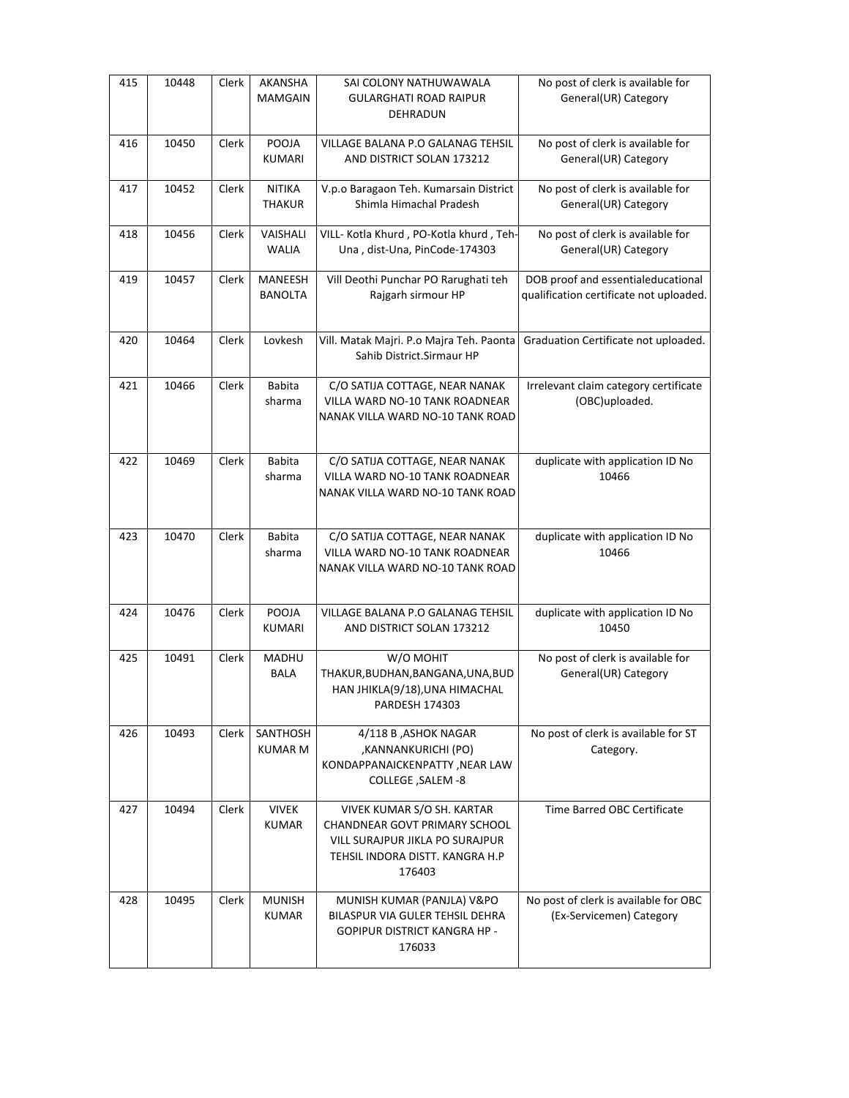| 415 | 10448 | Clerk | AKANSHA<br><b>MAMGAIN</b>      | SAI COLONY NATHUWAWALA<br>GULARGHATI ROAD RAIPUR<br>DEHRADUN                                                                                | No post of clerk is available for<br>General(UR) Category                     |
|-----|-------|-------|--------------------------------|---------------------------------------------------------------------------------------------------------------------------------------------|-------------------------------------------------------------------------------|
| 416 | 10450 | Clerk | POOJA<br><b>KUMARI</b>         | VILLAGE BALANA P.O GALANAG TEHSIL<br>AND DISTRICT SOLAN 173212                                                                              | No post of clerk is available for<br>General(UR) Category                     |
| 417 | 10452 | Clerk | <b>NITIKA</b><br><b>THAKUR</b> | V.p.o Baragaon Teh. Kumarsain District<br>Shimla Himachal Pradesh                                                                           | No post of clerk is available for<br>General(UR) Category                     |
| 418 | 10456 | Clerk | VAISHALI<br><b>WALIA</b>       | VILL- Kotla Khurd, PO-Kotla khurd, Teh-<br>Una, dist-Una, PinCode-174303                                                                    | No post of clerk is available for<br>General(UR) Category                     |
| 419 | 10457 | Clerk | MANEESH<br>BANOLTA             | Vill Deothi Punchar PO Rarughati teh<br>Rajgarh sirmour HP                                                                                  | DOB proof and essentialeducational<br>qualification certificate not uploaded. |
| 420 | 10464 | Clerk | Lovkesh                        | Vill. Matak Majri. P.o Majra Teh. Paonta<br>Sahib District.Sirmaur HP                                                                       | Graduation Certificate not uploaded.                                          |
| 421 | 10466 | Clerk | Babita<br>sharma               | C/O SATIJA COTTAGE, NEAR NANAK<br>VILLA WARD NO-10 TANK ROADNEAR<br>NANAK VILLA WARD NO-10 TANK ROAD                                        | Irrelevant claim category certificate<br>(OBC)uploaded.                       |
| 422 | 10469 | Clerk | <b>Babita</b><br>sharma        | C/O SATIJA COTTAGE, NEAR NANAK<br>VILLA WARD NO-10 TANK ROADNEAR<br>NANAK VILLA WARD NO-10 TANK ROAD                                        | duplicate with application ID No<br>10466                                     |
| 423 | 10470 | Clerk | <b>Babita</b><br>sharma        | C/O SATIJA COTTAGE, NEAR NANAK<br>VILLA WARD NO-10 TANK ROADNEAR<br>NANAK VILLA WARD NO-10 TANK ROAD                                        | duplicate with application ID No<br>10466                                     |
| 424 | 10476 | Clerk | POOJA<br>KUMARI                | VILLAGE BALANA P.O GALANAG TEHSIL<br>AND DISTRICT SOLAN 173212                                                                              | duplicate with application ID No<br>10450                                     |
| 425 | 10491 | Clerk | MADHU<br><b>BALA</b>           | W/O MOHIT<br>THAKUR, BUDHAN, BANGANA, UNA, BUD<br>HAN JHIKLA(9/18), UNA HIMACHAL<br>PARDESH 174303                                          | No post of clerk is available for<br>General(UR) Category                     |
| 426 | 10493 | Clerk | SANTHOSH<br><b>KUMAR M</b>     | 4/118 B, ASHOK NAGAR<br>,KANNANKURICHI (PO)<br>KONDAPPANAICKENPATTY, NEAR LAW<br>COLLEGE, SALEM -8                                          | No post of clerk is available for ST<br>Category.                             |
| 427 | 10494 | Clerk | <b>VIVEK</b><br><b>KUMAR</b>   | VIVEK KUMAR S/O SH. KARTAR<br>CHANDNEAR GOVT PRIMARY SCHOOL<br>VILL SURAJPUR JIKLA PO SURAJPUR<br>TEHSIL INDORA DISTT. KANGRA H.P<br>176403 | Time Barred OBC Certificate                                                   |
| 428 | 10495 | Clerk | <b>MUNISH</b><br><b>KUMAR</b>  | MUNISH KUMAR (PANJLA) V&PO<br>BILASPUR VIA GULER TEHSIL DEHRA<br><b>GOPIPUR DISTRICT KANGRA HP -</b><br>176033                              | No post of clerk is available for OBC<br>(Ex-Servicemen) Category             |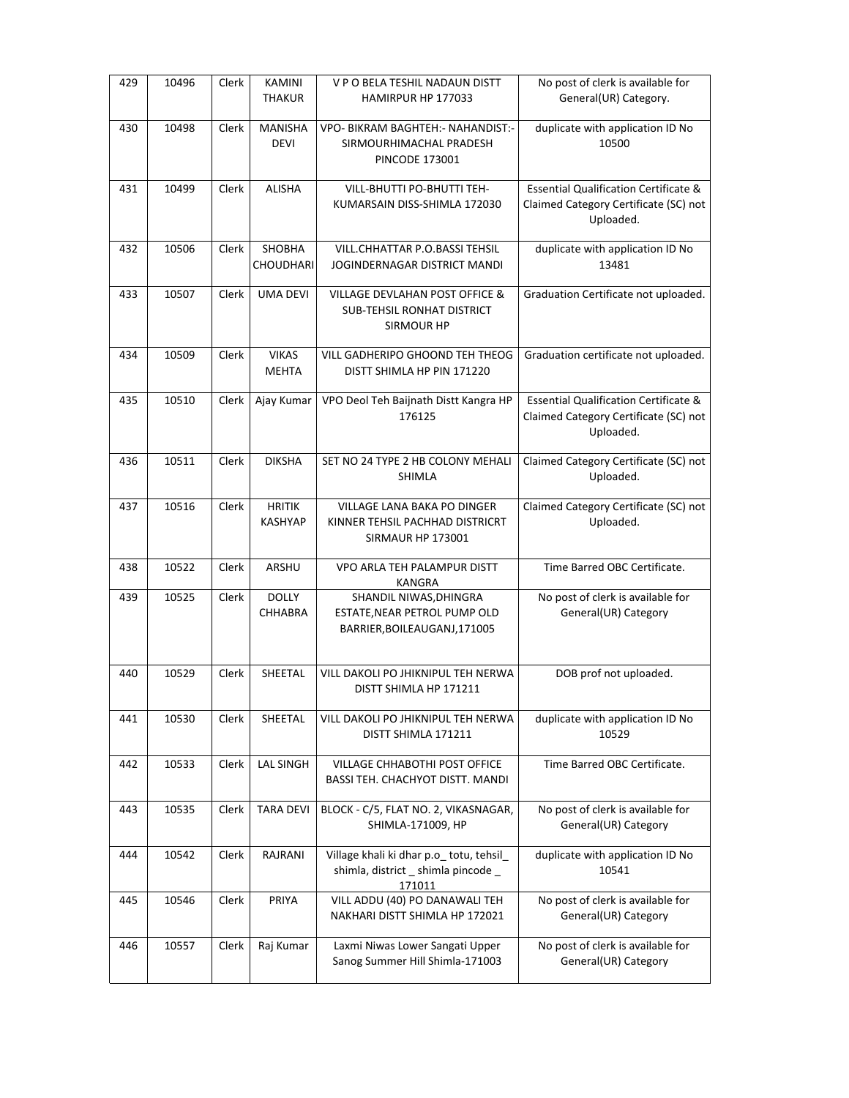| 429 | 10496 | Clerk | KAMINI<br><b>THAKUR</b>         | V P O BELA TESHIL NADAUN DISTT<br>HAMIRPUR HP 177033                                                | No post of clerk is available for<br>General(UR) Category.                                             |
|-----|-------|-------|---------------------------------|-----------------------------------------------------------------------------------------------------|--------------------------------------------------------------------------------------------------------|
| 430 | 10498 | Clerk | <b>MANISHA</b><br>DEVI          | VPO- BIKRAM BAGHTEH: - NAHANDIST:-<br>SIRMOURHIMACHAL PRADESH<br><b>PINCODE 173001</b>              | duplicate with application ID No<br>10500                                                              |
| 431 | 10499 | Clerk | <b>ALISHA</b>                   | VILL-BHUTTI PO-BHUTTI TEH-<br>KUMARSAIN DISS-SHIMLA 172030                                          | <b>Essential Qualification Certificate &amp;</b><br>Claimed Category Certificate (SC) not<br>Uploaded. |
| 432 | 10506 | Clerk | SHOBHA<br>CHOUDHARI             | <b>VILL.CHHATTAR P.O.BASSI TEHSIL</b><br>JOGINDERNAGAR DISTRICT MANDI                               | duplicate with application ID No<br>13481                                                              |
| 433 | 10507 | Clerk | UMA DEVI                        | <b>VILLAGE DEVLAHAN POST OFFICE &amp;</b><br><b>SUB-TEHSIL RONHAT DISTRICT</b><br><b>SIRMOUR HP</b> | Graduation Certificate not uploaded.                                                                   |
| 434 | 10509 | Clerk | <b>VIKAS</b><br><b>MEHTA</b>    | VILL GADHERIPO GHOOND TEH THEOG<br>DISTT SHIMLA HP PIN 171220                                       | Graduation certificate not uploaded.                                                                   |
| 435 | 10510 | Clerk | Ajay Kumar                      | VPO Deol Teh Baijnath Distt Kangra HP<br>176125                                                     | <b>Essential Qualification Certificate &amp;</b><br>Claimed Category Certificate (SC) not<br>Uploaded. |
| 436 | 10511 | Clerk | <b>DIKSHA</b>                   | SET NO 24 TYPE 2 HB COLONY MEHALI<br><b>SHIMLA</b>                                                  | Claimed Category Certificate (SC) not<br>Uploaded.                                                     |
| 437 | 10516 | Clerk | <b>HRITIK</b><br><b>KASHYAP</b> | VILLAGE LANA BAKA PO DINGER<br>KINNER TEHSIL PACHHAD DISTRICRT<br>SIRMAUR HP 173001                 | Claimed Category Certificate (SC) not<br>Uploaded.                                                     |
| 438 | 10522 | Clerk | ARSHU                           | VPO ARLA TEH PALAMPUR DISTT<br>KANGRA                                                               | Time Barred OBC Certificate.                                                                           |
| 439 | 10525 | Clerk | <b>DOLLY</b><br>CHHABRA         | SHANDIL NIWAS, DHINGRA<br>ESTATE, NEAR PETROL PUMP OLD<br>BARRIER, BOILEAUGANJ, 171005              | No post of clerk is available for<br>General(UR) Category                                              |
| 440 | 10529 | Clerk | SHEETAL                         | VILL DAKOLI PO JHIKNIPUL TEH NERWA<br>DISTT SHIMLA HP 171211                                        | DOB prof not uploaded.                                                                                 |
| 441 | 10530 | Clerk | SHEETAL                         | VILL DAKOLI PO JHIKNIPUL TEH NERWA<br>DISTT SHIMLA 171211                                           | duplicate with application ID No<br>10529                                                              |
| 442 | 10533 | Clerk | <b>LAL SINGH</b>                | VILLAGE CHHABOTHI POST OFFICE<br><b>BASSI TEH. CHACHYOT DISTT. MANDI</b>                            | Time Barred OBC Certificate.                                                                           |
| 443 | 10535 | Clerk | <b>TARA DEVI</b>                | BLOCK - C/5, FLAT NO. 2, VIKASNAGAR,<br>SHIMLA-171009, HP                                           | No post of clerk is available for<br>General(UR) Category                                              |
| 444 | 10542 | Clerk | RAJRANI                         | Village khali ki dhar p.o_ totu, tehsil_<br>shimla, district _ shimla pincode _<br>171011           | duplicate with application ID No<br>10541                                                              |
| 445 | 10546 | Clerk | PRIYA                           | VILL ADDU (40) PO DANAWALI TEH<br>NAKHARI DISTT SHIMLA HP 172021                                    | No post of clerk is available for<br>General(UR) Category                                              |
| 446 | 10557 | Clerk | Raj Kumar                       | Laxmi Niwas Lower Sangati Upper<br>Sanog Summer Hill Shimla-171003                                  | No post of clerk is available for<br>General(UR) Category                                              |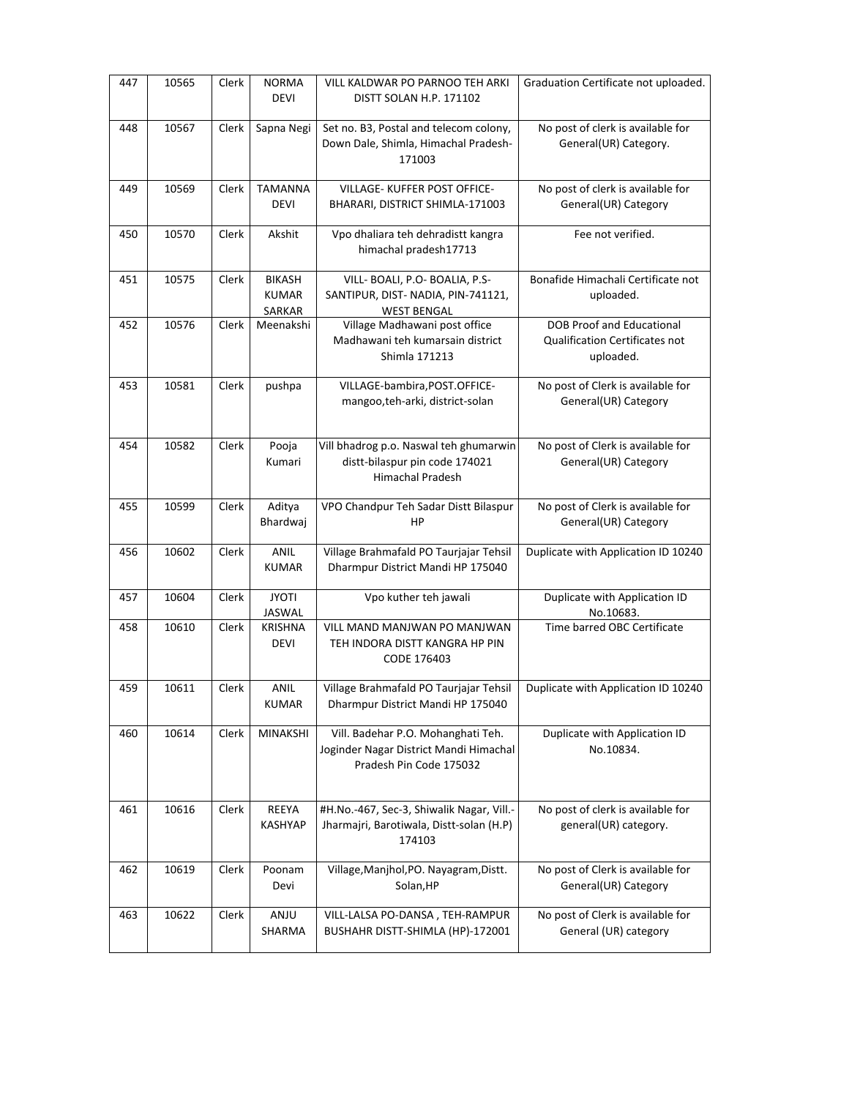| 447 | 10565 | Clerk | <b>NORMA</b><br><b>DEVI</b>             | VILL KALDWAR PO PARNOO TEH ARKI<br>DISTT SOLAN H.P. 171102                                              | Graduation Certificate not uploaded.                                            |
|-----|-------|-------|-----------------------------------------|---------------------------------------------------------------------------------------------------------|---------------------------------------------------------------------------------|
| 448 | 10567 | Clerk | Sapna Negi                              | Set no. B3, Postal and telecom colony,<br>Down Dale, Shimla, Himachal Pradesh-<br>171003                | No post of clerk is available for<br>General(UR) Category.                      |
| 449 | 10569 | Clerk | <b>TAMANNA</b><br><b>DEVI</b>           | VILLAGE- KUFFER POST OFFICE-<br>BHARARI, DISTRICT SHIMLA-171003                                         | No post of clerk is available for<br>General(UR) Category                       |
| 450 | 10570 | Clerk | Akshit                                  | Vpo dhaliara teh dehradistt kangra<br>himachal pradesh17713                                             | Fee not verified.                                                               |
| 451 | 10575 | Clerk | <b>BIKASH</b><br><b>KUMAR</b><br>SARKAR | VILL- BOALI, P.O- BOALIA, P.S-<br>SANTIPUR, DIST-NADIA, PIN-741121,<br><b>WEST BENGAL</b>               | Bonafide Himachali Certificate not<br>uploaded.                                 |
| 452 | 10576 | Clerk | Meenakshi                               | Village Madhawani post office<br>Madhawani teh kumarsain district<br>Shimla 171213                      | <b>DOB Proof and Educational</b><br>Qualification Certificates not<br>uploaded. |
| 453 | 10581 | Clerk | pushpa                                  | VILLAGE-bambira, POST.OFFICE-<br>mangoo,teh-arki, district-solan                                        | No post of Clerk is available for<br>General(UR) Category                       |
| 454 | 10582 | Clerk | Pooja<br>Kumari                         | Vill bhadrog p.o. Naswal teh ghumarwin<br>distt-bilaspur pin code 174021<br>Himachal Pradesh            | No post of Clerk is available for<br>General(UR) Category                       |
| 455 | 10599 | Clerk | Aditya<br>Bhardwaj                      | VPO Chandpur Teh Sadar Distt Bilaspur<br>HP                                                             | No post of Clerk is available for<br>General(UR) Category                       |
| 456 | 10602 | Clerk | <b>ANIL</b><br><b>KUMAR</b>             | Village Brahmafald PO Taurjajar Tehsil<br>Dharmpur District Mandi HP 175040                             | Duplicate with Application ID 10240                                             |
| 457 | 10604 | Clerk | <b>JYOTI</b><br>JASWAL                  | Vpo kuther teh jawali                                                                                   | Duplicate with Application ID<br>No.10683.                                      |
| 458 | 10610 | Clerk | <b>KRISHNA</b><br><b>DEVI</b>           | VILL MAND MANJWAN PO MANJWAN<br>TEH INDORA DISTT KANGRA HP PIN<br>CODE 176403                           | Time barred OBC Certificate                                                     |
| 459 | 10611 | Clerk | ANIL<br><b>KUMAR</b>                    | Village Brahmafald PO Taurjajar Tehsil<br>Dharmpur District Mandi HP 175040                             | Duplicate with Application ID 10240                                             |
| 460 | 10614 | Clerk | MINAKSHI                                | Vill. Badehar P.O. Mohanghati Teh.<br>Joginder Nagar District Mandi Himachal<br>Pradesh Pin Code 175032 | Duplicate with Application ID<br>No.10834.                                      |
| 461 | 10616 | Clerk | REEYA<br>KASHYAP                        | #H.No.-467, Sec-3, Shiwalik Nagar, Vill.-<br>Jharmajri, Barotiwala, Distt-solan (H.P)<br>174103         | No post of clerk is available for<br>general(UR) category.                      |
| 462 | 10619 | Clerk | Poonam<br>Devi                          | Village, Manjhol, PO. Nayagram, Distt.<br>Solan, HP                                                     | No post of Clerk is available for<br>General(UR) Category                       |
| 463 | 10622 | Clerk | ANJU<br>SHARMA                          | VILL-LALSA PO-DANSA, TEH-RAMPUR<br>BUSHAHR DISTT-SHIMLA (HP)-172001                                     | No post of Clerk is available for<br>General (UR) category                      |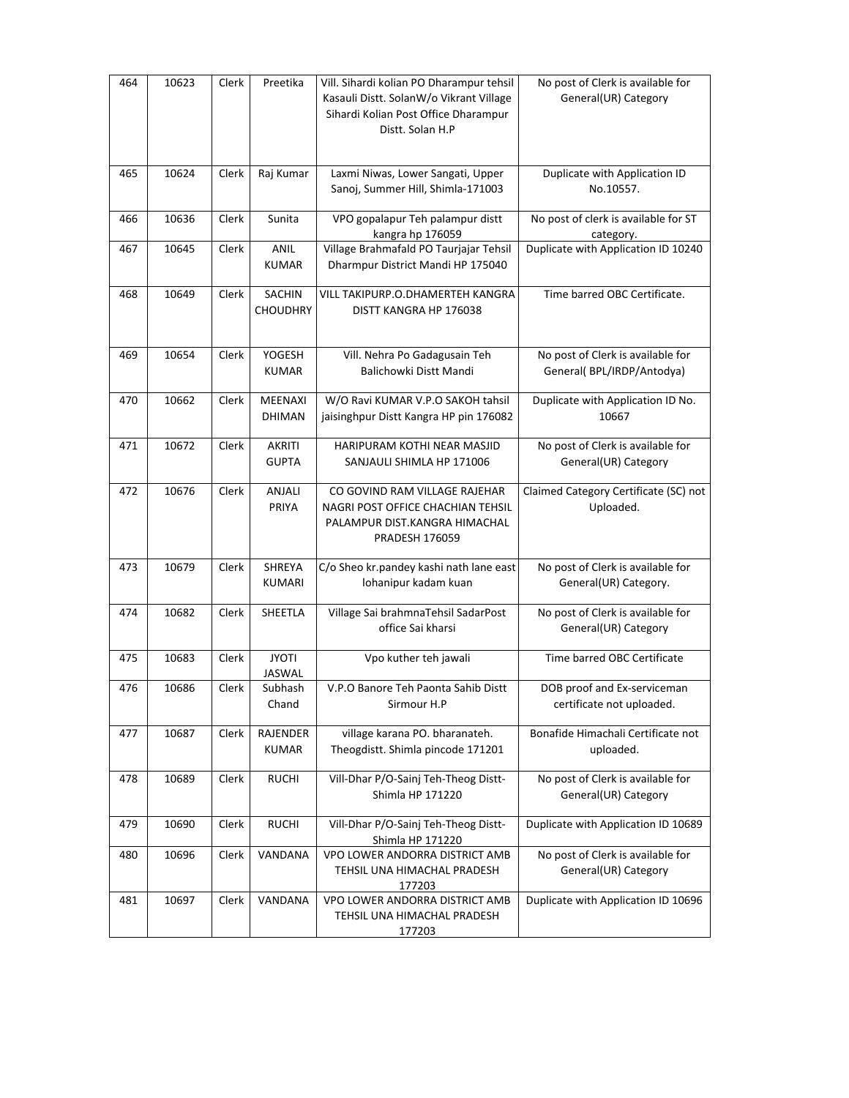| 464 | 10623 | Clerk | Preetika                         | Vill. Sihardi kolian PO Dharampur tehsil<br>Kasauli Distt. SolanW/o Vikrant Village<br>Sihardi Kolian Post Office Dharampur<br>Distt. Solan H.P | No post of Clerk is available for<br>General(UR) Category      |
|-----|-------|-------|----------------------------------|-------------------------------------------------------------------------------------------------------------------------------------------------|----------------------------------------------------------------|
| 465 | 10624 | Clerk | Raj Kumar                        | Laxmi Niwas, Lower Sangati, Upper<br>Sanoj, Summer Hill, Shimla-171003                                                                          | Duplicate with Application ID<br>No.10557.                     |
| 466 | 10636 | Clerk | Sunita                           | VPO gopalapur Teh palampur distt<br>kangra hp 176059                                                                                            | No post of clerk is available for ST<br>category.              |
| 467 | 10645 | Clerk | ANIL<br><b>KUMAR</b>             | Village Brahmafald PO Taurjajar Tehsil<br>Dharmpur District Mandi HP 175040                                                                     | Duplicate with Application ID 10240                            |
| 468 | 10649 | Clerk | <b>SACHIN</b><br><b>CHOUDHRY</b> | VILL TAKIPURP.O.DHAMERTEH KANGRA<br>DISTT KANGRA HP 176038                                                                                      | Time barred OBC Certificate.                                   |
| 469 | 10654 | Clerk | YOGESH<br><b>KUMAR</b>           | Vill. Nehra Po Gadagusain Teh<br>Balichowki Distt Mandi                                                                                         | No post of Clerk is available for<br>General(BPL/IRDP/Antodya) |
| 470 | 10662 | Clerk | MEENAXI<br><b>DHIMAN</b>         | W/O Ravi KUMAR V.P.O SAKOH tahsil<br>jaisinghpur Distt Kangra HP pin 176082                                                                     | Duplicate with Application ID No.<br>10667                     |
| 471 | 10672 | Clerk | <b>AKRITI</b><br><b>GUPTA</b>    | HARIPURAM KOTHI NEAR MASJID<br>SANJAULI SHIMLA HP 171006                                                                                        | No post of Clerk is available for<br>General(UR) Category      |
| 472 | 10676 | Clerk | ANJALI<br>PRIYA                  | CO GOVIND RAM VILLAGE RAJEHAR<br>NAGRI POST OFFICE CHACHIAN TEHSIL<br>PALAMPUR DIST.KANGRA HIMACHAL<br><b>PRADESH 176059</b>                    | Claimed Category Certificate (SC) not<br>Uploaded.             |
| 473 | 10679 | Clerk | SHREYA<br>KUMARI                 | C/o Sheo kr.pandey kashi nath lane east<br>lohanipur kadam kuan                                                                                 | No post of Clerk is available for<br>General(UR) Category.     |
| 474 | 10682 | Clerk | SHEETLA                          | Village Sai brahmnaTehsil SadarPost<br>office Sai kharsi                                                                                        | No post of Clerk is available for<br>General(UR) Category      |
| 475 | 10683 | Clerk | <b>JYOTI</b><br>JASWAL           | Vpo kuther teh jawali                                                                                                                           | Time barred OBC Certificate                                    |
| 476 | 10686 | Clerk | Subhash<br>Chand                 | V.P.O Banore Teh Paonta Sahib Distt<br>Sirmour H.P                                                                                              | DOB proof and Ex-serviceman<br>certificate not uploaded.       |
| 477 | 10687 | Clerk | RAJENDER<br><b>KUMAR</b>         | village karana PO. bharanateh.<br>Theogdistt. Shimla pincode 171201                                                                             | Bonafide Himachali Certificate not<br>uploaded.                |
| 478 | 10689 | Clerk | <b>RUCHI</b>                     | Vill-Dhar P/O-Sainj Teh-Theog Distt-<br>Shimla HP 171220                                                                                        | No post of Clerk is available for<br>General(UR) Category      |
| 479 | 10690 | Clerk | <b>RUCHI</b>                     | Vill-Dhar P/O-Sainj Teh-Theog Distt-<br>Shimla HP 171220                                                                                        | Duplicate with Application ID 10689                            |
| 480 | 10696 | Clerk | VANDANA                          | VPO LOWER ANDORRA DISTRICT AMB<br>TEHSIL UNA HIMACHAL PRADESH<br>177203                                                                         | No post of Clerk is available for<br>General(UR) Category      |
| 481 | 10697 | Clerk | VANDANA                          | VPO LOWER ANDORRA DISTRICT AMB<br>TEHSIL UNA HIMACHAL PRADESH<br>177203                                                                         | Duplicate with Application ID 10696                            |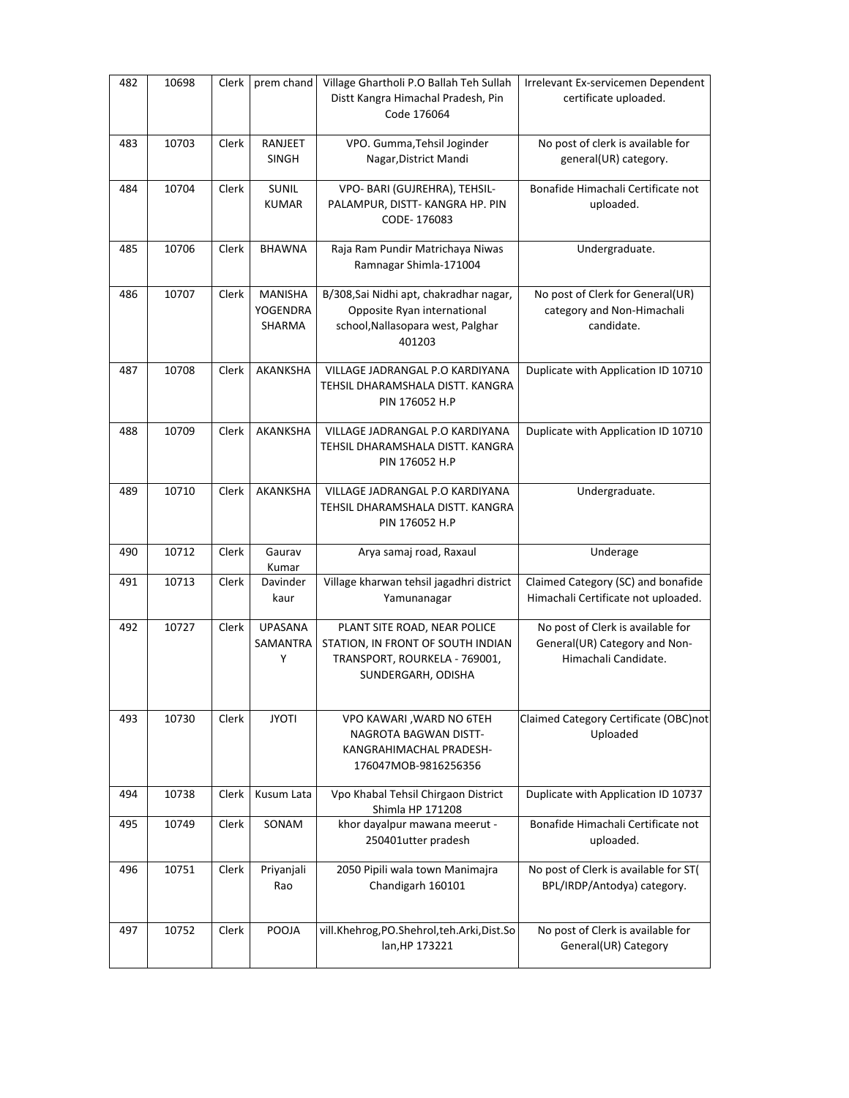| 482 | 10698 | Clerk | prem chand                             | Village Ghartholi P.O Ballah Teh Sullah<br>Distt Kangra Himachal Pradesh, Pin<br>Code 176064                             | Irrelevant Ex-servicemen Dependent<br>certificate uploaded.                                |
|-----|-------|-------|----------------------------------------|--------------------------------------------------------------------------------------------------------------------------|--------------------------------------------------------------------------------------------|
| 483 | 10703 | Clerk | RANJEET<br><b>SINGH</b>                | VPO. Gumma, Tehsil Joginder<br>Nagar, District Mandi                                                                     | No post of clerk is available for<br>general(UR) category.                                 |
| 484 | 10704 | Clerk | SUNIL<br><b>KUMAR</b>                  | VPO- BARI (GUJREHRA), TEHSIL-<br>PALAMPUR, DISTT-KANGRA HP. PIN<br>CODE-176083                                           | Bonafide Himachali Certificate not<br>uploaded.                                            |
| 485 | 10706 | Clerk | <b>BHAWNA</b>                          | Raja Ram Pundir Matrichaya Niwas<br>Ramnagar Shimla-171004                                                               | Undergraduate.                                                                             |
| 486 | 10707 | Clerk | MANISHA<br>YOGENDRA<br>SHARMA          | B/308, Sai Nidhi apt, chakradhar nagar,<br>Opposite Ryan international<br>school, Nallasopara west, Palghar<br>401203    | No post of Clerk for General(UR)<br>category and Non-Himachali<br>candidate.               |
| 487 | 10708 | Clerk | <b>AKANKSHA</b>                        | VILLAGE JADRANGAL P.O KARDIYANA<br>TEHSIL DHARAMSHALA DISTT. KANGRA<br>PIN 176052 H.P                                    | Duplicate with Application ID 10710                                                        |
| 488 | 10709 | Clerk | AKANKSHA                               | VILLAGE JADRANGAL P.O KARDIYANA<br>TEHSIL DHARAMSHALA DISTT. KANGRA<br>PIN 176052 H.P                                    | Duplicate with Application ID 10710                                                        |
| 489 | 10710 | Clerk | AKANKSHA                               | VILLAGE JADRANGAL P.O KARDIYANA<br>TEHSIL DHARAMSHALA DISTT. KANGRA<br>PIN 176052 H.P                                    | Undergraduate.                                                                             |
| 490 | 10712 | Clerk | Gaurav<br>Kumar                        | Arya samaj road, Raxaul                                                                                                  | Underage                                                                                   |
| 491 | 10713 | Clerk | Davinder<br>kaur                       | Village kharwan tehsil jagadhri district<br>Yamunanagar                                                                  | Claimed Category (SC) and bonafide<br>Himachali Certificate not uploaded.                  |
| 492 | 10727 | Clerk | <b>UPASANA</b><br><b>SAMANTRA</b><br>Y | PLANT SITE ROAD, NEAR POLICE<br>STATION, IN FRONT OF SOUTH INDIAN<br>TRANSPORT, ROURKELA - 769001,<br>SUNDERGARH, ODISHA | No post of Clerk is available for<br>General(UR) Category and Non-<br>Himachali Candidate. |
| 493 | 10730 | Clerk | <b>JYOTI</b>                           | VPO KAWARI, WARD NO 6TEH<br>NAGROTA BAGWAN DISTT-<br>KANGRAHIMACHAL PRADESH-<br>176047MOB-9816256356                     | Claimed Category Certificate (OBC)not<br>Uploaded                                          |
| 494 | 10738 | Clerk | Kusum Lata                             | Vpo Khabal Tehsil Chirgaon District<br>Shimla HP 171208                                                                  | Duplicate with Application ID 10737                                                        |
| 495 | 10749 | Clerk | SONAM                                  | khor dayalpur mawana meerut -<br>250401utter pradesh                                                                     | Bonafide Himachali Certificate not<br>uploaded.                                            |
| 496 | 10751 | Clerk | Priyanjali<br>Rao                      | 2050 Pipili wala town Manimajra<br>Chandigarh 160101                                                                     | No post of Clerk is available for ST(<br>BPL/IRDP/Antodya) category.                       |
| 497 | 10752 | Clerk | POOJA                                  | vill.Khehrog,PO.Shehrol,teh.Arki,Dist.So<br>lan, HP 173221                                                               | No post of Clerk is available for<br>General(UR) Category                                  |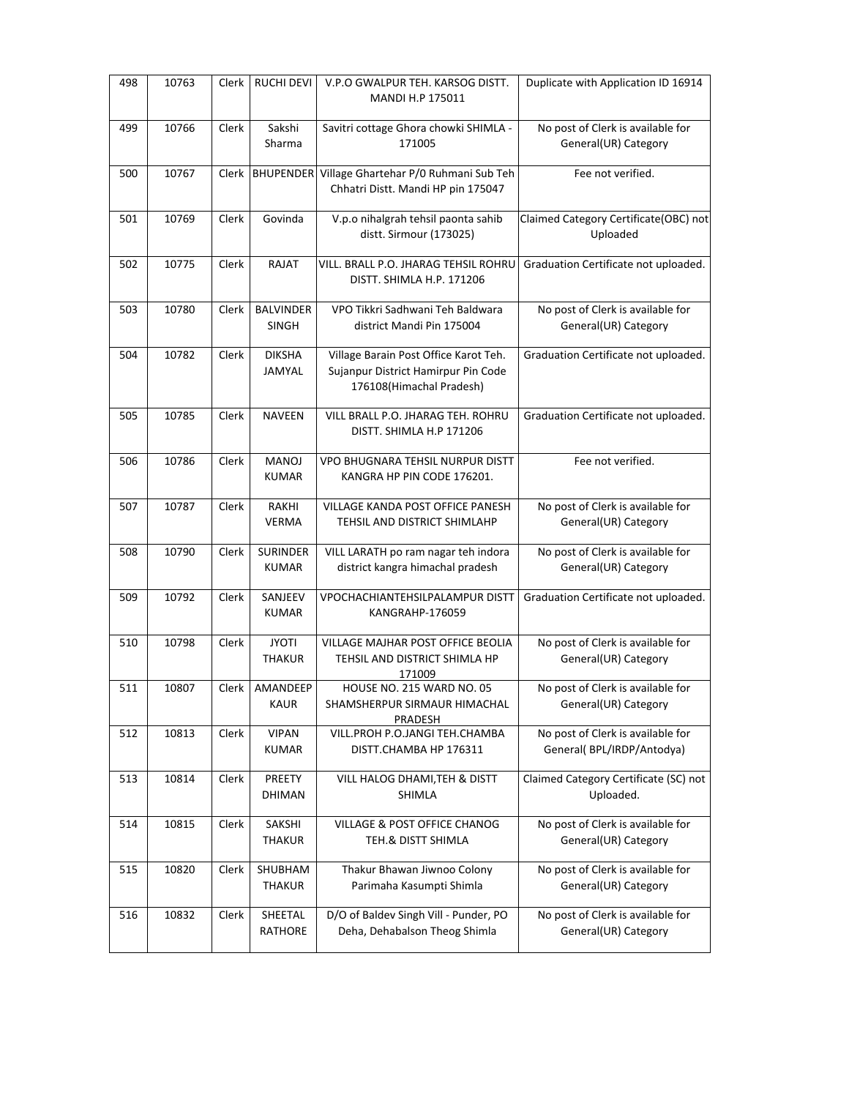| 498 | 10763 | Clerk | <b>RUCHI DEVI</b>                | V.P.O GWALPUR TEH. KARSOG DISTT.<br>MANDI H.P 175011                                                     | Duplicate with Application ID 16914                            |
|-----|-------|-------|----------------------------------|----------------------------------------------------------------------------------------------------------|----------------------------------------------------------------|
| 499 | 10766 | Clerk | Sakshi<br>Sharma                 | Savitri cottage Ghora chowki SHIMLA -<br>171005                                                          | No post of Clerk is available for<br>General(UR) Category      |
| 500 | 10767 | Clerk | <b>BHUPENDER</b>                 | Village Ghartehar P/0 Ruhmani Sub Teh<br>Chhatri Distt. Mandi HP pin 175047                              | Fee not verified.                                              |
| 501 | 10769 | Clerk | Govinda                          | V.p.o nihalgrah tehsil paonta sahib<br>distt. Sirmour (173025)                                           | Claimed Category Certificate(OBC) not<br>Uploaded              |
| 502 | 10775 | Clerk | <b>RAJAT</b>                     | VILL. BRALL P.O. JHARAG TEHSIL ROHRU<br>DISTT. SHIMLA H.P. 171206                                        | Graduation Certificate not uploaded.                           |
| 503 | 10780 | Clerk | <b>BALVINDER</b><br><b>SINGH</b> | VPO Tikkri Sadhwani Teh Baldwara<br>district Mandi Pin 175004                                            | No post of Clerk is available for<br>General(UR) Category      |
| 504 | 10782 | Clerk | <b>DIKSHA</b><br><b>JAMYAL</b>   | Village Barain Post Office Karot Teh.<br>Sujanpur District Hamirpur Pin Code<br>176108(Himachal Pradesh) | Graduation Certificate not uploaded.                           |
| 505 | 10785 | Clerk | <b>NAVEEN</b>                    | VILL BRALL P.O. JHARAG TEH. ROHRU<br>DISTT. SHIMLA H.P 171206                                            | Graduation Certificate not uploaded.                           |
| 506 | 10786 | Clerk | MANOJ<br><b>KUMAR</b>            | VPO BHUGNARA TEHSIL NURPUR DISTT<br>KANGRA HP PIN CODE 176201.                                           | Fee not verified.                                              |
| 507 | 10787 | Clerk | RAKHI<br><b>VERMA</b>            | VILLAGE KANDA POST OFFICE PANESH<br>TEHSIL AND DISTRICT SHIMLAHP                                         | No post of Clerk is available for<br>General(UR) Category      |
| 508 | 10790 | Clerk | <b>SURINDER</b><br><b>KUMAR</b>  | VILL LARATH po ram nagar teh indora<br>district kangra himachal pradesh                                  | No post of Clerk is available for<br>General(UR) Category      |
| 509 | 10792 | Clerk | SANJEEV<br><b>KUMAR</b>          | VPOCHACHIANTEHSILPALAMPUR DISTT<br>KANGRAHP-176059                                                       | Graduation Certificate not uploaded.                           |
| 510 | 10798 | Clerk | <b>JYOTI</b><br><b>THAKUR</b>    | <b>VILLAGE MAJHAR POST OFFICE BEOLIA</b><br>TEHSIL AND DISTRICT SHIMLA HP<br>171009                      | No post of Clerk is available for<br>General(UR) Category      |
| 511 | 10807 |       | Clerk   AMANDEEP<br><b>KAUR</b>  | <b>HOUSE NO. 215 WARD NO. 05</b><br>SHAMSHERPUR SIRMAUR HIMACHAL<br>PRADESH                              | No post of Clerk is available for<br>General(UR) Category      |
| 512 | 10813 | Clerk | <b>VIPAN</b><br><b>KUMAR</b>     | VILL.PROH P.O.JANGI TEH.CHAMBA<br>DISTT.CHAMBA HP 176311                                                 | No post of Clerk is available for<br>General(BPL/IRDP/Antodya) |
| 513 | 10814 | Clerk | PREETY<br>DHIMAN                 | VILL HALOG DHAMI, TEH & DISTT<br>SHIMLA                                                                  | Claimed Category Certificate (SC) not<br>Uploaded.             |
| 514 | 10815 | Clerk | SAKSHI<br><b>THAKUR</b>          | VILLAGE & POST OFFICE CHANOG<br>TEH.& DISTT SHIMLA                                                       | No post of Clerk is available for<br>General(UR) Category      |
| 515 | 10820 | Clerk | SHUBHAM<br><b>THAKUR</b>         | Thakur Bhawan Jiwnoo Colony<br>Parimaha Kasumpti Shimla                                                  | No post of Clerk is available for<br>General(UR) Category      |
| 516 | 10832 | Clerk | SHEETAL<br><b>RATHORE</b>        | D/O of Baldev Singh Vill - Punder, PO<br>Deha, Dehabalson Theog Shimla                                   | No post of Clerk is available for<br>General(UR) Category      |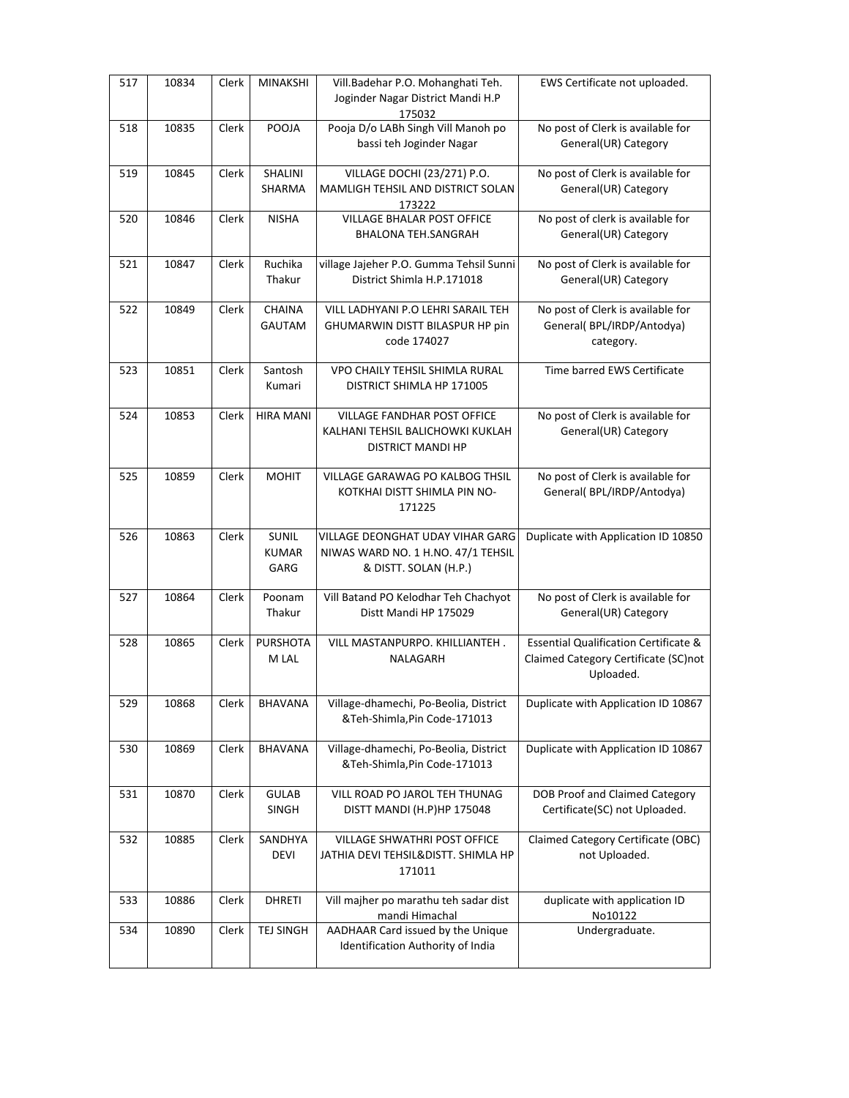| 517 | 10834 | Clerk | <b>MINAKSHI</b>                      | Vill.Badehar P.O. Mohanghati Teh.<br>Joginder Nagar District Mandi H.P<br>175032                | EWS Certificate not uploaded.                                                                         |
|-----|-------|-------|--------------------------------------|-------------------------------------------------------------------------------------------------|-------------------------------------------------------------------------------------------------------|
| 518 | 10835 | Clerk | POOJA                                | Pooja D/o LABh Singh Vill Manoh po<br>bassi teh Joginder Nagar                                  | No post of Clerk is available for<br>General(UR) Category                                             |
| 519 | 10845 | Clerk | SHALINI<br>SHARMA                    | VILLAGE DOCHI (23/271) P.O.<br>MAMLIGH TEHSIL AND DISTRICT SOLAN<br>173222                      | No post of Clerk is available for<br>General(UR) Category                                             |
| 520 | 10846 | Clerk | <b>NISHA</b>                         | <b>VILLAGE BHALAR POST OFFICE</b><br>BHALONA TEH.SANGRAH                                        | No post of clerk is available for<br>General(UR) Category                                             |
| 521 | 10847 | Clerk | Ruchika<br>Thakur                    | village Jajeher P.O. Gumma Tehsil Sunni<br>District Shimla H.P.171018                           | No post of Clerk is available for<br>General(UR) Category                                             |
| 522 | 10849 | Clerk | <b>CHAINA</b><br>GAUTAM              | VILL LADHYANI P.O LEHRI SARAIL TEH<br>GHUMARWIN DISTT BILASPUR HP pin<br>code 174027            | No post of Clerk is available for<br>General(BPL/IRDP/Antodya)<br>category.                           |
| 523 | 10851 | Clerk | Santosh<br>Kumari                    | VPO CHAILY TEHSIL SHIMLA RURAL<br>DISTRICT SHIMLA HP 171005                                     | Time barred EWS Certificate                                                                           |
| 524 | 10853 | Clerk | <b>HIRA MANI</b>                     | VILLAGE FANDHAR POST OFFICE<br>KALHANI TEHSIL BALICHOWKI KUKLAH<br>DISTRICT MANDI HP            | No post of Clerk is available for<br>General(UR) Category                                             |
| 525 | 10859 | Clerk | <b>MOHIT</b>                         | VILLAGE GARAWAG PO KALBOG THSIL<br>KOTKHAI DISTT SHIMLA PIN NO-<br>171225                       | No post of Clerk is available for<br>General(BPL/IRDP/Antodya)                                        |
| 526 | 10863 | Clerk | <b>SUNIL</b><br><b>KUMAR</b><br>GARG | VILLAGE DEONGHAT UDAY VIHAR GARG<br>NIWAS WARD NO. 1 H.NO. 47/1 TEHSIL<br>& DISTT. SOLAN (H.P.) | Duplicate with Application ID 10850                                                                   |
| 527 | 10864 | Clerk | Poonam<br>Thakur                     | Vill Batand PO Kelodhar Teh Chachyot<br>Distt Mandi HP 175029                                   | No post of Clerk is available for<br>General(UR) Category                                             |
| 528 | 10865 | Clerk | <b>PURSHOTA</b><br>M LAL             | VILL MASTANPURPO. KHILLIANTEH.<br>NALAGARH                                                      | <b>Essential Qualification Certificate &amp;</b><br>Claimed Category Certificate (SC)not<br>Uploaded. |
| 529 | 10868 | Clerk | BHAVANA                              | Village-dhamechi, Po-Beolia, District<br>&Teh-Shimla, Pin Code-171013                           | Duplicate with Application ID 10867                                                                   |
| 530 | 10869 | Clerk | <b>BHAVANA</b>                       | Village-dhamechi, Po-Beolia, District<br>&Teh-Shimla, Pin Code-171013                           | Duplicate with Application ID 10867                                                                   |
| 531 | 10870 | Clerk | <b>GULAB</b><br>SINGH                | VILL ROAD PO JAROL TEH THUNAG<br>DISTT MANDI (H.P)HP 175048                                     | DOB Proof and Claimed Category<br>Certificate(SC) not Uploaded.                                       |
| 532 | 10885 | Clerk | SANDHYA<br><b>DEVI</b>               | VILLAGE SHWATHRI POST OFFICE<br>JATHIA DEVI TEHSIL&DISTT. SHIMLA HP<br>171011                   | Claimed Category Certificate (OBC)<br>not Uploaded.                                                   |
| 533 | 10886 | Clerk | <b>DHRETI</b>                        | Vill majher po marathu teh sadar dist<br>mandi Himachal                                         | duplicate with application ID<br>No10122                                                              |
| 534 | 10890 | Clerk | TEJ SINGH                            | AADHAAR Card issued by the Unique<br>Identification Authority of India                          | Undergraduate.                                                                                        |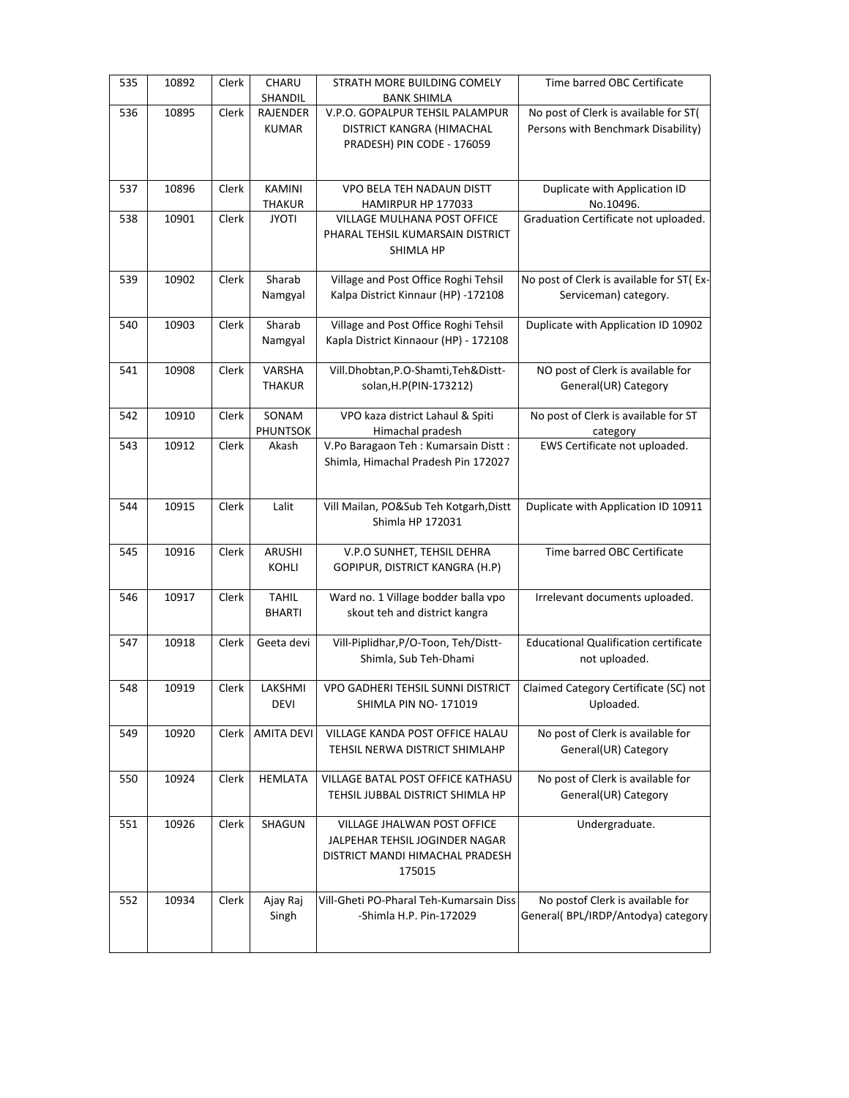| 535 | 10892 | Clerk | CHARU<br>SHANDIL              | STRATH MORE BUILDING COMELY<br><b>BANK SHIMLA</b>                                                          | Time barred OBC Certificate                                                 |
|-----|-------|-------|-------------------------------|------------------------------------------------------------------------------------------------------------|-----------------------------------------------------------------------------|
| 536 | 10895 | Clerk | RAJENDER<br><b>KUMAR</b>      | V.P.O. GOPALPUR TEHSIL PALAMPUR<br>DISTRICT KANGRA (HIMACHAL<br>PRADESH) PIN CODE - 176059                 | No post of Clerk is available for ST(<br>Persons with Benchmark Disability) |
| 537 | 10896 | Clerk | <b>KAMINI</b><br>THAKUR       | VPO BELA TEH NADAUN DISTT<br>HAMIRPUR HP 177033                                                            | Duplicate with Application ID<br>No.10496.                                  |
| 538 | 10901 | Clerk | <b>JYOTI</b>                  | VILLAGE MULHANA POST OFFICE<br>PHARAL TEHSIL KUMARSAIN DISTRICT<br>SHIMLA HP                               | Graduation Certificate not uploaded.                                        |
| 539 | 10902 | Clerk | Sharab<br>Namgyal             | Village and Post Office Roghi Tehsil<br>Kalpa District Kinnaur (HP) -172108                                | No post of Clerk is available for ST(Ex-<br>Serviceman) category.           |
| 540 | 10903 | Clerk | Sharab<br>Namgyal             | Village and Post Office Roghi Tehsil<br>Kapla District Kinnaour (HP) - 172108                              | Duplicate with Application ID 10902                                         |
| 541 | 10908 | Clerk | VARSHA<br><b>THAKUR</b>       | Vill.Dhobtan, P.O-Shamti, Teh&Distt-<br>solan, H.P(PIN-173212)                                             | NO post of Clerk is available for<br>General(UR) Category                   |
| 542 | 10910 | Clerk | SONAM<br>PHUNTSOK             | VPO kaza district Lahaul & Spiti<br>Himachal pradesh                                                       | No post of Clerk is available for ST<br>category                            |
| 543 | 10912 | Clerk | Akash                         | V.Po Baragaon Teh : Kumarsain Distt :<br>Shimla, Himachal Pradesh Pin 172027                               | EWS Certificate not uploaded.                                               |
| 544 | 10915 | Clerk | Lalit                         | Vill Mailan, PO⋐ Teh Kotgarh, Distt<br>Shimla HP 172031                                                    | Duplicate with Application ID 10911                                         |
| 545 | 10916 | Clerk | ARUSHI<br>KOHLI               | V.P.O SUNHET, TEHSIL DEHRA<br>GOPIPUR, DISTRICT KANGRA (H.P)                                               | Time barred OBC Certificate                                                 |
| 546 | 10917 | Clerk | <b>TAHIL</b><br><b>BHARTI</b> | Ward no. 1 Village bodder balla vpo<br>skout teh and district kangra                                       | Irrelevant documents uploaded.                                              |
| 547 | 10918 | Clerk | Geeta devi                    | Vill-Piplidhar, P/O-Toon, Teh/Distt-<br>Shimla, Sub Teh-Dhami                                              | <b>Educational Qualification certificate</b><br>not uploaded.               |
| 548 | 10919 | Clerk | LAKSHMI<br><b>DEVI</b>        | <b>VPO GADHERI TEHSIL SUNNI DISTRICT</b><br>SHIMLA PIN NO-171019                                           | Claimed Category Certificate (SC) not<br>Uploaded.                          |
| 549 | 10920 | Clerk | <b>AMITA DEVI</b>             | <b>VILLAGE KANDA POST OFFICE HALAU</b><br>TEHSIL NERWA DISTRICT SHIMLAHP                                   | No post of Clerk is available for<br>General(UR) Category                   |
| 550 | 10924 | Clerk | <b>HEMLATA</b>                | VILLAGE BATAL POST OFFICE KATHASU<br>TEHSIL JUBBAL DISTRICT SHIMLA HP                                      | No post of Clerk is available for<br>General(UR) Category                   |
| 551 | 10926 | Clerk | SHAGUN                        | VILLAGE JHALWAN POST OFFICE<br>JALPEHAR TEHSIL JOGINDER NAGAR<br>DISTRICT MANDI HIMACHAL PRADESH<br>175015 | Undergraduate.                                                              |
| 552 | 10934 | Clerk | Ajay Raj<br>Singh             | Vill-Gheti PO-Pharal Teh-Kumarsain Diss<br>-Shimla H.P. Pin-172029                                         | No postof Clerk is available for<br>General(BPL/IRDP/Antodya) category      |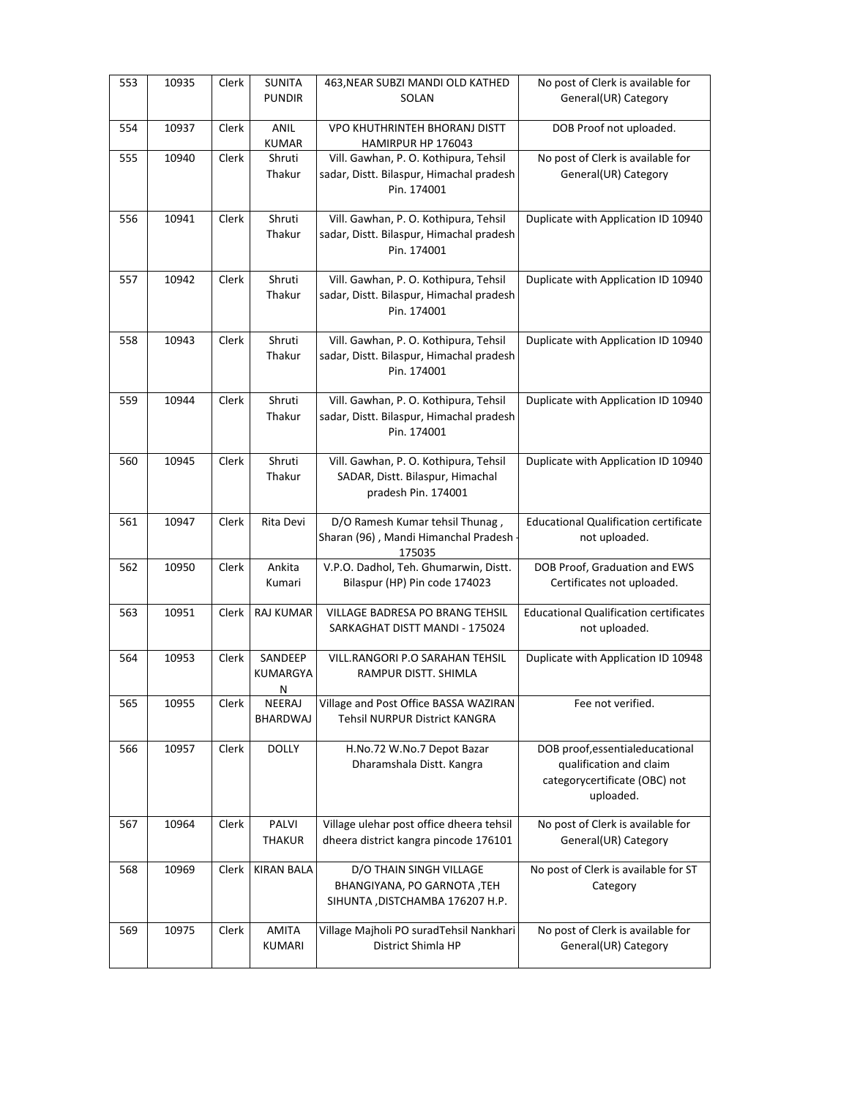| 553 | 10935 | Clerk | <b>SUNITA</b><br><b>PUNDIR</b> | 463, NEAR SUBZI MANDI OLD KATHED<br>SOLAN                                                                              | No post of Clerk is available for<br>General(UR) Category                                                |
|-----|-------|-------|--------------------------------|------------------------------------------------------------------------------------------------------------------------|----------------------------------------------------------------------------------------------------------|
| 554 | 10937 | Clerk | <b>ANIL</b>                    | VPO KHUTHRINTEH BHORANJ DISTT                                                                                          | DOB Proof not uploaded.                                                                                  |
| 555 | 10940 | Clerk | KUMAR<br>Shruti<br>Thakur      | HAMIRPUR HP 176043<br>Vill. Gawhan, P. O. Kothipura, Tehsil<br>sadar, Distt. Bilaspur, Himachal pradesh<br>Pin. 174001 | No post of Clerk is available for<br>General(UR) Category                                                |
| 556 | 10941 | Clerk | Shruti<br>Thakur               | Vill. Gawhan, P. O. Kothipura, Tehsil<br>sadar, Distt. Bilaspur, Himachal pradesh<br>Pin. 174001                       | Duplicate with Application ID 10940                                                                      |
| 557 | 10942 | Clerk | Shruti<br>Thakur               | Vill. Gawhan, P. O. Kothipura, Tehsil<br>sadar, Distt. Bilaspur, Himachal pradesh<br>Pin. 174001                       | Duplicate with Application ID 10940                                                                      |
| 558 | 10943 | Clerk | Shruti<br>Thakur               | Vill. Gawhan, P. O. Kothipura, Tehsil<br>sadar, Distt. Bilaspur, Himachal pradesh<br>Pin. 174001                       | Duplicate with Application ID 10940                                                                      |
| 559 | 10944 | Clerk | Shruti<br>Thakur               | Vill. Gawhan, P. O. Kothipura, Tehsil<br>sadar, Distt. Bilaspur, Himachal pradesh<br>Pin. 174001                       | Duplicate with Application ID 10940                                                                      |
| 560 | 10945 | Clerk | Shruti<br>Thakur               | Vill. Gawhan, P. O. Kothipura, Tehsil<br>SADAR, Distt. Bilaspur, Himachal<br>pradesh Pin. 174001                       | Duplicate with Application ID 10940                                                                      |
| 561 | 10947 | Clerk | Rita Devi                      | D/O Ramesh Kumar tehsil Thunag,<br>Sharan (96), Mandi Himanchal Pradesh -<br>175035                                    | <b>Educational Qualification certificate</b><br>not uploaded.                                            |
| 562 | 10950 | Clerk | Ankita<br>Kumari               | V.P.O. Dadhol, Teh. Ghumarwin, Distt.<br>Bilaspur (HP) Pin code 174023                                                 | DOB Proof, Graduation and EWS<br>Certificates not uploaded.                                              |
| 563 | 10951 | Clerk | <b>RAJ KUMAR</b>               | VILLAGE BADRESA PO BRANG TEHSIL<br>SARKAGHAT DISTT MANDI - 175024                                                      | <b>Educational Qualification certificates</b><br>not uploaded.                                           |
| 564 | 10953 | Clerk | SANDEEP<br>KUMARGYA<br>Ν       | <b>VILL.RANGORI P.O SARAHAN TEHSIL</b><br>RAMPUR DISTT. SHIMLA                                                         | Duplicate with Application ID 10948                                                                      |
| 565 | 10955 | Clerk | NEERAJ<br>BHARDWAJ             | Village and Post Office BASSA WAZIRAN<br>Tehsil NURPUR District KANGRA                                                 | Fee not verified.                                                                                        |
| 566 | 10957 | Clerk | <b>DOLLY</b>                   | H.No.72 W.No.7 Depot Bazar<br>Dharamshala Distt. Kangra                                                                | DOB proof, essentialeducational<br>qualification and claim<br>categorycertificate (OBC) not<br>uploaded. |
| 567 | 10964 | Clerk | PALVI<br><b>THAKUR</b>         | Village ulehar post office dheera tehsil<br>dheera district kangra pincode 176101                                      | No post of Clerk is available for<br>General(UR) Category                                                |
| 568 | 10969 | Clerk | <b>KIRAN BALA</b>              | D/O THAIN SINGH VILLAGE<br>BHANGIYANA, PO GARNOTA, TEH<br>SIHUNTA , DISTCHAMBA 176207 H.P.                             | No post of Clerk is available for ST<br>Category                                                         |
| 569 | 10975 | Clerk | <b>AMITA</b><br>KUMARI         | Village Majholi PO suradTehsil Nankhari<br>District Shimla HP                                                          | No post of Clerk is available for<br>General(UR) Category                                                |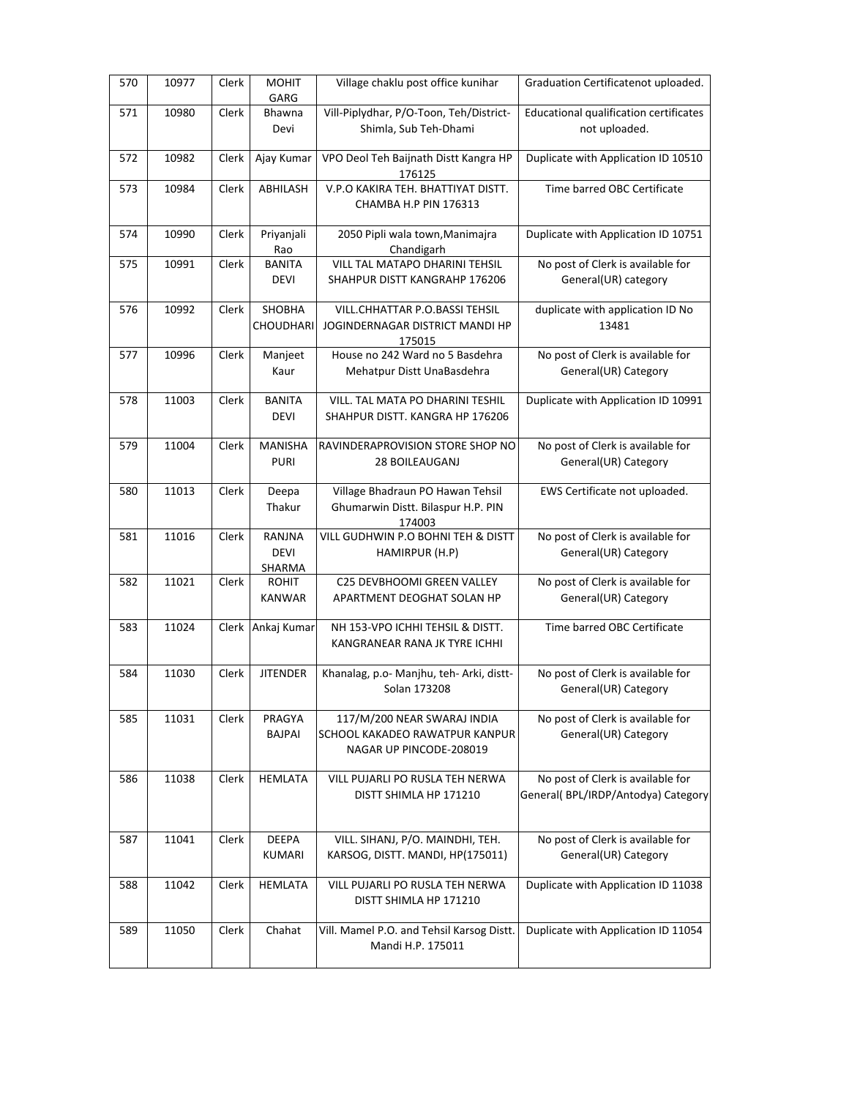| 570 | 10977 | Clerk | <b>MOHIT</b><br>GARG            | Village chaklu post office kunihar                                                       | Graduation Certificatenot uploaded.                                      |
|-----|-------|-------|---------------------------------|------------------------------------------------------------------------------------------|--------------------------------------------------------------------------|
| 571 | 10980 | Clerk | Bhawna<br>Devi                  | Vill-Piplydhar, P/O-Toon, Teh/District-<br>Shimla, Sub Teh-Dhami                         | Educational qualification certificates<br>not uploaded.                  |
| 572 | 10982 | Clerk | Ajay Kumar                      | VPO Deol Teh Baijnath Distt Kangra HP<br>176125                                          | Duplicate with Application ID 10510                                      |
| 573 | 10984 | Clerk | ABHILASH                        | V.P.O KAKIRA TEH. BHATTIYAT DISTT.<br>CHAMBA H.P PIN 176313                              | Time barred OBC Certificate                                              |
| 574 | 10990 | Clerk | Priyanjali<br>Rao               | 2050 Pipli wala town, Manimajra<br>Chandigarh                                            | Duplicate with Application ID 10751                                      |
| 575 | 10991 | Clerk | <b>BANITA</b><br>DEVI           | VILL TAL MATAPO DHARINI TEHSIL<br>SHAHPUR DISTT KANGRAHP 176206                          | No post of Clerk is available for<br>General(UR) category                |
| 576 | 10992 | Clerk | SHOBHA<br>CHOUDHARI             | VILL.CHHATTAR P.O.BASSI TEHSIL<br>JOGINDERNAGAR DISTRICT MANDI HP<br>175015              | duplicate with application ID No<br>13481                                |
| 577 | 10996 | Clerk | Manjeet<br>Kaur                 | House no 242 Ward no 5 Basdehra<br>Mehatpur Distt UnaBasdehra                            | No post of Clerk is available for<br>General(UR) Category                |
| 578 | 11003 | Clerk | <b>BANITA</b><br>DEVI           | VILL. TAL MATA PO DHARINI TESHIL<br>SHAHPUR DISTT. KANGRA HP 176206                      | Duplicate with Application ID 10991                                      |
| 579 | 11004 | Clerk | <b>MANISHA</b><br><b>PURI</b>   | RAVINDERAPROVISION STORE SHOP NO<br>28 BOILEAUGANJ                                       | No post of Clerk is available for<br>General(UR) Category                |
| 580 | 11013 | Clerk | Deepa<br>Thakur                 | Village Bhadraun PO Hawan Tehsil<br>Ghumarwin Distt. Bilaspur H.P. PIN<br>174003         | EWS Certificate not uploaded.                                            |
| 581 | 11016 | Clerk | RANJNA<br><b>DEVI</b><br>SHARMA | VILL GUDHWIN P.O BOHNI TEH & DISTT<br>HAMIRPUR (H.P)                                     | No post of Clerk is available for<br>General(UR) Category                |
| 582 | 11021 | Clerk | <b>ROHIT</b><br><b>KANWAR</b>   | C25 DEVBHOOMI GREEN VALLEY<br>APARTMENT DEOGHAT SOLAN HP                                 | No post of Clerk is available for<br>General(UR) Category                |
| 583 | 11024 |       | Clerk Ankaj Kumar               | NH 153-VPO ICHHI TEHSIL & DISTT.<br>KANGRANEAR RANA JK TYRE ICHHI                        | Time barred OBC Certificate                                              |
| 584 | 11030 | Clerk | <b>JITENDER</b>                 | Khanalag, p.o- Manjhu, teh- Arki, distt-<br>Solan 173208                                 | No post of Clerk is available for<br>General(UR) Category                |
| 585 | 11031 | Clerk | PRAGYA<br>BAJPAI                | 117/M/200 NEAR SWARAJ INDIA<br>SCHOOL KAKADEO RAWATPUR KANPUR<br>NAGAR UP PINCODE-208019 | No post of Clerk is available for<br>General(UR) Category                |
| 586 | 11038 | Clerk | <b>HEMLATA</b>                  | VILL PUJARLI PO RUSLA TEH NERWA<br>DISTT SHIMLA HP 171210                                | No post of Clerk is available for<br>General( BPL/IRDP/Antodya) Category |
| 587 | 11041 | Clerk | DEEPA<br>KUMARI                 | VILL. SIHANJ, P/O. MAINDHI, TEH.<br>KARSOG, DISTT. MANDI, HP(175011)                     | No post of Clerk is available for<br>General(UR) Category                |
| 588 | 11042 | Clerk | <b>HEMLATA</b>                  | VILL PUJARLI PO RUSLA TEH NERWA<br>DISTT SHIMLA HP 171210                                | Duplicate with Application ID 11038                                      |
| 589 | 11050 | Clerk | Chahat                          | Vill. Mamel P.O. and Tehsil Karsog Distt.<br>Mandi H.P. 175011                           | Duplicate with Application ID 11054                                      |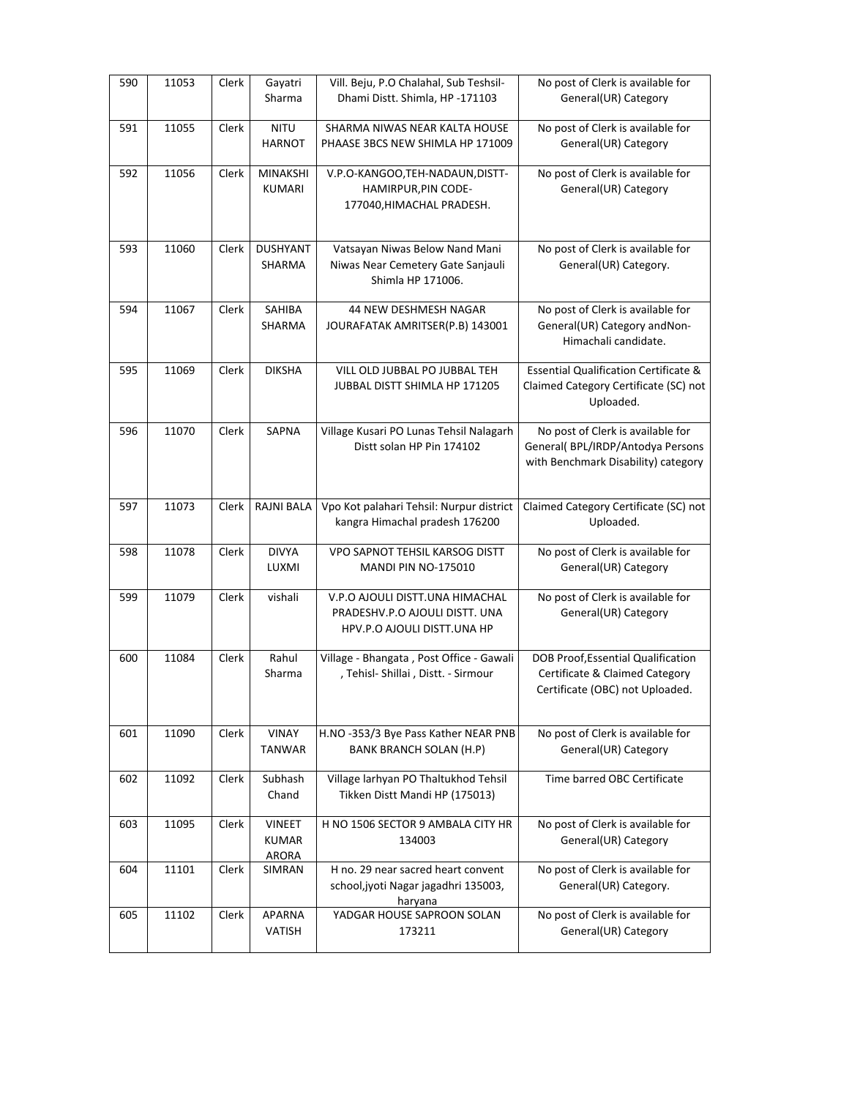| 590 | 11053 | Clerk | Gayatri<br>Sharma                      | Vill. Beju, P.O Chalahal, Sub Teshsil-<br>Dhami Distt. Shimla, HP -171103                        | No post of Clerk is available for<br>General(UR) Category                                                     |
|-----|-------|-------|----------------------------------------|--------------------------------------------------------------------------------------------------|---------------------------------------------------------------------------------------------------------------|
| 591 | 11055 | Clerk | <b>NITU</b><br><b>HARNOT</b>           | SHARMA NIWAS NEAR KALTA HOUSE<br>PHAASE 3BCS NEW SHIMLA HP 171009                                | No post of Clerk is available for<br>General(UR) Category                                                     |
| 592 | 11056 | Clerk | <b>MINAKSHI</b><br>KUMARI              | V.P.O-KANGOO,TEH-NADAUN,DISTT-<br>HAMIRPUR, PIN CODE-<br>177040, HIMACHAL PRADESH.               | No post of Clerk is available for<br>General(UR) Category                                                     |
| 593 | 11060 | Clerk | <b>DUSHYANT</b><br>SHARMA              | Vatsayan Niwas Below Nand Mani<br>Niwas Near Cemetery Gate Sanjauli<br>Shimla HP 171006.         | No post of Clerk is available for<br>General(UR) Category.                                                    |
| 594 | 11067 | Clerk | SAHIBA<br>SHARMA                       | 44 NEW DESHMESH NAGAR<br>JOURAFATAK AMRITSER(P.B) 143001                                         | No post of Clerk is available for<br>General(UR) Category and Non-<br>Himachali candidate.                    |
| 595 | 11069 | Clerk | <b>DIKSHA</b>                          | VILL OLD JUBBAL PO JUBBAL TEH<br>JUBBAL DISTT SHIMLA HP 171205                                   | <b>Essential Qualification Certificate &amp;</b><br>Claimed Category Certificate (SC) not<br>Uploaded.        |
| 596 | 11070 | Clerk | SAPNA                                  | Village Kusari PO Lunas Tehsil Nalagarh<br>Distt solan HP Pin 174102                             | No post of Clerk is available for<br>General( BPL/IRDP/Antodya Persons<br>with Benchmark Disability) category |
| 597 | 11073 | Clerk | <b>RAJNI BALA</b>                      | Vpo Kot palahari Tehsil: Nurpur district<br>kangra Himachal pradesh 176200                       | Claimed Category Certificate (SC) not<br>Uploaded.                                                            |
| 598 | 11078 | Clerk | <b>DIVYA</b><br>LUXMI                  | VPO SAPNOT TEHSIL KARSOG DISTT<br><b>MANDI PIN NO-175010</b>                                     | No post of Clerk is available for<br>General(UR) Category                                                     |
| 599 | 11079 | Clerk | vishali                                | V.P.O AJOULI DISTT.UNA HIMACHAL<br>PRADESHV.P.O AJOULI DISTT. UNA<br>HPV.P.O AJOULI DISTT.UNA HP | No post of Clerk is available for<br>General(UR) Category                                                     |
| 600 | 11084 | Clerk | Rahul<br>Sharma                        | Village - Bhangata, Post Office - Gawali<br>, Tehisl- Shillai, Distt. - Sirmour                  | DOB Proof, Essential Qualification<br>Certificate & Claimed Category<br>Certificate (OBC) not Uploaded.       |
| 601 | 11090 | Clerk | <b>VINAY</b><br><b>TANWAR</b>          | H.NO -353/3 Bye Pass Kather NEAR PNB<br><b>BANK BRANCH SOLAN (H.P)</b>                           | No post of Clerk is available for<br>General(UR) Category                                                     |
| 602 | 11092 | Clerk | Subhash<br>Chand                       | Village larhyan PO Thaltukhod Tehsil<br>Tikken Distt Mandi HP (175013)                           | Time barred OBC Certificate                                                                                   |
| 603 | 11095 | Clerk | VINEET<br><b>KUMAR</b><br><b>ARORA</b> | H NO 1506 SECTOR 9 AMBALA CITY HR<br>134003                                                      | No post of Clerk is available for<br>General(UR) Category                                                     |
| 604 | 11101 | Clerk | SIMRAN                                 | H no. 29 near sacred heart convent<br>school, jyoti Nagar jagadhri 135003,<br>haryana            | No post of Clerk is available for<br>General(UR) Category.                                                    |
| 605 | 11102 | Clerk | <b>APARNA</b><br>VATISH                | YADGAR HOUSE SAPROON SOLAN<br>173211                                                             | No post of Clerk is available for<br>General(UR) Category                                                     |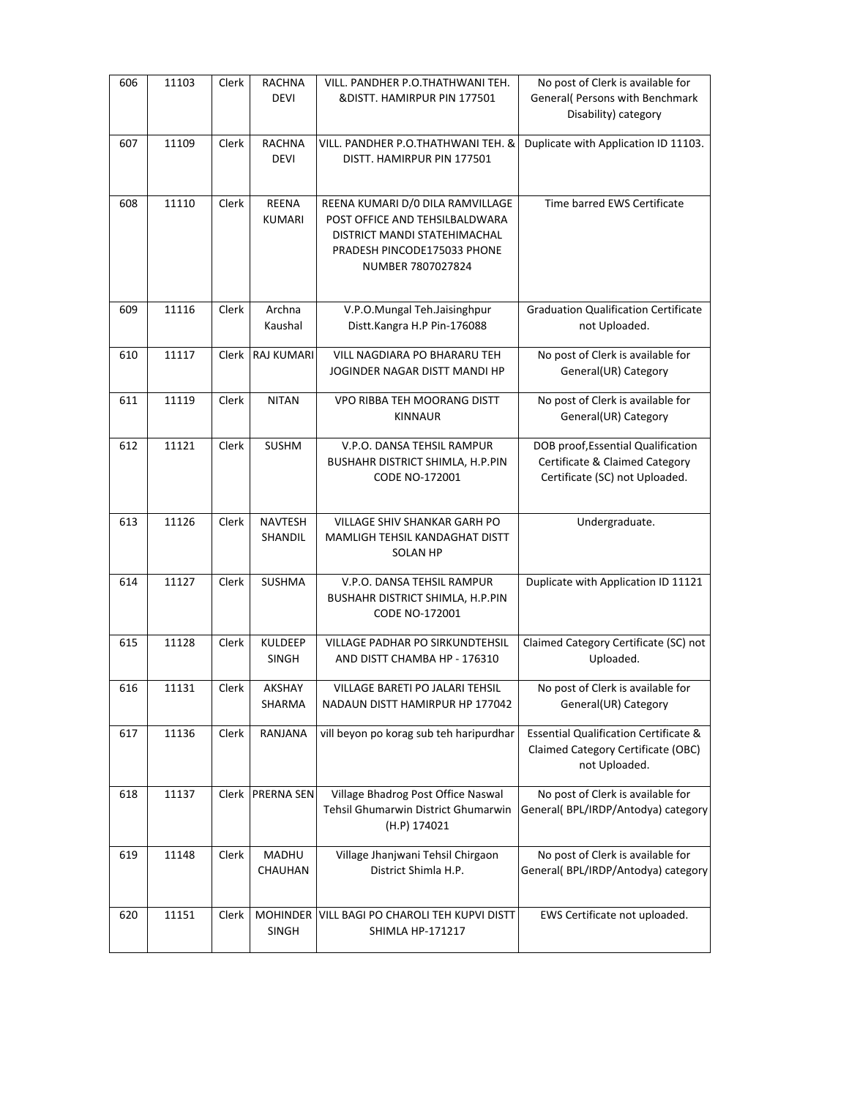| 606 | 11103 | Clerk | <b>RACHNA</b><br><b>DEVI</b> | VILL. PANDHER P.O.THATHWANI TEH.<br>& DISTT. HAMIRPUR PIN 177501                                                                                       | No post of Clerk is available for<br>General( Persons with Benchmark<br>Disability) category                  |
|-----|-------|-------|------------------------------|--------------------------------------------------------------------------------------------------------------------------------------------------------|---------------------------------------------------------------------------------------------------------------|
| 607 | 11109 | Clerk | <b>RACHNA</b><br><b>DEVI</b> | VILL. PANDHER P.O.THATHWANI TEH. &<br>DISTT. HAMIRPUR PIN 177501                                                                                       | Duplicate with Application ID 11103.                                                                          |
| 608 | 11110 | Clerk | REENA<br><b>KUMARI</b>       | REENA KUMARI D/0 DILA RAMVILLAGE<br>POST OFFICE AND TEHSILBALDWARA<br>DISTRICT MANDI STATEHIMACHAL<br>PRADESH PINCODE175033 PHONE<br>NUMBER 7807027824 | Time barred EWS Certificate                                                                                   |
| 609 | 11116 | Clerk | Archna<br>Kaushal            | V.P.O.Mungal Teh.Jaisinghpur<br>Distt.Kangra H.P Pin-176088                                                                                            | <b>Graduation Qualification Certificate</b><br>not Uploaded.                                                  |
| 610 | 11117 | Clerk | RAJ KUMARI                   | VILL NAGDIARA PO BHARARU TEH<br>JOGINDER NAGAR DISTT MANDI HP                                                                                          | No post of Clerk is available for<br>General(UR) Category                                                     |
| 611 | 11119 | Clerk | <b>NITAN</b>                 | VPO RIBBA TEH MOORANG DISTT<br><b>KINNAUR</b>                                                                                                          | No post of Clerk is available for<br>General(UR) Category                                                     |
| 612 | 11121 | Clerk | <b>SUSHM</b>                 | V.P.O. DANSA TEHSIL RAMPUR<br><b>BUSHAHR DISTRICT SHIMLA, H.P.PIN</b><br>CODE NO-172001                                                                | DOB proof, Essential Qualification<br>Certificate & Claimed Category<br>Certificate (SC) not Uploaded.        |
| 613 | 11126 | Clerk | <b>NAVTESH</b><br>SHANDIL    | VILLAGE SHIV SHANKAR GARH PO<br>MAMLIGH TEHSIL KANDAGHAT DISTT<br><b>SOLAN HP</b>                                                                      | Undergraduate.                                                                                                |
| 614 | 11127 | Clerk | SUSHMA                       | V.P.O. DANSA TEHSIL RAMPUR<br><b>BUSHAHR DISTRICT SHIMLA, H.P.PIN</b>                                                                                  | Duplicate with Application ID 11121                                                                           |
|     |       |       |                              | CODE NO-172001                                                                                                                                         |                                                                                                               |
| 615 | 11128 | Clerk | <b>KULDEEP</b><br>SINGH      | <b>VILLAGE PADHAR PO SIRKUNDTEHSIL</b><br>AND DISTT CHAMBA HP - 176310                                                                                 | Claimed Category Certificate (SC) not<br>Uploaded.                                                            |
| 616 | 11131 | Clerk | <b>AKSHAY</b><br>SHARMA      | VILLAGE BARETI PO JALARI TEHSIL<br>NADAUN DISTT HAMIRPUR HP 177042                                                                                     | No post of Clerk is available for<br>General(UR) Category                                                     |
| 617 | 11136 | Clerk | RANJANA                      | vill beyon po korag sub teh haripurdhar                                                                                                                | <b>Essential Qualification Certificate &amp;</b><br>Claimed Category Certificate (OBC)<br>not Uploaded.       |
| 618 | 11137 |       | Clerk PRERNA SEN             | Village Bhadrog Post Office Naswal<br>Tehsil Ghumarwin District Ghumarwin<br>(H.P) 174021                                                              | No post of Clerk is available for                                                                             |
| 619 | 11148 | Clerk | MADHU<br>CHAUHAN             | Village Jhanjwani Tehsil Chirgaon<br>District Shimla H.P.                                                                                              | General(BPL/IRDP/Antodya) category<br>No post of Clerk is available for<br>General(BPL/IRDP/Antodya) category |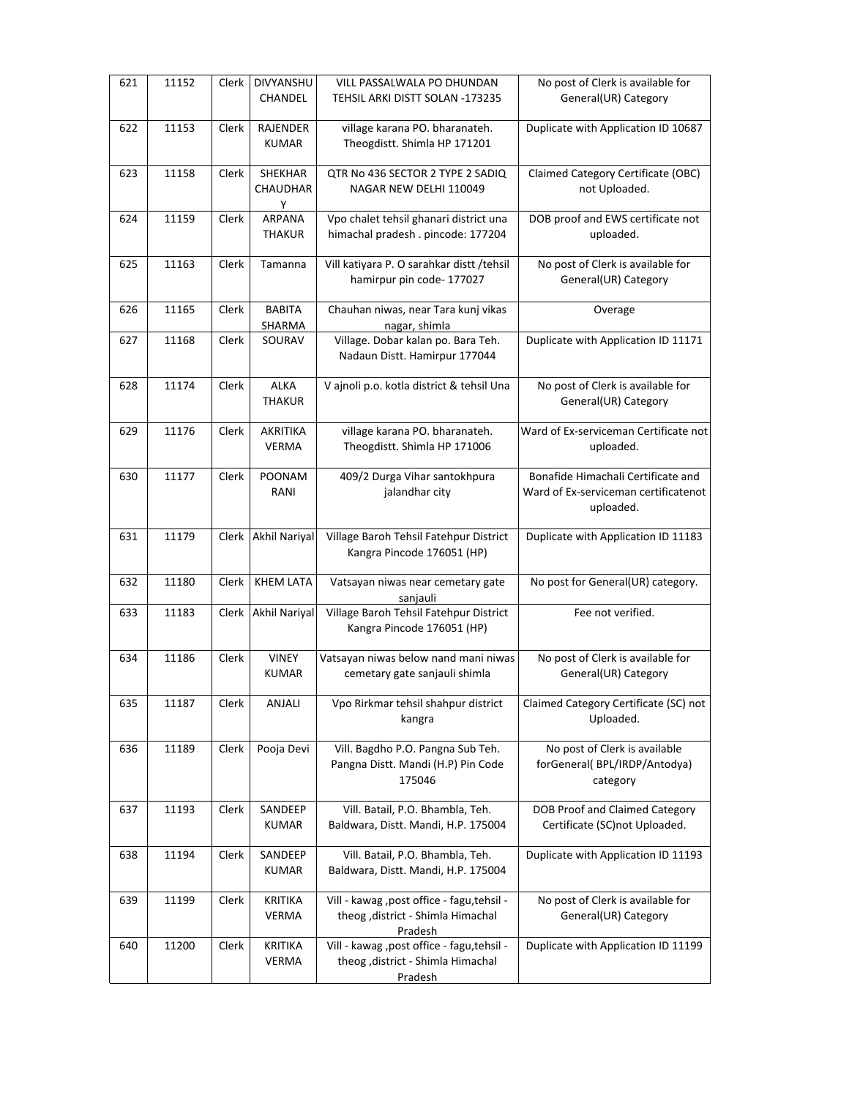| 621 | 11152 | Clerk | DIVYANSHU<br>CHANDEL           | VILL PASSALWALA PO DHUNDAN<br>TEHSIL ARKI DISTT SOLAN -173235                                | No post of Clerk is available for<br>General(UR) Category                               |
|-----|-------|-------|--------------------------------|----------------------------------------------------------------------------------------------|-----------------------------------------------------------------------------------------|
| 622 | 11153 | Clerk | RAJENDER<br><b>KUMAR</b>       | village karana PO. bharanateh.<br>Theogdistt. Shimla HP 171201                               | Duplicate with Application ID 10687                                                     |
| 623 | 11158 | Clerk | SHEKHAR<br>CHAUDHAR<br>Y       | QTR No 436 SECTOR 2 TYPE 2 SADIQ<br>NAGAR NEW DELHI 110049                                   | Claimed Category Certificate (OBC)<br>not Uploaded.                                     |
| 624 | 11159 | Clerk | ARPANA<br><b>THAKUR</b>        | Vpo chalet tehsil ghanari district una<br>himachal pradesh. pincode: 177204                  | DOB proof and EWS certificate not<br>uploaded.                                          |
| 625 | 11163 | Clerk | Tamanna                        | Vill katiyara P. O sarahkar distt /tehsil<br>hamirpur pin code- 177027                       | No post of Clerk is available for<br>General(UR) Category                               |
| 626 | 11165 | Clerk | <b>BABITA</b><br>SHARMA        | Chauhan niwas, near Tara kunj vikas<br>nagar, shimla                                         | Overage                                                                                 |
| 627 | 11168 | Clerk | SOURAV                         | Village. Dobar kalan po. Bara Teh.<br>Nadaun Distt. Hamirpur 177044                          | Duplicate with Application ID 11171                                                     |
| 628 | 11174 | Clerk | <b>ALKA</b><br><b>THAKUR</b>   | V ajnoli p.o. kotla district & tehsil Una                                                    | No post of Clerk is available for<br>General(UR) Category                               |
| 629 | 11176 | Clerk | AKRITIKA<br><b>VERMA</b>       | village karana PO. bharanateh.<br>Theogdistt. Shimla HP 171006                               | Ward of Ex-serviceman Certificate not<br>uploaded.                                      |
| 630 | 11177 | Clerk | POONAM<br>RANI                 | 409/2 Durga Vihar santokhpura<br>jalandhar city                                              | Bonafide Himachali Certificate and<br>Ward of Ex-serviceman certificatenot<br>uploaded. |
| 631 | 11179 |       | Clerk Akhil Nariyal            | Village Baroh Tehsil Fatehpur District<br>Kangra Pincode 176051 (HP)                         | Duplicate with Application ID 11183                                                     |
| 632 | 11180 | Clerk | <b>KHEM LATA</b>               | Vatsayan niwas near cemetary gate<br>sanjauli                                                | No post for General(UR) category.                                                       |
| 633 | 11183 |       | Clerk Akhil Nariyal            | Village Baroh Tehsil Fatehpur District<br>Kangra Pincode 176051 (HP)                         | Fee not verified.                                                                       |
| 634 | 11186 | Clerk | <b>VINEY</b><br><b>KUMAR</b>   | Vatsayan niwas below nand mani niwas<br>cemetary gate sanjauli shimla                        | No post of Clerk is available for<br>General(UR) Category                               |
| 635 | 11187 | Clerk | ANJALI                         | Vpo Rirkmar tehsil shahpur district<br>kangra                                                | Claimed Category Certificate (SC) not<br>Uploaded.                                      |
| 636 | 11189 | Clerk | Pooja Devi                     | Vill. Bagdho P.O. Pangna Sub Teh.<br>Pangna Distt. Mandi (H.P) Pin Code<br>175046            | No post of Clerk is available<br>forGeneral(BPL/IRDP/Antodya)<br>category               |
| 637 | 11193 | Clerk | SANDEEP<br>KUMAR               | Vill. Batail, P.O. Bhambla, Teh.<br>Baldwara, Distt. Mandi, H.P. 175004                      | DOB Proof and Claimed Category<br>Certificate (SC)not Uploaded.                         |
| 638 | 11194 | Clerk | SANDEEP<br>KUMAR               | Vill. Batail, P.O. Bhambla, Teh.<br>Baldwara, Distt. Mandi, H.P. 175004                      | Duplicate with Application ID 11193                                                     |
| 639 | 11199 | Clerk | <b>KRITIKA</b><br><b>VERMA</b> | Vill - kawag , post office - fagu, tehsil -<br>theog , district - Shimla Himachal<br>Pradesh | No post of Clerk is available for<br>General(UR) Category                               |
| 640 | 11200 | Clerk | KRITIKA<br>VERMA               | Vill - kawag , post office - fagu, tehsil -<br>theog , district - Shimla Himachal<br>Pradesh | Duplicate with Application ID 11199                                                     |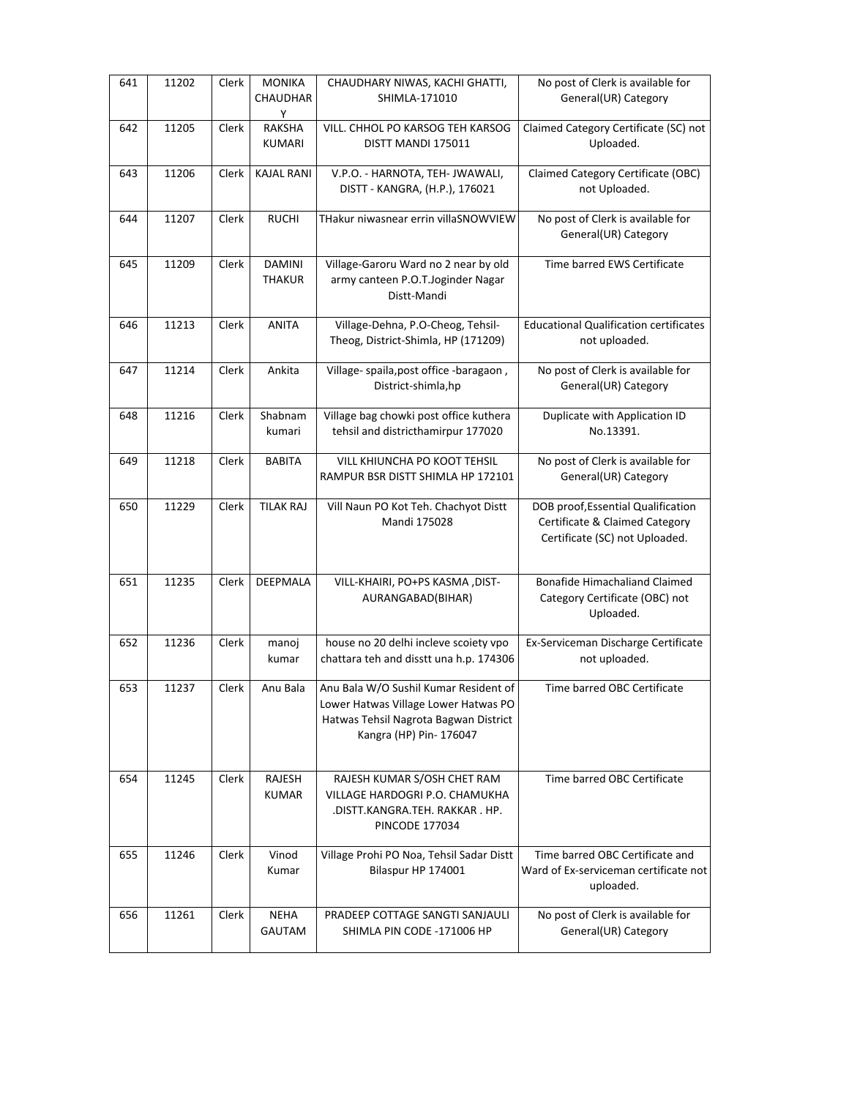| 641 | 11202 | Clerk | <b>MONIKA</b><br>CHAUDHAR<br>Y | CHAUDHARY NIWAS, KACHI GHATTI,<br>SHIMLA-171010                                                                                                   | No post of Clerk is available for<br>General(UR) Category                                              |
|-----|-------|-------|--------------------------------|---------------------------------------------------------------------------------------------------------------------------------------------------|--------------------------------------------------------------------------------------------------------|
| 642 | 11205 | Clerk | <b>RAKSHA</b><br>KUMARI        | VILL. CHHOL PO KARSOG TEH KARSOG<br>DISTT MANDI 175011                                                                                            | Claimed Category Certificate (SC) not<br>Uploaded.                                                     |
| 643 | 11206 | Clerk | <b>KAJAL RANI</b>              | V.P.O. - HARNOTA, TEH- JWAWALI,<br>DISTT - KANGRA, (H.P.), 176021                                                                                 | Claimed Category Certificate (OBC)<br>not Uploaded.                                                    |
| 644 | 11207 | Clerk | <b>RUCHI</b>                   | THakur niwasnear errin villaSNOWVIEW                                                                                                              | No post of Clerk is available for<br>General(UR) Category                                              |
| 645 | 11209 | Clerk | <b>DAMINI</b><br><b>THAKUR</b> | Village-Garoru Ward no 2 near by old<br>army canteen P.O.T.Joginder Nagar<br>Distt-Mandi                                                          | Time barred EWS Certificate                                                                            |
| 646 | 11213 | Clerk | <b>ANITA</b>                   | Village-Dehna, P.O-Cheog, Tehsil-<br>Theog, District-Shimla, HP (171209)                                                                          | <b>Educational Qualification certificates</b><br>not uploaded.                                         |
| 647 | 11214 | Clerk | Ankita                         | Village- spaila, post office - baragaon,<br>District-shimla,hp                                                                                    | No post of Clerk is available for<br>General(UR) Category                                              |
| 648 | 11216 | Clerk | Shabnam<br>kumari              | Village bag chowki post office kuthera<br>tehsil and districthamirpur 177020                                                                      | Duplicate with Application ID<br>No.13391.                                                             |
| 649 | 11218 | Clerk | <b>BABITA</b>                  | <b>VILL KHIUNCHA PO KOOT TEHSIL</b><br>RAMPUR BSR DISTT SHIMLA HP 172101                                                                          | No post of Clerk is available for<br>General(UR) Category                                              |
| 650 | 11229 | Clerk | <b>TILAK RAJ</b>               | Vill Naun PO Kot Teh. Chachyot Distt<br>Mandi 175028                                                                                              | DOB proof, Essential Qualification<br>Certificate & Claimed Category<br>Certificate (SC) not Uploaded. |
| 651 | 11235 | Clerk | DEEPMALA                       | VILL-KHAIRI, PO+PS KASMA, DIST-<br>AURANGABAD(BIHAR)                                                                                              | <b>Bonafide Himachaliand Claimed</b><br>Category Certificate (OBC) not<br>Uploaded.                    |
| 652 | 11236 | Clerk | manoj<br>kumar                 | house no 20 delhi incleve scoiety vpo<br>chattara teh and disstt una h.p. 174306                                                                  | Ex-Serviceman Discharge Certificate<br>not uploaded.                                                   |
| 653 | 11237 | Clerk | Anu Bala                       | Anu Bala W/O Sushil Kumar Resident of<br>Lower Hatwas Village Lower Hatwas PO<br>Hatwas Tehsil Nagrota Bagwan District<br>Kangra (HP) Pin- 176047 | Time barred OBC Certificate                                                                            |
| 654 | 11245 | Clerk | RAJESH<br><b>KUMAR</b>         | RAJESH KUMAR S/OSH CHET RAM<br>VILLAGE HARDOGRI P.O. CHAMUKHA<br>.DISTT.KANGRA.TEH. RAKKAR . HP.<br><b>PINCODE 177034</b>                         | Time barred OBC Certificate                                                                            |
| 655 | 11246 | Clerk | Vinod<br>Kumar                 | Village Prohi PO Noa, Tehsil Sadar Distt<br>Bilaspur HP 174001                                                                                    | Time barred OBC Certificate and<br>Ward of Ex-serviceman certificate not<br>uploaded.                  |
| 656 | 11261 | Clerk | <b>NEHA</b><br>GAUTAM          | PRADEEP COTTAGE SANGTI SANJAULI<br>SHIMLA PIN CODE -171006 HP                                                                                     | No post of Clerk is available for<br>General(UR) Category                                              |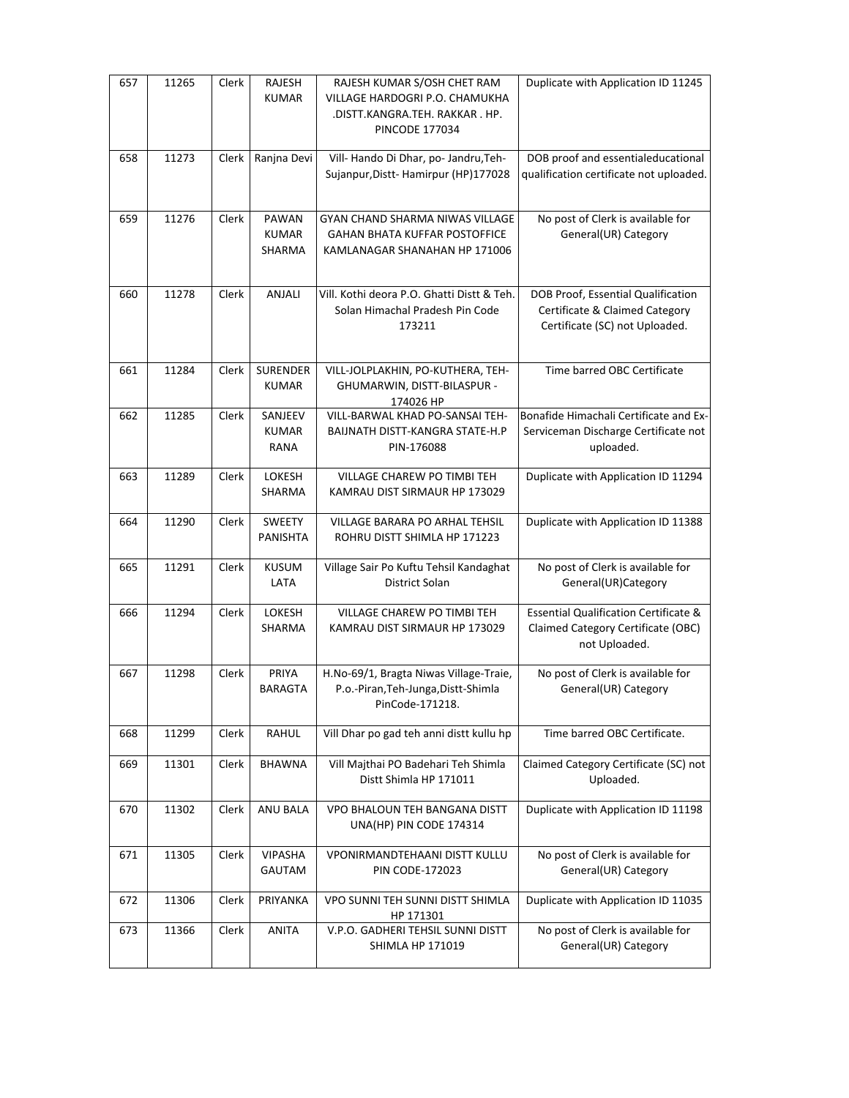| 657 | 11265 | <b>Clerk</b> | <b>RAJESH</b><br><b>KUMAR</b>    | RAJESH KUMAR S/OSH CHET RAM<br>VILLAGE HARDOGRI P.O. CHAMUKHA<br>.DISTT.KANGRA.TEH. RAKKAR . HP.<br><b>PINCODE 177034</b> | Duplicate with Application ID 11245                                                                     |
|-----|-------|--------------|----------------------------------|---------------------------------------------------------------------------------------------------------------------------|---------------------------------------------------------------------------------------------------------|
| 658 | 11273 | Clerk        | Ranjna Devi                      | Vill- Hando Di Dhar, po- Jandru, Teh-<br>Sujanpur, Distt-Hamirpur (HP)177028                                              | DOB proof and essentialeducational<br>qualification certificate not uploaded.                           |
| 659 | 11276 | Clerk        | PAWAN<br><b>KUMAR</b><br>SHARMA  | GYAN CHAND SHARMA NIWAS VILLAGE<br><b>GAHAN BHATA KUFFAR POSTOFFICE</b><br>KAMLANAGAR SHANAHAN HP 171006                  | No post of Clerk is available for<br>General(UR) Category                                               |
| 660 | 11278 | Clerk        | ANJALI                           | Vill. Kothi deora P.O. Ghatti Distt & Teh.<br>Solan Himachal Pradesh Pin Code<br>173211                                   | DOB Proof, Essential Qualification<br>Certificate & Claimed Category<br>Certificate (SC) not Uploaded.  |
| 661 | 11284 | Clerk        | <b>SURENDER</b><br><b>KUMAR</b>  | VILL-JOLPLAKHIN, PO-KUTHERA, TEH-<br>GHUMARWIN, DISTT-BILASPUR -<br>174026 HP                                             | Time barred OBC Certificate                                                                             |
| 662 | 11285 | Clerk        | SANJEEV<br><b>KUMAR</b><br>RANA  | VILL-BARWAL KHAD PO-SANSAI TEH-<br>BAIJNATH DISTT-KANGRA STATE-H.P<br>PIN-176088                                          | Bonafide Himachali Certificate and Ex-<br>Serviceman Discharge Certificate not<br>uploaded.             |
| 663 | 11289 | Clerk        | LOKESH<br>SHARMA                 | VILLAGE CHAREW PO TIMBI TEH<br>KAMRAU DIST SIRMAUR HP 173029                                                              | Duplicate with Application ID 11294                                                                     |
| 664 | 11290 | Clerk        | <b>SWEETY</b><br><b>PANISHTA</b> | VILLAGE BARARA PO ARHAL TEHSIL<br>ROHRU DISTT SHIMLA HP 171223                                                            | Duplicate with Application ID 11388                                                                     |
| 665 | 11291 | Clerk        | <b>KUSUM</b><br>LATA             | Village Sair Po Kuftu Tehsil Kandaghat<br>District Solan                                                                  | No post of Clerk is available for<br>General(UR)Category                                                |
| 666 | 11294 | Clerk        | LOKESH<br>SHARMA                 | VILLAGE CHAREW PO TIMBI TEH<br>KAMRAU DIST SIRMAUR HP 173029                                                              | <b>Essential Qualification Certificate &amp;</b><br>Claimed Category Certificate (OBC)<br>not Uploaded. |
| 667 | 11298 | Clerk        | PRIYA<br><b>BARAGTA</b>          | H.No-69/1, Bragta Niwas Village-Traie,<br>P.o.-Piran, Teh-Junga, Distt-Shimla<br>PinCode-171218.                          | No post of Clerk is available for<br>General(UR) Category                                               |
| 668 | 11299 | Clerk        | RAHUL                            | Vill Dhar po gad teh anni distt kullu hp                                                                                  | Time barred OBC Certificate.                                                                            |
| 669 | 11301 | Clerk        | <b>BHAWNA</b>                    | Vill Majthai PO Badehari Teh Shimla<br>Distt Shimla HP 171011                                                             | Claimed Category Certificate (SC) not<br>Uploaded.                                                      |
| 670 | 11302 | Clerk        | ANU BALA                         | VPO BHALOUN TEH BANGANA DISTT<br>UNA(HP) PIN CODE 174314                                                                  | Duplicate with Application ID 11198                                                                     |
| 671 | 11305 | Clerk        | <b>VIPASHA</b><br>GAUTAM         | VPONIRMANDTEHAANI DISTT KULLU<br><b>PIN CODE-172023</b>                                                                   | No post of Clerk is available for<br>General(UR) Category                                               |
| 672 | 11306 | Clerk        | PRIYANKA                         | VPO SUNNI TEH SUNNI DISTT SHIMLA<br>HP 171301                                                                             | Duplicate with Application ID 11035                                                                     |
| 673 | 11366 | Clerk        | ANITA                            | V.P.O. GADHERI TEHSIL SUNNI DISTT<br>SHIMLA HP 171019                                                                     | No post of Clerk is available for<br>General(UR) Category                                               |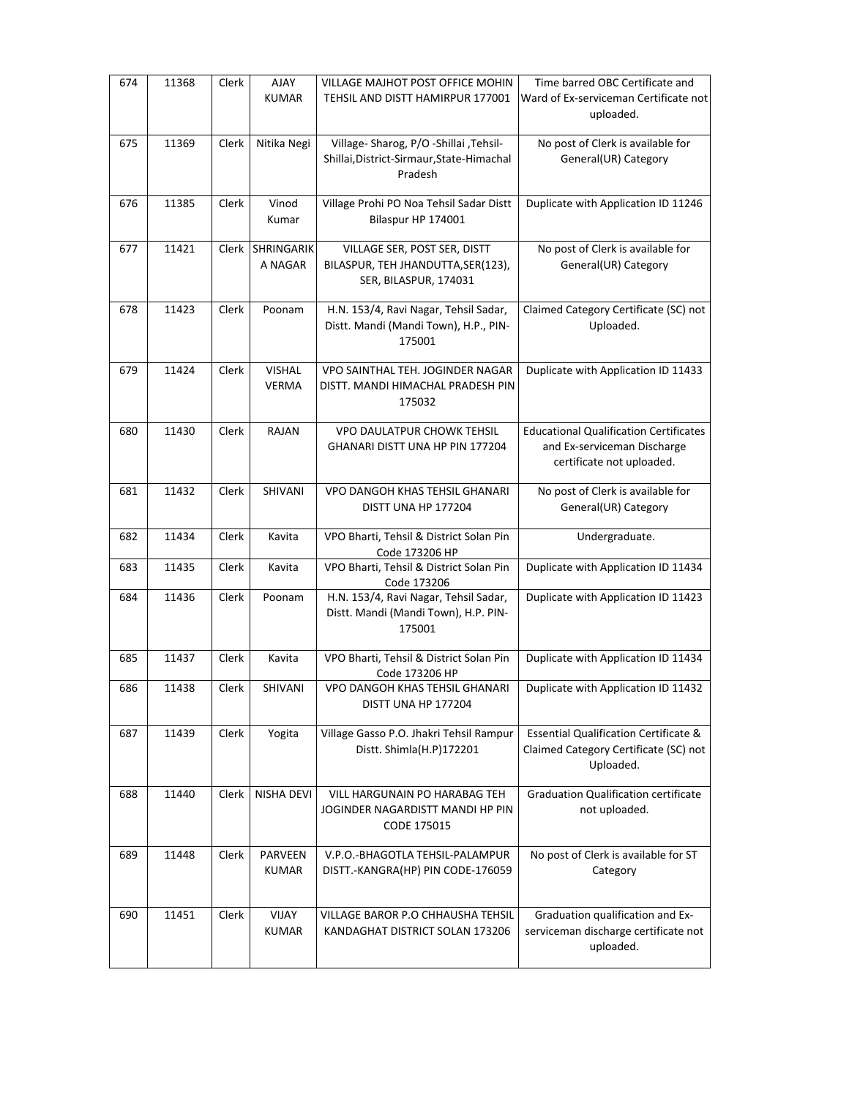| 674 | 11368 | Clerk        | AJAY<br><b>KUMAR</b>          | VILLAGE MAJHOT POST OFFICE MOHIN<br>TEHSIL AND DISTT HAMIRPUR 177001                            | Time barred OBC Certificate and<br>Ward of Ex-serviceman Certificate not<br>uploaded.                     |
|-----|-------|--------------|-------------------------------|-------------------------------------------------------------------------------------------------|-----------------------------------------------------------------------------------------------------------|
| 675 | 11369 | Clerk        | Nitika Negi                   | Village- Sharog, P/O -Shillai , Tehsil-<br>Shillai, District-Sirmaur, State-Himachal<br>Pradesh | No post of Clerk is available for<br>General(UR) Category                                                 |
| 676 | 11385 | Clerk        | Vinod<br>Kumar                | Village Prohi PO Noa Tehsil Sadar Distt<br>Bilaspur HP 174001                                   | Duplicate with Application ID 11246                                                                       |
| 677 | 11421 | <b>Clerk</b> | SHRINGARIK<br>A NAGAR         | VILLAGE SER, POST SER, DISTT<br>BILASPUR, TEH JHANDUTTA, SER(123),<br>SER, BILASPUR, 174031     | No post of Clerk is available for<br>General(UR) Category                                                 |
| 678 | 11423 | Clerk        | Poonam                        | H.N. 153/4, Ravi Nagar, Tehsil Sadar,<br>Distt. Mandi (Mandi Town), H.P., PIN-<br>175001        | Claimed Category Certificate (SC) not<br>Uploaded.                                                        |
| 679 | 11424 | Clerk        | <b>VISHAL</b><br><b>VERMA</b> | VPO SAINTHAL TEH. JOGINDER NAGAR<br>DISTT. MANDI HIMACHAL PRADESH PIN<br>175032                 | Duplicate with Application ID 11433                                                                       |
| 680 | 11430 | Clerk        | <b>RAJAN</b>                  | <b>VPO DAULATPUR CHOWK TEHSIL</b><br>GHANARI DISTT UNA HP PIN 177204                            | <b>Educational Qualification Certificates</b><br>and Ex-serviceman Discharge<br>certificate not uploaded. |
| 681 | 11432 | Clerk        | SHIVANI                       | VPO DANGOH KHAS TEHSIL GHANARI<br>DISTT UNA HP 177204                                           | No post of Clerk is available for<br>General(UR) Category                                                 |
| 682 | 11434 | Clerk        | Kavita                        | VPO Bharti, Tehsil & District Solan Pin<br>Code 173206 HP                                       | Undergraduate.                                                                                            |
| 683 | 11435 | Clerk        | Kavita                        | VPO Bharti, Tehsil & District Solan Pin<br>Code 173206                                          | Duplicate with Application ID 11434                                                                       |
| 684 | 11436 | Clerk        | Poonam                        | H.N. 153/4, Ravi Nagar, Tehsil Sadar,<br>Distt. Mandi (Mandi Town), H.P. PIN-<br>175001         | Duplicate with Application ID 11423                                                                       |
| 685 | 11437 | Clerk        | Kavita                        | VPO Bharti, Tehsil & District Solan Pin<br>Code 173206 HP                                       | Duplicate with Application ID 11434                                                                       |
| 686 | 11438 | Clerk        | SHIVANI                       | VPO DANGOH KHAS TEHSIL GHANARI<br>DISTT UNA HP 177204                                           | Duplicate with Application ID 11432                                                                       |
| 687 | 11439 | Clerk        | Yogita                        | Village Gasso P.O. Jhakri Tehsil Rampur<br>Distt. Shimla(H.P)172201                             | <b>Essential Qualification Certificate &amp;</b><br>Claimed Category Certificate (SC) not<br>Uploaded.    |
| 688 | 11440 | Clerk        | <b>NISHA DEVI</b>             | VILL HARGUNAIN PO HARABAG TEH<br>JOGINDER NAGARDISTT MANDI HP PIN<br>CODE 175015                | <b>Graduation Qualification certificate</b><br>not uploaded.                                              |
| 689 | 11448 | Clerk        | PARVEEN<br><b>KUMAR</b>       | V.P.O.-BHAGOTLA TEHSIL-PALAMPUR<br>DISTT.-KANGRA(HP) PIN CODE-176059                            | No post of Clerk is available for ST<br>Category                                                          |
| 690 | 11451 | Clerk        | VIJAY<br><b>KUMAR</b>         | VILLAGE BAROR P.O CHHAUSHA TEHSIL<br>KANDAGHAT DISTRICT SOLAN 173206                            | Graduation qualification and Ex-<br>serviceman discharge certificate not<br>uploaded.                     |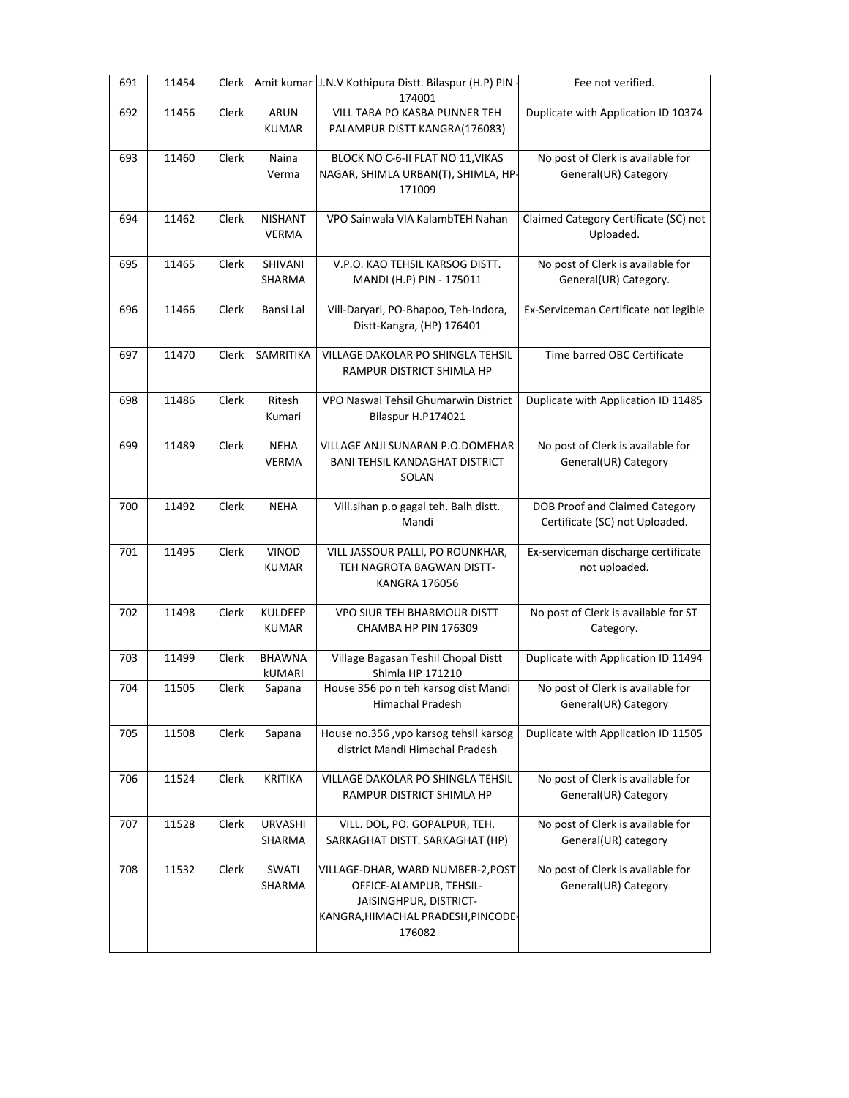| 691 | 11454 | Clerk |                             | Amit kumar J.N.V Kothipura Distt. Bilaspur (H.P) PIN     | Fee not verified.                     |
|-----|-------|-------|-----------------------------|----------------------------------------------------------|---------------------------------------|
|     |       | Clerk |                             | 174001<br>VILL TARA PO KASBA PUNNER TEH                  |                                       |
| 692 | 11456 |       | <b>ARUN</b><br><b>KUMAR</b> | PALAMPUR DISTT KANGRA(176083)                            | Duplicate with Application ID 10374   |
| 693 | 11460 | Clerk | Naina                       | BLOCK NO C-6-II FLAT NO 11, VIKAS                        | No post of Clerk is available for     |
|     |       |       | Verma                       | NAGAR, SHIMLA URBAN(T), SHIMLA, HP-                      | General(UR) Category                  |
|     |       |       |                             | 171009                                                   |                                       |
|     |       |       |                             |                                                          |                                       |
| 694 | 11462 | Clerk | <b>NISHANT</b>              | VPO Sainwala VIA KalambTEH Nahan                         | Claimed Category Certificate (SC) not |
|     |       |       | <b>VERMA</b>                |                                                          | Uploaded.                             |
|     |       |       |                             |                                                          |                                       |
| 695 | 11465 | Clerk | SHIVANI                     | V.P.O. KAO TEHSIL KARSOG DISTT.                          | No post of Clerk is available for     |
|     |       |       | SHARMA                      | MANDI (H.P) PIN - 175011                                 | General(UR) Category.                 |
|     |       |       |                             |                                                          |                                       |
| 696 | 11466 | Clerk | Bansi Lal                   | Vill-Daryari, PO-Bhapoo, Teh-Indora,                     | Ex-Serviceman Certificate not legible |
|     |       |       |                             | Distt-Kangra, (HP) 176401                                |                                       |
|     |       |       |                             |                                                          |                                       |
| 697 | 11470 | Clerk | SAMRITIKA                   | VILLAGE DAKOLAR PO SHINGLA TEHSIL                        | Time barred OBC Certificate           |
|     |       |       |                             | RAMPUR DISTRICT SHIMLA HP                                |                                       |
|     |       |       |                             |                                                          |                                       |
| 698 | 11486 | Clerk | Ritesh                      | VPO Naswal Tehsil Ghumarwin District                     | Duplicate with Application ID 11485   |
|     |       |       | Kumari                      | Bilaspur H.P174021                                       |                                       |
|     |       |       |                             |                                                          |                                       |
| 699 | 11489 | Clerk | <b>NEHA</b>                 | VILLAGE ANJI SUNARAN P.O.DOMEHAR                         | No post of Clerk is available for     |
|     |       |       | <b>VERMA</b>                | <b>BANI TEHSIL KANDAGHAT DISTRICT</b>                    | General(UR) Category                  |
|     |       |       |                             | SOLAN                                                    |                                       |
|     |       |       |                             |                                                          |                                       |
| 700 | 11492 | Clerk | <b>NEHA</b>                 | Vill.sihan p.o gagal teh. Balh distt.                    | DOB Proof and Claimed Category        |
|     |       |       |                             | Mandi                                                    | Certificate (SC) not Uploaded.        |
|     |       |       |                             |                                                          |                                       |
| 701 | 11495 | Clerk | <b>VINOD</b>                | VILL JASSOUR PALLI, PO ROUNKHAR,                         | Ex-serviceman discharge certificate   |
|     |       |       | <b>KUMAR</b>                | TEH NAGROTA BAGWAN DISTT-                                | not uploaded.                         |
|     |       |       |                             | KANGRA 176056                                            |                                       |
|     |       |       |                             |                                                          |                                       |
| 702 | 11498 | Clerk | <b>KULDEEP</b>              | <b>VPO SIUR TEH BHARMOUR DISTT</b>                       | No post of Clerk is available for ST  |
|     |       |       | <b>KUMAR</b>                | CHAMBA HP PIN 176309                                     | Category.                             |
|     |       |       |                             |                                                          |                                       |
| 703 | 11499 | Clerk | <b>BHAWNA</b>               | Village Bagasan Teshil Chopal Distt                      | Duplicate with Application ID 11494   |
| 704 | 11505 |       | <b>kUMARI</b>               | Shimla HP 171210<br>House 356 po n teh karsog dist Mandi | No post of Clerk is available for     |
|     |       | Clerk | Sapana                      | Himachal Pradesh                                         | General(UR) Category                  |
|     |       |       |                             |                                                          |                                       |
| 705 | 11508 | Clerk | Sapana                      | House no.356, vpo karsog tehsil karsog                   | Duplicate with Application ID 11505   |
|     |       |       |                             | district Mandi Himachal Pradesh                          |                                       |
|     |       |       |                             |                                                          |                                       |
| 706 | 11524 | Clerk | <b>KRITIKA</b>              | <b>VILLAGE DAKOLAR PO SHINGLA TEHSIL</b>                 | No post of Clerk is available for     |
|     |       |       |                             | RAMPUR DISTRICT SHIMLA HP                                | General(UR) Category                  |
|     |       |       |                             |                                                          |                                       |
| 707 | 11528 | Clerk | URVASHI                     | VILL. DOL, PO. GOPALPUR, TEH.                            | No post of Clerk is available for     |
|     |       |       | SHARMA                      | SARKAGHAT DISTT. SARKAGHAT (HP)                          | General(UR) category                  |
|     |       |       |                             |                                                          |                                       |
| 708 | 11532 | Clerk | SWATI                       | VILLAGE-DHAR, WARD NUMBER-2, POST                        | No post of Clerk is available for     |
|     |       |       | SHARMA                      | OFFICE-ALAMPUR, TEHSIL-                                  | General(UR) Category                  |
|     |       |       |                             | JAISINGHPUR, DISTRICT-                                   |                                       |
|     |       |       |                             | KANGRA, HIMACHAL PRADESH, PINCODE-                       |                                       |
|     |       |       |                             | 176082                                                   |                                       |
|     |       |       |                             |                                                          |                                       |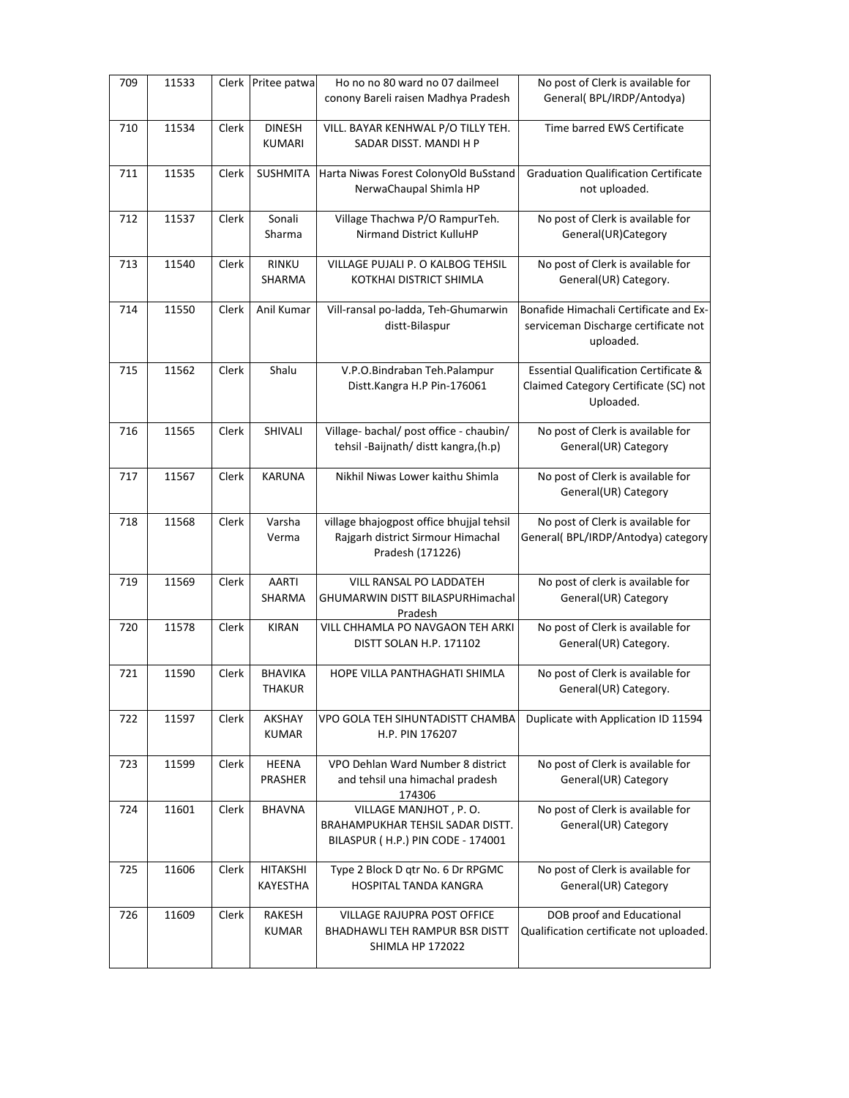| 709 | 11533 |       | Clerk Pritee patwa             | Ho no no 80 ward no 07 dailmeel<br>conony Bareli raisen Madhya Pradesh                            | No post of Clerk is available for<br>General(BPL/IRDP/Antodya)                                         |
|-----|-------|-------|--------------------------------|---------------------------------------------------------------------------------------------------|--------------------------------------------------------------------------------------------------------|
| 710 | 11534 | Clerk | <b>DINESH</b><br><b>KUMARI</b> | VILL. BAYAR KENHWAL P/O TILLY TEH.<br>SADAR DISST. MANDI H P                                      | Time barred EWS Certificate                                                                            |
| 711 | 11535 | Clerk | <b>SUSHMITA</b>                | Harta Niwas Forest ColonyOld BuSstand<br>NerwaChaupal Shimla HP                                   | <b>Graduation Qualification Certificate</b><br>not uploaded.                                           |
| 712 | 11537 | Clerk | Sonali<br>Sharma               | Village Thachwa P/O RampurTeh.<br><b>Nirmand District KulluHP</b>                                 | No post of Clerk is available for<br>General(UR)Category                                               |
| 713 | 11540 | Clerk | <b>RINKU</b><br>SHARMA         | VILLAGE PUJALI P. O KALBOG TEHSIL<br>KOTKHAI DISTRICT SHIMLA                                      | No post of Clerk is available for<br>General(UR) Category.                                             |
| 714 | 11550 | Clerk | Anil Kumar                     | Vill-ransal po-ladda, Teh-Ghumarwin<br>distt-Bilaspur                                             | Bonafide Himachali Certificate and Ex-<br>serviceman Discharge certificate not<br>uploaded.            |
| 715 | 11562 | Clerk | Shalu                          | V.P.O.Bindraban Teh.Palampur<br>Distt.Kangra H.P Pin-176061                                       | <b>Essential Qualification Certificate &amp;</b><br>Claimed Category Certificate (SC) not<br>Uploaded. |
| 716 | 11565 | Clerk | SHIVALI                        | Village- bachal/ post office - chaubin/<br>tehsil -Baijnath/ distt kangra, (h.p)                  | No post of Clerk is available for<br>General(UR) Category                                              |
| 717 | 11567 | Clerk | KARUNA                         | Nikhil Niwas Lower kaithu Shimla                                                                  | No post of Clerk is available for<br>General(UR) Category                                              |
| 718 | 11568 | Clerk | Varsha<br>Verma                | village bhajogpost office bhujjal tehsil<br>Rajgarh district Sirmour Himachal<br>Pradesh (171226) | No post of Clerk is available for<br>General(BPL/IRDP/Antodya) category                                |
| 719 | 11569 | Clerk | AARTI<br>SHARMA                | VILL RANSAL PO LADDATEH<br>GHUMARWIN DISTT BILASPURHimachal<br>Pradesh                            | No post of clerk is available for<br>General(UR) Category                                              |
| 720 | 11578 | Clerk | <b>KIRAN</b>                   | VILL CHHAMLA PO NAVGAON TEH ARKI<br>DISTT SOLAN H.P. 171102                                       | No post of Clerk is available for<br>General(UR) Category.                                             |
| 721 | 11590 | Clerk | <b>BHAVIKA</b><br>THAKUR       | HOPE VILLA PANTHAGHATI SHIMLA                                                                     | No post of Clerk is available for<br>General(UR) Category.                                             |
| 722 | 11597 | Clerk | AKSHAY<br><b>KUMAR</b>         | VPO GOLA TEH SIHUNTADISTT CHAMBA<br>H.P. PIN 176207                                               | Duplicate with Application ID 11594                                                                    |
| 723 | 11599 | Clerk | HEENA<br><b>PRASHER</b>        | VPO Dehlan Ward Number 8 district<br>and tehsil una himachal pradesh<br>174306                    | No post of Clerk is available for<br>General(UR) Category                                              |
| 724 | 11601 | Clerk | <b>BHAVNA</b>                  | VILLAGE MANJHOT, P.O.<br>BRAHAMPUKHAR TEHSIL SADAR DISTT.<br>BILASPUR (H.P.) PIN CODE - 174001    | No post of Clerk is available for<br>General(UR) Category                                              |
| 725 | 11606 | Clerk | HITAKSHI<br>KAYESTHA           | Type 2 Block D gtr No. 6 Dr RPGMC<br>HOSPITAL TANDA KANGRA                                        | No post of Clerk is available for<br>General(UR) Category                                              |
| 726 | 11609 | Clerk | RAKESH<br><b>KUMAR</b>         | VILLAGE RAJUPRA POST OFFICE<br><b>BHADHAWLI TEH RAMPUR BSR DISTT</b><br><b>SHIMLA HP 172022</b>   | DOB proof and Educational<br>Qualification certificate not uploaded.                                   |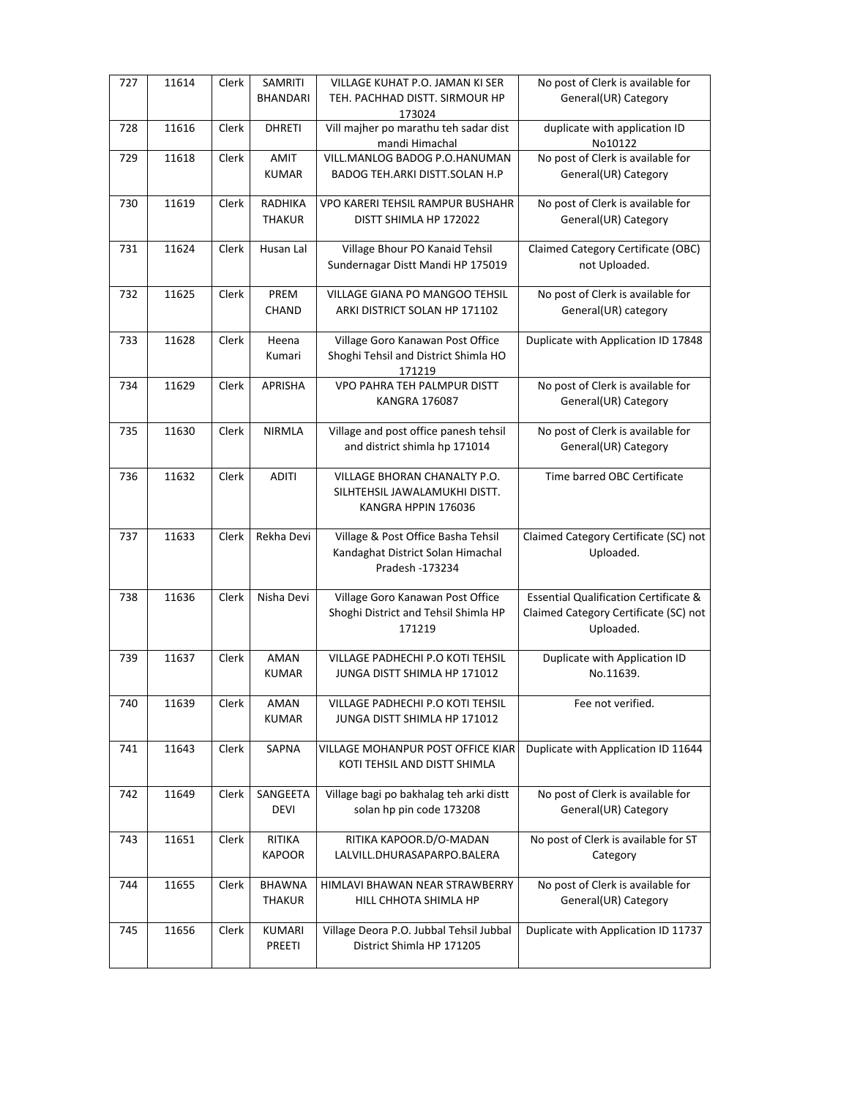| 727 | 11614 | Clerk | SAMRITI<br><b>BHANDARI</b>     | VILLAGE KUHAT P.O. JAMAN KI SER<br>TEH. PACHHAD DISTT. SIRMOUR HP<br>173024                | No post of Clerk is available for<br>General(UR) Category                                              |
|-----|-------|-------|--------------------------------|--------------------------------------------------------------------------------------------|--------------------------------------------------------------------------------------------------------|
| 728 | 11616 | Clerk | <b>DHRETI</b>                  | Vill majher po marathu teh sadar dist<br>mandi Himachal                                    | duplicate with application ID<br>No10122                                                               |
| 729 | 11618 | Clerk | AMIT<br><b>KUMAR</b>           | VILL.MANLOG BADOG P.O.HANUMAN<br>BADOG TEH.ARKI DISTT.SOLAN H.P                            | No post of Clerk is available for<br>General(UR) Category                                              |
| 730 | 11619 | Clerk | RADHIKA<br><b>THAKUR</b>       | VPO KARERI TEHSIL RAMPUR BUSHAHR<br>DISTT SHIMLA HP 172022                                 | No post of Clerk is available for<br>General(UR) Category                                              |
| 731 | 11624 | Clerk | Husan Lal                      | Village Bhour PO Kanaid Tehsil<br>Sundernagar Distt Mandi HP 175019                        | Claimed Category Certificate (OBC)<br>not Uploaded.                                                    |
| 732 | 11625 | Clerk | PREM<br>CHAND                  | VILLAGE GIANA PO MANGOO TEHSIL<br>ARKI DISTRICT SOLAN HP 171102                            | No post of Clerk is available for<br>General(UR) category                                              |
| 733 | 11628 | Clerk | Heena<br>Kumari                | Village Goro Kanawan Post Office<br>Shoghi Tehsil and District Shimla HO<br>171219         | Duplicate with Application ID 17848                                                                    |
| 734 | 11629 | Clerk | APRISHA                        | VPO PAHRA TEH PALMPUR DISTT<br>KANGRA 176087                                               | No post of Clerk is available for<br>General(UR) Category                                              |
| 735 | 11630 | Clerk | <b>NIRMLA</b>                  | Village and post office panesh tehsil<br>and district shimla hp 171014                     | No post of Clerk is available for<br>General(UR) Category                                              |
| 736 | 11632 | Clerk | <b>ADITI</b>                   | VILLAGE BHORAN CHANALTY P.O.<br>SILHTEHSIL JAWALAMUKHI DISTT.<br>KANGRA HPPIN 176036       | Time barred OBC Certificate                                                                            |
| 737 | 11633 | Clerk | Rekha Devi                     | Village & Post Office Basha Tehsil<br>Kandaghat District Solan Himachal<br>Pradesh -173234 | Claimed Category Certificate (SC) not<br>Uploaded.                                                     |
| 738 | 11636 | Clerk | Nisha Devi                     | Village Goro Kanawan Post Office<br>Shoghi District and Tehsil Shimla HP<br>171219         | <b>Essential Qualification Certificate &amp;</b><br>Claimed Category Certificate (SC) not<br>Uploaded. |
| 739 | 11637 | Clerk | <b>AMAN</b><br><b>KUMAR</b>    | <b>VILLAGE PADHECHI P.O KOTI TEHSIL</b><br>JUNGA DISTT SHIMLA HP 171012                    | Duplicate with Application ID<br>No.11639.                                                             |
| 740 | 11639 | Clerk | AMAN<br><b>KUMAR</b>           | VILLAGE PADHECHI P.O KOTI TEHSIL<br>JUNGA DISTT SHIMLA HP 171012                           | Fee not verified.                                                                                      |
| 741 | 11643 | Clerk | <b>SAPNA</b>                   | VILLAGE MOHANPUR POST OFFICE KIAR<br>KOTI TEHSIL AND DISTT SHIMLA                          | Duplicate with Application ID 11644                                                                    |
| 742 | 11649 | Clerk | SANGEETA<br><b>DEVI</b>        | Village bagi po bakhalag teh arki distt<br>solan hp pin code 173208                        | No post of Clerk is available for<br>General(UR) Category                                              |
| 743 | 11651 | Clerk | RITIKA<br><b>KAPOOR</b>        | RITIKA KAPOOR.D/O-MADAN<br>LALVILL.DHURASAPARPO.BALERA                                     | No post of Clerk is available for ST<br>Category                                                       |
| 744 | 11655 | Clerk | <b>BHAWNA</b><br><b>THAKUR</b> | HIMLAVI BHAWAN NEAR STRAWBERRY<br>HILL CHHOTA SHIMLA HP                                    | No post of Clerk is available for<br>General(UR) Category                                              |
| 745 | 11656 | Clerk | <b>KUMARI</b><br>PREETI        | Village Deora P.O. Jubbal Tehsil Jubbal<br>District Shimla HP 171205                       | Duplicate with Application ID 11737                                                                    |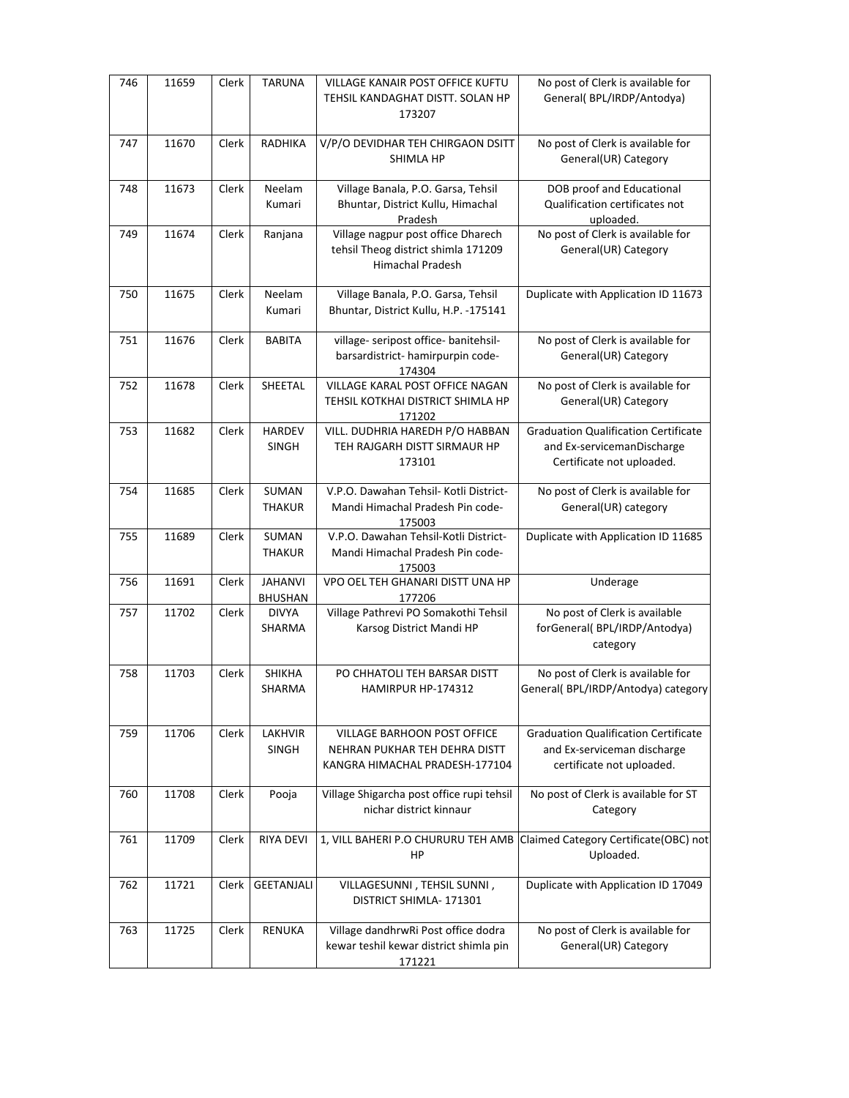| 746 | 11659 | Clerk | <b>TARUNA</b>                    | VILLAGE KANAIR POST OFFICE KUFTU<br>TEHSIL KANDAGHAT DISTT. SOLAN HP<br>173207                        | No post of Clerk is available for<br>General(BPL/IRDP/Antodya)                                          |
|-----|-------|-------|----------------------------------|-------------------------------------------------------------------------------------------------------|---------------------------------------------------------------------------------------------------------|
| 747 | 11670 | Clerk | RADHIKA                          | V/P/O DEVIDHAR TEH CHIRGAON DSITT<br><b>SHIMLA HP</b>                                                 | No post of Clerk is available for<br>General(UR) Category                                               |
| 748 | 11673 | Clerk | Neelam<br>Kumari                 | Village Banala, P.O. Garsa, Tehsil<br>Bhuntar, District Kullu, Himachal<br>Pradesh                    | DOB proof and Educational<br>Qualification certificates not<br>uploaded.                                |
| 749 | 11674 | Clerk | Ranjana                          | Village nagpur post office Dharech<br>tehsil Theog district shimla 171209<br>Himachal Pradesh         | No post of Clerk is available for<br>General(UR) Category                                               |
| 750 | 11675 | Clerk | Neelam<br>Kumari                 | Village Banala, P.O. Garsa, Tehsil<br>Bhuntar, District Kullu, H.P. -175141                           | Duplicate with Application ID 11673                                                                     |
| 751 | 11676 | Clerk | <b>BABITA</b>                    | village- seripost office- banitehsil-<br>barsardistrict- hamirpurpin code-<br>174304                  | No post of Clerk is available for<br>General(UR) Category                                               |
| 752 | 11678 | Clerk | SHEETAL                          | VILLAGE KARAL POST OFFICE NAGAN<br>TEHSIL KOTKHAI DISTRICT SHIMLA HP<br>171202                        | No post of Clerk is available for<br>General(UR) Category                                               |
| 753 | 11682 | Clerk | <b>HARDEV</b><br><b>SINGH</b>    | VILL. DUDHRIA HAREDH P/O HABBAN<br>TEH RAJGARH DISTT SIRMAUR HP<br>173101                             | <b>Graduation Qualification Certificate</b><br>and Ex-servicemanDischarge<br>Certificate not uploaded.  |
| 754 | 11685 | Clerk | SUMAN<br><b>THAKUR</b>           | V.P.O. Dawahan Tehsil- Kotli District-<br>Mandi Himachal Pradesh Pin code-<br>175003                  | No post of Clerk is available for<br>General(UR) category                                               |
| 755 | 11689 | Clerk | SUMAN<br><b>THAKUR</b>           | V.P.O. Dawahan Tehsil-Kotli District-<br>Mandi Himachal Pradesh Pin code-<br>175003                   | Duplicate with Application ID 11685                                                                     |
| 756 | 11691 | Clerk | <b>JAHANVI</b><br><b>BHUSHAN</b> | VPO OEL TEH GHANARI DISTT UNA HP<br>177206                                                            | Underage                                                                                                |
| 757 | 11702 | Clerk | <b>DIVYA</b><br>SHARMA           | Village Pathrevi PO Somakothi Tehsil<br>Karsog District Mandi HP                                      | No post of Clerk is available<br>forGeneral(BPL/IRDP/Antodya)<br>category                               |
| 758 | 11703 | Clerk | <b>SHIKHA</b><br>SHARMA          | PO CHHATOLI TEH BARSAR DISTT<br>HAMIRPUR HP-174312                                                    | No post of Clerk is available for<br>General(BPL/IRDP/Antodya) category                                 |
| 759 | 11706 | Clerk | <b>LAKHVIR</b><br><b>SINGH</b>   | <b>VILLAGE BARHOON POST OFFICE</b><br>NEHRAN PUKHAR TEH DEHRA DISTT<br>KANGRA HIMACHAL PRADESH-177104 | <b>Graduation Qualification Certificate</b><br>and Ex-serviceman discharge<br>certificate not uploaded. |
| 760 | 11708 | Clerk | Pooja                            | Village Shigarcha post office rupi tehsil<br>nichar district kinnaur                                  | No post of Clerk is available for ST<br>Category                                                        |
| 761 | 11709 | Clerk | <b>RIYA DEVI</b>                 | 1, VILL BAHERI P.O CHURURU TEH AMB<br>HP                                                              | Claimed Category Certificate(OBC) not<br>Uploaded.                                                      |
| 762 | 11721 | Clerk | GEETANJALI                       | VILLAGESUNNI, TEHSIL SUNNI,<br>DISTRICT SHIMLA-171301                                                 | Duplicate with Application ID 17049                                                                     |
| 763 | 11725 | Clerk | <b>RENUKA</b>                    | Village dandhrwRi Post office dodra<br>kewar teshil kewar district shimla pin<br>171221               | No post of Clerk is available for<br>General(UR) Category                                               |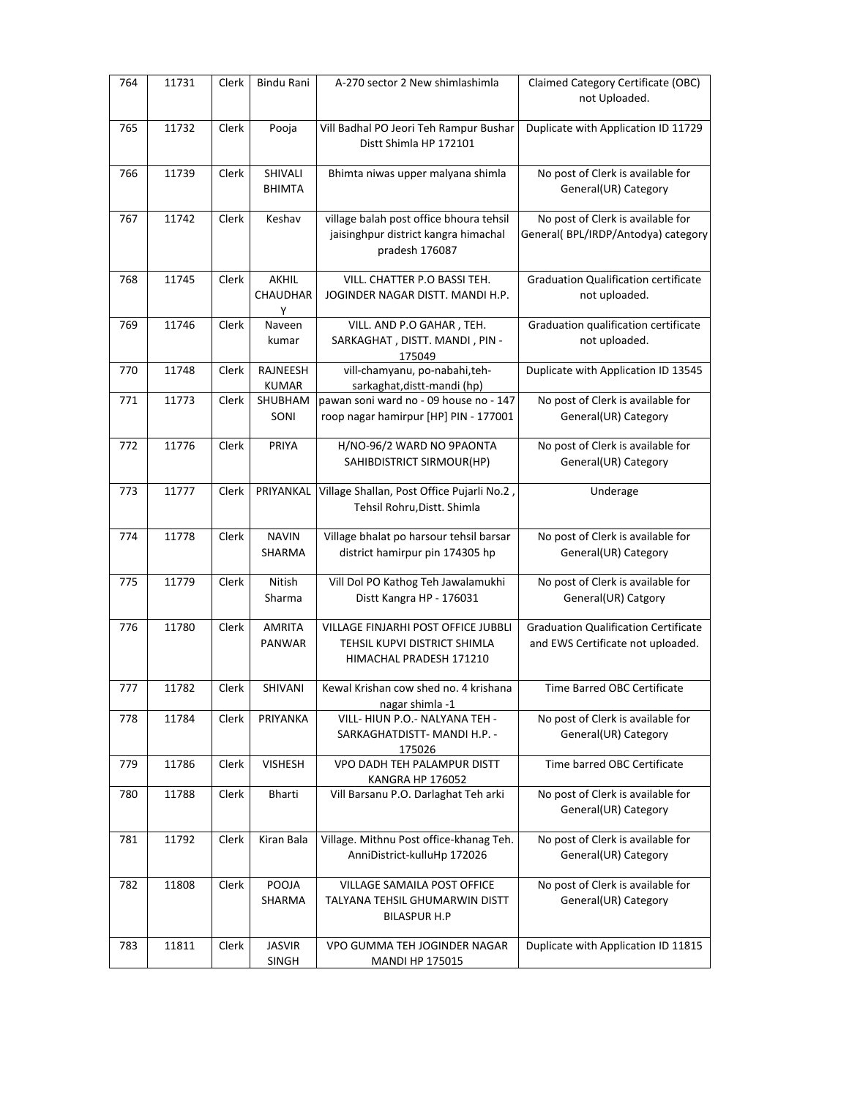| 764 | 11731 | Clerk | Bindu Rani                           | A-270 sector 2 New shimlashimla                                                                   | Claimed Category Certificate (OBC)                                               |
|-----|-------|-------|--------------------------------------|---------------------------------------------------------------------------------------------------|----------------------------------------------------------------------------------|
|     |       |       |                                      |                                                                                                   | not Uploaded.                                                                    |
| 765 | 11732 | Clerk | Pooja                                | Vill Badhal PO Jeori Teh Rampur Bushar<br>Distt Shimla HP 172101                                  | Duplicate with Application ID 11729                                              |
| 766 | 11739 | Clerk | SHIVALI<br>BHIMTA                    | Bhimta niwas upper malyana shimla                                                                 | No post of Clerk is available for<br>General(UR) Category                        |
| 767 | 11742 | Clerk | Keshav                               | village balah post office bhoura tehsil<br>jaisinghpur district kangra himachal<br>pradesh 176087 | No post of Clerk is available for<br>General(BPL/IRDP/Antodya) category          |
| 768 | 11745 | Clerk | <b>AKHIL</b><br><b>CHAUDHAR</b><br>Υ | VILL. CHATTER P.O BASSI TEH.<br>JOGINDER NAGAR DISTT. MANDI H.P.                                  | <b>Graduation Qualification certificate</b><br>not uploaded.                     |
| 769 | 11746 | Clerk | Naveen<br>kumar                      | VILL. AND P.O GAHAR, TEH.<br>SARKAGHAT, DISTT. MANDI, PIN -<br>175049                             | Graduation qualification certificate<br>not uploaded.                            |
| 770 | 11748 | Clerk | RAJNEESH<br><b>KUMAR</b>             | vill-chamyanu, po-nabahi,teh-<br>sarkaghat, distt-mandi (hp)                                      | Duplicate with Application ID 13545                                              |
| 771 | 11773 | Clerk | SHUBHAM<br>SONI                      | pawan soni ward no - 09 house no - 147<br>roop nagar hamirpur [HP] PIN - 177001                   | No post of Clerk is available for<br>General(UR) Category                        |
| 772 | 11776 | Clerk | PRIYA                                | H/NO-96/2 WARD NO 9PAONTA<br>SAHIBDISTRICT SIRMOUR(HP)                                            | No post of Clerk is available for<br>General(UR) Category                        |
| 773 | 11777 | Clerk | PRIYANKAL                            | Village Shallan, Post Office Pujarli No.2,<br>Tehsil Rohru, Distt. Shimla                         | Underage                                                                         |
| 774 | 11778 | Clerk | <b>NAVIN</b><br>SHARMA               | Village bhalat po harsour tehsil barsar<br>district hamirpur pin 174305 hp                        | No post of Clerk is available for<br>General(UR) Category                        |
| 775 | 11779 | Clerk | Nitish<br>Sharma                     | Vill Dol PO Kathog Teh Jawalamukhi<br>Distt Kangra HP - 176031                                    | No post of Clerk is available for<br>General(UR) Catgory                         |
| 776 | 11780 | Clerk | AMRITA<br>PANWAR                     | VILLAGE FINJARHI POST OFFICE JUBBLI<br>TEHSIL KUPVI DISTRICT SHIMLA<br>HIMACHAL PRADESH 171210    | <b>Graduation Qualification Certificate</b><br>and EWS Certificate not uploaded. |
| 777 | 11782 | Clerk | <b>SHIVANI</b>                       | Kewal Krishan cow shed no. 4 krishana<br>nagar shimla -1                                          | Time Barred OBC Certificate                                                      |
| 778 | 11784 | Clerk | PRIYANKA                             | VILL- HIUN P.O.- NALYANA TEH -<br>SARKAGHATDISTT- MANDI H.P. -<br>175026                          | No post of Clerk is available for<br>General(UR) Category                        |
| 779 | 11786 | Clerk | <b>VISHESH</b>                       | VPO DADH TEH PALAMPUR DISTT<br>KANGRA HP 176052                                                   | Time barred OBC Certificate                                                      |
| 780 | 11788 | Clerk | Bharti                               | Vill Barsanu P.O. Darlaghat Teh arki                                                              | No post of Clerk is available for<br>General(UR) Category                        |
| 781 | 11792 | Clerk | Kiran Bala                           | Village. Mithnu Post office-khanag Teh.<br>AnniDistrict-kulluHp 172026                            | No post of Clerk is available for<br>General(UR) Category                        |
| 782 | 11808 | Clerk | POOJA<br>SHARMA                      | VILLAGE SAMAILA POST OFFICE<br>TALYANA TEHSIL GHUMARWIN DISTT<br><b>BILASPUR H.P</b>              | No post of Clerk is available for<br>General(UR) Category                        |
| 783 | 11811 | Clerk | <b>JASVIR</b><br>SINGH               | VPO GUMMA TEH JOGINDER NAGAR<br><b>MANDI HP 175015</b>                                            | Duplicate with Application ID 11815                                              |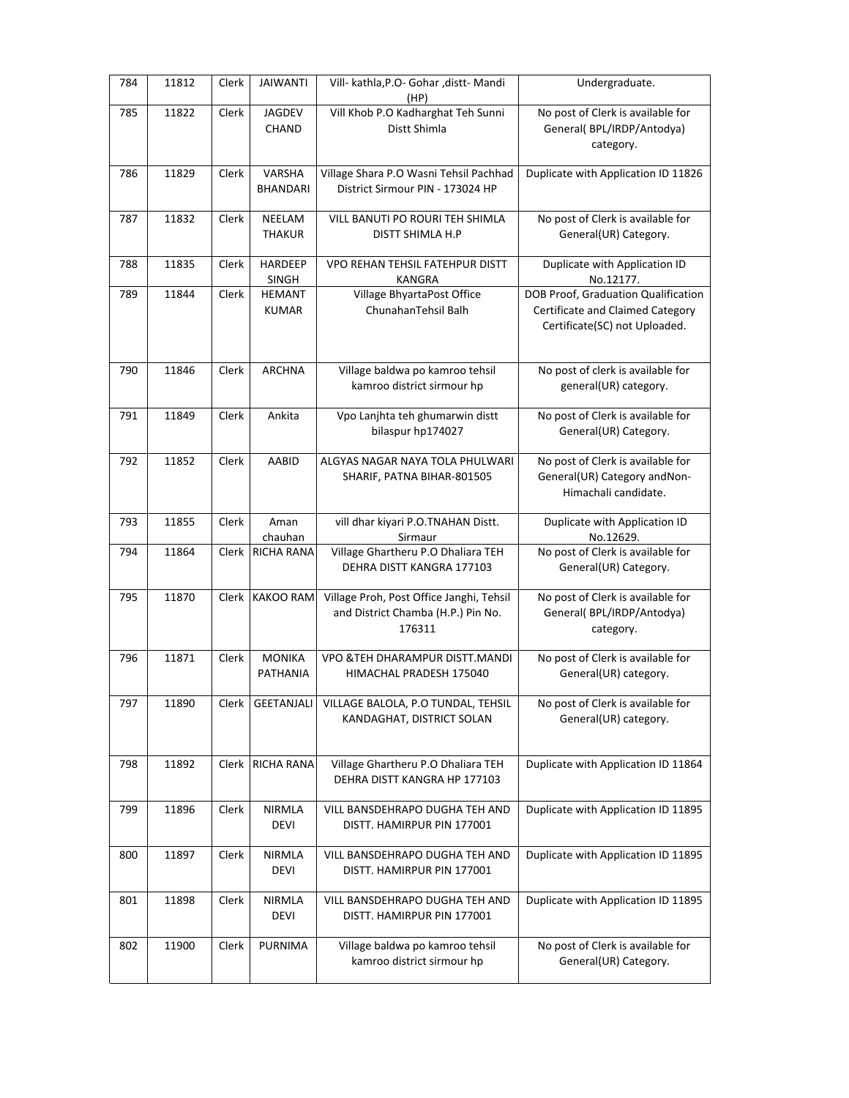| 784 | 11812 | Clerk | <b>JAIWANTI</b>               | Vill- kathla, P.O- Gohar, distt- Mandi<br>(HP)                                           | Undergraduate.                                                                                           |
|-----|-------|-------|-------------------------------|------------------------------------------------------------------------------------------|----------------------------------------------------------------------------------------------------------|
| 785 | 11822 | Clerk | <b>JAGDEV</b><br>CHAND        | Vill Khob P.O Kadharghat Teh Sunni<br>Distt Shimla                                       | No post of Clerk is available for<br>General(BPL/IRDP/Antodya)<br>category.                              |
| 786 | 11829 | Clerk | VARSHA<br><b>BHANDARI</b>     | Village Shara P.O Wasni Tehsil Pachhad<br>District Sirmour PIN - 173024 HP               | Duplicate with Application ID 11826                                                                      |
| 787 | 11832 | Clerk | NEELAM<br><b>THAKUR</b>       | VILL BANUTI PO ROURI TEH SHIMLA<br>DISTT SHIMLA H.P                                      | No post of Clerk is available for<br>General(UR) Category.                                               |
| 788 | 11835 | Clerk | <b>HARDEEP</b><br>SINGH       | VPO REHAN TEHSIL FATEHPUR DISTT<br>KANGRA                                                | Duplicate with Application ID<br>No.12177.                                                               |
| 789 | 11844 | Clerk | <b>HEMANT</b><br><b>KUMAR</b> | Village BhyartaPost Office<br>ChunahanTehsil Balh                                        | DOB Proof, Graduation Qualification<br>Certificate and Claimed Category<br>Certificate(SC) not Uploaded. |
| 790 | 11846 | Clerk | <b>ARCHNA</b>                 | Village baldwa po kamroo tehsil<br>kamroo district sirmour hp                            | No post of clerk is available for<br>general(UR) category.                                               |
| 791 | 11849 | Clerk | Ankita                        | Vpo Lanjhta teh ghumarwin distt<br>bilaspur hp174027                                     | No post of Clerk is available for<br>General(UR) Category.                                               |
| 792 | 11852 | Clerk | AABID                         | ALGYAS NAGAR NAYA TOLA PHULWARI<br>SHARIF, PATNA BIHAR-801505                            | No post of Clerk is available for<br>General(UR) Category and Non-<br>Himachali candidate.               |
| 793 | 11855 | Clerk | Aman<br>chauhan               | vill dhar kiyari P.O.TNAHAN Distt.<br>Sirmaur                                            | Duplicate with Application ID<br>No.12629.                                                               |
| 794 | 11864 | Clerk | <b>RICHA RANA</b>             | Village Ghartheru P.O Dhaliara TEH<br>DEHRA DISTT KANGRA 177103                          | No post of Clerk is available for<br>General(UR) Category.                                               |
| 795 | 11870 | Clerk | <b>KAKOO RAM</b>              | Village Proh, Post Office Janghi, Tehsil<br>and District Chamba (H.P.) Pin No.<br>176311 | No post of Clerk is available for<br>General(BPL/IRDP/Antodya)<br>category.                              |
| 796 | 11871 | Clerk | <b>MONIKA</b><br>PATHANIA     | VPO & TEH DHARAMPUR DISTT. MANDI<br>HIMACHAL PRADESH 175040                              | No post of Clerk is available for<br>General(UR) category.                                               |
| 797 | 11890 | Clerk | GEETANJALI                    | VILLAGE BALOLA, P.O TUNDAL, TEHSIL<br>KANDAGHAT, DISTRICT SOLAN                          | No post of Clerk is available for<br>General(UR) category.                                               |
| 798 | 11892 | Clerk | <b>RICHA RANA</b>             | Village Ghartheru P.O Dhaliara TEH<br>DEHRA DISTT KANGRA HP 177103                       | Duplicate with Application ID 11864                                                                      |
| 799 | 11896 | Clerk | NIRMLA<br><b>DEVI</b>         | VILL BANSDEHRAPO DUGHA TEH AND<br>DISTT. HAMIRPUR PIN 177001                             | Duplicate with Application ID 11895                                                                      |
| 800 | 11897 | Clerk | <b>NIRMLA</b><br><b>DEVI</b>  | VILL BANSDEHRAPO DUGHA TEH AND<br>DISTT. HAMIRPUR PIN 177001                             | Duplicate with Application ID 11895                                                                      |
| 801 | 11898 | Clerk | <b>NIRMLA</b><br><b>DEVI</b>  | VILL BANSDEHRAPO DUGHA TEH AND<br>DISTT. HAMIRPUR PIN 177001                             | Duplicate with Application ID 11895                                                                      |
| 802 | 11900 | Clerk | PURNIMA                       | Village baldwa po kamroo tehsil<br>kamroo district sirmour hp                            | No post of Clerk is available for<br>General(UR) Category.                                               |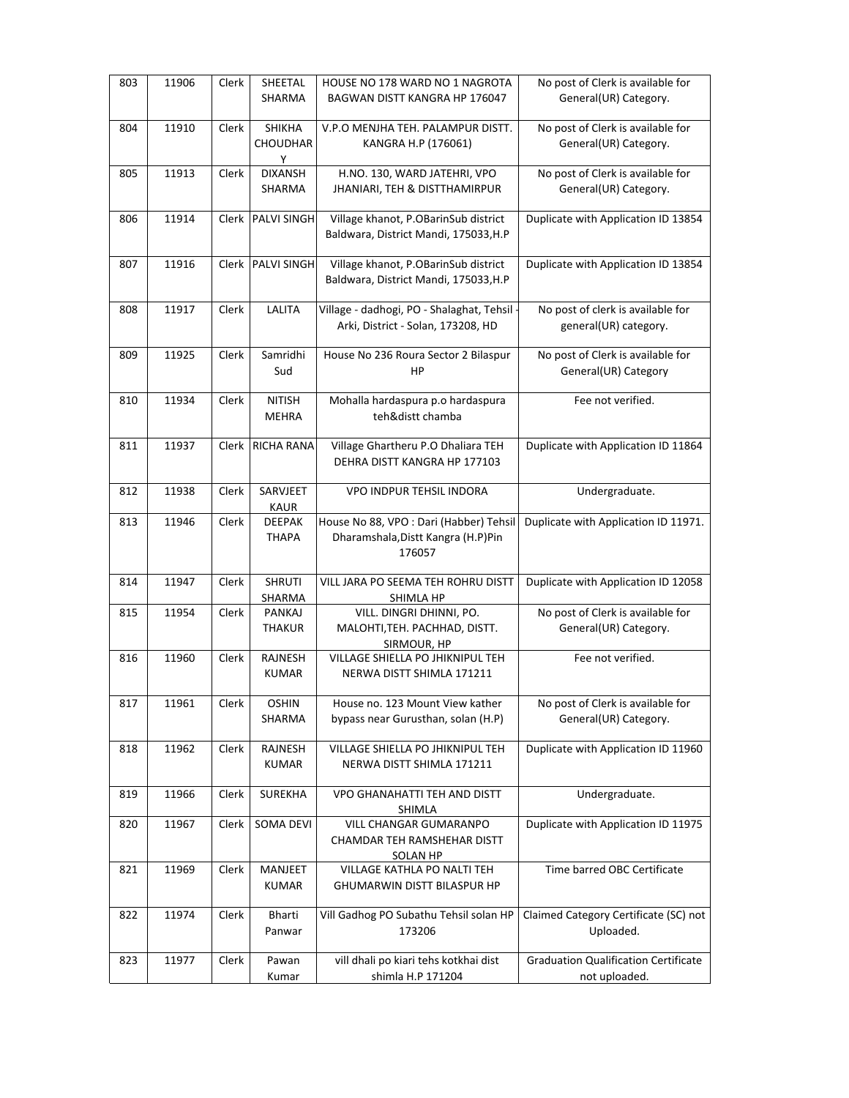| 803 | 11906 | Clerk | SHEETAL<br><b>SHARMA</b>      | HOUSE NO 178 WARD NO 1 NAGROTA<br>BAGWAN DISTT KANGRA HP 176047                          | No post of Clerk is available for<br>General(UR) Category.   |
|-----|-------|-------|-------------------------------|------------------------------------------------------------------------------------------|--------------------------------------------------------------|
| 804 | 11910 | Clerk | SHIKHA<br>CHOUDHAR<br>Υ       | V.P.O MENJHA TEH. PALAMPUR DISTT.<br>KANGRA H.P (176061)                                 | No post of Clerk is available for<br>General(UR) Category.   |
| 805 | 11913 | Clerk | <b>DIXANSH</b><br>SHARMA      | H.NO. 130, WARD JATEHRI, VPO<br>JHANIARI, TEH & DISTTHAMIRPUR                            | No post of Clerk is available for<br>General(UR) Category.   |
| 806 | 11914 | Clerk | <b>PALVI SINGH</b>            | Village khanot, P.OBarinSub district<br>Baldwara, District Mandi, 175033, H.P            | Duplicate with Application ID 13854                          |
| 807 | 11916 |       | Clerk PALVI SINGH             | Village khanot, P.OBarinSub district<br>Baldwara, District Mandi, 175033, H.P            | Duplicate with Application ID 13854                          |
| 808 | 11917 | Clerk | LALITA                        | Village - dadhogi, PO - Shalaghat, Tehsil -<br>Arki, District - Solan, 173208, HD        | No post of clerk is available for<br>general(UR) category.   |
| 809 | 11925 | Clerk | Samridhi<br>Sud               | House No 236 Roura Sector 2 Bilaspur<br>HP                                               | No post of Clerk is available for<br>General(UR) Category    |
| 810 | 11934 | Clerk | <b>NITISH</b><br><b>MEHRA</b> | Mohalla hardaspura p.o hardaspura<br>teh&distt chamba                                    | Fee not verified.                                            |
| 811 | 11937 |       | Clerk RICHA RANA              | Village Ghartheru P.O Dhaliara TEH<br>DEHRA DISTT KANGRA HP 177103                       | Duplicate with Application ID 11864                          |
| 812 | 11938 | Clerk | SARVJEET<br><b>KAUR</b>       | <b>VPO INDPUR TEHSIL INDORA</b>                                                          | Undergraduate.                                               |
| 813 | 11946 | Clerk | <b>DEEPAK</b><br><b>THAPA</b> | House No 88, VPO : Dari (Habber) Tehsil<br>Dharamshala, Distt Kangra (H.P) Pin<br>176057 | Duplicate with Application ID 11971.                         |
| 814 | 11947 | Clerk | <b>SHRUTI</b><br>SHARMA       | VILL JARA PO SEEMA TEH ROHRU DISTT<br>SHIMLA HP                                          | Duplicate with Application ID 12058                          |
| 815 | 11954 | Clerk | PANKAJ<br><b>THAKUR</b>       | VILL. DINGRI DHINNI, PO.<br>MALOHTI, TEH. PACHHAD, DISTT.<br>SIRMOUR, HP                 | No post of Clerk is available for<br>General(UR) Category.   |
| 816 | 11960 | Clerk | RAJNESH<br><b>KUMAR</b>       | VILLAGE SHIELLA PO JHIKNIPUL TEH<br>NERWA DISTT SHIMLA 171211                            | Fee not verified.                                            |
| 817 | 11961 | Clerk | <b>OSHIN</b><br>SHARMA        | House no. 123 Mount View kather<br>bypass near Gurusthan, solan (H.P)                    | No post of Clerk is available for<br>General(UR) Category.   |
| 818 | 11962 | Clerk | RAJNESH<br><b>KUMAR</b>       | VILLAGE SHIELLA PO JHIKNIPUL TEH<br>NERWA DISTT SHIMLA 171211                            | Duplicate with Application ID 11960                          |
| 819 | 11966 | Clerk | <b>SUREKHA</b>                | VPO GHANAHATTI TEH AND DISTT<br>SHIMLA                                                   | Undergraduate.                                               |
| 820 | 11967 | Clerk | <b>SOMA DEVI</b>              | VILL CHANGAR GUMARANPO<br>CHAMDAR TEH RAMSHEHAR DISTT<br>SOLAN HP                        | Duplicate with Application ID 11975                          |
| 821 | 11969 | Clerk | MANJEET<br><b>KUMAR</b>       | VILLAGE KATHLA PO NALTI TEH<br>GHUMARWIN DISTT BILASPUR HP                               | Time barred OBC Certificate                                  |
| 822 | 11974 | Clerk | Bharti<br>Panwar              | Vill Gadhog PO Subathu Tehsil solan HP<br>173206                                         | Claimed Category Certificate (SC) not<br>Uploaded.           |
| 823 | 11977 | Clerk | Pawan<br>Kumar                | vill dhali po kiari tehs kotkhai dist<br>shimla H.P 171204                               | <b>Graduation Qualification Certificate</b><br>not uploaded. |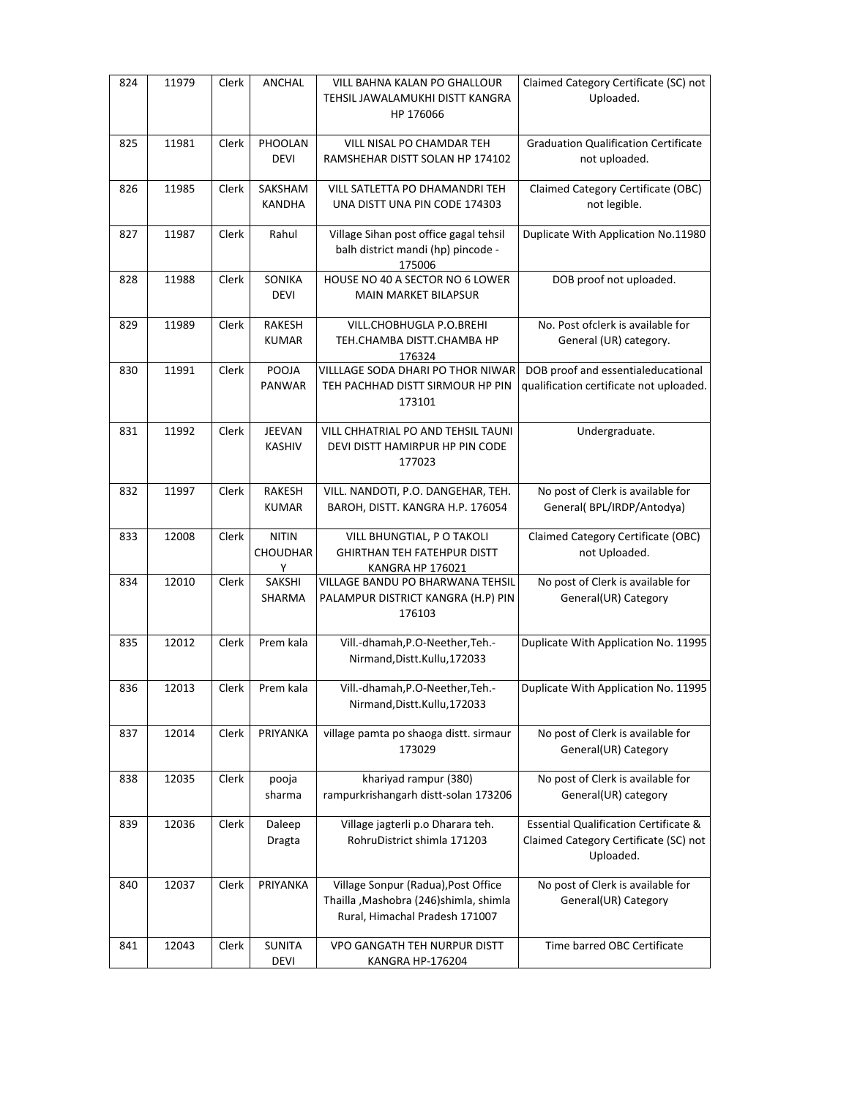| 824 | 11979 | Clerk | ANCHAL                               | VILL BAHNA KALAN PO GHALLOUR<br>TEHSIL JAWALAMUKHI DISTT KANGRA<br>HP 176066                                     | Claimed Category Certificate (SC) not<br>Uploaded.                                                     |
|-----|-------|-------|--------------------------------------|------------------------------------------------------------------------------------------------------------------|--------------------------------------------------------------------------------------------------------|
| 825 | 11981 | Clerk | PHOOLAN<br><b>DEVI</b>               | VILL NISAL PO CHAMDAR TEH<br>RAMSHEHAR DISTT SOLAN HP 174102                                                     | <b>Graduation Qualification Certificate</b><br>not uploaded.                                           |
| 826 | 11985 | Clerk | SAKSHAM<br>KANDHA                    | VILL SATLETTA PO DHAMANDRI TEH<br>UNA DISTT UNA PIN CODE 174303                                                  | Claimed Category Certificate (OBC)<br>not legible.                                                     |
| 827 | 11987 | Clerk | Rahul                                | Village Sihan post office gagal tehsil<br>balh district mandi (hp) pincode -<br>175006                           | Duplicate With Application No.11980                                                                    |
| 828 | 11988 | Clerk | SONIKA<br><b>DEVI</b>                | HOUSE NO 40 A SECTOR NO 6 LOWER<br><b>MAIN MARKET BILAPSUR</b>                                                   | DOB proof not uploaded.                                                                                |
| 829 | 11989 | Clerk | RAKESH<br><b>KUMAR</b>               | VILL.CHOBHUGLA P.O.BREHI<br>TEH.CHAMBA DISTT.CHAMBA HP<br>176324                                                 | No. Post of clerk is available for<br>General (UR) category.                                           |
| 830 | 11991 | Clerk | POOJA<br>PANWAR                      | VILLLAGE SODA DHARI PO THOR NIWAR<br>TEH PACHHAD DISTT SIRMOUR HP PIN<br>173101                                  | DOB proof and essentialeducational<br>qualification certificate not uploaded.                          |
| 831 | 11992 | Clerk | JEEVAN<br><b>KASHIV</b>              | VILL CHHATRIAL PO AND TEHSIL TAUNI<br>DEVI DISTT HAMIRPUR HP PIN CODE<br>177023                                  | Undergraduate.                                                                                         |
| 832 | 11997 | Clerk | RAKESH<br><b>KUMAR</b>               | VILL. NANDOTI, P.O. DANGEHAR, TEH.<br>BAROH, DISTT. KANGRA H.P. 176054                                           | No post of Clerk is available for<br>General(BPL/IRDP/Antodya)                                         |
| 833 | 12008 | Clerk | <b>NITIN</b><br><b>CHOUDHAR</b><br>Y | VILL BHUNGTIAL, P O TAKOLI<br><b>GHIRTHAN TEH FATEHPUR DISTT</b><br>KANGRA HP 176021                             | Claimed Category Certificate (OBC)<br>not Uploaded.                                                    |
| 834 | 12010 | Clerk | SAKSHI<br>SHARMA                     | VILLAGE BANDU PO BHARWANA TEHSIL<br>PALAMPUR DISTRICT KANGRA (H.P) PIN<br>176103                                 | No post of Clerk is available for<br>General(UR) Category                                              |
| 835 | 12012 | Clerk | Prem kala                            | Vill.-dhamah, P.O-Neether, Teh.-<br>Nirmand, Distt. Kullu, 172033                                                | Duplicate With Application No. 11995                                                                   |
| 836 | 12013 | Clerk | Prem kala                            | Vill.-dhamah, P.O-Neether, Teh.-<br>Nirmand, Distt. Kullu, 172033                                                | Duplicate With Application No. 11995                                                                   |
| 837 | 12014 | Clerk | PRIYANKA                             | village pamta po shaoga distt. sirmaur<br>173029                                                                 | No post of Clerk is available for<br>General(UR) Category                                              |
| 838 | 12035 | Clerk | pooja<br>sharma                      | khariyad rampur (380)<br>rampurkrishangarh distt-solan 173206                                                    | No post of Clerk is available for<br>General(UR) category                                              |
| 839 | 12036 | Clerk | Daleep<br>Dragta                     | Village jagterli p.o Dharara teh.<br>RohruDistrict shimla 171203                                                 | <b>Essential Qualification Certificate &amp;</b><br>Claimed Category Certificate (SC) not<br>Uploaded. |
| 840 | 12037 | Clerk | PRIYANKA                             | Village Sonpur (Radua), Post Office<br>Thailla , Mashobra (246) shimla, shimla<br>Rural, Himachal Pradesh 171007 | No post of Clerk is available for<br>General(UR) Category                                              |
| 841 | 12043 | Clerk | SUNITA<br><b>DEVI</b>                | VPO GANGATH TEH NURPUR DISTT<br>KANGRA HP-176204                                                                 | Time barred OBC Certificate                                                                            |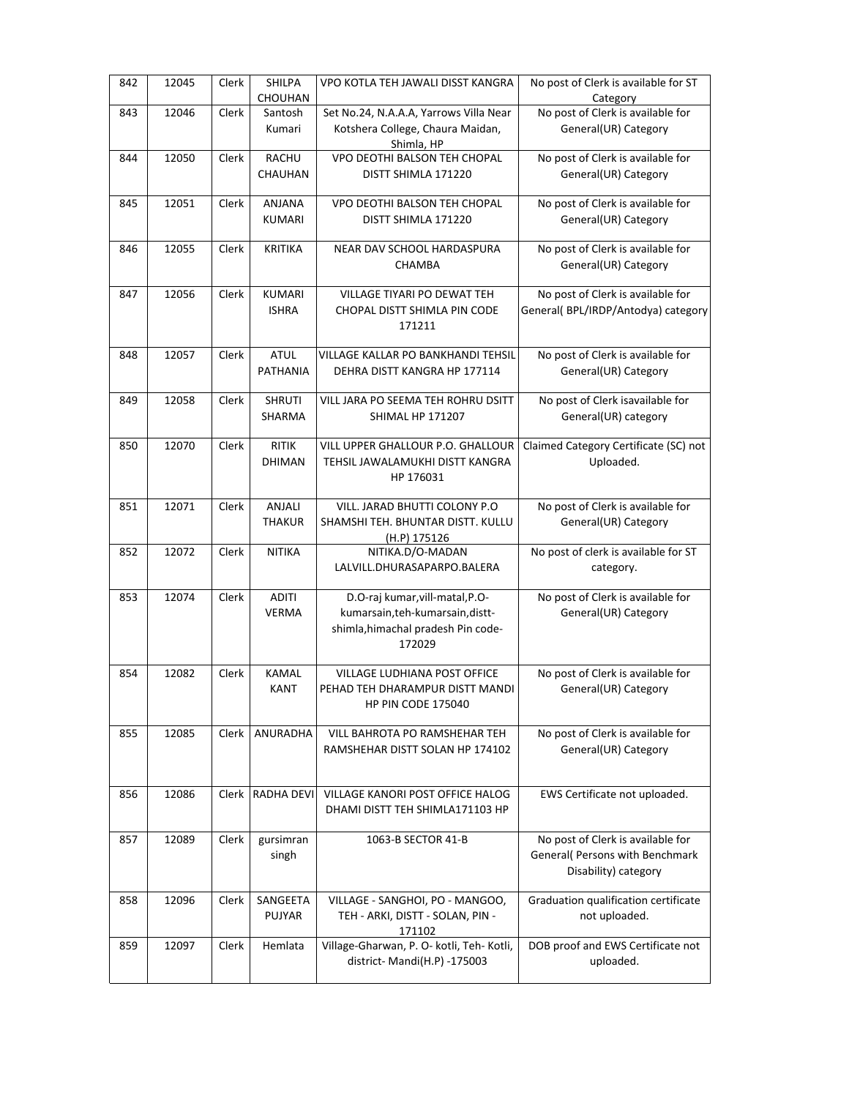| 842 | 12045 | Clerk | SHILPA<br>CHOUHAN       | VPO KOTLA TEH JAWALI DISST KANGRA                   | No post of Clerk is available for ST<br>Category |
|-----|-------|-------|-------------------------|-----------------------------------------------------|--------------------------------------------------|
| 843 | 12046 | Clerk | Santosh                 | Set No.24, N.A.A.A, Yarrows Villa Near              | No post of Clerk is available for                |
|     |       |       | Kumari                  | Kotshera College, Chaura Maidan,                    | General(UR) Category                             |
|     |       |       |                         | Shimla, HP                                          |                                                  |
| 844 | 12050 | Clerk | <b>RACHU</b>            | VPO DEOTHI BALSON TEH CHOPAL                        | No post of Clerk is available for                |
|     |       |       | CHAUHAN                 | DISTT SHIMLA 171220                                 | General(UR) Category                             |
|     |       |       |                         |                                                     |                                                  |
| 845 | 12051 | Clerk | <b>ANJANA</b>           | VPO DEOTHI BALSON TEH CHOPAL                        | No post of Clerk is available for                |
|     |       |       | <b>KUMARI</b>           | DISTT SHIMLA 171220                                 | General(UR) Category                             |
|     |       |       |                         |                                                     |                                                  |
| 846 | 12055 | Clerk | <b>KRITIKA</b>          | NEAR DAV SCHOOL HARDASPURA                          | No post of Clerk is available for                |
|     |       |       |                         | CHAMBA                                              | General(UR) Category                             |
| 847 | 12056 | Clerk | <b>KUMARI</b>           | VILLAGE TIYARI PO DEWAT TEH                         | No post of Clerk is available for                |
|     |       |       | <b>ISHRA</b>            | CHOPAL DISTT SHIMLA PIN CODE                        | General(BPL/IRDP/Antodya) category               |
|     |       |       |                         | 171211                                              |                                                  |
|     |       |       |                         |                                                     |                                                  |
| 848 | 12057 | Clerk | ATUL                    | VILLAGE KALLAR PO BANKHANDI TEHSIL                  | No post of Clerk is available for                |
|     |       |       | PATHANIA                | DEHRA DISTT KANGRA HP 177114                        | General(UR) Category                             |
|     |       |       |                         |                                                     |                                                  |
| 849 | 12058 | Clerk | <b>SHRUTI</b>           | VILL JARA PO SEEMA TEH ROHRU DSITT                  | No post of Clerk isavailable for                 |
|     |       |       | SHARMA                  | <b>SHIMAL HP 171207</b>                             | General(UR) category                             |
|     |       |       |                         |                                                     |                                                  |
| 850 | 12070 | Clerk | <b>RITIK</b>            | VILL UPPER GHALLOUR P.O. GHALLOUR                   | Claimed Category Certificate (SC) not            |
|     |       |       | <b>DHIMAN</b>           | TEHSIL JAWALAMUKHI DISTT KANGRA                     | Uploaded.                                        |
|     |       |       |                         | HP 176031                                           |                                                  |
|     |       |       |                         |                                                     |                                                  |
| 851 | 12071 | Clerk | ANJALI<br><b>THAKUR</b> | VILL. JARAD BHUTTI COLONY P.O                       | No post of Clerk is available for                |
|     |       |       |                         | SHAMSHI TEH. BHUNTAR DISTT. KULLU<br>(H.P) 175126   | General(UR) Category                             |
| 852 | 12072 | Clerk | NITIKA                  | NITIKA.D/O-MADAN                                    | No post of clerk is available for ST             |
|     |       |       |                         | LALVILL.DHURASAPARPO.BALERA                         | category.                                        |
|     |       |       |                         |                                                     |                                                  |
| 853 | 12074 | Clerk | ADITI                   | D.O-raj kumar, vill-matal, P.O-                     | No post of Clerk is available for                |
|     |       |       | <b>VERMA</b>            | kumarsain, teh-kumarsain, distt-                    | General(UR) Category                             |
|     |       |       |                         | shimla, himachal pradesh Pin code-                  |                                                  |
|     |       |       |                         | 172029                                              |                                                  |
|     |       |       |                         |                                                     |                                                  |
| 854 | 12082 | Clerk | <b>KAMAL</b>            | VILLAGE LUDHIANA POST OFFICE                        | No post of Clerk is available for                |
|     |       |       | KANT                    | PEHAD TEH DHARAMPUR DISTT MANDI                     | General(UR) Category                             |
|     |       |       |                         | HP PIN CODE 175040                                  |                                                  |
| 855 | 12085 | Clerk | ANURADHA                | VILL BAHROTA PO RAMSHEHAR TEH                       | No post of Clerk is available for                |
|     |       |       |                         | RAMSHEHAR DISTT SOLAN HP 174102                     | General(UR) Category                             |
|     |       |       |                         |                                                     |                                                  |
|     |       |       |                         |                                                     |                                                  |
| 856 | 12086 | Clerk | <b>RADHA DEVI</b>       | VILLAGE KANORI POST OFFICE HALOG                    | EWS Certificate not uploaded.                    |
|     |       |       |                         | DHAMI DISTT TEH SHIMLA171103 HP                     |                                                  |
|     |       |       |                         |                                                     |                                                  |
| 857 | 12089 | Clerk | gursimran               | 1063-B SECTOR 41-B                                  | No post of Clerk is available for                |
|     |       |       | singh                   |                                                     | General( Persons with Benchmark                  |
|     |       |       |                         |                                                     | Disability) category                             |
|     |       |       |                         |                                                     |                                                  |
| 858 | 12096 | Clerk | SANGEETA                | VILLAGE - SANGHOI, PO - MANGOO,                     | Graduation qualification certificate             |
|     |       |       | <b>PUJYAR</b>           | TEH - ARKI, DISTT - SOLAN, PIN -                    | not uploaded.                                    |
| 859 | 12097 | Clerk | Hemlata                 | 171102<br>Village-Gharwan, P. O- kotli, Teh- Kotli, | DOB proof and EWS Certificate not                |
|     |       |       |                         | district-Mandi(H.P) -175003                         | uploaded.                                        |
|     |       |       |                         |                                                     |                                                  |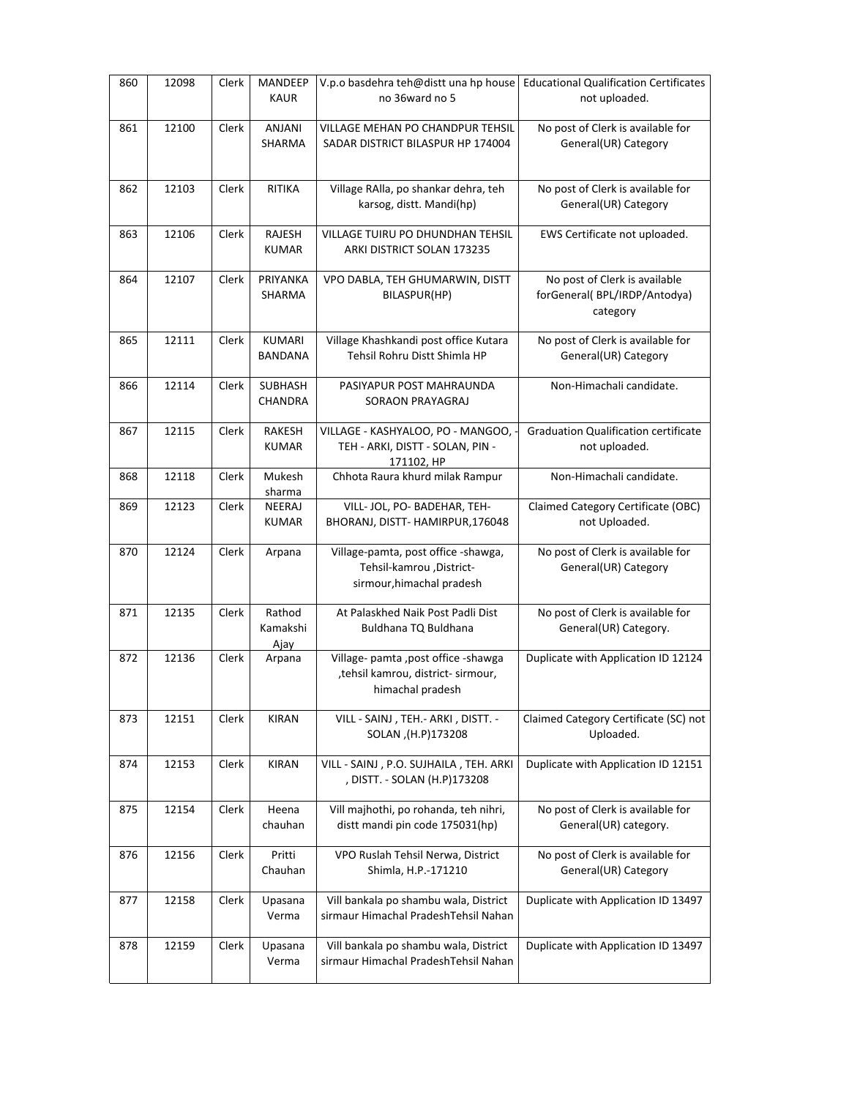| 860 | 12098 | Clerk | <b>MANDEEP</b><br><b>KAUR</b>    | V.p.o basdehra teh@distt una hp house<br>no 36ward no 5                                          | <b>Educational Qualification Certificates</b><br>not uploaded.            |
|-----|-------|-------|----------------------------------|--------------------------------------------------------------------------------------------------|---------------------------------------------------------------------------|
| 861 | 12100 | Clerk | ANJANI<br>SHARMA                 | VILLAGE MEHAN PO CHANDPUR TEHSIL<br>SADAR DISTRICT BILASPUR HP 174004                            | No post of Clerk is available for<br>General(UR) Category                 |
| 862 | 12103 | Clerk | RITIKA                           | Village RAlla, po shankar dehra, teh<br>karsog, distt. Mandi(hp)                                 | No post of Clerk is available for<br>General(UR) Category                 |
| 863 | 12106 | Clerk | RAJESH<br><b>KUMAR</b>           | VILLAGE TUIRU PO DHUNDHAN TEHSIL<br>ARKI DISTRICT SOLAN 173235                                   | EWS Certificate not uploaded.                                             |
| 864 | 12107 | Clerk | PRIYANKA<br>SHARMA               | VPO DABLA, TEH GHUMARWIN, DISTT<br>BILASPUR(HP)                                                  | No post of Clerk is available<br>forGeneral(BPL/IRDP/Antodya)<br>category |
| 865 | 12111 | Clerk | <b>KUMARI</b><br><b>BANDANA</b>  | Village Khashkandi post office Kutara<br>Tehsil Rohru Distt Shimla HP                            | No post of Clerk is available for<br>General(UR) Category                 |
| 866 | 12114 | Clerk | <b>SUBHASH</b><br><b>CHANDRA</b> | PASIYAPUR POST MAHRAUNDA<br>SORAON PRAYAGRAJ                                                     | Non-Himachali candidate.                                                  |
| 867 | 12115 | Clerk | RAKESH<br><b>KUMAR</b>           | VILLAGE - KASHYALOO, PO - MANGOO, -<br>TEH - ARKI, DISTT - SOLAN, PIN -<br>171102, HP            | <b>Graduation Qualification certificate</b><br>not uploaded.              |
| 868 | 12118 | Clerk | Mukesh<br>sharma                 | Chhota Raura khurd milak Rampur                                                                  | Non-Himachali candidate.                                                  |
| 869 | 12123 | Clerk | NEERAJ<br>KUMAR                  | VILL- JOL, PO- BADEHAR, TEH-<br>BHORANJ, DISTT- HAMIRPUR,176048                                  | Claimed Category Certificate (OBC)<br>not Uploaded.                       |
| 870 | 12124 | Clerk | Arpana                           | Village-pamta, post office -shawga,<br>Tehsil-kamrou , District-<br>sirmour, himachal pradesh    | No post of Clerk is available for<br>General(UR) Category                 |
| 871 | 12135 | Clerk | Rathod<br>Kamakshi<br>Ajay       | At Palaskhed Naik Post Padli Dist<br>Buldhana TQ Buldhana                                        | No post of Clerk is available for<br>General(UR) Category.                |
| 872 | 12136 | Clerk | Arpana                           | Village- pamta , post office - shawga<br>, tehsil kamrou, district- sirmour,<br>himachal pradesh | Duplicate with Application ID 12124                                       |
| 873 | 12151 | Clerk | <b>KIRAN</b>                     | VILL - SAINJ, TEH. - ARKI, DISTT. -<br>SOLAN, (H.P)173208                                        | Claimed Category Certificate (SC) not<br>Uploaded.                        |
| 874 | 12153 | Clerk | <b>KIRAN</b>                     | VILL - SAINJ, P.O. SUJHAILA, TEH. ARKI<br>, DISTT. - SOLAN (H.P)173208                           | Duplicate with Application ID 12151                                       |
| 875 | 12154 | Clerk | Heena<br>chauhan                 | Vill majhothi, po rohanda, teh nihri,<br>distt mandi pin code 175031(hp)                         | No post of Clerk is available for<br>General(UR) category.                |
| 876 | 12156 | Clerk | Pritti<br>Chauhan                | VPO Ruslah Tehsil Nerwa, District<br>Shimla, H.P.-171210                                         | No post of Clerk is available for<br>General(UR) Category                 |
| 877 | 12158 | Clerk | Upasana<br>Verma                 | Vill bankala po shambu wala, District<br>sirmaur Himachal PradeshTehsil Nahan                    | Duplicate with Application ID 13497                                       |
| 878 | 12159 | Clerk | Upasana<br>Verma                 | Vill bankala po shambu wala, District<br>sirmaur Himachal PradeshTehsil Nahan                    | Duplicate with Application ID 13497                                       |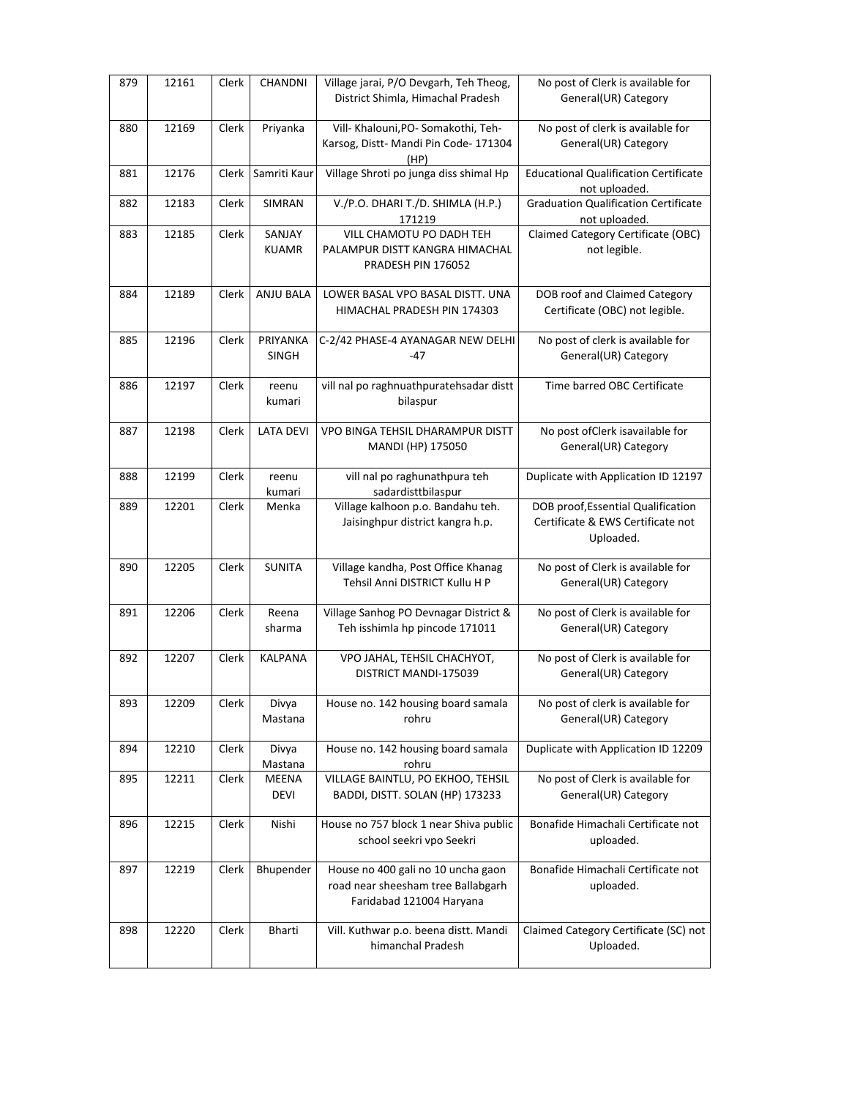| 879 | 12161 | Clerk | CHANDNI                     | Village jarai, P/O Devgarh, Teh Theog,<br>District Shimla, Himachal Pradesh                          | No post of Clerk is available for<br>General(UR) Category                            |
|-----|-------|-------|-----------------------------|------------------------------------------------------------------------------------------------------|--------------------------------------------------------------------------------------|
| 880 | 12169 | Clerk | Priyanka                    | Vill- Khalouni, PO- Somakothi, Teh-<br>Karsog, Distt-Mandi Pin Code-171304<br>(HP)                   | No post of clerk is available for<br>General(UR) Category                            |
| 881 | 12176 | Clerk | Samriti Kaur                | Village Shroti po junga diss shimal Hp                                                               | <b>Educational Qualification Certificate</b><br>not uploaded.                        |
| 882 | 12183 | Clerk | SIMRAN                      | V./P.O. DHARI T./D. SHIMLA (H.P.)<br>171219                                                          | <b>Graduation Qualification Certificate</b><br>not uploaded.                         |
| 883 | 12185 | Clerk | SANJAY<br><b>KUAMR</b>      | VILL CHAMOTU PO DADH TEH<br>PALAMPUR DISTT KANGRA HIMACHAL<br>PRADESH PIN 176052                     | Claimed Category Certificate (OBC)<br>not legible.                                   |
| 884 | 12189 | Clerk | ANJU BALA                   | LOWER BASAL VPO BASAL DISTT. UNA<br>HIMACHAL PRADESH PIN 174303                                      | DOB roof and Claimed Category<br>Certificate (OBC) not legible.                      |
| 885 | 12196 | Clerk | PRIYANKA<br><b>SINGH</b>    | C-2/42 PHASE-4 AYANAGAR NEW DELHI<br>-47                                                             | No post of clerk is available for<br>General(UR) Category                            |
| 886 | 12197 | Clerk | reenu<br>kumari             | vill nal po raghnuathpuratehsadar distt<br>bilaspur                                                  | Time barred OBC Certificate                                                          |
| 887 | 12198 | Clerk | <b>LATA DEVI</b>            | VPO BINGA TEHSIL DHARAMPUR DISTT<br>MANDI (HP) 175050                                                | No post ofClerk isavailable for<br>General(UR) Category                              |
| 888 | 12199 | Clerk | reenu<br>kumari             | vill nal po raghunathpura teh<br>sadardisttbilaspur                                                  | Duplicate with Application ID 12197                                                  |
| 889 | 12201 | Clerk | Menka                       | Village kalhoon p.o. Bandahu teh.<br>Jaisinghpur district kangra h.p.                                | DOB proof, Essential Qualification<br>Certificate & EWS Certificate not<br>Uploaded. |
| 890 | 12205 | Clerk | <b>SUNITA</b>               | Village kandha, Post Office Khanag<br>Tehsil Anni DISTRICT Kullu H P                                 | No post of Clerk is available for<br>General(UR) Category                            |
| 891 | 12206 | Clerk | Reena<br>sharma             | Village Sanhog PO Devnagar District &<br>Teh isshimla hp pincode 171011                              | No post of Clerk is available for<br>General(UR) Category                            |
| 892 | 12207 | Clerk | <b>KALPANA</b>              | VPO JAHAL, TEHSIL CHACHYOT,<br>DISTRICT MANDI-175039                                                 | No post of Clerk is available for<br>General(UR) Category                            |
| 893 | 12209 | Clerk | Divya<br>Mastana            | House no. 142 housing board samala<br>rohru                                                          | No post of clerk is available for<br>General(UR) Category                            |
| 894 | 12210 | Clerk | Divya<br>Mastana            | House no. 142 housing board samala<br>rohru                                                          | Duplicate with Application ID 12209                                                  |
| 895 | 12211 | Clerk | <b>MEENA</b><br><b>DEVI</b> | VILLAGE BAINTLU, PO EKHOO, TEHSIL<br>BADDI, DISTT. SOLAN (HP) 173233                                 | No post of Clerk is available for<br>General(UR) Category                            |
| 896 | 12215 | Clerk | Nishi                       | House no 757 block 1 near Shiva public<br>school seekri vpo Seekri                                   | Bonafide Himachali Certificate not<br>uploaded.                                      |
| 897 | 12219 | Clerk | Bhupender                   | House no 400 gali no 10 uncha gaon<br>road near sheesham tree Ballabgarh<br>Faridabad 121004 Haryana | Bonafide Himachali Certificate not<br>uploaded.                                      |
| 898 | 12220 | Clerk | Bharti                      | Vill. Kuthwar p.o. beena distt. Mandi<br>himanchal Pradesh                                           | Claimed Category Certificate (SC) not<br>Uploaded.                                   |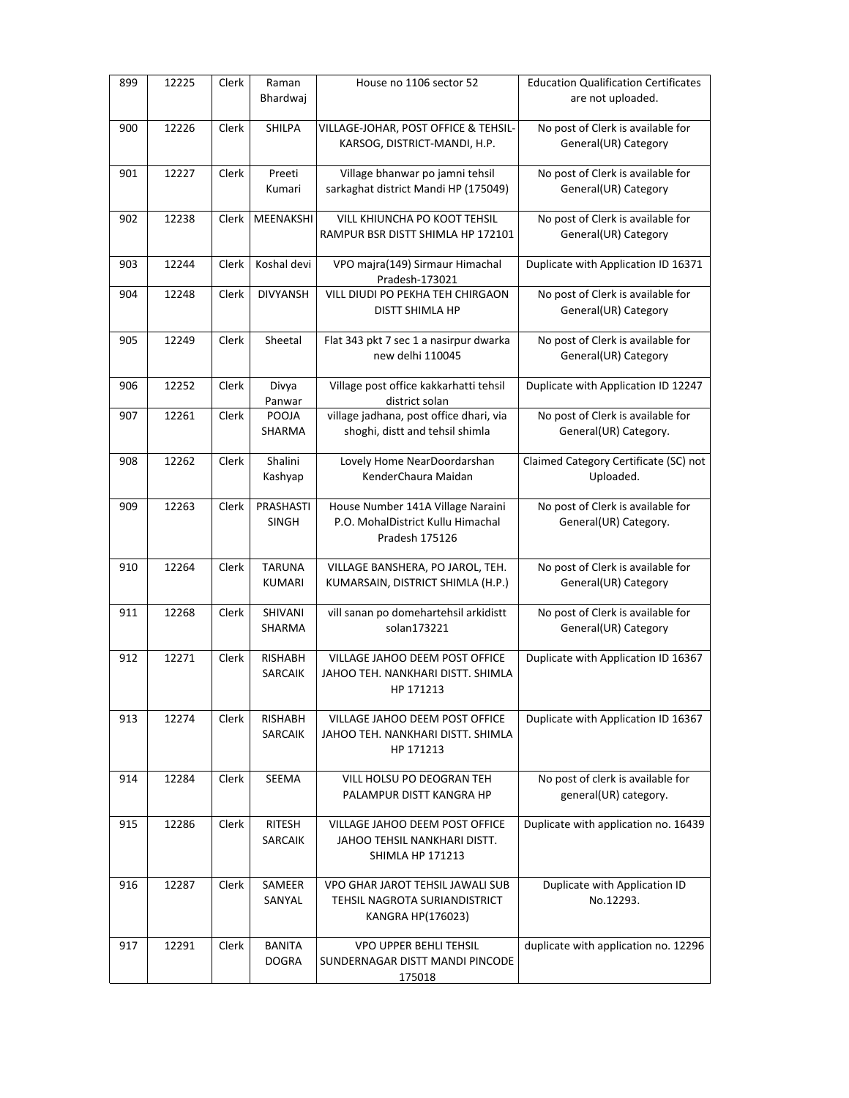| 899 | 12225 | Clerk | Raman<br>Bhardwaj                | House no 1106 sector 52                                                                   | <b>Education Qualification Certificates</b><br>are not uploaded. |
|-----|-------|-------|----------------------------------|-------------------------------------------------------------------------------------------|------------------------------------------------------------------|
| 900 | 12226 | Clerk | <b>SHILPA</b>                    | VILLAGE-JOHAR, POST OFFICE & TEHSIL-<br>KARSOG, DISTRICT-MANDI, H.P.                      | No post of Clerk is available for<br>General(UR) Category        |
| 901 | 12227 | Clerk | Preeti<br>Kumari                 | Village bhanwar po jamni tehsil<br>sarkaghat district Mandi HP (175049)                   | No post of Clerk is available for<br>General(UR) Category        |
| 902 | 12238 | Clerk | MEENAKSHI                        | VILL KHIUNCHA PO KOOT TEHSIL<br>RAMPUR BSR DISTT SHIMLA HP 172101                         | No post of Clerk is available for<br>General(UR) Category        |
| 903 | 12244 | Clerk | Koshal devi                      | VPO majra(149) Sirmaur Himachal<br>Pradesh-173021                                         | Duplicate with Application ID 16371                              |
| 904 | 12248 | Clerk | <b>DIVYANSH</b>                  | VILL DIUDI PO PEKHA TEH CHIRGAON<br><b>DISTT SHIMLA HP</b>                                | No post of Clerk is available for<br>General(UR) Category        |
| 905 | 12249 | Clerk | Sheetal                          | Flat 343 pkt 7 sec 1 a nasirpur dwarka<br>new delhi 110045                                | No post of Clerk is available for<br>General(UR) Category        |
| 906 | 12252 | Clerk | Divya<br>Panwar                  | Village post office kakkarhatti tehsil<br>district solan                                  | Duplicate with Application ID 12247                              |
| 907 | 12261 | Clerk | POOJA<br>SHARMA                  | village jadhana, post office dhari, via<br>shoghi, distt and tehsil shimla                | No post of Clerk is available for<br>General(UR) Category.       |
| 908 | 12262 | Clerk | Shalini<br>Kashyap               | Lovely Home NearDoordarshan<br>KenderChaura Maidan                                        | Claimed Category Certificate (SC) not<br>Uploaded.               |
| 909 | 12263 | Clerk | PRASHASTI<br><b>SINGH</b>        | House Number 141A Village Naraini<br>P.O. MohalDistrict Kullu Himachal<br>Pradesh 175126  | No post of Clerk is available for<br>General(UR) Category.       |
| 910 | 12264 | Clerk | <b>TARUNA</b><br><b>KUMARI</b>   | VILLAGE BANSHERA, PO JAROL, TEH.<br>KUMARSAIN, DISTRICT SHIMLA (H.P.)                     | No post of Clerk is available for<br>General(UR) Category        |
| 911 | 12268 | Clerk | SHIVANI<br>SHARMA                | vill sanan po domehartehsil arkidistt<br>solan173221                                      | No post of Clerk is available for<br>General(UR) Category        |
| 912 | 12271 | Clerk | <b>RISHABH</b><br><b>SARCAIK</b> | VILLAGE JAHOO DEEM POST OFFICE<br>JAHOO TEH. NANKHARI DISTT. SHIMLA<br>HP 171213          | Duplicate with Application ID 16367                              |
| 913 | 12274 | Clerk | RISHABH<br>SARCAIK               | VILLAGE JAHOO DEEM POST OFFICE<br>JAHOO TEH. NANKHARI DISTT. SHIMLA<br>HP 171213          | Duplicate with Application ID 16367                              |
| 914 | 12284 | Clerk | SEEMA                            | VILL HOLSU PO DEOGRAN TEH<br>PALAMPUR DISTT KANGRA HP                                     | No post of clerk is available for<br>general(UR) category.       |
| 915 | 12286 | Clerk | RITESH<br>SARCAIK                | VILLAGE JAHOO DEEM POST OFFICE<br>JAHOO TEHSIL NANKHARI DISTT.<br><b>SHIMLA HP 171213</b> | Duplicate with application no. 16439                             |
| 916 | 12287 | Clerk | SAMEER<br>SANYAL                 | VPO GHAR JAROT TEHSIL JAWALI SUB<br>TEHSIL NAGROTA SURIANDISTRICT<br>KANGRA HP(176023)    | Duplicate with Application ID<br>No.12293.                       |
| 917 | 12291 | Clerk | <b>BANITA</b><br><b>DOGRA</b>    | VPO UPPER BEHLI TEHSIL<br>SUNDERNAGAR DISTT MANDI PINCODE<br>175018                       | duplicate with application no. 12296                             |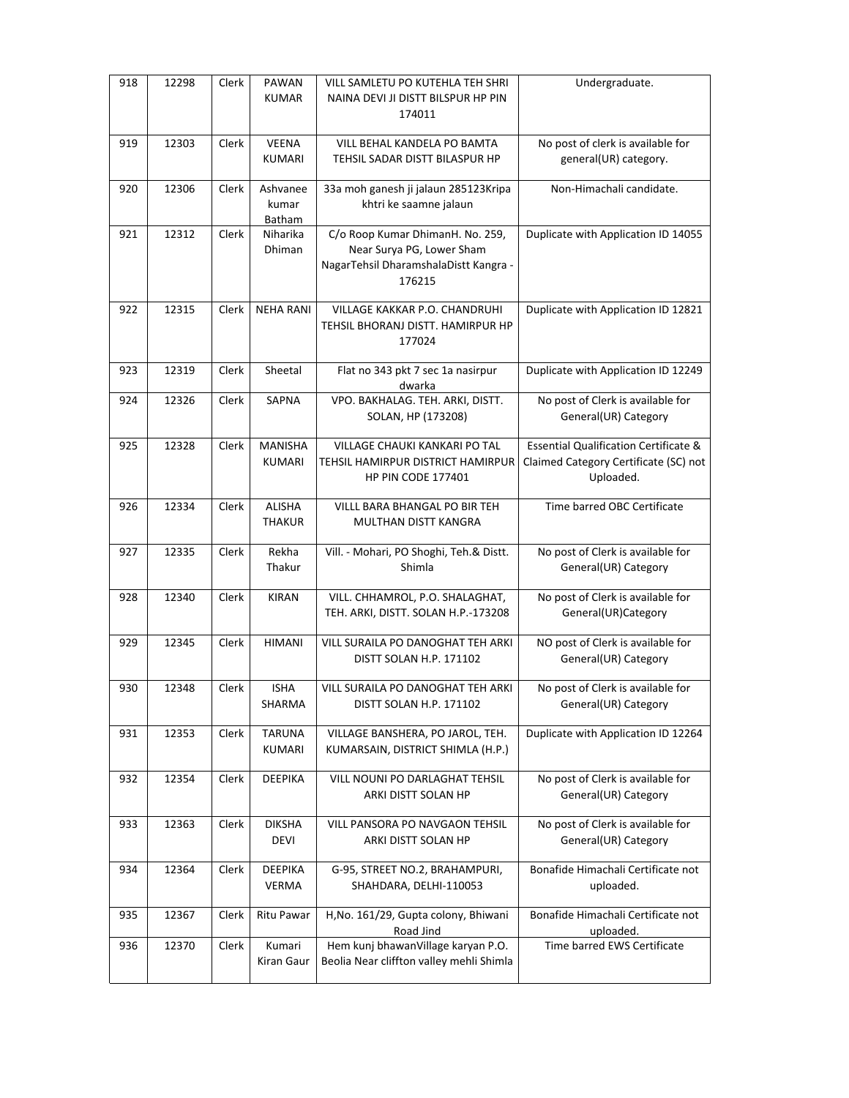| 918 | 12298 | Clerk | PAWAN<br><b>KUMAR</b>              | VILL SAMLETU PO KUTEHLA TEH SHRI<br>NAINA DEVI JI DISTT BILSPUR HP PIN<br>174011                                 | Undergraduate.                                                                                         |
|-----|-------|-------|------------------------------------|------------------------------------------------------------------------------------------------------------------|--------------------------------------------------------------------------------------------------------|
| 919 | 12303 | Clerk | <b>VEENA</b><br>KUMARI             | VILL BEHAL KANDELA PO BAMTA<br>TEHSIL SADAR DISTT BILASPUR HP                                                    | No post of clerk is available for<br>general(UR) category.                                             |
| 920 | 12306 | Clerk | Ashvanee<br>kumar<br><b>Batham</b> | 33a moh ganesh ji jalaun 285123Kripa<br>khtri ke saamne jalaun                                                   | Non-Himachali candidate.                                                                               |
| 921 | 12312 | Clerk | Niharika<br>Dhiman                 | C/o Roop Kumar DhimanH. No. 259,<br>Near Surya PG, Lower Sham<br>NagarTehsil DharamshalaDistt Kangra -<br>176215 | Duplicate with Application ID 14055                                                                    |
| 922 | 12315 | Clerk | <b>NEHA RANI</b>                   | VILLAGE KAKKAR P.O. CHANDRUHI<br>TEHSIL BHORANJ DISTT. HAMIRPUR HP<br>177024                                     | Duplicate with Application ID 12821                                                                    |
| 923 | 12319 | Clerk | Sheetal                            | Flat no 343 pkt 7 sec 1a nasirpur<br>dwarka                                                                      | Duplicate with Application ID 12249                                                                    |
| 924 | 12326 | Clerk | <b>SAPNA</b>                       | VPO. BAKHALAG. TEH. ARKI, DISTT.<br>SOLAN, HP (173208)                                                           | No post of Clerk is available for<br>General(UR) Category                                              |
| 925 | 12328 | Clerk | <b>MANISHA</b><br><b>KUMARI</b>    | <b>VILLAGE CHAUKI KANKARI PO TAL</b><br>TEHSIL HAMIRPUR DISTRICT HAMIRPUR<br><b>HP PIN CODE 177401</b>           | <b>Essential Qualification Certificate &amp;</b><br>Claimed Category Certificate (SC) not<br>Uploaded. |
| 926 | 12334 | Clerk | <b>ALISHA</b><br><b>THAKUR</b>     | VILLL BARA BHANGAL PO BIR TEH<br>MULTHAN DISTT KANGRA                                                            | Time barred OBC Certificate                                                                            |
| 927 | 12335 | Clerk | Rekha<br>Thakur                    | Vill. - Mohari, PO Shoghi, Teh.& Distt.<br>Shimla                                                                | No post of Clerk is available for<br>General(UR) Category                                              |
| 928 | 12340 | Clerk | <b>KIRAN</b>                       | VILL. CHHAMROL, P.O. SHALAGHAT,<br>TEH. ARKI, DISTT. SOLAN H.P.-173208                                           | No post of Clerk is available for<br>General(UR)Category                                               |
| 929 | 12345 | Clerk | <b>HIMANI</b>                      | VILL SURAILA PO DANOGHAT TEH ARKI<br>DISTT SOLAN H.P. 171102                                                     | NO post of Clerk is available for<br>General(UR) Category                                              |
| 930 | 12348 | Clerk | <b>ISHA</b><br>SHARMA              | VILL SURAILA PO DANOGHAT TEH ARKI<br>DISTT SOLAN H.P. 171102                                                     | No post of Clerk is available for<br>General(UR) Category                                              |
| 931 | 12353 | Clerk | <b>TARUNA</b><br><b>KUMARI</b>     | VILLAGE BANSHERA, PO JAROL, TEH.<br>KUMARSAIN, DISTRICT SHIMLA (H.P.)                                            | Duplicate with Application ID 12264                                                                    |
| 932 | 12354 | Clerk | <b>DEEPIKA</b>                     | VILL NOUNI PO DARLAGHAT TEHSIL<br>ARKI DISTT SOLAN HP                                                            | No post of Clerk is available for<br>General(UR) Category                                              |
| 933 | 12363 | Clerk | <b>DIKSHA</b><br><b>DEVI</b>       | VILL PANSORA PO NAVGAON TEHSIL<br>ARKI DISTT SOLAN HP                                                            | No post of Clerk is available for<br>General(UR) Category                                              |
| 934 | 12364 | Clerk | <b>DEEPIKA</b><br>VERMA            | G-95, STREET NO.2, BRAHAMPURI,<br>SHAHDARA, DELHI-110053                                                         | Bonafide Himachali Certificate not<br>uploaded.                                                        |
| 935 | 12367 | Clerk | Ritu Pawar                         | H, No. 161/29, Gupta colony, Bhiwani<br>Road Jind                                                                | Bonafide Himachali Certificate not<br>uploaded.                                                        |
| 936 | 12370 | Clerk | Kumari<br>Kiran Gaur               | Hem kunj bhawanVillage karyan P.O.<br>Beolia Near cliffton valley mehli Shimla                                   | Time barred EWS Certificate                                                                            |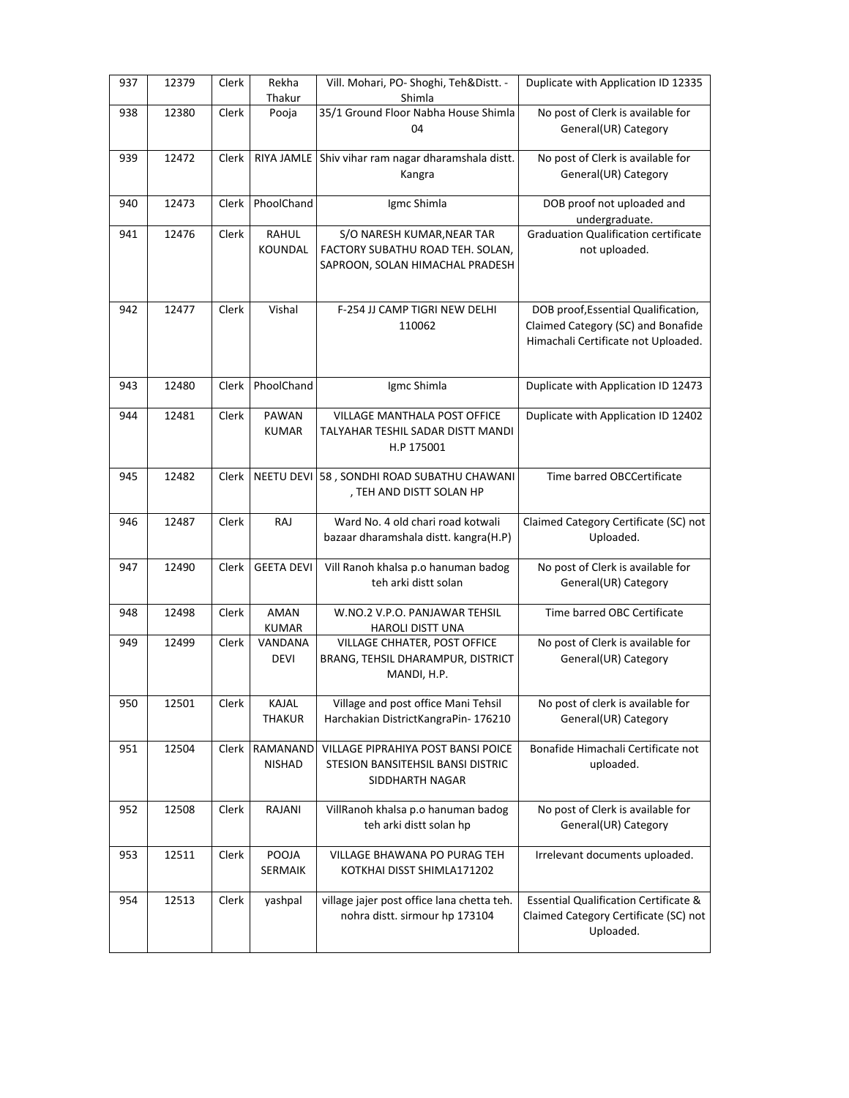| 937 | 12379 | Clerk | Rekha<br>Thakur             | Vill. Mohari, PO- Shoghi, Teh&Distt. -<br>Shimla                                                  | Duplicate with Application ID 12335                                                                              |
|-----|-------|-------|-----------------------------|---------------------------------------------------------------------------------------------------|------------------------------------------------------------------------------------------------------------------|
| 938 | 12380 | Clerk | Pooja                       | 35/1 Ground Floor Nabha House Shimla<br>04                                                        | No post of Clerk is available for<br>General(UR) Category                                                        |
| 939 | 12472 | Clerk |                             | RIYA JAMLE Shiv vihar ram nagar dharamshala distt.<br>Kangra                                      | No post of Clerk is available for<br>General(UR) Category                                                        |
| 940 | 12473 | Clerk | PhoolChand                  | Igmc Shimla                                                                                       | DOB proof not uploaded and<br>undergraduate.                                                                     |
| 941 | 12476 | Clerk | <b>RAHUL</b><br>KOUNDAL     | S/O NARESH KUMAR, NEAR TAR<br>FACTORY SUBATHU ROAD TEH. SOLAN,<br>SAPROON, SOLAN HIMACHAL PRADESH | <b>Graduation Qualification certificate</b><br>not uploaded.                                                     |
| 942 | 12477 | Clerk | Vishal                      | F-254 JJ CAMP TIGRI NEW DELHI<br>110062                                                           | DOB proof, Essential Qualification,<br>Claimed Category (SC) and Bonafide<br>Himachali Certificate not Uploaded. |
| 943 | 12480 | Clerk | PhoolChand                  | Igmc Shimla                                                                                       | Duplicate with Application ID 12473                                                                              |
| 944 | 12481 | Clerk | PAWAN<br><b>KUMAR</b>       | VILLAGE MANTHALA POST OFFICE<br>TALYAHAR TESHIL SADAR DISTT MANDI<br>H.P 175001                   | Duplicate with Application ID 12402                                                                              |
| 945 | 12482 | Clerk |                             | NEETU DEVI 58, SONDHI ROAD SUBATHU CHAWANI<br>, TEH AND DISTT SOLAN HP                            | Time barred OBCCertificate                                                                                       |
| 946 | 12487 | Clerk | RAJ                         | Ward No. 4 old chari road kotwali<br>bazaar dharamshala distt. kangra(H.P)                        | Claimed Category Certificate (SC) not<br>Uploaded.                                                               |
|     |       |       |                             |                                                                                                   |                                                                                                                  |
| 947 | 12490 | Clerk | <b>GEETA DEVI</b>           | Vill Ranoh khalsa p.o hanuman badog<br>teh arki distt solan                                       | No post of Clerk is available for<br>General(UR) Category                                                        |
| 948 | 12498 | Clerk | <b>AMAN</b><br><b>KUMAR</b> | W.NO.2 V.P.O. PANJAWAR TEHSIL<br><b>HAROLI DISTT UNA</b>                                          | Time barred OBC Certificate                                                                                      |
| 949 | 12499 | Clerk | VANDANA<br><b>DEVI</b>      | VILLAGE CHHATER, POST OFFICE<br>BRANG, TEHSIL DHARAMPUR, DISTRICT<br>MANDI, H.P.                  | No post of Clerk is available for<br>General(UR) Category                                                        |
| 950 | 12501 | Clerk | KAJAL<br><b>THAKUR</b>      | Village and post office Mani Tehsil<br>Harchakian DistrictKangraPin-176210                        | No post of clerk is available for<br>General(UR) Category                                                        |
| 951 | 12504 | Clerk | RAMANAND<br><b>NISHAD</b>   | VILLAGE PIPRAHIYA POST BANSI POICE<br>STESION BANSITEHSIL BANSI DISTRIC<br>SIDDHARTH NAGAR        | Bonafide Himachali Certificate not<br>uploaded.                                                                  |
| 952 | 12508 | Clerk | RAJANI                      | VillRanoh khalsa p.o hanuman badog<br>teh arki distt solan hp                                     | No post of Clerk is available for<br>General(UR) Category                                                        |
| 953 | 12511 | Clerk | POOJA<br>SERMAIK            | VILLAGE BHAWANA PO PURAG TEH<br>KOTKHAI DISST SHIMLA171202                                        | Irrelevant documents uploaded.                                                                                   |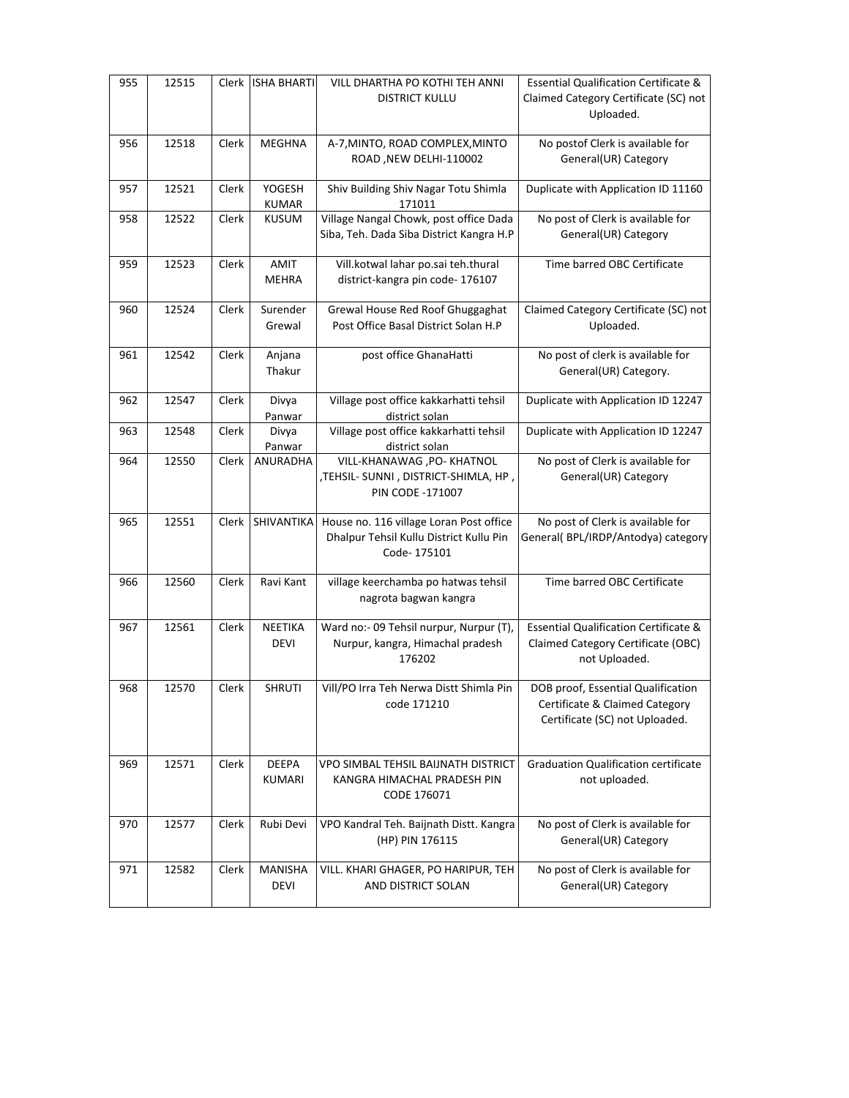| 955 | 12515 | Clerk | <b>ISHA BHARTI</b>            | VILL DHARTHA PO KOTHI TEH ANNI<br><b>DISTRICT KULLU</b>                                           | <b>Essential Qualification Certificate &amp;</b><br>Claimed Category Certificate (SC) not<br>Uploaded.  |
|-----|-------|-------|-------------------------------|---------------------------------------------------------------------------------------------------|---------------------------------------------------------------------------------------------------------|
| 956 | 12518 | Clerk | <b>MEGHNA</b>                 | A-7, MINTO, ROAD COMPLEX, MINTO<br>ROAD, NEW DELHI-110002                                         | No postof Clerk is available for<br>General(UR) Category                                                |
| 957 | 12521 | Clerk | YOGESH<br><b>KUMAR</b>        | Shiv Building Shiv Nagar Totu Shimla<br>171011                                                    | Duplicate with Application ID 11160                                                                     |
| 958 | 12522 | Clerk | <b>KUSUM</b>                  | Village Nangal Chowk, post office Dada<br>Siba, Teh. Dada Siba District Kangra H.P                | No post of Clerk is available for<br>General(UR) Category                                               |
| 959 | 12523 | Clerk | AMIT<br><b>MEHRA</b>          | Vill.kotwal lahar po.sai teh.thural<br>district-kangra pin code- 176107                           | Time barred OBC Certificate                                                                             |
| 960 | 12524 | Clerk | Surender<br>Grewal            | Grewal House Red Roof Ghuggaghat<br>Post Office Basal District Solan H.P                          | Claimed Category Certificate (SC) not<br>Uploaded.                                                      |
| 961 | 12542 | Clerk | Anjana<br>Thakur              | post office GhanaHatti                                                                            | No post of clerk is available for<br>General(UR) Category.                                              |
| 962 | 12547 | Clerk | Divya<br>Panwar               | Village post office kakkarhatti tehsil<br>district solan                                          | Duplicate with Application ID 12247                                                                     |
| 963 | 12548 | Clerk | Divya<br>Panwar               | Village post office kakkarhatti tehsil<br>district solan                                          | Duplicate with Application ID 12247                                                                     |
| 964 | 12550 | Clerk | ANURADHA                      | VILL-KHANAWAG, PO- KHATNOL<br>, TEHSIL- SUNNI, DISTRICT-SHIMLA, HP,<br>PIN CODE -171007           | No post of Clerk is available for<br>General(UR) Category                                               |
| 965 | 12551 | Clerk | SHIVANTIKA                    | House no. 116 village Loran Post office<br>Dhalpur Tehsil Kullu District Kullu Pin<br>Code-175101 | No post of Clerk is available for<br>General( BPL/IRDP/Antodya) category                                |
| 966 | 12560 | Clerk | Ravi Kant                     | village keerchamba po hatwas tehsil<br>nagrota bagwan kangra                                      | Time barred OBC Certificate                                                                             |
| 967 | 12561 | Clerk | NEETIKA<br><b>DEVI</b>        | Ward no:- 09 Tehsil nurpur, Nurpur (T),<br>Nurpur, kangra, Himachal pradesh<br>176202             | <b>Essential Qualification Certificate &amp;</b><br>Claimed Category Certificate (OBC)<br>not Uploaded. |
| 968 | 12570 | Clerk | <b>SHRUTI</b>                 | Vill/PO Irra Teh Nerwa Distt Shimla Pin<br>code 171210                                            | DOB proof, Essential Qualification<br>Certificate & Claimed Category<br>Certificate (SC) not Uploaded.  |
| 969 | 12571 | Clerk | DEEPA<br><b>KUMARI</b>        | VPO SIMBAL TEHSIL BAIJNATH DISTRICT<br>KANGRA HIMACHAL PRADESH PIN<br>CODE 176071                 | <b>Graduation Qualification certificate</b><br>not uploaded.                                            |
| 970 | 12577 | Clerk | Rubi Devi                     | VPO Kandral Teh. Baijnath Distt. Kangra<br>(HP) PIN 176115                                        | No post of Clerk is available for<br>General(UR) Category                                               |
| 971 | 12582 | Clerk | <b>MANISHA</b><br><b>DEVI</b> | VILL. KHARI GHAGER, PO HARIPUR, TEH<br>AND DISTRICT SOLAN                                         | No post of Clerk is available for<br>General(UR) Category                                               |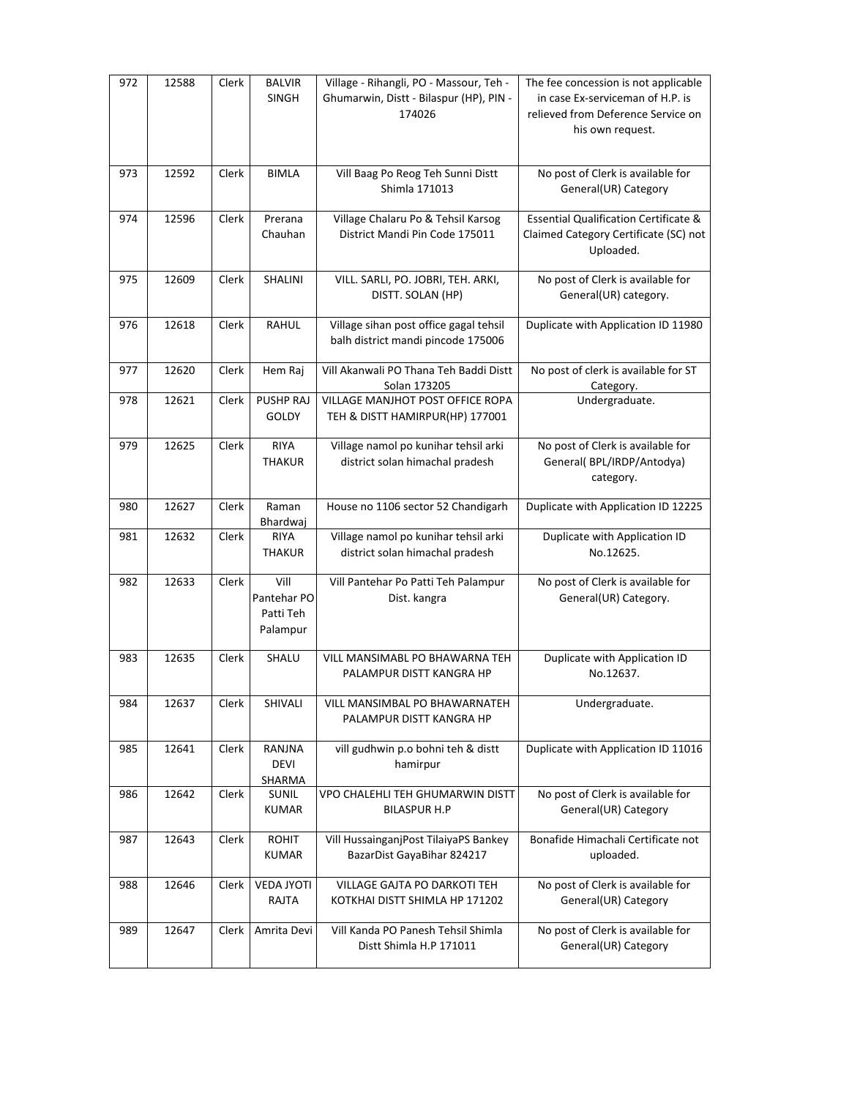| 972 | 12588 | Clerk | <b>BALVIR</b><br><b>SINGH</b>                | Village - Rihangli, PO - Massour, Teh -<br>Ghumarwin, Distt - Bilaspur (HP), PIN -<br>174026 | The fee concession is not applicable<br>in case Ex-serviceman of H.P. is<br>relieved from Deference Service on<br>his own request. |
|-----|-------|-------|----------------------------------------------|----------------------------------------------------------------------------------------------|------------------------------------------------------------------------------------------------------------------------------------|
| 973 | 12592 | Clerk | <b>BIMLA</b>                                 | Vill Baag Po Reog Teh Sunni Distt<br>Shimla 171013                                           | No post of Clerk is available for<br>General(UR) Category                                                                          |
| 974 | 12596 | Clerk | Prerana<br>Chauhan                           | Village Chalaru Po & Tehsil Karsog<br>District Mandi Pin Code 175011                         | <b>Essential Qualification Certificate &amp;</b><br>Claimed Category Certificate (SC) not<br>Uploaded.                             |
| 975 | 12609 | Clerk | SHALINI                                      | VILL. SARLI, PO. JOBRI, TEH. ARKI,<br>DISTT. SOLAN (HP)                                      | No post of Clerk is available for<br>General(UR) category.                                                                         |
| 976 | 12618 | Clerk | <b>RAHUL</b>                                 | Village sihan post office gagal tehsil<br>balh district mandi pincode 175006                 | Duplicate with Application ID 11980                                                                                                |
| 977 | 12620 | Clerk | Hem Raj                                      | Vill Akanwali PO Thana Teh Baddi Distt<br>Solan 173205                                       | No post of clerk is available for ST<br>Category.                                                                                  |
| 978 | 12621 | Clerk | PUSHP RAJ<br><b>GOLDY</b>                    | VILLAGE MANJHOT POST OFFICE ROPA<br>TEH & DISTT HAMIRPUR(HP) 177001                          | Undergraduate.                                                                                                                     |
| 979 | 12625 | Clerk | <b>RIYA</b><br><b>THAKUR</b>                 | Village namol po kunihar tehsil arki<br>district solan himachal pradesh                      | No post of Clerk is available for<br>General(BPL/IRDP/Antodya)<br>category.                                                        |
| 980 | 12627 | Clerk | Raman<br>Bhardwaj                            | House no 1106 sector 52 Chandigarh                                                           | Duplicate with Application ID 12225                                                                                                |
| 981 | 12632 | Clerk | RIYA<br><b>THAKUR</b>                        | Village namol po kunihar tehsil arki<br>district solan himachal pradesh                      | Duplicate with Application ID<br>No.12625.                                                                                         |
| 982 | 12633 | Clerk | Vill<br>Pantehar PO<br>Patti Teh<br>Palampur | Vill Pantehar Po Patti Teh Palampur<br>Dist. kangra                                          | No post of Clerk is available for<br>General(UR) Category.                                                                         |
| 983 | 12635 | Clerk | SHALU                                        | VILL MANSIMABL PO BHAWARNA TEH<br>PALAMPUR DISTT KANGRA HP                                   | Duplicate with Application ID<br>No.12637.                                                                                         |
| 984 | 12637 | Clerk | SHIVALI                                      | VILL MANSIMBAL PO BHAWARNATEH<br>PALAMPUR DISTT KANGRA HP                                    | Undergraduate.                                                                                                                     |
| 985 | 12641 | Clerk | RANJNA<br><b>DEVI</b><br>SHARMA              | vill gudhwin p.o bohni teh & distt<br>hamirpur                                               | Duplicate with Application ID 11016                                                                                                |
| 986 | 12642 | Clerk | SUNIL<br><b>KUMAR</b>                        | VPO CHALEHLI TEH GHUMARWIN DISTT<br><b>BILASPUR H.P</b>                                      | No post of Clerk is available for<br>General(UR) Category                                                                          |
| 987 | 12643 | Clerk | <b>ROHIT</b><br><b>KUMAR</b>                 | Vill HussainganjPost TilaiyaPS Bankey<br>BazarDist GayaBihar 824217                          | Bonafide Himachali Certificate not<br>uploaded.                                                                                    |
| 988 | 12646 | Clerk | <b>VEDA JYOTI</b><br>RAJTA                   | VILLAGE GAJTA PO DARKOTI TEH<br>KOTKHAI DISTT SHIMLA HP 171202                               | No post of Clerk is available for<br>General(UR) Category                                                                          |
| 989 | 12647 | Clerk | Amrita Devi                                  | Vill Kanda PO Panesh Tehsil Shimla<br>Distt Shimla H.P 171011                                | No post of Clerk is available for<br>General(UR) Category                                                                          |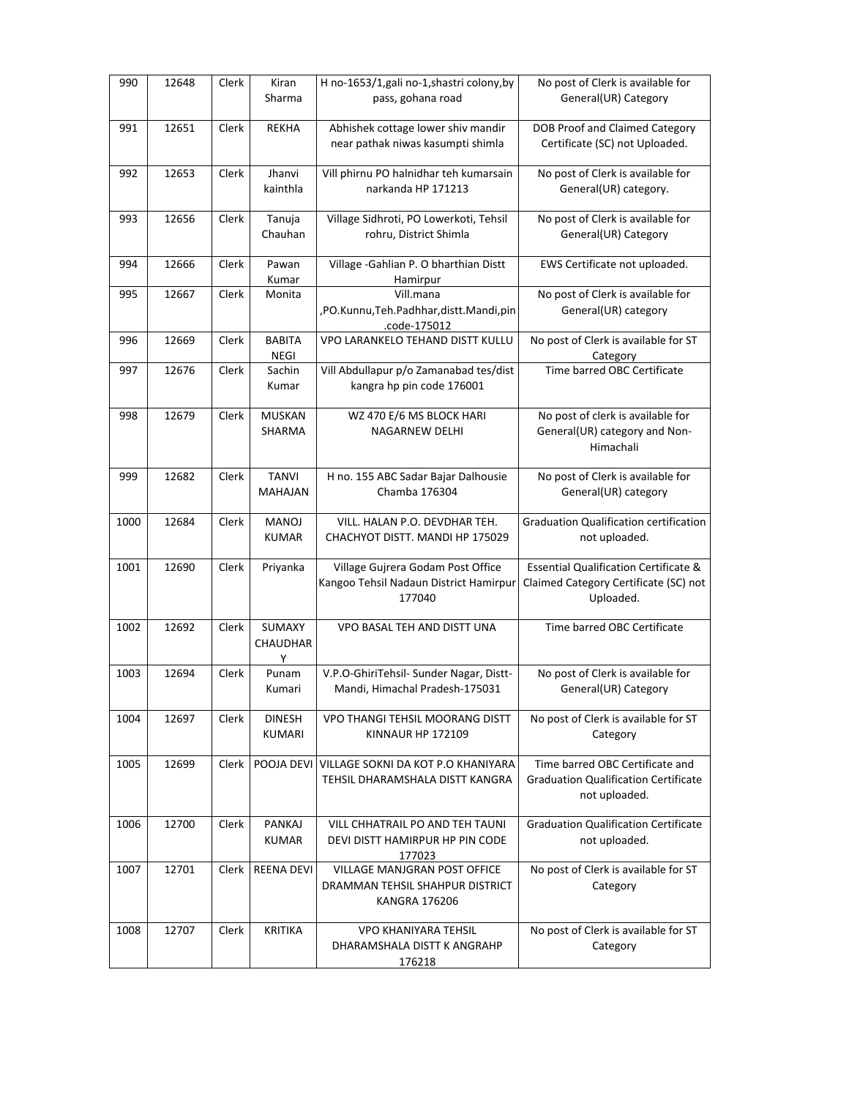| 990  | 12648 | Clerk        | Kiran<br>Sharma   | H no-1653/1, gali no-1, shastri colony, by<br>pass, gohana road | No post of Clerk is available for<br>General(UR) Category |
|------|-------|--------------|-------------------|-----------------------------------------------------------------|-----------------------------------------------------------|
|      |       |              |                   |                                                                 |                                                           |
| 991  | 12651 | Clerk        | <b>REKHA</b>      | Abhishek cottage lower shiv mandir                              | <b>DOB Proof and Claimed Category</b>                     |
|      |       |              |                   | near pathak niwas kasumpti shimla                               | Certificate (SC) not Uploaded.                            |
| 992  | 12653 | Clerk        | Jhanvi            | Vill phirnu PO halnidhar teh kumarsain                          | No post of Clerk is available for                         |
|      |       |              | kainthla          | narkanda HP 171213                                              | General(UR) category.                                     |
|      |       |              |                   |                                                                 |                                                           |
| 993  | 12656 | Clerk        | Tanuja            | Village Sidhroti, PO Lowerkoti, Tehsil                          | No post of Clerk is available for                         |
|      |       |              | Chauhan           | rohru, District Shimla                                          | General(UR) Category                                      |
| 994  | 12666 | Clerk        | Pawan             | Village - Gahlian P. O bharthian Distt                          | EWS Certificate not uploaded.                             |
|      |       |              | Kumar             | Hamirpur                                                        |                                                           |
| 995  | 12667 | Clerk        | Monita            | Vill.mana                                                       | No post of Clerk is available for                         |
|      |       |              |                   | ,PO.Kunnu,Teh.Padhhar,distt.Mandi,pin                           | General(UR) category                                      |
|      |       |              |                   | .code-175012                                                    |                                                           |
| 996  | 12669 | Clerk        | <b>BABITA</b>     | VPO LARANKELO TEHAND DISTT KULLU                                | No post of Clerk is available for ST                      |
|      |       |              | <b>NEGI</b>       |                                                                 | Category                                                  |
| 997  | 12676 | Clerk        | Sachin            | Vill Abdullapur p/o Zamanabad tes/dist                          | Time barred OBC Certificate                               |
|      |       |              | Kumar             | kangra hp pin code 176001                                       |                                                           |
|      |       |              |                   |                                                                 |                                                           |
| 998  | 12679 | Clerk        | <b>MUSKAN</b>     | WZ 470 E/6 MS BLOCK HARI                                        | No post of clerk is available for                         |
|      |       |              | SHARMA            | <b>NAGARNEW DELHI</b>                                           | General(UR) category and Non-                             |
|      |       |              |                   |                                                                 | Himachali                                                 |
|      |       |              |                   |                                                                 |                                                           |
| 999  | 12682 | Clerk        | <b>TANVI</b>      | H no. 155 ABC Sadar Bajar Dalhousie                             | No post of Clerk is available for                         |
|      |       |              | <b>MAHAJAN</b>    | Chamba 176304                                                   | General(UR) category                                      |
|      |       |              |                   |                                                                 |                                                           |
| 1000 | 12684 | Clerk        | <b>MANOJ</b>      | VILL. HALAN P.O. DEVDHAR TEH.                                   | <b>Graduation Qualification certification</b>             |
|      |       |              | <b>KUMAR</b>      | CHACHYOT DISTT. MANDI HP 175029                                 | not uploaded.                                             |
|      |       |              |                   |                                                                 |                                                           |
| 1001 | 12690 | Clerk        | Priyanka          | Village Gujrera Godam Post Office                               | <b>Essential Qualification Certificate &amp;</b>          |
|      |       |              |                   | Kangoo Tehsil Nadaun District Hamirpur                          | Claimed Category Certificate (SC) not                     |
|      |       |              |                   | 177040                                                          | Uploaded.                                                 |
|      |       |              |                   |                                                                 |                                                           |
| 1002 | 12692 | Clerk        | SUMAXY            | VPO BASAL TEH AND DISTT UNA                                     | Time barred OBC Certificate                               |
|      |       |              | <b>CHAUDHAR</b>   |                                                                 |                                                           |
|      |       |              | Υ                 |                                                                 |                                                           |
| 1003 | 12694 | Clerk        | Punam             | V.P.O-GhiriTehsil- Sunder Nagar, Distt-                         | No post of Clerk is available for                         |
|      |       |              | Kumari            | Mandi, Himachal Pradesh-175031                                  | General(UR) Category                                      |
|      |       |              |                   |                                                                 |                                                           |
| 1004 | 12697 | Clerk        | <b>DINESH</b>     | VPO THANGI TEHSIL MOORANG DISTT                                 | No post of Clerk is available for ST                      |
|      |       |              | <b>KUMARI</b>     | <b>KINNAUR HP 172109</b>                                        | Category                                                  |
|      |       |              |                   |                                                                 |                                                           |
| 1005 | 12699 | Clerk        | POOJA DEVI        | VILLAGE SOKNI DA KOT P.O KHANIYARA                              | Time barred OBC Certificate and                           |
|      |       |              |                   | TEHSIL DHARAMSHALA DISTT KANGRA                                 | <b>Graduation Qualification Certificate</b>               |
|      |       |              |                   |                                                                 | not uploaded.                                             |
|      |       |              |                   |                                                                 |                                                           |
| 1006 | 12700 | Clerk        | PANKAJ            | VILL CHHATRAIL PO AND TEH TAUNI                                 | <b>Graduation Qualification Certificate</b>               |
|      |       |              | <b>KUMAR</b>      | DEVI DISTT HAMIRPUR HP PIN CODE                                 | not uploaded.                                             |
|      |       |              |                   | 177023                                                          |                                                           |
| 1007 | 12701 | <b>Clerk</b> | <b>REENA DEVI</b> | VILLAGE MANJGRAN POST OFFICE                                    | No post of Clerk is available for ST                      |
|      |       |              |                   | DRAMMAN TEHSIL SHAHPUR DISTRICT                                 | Category                                                  |
|      |       |              |                   | <b>KANGRA 176206</b>                                            |                                                           |
|      |       |              |                   |                                                                 |                                                           |
| 1008 | 12707 | Clerk        | <b>KRITIKA</b>    | <b>VPO KHANIYARA TEHSIL</b>                                     | No post of Clerk is available for ST                      |
|      |       |              |                   | DHARAMSHALA DISTT K ANGRAHP                                     | Category                                                  |
|      |       |              |                   | 176218                                                          |                                                           |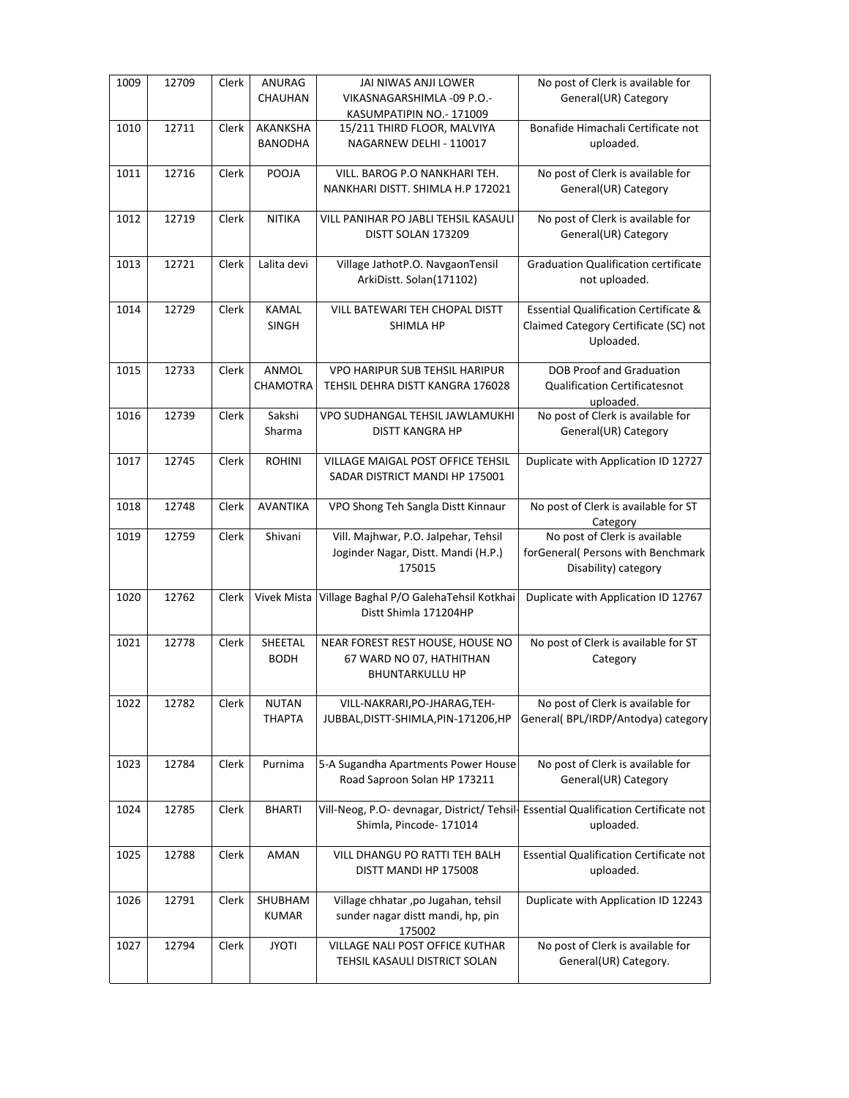| 1009 | 12709 | Clerk | ANURAG<br>CHAUHAN             | JAI NIWAS ANJI LOWER<br>VIKASNAGARSHIMLA -09 P.O.-<br>KASUMPATIPIN NO.- 171009         | No post of Clerk is available for<br>General(UR) Category                                              |
|------|-------|-------|-------------------------------|----------------------------------------------------------------------------------------|--------------------------------------------------------------------------------------------------------|
| 1010 | 12711 | Clerk | AKANKSHA<br><b>BANODHA</b>    | 15/211 THIRD FLOOR, MALVIYA<br>NAGARNEW DELHI - 110017                                 | Bonafide Himachali Certificate not<br>uploaded.                                                        |
| 1011 | 12716 | Clerk | POOJA                         | VILL. BAROG P.O NANKHARI TEH.<br>NANKHARI DISTT. SHIMLA H.P 172021                     | No post of Clerk is available for<br>General(UR) Category                                              |
| 1012 | 12719 | Clerk | <b>NITIKA</b>                 | VILL PANIHAR PO JABLI TEHSIL KASAULI<br>DISTT SOLAN 173209                             | No post of Clerk is available for<br>General(UR) Category                                              |
| 1013 | 12721 | Clerk | Lalita devi                   | Village JathotP.O. NavgaonTensil<br>ArkiDistt. Solan(171102)                           | <b>Graduation Qualification certificate</b><br>not uploaded.                                           |
| 1014 | 12729 | Clerk | <b>KAMAL</b><br><b>SINGH</b>  | VILL BATEWARI TEH CHOPAL DISTT<br>SHIMLA HP                                            | <b>Essential Qualification Certificate &amp;</b><br>Claimed Category Certificate (SC) not<br>Uploaded. |
| 1015 | 12733 | Clerk | ANMOL<br><b>CHAMOTRA</b>      | <b>VPO HARIPUR SUB TEHSIL HARIPUR</b><br>TEHSIL DEHRA DISTT KANGRA 176028              | <b>DOB Proof and Graduation</b><br><b>Qualification Certificatesnot</b><br>uploaded.                   |
| 1016 | 12739 | Clerk | Sakshi<br>Sharma              | VPO SUDHANGAL TEHSIL JAWLAMUKHI<br><b>DISTT KANGRA HP</b>                              | No post of Clerk is available for<br>General(UR) Category                                              |
| 1017 | 12745 | Clerk | <b>ROHINI</b>                 | <b>VILLAGE MAIGAL POST OFFICE TEHSIL</b><br>SADAR DISTRICT MANDI HP 175001             | Duplicate with Application ID 12727                                                                    |
| 1018 | 12748 | Clerk | <b>AVANTIKA</b>               | VPO Shong Teh Sangla Distt Kinnaur                                                     | No post of Clerk is available for ST<br>Category                                                       |
| 1019 | 12759 | Clerk | Shivani                       | Vill. Majhwar, P.O. Jalpehar, Tehsil<br>Joginder Nagar, Distt. Mandi (H.P.)<br>175015  | No post of Clerk is available<br>forGeneral( Persons with Benchmark<br>Disability) category            |
| 1020 | 12762 | Clerk | Vivek Mista                   | Village Baghal P/O GalehaTehsil Kotkhai<br>Distt Shimla 171204HP                       | Duplicate with Application ID 12767                                                                    |
| 1021 | 12778 | Clerk | SHEETAL<br><b>BODH</b>        | NEAR FOREST REST HOUSE, HOUSE NO<br>67 WARD NO 07, HATHITHAN<br><b>BHUNTARKULLU HP</b> | No post of Clerk is available for ST<br>Category                                                       |
| 1022 | 12782 | Clerk | <b>NUTAN</b><br><b>THAPTA</b> | VILL-NAKRARI, PO-JHARAG, TEH-<br>JUBBAL, DISTT-SHIMLA, PIN-171206, HP                  | No post of Clerk is available for<br>General(BPL/IRDP/Antodya) category                                |
| 1023 | 12784 | Clerk | Purnima                       | 5-A Sugandha Apartments Power House<br>Road Saproon Solan HP 173211                    | No post of Clerk is available for<br>General(UR) Category                                              |
| 1024 | 12785 | Clerk | <b>BHARTI</b>                 | Vill-Neog, P.O- devnagar, District/ Tehsil-<br>Shimla, Pincode- 171014                 | Essential Qualification Certificate not<br>uploaded.                                                   |
| 1025 | 12788 | Clerk | AMAN                          | VILL DHANGU PO RATTI TEH BALH<br>DISTT MANDI HP 175008                                 | Essential Qualification Certificate not<br>uploaded.                                                   |
| 1026 | 12791 | Clerk | SHUBHAM<br><b>KUMAR</b>       | Village chhatar ,po Jugahan, tehsil<br>sunder nagar distt mandi, hp, pin<br>175002     | Duplicate with Application ID 12243                                                                    |
| 1027 | 12794 | Clerk | <b>JYOTI</b>                  | VILLAGE NALI POST OFFICE KUTHAR<br>TEHSIL KASAULI DISTRICT SOLAN                       | No post of Clerk is available for<br>General(UR) Category.                                             |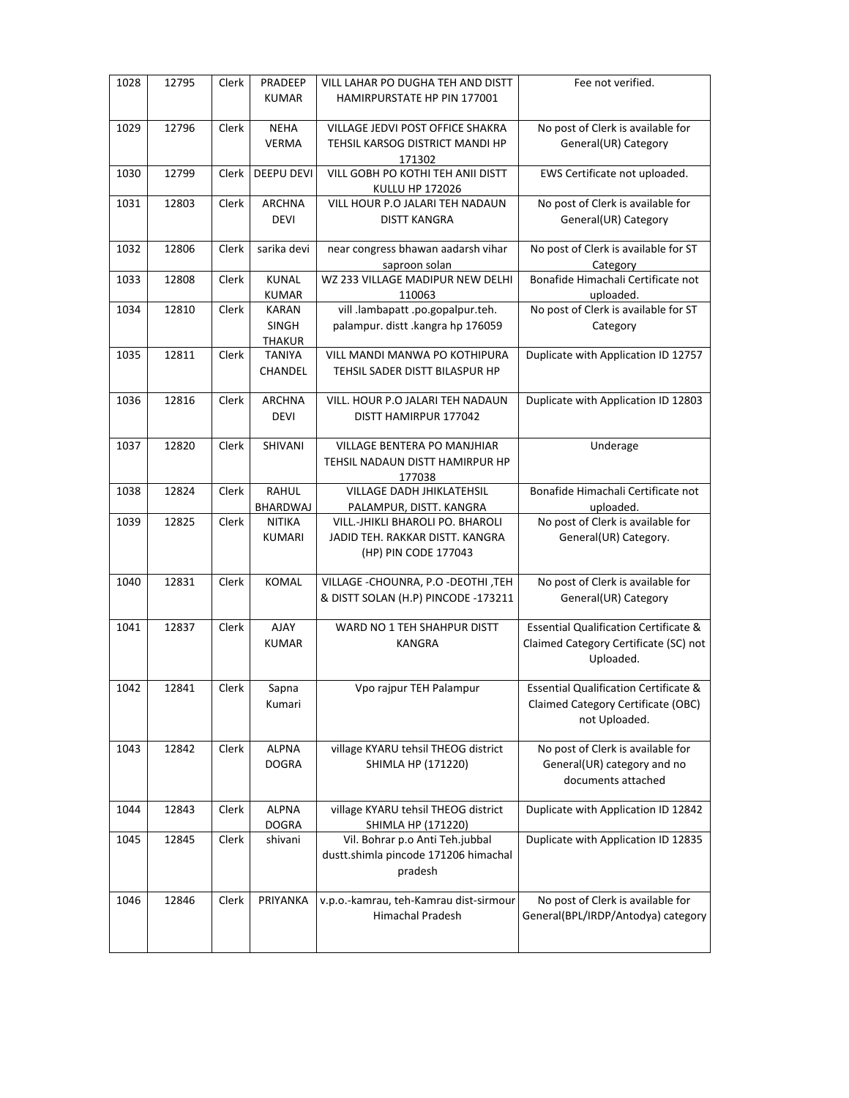| 1028 | 12795 | Clerk | PRADEEP<br><b>KUMAR</b>                       | VILL LAHAR PO DUGHA TEH AND DISTT<br>HAMIRPURSTATE HP PIN 177001                            | Fee not verified.                                                                                       |
|------|-------|-------|-----------------------------------------------|---------------------------------------------------------------------------------------------|---------------------------------------------------------------------------------------------------------|
| 1029 | 12796 | Clerk | <b>NEHA</b><br><b>VERMA</b>                   | VILLAGE JEDVI POST OFFICE SHAKRA<br>TEHSIL KARSOG DISTRICT MANDI HP<br>171302               | No post of Clerk is available for<br>General(UR) Category                                               |
| 1030 | 12799 | Clerk | DEEPU DEVI                                    | VILL GOBH PO KOTHI TEH ANII DISTT<br>KULLU HP 172026                                        | EWS Certificate not uploaded.                                                                           |
| 1031 | 12803 | Clerk | <b>ARCHNA</b><br><b>DEVI</b>                  | VILL HOUR P.O JALARI TEH NADAUN<br>DISTT KANGRA                                             | No post of Clerk is available for<br>General(UR) Category                                               |
| 1032 | 12806 | Clerk | sarika devi                                   | near congress bhawan aadarsh vihar<br>saproon solan                                         | No post of Clerk is available for ST<br>Category                                                        |
| 1033 | 12808 | Clerk | <b>KUNAL</b><br><b>KUMAR</b>                  | WZ 233 VILLAGE MADIPUR NEW DELHI<br>110063                                                  | Bonafide Himachali Certificate not<br>uploaded.                                                         |
| 1034 | 12810 | Clerk | <b>KARAN</b><br><b>SINGH</b><br><b>THAKUR</b> | vill .lambapatt .po.gopalpur.teh.<br>palampur. distt .kangra hp 176059                      | No post of Clerk is available for ST<br>Category                                                        |
| 1035 | 12811 | Clerk | <b>TANIYA</b><br>CHANDEL                      | <b>VILL MANDI MANWA PO KOTHIPURA</b><br>TEHSIL SADER DISTT BILASPUR HP                      | Duplicate with Application ID 12757                                                                     |
| 1036 | 12816 | Clerk | <b>ARCHNA</b><br><b>DEVI</b>                  | VILL. HOUR P.O JALARI TEH NADAUN<br>DISTT HAMIRPUR 177042                                   | Duplicate with Application ID 12803                                                                     |
| 1037 | 12820 | Clerk | <b>SHIVANI</b>                                | VILLAGE BENTERA PO MANJHIAR<br>TEHSIL NADAUN DISTT HAMIRPUR HP<br>177038                    | Underage                                                                                                |
| 1038 | 12824 | Clerk | RAHUL<br>BHARDWAJ                             | VILLAGE DADH JHIKLATEHSIL<br>PALAMPUR, DISTT. KANGRA                                        | Bonafide Himachali Certificate not<br>uploaded.                                                         |
| 1039 | 12825 | Clerk | NITIKA<br><b>KUMARI</b>                       | VILL.-JHIKLI BHAROLI PO. BHAROLI<br>JADID TEH. RAKKAR DISTT. KANGRA<br>(HP) PIN CODE 177043 | No post of Clerk is available for<br>General(UR) Category.                                              |
| 1040 | 12831 | Clerk | <b>KOMAL</b>                                  | VILLAGE - CHOUNRA, P.O - DEOTHI, TEH<br>& DISTT SOLAN (H.P) PINCODE -173211                 | No post of Clerk is available for<br>General(UR) Category                                               |
| 1041 | 12837 | Clerk | <b>AJAY</b><br><b>KUMAR</b>                   | WARD NO 1 TEH SHAHPUR DISTT<br><b>KANGRA</b>                                                | <b>Essential Qualification Certificate &amp;</b><br>Claimed Category Certificate (SC) not<br>Uploaded.  |
| 1042 | 12841 | Clerk | Sapna<br>Kumari                               | Vpo rajpur TEH Palampur                                                                     | <b>Essential Qualification Certificate &amp;</b><br>Claimed Category Certificate (OBC)<br>not Uploaded. |
| 1043 | 12842 | Clerk | <b>ALPNA</b><br><b>DOGRA</b>                  | village KYARU tehsil THEOG district<br>SHIMLA HP (171220)                                   | No post of Clerk is available for<br>General(UR) category and no<br>documents attached                  |
| 1044 | 12843 | Clerk | <b>ALPNA</b><br><b>DOGRA</b>                  | village KYARU tehsil THEOG district<br>SHIMLA HP (171220)                                   | Duplicate with Application ID 12842                                                                     |
| 1045 | 12845 | Clerk | shivani                                       | Vil. Bohrar p.o Anti Teh.jubbal<br>dustt.shimla pincode 171206 himachal<br>pradesh          | Duplicate with Application ID 12835                                                                     |
| 1046 | 12846 | Clerk | PRIYANKA                                      | v.p.o.-kamrau, teh-Kamrau dist-sirmour<br>Himachal Pradesh                                  | No post of Clerk is available for<br>General(BPL/IRDP/Antodya) category                                 |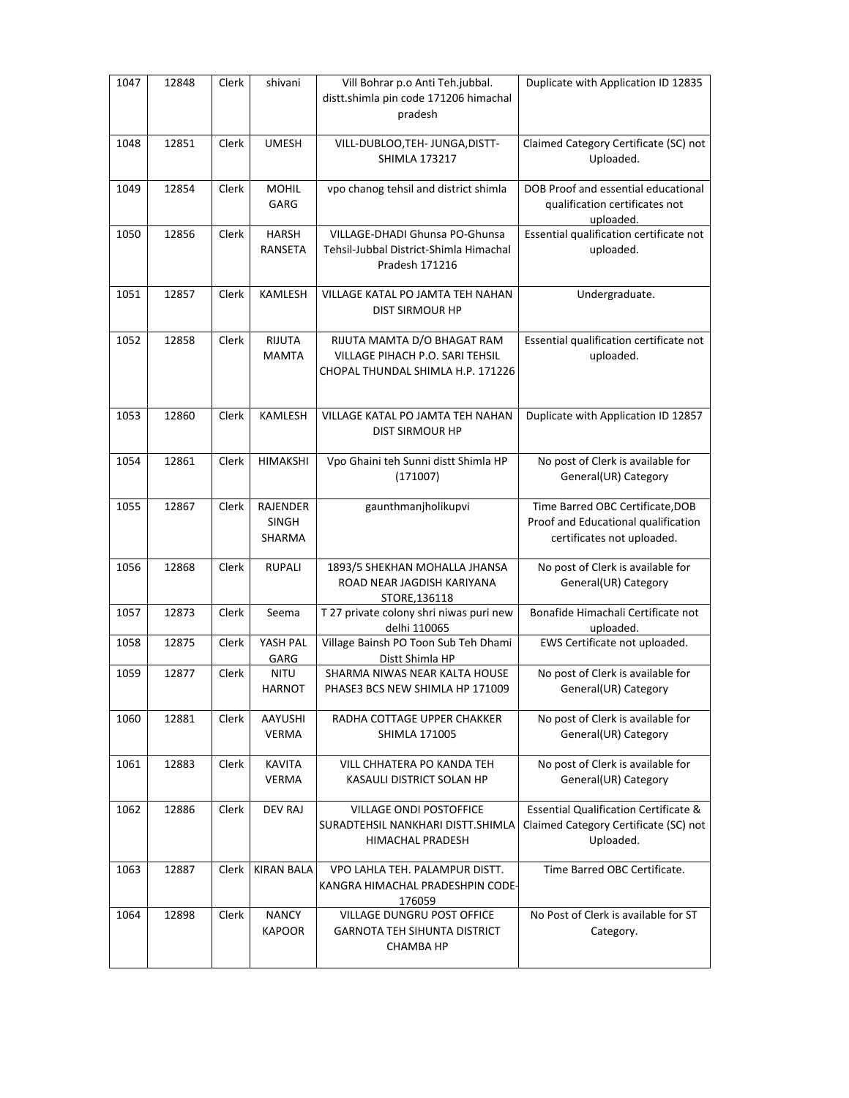| 1047 | 12848 | Clerk | shivani                                   | Vill Bohrar p.o Anti Teh.jubbal.<br>distt.shimla pin code 171206 himachal<br>pradesh                | Duplicate with Application ID 12835                                                                    |
|------|-------|-------|-------------------------------------------|-----------------------------------------------------------------------------------------------------|--------------------------------------------------------------------------------------------------------|
| 1048 | 12851 | Clerk | <b>UMESH</b>                              | VILL-DUBLOO, TEH- JUNGA, DISTT-<br><b>SHIMLA 173217</b>                                             | Claimed Category Certificate (SC) not<br>Uploaded.                                                     |
| 1049 | 12854 | Clerk | <b>MOHIL</b><br>GARG                      | vpo chanog tehsil and district shimla                                                               | DOB Proof and essential educational<br>qualification certificates not<br>uploaded.                     |
| 1050 | 12856 | Clerk | <b>HARSH</b><br><b>RANSETA</b>            | VILLAGE-DHADI Ghunsa PO-Ghunsa<br>Tehsil-Jubbal District-Shimla Himachal<br>Pradesh 171216          | Essential qualification certificate not<br>uploaded.                                                   |
| 1051 | 12857 | Clerk | KAMLESH                                   | VILLAGE KATAL PO JAMTA TEH NAHAN<br>DIST SIRMOUR HP                                                 | Undergraduate.                                                                                         |
| 1052 | 12858 | Clerk | RIJUTA<br><b>MAMTA</b>                    | RIJUTA MAMTA D/O BHAGAT RAM<br>VILLAGE PIHACH P.O. SARI TEHSIL<br>CHOPAL THUNDAL SHIMLA H.P. 171226 | Essential qualification certificate not<br>uploaded.                                                   |
| 1053 | 12860 | Clerk | <b>KAMLESH</b>                            | VILLAGE KATAL PO JAMTA TEH NAHAN<br>DIST SIRMOUR HP                                                 | Duplicate with Application ID 12857                                                                    |
| 1054 | 12861 | Clerk | <b>HIMAKSHI</b>                           | Vpo Ghaini teh Sunni distt Shimla HP<br>(171007)                                                    | No post of Clerk is available for<br>General(UR) Category                                              |
| 1055 | 12867 | Clerk | <b>RAJENDER</b><br><b>SINGH</b><br>SHARMA | gaunthmanjholikupvi                                                                                 | Time Barred OBC Certificate, DOB<br>Proof and Educational qualification<br>certificates not uploaded.  |
| 1056 | 12868 | Clerk | <b>RUPALI</b>                             | 1893/5 SHEKHAN MOHALLA JHANSA<br>ROAD NEAR JAGDISH KARIYANA<br>STORE, 136118                        | No post of Clerk is available for<br>General(UR) Category                                              |
| 1057 | 12873 | Clerk | Seema                                     | T 27 private colony shri niwas puri new<br>delhi 110065                                             | Bonafide Himachali Certificate not<br>uploaded.                                                        |
| 1058 | 12875 | Clerk | YASH PAL<br>GARG                          | Village Bainsh PO Toon Sub Teh Dhami<br>Distt Shimla HP                                             | EWS Certificate not uploaded.                                                                          |
| 1059 | 12877 | Clerk | <b>NITU</b><br><b>HARNOT</b>              | SHARMA NIWAS NEAR KALTA HOUSE<br>PHASE3 BCS NEW SHIMLA HP 171009                                    | No post of Clerk is available for<br>General(UR) Category                                              |
| 1060 | 12881 | Clerk | <b>AAYUSHI</b><br><b>VERMA</b>            | RADHA COTTAGE UPPER CHAKKER<br><b>SHIMLA 171005</b>                                                 | No post of Clerk is available for<br>General(UR) Category                                              |
| 1061 | 12883 | Clerk | <b>KAVITA</b><br><b>VERMA</b>             | VILL CHHATERA PO KANDA TEH<br>KASAULI DISTRICT SOLAN HP                                             | No post of Clerk is available for<br>General(UR) Category                                              |
| 1062 | 12886 | Clerk | DEV RAJ                                   | <b>VILLAGE ONDI POSTOFFICE</b><br>SURADTEHSIL NANKHARI DISTT.SHIMLA<br>HIMACHAL PRADESH             | <b>Essential Qualification Certificate &amp;</b><br>Claimed Category Certificate (SC) not<br>Uploaded. |
| 1063 | 12887 | Clerk | <b>KIRAN BALA</b>                         | VPO LAHLA TEH. PALAMPUR DISTT.<br>KANGRA HIMACHAL PRADESHPIN CODE-<br>176059                        | Time Barred OBC Certificate.                                                                           |
| 1064 | 12898 | Clerk | <b>NANCY</b><br><b>KAPOOR</b>             | VILLAGE DUNGRU POST OFFICE<br><b>GARNOTA TEH SIHUNTA DISTRICT</b><br>CHAMBA HP                      | No Post of Clerk is available for ST<br>Category.                                                      |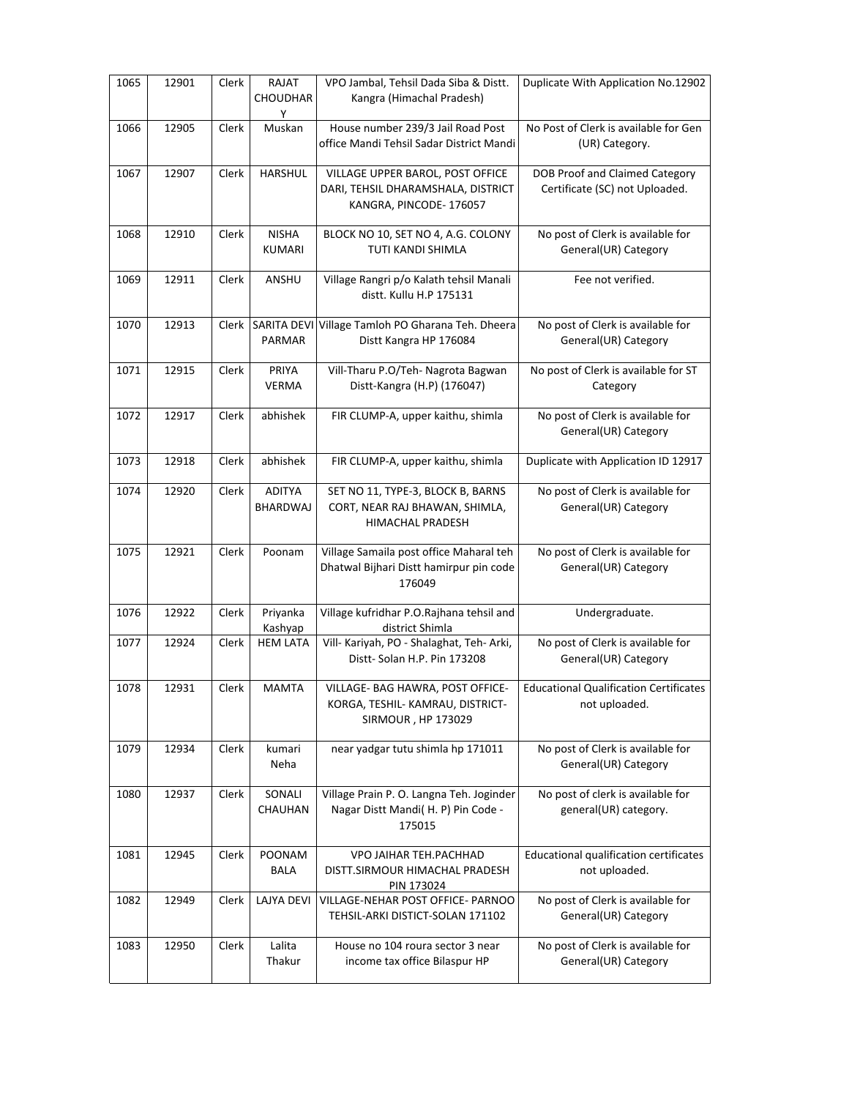| 1065 | 12901 | Clerk | RAJAT<br>CHOUDHAR<br>Y        | VPO Jambal, Tehsil Dada Siba & Distt.<br>Kangra (Himachal Pradesh)                               | Duplicate With Application No.12902                              |
|------|-------|-------|-------------------------------|--------------------------------------------------------------------------------------------------|------------------------------------------------------------------|
| 1066 | 12905 | Clerk | Muskan                        | House number 239/3 Jail Road Post<br>office Mandi Tehsil Sadar District Mandi                    | No Post of Clerk is available for Gen<br>(UR) Category.          |
| 1067 | 12907 | Clerk | <b>HARSHUL</b>                | VILLAGE UPPER BAROL, POST OFFICE<br>DARI, TEHSIL DHARAMSHALA, DISTRICT<br>KANGRA, PINCODE-176057 | DOB Proof and Claimed Category<br>Certificate (SC) not Uploaded. |
| 1068 | 12910 | Clerk | <b>NISHA</b><br><b>KUMARI</b> | BLOCK NO 10, SET NO 4, A.G. COLONY<br>TUTI KANDI SHIMLA                                          | No post of Clerk is available for<br>General(UR) Category        |
| 1069 | 12911 | Clerk | ANSHU                         | Village Rangri p/o Kalath tehsil Manali<br>distt. Kullu H.P 175131                               | Fee not verified.                                                |
| 1070 | 12913 | Clerk | SARITA DEVI<br>PARMAR         | Village Tamloh PO Gharana Teh. Dheera<br>Distt Kangra HP 176084                                  | No post of Clerk is available for<br>General(UR) Category        |
| 1071 | 12915 | Clerk | PRIYA<br><b>VERMA</b>         | Vill-Tharu P.O/Teh- Nagrota Bagwan<br>Distt-Kangra (H.P) (176047)                                | No post of Clerk is available for ST<br>Category                 |
| 1072 | 12917 | Clerk | abhishek                      | FIR CLUMP-A, upper kaithu, shimla                                                                | No post of Clerk is available for<br>General(UR) Category        |
| 1073 | 12918 | Clerk | abhishek                      | FIR CLUMP-A, upper kaithu, shimla                                                                | Duplicate with Application ID 12917                              |
| 1074 | 12920 | Clerk | <b>ADITYA</b><br>BHARDWAJ     | SET NO 11, TYPE-3, BLOCK B, BARNS<br>CORT, NEAR RAJ BHAWAN, SHIMLA,<br>HIMACHAL PRADESH          | No post of Clerk is available for<br>General(UR) Category        |
| 1075 | 12921 | Clerk | Poonam                        | Village Samaila post office Maharal teh<br>Dhatwal Bijhari Distt hamirpur pin code<br>176049     | No post of Clerk is available for<br>General(UR) Category        |
| 1076 | 12922 | Clerk | Priyanka<br>Kashyap           | Village kufridhar P.O.Rajhana tehsil and<br>district Shimla                                      | Undergraduate.                                                   |
| 1077 | 12924 | Clerk | <b>HEM LATA</b>               | Vill- Kariyah, PO - Shalaghat, Teh- Arki,<br>Distt-Solan H.P. Pin 173208                         | No post of Clerk is available for<br>General(UR) Category        |
| 1078 | 12931 | Clerk | <b>MAMTA</b>                  | VILLAGE- BAG HAWRA, POST OFFICE-<br>KORGA, TESHIL- KAMRAU, DISTRICT-<br>SIRMOUR, HP 173029       | <b>Educational Qualification Certificates</b><br>not uploaded.   |
| 1079 | 12934 | Clerk | kumari<br>Neha                | near yadgar tutu shimla hp 171011                                                                | No post of Clerk is available for<br>General(UR) Category        |
| 1080 | 12937 | Clerk | SONALI<br>CHAUHAN             | Village Prain P. O. Langna Teh. Joginder<br>Nagar Distt Mandi( H. P) Pin Code -<br>175015        | No post of clerk is available for<br>general(UR) category.       |
| 1081 | 12945 | Clerk | POONAM<br>BALA                | VPO JAIHAR TEH.PACHHAD<br>DISTT.SIRMOUR HIMACHAL PRADESH<br>PIN 173024                           | Educational qualification certificates<br>not uploaded.          |
| 1082 | 12949 | Clerk | LAJYA DEVI                    | VILLAGE-NEHAR POST OFFICE- PARNOO<br>TEHSIL-ARKI DISTICT-SOLAN 171102                            | No post of Clerk is available for<br>General(UR) Category        |
| 1083 | 12950 | Clerk | Lalita<br>Thakur              | House no 104 roura sector 3 near<br>income tax office Bilaspur HP                                | No post of Clerk is available for<br>General(UR) Category        |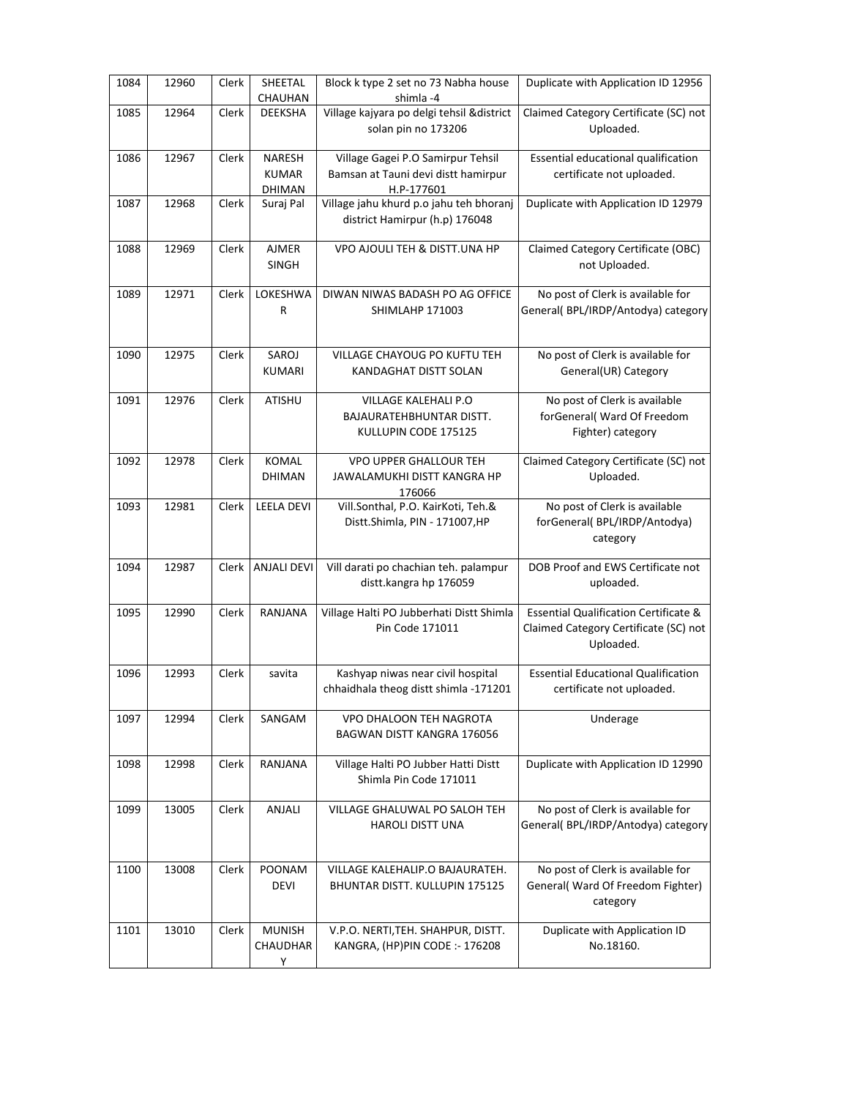| 1084 | 12960 | Clerk | SHEETAL<br>CHAUHAN               | Block k type 2 set no 73 Nabha house<br>shimla-4                                       | Duplicate with Application ID 12956                                                                    |
|------|-------|-------|----------------------------------|----------------------------------------------------------------------------------------|--------------------------------------------------------------------------------------------------------|
| 1085 | 12964 | Clerk | DEEKSHA                          | Village kajyara po delgi tehsil & district<br>solan pin no 173206                      | Claimed Category Certificate (SC) not<br>Uploaded.                                                     |
| 1086 | 12967 | Clerk | NARESH<br><b>KUMAR</b><br>DHIMAN | Village Gagei P.O Samirpur Tehsil<br>Bamsan at Tauni devi distt hamirpur<br>H.P-177601 | Essential educational qualification<br>certificate not uploaded.                                       |
| 1087 | 12968 | Clerk | Suraj Pal                        | Village jahu khurd p.o jahu teh bhoranj<br>district Hamirpur (h.p) 176048              | Duplicate with Application ID 12979                                                                    |
| 1088 | 12969 | Clerk | <b>AJMER</b><br><b>SINGH</b>     | VPO AJOULI TEH & DISTT.UNA HP                                                          | Claimed Category Certificate (OBC)<br>not Uploaded.                                                    |
| 1089 | 12971 | Clerk | LOKESHWA<br>R                    | DIWAN NIWAS BADASH PO AG OFFICE<br>SHIMLAHP 171003                                     | No post of Clerk is available for<br>General(BPL/IRDP/Antodya) category                                |
| 1090 | 12975 | Clerk | SAROJ<br>KUMARI                  | VILLAGE CHAYOUG PO KUFTU TEH<br>KANDAGHAT DISTT SOLAN                                  | No post of Clerk is available for<br>General(UR) Category                                              |
| 1091 | 12976 | Clerk | ATISHU                           | VILLAGE KALEHALI P.O<br><b>BAJAURATEHBHUNTAR DISTT.</b><br>KULLUPIN CODE 175125        | No post of Clerk is available<br>forGeneral( Ward Of Freedom<br>Fighter) category                      |
| 1092 | 12978 | Clerk | <b>KOMAL</b><br><b>DHIMAN</b>    | <b>VPO UPPER GHALLOUR TEH</b><br>JAWALAMUKHI DISTT KANGRA HP<br>176066                 | Claimed Category Certificate (SC) not<br>Uploaded.                                                     |
| 1093 | 12981 | Clerk | <b>LEELA DEVI</b>                | Vill.Sonthal, P.O. KairKoti, Teh.&<br>Distt.Shimla, PIN - 171007, HP                   | No post of Clerk is available<br>forGeneral(BPL/IRDP/Antodya)<br>category                              |
| 1094 | 12987 | Clerk | <b>ANJALI DEVI</b>               | Vill darati po chachian teh. palampur<br>distt.kangra hp 176059                        | DOB Proof and EWS Certificate not<br>uploaded.                                                         |
| 1095 | 12990 | Clerk | RANJANA                          | Village Halti PO Jubberhati Distt Shimla<br>Pin Code 171011                            | <b>Essential Qualification Certificate &amp;</b><br>Claimed Category Certificate (SC) not<br>Uploaded. |
| 1096 | 12993 | Clerk | savita                           | Kashyap niwas near civil hospital<br>chhaidhala theog distt shimla -171201             | <b>Essential Educational Qualification</b><br>certificate not uploaded.                                |
| 1097 | 12994 | Clerk | SANGAM                           | VPO DHALOON TEH NAGROTA<br>BAGWAN DISTT KANGRA 176056                                  | Underage                                                                                               |
| 1098 | 12998 | Clerk | RANJANA                          | Village Halti PO Jubber Hatti Distt<br>Shimla Pin Code 171011                          | Duplicate with Application ID 12990                                                                    |
| 1099 | 13005 | Clerk | <b>ANJALI</b>                    | VILLAGE GHALUWAL PO SALOH TEH<br><b>HAROLI DISTT UNA</b>                               | No post of Clerk is available for<br>General(BPL/IRDP/Antodya) category                                |
| 1100 | 13008 | Clerk | POONAM<br><b>DEVI</b>            | VILLAGE KALEHALIP.O BAJAURATEH.<br>BHUNTAR DISTT. KULLUPIN 175125                      | No post of Clerk is available for<br>General( Ward Of Freedom Fighter)<br>category                     |
| 1101 | 13010 | Clerk | <b>MUNISH</b><br>CHAUDHAR<br>Υ   | V.P.O. NERTI, TEH. SHAHPUR, DISTT.<br>KANGRA, (HP)PIN CODE :- 176208                   | Duplicate with Application ID<br>No.18160.                                                             |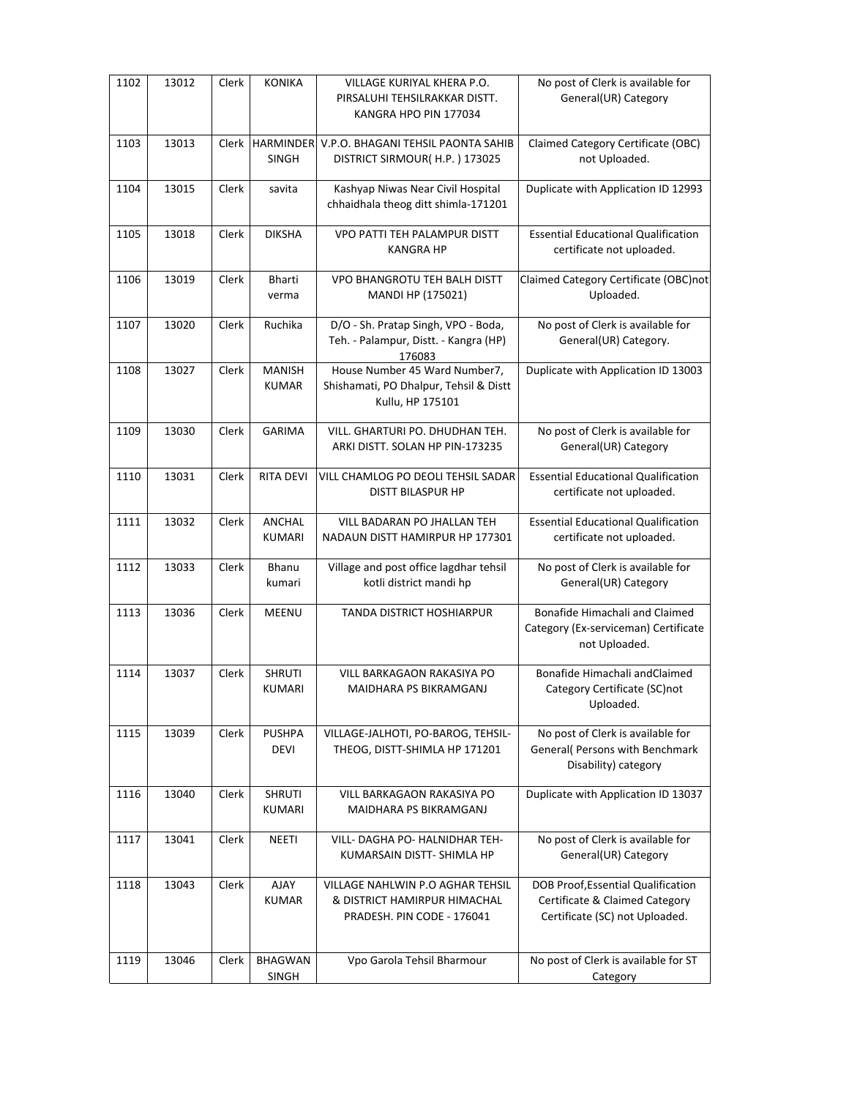| 1102 | 13012 | Clerk | <b>KONIKA</b>                    | VILLAGE KURIYAL KHERA P.O.<br>PIRSALUHI TEHSILRAKKAR DISTT.<br>KANGRA HPO PIN 177034           | No post of Clerk is available for<br>General(UR) Category                                              |
|------|-------|-------|----------------------------------|------------------------------------------------------------------------------------------------|--------------------------------------------------------------------------------------------------------|
| 1103 | 13013 | Clerk | <b>HARMINDER</b><br><b>SINGH</b> | V.P.O. BHAGANI TEHSIL PAONTA SAHIB<br>DISTRICT SIRMOUR(H.P.) 173025                            | Claimed Category Certificate (OBC)<br>not Uploaded.                                                    |
| 1104 | 13015 | Clerk | savita                           | Kashyap Niwas Near Civil Hospital<br>chhaidhala theog ditt shimla-171201                       | Duplicate with Application ID 12993                                                                    |
| 1105 | 13018 | Clerk | <b>DIKSHA</b>                    | VPO PATTI TEH PALAMPUR DISTT<br><b>KANGRA HP</b>                                               | <b>Essential Educational Qualification</b><br>certificate not uploaded.                                |
| 1106 | 13019 | Clerk | Bharti<br>verma                  | VPO BHANGROTU TEH BALH DISTT<br>MANDI HP (175021)                                              | Claimed Category Certificate (OBC)not<br>Uploaded.                                                     |
| 1107 | 13020 | Clerk | Ruchika                          | D/O - Sh. Pratap Singh, VPO - Boda,<br>Teh. - Palampur, Distt. - Kangra (HP)<br>176083         | No post of Clerk is available for<br>General(UR) Category.                                             |
| 1108 | 13027 | Clerk | <b>MANISH</b><br><b>KUMAR</b>    | House Number 45 Ward Number7,<br>Shishamati, PO Dhalpur, Tehsil & Distt<br>Kullu, HP 175101    | Duplicate with Application ID 13003                                                                    |
| 1109 | 13030 | Clerk | <b>GARIMA</b>                    | VILL. GHARTURI PO. DHUDHAN TEH.<br>ARKI DISTT. SOLAN HP PIN-173235                             | No post of Clerk is available for<br>General(UR) Category                                              |
| 1110 | 13031 | Clerk | <b>RITA DEVI</b>                 | VILL CHAMLOG PO DEOLI TEHSIL SADAR<br><b>DISTT BILASPUR HP</b>                                 | <b>Essential Educational Qualification</b><br>certificate not uploaded.                                |
| 1111 | 13032 | Clerk | ANCHAL<br><b>KUMARI</b>          | VILL BADARAN PO JHALLAN TEH<br>NADAUN DISTT HAMIRPUR HP 177301                                 | <b>Essential Educational Qualification</b><br>certificate not uploaded.                                |
| 1112 | 13033 | Clerk | Bhanu<br>kumari                  | Village and post office lagdhar tehsil<br>kotli district mandi hp                              | No post of Clerk is available for<br>General(UR) Category                                              |
| 1113 | 13036 | Clerk | <b>MEENU</b>                     | TANDA DISTRICT HOSHIARPUR                                                                      | Bonafide Himachali and Claimed<br>Category (Ex-serviceman) Certificate<br>not Uploaded.                |
| 1114 | 13037 | Clerk | <b>SHRUTI</b><br><b>KUMARI</b>   | VILL BARKAGAON RAKASIYA PO<br>MAIDHARA PS BIKRAMGANJ                                           | Bonafide Himachali andClaimed<br>Category Certificate (SC)not<br>Uploaded.                             |
| 1115 | 13039 | Clerk | <b>PUSHPA</b><br><b>DEVI</b>     | VILLAGE-JALHOTI, PO-BAROG, TEHSIL-<br>THEOG, DISTT-SHIMLA HP 171201                            | No post of Clerk is available for<br>General( Persons with Benchmark<br>Disability) category           |
| 1116 | 13040 | Clerk | <b>SHRUTI</b><br><b>KUMARI</b>   | VILL BARKAGAON RAKASIYA PO<br>MAIDHARA PS BIKRAMGANJ                                           | Duplicate with Application ID 13037                                                                    |
| 1117 | 13041 | Clerk | NEETI                            | VILL- DAGHA PO- HALNIDHAR TEH-<br>KUMARSAIN DISTT- SHIMLA HP                                   | No post of Clerk is available for<br>General(UR) Category                                              |
| 1118 | 13043 | Clerk | <b>AJAY</b><br><b>KUMAR</b>      | VILLAGE NAHLWIN P.O AGHAR TEHSIL<br>& DISTRICT HAMIRPUR HIMACHAL<br>PRADESH. PIN CODE - 176041 | DOB Proof, Essential Qualification<br>Certificate & Claimed Category<br>Certificate (SC) not Uploaded. |
| 1119 | 13046 | Clerk | <b>BHAGWAN</b><br>SINGH          | Vpo Garola Tehsil Bharmour                                                                     | No post of Clerk is available for ST<br>Category                                                       |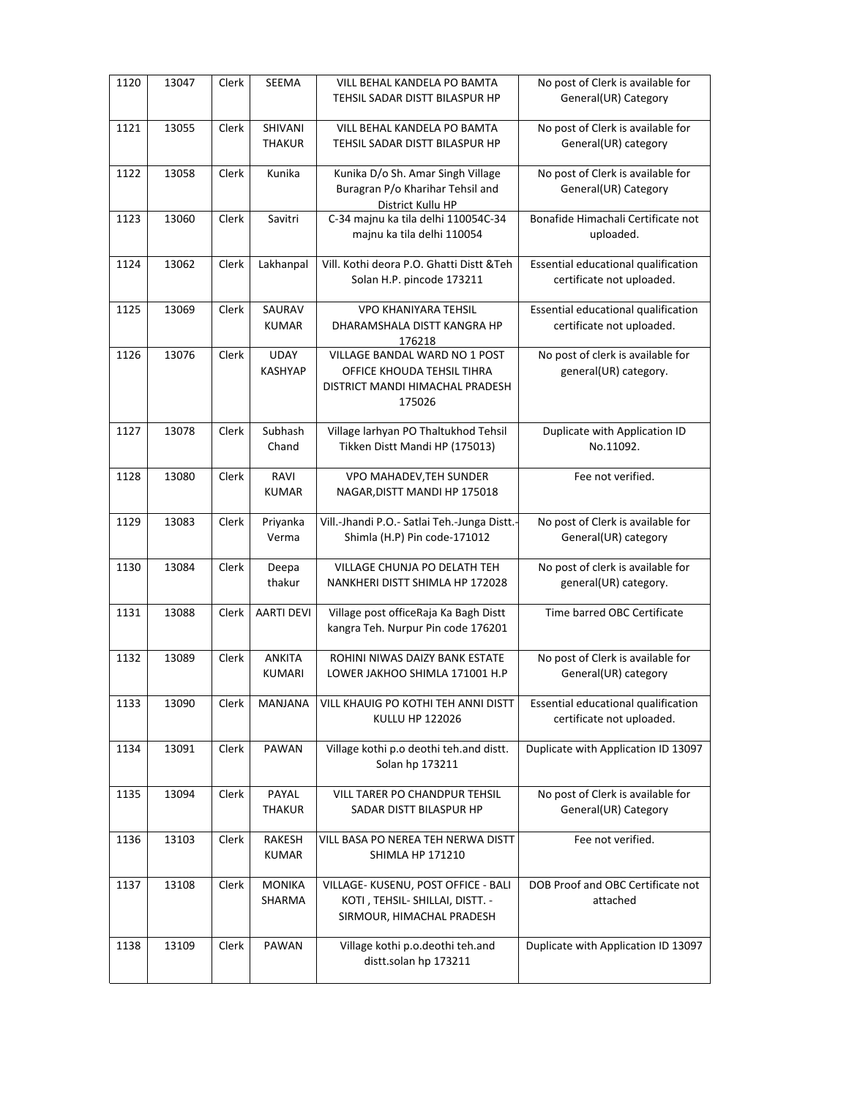| 1120 | 13047 | Clerk | <b>SEEMA</b>                   | <b>VILL BEHAL KANDELA PO BAMTA</b><br>TEHSIL SADAR DISTT BILASPUR HP                                            | No post of Clerk is available for<br>General(UR) Category        |
|------|-------|-------|--------------------------------|-----------------------------------------------------------------------------------------------------------------|------------------------------------------------------------------|
| 1121 | 13055 | Clerk | SHIVANI<br><b>THAKUR</b>       | VILL BEHAL KANDELA PO BAMTA<br>TEHSIL SADAR DISTT BILASPUR HP                                                   | No post of Clerk is available for<br>General(UR) category        |
| 1122 | 13058 | Clerk | Kunika                         | Kunika D/o Sh. Amar Singh Village<br>Buragran P/o Kharihar Tehsil and<br>District Kullu HP                      | No post of Clerk is available for<br>General(UR) Category        |
| 1123 | 13060 | Clerk | Savitri                        | C-34 majnu ka tila delhi 110054C-34<br>majnu ka tila delhi 110054                                               | Bonafide Himachali Certificate not<br>uploaded.                  |
| 1124 | 13062 | Clerk | Lakhanpal                      | Vill, Kothi deora P.O. Ghatti Distt & Teh<br>Solan H.P. pincode 173211                                          | Essential educational qualification<br>certificate not uploaded. |
| 1125 | 13069 | Clerk | SAURAV<br><b>KUMAR</b>         | <b>VPO KHANIYARA TEHSIL</b><br>DHARAMSHALA DISTT KANGRA HP<br>176218                                            | Essential educational qualification<br>certificate not uploaded. |
| 1126 | 13076 | Clerk | <b>UDAY</b><br><b>KASHYAP</b>  | <b>VILLAGE BANDAL WARD NO 1 POST</b><br>OFFICE KHOUDA TEHSIL TIHRA<br>DISTRICT MANDI HIMACHAL PRADESH<br>175026 | No post of clerk is available for<br>general(UR) category.       |
| 1127 | 13078 | Clerk | Subhash<br>Chand               | Village larhyan PO Thaltukhod Tehsil<br>Tikken Distt Mandi HP (175013)                                          | Duplicate with Application ID<br>No.11092.                       |
| 1128 | 13080 | Clerk | RAVI<br><b>KUMAR</b>           | VPO MAHADEV, TEH SUNDER<br>NAGAR, DISTT MANDI HP 175018                                                         | Fee not verified.                                                |
| 1129 | 13083 | Clerk | Priyanka<br>Verma              | Vill.-Jhandi P.O.- Satlai Teh.-Junga Distt.-<br>Shimla (H.P) Pin code-171012                                    | No post of Clerk is available for<br>General(UR) category        |
| 1130 | 13084 | Clerk | Deepa<br>thakur                | VILLAGE CHUNJA PO DELATH TEH<br>NANKHERI DISTT SHIMLA HP 172028                                                 | No post of clerk is available for<br>general(UR) category.       |
| 1131 | 13088 | Clerk | <b>AARTI DEVI</b>              | Village post officeRaja Ka Bagh Distt<br>kangra Teh. Nurpur Pin code 176201                                     | Time barred OBC Certificate                                      |
| 1132 | 13089 | Clerk | <b>ANKITA</b><br><b>KUMARI</b> | ROHINI NIWAS DAIZY BANK ESTATE<br>LOWER JAKHOO SHIMLA 171001 H.P                                                | No post of Clerk is available for<br>General(UR) category        |
| 1133 | 13090 | Clerk | MANJANA                        | VILL KHAUIG PO KOTHI TEH ANNI DISTT<br>KULLU HP 122026                                                          | Essential educational qualification<br>certificate not uploaded. |
| 1134 | 13091 | Clerk | PAWAN                          | Village kothi p.o deothi teh.and distt.<br>Solan hp 173211                                                      | Duplicate with Application ID 13097                              |
| 1135 | 13094 | Clerk | PAYAL<br>THAKUR                | VILL TARER PO CHANDPUR TEHSIL<br>SADAR DISTT BILASPUR HP                                                        | No post of Clerk is available for<br>General(UR) Category        |
| 1136 | 13103 | Clerk | <b>RAKESH</b><br><b>KUMAR</b>  | VILL BASA PO NEREA TEH NERWA DISTT<br><b>SHIMLA HP 171210</b>                                                   | Fee not verified.                                                |
| 1137 | 13108 | Clerk | <b>MONIKA</b><br>SHARMA        | VILLAGE- KUSENU, POST OFFICE - BALI<br>KOTI, TEHSIL- SHILLAI, DISTT. -<br>SIRMOUR, HIMACHAL PRADESH             | DOB Proof and OBC Certificate not<br>attached                    |
| 1138 | 13109 | Clerk | PAWAN                          | Village kothi p.o.deothi teh.and<br>distt.solan hp 173211                                                       | Duplicate with Application ID 13097                              |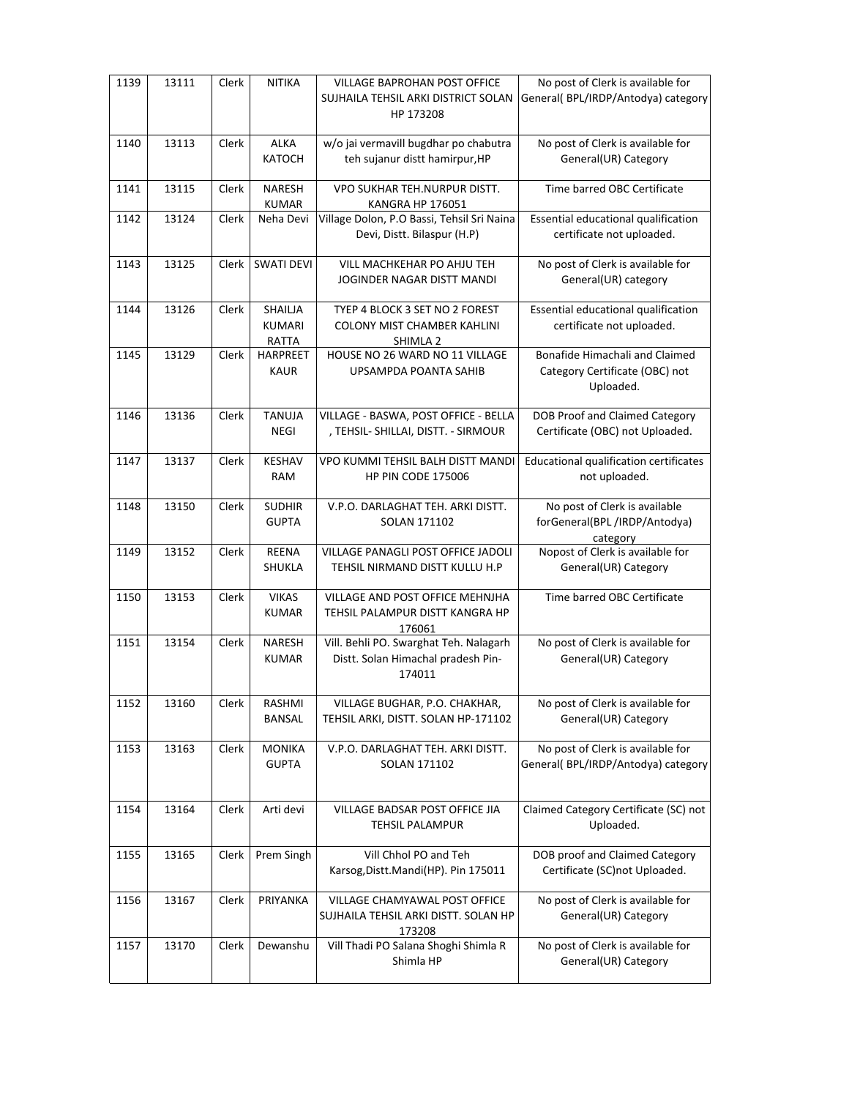| 1139 | 13111 | Clerk | <b>NITIKA</b>                     | <b>VILLAGE BAPROHAN POST OFFICE</b><br>SUJHAILA TEHSIL ARKI DISTRICT SOLAN<br>HP 173208 | No post of Clerk is available for<br>General(BPL/IRDP/Antodya) category       |
|------|-------|-------|-----------------------------------|-----------------------------------------------------------------------------------------|-------------------------------------------------------------------------------|
| 1140 | 13113 | Clerk | <b>ALKA</b><br>KATOCH             | w/o jai vermavill bugdhar po chabutra<br>teh sujanur distt hamirpur, HP                 | No post of Clerk is available for<br>General(UR) Category                     |
| 1141 | 13115 | Clerk | <b>NARESH</b><br><b>KUMAR</b>     | VPO SUKHAR TEH.NURPUR DISTT.<br><b>KANGRA HP 176051</b>                                 | Time barred OBC Certificate                                                   |
| 1142 | 13124 | Clerk | Neha Devi                         | Village Dolon, P.O Bassi, Tehsil Sri Naina<br>Devi, Distt. Bilaspur (H.P)               | Essential educational qualification<br>certificate not uploaded.              |
| 1143 | 13125 | Clerk | <b>SWATI DEVI</b>                 | VILL MACHKEHAR PO AHJU TEH<br>JOGINDER NAGAR DISTT MANDI                                | No post of Clerk is available for<br>General(UR) category                     |
| 1144 | 13126 | Clerk | SHAILJA<br><b>KUMARI</b><br>RATTA | TYEP 4 BLOCK 3 SET NO 2 FOREST<br><b>COLONY MIST CHAMBER KAHLINI</b><br>SHIMLA 2        | Essential educational qualification<br>certificate not uploaded.              |
| 1145 | 13129 | Clerk | <b>HARPREET</b><br><b>KAUR</b>    | HOUSE NO 26 WARD NO 11 VILLAGE<br>UPSAMPDA POANTA SAHIB                                 | Bonafide Himachali and Claimed<br>Category Certificate (OBC) not<br>Uploaded. |
| 1146 | 13136 | Clerk | <b>TANUJA</b><br>NEGI             | VILLAGE - BASWA, POST OFFICE - BELLA<br>, TEHSIL- SHILLAI, DISTT. - SIRMOUR             | DOB Proof and Claimed Category<br>Certificate (OBC) not Uploaded.             |
| 1147 | 13137 | Clerk | KESHAV<br><b>RAM</b>              | VPO KUMMI TEHSIL BALH DISTT MANDI<br><b>HP PIN CODE 175006</b>                          | Educational qualification certificates<br>not uploaded.                       |
| 1148 | 13150 | Clerk | <b>SUDHIR</b><br><b>GUPTA</b>     | V.P.O. DARLAGHAT TEH. ARKI DISTT.<br>SOLAN 171102                                       | No post of Clerk is available<br>forGeneral(BPL/IRDP/Antodya)<br>category     |
| 1149 | 13152 | Clerk | REENA<br>SHUKLA                   | VILLAGE PANAGLI POST OFFICE JADOLI<br>TEHSIL NIRMAND DISTT KULLU H.P                    | Nopost of Clerk is available for<br>General(UR) Category                      |
| 1150 | 13153 | Clerk | <b>VIKAS</b><br><b>KUMAR</b>      | VILLAGE AND POST OFFICE MEHNJHA<br>TEHSIL PALAMPUR DISTT KANGRA HP<br>176061            | Time barred OBC Certificate                                                   |
| 1151 | 13154 | Clerk | <b>NARESH</b><br><b>KUMAR</b>     | Vill. Behli PO. Swarghat Teh. Nalagarh<br>Distt. Solan Himachal pradesh Pin-<br>174011  | No post of Clerk is available for<br>General(UR) Category                     |
| 1152 | 13160 | Clerk | RASHMI<br><b>BANSAL</b>           | VILLAGE BUGHAR, P.O. CHAKHAR,<br>TEHSIL ARKI, DISTT. SOLAN HP-171102                    | No post of Clerk is available for<br>General(UR) Category                     |
| 1153 | 13163 | Clerk | <b>MONIKA</b><br><b>GUPTA</b>     | V.P.O. DARLAGHAT TEH. ARKI DISTT.<br>SOLAN 171102                                       | No post of Clerk is available for<br>General(BPL/IRDP/Antodya) category       |
| 1154 | 13164 | Clerk | Arti devi                         | VILLAGE BADSAR POST OFFICE JIA<br><b>TEHSIL PALAMPUR</b>                                | Claimed Category Certificate (SC) not<br>Uploaded.                            |
| 1155 | 13165 | Clerk | Prem Singh                        | Vill Chhol PO and Teh<br>Karsog, Distt. Mandi(HP). Pin 175011                           | DOB proof and Claimed Category<br>Certificate (SC)not Uploaded.               |
| 1156 | 13167 | Clerk | PRIYANKA                          | VILLAGE CHAMYAWAL POST OFFICE<br>SUJHAILA TEHSIL ARKI DISTT. SOLAN HP<br>173208         | No post of Clerk is available for<br>General(UR) Category                     |
| 1157 | 13170 | Clerk | Dewanshu                          | Vill Thadi PO Salana Shoghi Shimla R<br>Shimla HP                                       | No post of Clerk is available for<br>General(UR) Category                     |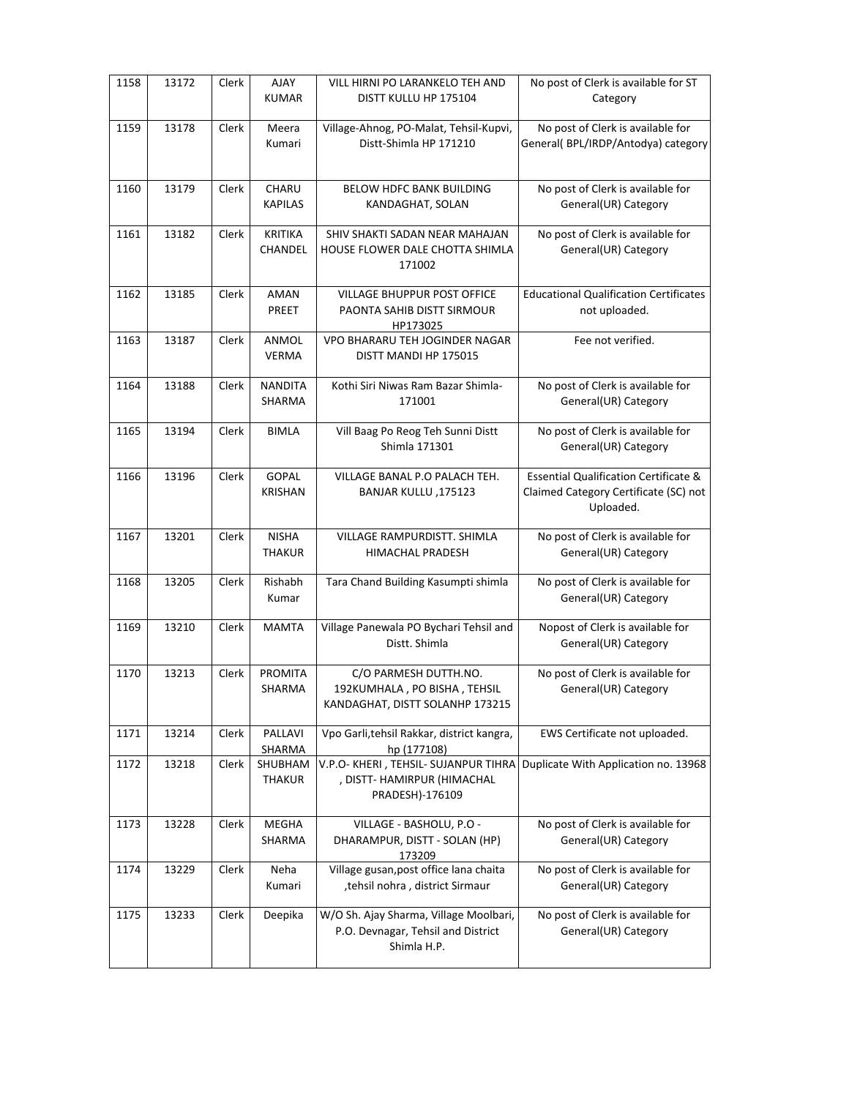| 1158 | 13172 | Clerk | AJAY<br><b>KUMAR</b>           | VILL HIRNI PO LARANKELO TEH AND<br>DISTT KULLU HP 175104                                    | No post of Clerk is available for ST<br>Category                                                       |
|------|-------|-------|--------------------------------|---------------------------------------------------------------------------------------------|--------------------------------------------------------------------------------------------------------|
| 1159 | 13178 | Clerk | Meera<br>Kumari                | Village-Ahnog, PO-Malat, Tehsil-Kupvi,<br>Distt-Shimla HP 171210                            | No post of Clerk is available for<br>General(BPL/IRDP/Antodya) category                                |
| 1160 | 13179 | Clerk | CHARU<br><b>KAPILAS</b>        | BELOW HDFC BANK BUILDING<br>KANDAGHAT, SOLAN                                                | No post of Clerk is available for<br>General(UR) Category                                              |
| 1161 | 13182 | Clerk | <b>KRITIKA</b><br>CHANDEL      | SHIV SHAKTI SADAN NEAR MAHAJAN<br>HOUSE FLOWER DALE CHOTTA SHIMLA<br>171002                 | No post of Clerk is available for<br>General(UR) Category                                              |
| 1162 | 13185 | Clerk | AMAN<br>PREET                  | VILLAGE BHUPPUR POST OFFICE<br>PAONTA SAHIB DISTT SIRMOUR<br>HP173025                       | <b>Educational Qualification Certificates</b><br>not uploaded.                                         |
| 1163 | 13187 | Clerk | ANMOL<br><b>VERMA</b>          | VPO BHARARU TEH JOGINDER NAGAR<br>DISTT MANDI HP 175015                                     | Fee not verified.                                                                                      |
| 1164 | 13188 | Clerk | <b>NANDITA</b><br>SHARMA       | Kothi Siri Niwas Ram Bazar Shimla-<br>171001                                                | No post of Clerk is available for<br>General(UR) Category                                              |
| 1165 | 13194 | Clerk | <b>BIMLA</b>                   | Vill Baag Po Reog Teh Sunni Distt<br>Shimla 171301                                          | No post of Clerk is available for<br>General(UR) Category                                              |
| 1166 | 13196 | Clerk | <b>GOPAL</b><br><b>KRISHAN</b> | VILLAGE BANAL P.O PALACH TEH.<br>BANJAR KULLU, 175123                                       | <b>Essential Qualification Certificate &amp;</b><br>Claimed Category Certificate (SC) not<br>Uploaded. |
| 1167 | 13201 | Clerk | <b>NISHA</b><br><b>THAKUR</b>  | VILLAGE RAMPURDISTT. SHIMLA<br>HIMACHAL PRADESH                                             | No post of Clerk is available for<br>General(UR) Category                                              |
| 1168 | 13205 | Clerk | Rishabh<br>Kumar               | Tara Chand Building Kasumpti shimla                                                         | No post of Clerk is available for<br>General(UR) Category                                              |
| 1169 | 13210 | Clerk | <b>MAMTA</b>                   | Village Panewala PO Bychari Tehsil and<br>Distt. Shimla                                     | Nopost of Clerk is available for<br>General(UR) Category                                               |
| 1170 | 13213 | Clerk | <b>PROMITA</b><br>SHARMA       | C/O PARMESH DUTTH.NO.<br>192KUMHALA, PO BISHA, TEHSIL<br>KANDAGHAT, DISTT SOLANHP 173215    | No post of Clerk is available for<br>General(UR) Category                                              |
| 1171 | 13214 | Clerk | PALLAVI<br>SHARMA              | Vpo Garli, tehsil Rakkar, district kangra,<br>hp (177108)                                   | EWS Certificate not uploaded.                                                                          |
| 1172 | 13218 | Clerk | SHUBHAM<br>THAKUR              | V.P.O- KHERI, TEHSIL- SUJANPUR TIHRA<br>, DISTT- HAMIRPUR (HIMACHAL<br>PRADESH)-176109      | Duplicate With Application no. 13968                                                                   |
| 1173 | 13228 | Clerk | MEGHA<br>SHARMA                | VILLAGE - BASHOLU, P.O -<br>DHARAMPUR, DISTT - SOLAN (HP)<br>173209                         | No post of Clerk is available for<br>General(UR) Category                                              |
| 1174 | 13229 | Clerk | Neha<br>Kumari                 | Village gusan, post office lana chaita<br>,tehsil nohra, district Sirmaur                   | No post of Clerk is available for<br>General(UR) Category                                              |
| 1175 | 13233 | Clerk | Deepika                        | W/O Sh. Ajay Sharma, Village Moolbari,<br>P.O. Devnagar, Tehsil and District<br>Shimla H.P. | No post of Clerk is available for<br>General(UR) Category                                              |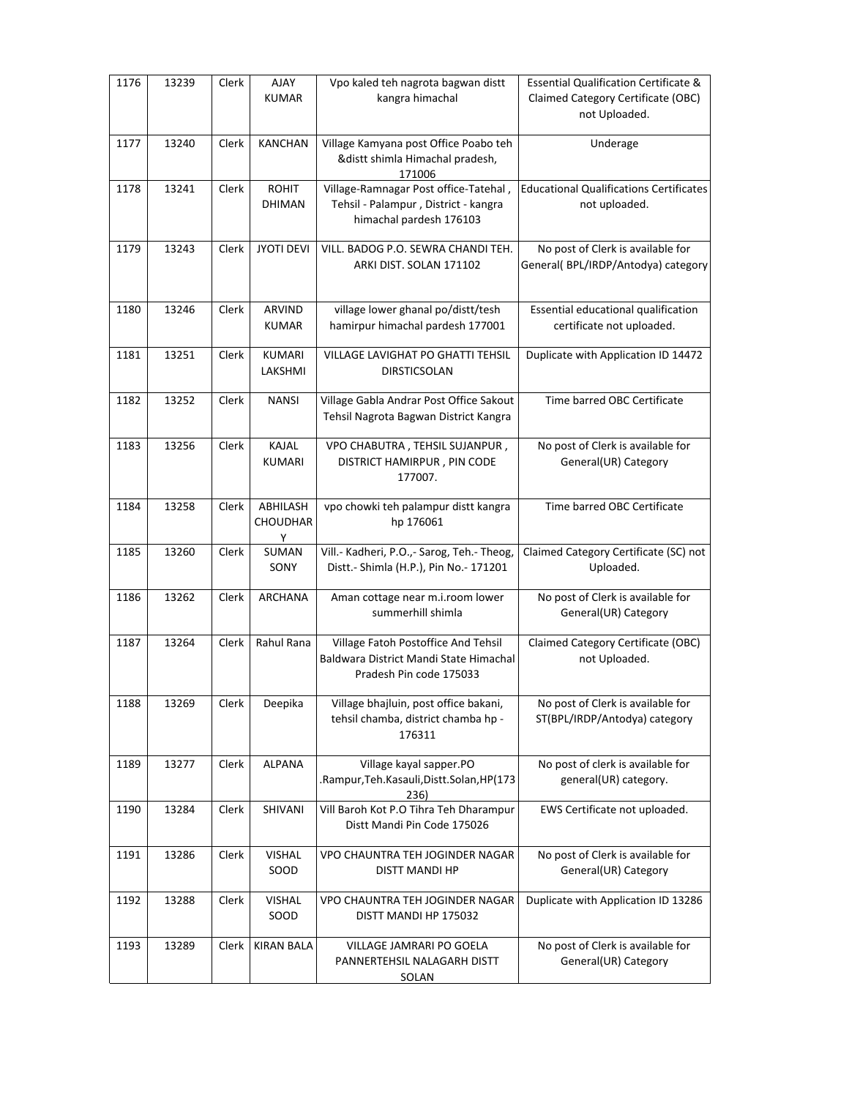| 1176 | 13239 | Clerk | AJAY<br><b>KUMAR</b>             | Vpo kaled teh nagrota bagwan distt<br>kangra himachal                                                    | <b>Essential Qualification Certificate &amp;</b><br>Claimed Category Certificate (OBC)<br>not Uploaded. |
|------|-------|-------|----------------------------------|----------------------------------------------------------------------------------------------------------|---------------------------------------------------------------------------------------------------------|
| 1177 | 13240 | Clerk | <b>KANCHAN</b>                   | Village Kamyana post Office Poabo teh<br>&distt shimla Himachal pradesh,<br>171006                       | Underage                                                                                                |
| 1178 | 13241 | Clerk | <b>ROHIT</b><br><b>DHIMAN</b>    | Village-Ramnagar Post office-Tatehal,<br>Tehsil - Palampur, District - kangra<br>himachal pardesh 176103 | <b>Educational Qualifications Certificates</b><br>not uploaded.                                         |
| 1179 | 13243 | Clerk | <b>JYOTI DEVI</b>                | VILL. BADOG P.O. SEWRA CHANDI TEH.<br>ARKI DIST. SOLAN 171102                                            | No post of Clerk is available for<br>General(BPL/IRDP/Antodya) category                                 |
| 1180 | 13246 | Clerk | ARVIND<br><b>KUMAR</b>           | village lower ghanal po/distt/tesh<br>hamirpur himachal pardesh 177001                                   | Essential educational qualification<br>certificate not uploaded.                                        |
| 1181 | 13251 | Clerk | KUMARI<br>LAKSHMI                | <b>VILLAGE LAVIGHAT PO GHATTI TEHSIL</b><br><b>DIRSTICSOLAN</b>                                          | Duplicate with Application ID 14472                                                                     |
| 1182 | 13252 | Clerk | <b>NANSI</b>                     | Village Gabla Andrar Post Office Sakout<br>Tehsil Nagrota Bagwan District Kangra                         | Time barred OBC Certificate                                                                             |
| 1183 | 13256 | Clerk | KAJAL<br>KUMARI                  | VPO CHABUTRA, TEHSIL SUJANPUR,<br>DISTRICT HAMIRPUR, PIN CODE<br>177007.                                 | No post of Clerk is available for<br>General(UR) Category                                               |
| 1184 | 13258 | Clerk | ABHILASH<br><b>CHOUDHAR</b><br>Υ | vpo chowki teh palampur distt kangra<br>hp 176061                                                        | Time barred OBC Certificate                                                                             |
| 1185 | 13260 | Clerk | SUMAN<br>SONY                    | Vill.- Kadheri, P.O.,- Sarog, Teh.- Theog,<br>Distt.- Shimla (H.P.), Pin No.- 171201                     | Claimed Category Certificate (SC) not<br>Uploaded.                                                      |
| 1186 | 13262 | Clerk | <b>ARCHANA</b>                   | Aman cottage near m.i.room lower<br>summerhill shimla                                                    | No post of Clerk is available for<br>General(UR) Category                                               |
| 1187 | 13264 | Clerk | Rahul Rana                       | Village Fatoh Postoffice And Tehsil<br>Baldwara District Mandi State Himachal<br>Pradesh Pin code 175033 | Claimed Category Certificate (OBC)<br>not Uploaded.                                                     |
| 1188 | 13269 | Clerk | Deepika                          | Village bhajluin, post office bakani,<br>tehsil chamba, district chamba hp -<br>176311                   | No post of Clerk is available for<br>ST(BPL/IRDP/Antodya) category                                      |
| 1189 | 13277 | Clerk | <b>ALPANA</b>                    | Village kayal sapper.PO<br>.Rampur, Teh. Kasauli, Distt. Solan, HP (173<br>236)                          | No post of clerk is available for<br>general(UR) category.                                              |
| 1190 | 13284 | Clerk | SHIVANI                          | Vill Baroh Kot P.O Tihra Teh Dharampur<br>Distt Mandi Pin Code 175026                                    | EWS Certificate not uploaded.                                                                           |
| 1191 | 13286 | Clerk | <b>VISHAL</b><br>SOOD            | VPO CHAUNTRA TEH JOGINDER NAGAR<br>DISTT MANDI HP                                                        | No post of Clerk is available for<br>General(UR) Category                                               |
| 1192 | 13288 | Clerk | <b>VISHAL</b><br>SOOD            | VPO CHAUNTRA TEH JOGINDER NAGAR<br>DISTT MANDI HP 175032                                                 | Duplicate with Application ID 13286                                                                     |
| 1193 | 13289 | Clerk | <b>KIRAN BALA</b>                | VILLAGE JAMRARI PO GOELA<br>PANNERTEHSIL NALAGARH DISTT<br>SOLAN                                         | No post of Clerk is available for<br>General(UR) Category                                               |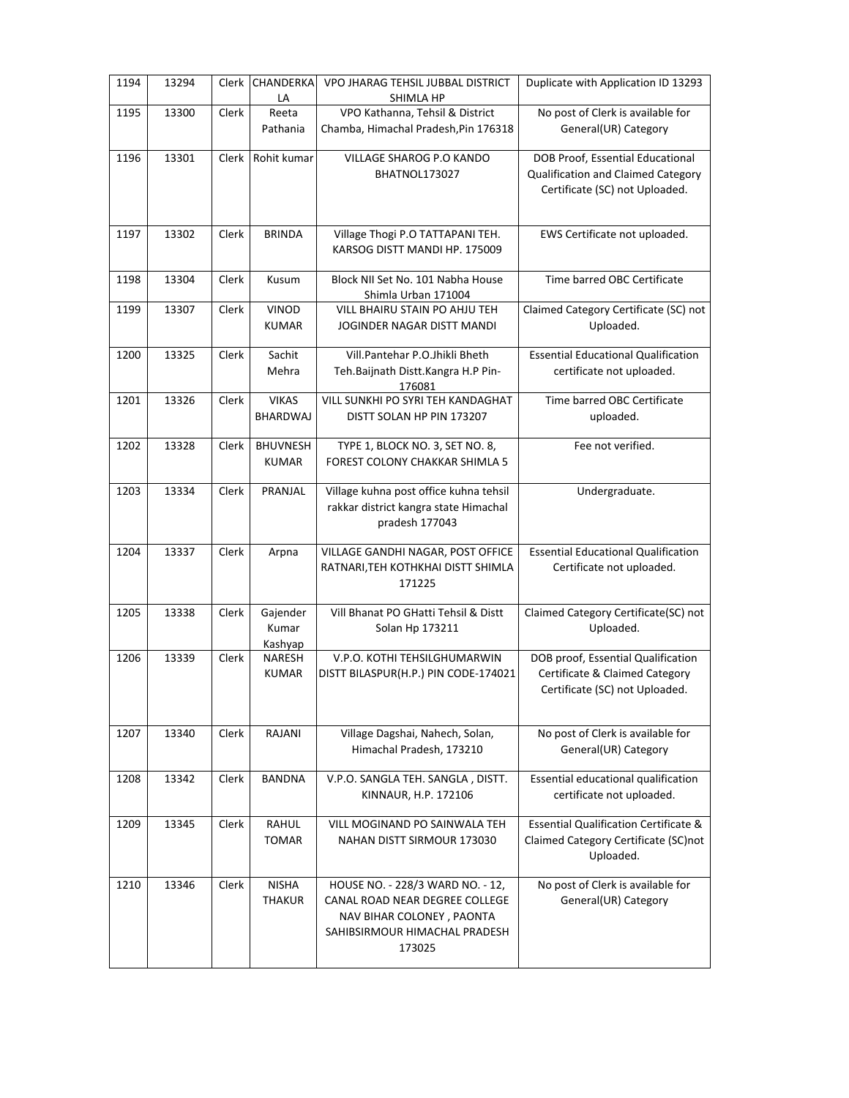| 1194 | 13294 | Clerk | <b>CHANDERKA</b><br>LA          | VPO JHARAG TEHSIL JUBBAL DISTRICT<br>SHIMLA HP                                                                                             | Duplicate with Application ID 13293                                                                      |
|------|-------|-------|---------------------------------|--------------------------------------------------------------------------------------------------------------------------------------------|----------------------------------------------------------------------------------------------------------|
| 1195 | 13300 | Clerk | Reeta<br>Pathania               | VPO Kathanna, Tehsil & District<br>Chamba, Himachal Pradesh, Pin 176318                                                                    | No post of Clerk is available for<br>General(UR) Category                                                |
| 1196 | 13301 | Clerk | Rohit kumar                     | VILLAGE SHAROG P.O KANDO<br>BHATNOL173027                                                                                                  | DOB Proof, Essential Educational<br>Qualification and Claimed Category<br>Certificate (SC) not Uploaded. |
| 1197 | 13302 | Clerk | <b>BRINDA</b>                   | Village Thogi P.O TATTAPANI TEH.<br>KARSOG DISTT MANDI HP. 175009                                                                          | EWS Certificate not uploaded.                                                                            |
| 1198 | 13304 | Clerk | Kusum                           | Block NII Set No. 101 Nabha House<br>Shimla Urban 171004                                                                                   | Time barred OBC Certificate                                                                              |
| 1199 | 13307 | Clerk | <b>VINOD</b><br><b>KUMAR</b>    | VILL BHAIRU STAIN PO AHJU TEH<br>JOGINDER NAGAR DISTT MANDI                                                                                | Claimed Category Certificate (SC) not<br>Uploaded.                                                       |
| 1200 | 13325 | Clerk | Sachit<br>Mehra                 | Vill.Pantehar P.O.Jhikli Bheth<br>Teh.Baijnath Distt.Kangra H.P Pin-<br>176081                                                             | <b>Essential Educational Qualification</b><br>certificate not uploaded.                                  |
| 1201 | 13326 | Clerk | <b>VIKAS</b><br>BHARDWAJ        | VILL SUNKHI PO SYRI TEH KANDAGHAT<br>DISTT SOLAN HP PIN 173207                                                                             | Time barred OBC Certificate<br>uploaded.                                                                 |
| 1202 | 13328 | Clerk | <b>BHUVNESH</b><br><b>KUMAR</b> | TYPE 1, BLOCK NO. 3, SET NO. 8,<br>FOREST COLONY CHAKKAR SHIMLA 5                                                                          | Fee not verified.                                                                                        |
| 1203 | 13334 | Clerk | PRANJAL                         | Village kuhna post office kuhna tehsil<br>rakkar district kangra state Himachal<br>pradesh 177043                                          | Undergraduate.                                                                                           |
| 1204 | 13337 | Clerk | Arpna                           | VILLAGE GANDHI NAGAR, POST OFFICE<br>RATNARI, TEH KOTHKHAI DISTT SHIMLA<br>171225                                                          | <b>Essential Educational Qualification</b><br>Certificate not uploaded.                                  |
| 1205 | 13338 | Clerk | Gajender<br>Kumar<br>Kashyap    | Vill Bhanat PO GHatti Tehsil & Distt<br>Solan Hp 173211                                                                                    | Claimed Category Certificate(SC) not<br>Uploaded.                                                        |
| 1206 | 13339 | Clerk | NARESH<br><b>KUMAR</b>          | V.P.O. KOTHI TEHSILGHUMARWIN<br>DISTT BILASPUR(H.P.) PIN CODE-174021                                                                       | DOB proof, Essential Qualification<br>Certificate & Claimed Category<br>Certificate (SC) not Uploaded.   |
| 1207 | 13340 | Clerk | RAJANI                          | Village Dagshai, Nahech, Solan,<br>Himachal Pradesh, 173210                                                                                | No post of Clerk is available for<br>General(UR) Category                                                |
| 1208 | 13342 | Clerk | <b>BANDNA</b>                   | V.P.O. SANGLA TEH. SANGLA, DISTT.<br>KINNAUR, H.P. 172106                                                                                  | Essential educational qualification<br>certificate not uploaded.                                         |
| 1209 | 13345 | Clerk | RAHUL<br><b>TOMAR</b>           | VILL MOGINAND PO SAINWALA TEH<br>NAHAN DISTT SIRMOUR 173030                                                                                | <b>Essential Qualification Certificate &amp;</b><br>Claimed Category Certificate (SC)not<br>Uploaded.    |
| 1210 | 13346 | Clerk | <b>NISHA</b><br><b>THAKUR</b>   | HOUSE NO. - 228/3 WARD NO. - 12,<br>CANAL ROAD NEAR DEGREE COLLEGE<br>NAV BIHAR COLONEY, PAONTA<br>SAHIBSIRMOUR HIMACHAL PRADESH<br>173025 | No post of Clerk is available for<br>General(UR) Category                                                |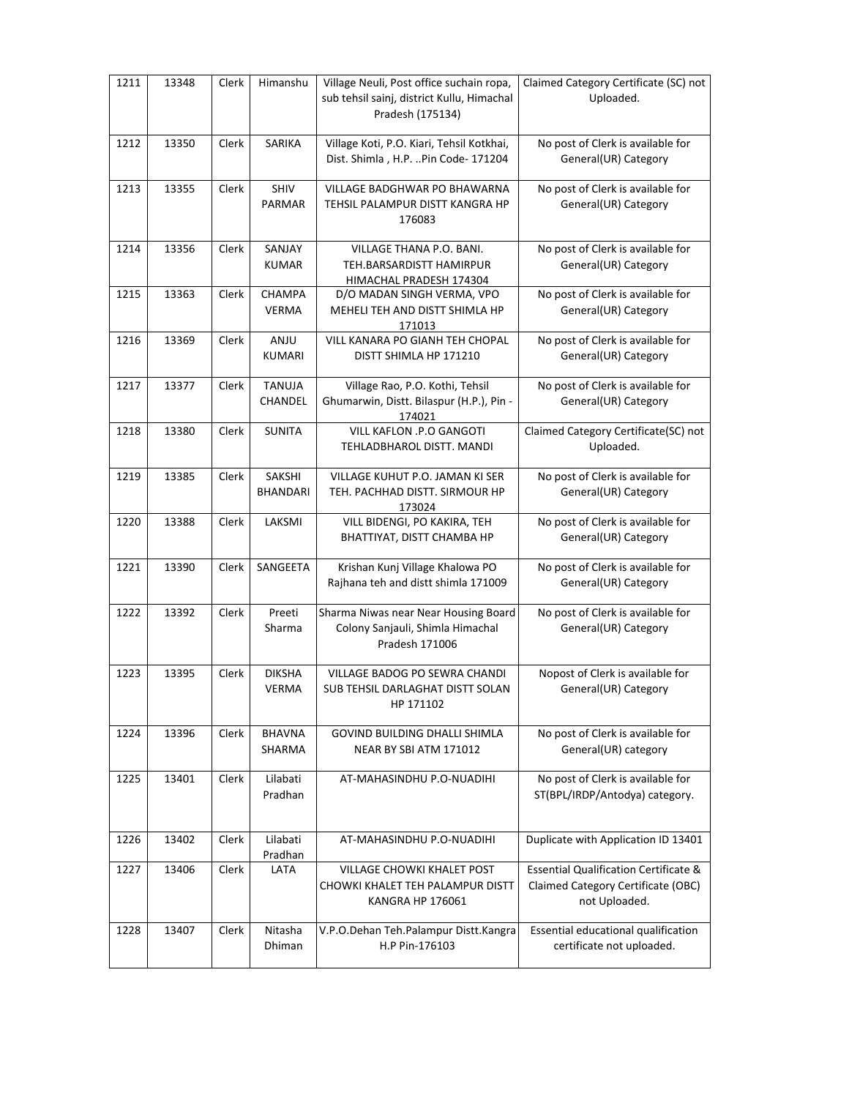| 1211 | 13348 | Clerk | Himanshu                      | Village Neuli, Post office suchain ropa,<br>sub tehsil sainj, district Kullu, Himachal<br>Pradesh (175134) | Claimed Category Certificate (SC) not<br>Uploaded.                                                      |
|------|-------|-------|-------------------------------|------------------------------------------------------------------------------------------------------------|---------------------------------------------------------------------------------------------------------|
| 1212 | 13350 | Clerk | SARIKA                        | Village Koti, P.O. Kiari, Tehsil Kotkhai,<br>Dist. Shimla, H.P. Pin Code- 171204                           | No post of Clerk is available for<br>General(UR) Category                                               |
| 1213 | 13355 | Clerk | <b>SHIV</b><br><b>PARMAR</b>  | VILLAGE BADGHWAR PO BHAWARNA<br>TEHSIL PALAMPUR DISTT KANGRA HP<br>176083                                  | No post of Clerk is available for<br>General(UR) Category                                               |
| 1214 | 13356 | Clerk | SANJAY<br><b>KUMAR</b>        | <b>VILLAGE THANA P.O. BANI.</b><br>TEH.BARSARDISTT HAMIRPUR<br>HIMACHAL PRADESH 174304                     | No post of Clerk is available for<br>General(UR) Category                                               |
| 1215 | 13363 | Clerk | <b>CHAMPA</b><br><b>VERMA</b> | D/O MADAN SINGH VERMA, VPO<br>MEHELI TEH AND DISTT SHIMLA HP<br>171013                                     | No post of Clerk is available for<br>General(UR) Category                                               |
| 1216 | 13369 | Clerk | ANJU<br><b>KUMARI</b>         | VILL KANARA PO GIANH TEH CHOPAL<br>DISTT SHIMLA HP 171210                                                  | No post of Clerk is available for<br>General(UR) Category                                               |
| 1217 | 13377 | Clerk | <b>TANUJA</b><br>CHANDEL      | Village Rao, P.O. Kothi, Tehsil<br>Ghumarwin, Distt. Bilaspur (H.P.), Pin -<br>174021                      | No post of Clerk is available for<br>General(UR) Category                                               |
| 1218 | 13380 | Clerk | <b>SUNITA</b>                 | VILL KAFLON .P.O GANGOTI<br>TEHLADBHAROL DISTT. MANDI                                                      | Claimed Category Certificate(SC) not<br>Uploaded.                                                       |
| 1219 | 13385 | Clerk | SAKSHI<br><b>BHANDARI</b>     | VILLAGE KUHUT P.O. JAMAN KI SER<br>TEH. PACHHAD DISTT. SIRMOUR HP<br>173024                                | No post of Clerk is available for<br>General(UR) Category                                               |
| 1220 | 13388 | Clerk | LAKSMI                        | VILL BIDENGI, PO KAKIRA, TEH<br>BHATTIYAT, DISTT CHAMBA HP                                                 | No post of Clerk is available for<br>General(UR) Category                                               |
| 1221 | 13390 | Clerk | SANGEETA                      | Krishan Kunj Village Khalowa PO<br>Rajhana teh and distt shimla 171009                                     | No post of Clerk is available for<br>General(UR) Category                                               |
| 1222 | 13392 | Clerk | Preeti<br>Sharma              | Sharma Niwas near Near Housing Board<br>Colony Sanjauli, Shimla Himachal<br>Pradesh 171006                 | No post of Clerk is available for<br>General(UR) Category                                               |
| 1223 | 13395 | Clerk | <b>DIKSHA</b><br>VERMA        | VILLAGE BADOG PO SEWRA CHANDI<br>SUB TEHSIL DARLAGHAT DISTT SOLAN<br>HP 171102                             | Nopost of Clerk is available for<br>General(UR) Category                                                |
| 1224 | 13396 | Clerk | <b>BHAVNA</b><br>SHARMA       | GOVIND BUILDING DHALLI SHIMLA<br>NEAR BY SBI ATM 171012                                                    | No post of Clerk is available for<br>General(UR) category                                               |
| 1225 | 13401 | Clerk | Lilabati<br>Pradhan           | AT-MAHASINDHU P.O-NUADIHI                                                                                  | No post of Clerk is available for<br>ST(BPL/IRDP/Antodya) category.                                     |
| 1226 | 13402 | Clerk | Lilabati<br>Pradhan           | AT-MAHASINDHU P.O-NUADIHI                                                                                  | Duplicate with Application ID 13401                                                                     |
| 1227 | 13406 | Clerk | LATA                          | VILLAGE CHOWKI KHALET POST<br>CHOWKI KHALET TEH PALAMPUR DISTT<br><b>KANGRA HP 176061</b>                  | <b>Essential Qualification Certificate &amp;</b><br>Claimed Category Certificate (OBC)<br>not Uploaded. |
| 1228 | 13407 | Clerk | Nitasha<br>Dhiman             | V.P.O.Dehan Teh.Palampur Distt.Kangra<br>H.P Pin-176103                                                    | Essential educational qualification<br>certificate not uploaded.                                        |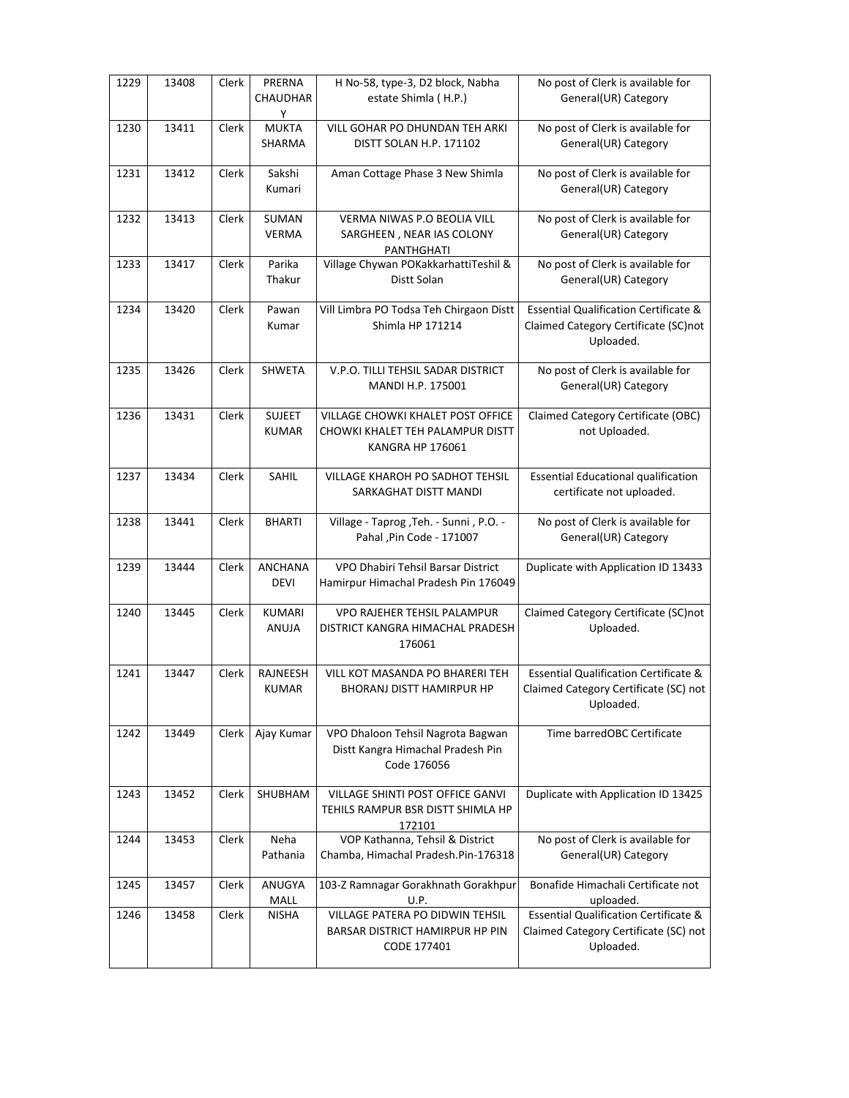| 1229 | 13408 | <b>Clerk</b> | PRERNA<br>CHAUDHAR<br>Υ       | H No-58, type-3, D2 block, Nabha<br>estate Shimla (H.P.)                                         | No post of Clerk is available for<br>General(UR) Category                                              |
|------|-------|--------------|-------------------------------|--------------------------------------------------------------------------------------------------|--------------------------------------------------------------------------------------------------------|
| 1230 | 13411 | Clerk        | <b>MUKTA</b><br>SHARMA        | VILL GOHAR PO DHUNDAN TEH ARKI<br>DISTT SOLAN H.P. 171102                                        | No post of Clerk is available for<br>General(UR) Category                                              |
| 1231 | 13412 | Clerk        | Sakshi<br>Kumari              | Aman Cottage Phase 3 New Shimla                                                                  | No post of Clerk is available for<br>General(UR) Category                                              |
| 1232 | 13413 | Clerk        | SUMAN<br><b>VERMA</b>         | <b>VERMA NIWAS P.O BEOLIA VILL</b><br>SARGHEEN, NEAR IAS COLONY<br>PANTHGHATI                    | No post of Clerk is available for<br>General(UR) Category                                              |
| 1233 | 13417 | Clerk        | Parika<br>Thakur              | Village Chywan POKakkarhattiTeshil &<br>Distt Solan                                              | No post of Clerk is available for<br>General(UR) Category                                              |
| 1234 | 13420 | Clerk        | Pawan<br>Kumar                | Vill Limbra PO Todsa Teh Chirgaon Distt<br>Shimla HP 171214                                      | <b>Essential Qualification Certificate &amp;</b><br>Claimed Category Certificate (SC)not<br>Uploaded.  |
| 1235 | 13426 | Clerk        | <b>SHWETA</b>                 | V.P.O. TILLI TEHSIL SADAR DISTRICT<br>MANDI H.P. 175001                                          | No post of Clerk is available for<br>General(UR) Category                                              |
| 1236 | 13431 | Clerk        | <b>SUJEET</b><br><b>KUMAR</b> | VILLAGE CHOWKI KHALET POST OFFICE<br>CHOWKI KHALET TEH PALAMPUR DISTT<br><b>KANGRA HP 176061</b> | Claimed Category Certificate (OBC)<br>not Uploaded.                                                    |
| 1237 | 13434 | Clerk        | SAHIL                         | VILLAGE KHAROH PO SADHOT TEHSIL<br>SARKAGHAT DISTT MANDI                                         | <b>Essential Educational qualification</b><br>certificate not uploaded.                                |
| 1238 | 13441 | Clerk        | <b>BHARTI</b>                 | Village - Taprog , Teh. - Sunni, P.O. -<br>Pahal , Pin Code - 171007                             | No post of Clerk is available for<br>General(UR) Category                                              |
| 1239 | 13444 | Clerk        | <b>ANCHANA</b><br><b>DEVI</b> | VPO Dhabiri Tehsil Barsar District<br>Hamirpur Himachal Pradesh Pin 176049                       | Duplicate with Application ID 13433                                                                    |
| 1240 | 13445 | Clerk        | <b>KUMARI</b><br>ANUJA        | <b>VPO RAJEHER TEHSIL PALAMPUR</b><br>DISTRICT KANGRA HIMACHAL PRADESH<br>176061                 | Claimed Category Certificate (SC)not<br>Uploaded.                                                      |
| 1241 | 13447 | Clerk        | RAJNEESH<br><b>KUMAR</b>      | VILL KOT MASANDA PO BHARERI TEH<br><b>BHORANJ DISTT HAMIRPUR HP</b>                              | <b>Essential Qualification Certificate &amp;</b><br>Claimed Category Certificate (SC) not<br>Uploaded. |
| 1242 | 13449 | Clerk        | Ajay Kumar                    | VPO Dhaloon Tehsil Nagrota Bagwan<br>Distt Kangra Himachal Pradesh Pin<br>Code 176056            | Time barredOBC Certificate                                                                             |
| 1243 | 13452 | Clerk        | SHUBHAM                       | VILLAGE SHINTI POST OFFICE GANVI<br>TEHILS RAMPUR BSR DISTT SHIMLA HP<br>172101                  | Duplicate with Application ID 13425                                                                    |
| 1244 | 13453 | Clerk        | Neha<br>Pathania              | VOP Kathanna, Tehsil & District<br>Chamba, Himachal Pradesh.Pin-176318                           | No post of Clerk is available for<br>General(UR) Category                                              |
| 1245 | 13457 | Clerk        | ANUGYA<br>MALL                | 103-Z Ramnagar Gorakhnath Gorakhpur<br>U.P.                                                      | Bonafide Himachali Certificate not<br>uploaded.                                                        |
| 1246 | 13458 | Clerk        | <b>NISHA</b>                  | VILLAGE PATERA PO DIDWIN TEHSIL<br>BARSAR DISTRICT HAMIRPUR HP PIN<br>CODE 177401                | <b>Essential Qualification Certificate &amp;</b><br>Claimed Category Certificate (SC) not<br>Uploaded. |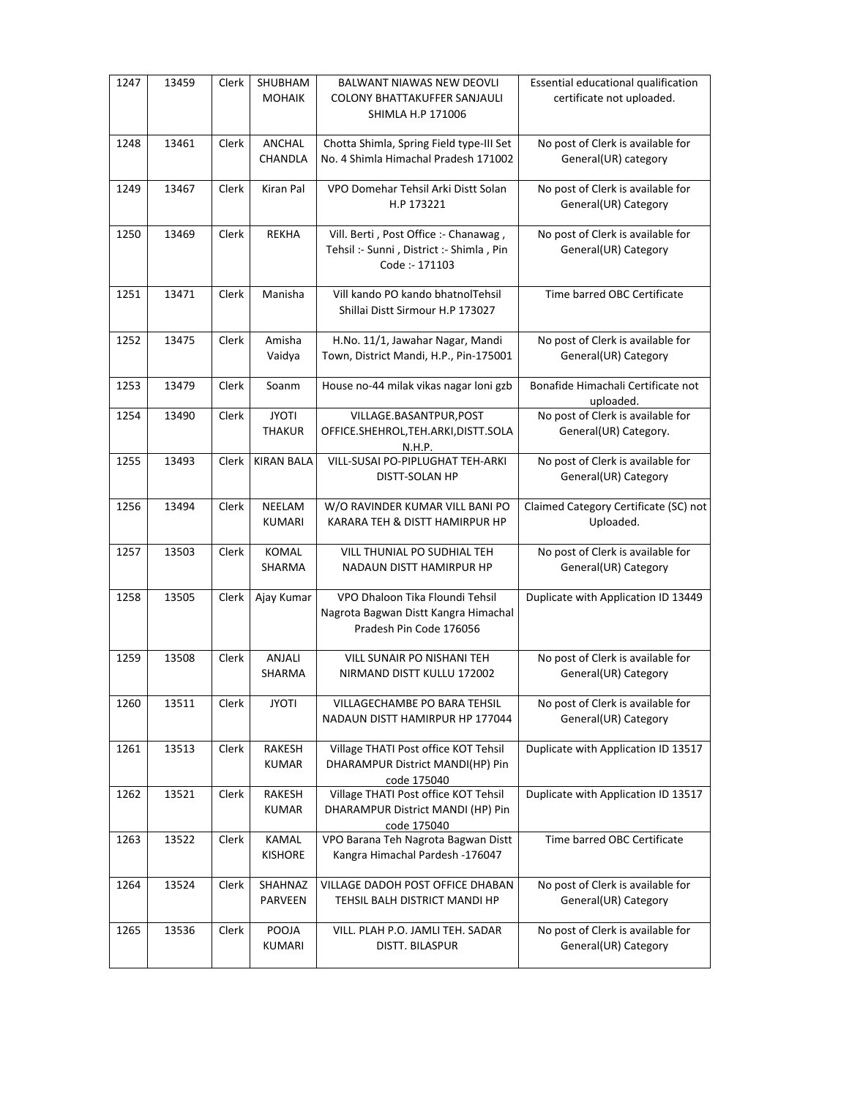| 1247 | 13459 | Clerk | SHUBHAM<br><b>MOHAIK</b>      | BALWANT NIAWAS NEW DEOVLI<br><b>COLONY BHATTAKUFFER SANJAULI</b><br>SHIMLA H.P 171006               | Essential educational qualification<br>certificate not uploaded. |
|------|-------|-------|-------------------------------|-----------------------------------------------------------------------------------------------------|------------------------------------------------------------------|
| 1248 | 13461 | Clerk | ANCHAL<br>CHANDLA             | Chotta Shimla, Spring Field type-III Set<br>No. 4 Shimla Himachal Pradesh 171002                    | No post of Clerk is available for<br>General(UR) category        |
| 1249 | 13467 | Clerk | Kiran Pal                     | VPO Domehar Tehsil Arki Distt Solan<br>H.P 173221                                                   | No post of Clerk is available for<br>General(UR) Category        |
| 1250 | 13469 | Clerk | <b>REKHA</b>                  | Vill. Berti, Post Office :- Chanawag,<br>Tehsil :- Sunni, District :- Shimla, Pin<br>Code: - 171103 | No post of Clerk is available for<br>General(UR) Category        |
| 1251 | 13471 | Clerk | Manisha                       | Vill kando PO kando bhatnolTehsil<br>Shillai Distt Sirmour H.P 173027                               | Time barred OBC Certificate                                      |
| 1252 | 13475 | Clerk | Amisha<br>Vaidya              | H.No. 11/1, Jawahar Nagar, Mandi<br>Town, District Mandi, H.P., Pin-175001                          | No post of Clerk is available for<br>General(UR) Category        |
| 1253 | 13479 | Clerk | Soanm                         | House no-44 milak vikas nagar loni gzb                                                              | Bonafide Himachali Certificate not<br>uploaded.                  |
| 1254 | 13490 | Clerk | <b>JYOTI</b><br><b>THAKUR</b> | VILLAGE.BASANTPUR, POST<br>OFFICE.SHEHROL,TEH.ARKI,DISTT.SOLA<br>N.H.P.                             | No post of Clerk is available for<br>General(UR) Category.       |
| 1255 | 13493 | Clerk | <b>KIRAN BALA</b>             | VILL-SUSAI PO-PIPLUGHAT TEH-ARKI<br>DISTT-SOLAN HP                                                  | No post of Clerk is available for<br>General(UR) Category        |
| 1256 | 13494 | Clerk | NEELAM<br><b>KUMARI</b>       | W/O RAVINDER KUMAR VILL BANI PO<br>KARARA TEH & DISTT HAMIRPUR HP                                   | Claimed Category Certificate (SC) not<br>Uploaded.               |
| 1257 | 13503 | Clerk | <b>KOMAL</b><br>SHARMA        | VILL THUNIAL PO SUDHIAL TEH<br>NADAUN DISTT HAMIRPUR HP                                             | No post of Clerk is available for<br>General(UR) Category        |
| 1258 | 13505 | Clerk | Ajay Kumar                    | VPO Dhaloon Tika Floundi Tehsil<br>Nagrota Bagwan Distt Kangra Himachal<br>Pradesh Pin Code 176056  | Duplicate with Application ID 13449                              |
| 1259 | 13508 | Clerk | ANJALI<br>SHARMA              | <b>VILL SUNAIR PO NISHANI TEH</b><br>NIRMAND DISTT KULLU 172002                                     | No post of Clerk is available for<br>General(UR) Category        |
| 1260 | 13511 | Clerk | <b>JYOTI</b>                  | VILLAGECHAMBE PO BARA TEHSIL<br>NADAUN DISTT HAMIRPUR HP 177044                                     | No post of Clerk is available for<br>General(UR) Category        |
| 1261 | 13513 | Clerk | <b>RAKESH</b><br><b>KUMAR</b> | Village THATI Post office KOT Tehsil<br>DHARAMPUR District MANDI(HP) Pin<br>code 175040             | Duplicate with Application ID 13517                              |
| 1262 | 13521 | Clerk | RAKESH<br><b>KUMAR</b>        | Village THATI Post office KOT Tehsil<br>DHARAMPUR District MANDI (HP) Pin<br>code 175040            | Duplicate with Application ID 13517                              |
| 1263 | 13522 | Clerk | KAMAL<br><b>KISHORE</b>       | VPO Barana Teh Nagrota Bagwan Distt<br>Kangra Himachal Pardesh - 176047                             | Time barred OBC Certificate                                      |
| 1264 | 13524 | Clerk | SHAHNAZ<br>PARVEEN            | VILLAGE DADOH POST OFFICE DHABAN<br>TEHSIL BALH DISTRICT MANDI HP                                   | No post of Clerk is available for<br>General(UR) Category        |
| 1265 | 13536 | Clerk | POOJA<br>KUMARI               | VILL. PLAH P.O. JAMLI TEH. SADAR<br>DISTT. BILASPUR                                                 | No post of Clerk is available for<br>General(UR) Category        |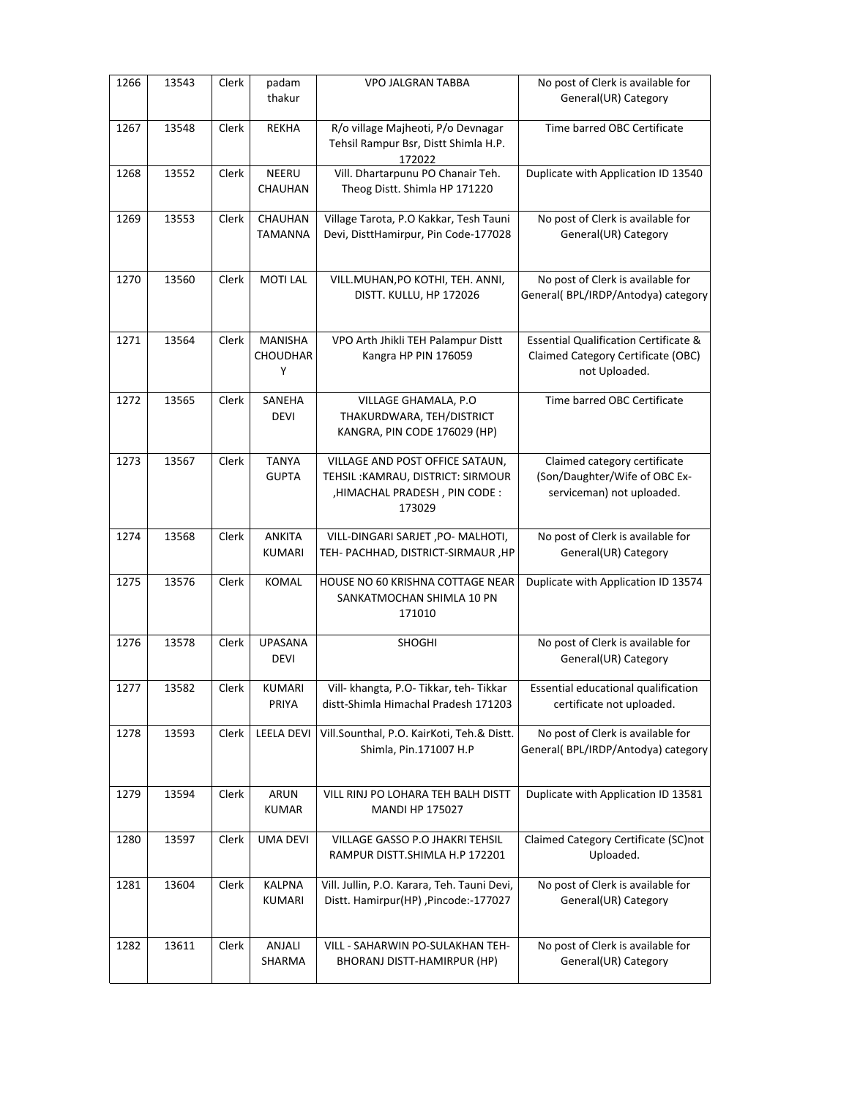| 1266 | 13543 | Clerk | padam<br>thakur                 | <b>VPO JALGRAN TABBA</b>                                                                                        | No post of Clerk is available for<br>General(UR) Category                                               |
|------|-------|-------|---------------------------------|-----------------------------------------------------------------------------------------------------------------|---------------------------------------------------------------------------------------------------------|
| 1267 | 13548 | Clerk | <b>REKHA</b>                    | R/o village Majheoti, P/o Devnagar<br>Tehsil Rampur Bsr, Distt Shimla H.P.<br>172022                            | Time barred OBC Certificate                                                                             |
| 1268 | 13552 | Clerk | NEERU<br>CHAUHAN                | Vill. Dhartarpunu PO Chanair Teh.<br>Theog Distt. Shimla HP 171220                                              | Duplicate with Application ID 13540                                                                     |
| 1269 | 13553 | Clerk | CHAUHAN<br><b>TAMANNA</b>       | Village Tarota, P.O Kakkar, Tesh Tauni<br>Devi, DisttHamirpur, Pin Code-177028                                  | No post of Clerk is available for<br>General(UR) Category                                               |
| 1270 | 13560 | Clerk | <b>MOTI LAL</b>                 | VILL.MUHAN, PO KOTHI, TEH. ANNI,<br>DISTT. KULLU, HP 172026                                                     | No post of Clerk is available for<br>General(BPL/IRDP/Antodya) category                                 |
| 1271 | 13564 | Clerk | MANISHA<br><b>CHOUDHAR</b><br>Υ | VPO Arth Jhikli TEH Palampur Distt<br>Kangra HP PIN 176059                                                      | <b>Essential Qualification Certificate &amp;</b><br>Claimed Category Certificate (OBC)<br>not Uploaded. |
| 1272 | 13565 | Clerk | SANEHA<br><b>DEVI</b>           | VILLAGE GHAMALA, P.O<br>THAKURDWARA, TEH/DISTRICT<br>KANGRA, PIN CODE 176029 (HP)                               | Time barred OBC Certificate                                                                             |
| 1273 | 13567 | Clerk | <b>TANYA</b><br><b>GUPTA</b>    | VILLAGE AND POST OFFICE SATAUN,<br>TEHSIL: KAMRAU, DISTRICT: SIRMOUR<br>, HIMACHAL PRADESH, PIN CODE:<br>173029 | Claimed category certificate<br>(Son/Daughter/Wife of OBC Ex-<br>serviceman) not uploaded.              |
| 1274 | 13568 | Clerk | <b>ANKITA</b><br><b>KUMARI</b>  | VILL-DINGARI SARJET, PO- MALHOTI,<br>TEH- PACHHAD, DISTRICT-SIRMAUR, HP                                         | No post of Clerk is available for<br>General(UR) Category                                               |
| 1275 | 13576 | Clerk | <b>KOMAL</b>                    | HOUSE NO 60 KRISHNA COTTAGE NEAR<br>SANKATMOCHAN SHIMLA 10 PN<br>171010                                         | Duplicate with Application ID 13574                                                                     |
| 1276 | 13578 | Clerk | UPASANA<br><b>DEVI</b>          | SHOGHI                                                                                                          | No post of Clerk is available for<br>General(UR) Category                                               |
| 1277 | 13582 | Clerk | <b>KUMARI</b><br>PRIYA          | Vill- khangta, P.O- Tikkar, teh- Tikkar<br>distt-Shimla Himachal Pradesh 171203                                 | Essential educational qualification<br>certificate not uploaded.                                        |
| 1278 | 13593 | Clerk | <b>LEELA DEVI</b>               | Vill.Sounthal, P.O. KairKoti, Teh.& Distt.<br>Shimla, Pin.171007 H.P                                            | No post of Clerk is available for<br>General( BPL/IRDP/Antodya) category                                |
| 1279 | 13594 | Clerk | ARUN<br><b>KUMAR</b>            | VILL RINJ PO LOHARA TEH BALH DISTT<br><b>MANDI HP 175027</b>                                                    | Duplicate with Application ID 13581                                                                     |
| 1280 | 13597 | Clerk | <b>UMA DEVI</b>                 | VILLAGE GASSO P.O JHAKRI TEHSIL<br>RAMPUR DISTT.SHIMLA H.P 172201                                               | Claimed Category Certificate (SC)not<br>Uploaded.                                                       |
| 1281 | 13604 | Clerk | <b>KALPNA</b><br>KUMARI         | Vill. Jullin, P.O. Karara, Teh. Tauni Devi,<br>Distt. Hamirpur(HP), Pincode:-177027                             | No post of Clerk is available for<br>General(UR) Category                                               |
| 1282 | 13611 | Clerk | ANJALI<br>SHARMA                | VILL - SAHARWIN PO-SULAKHAN TEH-<br>BHORANJ DISTT-HAMIRPUR (HP)                                                 | No post of Clerk is available for<br>General(UR) Category                                               |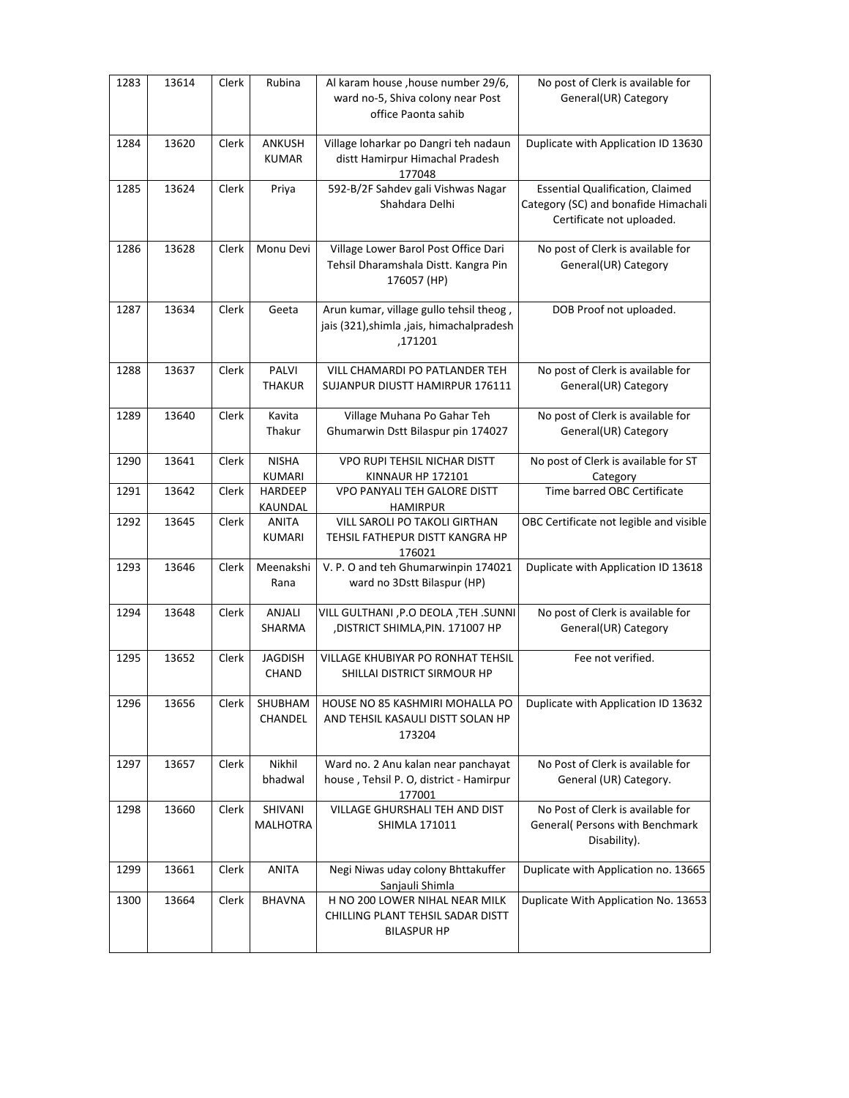| 1283 | 13614 | Clerk | Rubina                         | Al karam house , house number 29/6,<br>ward no-5, Shiva colony near Post<br>office Paonta sahib | No post of Clerk is available for<br>General(UR) Category                                                    |
|------|-------|-------|--------------------------------|-------------------------------------------------------------------------------------------------|--------------------------------------------------------------------------------------------------------------|
| 1284 | 13620 | Clerk | <b>ANKUSH</b><br><b>KUMAR</b>  | Village loharkar po Dangri teh nadaun<br>distt Hamirpur Himachal Pradesh<br>177048              | Duplicate with Application ID 13630                                                                          |
| 1285 | 13624 | Clerk | Priya                          | 592-B/2F Sahdev gali Vishwas Nagar<br>Shahdara Delhi                                            | <b>Essential Qualification, Claimed</b><br>Category (SC) and bonafide Himachali<br>Certificate not uploaded. |
| 1286 | 13628 | Clerk | Monu Devi                      | Village Lower Barol Post Office Dari<br>Tehsil Dharamshala Distt. Kangra Pin<br>176057 (HP)     | No post of Clerk is available for<br>General(UR) Category                                                    |
| 1287 | 13634 | Clerk | Geeta                          | Arun kumar, village gullo tehsil theog,<br>jais (321), shimla, jais, himachalpradesh<br>,171201 | DOB Proof not uploaded.                                                                                      |
| 1288 | 13637 | Clerk | PALVI<br><b>THAKUR</b>         | VILL CHAMARDI PO PATLANDER TEH<br>SUJANPUR DIUSTT HAMIRPUR 176111                               | No post of Clerk is available for<br>General(UR) Category                                                    |
| 1289 | 13640 | Clerk | Kavita<br>Thakur               | Village Muhana Po Gahar Teh<br>Ghumarwin Dstt Bilaspur pin 174027                               | No post of Clerk is available for<br>General(UR) Category                                                    |
| 1290 | 13641 | Clerk | <b>NISHA</b><br>KUMARI         | VPO RUPI TEHSIL NICHAR DISTT<br>KINNAUR HP 172101                                               | No post of Clerk is available for ST<br>Category                                                             |
| 1291 | 13642 | Clerk | <b>HARDEEP</b><br>KAUNDAL      | VPO PANYALI TEH GALORE DISTT<br><b>HAMIRPUR</b>                                                 | Time barred OBC Certificate                                                                                  |
| 1292 | 13645 | Clerk | <b>ANITA</b><br><b>KUMARI</b>  | VILL SAROLI PO TAKOLI GIRTHAN<br>TEHSIL FATHEPUR DISTT KANGRA HP<br>176021                      | OBC Certificate not legible and visible                                                                      |
| 1293 | 13646 | Clerk | Meenakshi<br>Rana              | V. P. O and teh Ghumarwinpin 174021<br>ward no 3Dstt Bilaspur (HP)                              | Duplicate with Application ID 13618                                                                          |
| 1294 | 13648 | Clerk | <b>ANJALI</b><br>SHARMA        | VILL GULTHANI , P.O DEOLA , TEH . SUNNI<br>, DISTRICT SHIMLA, PIN. 171007 HP                    | No post of Clerk is available for<br>General(UR) Category                                                    |
| 1295 | 13652 | Clerk | <b>JAGDISH</b><br><b>CHAND</b> | <b>VILLAGE KHUBIYAR PO RONHAT TEHSIL</b><br>SHILLAI DISTRICT SIRMOUR HP                         | Fee not verified.                                                                                            |
| 1296 | 13656 | Clerk | SHUBHAM<br>CHANDEL             | HOUSE NO 85 KASHMIRI MOHALLA PO<br>AND TEHSIL KASAULI DISTT SOLAN HP<br>173204                  | Duplicate with Application ID 13632                                                                          |
| 1297 | 13657 | Clerk | Nikhil<br>bhadwal              | Ward no. 2 Anu kalan near panchayat<br>house, Tehsil P. O, district - Hamirpur<br>177001        | No Post of Clerk is available for<br>General (UR) Category.                                                  |
| 1298 | 13660 | Clerk | SHIVANI<br><b>MALHOTRA</b>     | <b>VILLAGE GHURSHALI TEH AND DIST</b><br><b>SHIMLA 171011</b>                                   | No Post of Clerk is available for<br><b>General</b> Persons with Benchmark<br>Disability).                   |
| 1299 | 13661 | Clerk | ANITA                          | Negi Niwas uday colony Bhttakuffer<br>Sanjauli Shimla                                           | Duplicate with Application no. 13665                                                                         |
| 1300 | 13664 | Clerk | <b>BHAVNA</b>                  | H NO 200 LOWER NIHAL NEAR MILK<br>CHILLING PLANT TEHSIL SADAR DISTT<br><b>BILASPUR HP</b>       | Duplicate With Application No. 13653                                                                         |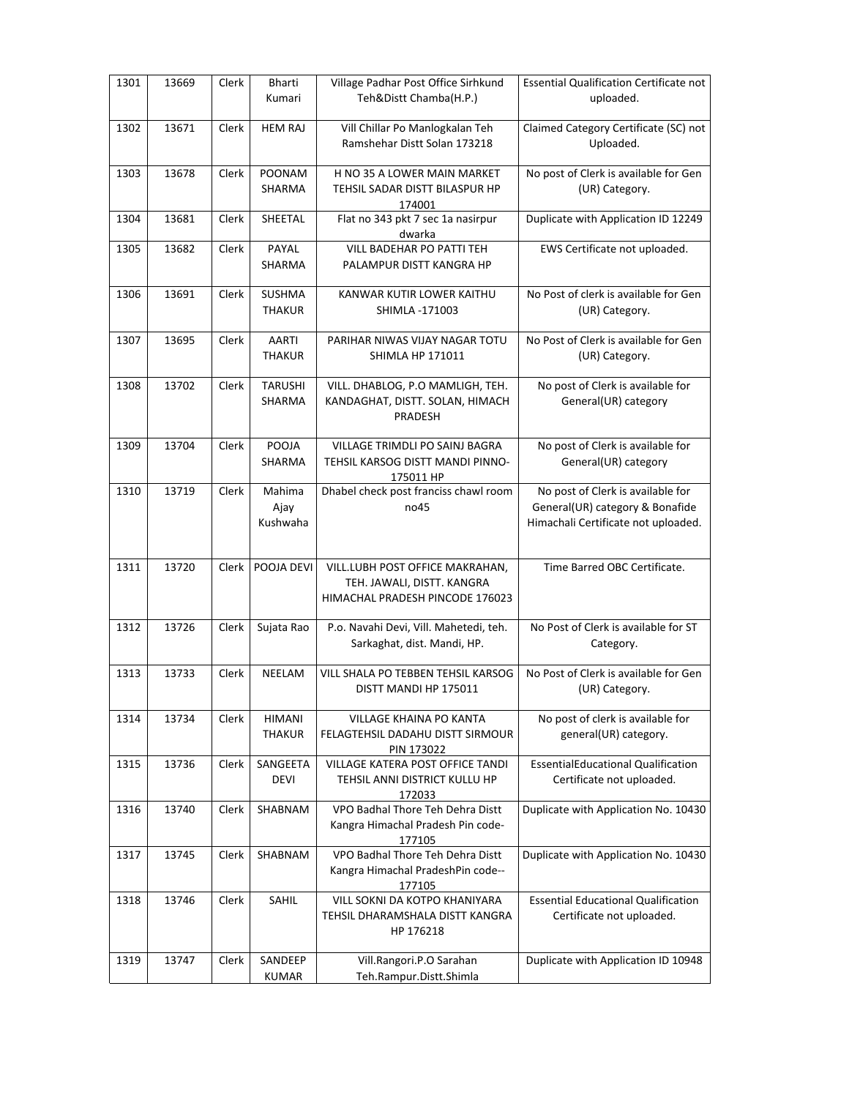| 1301 | 13669 | Clerk | Bharti<br>Kumari               | Village Padhar Post Office Sirhkund<br>Teh&Distt Chamba(H.P.)                                    | <b>Essential Qualification Certificate not</b><br>uploaded.                                                 |
|------|-------|-------|--------------------------------|--------------------------------------------------------------------------------------------------|-------------------------------------------------------------------------------------------------------------|
| 1302 | 13671 | Clerk | <b>HEM RAJ</b>                 | Vill Chillar Po Manlogkalan Teh<br>Ramshehar Distt Solan 173218                                  | Claimed Category Certificate (SC) not<br>Uploaded.                                                          |
| 1303 | 13678 | Clerk | POONAM<br>SHARMA               | H NO 35 A LOWER MAIN MARKET<br>TEHSIL SADAR DISTT BILASPUR HP<br>174001                          | No post of Clerk is available for Gen<br>(UR) Category.                                                     |
| 1304 | 13681 | Clerk | SHEETAL                        | Flat no 343 pkt 7 sec 1a nasirpur<br>dwarka                                                      | Duplicate with Application ID 12249                                                                         |
| 1305 | 13682 | Clerk | PAYAL<br>SHARMA                | VILL BADEHAR PO PATTI TEH<br>PALAMPUR DISTT KANGRA HP                                            | EWS Certificate not uploaded.                                                                               |
| 1306 | 13691 | Clerk | SUSHMA<br><b>THAKUR</b>        | KANWAR KUTIR LOWER KAITHU<br>SHIMLA -171003                                                      | No Post of clerk is available for Gen<br>(UR) Category.                                                     |
| 1307 | 13695 | Clerk | AARTI<br><b>THAKUR</b>         | PARIHAR NIWAS VIJAY NAGAR TOTU<br><b>SHIMLA HP 171011</b>                                        | No Post of Clerk is available for Gen<br>(UR) Category.                                                     |
| 1308 | 13702 | Clerk | <b>TARUSHI</b><br>SHARMA       | VILL. DHABLOG, P.O MAMLIGH, TEH.<br>KANDAGHAT, DISTT. SOLAN, HIMACH<br>PRADESH                   | No post of Clerk is available for<br>General(UR) category                                                   |
| 1309 | 13704 | Clerk | POOJA<br>SHARMA                | VILLAGE TRIMDLI PO SAINJ BAGRA<br>TEHSIL KARSOG DISTT MANDI PINNO-<br>175011 HP                  | No post of Clerk is available for<br>General(UR) category                                                   |
| 1310 | 13719 | Clerk | Mahima<br>Ajay<br>Kushwaha     | Dhabel check post franciss chawl room<br>no45                                                    | No post of Clerk is available for<br>General(UR) category & Bonafide<br>Himachali Certificate not uploaded. |
| 1311 | 13720 | Clerk | POOJA DEVI                     | VILL.LUBH POST OFFICE MAKRAHAN,<br>TEH. JAWALI, DISTT. KANGRA<br>HIMACHAL PRADESH PINCODE 176023 | Time Barred OBC Certificate.                                                                                |
| 1312 | 13726 | Clerk | Sujata Rao                     | P.o. Navahi Devi, Vill. Mahetedi, teh.<br>Sarkaghat, dist. Mandi, HP.                            | No Post of Clerk is available for ST<br>Category.                                                           |
| 1313 | 13733 | Clerk | NEELAM                         | VILL SHALA PO TEBBEN TEHSIL KARSOG<br>DISTT MANDI HP 175011                                      | No Post of Clerk is available for Gen<br>(UR) Category.                                                     |
| 1314 | 13734 | Clerk | <b>HIMANI</b><br><b>THAKUR</b> | VILLAGE KHAINA PO KANTA<br>FELAGTEHSIL DADAHU DISTT SIRMOUR<br>PIN 173022                        | No post of clerk is available for<br>general(UR) category.                                                  |
| 1315 | 13736 | Clerk | SANGEETA<br><b>DEVI</b>        | VILLAGE KATERA POST OFFICE TANDI<br>TEHSIL ANNI DISTRICT KULLU HP<br>172033                      | <b>EssentialEducational Qualification</b><br>Certificate not uploaded.                                      |
| 1316 | 13740 | Clerk | SHABNAM                        | VPO Badhal Thore Teh Dehra Distt<br>Kangra Himachal Pradesh Pin code-<br>177105                  | Duplicate with Application No. 10430                                                                        |
| 1317 | 13745 | Clerk | SHABNAM                        | VPO Badhal Thore Teh Dehra Distt<br>Kangra Himachal PradeshPin code--<br>177105                  | Duplicate with Application No. 10430                                                                        |
| 1318 | 13746 | Clerk | SAHIL                          | VILL SOKNI DA KOTPO KHANIYARA<br>TEHSIL DHARAMSHALA DISTT KANGRA<br>HP 176218                    | <b>Essential Educational Qualification</b><br>Certificate not uploaded.                                     |
| 1319 | 13747 | Clerk | SANDEEP<br>KUMAR               | Vill.Rangori.P.O Sarahan<br>Teh.Rampur.Distt.Shimla                                              | Duplicate with Application ID 10948                                                                         |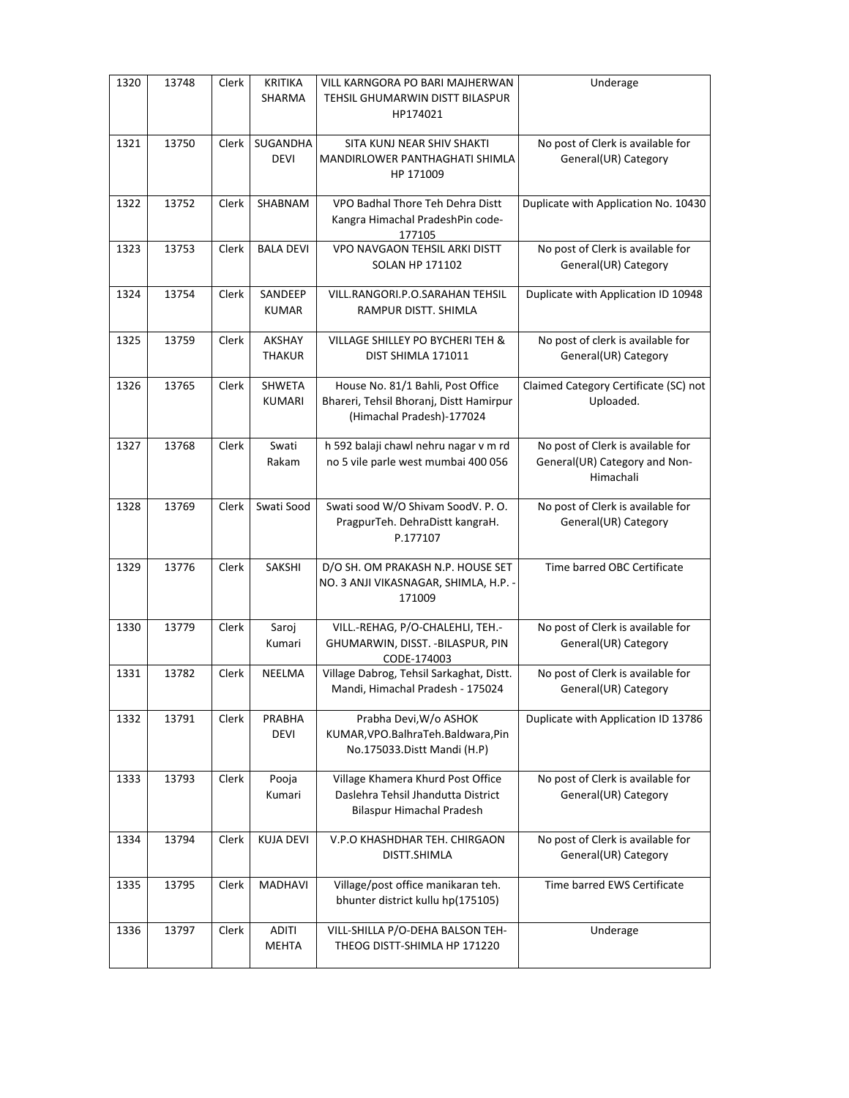| 1320 | 13748 | Clerk | <b>KRITIKA</b><br>SHARMA       | VILL KARNGORA PO BARI MAJHERWAN<br>TEHSIL GHUMARWIN DISTT BILASPUR<br>HP174021                            | Underage                                                                        |
|------|-------|-------|--------------------------------|-----------------------------------------------------------------------------------------------------------|---------------------------------------------------------------------------------|
| 1321 | 13750 | Clerk | SUGANDHA<br><b>DEVI</b>        | SITA KUNJ NEAR SHIV SHAKTI<br>MANDIRLOWER PANTHAGHATI SHIMLA<br>HP 171009                                 | No post of Clerk is available for<br>General(UR) Category                       |
| 1322 | 13752 | Clerk | SHABNAM                        | VPO Badhal Thore Teh Dehra Distt<br>Kangra Himachal PradeshPin code-<br>177105                            | Duplicate with Application No. 10430                                            |
| 1323 | 13753 | Clerk | <b>BALA DEVI</b>               | VPO NAVGAON TEHSIL ARKI DISTT<br><b>SOLAN HP 171102</b>                                                   | No post of Clerk is available for<br>General(UR) Category                       |
| 1324 | 13754 | Clerk | SANDEEP<br><b>KUMAR</b>        | VILL.RANGORI.P.O.SARAHAN TEHSIL<br>RAMPUR DISTT. SHIMLA                                                   | Duplicate with Application ID 10948                                             |
| 1325 | 13759 | Clerk | AKSHAY<br><b>THAKUR</b>        | VILLAGE SHILLEY PO BYCHERI TEH &<br>DIST SHIMLA 171011                                                    | No post of clerk is available for<br>General(UR) Category                       |
| 1326 | 13765 | Clerk | <b>SHWETA</b><br><b>KUMARI</b> | House No. 81/1 Bahli, Post Office<br>Bhareri, Tehsil Bhoranj, Distt Hamirpur<br>(Himachal Pradesh)-177024 | Claimed Category Certificate (SC) not<br>Uploaded.                              |
| 1327 | 13768 | Clerk | Swati<br>Rakam                 | h 592 balaji chawl nehru nagar v m rd<br>no 5 vile parle west mumbai 400 056                              | No post of Clerk is available for<br>General(UR) Category and Non-<br>Himachali |
| 1328 | 13769 | Clerk | Swati Sood                     | Swati sood W/O Shivam SoodV. P.O.<br>PragpurTeh. DehraDistt kangraH.<br>P.177107                          | No post of Clerk is available for<br>General(UR) Category                       |
| 1329 | 13776 | Clerk | SAKSHI                         | D/O SH. OM PRAKASH N.P. HOUSE SET<br>NO. 3 ANJI VIKASNAGAR, SHIMLA, H.P. -<br>171009                      | Time barred OBC Certificate                                                     |
| 1330 | 13779 | Clerk | Saroj<br>Kumari                | VILL.-REHAG, P/O-CHALEHLI, TEH.-<br>GHUMARWIN, DISST. - BILASPUR, PIN<br>CODE-174003                      | No post of Clerk is available for<br>General(UR) Category                       |
| 1331 | 13782 | Clerk | NEELMA                         | Village Dabrog, Tehsil Sarkaghat, Distt.<br>Mandi, Himachal Pradesh - 175024                              | No post of Clerk is available for<br>General(UR) Category                       |
| 1332 | 13791 | Clerk | PRABHA<br>DEVI                 | Prabha Devi, W/o ASHOK<br>KUMAR, VPO. Balhra Teh. Baldwara, Pin<br>No.175033.Distt Mandi (H.P)            | Duplicate with Application ID 13786                                             |
| 1333 | 13793 | Clerk | Pooja<br>Kumari                | Village Khamera Khurd Post Office<br>Daslehra Tehsil Jhandutta District<br>Bilaspur Himachal Pradesh      | No post of Clerk is available for<br>General(UR) Category                       |
| 1334 | 13794 | Clerk | <b>KUJA DEVI</b>               | V.P.O KHASHDHAR TEH. CHIRGAON<br>DISTT.SHIMLA                                                             | No post of Clerk is available for<br>General(UR) Category                       |
| 1335 | 13795 | Clerk | MADHAVI                        | Village/post office manikaran teh.<br>bhunter district kullu hp(175105)                                   | Time barred EWS Certificate                                                     |
| 1336 | 13797 | Clerk | <b>ADITI</b><br><b>MEHTA</b>   | VILL-SHILLA P/O-DEHA BALSON TEH-<br>THEOG DISTT-SHIMLA HP 171220                                          | Underage                                                                        |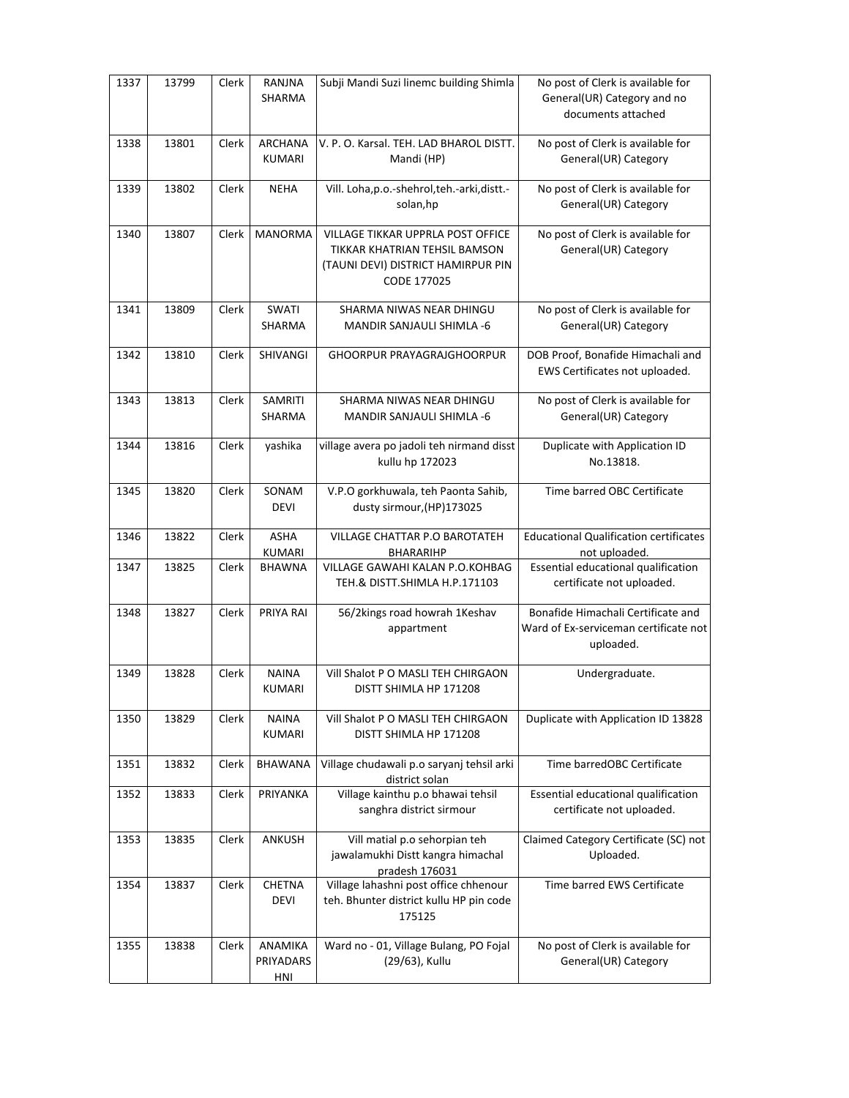| 1337 | 13799 | Clerk | RANJNA<br>SHARMA                | Subji Mandi Suzi linemc building Shimla                                                                                 | No post of Clerk is available for<br>General(UR) Category and no<br>documents attached   |
|------|-------|-------|---------------------------------|-------------------------------------------------------------------------------------------------------------------------|------------------------------------------------------------------------------------------|
| 1338 | 13801 | Clerk | <b>ARCHANA</b><br><b>KUMARI</b> | V. P. O. Karsal. TEH. LAD BHAROL DISTT.<br>Mandi (HP)                                                                   | No post of Clerk is available for<br>General(UR) Category                                |
| 1339 | 13802 | Clerk | <b>NEHA</b>                     | Vill. Loha, p.o.-shehrol, teh.-arki, distt.-<br>solan,hp                                                                | No post of Clerk is available for<br>General(UR) Category                                |
| 1340 | 13807 | Clerk | <b>MANORMA</b>                  | VILLAGE TIKKAR UPPRLA POST OFFICE<br>TIKKAR KHATRIAN TEHSIL BAMSON<br>(TAUNI DEVI) DISTRICT HAMIRPUR PIN<br>CODE 177025 | No post of Clerk is available for<br>General(UR) Category                                |
| 1341 | 13809 | Clerk | <b>SWATI</b><br>SHARMA          | SHARMA NIWAS NEAR DHINGU<br><b>MANDIR SANJAULI SHIMLA -6</b>                                                            | No post of Clerk is available for<br>General(UR) Category                                |
| 1342 | 13810 | Clerk | SHIVANGI                        | <b>GHOORPUR PRAYAGRAJGHOORPUR</b>                                                                                       | DOB Proof, Bonafide Himachali and<br>EWS Certificates not uploaded.                      |
| 1343 | 13813 | Clerk | SAMRITI<br>SHARMA               | SHARMA NIWAS NEAR DHINGU<br><b>MANDIR SANJAULI SHIMLA -6</b>                                                            | No post of Clerk is available for<br>General(UR) Category                                |
| 1344 | 13816 | Clerk | yashika                         | village avera po jadoli teh nirmand disst<br>kullu hp 172023                                                            | Duplicate with Application ID<br>No.13818.                                               |
| 1345 | 13820 | Clerk | SONAM<br><b>DEVI</b>            | V.P.O gorkhuwala, teh Paonta Sahib,<br>dusty sirmour, (HP) 173025                                                       | Time barred OBC Certificate                                                              |
| 1346 | 13822 | Clerk | <b>ASHA</b><br><b>KUMARI</b>    | VILLAGE CHATTAR P.O BAROTATEH<br><b>BHARARIHP</b>                                                                       | <b>Educational Qualification certificates</b><br>not uploaded.                           |
| 1347 | 13825 | Clerk | <b>BHAWNA</b>                   | VILLAGE GAWAHI KALAN P.O.KOHBAG<br>TEH.& DISTT.SHIMLA H.P.171103                                                        | Essential educational qualification<br>certificate not uploaded.                         |
| 1348 | 13827 | Clerk | PRIYA RAI                       | 56/2kings road howrah 1Keshav<br>appartment                                                                             | Bonafide Himachali Certificate and<br>Ward of Ex-serviceman certificate not<br>uploaded. |
| 1349 | 13828 | Clerk | <b>NAINA</b><br><b>KUMARI</b>   | Vill Shalot P O MASLI TEH CHIRGAON<br>DISTT SHIMLA HP 171208                                                            | Undergraduate.                                                                           |
| 1350 | 13829 | Clerk | <b>NAINA</b><br>KUMARI          | Vill Shalot P O MASLI TEH CHIRGAON<br>DISTT SHIMLA HP 171208                                                            | Duplicate with Application ID 13828                                                      |
| 1351 | 13832 | Clerk | <b>BHAWANA</b>                  | Village chudawali p.o saryanj tehsil arki<br>district solan                                                             | Time barredOBC Certificate                                                               |
| 1352 | 13833 | Clerk | PRIYANKA                        | Village kainthu p.o bhawai tehsil<br>sanghra district sirmour                                                           | Essential educational qualification<br>certificate not uploaded.                         |
| 1353 | 13835 | Clerk | ANKUSH                          | Vill matial p.o sehorpian teh<br>jawalamukhi Distt kangra himachal<br>pradesh 176031                                    | Claimed Category Certificate (SC) not<br>Uploaded.                                       |
| 1354 | 13837 | Clerk | CHETNA<br><b>DEVI</b>           | Village lahashni post office chhenour<br>teh. Bhunter district kullu HP pin code<br>175125                              | Time barred EWS Certificate                                                              |
| 1355 | 13838 | Clerk | ANAMIKA<br>PRIYADARS<br>HNI     | Ward no - 01, Village Bulang, PO Fojal<br>(29/63), Kullu                                                                | No post of Clerk is available for<br>General(UR) Category                                |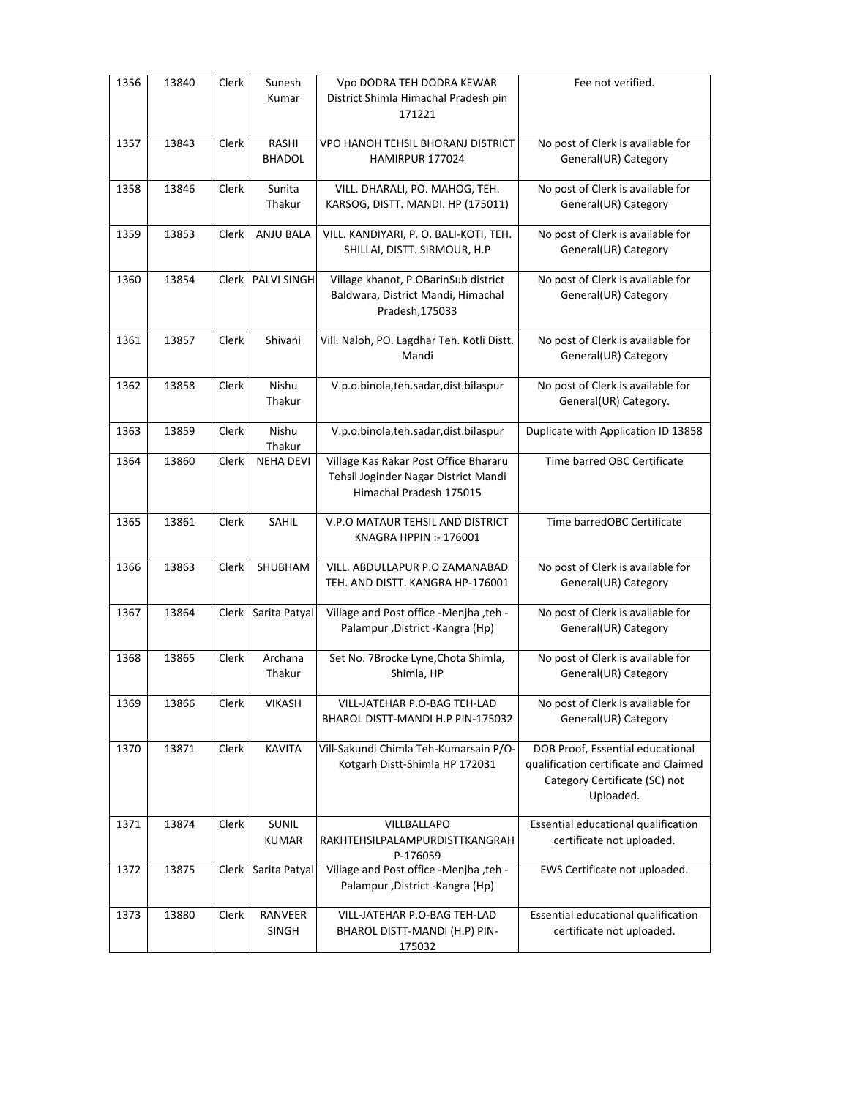| 1356 | 13840 | Clerk        | Sunesh<br>Kumar               | Vpo DODRA TEH DODRA KEWAR<br>District Shimla Himachal Pradesh pin<br>171221                              | Fee not verified.                                                                                                       |
|------|-------|--------------|-------------------------------|----------------------------------------------------------------------------------------------------------|-------------------------------------------------------------------------------------------------------------------------|
| 1357 | 13843 | Clerk        | <b>RASHI</b><br><b>BHADOL</b> | VPO HANOH TEHSIL BHORANJ DISTRICT<br>HAMIRPUR 177024                                                     | No post of Clerk is available for<br>General(UR) Category                                                               |
| 1358 | 13846 | Clerk        | Sunita<br>Thakur              | VILL. DHARALI, PO. MAHOG, TEH.<br>KARSOG, DISTT. MANDI. HP (175011)                                      | No post of Clerk is available for<br>General(UR) Category                                                               |
| 1359 | 13853 | Clerk        | ANJU BALA                     | VILL. KANDIYARI, P. O. BALI-KOTI, TEH.<br>SHILLAI, DISTT. SIRMOUR, H.P                                   | No post of Clerk is available for<br>General(UR) Category                                                               |
| 1360 | 13854 |              | Clerk PALVI SINGH             | Village khanot, P.OBarinSub district<br>Baldwara, District Mandi, Himachal<br>Pradesh, 175033            | No post of Clerk is available for<br>General(UR) Category                                                               |
| 1361 | 13857 | Clerk        | Shivani                       | Vill. Naloh, PO. Lagdhar Teh. Kotli Distt.<br>Mandi                                                      | No post of Clerk is available for<br>General(UR) Category                                                               |
| 1362 | 13858 | Clerk        | Nishu<br>Thakur               | V.p.o.binola,teh.sadar,dist.bilaspur                                                                     | No post of Clerk is available for<br>General(UR) Category.                                                              |
| 1363 | 13859 | Clerk        | Nishu<br>Thakur               | V.p.o.binola,teh.sadar,dist.bilaspur                                                                     | Duplicate with Application ID 13858                                                                                     |
| 1364 | 13860 | Clerk        | <b>NEHA DEVI</b>              | Village Kas Rakar Post Office Bhararu<br>Tehsil Joginder Nagar District Mandi<br>Himachal Pradesh 175015 | Time barred OBC Certificate                                                                                             |
| 1365 | 13861 | Clerk        | <b>SAHIL</b>                  | V.P.O MATAUR TEHSIL AND DISTRICT<br>KNAGRA HPPIN :- 176001                                               | Time barredOBC Certificate                                                                                              |
| 1366 | 13863 | Clerk        | <b>SHUBHAM</b>                | VILL. ABDULLAPUR P.O ZAMANABAD<br>TEH. AND DISTT. KANGRA HP-176001                                       | No post of Clerk is available for<br>General(UR) Category                                                               |
| 1367 | 13864 | <b>Clerk</b> | Sarita Patyal                 | Village and Post office -Menjha ,teh -<br>Palampur, District - Kangra (Hp)                               | No post of Clerk is available for<br>General(UR) Category                                                               |
| 1368 | 13865 | Clerk        | Archana<br>Thakur             | Set No. 7Brocke Lyne, Chota Shimla,<br>Shimla, HP                                                        | No post of Clerk is available for<br>General(UR) Category                                                               |
| 1369 | 13866 | Clerk        | <b>VIKASH</b>                 | VILL-JATEHAR P.O-BAG TEH-LAD<br>BHAROL DISTT-MANDI H.P PIN-175032                                        | No post of Clerk is available for<br>General(UR) Category                                                               |
| 1370 | 13871 | Clerk        | <b>KAVITA</b>                 | Vill-Sakundi Chimla Teh-Kumarsain P/O-<br>Kotgarh Distt-Shimla HP 172031                                 | DOB Proof, Essential educational<br>qualification certificate and Claimed<br>Category Certificate (SC) not<br>Uploaded. |
| 1371 | 13874 | Clerk        | SUNIL<br><b>KUMAR</b>         | VILLBALLAPO<br>RAKHTEHSILPALAMPURDISTTKANGRAH<br>P-176059                                                | Essential educational qualification<br>certificate not uploaded.                                                        |
| 1372 | 13875 | Clerk        | Sarita Patyal                 | Village and Post office -Menjha , teh -<br>Palampur, District - Kangra (Hp)                              | EWS Certificate not uploaded.                                                                                           |
| 1373 | 13880 | Clerk        | RANVEER<br>SINGH              | VILL-JATEHAR P.O-BAG TEH-LAD<br>BHAROL DISTT-MANDI (H.P) PIN-<br>175032                                  | Essential educational qualification<br>certificate not uploaded.                                                        |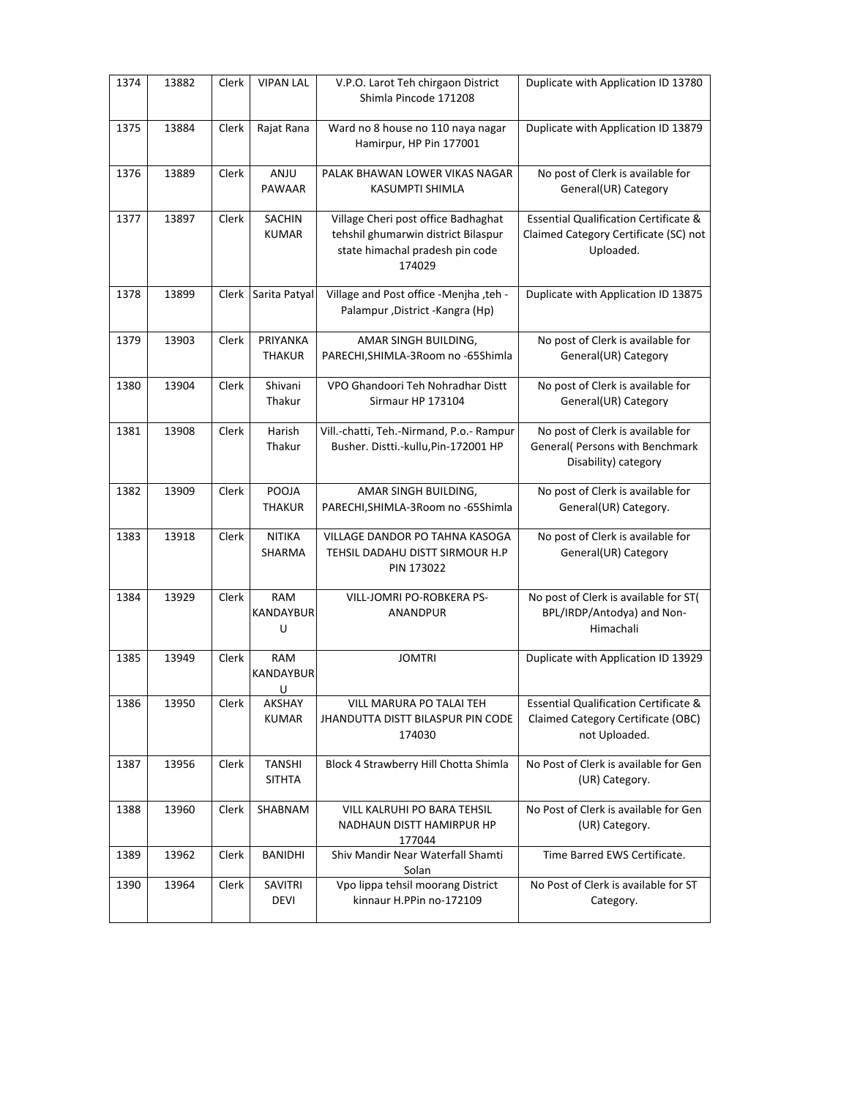| 1374 | 13882 | Clerk | <b>VIPAN LAL</b>               | V.P.O. Larot Teh chirgaon District<br>Shimla Pincode 171208                                                             | Duplicate with Application ID 13780                                                                     |
|------|-------|-------|--------------------------------|-------------------------------------------------------------------------------------------------------------------------|---------------------------------------------------------------------------------------------------------|
| 1375 | 13884 | Clerk | Rajat Rana                     | Ward no 8 house no 110 naya nagar<br>Hamirpur, HP Pin 177001                                                            | Duplicate with Application ID 13879                                                                     |
| 1376 | 13889 | Clerk | ANJU                           | PALAK BHAWAN LOWER VIKAS NAGAR                                                                                          | No post of Clerk is available for                                                                       |
|      |       |       | PAWAAR                         | KASUMPTI SHIMLA                                                                                                         | General(UR) Category                                                                                    |
| 1377 | 13897 | Clerk | SACHIN<br><b>KUMAR</b>         | Village Cheri post office Badhaghat<br>tehshil ghumarwin district Bilaspur<br>state himachal pradesh pin code<br>174029 | <b>Essential Qualification Certificate &amp;</b><br>Claimed Category Certificate (SC) not<br>Uploaded.  |
| 1378 | 13899 | Clerk | Sarita Patyal                  | Village and Post office -Menjha , teh -<br>Palampur, District - Kangra (Hp)                                             | Duplicate with Application ID 13875                                                                     |
| 1379 | 13903 | Clerk | PRIYANKA<br><b>THAKUR</b>      | AMAR SINGH BUILDING,<br>PARECHI, SHIMLA-3Room no -65Shimla                                                              | No post of Clerk is available for<br>General(UR) Category                                               |
| 1380 | 13904 | Clerk | Shivani<br>Thakur              | VPO Ghandoori Teh Nohradhar Distt<br>Sirmaur HP 173104                                                                  | No post of Clerk is available for<br>General(UR) Category                                               |
| 1381 | 13908 | Clerk | Harish<br>Thakur               | Vill.-chatti, Teh.-Nirmand, P.o.- Rampur<br>Busher. Distti.-kullu, Pin-172001 HP                                        | No post of Clerk is available for<br>General( Persons with Benchmark<br>Disability) category            |
| 1382 | 13909 | Clerk | POOJA<br><b>THAKUR</b>         | AMAR SINGH BUILDING,<br>PARECHI, SHIMLA-3Room no -65Shimla                                                              | No post of Clerk is available for<br>General(UR) Category.                                              |
| 1383 | 13918 | Clerk | <b>NITIKA</b><br>SHARMA        | VILLAGE DANDOR PO TAHNA KASOGA<br>TEHSIL DADAHU DISTT SIRMOUR H.P<br>PIN 173022                                         | No post of Clerk is available for<br>General(UR) Category                                               |
| 1384 | 13929 | Clerk | RAM<br>KANDAYBUR<br>U          | VILL-JOMRI PO-ROBKERA PS-<br>ANANDPUR                                                                                   | No post of Clerk is available for ST(<br>BPL/IRDP/Antodya) and Non-<br>Himachali                        |
| 1385 | 13949 | Clerk | <b>RAM</b><br>KANDAYBUR<br>U   | <b>JOMTRI</b>                                                                                                           | Duplicate with Application ID 13929                                                                     |
| 1386 | 13950 | Clerk | AKSHAY<br><b>KUMAR</b>         | VILL MARURA PO TALAI TEH<br>JHANDUTTA DISTT BILASPUR PIN CODE<br>174030                                                 | <b>Essential Qualification Certificate &amp;</b><br>Claimed Category Certificate (OBC)<br>not Uploaded. |
| 1387 | 13956 | Clerk | <b>TANSHI</b><br><b>SITHTA</b> | Block 4 Strawberry Hill Chotta Shimla                                                                                   | No Post of Clerk is available for Gen<br>(UR) Category.                                                 |
| 1388 | 13960 | Clerk | SHABNAM                        | VILL KALRUHI PO BARA TEHSIL<br>NADHAUN DISTT HAMIRPUR HP<br>177044                                                      | No Post of Clerk is available for Gen<br>(UR) Category.                                                 |
| 1389 | 13962 | Clerk | <b>BANIDHI</b>                 | Shiv Mandir Near Waterfall Shamti<br>Solan                                                                              | Time Barred EWS Certificate.                                                                            |
| 1390 | 13964 | Clerk | SAVITRI<br>DEVI                | Vpo lippa tehsil moorang District<br>kinnaur H.PPin no-172109                                                           | No Post of Clerk is available for ST<br>Category.                                                       |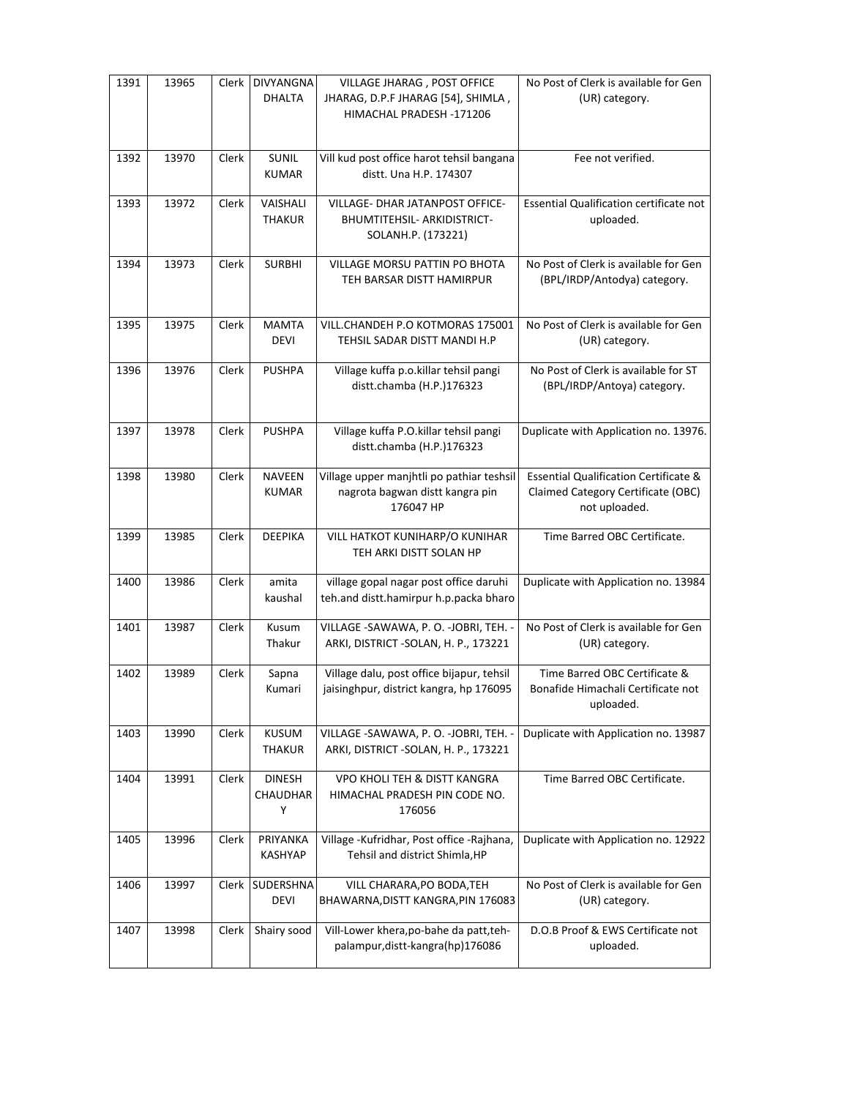| 1391 | 13965 | Clerk | <b>DIVYANGNA</b><br><b>DHALTA</b> | VILLAGE JHARAG, POST OFFICE<br>JHARAG, D.P.F JHARAG [54], SHIMLA,<br>HIMACHAL PRADESH -171206 | No Post of Clerk is available for Gen<br>(UR) category.                                                 |
|------|-------|-------|-----------------------------------|-----------------------------------------------------------------------------------------------|---------------------------------------------------------------------------------------------------------|
| 1392 | 13970 | Clerk | <b>SUNIL</b><br><b>KUMAR</b>      | Vill kud post office harot tehsil bangana<br>distt. Una H.P. 174307                           | Fee not verified.                                                                                       |
| 1393 | 13972 | Clerk | VAISHALI<br><b>THAKUR</b>         | VILLAGE- DHAR JATANPOST OFFICE-<br>BHUMTITEHSIL- ARKIDISTRICT-<br>SOLANH.P. (173221)          | Essential Qualification certificate not<br>uploaded.                                                    |
| 1394 | 13973 | Clerk | <b>SURBHI</b>                     | VILLAGE MORSU PATTIN PO BHOTA<br>TEH BARSAR DISTT HAMIRPUR                                    | No Post of Clerk is available for Gen<br>(BPL/IRDP/Antodya) category.                                   |
| 1395 | 13975 | Clerk | <b>MAMTA</b><br><b>DEVI</b>       | VILL.CHANDEH P.O KOTMORAS 175001<br>TEHSIL SADAR DISTT MANDI H.P                              | No Post of Clerk is available for Gen<br>(UR) category.                                                 |
| 1396 | 13976 | Clerk | <b>PUSHPA</b>                     | Village kuffa p.o.killar tehsil pangi<br>distt.chamba (H.P.)176323                            | No Post of Clerk is available for ST<br>(BPL/IRDP/Antoya) category.                                     |
| 1397 | 13978 | Clerk | <b>PUSHPA</b>                     | Village kuffa P.O.killar tehsil pangi<br>distt.chamba (H.P.)176323                            | Duplicate with Application no. 13976.                                                                   |
| 1398 | 13980 | Clerk | <b>NAVEEN</b><br><b>KUMAR</b>     | Village upper manjhtli po pathiar teshsil<br>nagrota bagwan distt kangra pin<br>176047 HP     | <b>Essential Qualification Certificate &amp;</b><br>Claimed Category Certificate (OBC)<br>not uploaded. |
| 1399 | 13985 | Clerk | <b>DEEPIKA</b>                    | VILL HATKOT KUNIHARP/O KUNIHAR<br>TEH ARKI DISTT SOLAN HP                                     | Time Barred OBC Certificate.                                                                            |
| 1400 | 13986 | Clerk | amita<br>kaushal                  | village gopal nagar post office daruhi<br>teh.and distt.hamirpur h.p.packa bharo              | Duplicate with Application no. 13984                                                                    |
| 1401 | 13987 | Clerk | Kusum<br>Thakur                   | VILLAGE -SAWAWA, P. O. -JOBRI, TEH. -<br>ARKI, DISTRICT - SOLAN, H. P., 173221                | No Post of Clerk is available for Gen<br>(UR) category.                                                 |
| 1402 | 13989 | Clerk | Sapna<br>Kumari                   | Village dalu, post office bijapur, tehsil<br>jaisinghpur, district kangra, hp 176095          | Time Barred OBC Certificate &<br>Bonafide Himachali Certificate not<br>uploaded.                        |
| 1403 | 13990 | Clerk | <b>KUSUM</b><br><b>THAKUR</b>     | VILLAGE -SAWAWA, P.O. -JOBRI, TEH. -<br>ARKI, DISTRICT - SOLAN, H. P., 173221                 | Duplicate with Application no. 13987                                                                    |
| 1404 | 13991 | Clerk | <b>DINESH</b><br>CHAUDHAR<br>Υ    | VPO KHOLI TEH & DISTT KANGRA<br>HIMACHAL PRADESH PIN CODE NO.<br>176056                       | Time Barred OBC Certificate.                                                                            |
| 1405 | 13996 | Clerk | PRIYANKA<br><b>KASHYAP</b>        | Village - Kufridhar, Post office - Rajhana,<br>Tehsil and district Shimla, HP                 | Duplicate with Application no. 12922                                                                    |
| 1406 | 13997 | Clerk | SUDERSHNA<br><b>DEVI</b>          | VILL CHARARA, PO BODA, TEH<br>BHAWARNA, DISTT KANGRA, PIN 176083                              | No Post of Clerk is available for Gen<br>(UR) category.                                                 |
| 1407 | 13998 | Clerk | Shairy sood                       | Vill-Lower khera, po-bahe da patt, teh-<br>palampur, distt-kangra(hp)176086                   | D.O.B Proof & EWS Certificate not<br>uploaded.                                                          |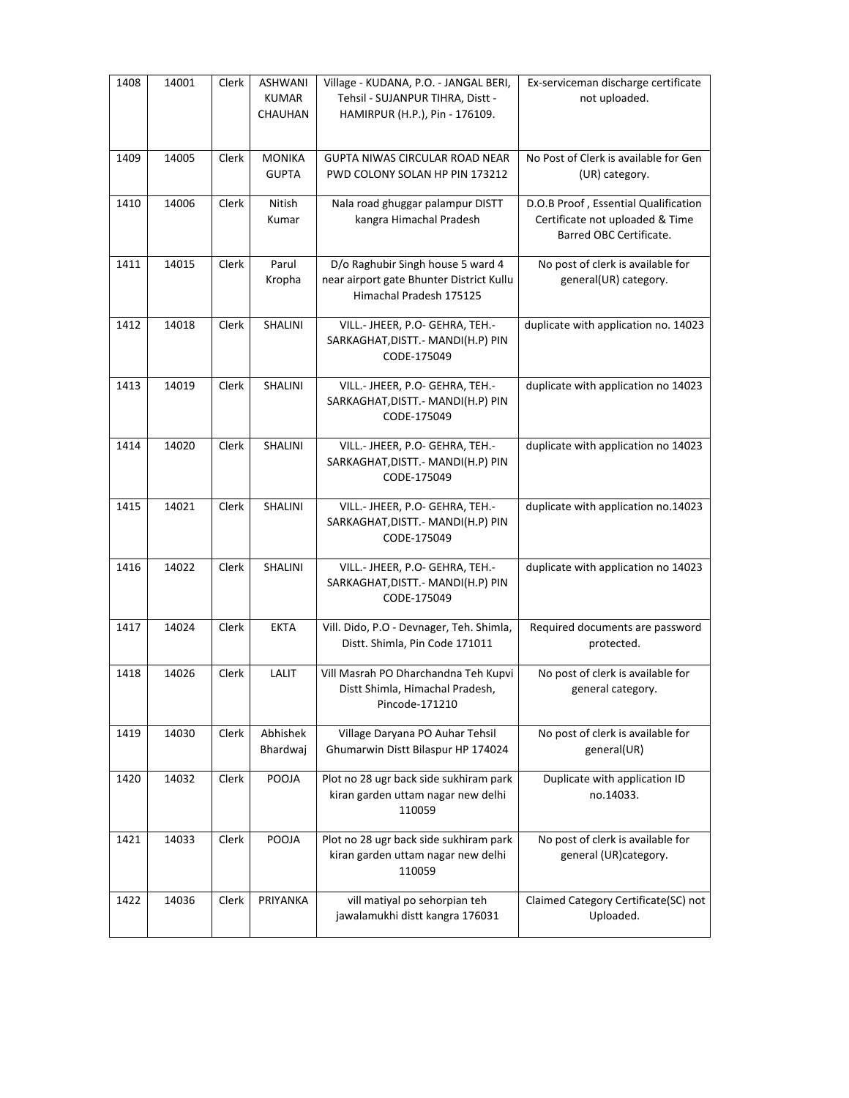| 1408 | 14001 | Clerk | <b>ASHWANI</b><br><b>KUMAR</b><br>CHAUHAN | Village - KUDANA, P.O. - JANGAL BERI,<br>Tehsil - SUJANPUR TIHRA, Distt -<br>HAMIRPUR (H.P.), Pin - 176109. | Ex-serviceman discharge certificate<br>not uploaded.                                               |
|------|-------|-------|-------------------------------------------|-------------------------------------------------------------------------------------------------------------|----------------------------------------------------------------------------------------------------|
| 1409 | 14005 | Clerk | <b>MONIKA</b><br><b>GUPTA</b>             | GUPTA NIWAS CIRCULAR ROAD NEAR<br>PWD COLONY SOLAN HP PIN 173212                                            | No Post of Clerk is available for Gen<br>(UR) category.                                            |
| 1410 | 14006 | Clerk | Nitish<br>Kumar                           | Nala road ghuggar palampur DISTT<br>kangra Himachal Pradesh                                                 | D.O.B Proof, Essential Qualification<br>Certificate not uploaded & Time<br>Barred OBC Certificate. |
| 1411 | 14015 | Clerk | Parul<br>Kropha                           | D/o Raghubir Singh house 5 ward 4<br>near airport gate Bhunter District Kullu<br>Himachal Pradesh 175125    | No post of clerk is available for<br>general(UR) category.                                         |
| 1412 | 14018 | Clerk | SHALINI                                   | VILL.- JHEER, P.O- GEHRA, TEH.-<br>SARKAGHAT, DISTT. - MANDI(H.P) PIN<br>CODE-175049                        | duplicate with application no. 14023                                                               |
| 1413 | 14019 | Clerk | SHALINI                                   | VILL.- JHEER, P.O- GEHRA, TEH.-<br>SARKAGHAT, DISTT. - MANDI(H.P) PIN<br>CODE-175049                        | duplicate with application no 14023                                                                |
| 1414 | 14020 | Clerk | SHALINI                                   | VILL.- JHEER, P.O- GEHRA, TEH.-<br>SARKAGHAT, DISTT. - MANDI(H.P) PIN<br>CODE-175049                        | duplicate with application no 14023                                                                |
| 1415 | 14021 | Clerk | SHALINI                                   | VILL.- JHEER, P.O- GEHRA, TEH.-<br>SARKAGHAT, DISTT. - MANDI(H.P) PIN<br>CODE-175049                        | duplicate with application no.14023                                                                |
| 1416 | 14022 | Clerk | SHALINI                                   | VILL.- JHEER, P.O- GEHRA, TEH.-<br>SARKAGHAT, DISTT. - MANDI(H.P) PIN<br>CODE-175049                        | duplicate with application no 14023                                                                |
| 1417 | 14024 | Clerk | <b>EKTA</b>                               | Vill. Dido, P.O - Devnager, Teh. Shimla,<br>Distt. Shimla, Pin Code 171011                                  | Required documents are password<br>protected.                                                      |
| 1418 | 14026 | Clerk | LALIT                                     | Vill Masrah PO Dharchandna Teh Kupvi<br>Distt Shimla, Himachal Pradesh,<br>Pincode-171210                   | No post of clerk is available for<br>general category.                                             |
| 1419 | 14030 | Clerk | Abhishek<br>Bhardwaj                      | Village Daryana PO Auhar Tehsil<br>Ghumarwin Distt Bilaspur HP 174024                                       | No post of clerk is available for<br>general(UR)                                                   |
| 1420 | 14032 | Clerk | POOJA                                     | Plot no 28 ugr back side sukhiram park<br>kiran garden uttam nagar new delhi<br>110059                      | Duplicate with application ID<br>no.14033.                                                         |
| 1421 | 14033 | Clerk | POOJA                                     | Plot no 28 ugr back side sukhiram park<br>kiran garden uttam nagar new delhi<br>110059                      | No post of clerk is available for<br>general (UR)category.                                         |
| 1422 | 14036 | Clerk | PRIYANKA                                  | vill matiyal po sehorpian teh<br>jawalamukhi distt kangra 176031                                            | Claimed Category Certificate(SC) not<br>Uploaded.                                                  |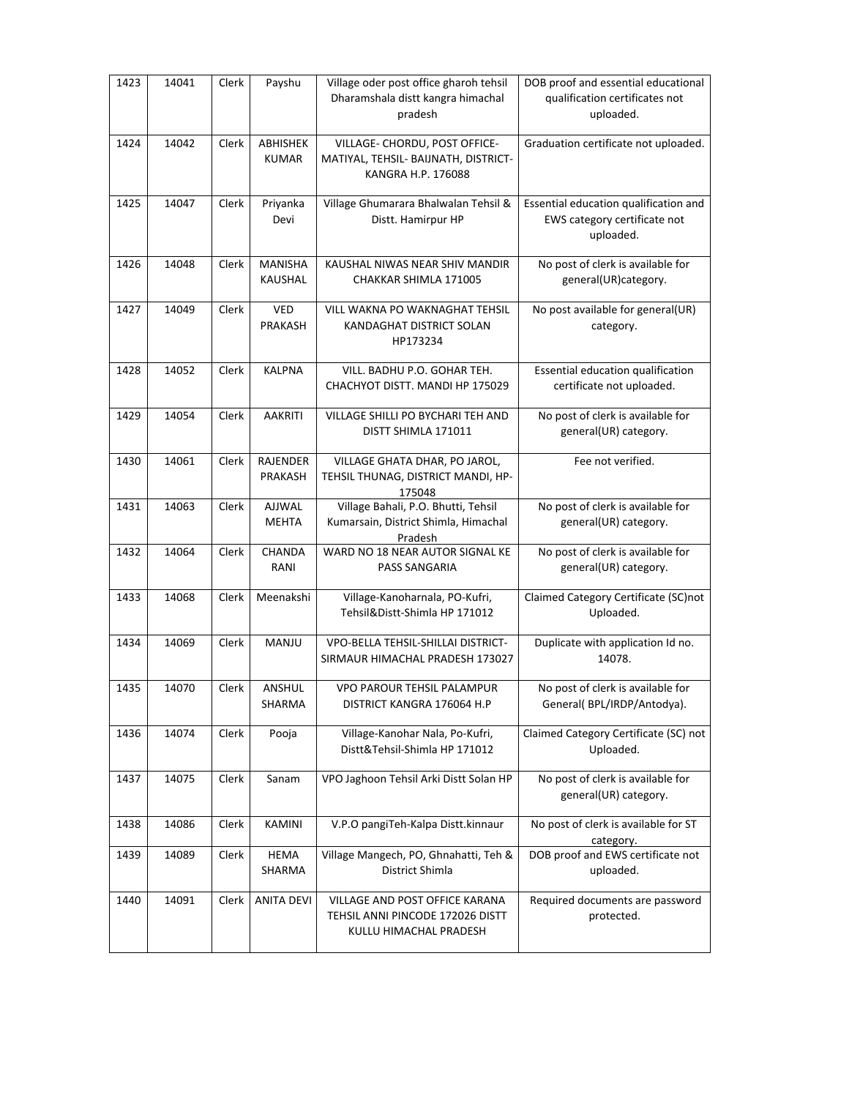| 1423 | 14041 | Clerk | Payshu                    | Village oder post office gharoh tehsil<br>Dharamshala distt kangra himachal<br>pradesh       | DOB proof and essential educational<br>qualification certificates not<br>uploaded. |
|------|-------|-------|---------------------------|----------------------------------------------------------------------------------------------|------------------------------------------------------------------------------------|
| 1424 | 14042 | Clerk | ABHISHEK<br><b>KUMAR</b>  | VILLAGE- CHORDU, POST OFFICE-<br>MATIYAL, TEHSIL- BAIJNATH, DISTRICT-<br>KANGRA H.P. 176088  | Graduation certificate not uploaded.                                               |
| 1425 | 14047 | Clerk | Priyanka<br>Devi          | Village Ghumarara Bhalwalan Tehsil &<br>Distt. Hamirpur HP                                   | Essential education qualification and<br>EWS category certificate not<br>uploaded. |
| 1426 | 14048 | Clerk | <b>MANISHA</b><br>KAUSHAL | KAUSHAL NIWAS NEAR SHIV MANDIR<br>CHAKKAR SHIMLA 171005                                      | No post of clerk is available for<br>general(UR)category.                          |
| 1427 | 14049 | Clerk | VED<br>PRAKASH            | VILL WAKNA PO WAKNAGHAT TEHSIL<br>KANDAGHAT DISTRICT SOLAN<br>HP173234                       | No post available for general(UR)<br>category.                                     |
| 1428 | 14052 | Clerk | <b>KALPNA</b>             | VILL. BADHU P.O. GOHAR TEH.<br>CHACHYOT DISTT. MANDI HP 175029                               | Essential education qualification<br>certificate not uploaded.                     |
| 1429 | 14054 | Clerk | <b>AAKRITI</b>            | VILLAGE SHILLI PO BYCHARI TEH AND<br>DISTT SHIMLA 171011                                     | No post of clerk is available for<br>general(UR) category.                         |
| 1430 | 14061 | Clerk | RAJENDER<br>PRAKASH       | VILLAGE GHATA DHAR, PO JAROL,<br>TEHSIL THUNAG, DISTRICT MANDI, HP-<br>175048                | Fee not verified.                                                                  |
| 1431 | 14063 | Clerk | AJJWAL<br><b>MEHTA</b>    | Village Bahali, P.O. Bhutti, Tehsil<br>Kumarsain, District Shimla, Himachal<br>Pradesh       | No post of clerk is available for<br>general(UR) category.                         |
| 1432 | 14064 | Clerk | CHANDA<br>RANI            | WARD NO 18 NEAR AUTOR SIGNAL KE<br>PASS SANGARIA                                             | No post of clerk is available for<br>general(UR) category.                         |
| 1433 | 14068 | Clerk | Meenakshi                 | Village-Kanoharnala, PO-Kufri,<br>Tehsil&Distt-Shimla HP 171012                              | Claimed Category Certificate (SC)not<br>Uploaded.                                  |
| 1434 | 14069 | Clerk | MANJU                     | VPO-BELLA TEHSIL-SHILLAI DISTRICT-<br>SIRMAUR HIMACHAL PRADESH 173027                        | Duplicate with application Id no.<br>14078.                                        |
| 1435 | 14070 | Clerk | ANSHUL<br>SHARMA          | <b>VPO PAROUR TEHSIL PALAMPUR</b><br>DISTRICT KANGRA 176064 H.P                              | No post of clerk is available for<br>General( BPL/IRDP/Antodya).                   |
| 1436 | 14074 | Clerk | Pooja                     | Village-Kanohar Nala, Po-Kufri,<br>Distt&Tehsil-Shimla HP 171012                             | Claimed Category Certificate (SC) not<br>Uploaded.                                 |
| 1437 | 14075 | Clerk | Sanam                     | VPO Jaghoon Tehsil Arki Distt Solan HP                                                       | No post of clerk is available for<br>general(UR) category.                         |
| 1438 | 14086 | Clerk | KAMINI                    | V.P.O pangiTeh-Kalpa Distt.kinnaur                                                           | No post of clerk is available for ST<br>category.                                  |
| 1439 | 14089 | Clerk | <b>HEMA</b><br>SHARMA     | Village Mangech, PO, Ghnahatti, Teh &<br>District Shimla                                     | DOB proof and EWS certificate not<br>uploaded.                                     |
| 1440 | 14091 | Clerk | <b>ANITA DEVI</b>         | VILLAGE AND POST OFFICE KARANA<br>TEHSIL ANNI PINCODE 172026 DISTT<br>KULLU HIMACHAL PRADESH | Required documents are password<br>protected.                                      |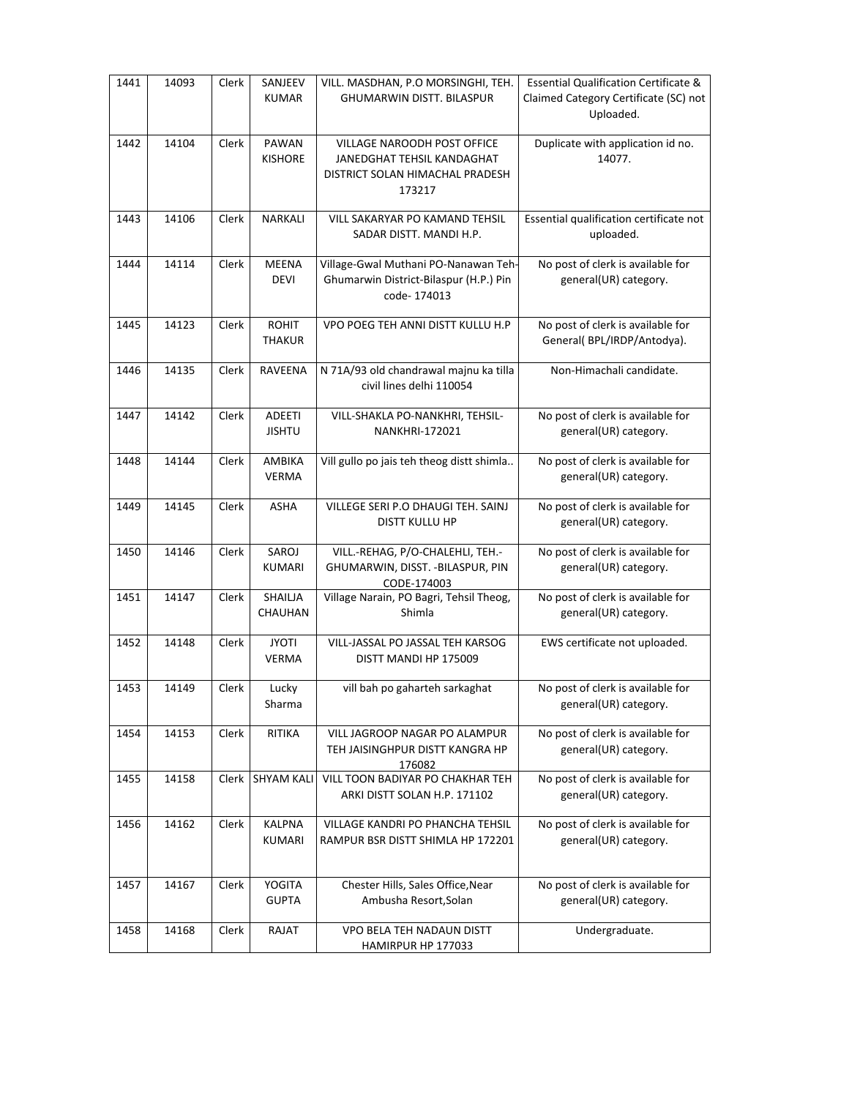| 1441 | 14093 | Clerk | SANJEEV<br><b>KUMAR</b>        | VILL. MASDHAN, P.O MORSINGHI, TEH.<br><b>GHUMARWIN DISTT. BILASPUR</b>                                        | <b>Essential Qualification Certificate &amp;</b><br>Claimed Category Certificate (SC) not<br>Uploaded. |
|------|-------|-------|--------------------------------|---------------------------------------------------------------------------------------------------------------|--------------------------------------------------------------------------------------------------------|
| 1442 | 14104 | Clerk | PAWAN<br><b>KISHORE</b>        | <b>VILLAGE NAROODH POST OFFICE</b><br>JANEDGHAT TEHSIL KANDAGHAT<br>DISTRICT SOLAN HIMACHAL PRADESH<br>173217 | Duplicate with application id no.<br>14077.                                                            |
| 1443 | 14106 | Clerk | <b>NARKALI</b>                 | VILL SAKARYAR PO KAMAND TEHSIL<br>SADAR DISTT. MANDI H.P.                                                     | Essential qualification certificate not<br>uploaded.                                                   |
| 1444 | 14114 | Clerk | <b>MEENA</b><br><b>DEVI</b>    | Village-Gwal Muthani PO-Nanawan Teh-<br>Ghumarwin District-Bilaspur (H.P.) Pin<br>code-174013                 | No post of clerk is available for<br>general(UR) category.                                             |
| 1445 | 14123 | Clerk | <b>ROHIT</b><br><b>THAKUR</b>  | VPO POEG TEH ANNI DISTT KULLU H.P                                                                             | No post of clerk is available for<br>General( BPL/IRDP/Antodya).                                       |
| 1446 | 14135 | Clerk | RAVEENA                        | N 71A/93 old chandrawal majnu ka tilla<br>civil lines delhi 110054                                            | Non-Himachali candidate.                                                                               |
| 1447 | 14142 | Clerk | ADEETI<br><b>JISHTU</b>        | VILL-SHAKLA PO-NANKHRI, TEHSIL-<br><b>NANKHRI-172021</b>                                                      | No post of clerk is available for<br>general(UR) category.                                             |
| 1448 | 14144 | Clerk | AMBIKA<br><b>VERMA</b>         | Vill gullo po jais teh theog distt shimla                                                                     | No post of clerk is available for<br>general(UR) category.                                             |
| 1449 | 14145 | Clerk | ASHA                           | VILLEGE SERI P.O DHAUGI TEH. SAINJ<br><b>DISTT KULLU HP</b>                                                   | No post of clerk is available for<br>general(UR) category.                                             |
| 1450 | 14146 | Clerk | SAROJ<br><b>KUMARI</b>         | VILL.-REHAG, P/O-CHALEHLI, TEH.-<br>GHUMARWIN, DISST. - BILASPUR, PIN<br>CODE-174003                          | No post of clerk is available for<br>general(UR) category.                                             |
| 1451 | 14147 | Clerk | SHAILJA<br>CHAUHAN             | Village Narain, PO Bagri, Tehsil Theog,<br>Shimla                                                             | No post of clerk is available for<br>general(UR) category.                                             |
| 1452 | 14148 | Clerk | <b>JYOTI</b><br><b>VERMA</b>   | VILL-JASSAL PO JASSAL TEH KARSOG<br>DISTT MANDI HP 175009                                                     | EWS certificate not uploaded.                                                                          |
| 1453 | 14149 | Clerk | Lucky<br>Sharma                | vill bah po gaharteh sarkaghat                                                                                | No post of clerk is available for<br>general(UR) category.                                             |
| 1454 | 14153 | Clerk | <b>RITIKA</b>                  | VILL JAGROOP NAGAR PO ALAMPUR<br>TEH JAISINGHPUR DISTT KANGRA HP<br>176082                                    | No post of clerk is available for<br>general(UR) category.                                             |
| 1455 | 14158 |       | Clerk SHYAM KALI               | VILL TOON BADIYAR PO CHAKHAR TEH<br>ARKI DISTT SOLAN H.P. 171102                                              | No post of clerk is available for<br>general(UR) category.                                             |
| 1456 | 14162 | Clerk | <b>KALPNA</b><br><b>KUMARI</b> | VILLAGE KANDRI PO PHANCHA TEHSIL<br>RAMPUR BSR DISTT SHIMLA HP 172201                                         | No post of clerk is available for<br>general(UR) category.                                             |
| 1457 | 14167 | Clerk | <b>YOGITA</b><br><b>GUPTA</b>  | Chester Hills, Sales Office, Near<br>Ambusha Resort, Solan                                                    | No post of clerk is available for<br>general(UR) category.                                             |
| 1458 | 14168 | Clerk | RAJAT                          | VPO BELA TEH NADAUN DISTT<br>HAMIRPUR HP 177033                                                               | Undergraduate.                                                                                         |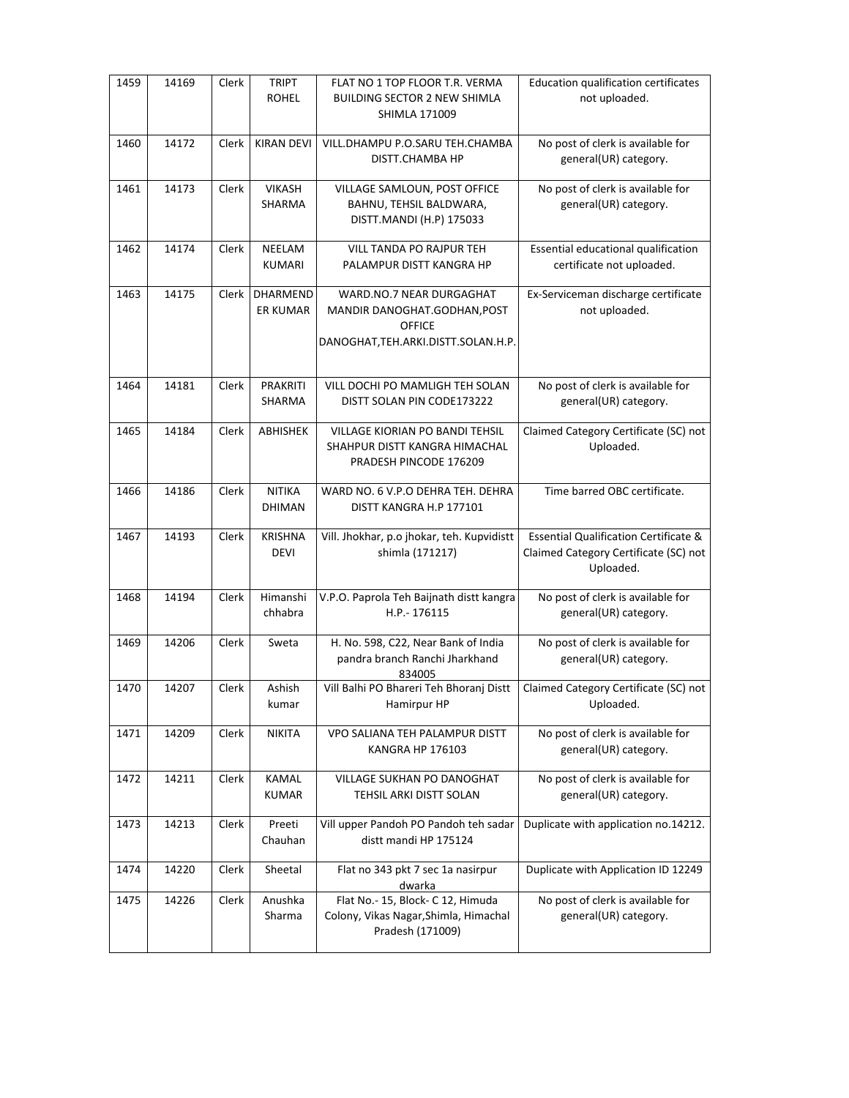| 1459 | 14169 | Clerk | <b>TRIPT</b><br><b>ROHEL</b>   | FLAT NO 1 TOP FLOOR T.R. VERMA<br><b>BUILDING SECTOR 2 NEW SHIMLA</b><br><b>SHIMLA 171009</b>                    | Education qualification certificates<br>not uploaded.                                                  |
|------|-------|-------|--------------------------------|------------------------------------------------------------------------------------------------------------------|--------------------------------------------------------------------------------------------------------|
| 1460 | 14172 | Clerk | <b>KIRAN DEVI</b>              | VILL.DHAMPU P.O.SARU TEH.CHAMBA<br>DISTT.CHAMBA HP                                                               | No post of clerk is available for<br>general(UR) category.                                             |
| 1461 | 14173 | Clerk | <b>VIKASH</b><br>SHARMA        | VILLAGE SAMLOUN, POST OFFICE<br>BAHNU, TEHSIL BALDWARA,<br>DISTT.MANDI (H.P) 175033                              | No post of clerk is available for<br>general(UR) category.                                             |
| 1462 | 14174 | Clerk | <b>NEELAM</b><br><b>KUMARI</b> | VILL TANDA PO RAJPUR TEH<br>PALAMPUR DISTT KANGRA HP                                                             | Essential educational qualification<br>certificate not uploaded.                                       |
| 1463 | 14175 | Clerk | DHARMEND<br><b>ER KUMAR</b>    | WARD.NO.7 NEAR DURGAGHAT<br>MANDIR DANOGHAT.GODHAN, POST<br><b>OFFICE</b><br>DANOGHAT, TEH.ARKI.DISTT.SOLAN.H.P. | Ex-Serviceman discharge certificate<br>not uploaded.                                                   |
| 1464 | 14181 | Clerk | PRAKRITI<br><b>SHARMA</b>      | VILL DOCHI PO MAMLIGH TEH SOLAN<br>DISTT SOLAN PIN CODE173222                                                    | No post of clerk is available for<br>general(UR) category.                                             |
| 1465 | 14184 | Clerk | ABHISHEK                       | VILLAGE KIORIAN PO BANDI TEHSIL<br>SHAHPUR DISTT KANGRA HIMACHAL<br>PRADESH PINCODE 176209                       | Claimed Category Certificate (SC) not<br>Uploaded.                                                     |
| 1466 | 14186 | Clerk | <b>NITIKA</b><br><b>DHIMAN</b> | WARD NO. 6 V.P.O DEHRA TEH. DEHRA<br>DISTT KANGRA H.P 177101                                                     | Time barred OBC certificate.                                                                           |
| 1467 | 14193 | Clerk | <b>KRISHNA</b><br><b>DEVI</b>  | Vill. Jhokhar, p.o jhokar, teh. Kupvidistt<br>shimla (171217)                                                    | <b>Essential Qualification Certificate &amp;</b><br>Claimed Category Certificate (SC) not<br>Uploaded. |
| 1468 | 14194 | Clerk | Himanshi<br>chhabra            | V.P.O. Paprola Teh Baijnath distt kangra<br>H.P.-176115                                                          | No post of clerk is available for<br>general(UR) category.                                             |
| 1469 | 14206 | Clerk | Sweta                          | H. No. 598, C22, Near Bank of India<br>pandra branch Ranchi Jharkhand<br>834005                                  | No post of clerk is available for<br>general(UR) category.                                             |
| 1470 | 14207 | Clerk | Ashish<br>kumar                | Vill Balhi PO Bhareri Teh Bhoranj Distt<br>Hamirpur HP                                                           | Claimed Category Certificate (SC) not<br>Uploaded.                                                     |
| 1471 | 14209 | Clerk | <b>NIKITA</b>                  | VPO SALIANA TEH PALAMPUR DISTT<br>KANGRA HP 176103                                                               | No post of clerk is available for<br>general(UR) category.                                             |
| 1472 | 14211 | Clerk | KAMAL<br><b>KUMAR</b>          | VILLAGE SUKHAN PO DANOGHAT<br>TEHSIL ARKI DISTT SOLAN                                                            | No post of clerk is available for<br>general(UR) category.                                             |
| 1473 | 14213 | Clerk | Preeti<br>Chauhan              | Vill upper Pandoh PO Pandoh teh sadar<br>distt mandi HP 175124                                                   | Duplicate with application no.14212.                                                                   |
| 1474 | 14220 | Clerk | Sheetal                        | Flat no 343 pkt 7 sec 1a nasirpur<br>dwarka                                                                      | Duplicate with Application ID 12249                                                                    |
| 1475 | 14226 | Clerk | Anushka<br>Sharma              | Flat No.- 15, Block- C 12, Himuda<br>Colony, Vikas Nagar, Shimla, Himachal<br>Pradesh (171009)                   | No post of clerk is available for<br>general(UR) category.                                             |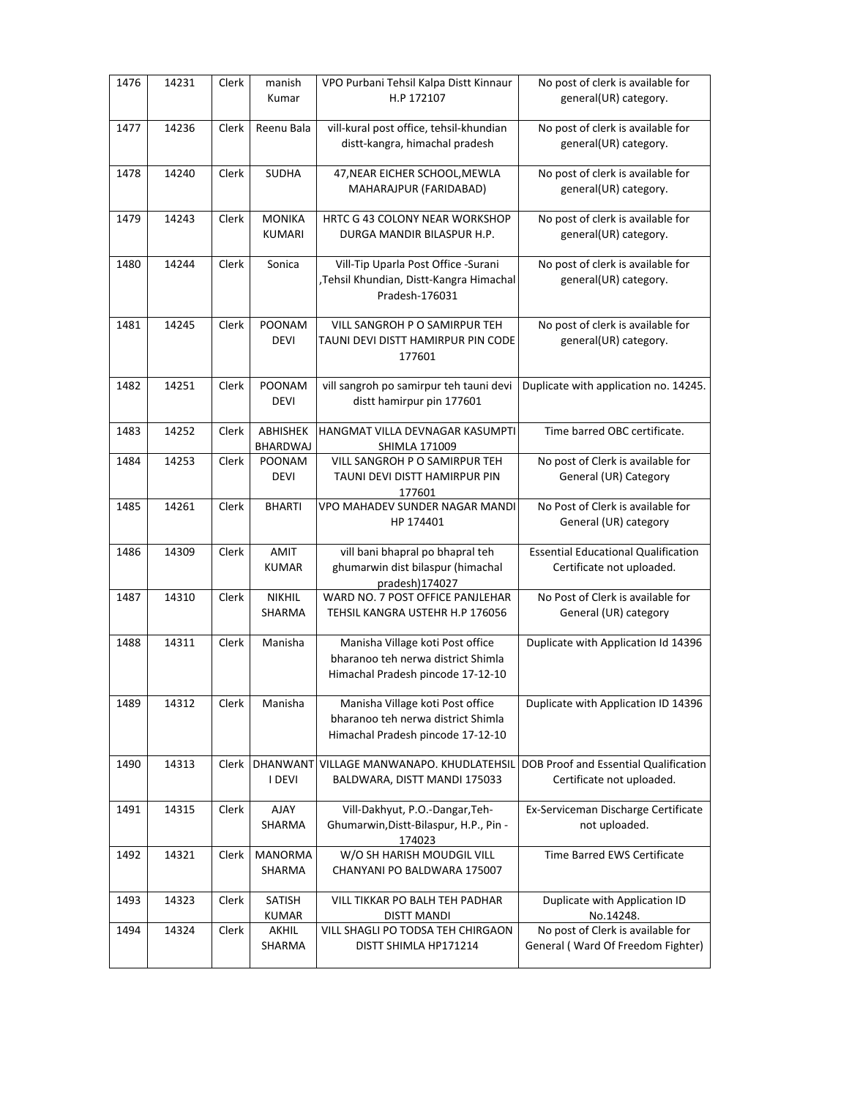| 1476 | 14231 | Clerk | manish<br>Kumar                | VPO Purbani Tehsil Kalpa Distt Kinnaur<br>H.P 172107                                                        | No post of clerk is available for<br>general(UR) category.              |
|------|-------|-------|--------------------------------|-------------------------------------------------------------------------------------------------------------|-------------------------------------------------------------------------|
| 1477 | 14236 | Clerk | Reenu Bala                     | vill-kural post office, tehsil-khundian<br>distt-kangra, himachal pradesh                                   | No post of clerk is available for<br>general(UR) category.              |
| 1478 | 14240 | Clerk | <b>SUDHA</b>                   | 47, NEAR EICHER SCHOOL, MEWLA<br>MAHARAJPUR (FARIDABAD)                                                     | No post of clerk is available for<br>general(UR) category.              |
| 1479 | 14243 | Clerk | <b>MONIKA</b><br><b>KUMARI</b> | HRTC G 43 COLONY NEAR WORKSHOP<br>DURGA MANDIR BILASPUR H.P.                                                | No post of clerk is available for<br>general(UR) category.              |
| 1480 | 14244 | Clerk | Sonica                         | Vill-Tip Uparla Post Office -Surani<br>,Tehsil Khundian, Distt-Kangra Himachal<br>Pradesh-176031            | No post of clerk is available for<br>general(UR) category.              |
| 1481 | 14245 | Clerk | POONAM<br><b>DEVI</b>          | VILL SANGROH P O SAMIRPUR TEH<br>TAUNI DEVI DISTT HAMIRPUR PIN CODE<br>177601                               | No post of clerk is available for<br>general(UR) category.              |
| 1482 | 14251 | Clerk | POONAM<br><b>DEVI</b>          | vill sangroh po samirpur teh tauni devi<br>distt hamirpur pin 177601                                        | Duplicate with application no. 14245.                                   |
| 1483 | 14252 | Clerk | ABHISHEK<br>BHARDWAJ           | HANGMAT VILLA DEVNAGAR KASUMPTI<br><b>SHIMLA 171009</b>                                                     | Time barred OBC certificate.                                            |
| 1484 | 14253 | Clerk | POONAM<br><b>DEVI</b>          | VILL SANGROH P O SAMIRPUR TEH<br>TAUNI DEVI DISTT HAMIRPUR PIN<br>177601                                    | No post of Clerk is available for<br>General (UR) Category              |
| 1485 | 14261 | Clerk | <b>BHARTI</b>                  | VPO MAHADEV SUNDER NAGAR MANDI<br>HP 174401                                                                 | No Post of Clerk is available for<br>General (UR) category              |
| 1486 | 14309 | Clerk | AMIT<br><b>KUMAR</b>           | vill bani bhapral po bhapral teh<br>ghumarwin dist bilaspur (himachal<br>pradesh)174027                     | <b>Essential Educational Qualification</b><br>Certificate not uploaded. |
| 1487 | 14310 | Clerk | <b>NIKHIL</b><br>SHARMA        | WARD NO. 7 POST OFFICE PANJLEHAR<br>TEHSIL KANGRA USTEHR H.P 176056                                         | No Post of Clerk is available for<br>General (UR) category              |
| 1488 | 14311 | Clerk | Manisha                        | Manisha Village koti Post office<br>bharanoo teh nerwa district Shimla<br>Himachal Pradesh pincode 17-12-10 | Duplicate with Application Id 14396                                     |
| 1489 | 14312 | Clerk | Manisha                        | Manisha Village koti Post office<br>bharanoo teh nerwa district Shimla<br>Himachal Pradesh pincode 17-12-10 | Duplicate with Application ID 14396                                     |
| 1490 | 14313 | Clerk | <b>DHANWANT</b><br>I DEVI      | VILLAGE MANWANAPO. KHUDLATEHSIL<br>BALDWARA, DISTT MANDI 175033                                             | DOB Proof and Essential Qualification<br>Certificate not uploaded.      |
| 1491 | 14315 | Clerk | AJAY<br>SHARMA                 | Vill-Dakhyut, P.O.-Dangar, Teh-<br>Ghumarwin, Distt-Bilaspur, H.P., Pin -<br>174023                         | Ex-Serviceman Discharge Certificate<br>not uploaded.                    |
| 1492 | 14321 | Clerk | <b>MANORMA</b><br>SHARMA       | W/O SH HARISH MOUDGIL VILL<br>CHANYANI PO BALDWARA 175007                                                   | Time Barred EWS Certificate                                             |
| 1493 | 14323 | Clerk | SATISH<br><b>KUMAR</b>         | VILL TIKKAR PO BALH TEH PADHAR<br>DISTT MANDI                                                               | Duplicate with Application ID<br>No.14248.                              |
| 1494 | 14324 | Clerk | AKHIL<br>SHARMA                | VILL SHAGLI PO TODSA TEH CHIRGAON<br>DISTT SHIMLA HP171214                                                  | No post of Clerk is available for<br>General (Ward Of Freedom Fighter)  |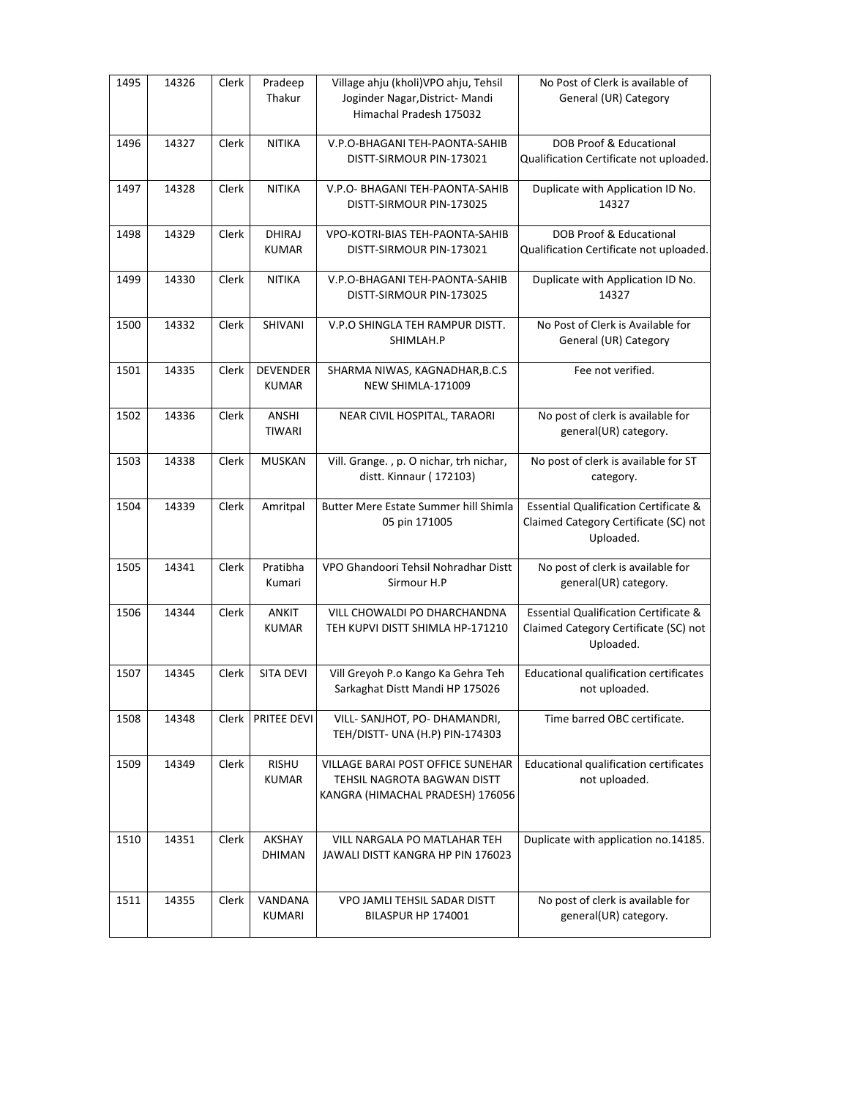| 1495 | 14326 | Clerk | Pradeep<br>Thakur               | Village ahju (kholi) VPO ahju, Tehsil<br>Joginder Nagar, District-Mandi<br>Himachal Pradesh 175032   | No Post of Clerk is available of<br>General (UR) Category                                              |
|------|-------|-------|---------------------------------|------------------------------------------------------------------------------------------------------|--------------------------------------------------------------------------------------------------------|
| 1496 | 14327 | Clerk | <b>NITIKA</b>                   | V.P.O-BHAGANI TEH-PAONTA-SAHIB<br>DISTT-SIRMOUR PIN-173021                                           | DOB Proof & Educational<br>Qualification Certificate not uploaded.                                     |
| 1497 | 14328 | Clerk | <b>NITIKA</b>                   | V.P.O- BHAGANI TEH-PAONTA-SAHIB<br>DISTT-SIRMOUR PIN-173025                                          | Duplicate with Application ID No.<br>14327                                                             |
| 1498 | 14329 | Clerk | <b>DHIRAJ</b><br><b>KUMAR</b>   | VPO-KOTRI-BIAS TEH-PAONTA-SAHIB<br>DISTT-SIRMOUR PIN-173021                                          | DOB Proof & Educational<br>Qualification Certificate not uploaded.                                     |
| 1499 | 14330 | Clerk | <b>NITIKA</b>                   | V.P.O-BHAGANI TEH-PAONTA-SAHIB<br>DISTT-SIRMOUR PIN-173025                                           | Duplicate with Application ID No.<br>14327                                                             |
| 1500 | 14332 | Clerk | SHIVANI                         | V.P.O SHINGLA TEH RAMPUR DISTT.<br>SHIMLAH.P                                                         | No Post of Clerk is Available for<br>General (UR) Category                                             |
| 1501 | 14335 | Clerk | <b>DEVENDER</b><br><b>KUMAR</b> | SHARMA NIWAS, KAGNADHAR, B.C.S<br>NEW SHIMLA-171009                                                  | Fee not verified.                                                                                      |
| 1502 | 14336 | Clerk | ANSHI<br><b>TIWARI</b>          | NEAR CIVIL HOSPITAL, TARAORI                                                                         | No post of clerk is available for<br>general(UR) category.                                             |
| 1503 | 14338 | Clerk | <b>MUSKAN</b>                   | Vill. Grange., p. O nichar, trh nichar,<br>distt. Kinnaur (172103)                                   | No post of clerk is available for ST<br>category.                                                      |
| 1504 | 14339 | Clerk | Amritpal                        | Butter Mere Estate Summer hill Shimla<br>05 pin 171005                                               | <b>Essential Qualification Certificate &amp;</b><br>Claimed Category Certificate (SC) not<br>Uploaded. |
| 1505 | 14341 | Clerk | Pratibha<br>Kumari              | VPO Ghandoori Tehsil Nohradhar Distt<br>Sirmour H.P                                                  | No post of clerk is available for<br>general(UR) category.                                             |
| 1506 | 14344 | Clerk | <b>ANKIT</b><br><b>KUMAR</b>    | VILL CHOWALDI PO DHARCHANDNA<br>TEH KUPVI DISTT SHIMLA HP-171210                                     | <b>Essential Qualification Certificate &amp;</b><br>Claimed Category Certificate (SC) not<br>Uploaded. |
| 1507 | 14345 | Clerk | <b>SITA DEVI</b>                | Vill Greyoh P.o Kango Ka Gehra Teh<br>Sarkaghat Distt Mandi HP 175026                                | Educational qualification certificates<br>not uploaded.                                                |
| 1508 | 14348 | Clerk | PRITEE DEVI                     | VILL- SANJHOT, PO- DHAMANDRI,<br>TEH/DISTT- UNA (H.P) PIN-174303                                     | Time barred OBC certificate.                                                                           |
| 1509 | 14349 | Clerk | <b>RISHU</b><br><b>KUMAR</b>    | VILLAGE BARAI POST OFFICE SUNEHAR<br>TEHSIL NAGROTA BAGWAN DISTT<br>KANGRA (HIMACHAL PRADESH) 176056 | <b>Educational qualification certificates</b><br>not uploaded.                                         |
| 1510 | 14351 | Clerk | AKSHAY<br><b>DHIMAN</b>         | VILL NARGALA PO MATLAHAR TEH<br>JAWALI DISTT KANGRA HP PIN 176023                                    | Duplicate with application no.14185.                                                                   |
| 1511 | 14355 | Clerk | VANDANA<br>KUMARI               | VPO JAMLI TEHSIL SADAR DISTT<br>BILASPUR HP 174001                                                   | No post of clerk is available for<br>general(UR) category.                                             |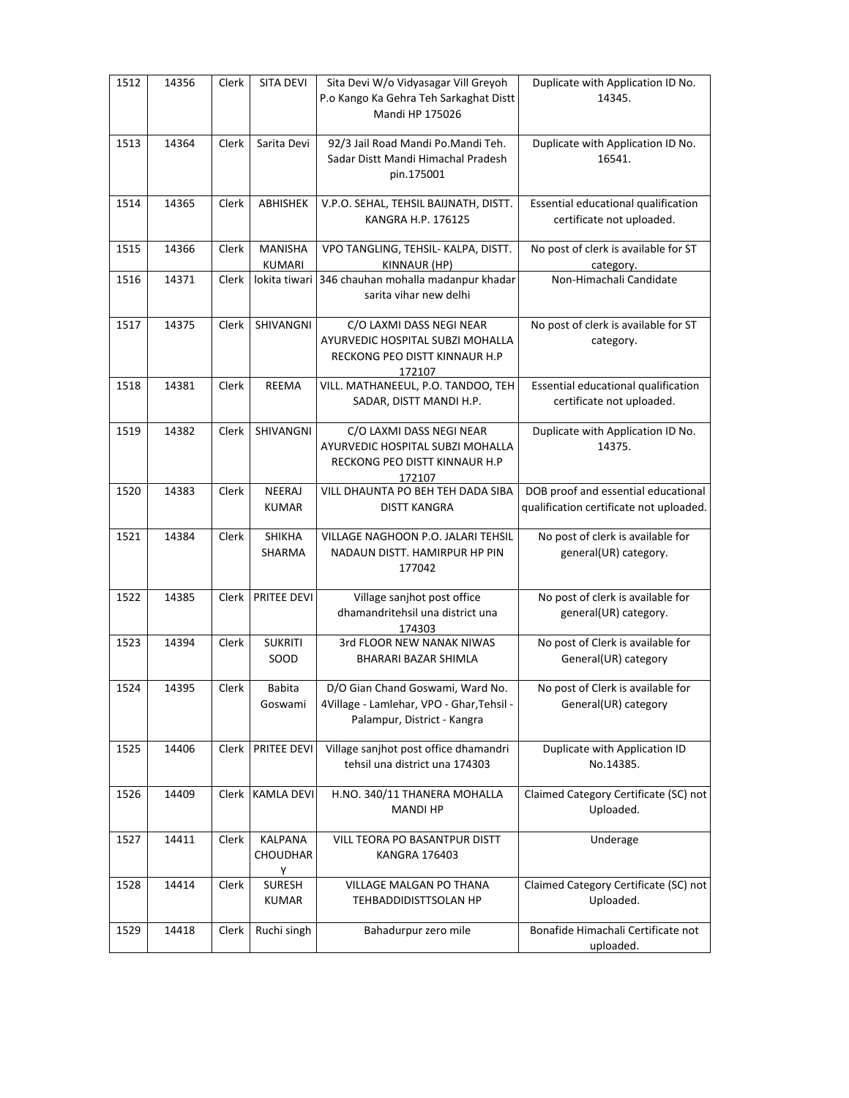| 1512 | 14356 | Clerk | SITA DEVI                     | Sita Devi W/o Vidyasagar Vill Greyoh<br>P.o Kango Ka Gehra Teh Sarkaghat Distt<br>Mandi HP 175026            | Duplicate with Application ID No.<br>14345.                                    |
|------|-------|-------|-------------------------------|--------------------------------------------------------------------------------------------------------------|--------------------------------------------------------------------------------|
| 1513 | 14364 | Clerk | Sarita Devi                   | 92/3 Jail Road Mandi Po. Mandi Teh.<br>Sadar Distt Mandi Himachal Pradesh<br>pin.175001                      | Duplicate with Application ID No.<br>16541.                                    |
| 1514 | 14365 | Clerk | ABHISHEK                      | V.P.O. SEHAL, TEHSIL BAIJNATH, DISTT.<br>KANGRA H.P. 176125                                                  | Essential educational qualification<br>certificate not uploaded.               |
| 1515 | 14366 | Clerk | <b>MANISHA</b><br>KUMARI      | VPO TANGLING, TEHSIL- KALPA, DISTT.<br>KINNAUR (HP)                                                          | No post of clerk is available for ST<br>category.                              |
| 1516 | 14371 | Clerk |                               | lokita tiwari 346 chauhan mohalla madanpur khadar<br>sarita vihar new delhi                                  | Non-Himachali Candidate                                                        |
| 1517 | 14375 | Clerk | SHIVANGNI                     | C/O LAXMI DASS NEGI NEAR<br>AYURVEDIC HOSPITAL SUBZI MOHALLA<br>RECKONG PEO DISTT KINNAUR H.P<br>172107      | No post of clerk is available for ST<br>category.                              |
| 1518 | 14381 | Clerk | <b>REEMA</b>                  | VILL. MATHANEEUL, P.O. TANDOO, TEH<br>SADAR, DISTT MANDI H.P.                                                | Essential educational qualification<br>certificate not uploaded.               |
| 1519 | 14382 | Clerk | SHIVANGNI                     | C/O LAXMI DASS NEGI NEAR<br>AYURVEDIC HOSPITAL SUBZI MOHALLA<br>RECKONG PEO DISTT KINNAUR H.P<br>172107      | Duplicate with Application ID No.<br>14375.                                    |
| 1520 | 14383 | Clerk | NEERAJ<br><b>KUMAR</b>        | VILL DHAUNTA PO BEH TEH DADA SIBA<br><b>DISTT KANGRA</b>                                                     | DOB proof and essential educational<br>qualification certificate not uploaded. |
| 1521 | 14384 | Clerk | <b>SHIKHA</b><br>SHARMA       | VILLAGE NAGHOON P.O. JALARI TEHSIL<br>NADAUN DISTT. HAMIRPUR HP PIN<br>177042                                | No post of clerk is available for<br>general(UR) category.                     |
| 1522 | 14385 | Clerk | <b>PRITEE DEVI</b>            | Village sanjhot post office<br>dhamandritehsil una district una<br>174303                                    | No post of clerk is available for<br>general(UR) category.                     |
| 1523 | 14394 | Clerk | <b>SUKRITI</b><br>SOOD        | 3rd FLOOR NEW NANAK NIWAS<br>BHARARI BAZAR SHIMLA                                                            | No post of Clerk is available for<br>General(UR) category                      |
| 1524 | 14395 | Clerk | Babita<br>Goswami             | D/O Gian Chand Goswami, Ward No.<br>4Village - Lamlehar, VPO - Ghar, Tehsil -<br>Palampur, District - Kangra | No post of Clerk is available for<br>General(UR) category                      |
| 1525 | 14406 | Clerk | PRITEE DEVI                   | Village sanjhot post office dhamandri<br>tehsil una district una 174303                                      | Duplicate with Application ID<br>No.14385.                                     |
| 1526 | 14409 | Clerk | <b>KAMLA DEVI</b>             | H.NO. 340/11 THANERA MOHALLA<br><b>MANDI HP</b>                                                              | Claimed Category Certificate (SC) not<br>Uploaded.                             |
| 1527 | 14411 | Clerk | KALPANA<br>CHOUDHAR<br>Y      | VILL TEORA PO BASANTPUR DISTT<br><b>KANGRA 176403</b>                                                        | Underage                                                                       |
| 1528 | 14414 | Clerk | <b>SURESH</b><br><b>KUMAR</b> | VILLAGE MALGAN PO THANA<br>TEHBADDIDISTTSOLAN HP                                                             | Claimed Category Certificate (SC) not<br>Uploaded.                             |
| 1529 | 14418 | Clerk | Ruchi singh                   | Bahadurpur zero mile                                                                                         | Bonafide Himachali Certificate not<br>uploaded.                                |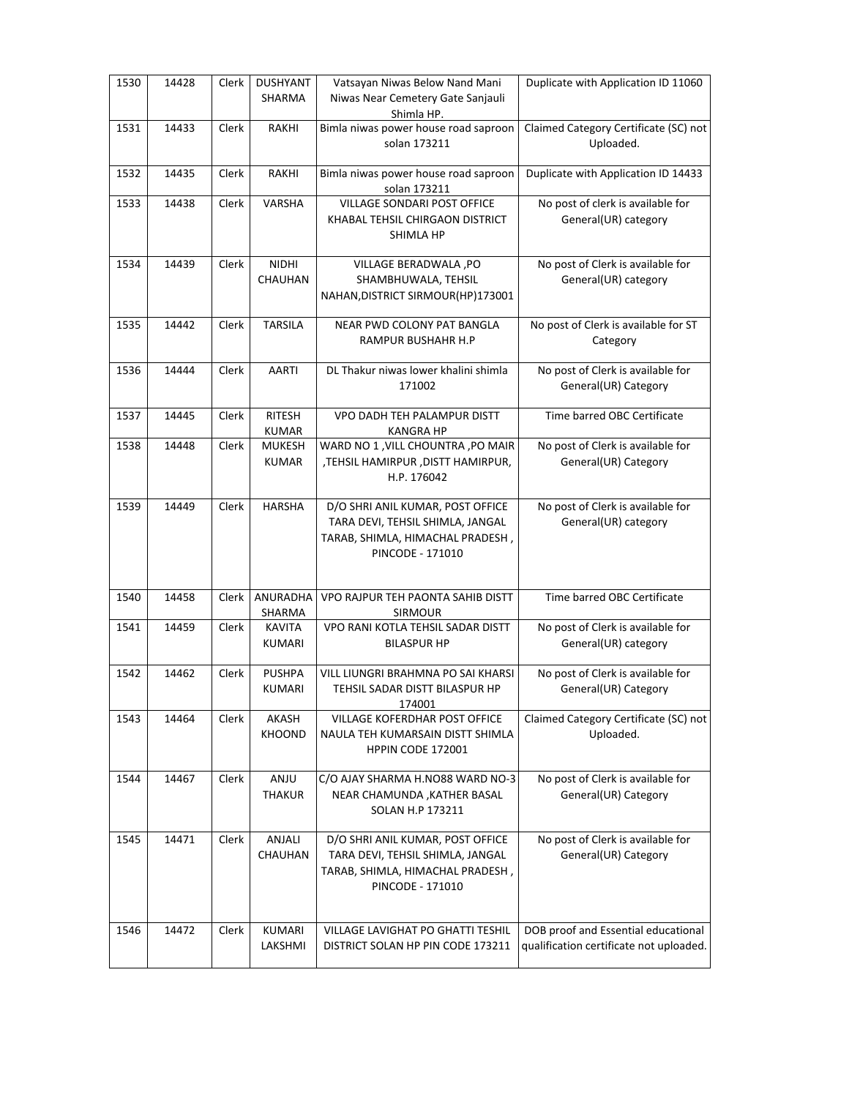| 1530 | 14428 | Clerk | <b>DUSHYANT</b><br>SHARMA      | Vatsayan Niwas Below Nand Mani<br>Niwas Near Cemetery Gate Sanjauli<br>Shimla HP.                                            | Duplicate with Application ID 11060                                            |
|------|-------|-------|--------------------------------|------------------------------------------------------------------------------------------------------------------------------|--------------------------------------------------------------------------------|
| 1531 | 14433 | Clerk | RAKHI                          | Bimla niwas power house road saproon<br>solan 173211                                                                         | Claimed Category Certificate (SC) not<br>Uploaded.                             |
| 1532 | 14435 | Clerk | RAKHI                          | Bimla niwas power house road saproon<br>solan 173211                                                                         | Duplicate with Application ID 14433                                            |
| 1533 | 14438 | Clerk | VARSHA                         | VILLAGE SONDARI POST OFFICE<br>KHABAL TEHSIL CHIRGAON DISTRICT<br>SHIMLA HP                                                  | No post of clerk is available for<br>General(UR) category                      |
| 1534 | 14439 | Clerk | <b>NIDHI</b><br>CHAUHAN        | VILLAGE BERADWALA , PO<br>SHAMBHUWALA, TEHSIL<br>NAHAN, DISTRICT SIRMOUR(HP)173001                                           | No post of Clerk is available for<br>General(UR) category                      |
| 1535 | 14442 | Clerk | <b>TARSILA</b>                 | NEAR PWD COLONY PAT BANGLA<br>RAMPUR BUSHAHR H.P                                                                             | No post of Clerk is available for ST<br>Category                               |
| 1536 | 14444 | Clerk | <b>AARTI</b>                   | DL Thakur niwas lower khalini shimla<br>171002                                                                               | No post of Clerk is available for<br>General(UR) Category                      |
| 1537 | 14445 | Clerk | <b>RITESH</b><br><b>KUMAR</b>  | VPO DADH TEH PALAMPUR DISTT<br><b>KANGRA HP</b>                                                                              | Time barred OBC Certificate                                                    |
| 1538 | 14448 | Clerk | <b>MUKESH</b><br><b>KUMAR</b>  | WARD NO 1, VILL CHOUNTRA, PO MAIR<br>,TEHSIL HAMIRPUR, DISTT HAMIRPUR,<br>H.P. 176042                                        | No post of Clerk is available for<br>General(UR) Category                      |
| 1539 | 14449 | Clerk | <b>HARSHA</b>                  | D/O SHRI ANIL KUMAR, POST OFFICE<br>TARA DEVI, TEHSIL SHIMLA, JANGAL<br>TARAB, SHIMLA, HIMACHAL PRADESH,<br>PINCODE - 171010 | No post of Clerk is available for<br>General(UR) category                      |
| 1540 | 14458 | Clerk | ANURADHA<br>SHARMA             | VPO RAJPUR TEH PAONTA SAHIB DISTT<br><b>SIRMOUR</b>                                                                          | Time barred OBC Certificate                                                    |
| 1541 | 14459 | Clerk | <b>KAVITA</b><br><b>KUMARI</b> | VPO RANI KOTLA TEHSIL SADAR DISTT<br><b>BILASPUR HP</b>                                                                      | No post of Clerk is available for<br>General(UR) category                      |
| 1542 | 14462 | Clerk | <b>PUSHPA</b><br><b>KUMARI</b> | VILL LIUNGRI BRAHMNA PO SAI KHARSI<br>TEHSIL SADAR DISTT BILASPUR HP<br>174001                                               | No post of Clerk is available for<br>General(UR) Category                      |
| 1543 | 14464 | Clerk | AKASH<br>KHOOND                | VILLAGE KOFERDHAR POST OFFICE<br>NAULA TEH KUMARSAIN DISTT SHIMLA<br>HPPIN CODE 172001                                       | Claimed Category Certificate (SC) not<br>Uploaded.                             |
| 1544 | 14467 | Clerk | ANJU<br><b>THAKUR</b>          | C/O AJAY SHARMA H.NO88 WARD NO-3<br>NEAR CHAMUNDA , KATHER BASAL<br>SOLAN H.P 173211                                         | No post of Clerk is available for<br>General(UR) Category                      |
| 1545 | 14471 | Clerk | ANJALI<br>CHAUHAN              | D/O SHRI ANIL KUMAR, POST OFFICE<br>TARA DEVI, TEHSIL SHIMLA, JANGAL<br>TARAB, SHIMLA, HIMACHAL PRADESH,<br>PINCODE - 171010 | No post of Clerk is available for<br>General(UR) Category                      |
| 1546 | 14472 | Clerk | KUMARI<br>LAKSHMI              | VILLAGE LAVIGHAT PO GHATTI TESHIL<br>DISTRICT SOLAN HP PIN CODE 173211                                                       | DOB proof and Essential educational<br>qualification certificate not uploaded. |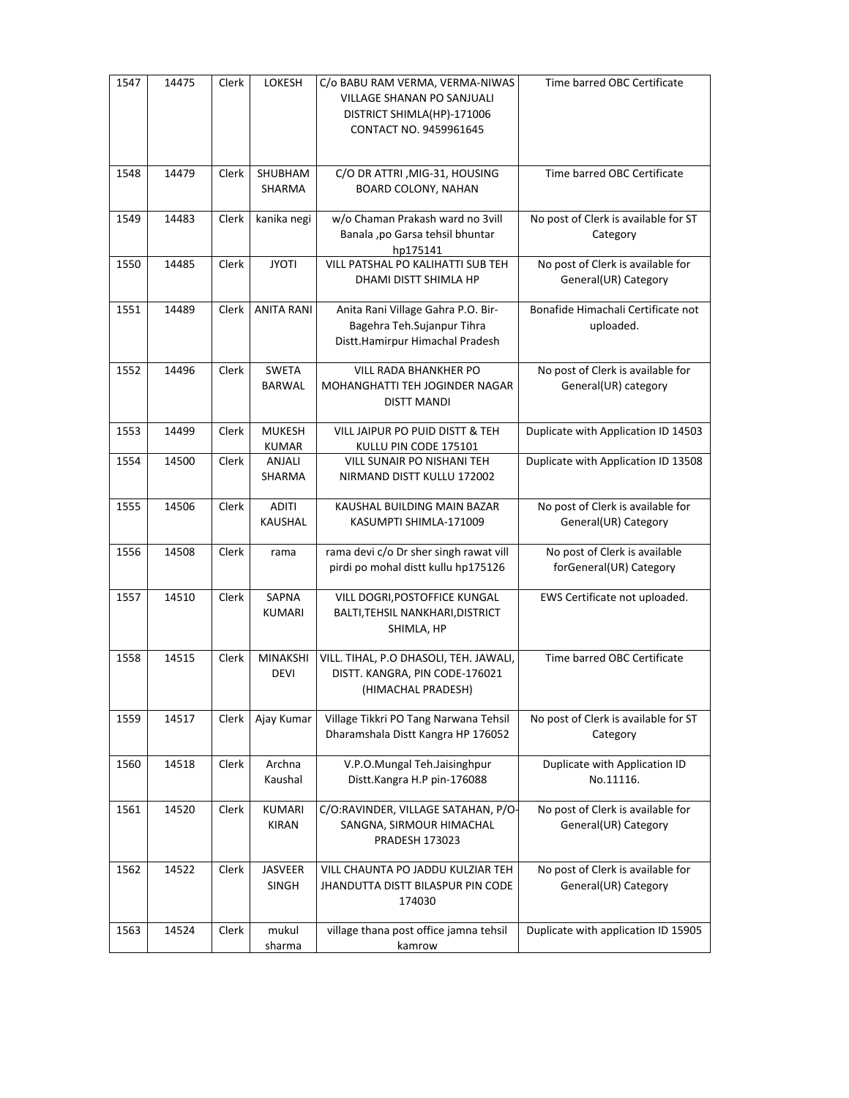| 1547 | 14475 | Clerk | LOKESH                        | C/o BABU RAM VERMA, VERMA-NIWAS<br><b>VILLAGE SHANAN PO SANJUALI</b><br>DISTRICT SHIMLA(HP)-171006<br>CONTACT NO. 9459961645 | Time barred OBC Certificate                               |
|------|-------|-------|-------------------------------|------------------------------------------------------------------------------------------------------------------------------|-----------------------------------------------------------|
| 1548 | 14479 | Clerk | SHUBHAM<br>SHARMA             | C/O DR ATTRI, MIG-31, HOUSING<br>BOARD COLONY, NAHAN                                                                         | Time barred OBC Certificate                               |
| 1549 | 14483 | Clerk | kanika negi                   | w/o Chaman Prakash ward no 3vill<br>Banala ,po Garsa tehsil bhuntar<br>hp175141                                              | No post of Clerk is available for ST<br>Category          |
| 1550 | 14485 | Clerk | <b>JYOTI</b>                  | VILL PATSHAL PO KALIHATTI SUB TEH<br>DHAMI DISTT SHIMLA HP                                                                   | No post of Clerk is available for<br>General(UR) Category |
| 1551 | 14489 | Clerk | <b>ANITA RANI</b>             | Anita Rani Village Gahra P.O. Bir-<br>Bagehra Teh.Sujanpur Tihra<br>Distt.Hamirpur Himachal Pradesh                          | Bonafide Himachali Certificate not<br>uploaded.           |
| 1552 | 14496 | Clerk | <b>SWETA</b><br><b>BARWAL</b> | VILL RADA BHANKHER PO<br>MOHANGHATTI TEH JOGINDER NAGAR<br><b>DISTT MANDI</b>                                                | No post of Clerk is available for<br>General(UR) category |
| 1553 | 14499 | Clerk | <b>MUKESH</b><br><b>KUMAR</b> | VILL JAIPUR PO PUID DISTT & TEH<br>KULLU PIN CODE 175101                                                                     | Duplicate with Application ID 14503                       |
| 1554 | 14500 | Clerk | ANJALI<br><b>SHARMA</b>       | VILL SUNAIR PO NISHANI TEH<br>NIRMAND DISTT KULLU 172002                                                                     | Duplicate with Application ID 13508                       |
| 1555 | 14506 | Clerk | <b>ADITI</b><br>KAUSHAL       | KAUSHAL BUILDING MAIN BAZAR<br>KASUMPTI SHIMLA-171009                                                                        | No post of Clerk is available for<br>General(UR) Category |
| 1556 | 14508 | Clerk | rama                          | rama devi c/o Dr sher singh rawat vill<br>pirdi po mohal distt kullu hp175126                                                | No post of Clerk is available<br>forGeneral(UR) Category  |
| 1557 | 14510 | Clerk | SAPNA<br><b>KUMARI</b>        | VILL DOGRI, POSTOFFICE KUNGAL<br>BALTI, TEHSIL NANKHARI, DISTRICT<br>SHIMLA, HP                                              | EWS Certificate not uploaded.                             |
| 1558 | 14515 | Clerk | MINAKSHI<br><b>DEVI</b>       | VILL. TIHAL, P.O DHASOLI, TEH. JAWALI,<br>DISTT. KANGRA, PIN CODE-176021<br>(HIMACHAL PRADESH)                               | Time barred OBC Certificate                               |
| 1559 | 14517 | Clerk | Ajay Kumar                    | Village Tikkri PO Tang Narwana Tehsil<br>Dharamshala Distt Kangra HP 176052                                                  | No post of Clerk is available for ST<br>Category          |
| 1560 | 14518 | Clerk | Archna<br>Kaushal             | V.P.O.Mungal Teh.Jaisinghpur<br>Distt.Kangra H.P pin-176088                                                                  | Duplicate with Application ID<br>No.11116.                |
| 1561 | 14520 | Clerk | <b>KUMARI</b><br><b>KIRAN</b> | C/O:RAVINDER, VILLAGE SATAHAN, P/O-<br>SANGNA, SIRMOUR HIMACHAL<br><b>PRADESH 173023</b>                                     | No post of Clerk is available for<br>General(UR) Category |
| 1562 | 14522 | Clerk | JASVEER<br><b>SINGH</b>       | VILL CHAUNTA PO JADDU KULZIAR TEH<br>JHANDUTTA DISTT BILASPUR PIN CODE<br>174030                                             | No post of Clerk is available for<br>General(UR) Category |
| 1563 | 14524 | Clerk | mukul<br>sharma               | village thana post office jamna tehsil<br>kamrow                                                                             | Duplicate with application ID 15905                       |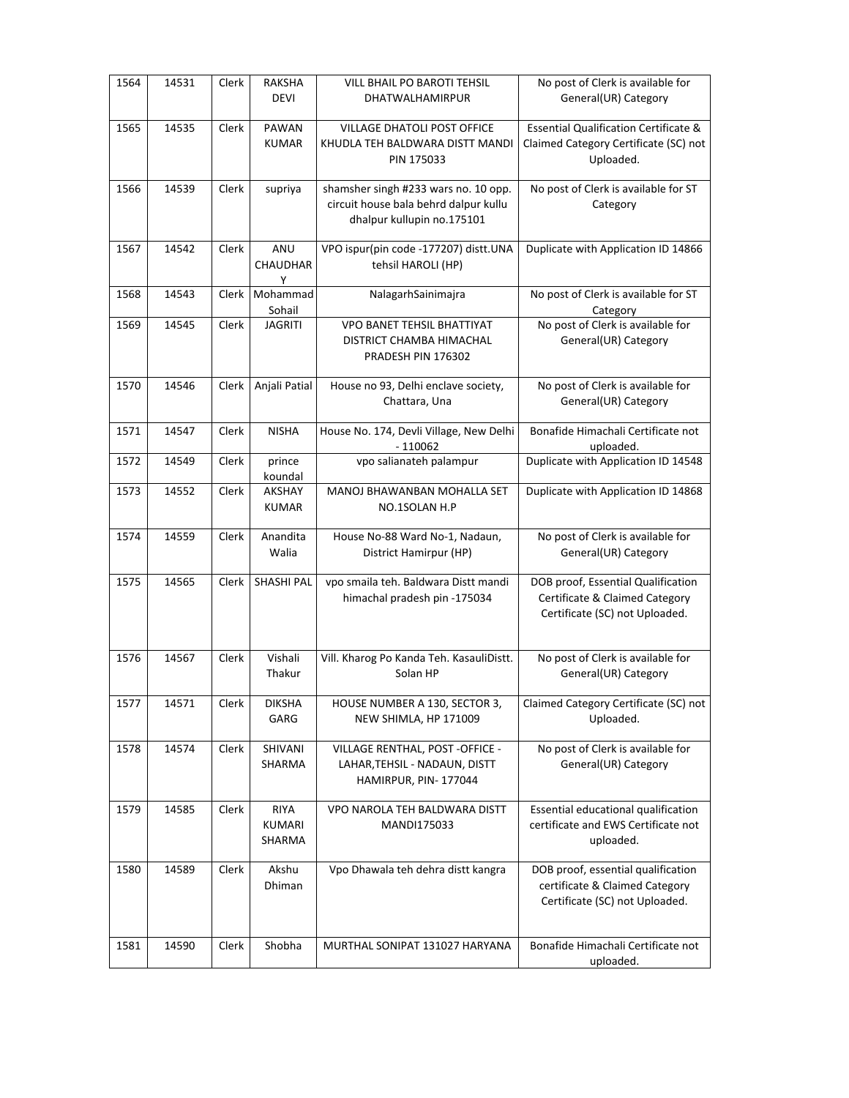| 1564 | 14531 | Clerk | <b>RAKSHA</b><br><b>DEVI</b>           | VILL BHAIL PO BAROTI TEHSIL<br><b>DHATWALHAMIRPUR</b>                                                       | No post of Clerk is available for<br>General(UR) Category                                              |
|------|-------|-------|----------------------------------------|-------------------------------------------------------------------------------------------------------------|--------------------------------------------------------------------------------------------------------|
| 1565 | 14535 | Clerk | PAWAN<br><b>KUMAR</b>                  | VILLAGE DHATOLI POST OFFICE<br>KHUDLA TEH BALDWARA DISTT MANDI<br>PIN 175033                                | <b>Essential Qualification Certificate &amp;</b><br>Claimed Category Certificate (SC) not<br>Uploaded. |
| 1566 | 14539 | Clerk | supriya                                | shamsher singh #233 wars no. 10 opp.<br>circuit house bala behrd dalpur kullu<br>dhalpur kullupin no.175101 | No post of Clerk is available for ST<br>Category                                                       |
| 1567 | 14542 | Clerk | ANU<br><b>CHAUDHAR</b><br>Y            | VPO ispur(pin code -177207) distt.UNA<br>tehsil HAROLI (HP)                                                 | Duplicate with Application ID 14866                                                                    |
| 1568 | 14543 | Clerk | Mohammad<br>Sohail                     | NalagarhSainimajra                                                                                          | No post of Clerk is available for ST<br>Category                                                       |
| 1569 | 14545 | Clerk | <b>JAGRITI</b>                         | VPO BANET TEHSIL BHATTIYAT<br>DISTRICT CHAMBA HIMACHAL<br>PRADESH PIN 176302                                | No post of Clerk is available for<br>General(UR) Category                                              |
| 1570 | 14546 | Clerk | Anjali Patial                          | House no 93, Delhi enclave society,<br>Chattara, Una                                                        | No post of Clerk is available for<br>General(UR) Category                                              |
| 1571 | 14547 | Clerk | <b>NISHA</b>                           | House No. 174, Devli Village, New Delhi<br>$-110062$                                                        | Bonafide Himachali Certificate not<br>uploaded.                                                        |
| 1572 | 14549 | Clerk | prince<br>koundal                      | vpo salianateh palampur                                                                                     | Duplicate with Application ID 14548                                                                    |
| 1573 | 14552 | Clerk | AKSHAY<br><b>KUMAR</b>                 | MANOJ BHAWANBAN MOHALLA SET<br>NO.1SOLAN H.P                                                                | Duplicate with Application ID 14868                                                                    |
| 1574 | 14559 | Clerk | Anandita<br>Walia                      | House No-88 Ward No-1, Nadaun,<br>District Hamirpur (HP)                                                    | No post of Clerk is available for<br>General(UR) Category                                              |
| 1575 | 14565 | Clerk | SHASHI PAL                             | vpo smaila teh. Baldwara Distt mandi<br>himachal pradesh pin -175034                                        | DOB proof, Essential Qualification<br>Certificate & Claimed Category<br>Certificate (SC) not Uploaded. |
| 1576 | 14567 | Clerk | Vishali<br>Thakur                      | Vill. Kharog Po Kanda Teh. KasauliDistt.<br>Solan HP                                                        | No post of Clerk is available for<br>General(UR) Category                                              |
| 1577 | 14571 | Clerk | <b>DIKSHA</b><br>GARG                  | HOUSE NUMBER A 130, SECTOR 3,<br>NEW SHIMLA, HP 171009                                                      | Claimed Category Certificate (SC) not<br>Uploaded.                                                     |
| 1578 | 14574 | Clerk | SHIVANI<br>SHARMA                      | VILLAGE RENTHAL, POST - OFFICE -<br>LAHAR, TEHSIL - NADAUN, DISTT<br>HAMIRPUR, PIN-177044                   | No post of Clerk is available for<br>General(UR) Category                                              |
| 1579 | 14585 | Clerk | <b>RIYA</b><br><b>KUMARI</b><br>SHARMA | VPO NAROLA TEH BALDWARA DISTT<br>MANDI175033                                                                | Essential educational qualification<br>certificate and EWS Certificate not<br>uploaded.                |
| 1580 | 14589 | Clerk | Akshu<br>Dhiman                        | Vpo Dhawala teh dehra distt kangra                                                                          | DOB proof, essential qualification<br>certificate & Claimed Category<br>Certificate (SC) not Uploaded. |
| 1581 | 14590 | Clerk | Shobha                                 | MURTHAL SONIPAT 131027 HARYANA                                                                              | Bonafide Himachali Certificate not<br>uploaded.                                                        |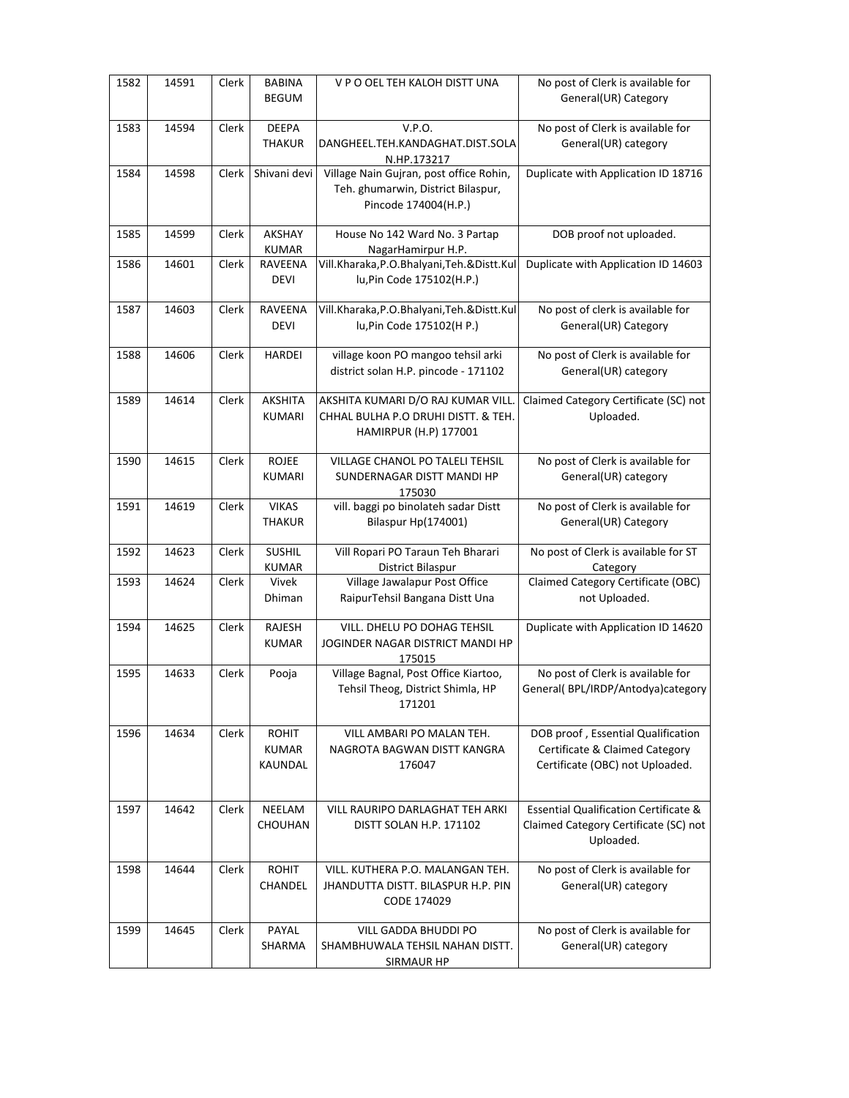| 1582 | 14591 | Clerk | <b>BABINA</b><br><b>BEGUM</b>           | V P O OEL TEH KALOH DISTT UNA                                                                         | No post of Clerk is available for<br>General(UR) Category                                               |
|------|-------|-------|-----------------------------------------|-------------------------------------------------------------------------------------------------------|---------------------------------------------------------------------------------------------------------|
| 1583 | 14594 | Clerk | DEEPA<br><b>THAKUR</b>                  | V.P.O.<br>DANGHEEL.TEH.KANDAGHAT.DIST.SOLA<br>N.HP.173217                                             | No post of Clerk is available for<br>General(UR) category                                               |
| 1584 | 14598 | Clerk | Shivani devi                            | Village Nain Gujran, post office Rohin,<br>Teh. ghumarwin, District Bilaspur,<br>Pincode 174004(H.P.) | Duplicate with Application ID 18716                                                                     |
| 1585 | 14599 | Clerk | AKSHAY<br><b>KUMAR</b>                  | House No 142 Ward No. 3 Partap<br>NagarHamirpur H.P.                                                  | DOB proof not uploaded.                                                                                 |
| 1586 | 14601 | Clerk | RAVEENA<br><b>DEVI</b>                  | Vill.Kharaka, P.O.Bhalyani, Teh. & Distt. Kul<br>lu, Pin Code 175102(H.P.)                            | Duplicate with Application ID 14603                                                                     |
| 1587 | 14603 | Clerk | RAVEENA<br><b>DEVI</b>                  | Vill.Kharaka, P.O.Bhalyani, Teh.& Distt.Kul<br>lu, Pin Code 175102(H P.)                              | No post of clerk is available for<br>General(UR) Category                                               |
| 1588 | 14606 | Clerk | <b>HARDEI</b>                           | village koon PO mangoo tehsil arki<br>district solan H.P. pincode - 171102                            | No post of Clerk is available for<br>General(UR) category                                               |
| 1589 | 14614 | Clerk | AKSHITA<br>KUMARI                       | AKSHITA KUMARI D/O RAJ KUMAR VILL.<br>CHHAL BULHA P.O DRUHI DISTT. & TEH.<br>HAMIRPUR (H.P) 177001    | Claimed Category Certificate (SC) not<br>Uploaded.                                                      |
| 1590 | 14615 | Clerk | ROJEE<br><b>KUMARI</b>                  | <b>VILLAGE CHANOL PO TALELI TEHSIL</b><br>SUNDERNAGAR DISTT MANDI HP<br>175030                        | No post of Clerk is available for<br>General(UR) category                                               |
| 1591 | 14619 | Clerk | <b>VIKAS</b><br><b>THAKUR</b>           | vill. baggi po binolateh sadar Distt<br>Bilaspur Hp(174001)                                           | No post of Clerk is available for<br>General(UR) Category                                               |
| 1592 | 14623 | Clerk | <b>SUSHIL</b><br><b>KUMAR</b>           | Vill Ropari PO Taraun Teh Bharari<br><b>District Bilaspur</b>                                         | No post of Clerk is available for ST<br>Category                                                        |
| 1593 | 14624 | Clerk | Vivek<br>Dhiman                         | Village Jawalapur Post Office<br>RaipurTehsil Bangana Distt Una                                       | Claimed Category Certificate (OBC)<br>not Uploaded.                                                     |
| 1594 | 14625 | Clerk | RAJESH<br><b>KUMAR</b>                  | VILL. DHELU PO DOHAG TEHSIL<br>JOGINDER NAGAR DISTRICT MANDI HP<br>175015                             | Duplicate with Application ID 14620                                                                     |
| 1595 | 14633 | Clerk | Pooja                                   | Village Bagnal, Post Office Kiartoo,<br>Tehsil Theog, District Shimla, HP<br>171201                   | No post of Clerk is available for<br>General(BPL/IRDP/Antodya)category                                  |
| 1596 | 14634 | Clerk | <b>ROHIT</b><br><b>KUMAR</b><br>KAUNDAL | VILL AMBARI PO MALAN TEH.<br>NAGROTA BAGWAN DISTT KANGRA<br>176047                                    | DOB proof, Essential Qualification<br>Certificate & Claimed Category<br>Certificate (OBC) not Uploaded. |
| 1597 | 14642 | Clerk | NEELAM<br><b>CHOUHAN</b>                | VILL RAURIPO DARLAGHAT TEH ARKI<br>DISTT SOLAN H.P. 171102                                            | <b>Essential Qualification Certificate &amp;</b><br>Claimed Category Certificate (SC) not<br>Uploaded.  |
| 1598 | 14644 | Clerk | <b>ROHIT</b><br>CHANDEL                 | VILL. KUTHERA P.O. MALANGAN TEH.<br>JHANDUTTA DISTT. BILASPUR H.P. PIN<br>CODE 174029                 | No post of Clerk is available for<br>General(UR) category                                               |
| 1599 | 14645 | Clerk | PAYAL<br>SHARMA                         | VILL GADDA BHUDDI PO<br>SHAMBHUWALA TEHSIL NAHAN DISTT.<br><b>SIRMAUR HP</b>                          | No post of Clerk is available for<br>General(UR) category                                               |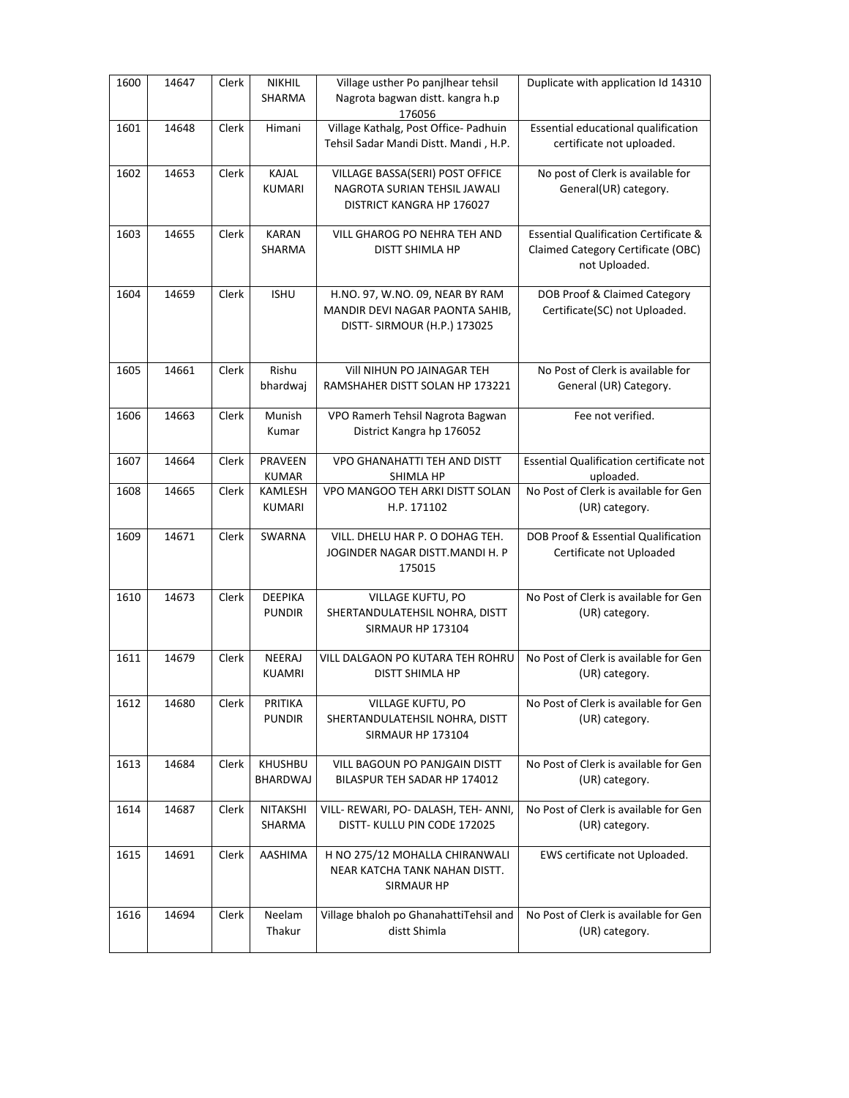| 1600 | 14647 | Clerk | <b>NIKHIL</b><br>SHARMA         | Village usther Po panjlhear tehsil<br>Nagrota bagwan distt. kangra h.p<br>176056                   | Duplicate with application Id 14310                                                                     |
|------|-------|-------|---------------------------------|----------------------------------------------------------------------------------------------------|---------------------------------------------------------------------------------------------------------|
| 1601 | 14648 | Clerk | Himani                          | Village Kathalg, Post Office- Padhuin<br>Tehsil Sadar Mandi Distt. Mandi, H.P.                     | Essential educational qualification<br>certificate not uploaded.                                        |
| 1602 | 14653 | Clerk | <b>KAJAL</b><br><b>KUMARI</b>   | VILLAGE BASSA(SERI) POST OFFICE<br>NAGROTA SURIAN TEHSIL JAWALI<br>DISTRICT KANGRA HP 176027       | No post of Clerk is available for<br>General(UR) category.                                              |
| 1603 | 14655 | Clerk | <b>KARAN</b><br>SHARMA          | VILL GHAROG PO NEHRA TEH AND<br>DISTT SHIMLA HP                                                    | <b>Essential Qualification Certificate &amp;</b><br>Claimed Category Certificate (OBC)<br>not Uploaded. |
| 1604 | 14659 | Clerk | <b>ISHU</b>                     | H.NO. 97, W.NO. 09, NEAR BY RAM<br>MANDIR DEVI NAGAR PAONTA SAHIB,<br>DISTT- SIRMOUR (H.P.) 173025 | DOB Proof & Claimed Category<br>Certificate(SC) not Uploaded.                                           |
| 1605 | 14661 | Clerk | Rishu<br>bhardwaj               | VIII NIHUN PO JAINAGAR TEH<br>RAMSHAHER DISTT SOLAN HP 173221                                      | No Post of Clerk is available for<br>General (UR) Category.                                             |
| 1606 | 14663 | Clerk | Munish<br>Kumar                 | VPO Ramerh Tehsil Nagrota Bagwan<br>District Kangra hp 176052                                      | Fee not verified.                                                                                       |
| 1607 | 14664 | Clerk | PRAVEEN<br>KUMAR                | <b>VPO GHANAHATTI TEH AND DISTT</b><br>SHIMLA HP                                                   | Essential Qualification certificate not<br>uploaded.                                                    |
| 1608 | 14665 | Clerk | KAMLESH<br><b>KUMARI</b>        | VPO MANGOO TEH ARKI DISTT SOLAN<br>H.P. 171102                                                     | No Post of Clerk is available for Gen<br>(UR) category.                                                 |
| 1609 | 14671 | Clerk | SWARNA                          | VILL. DHELU HAR P. O DOHAG TEH.<br>JOGINDER NAGAR DISTT.MANDI H. P<br>175015                       | DOB Proof & Essential Qualification<br>Certificate not Uploaded                                         |
| 1610 | 14673 | Clerk | <b>DEEPIKA</b><br><b>PUNDIR</b> | VILLAGE KUFTU, PO<br>SHERTANDULATEHSIL NOHRA, DISTT<br>SIRMAUR HP 173104                           | No Post of Clerk is available for Gen<br>(UR) category.                                                 |
| 1611 | 14679 | Clerk | NEERAJ<br>KUAMRI                | VILL DALGAON PO KUTARA TEH ROHRU<br>DISTT SHIMLA HP                                                | No Post of Clerk is available for Gen<br>(UR) category.                                                 |
| 1612 | 14680 | Clerk | PRITIKA<br><b>PUNDIR</b>        | VILLAGE KUFTU, PO<br>SHERTANDULATEHSIL NOHRA, DISTT<br>SIRMAUR HP 173104                           | No Post of Clerk is available for Gen<br>(UR) category.                                                 |
| 1613 | 14684 | Clerk | KHUSHBU<br>BHARDWAJ             | VILL BAGOUN PO PANJGAIN DISTT<br>BILASPUR TEH SADAR HP 174012                                      | No Post of Clerk is available for Gen<br>(UR) category.                                                 |
| 1614 | 14687 | Clerk | NITAKSHI<br>SHARMA              | VILL- REWARI, PO- DALASH, TEH- ANNI,<br>DISTT-KULLU PIN CODE 172025                                | No Post of Clerk is available for Gen<br>(UR) category.                                                 |
| 1615 | 14691 | Clerk | AASHIMA                         | H NO 275/12 MOHALLA CHIRANWALI<br>NEAR KATCHA TANK NAHAN DISTT.<br><b>SIRMAUR HP</b>               | EWS certificate not Uploaded.                                                                           |
| 1616 | 14694 | Clerk | Neelam<br>Thakur                | Village bhaloh po GhanahattiTehsil and<br>distt Shimla                                             | No Post of Clerk is available for Gen<br>(UR) category.                                                 |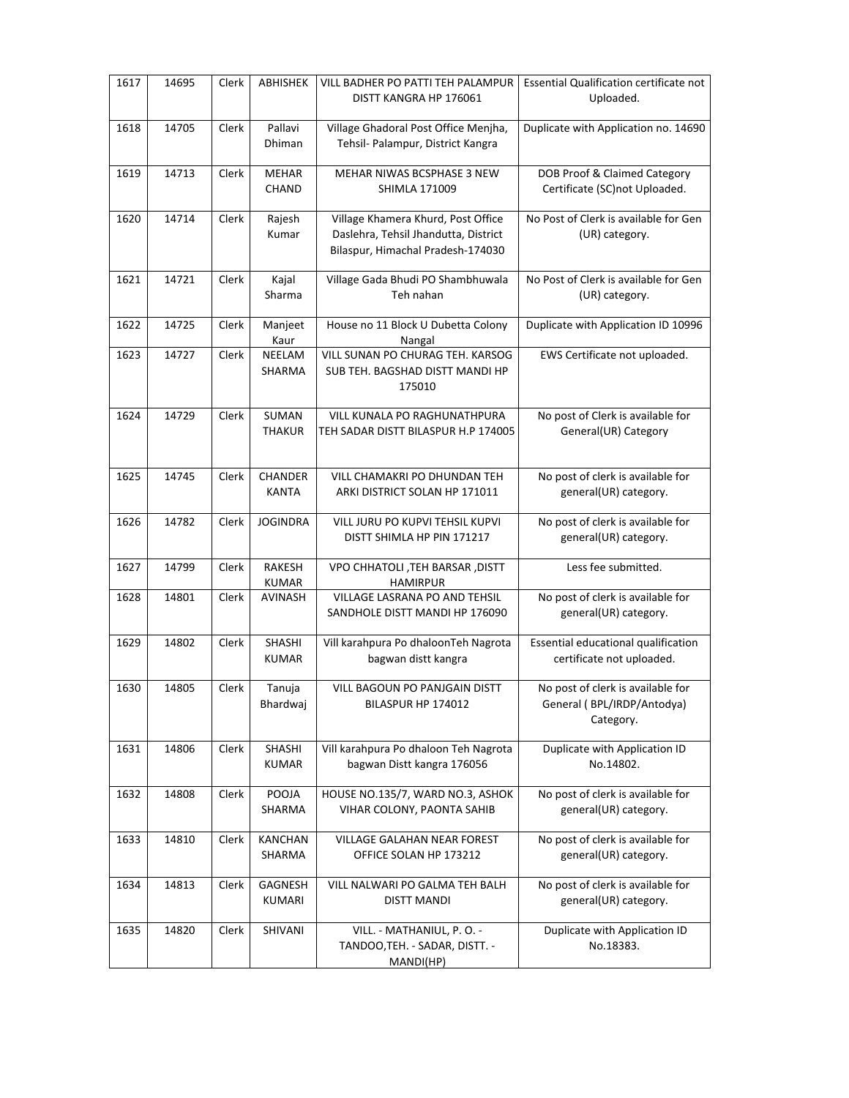| 1617 | 14695 | Clerk | ABHISHEK                      | VILL BADHER PO PATTI TEH PALAMPUR<br>DISTT KANGRA HP 176061                                                     | Essential Qualification certificate not<br>Uploaded.                         |
|------|-------|-------|-------------------------------|-----------------------------------------------------------------------------------------------------------------|------------------------------------------------------------------------------|
| 1618 | 14705 | Clerk | Pallavi<br>Dhiman             | Village Ghadoral Post Office Menjha,<br>Tehsil- Palampur, District Kangra                                       | Duplicate with Application no. 14690                                         |
| 1619 | 14713 | Clerk | <b>MEHAR</b><br><b>CHAND</b>  | MEHAR NIWAS BCSPHASE 3 NEW<br><b>SHIMLA 171009</b>                                                              | DOB Proof & Claimed Category<br>Certificate (SC) not Uploaded.               |
| 1620 | 14714 | Clerk | Rajesh<br>Kumar               | Village Khamera Khurd, Post Office<br>Daslehra, Tehsil Jhandutta, District<br>Bilaspur, Himachal Pradesh-174030 | No Post of Clerk is available for Gen<br>(UR) category.                      |
| 1621 | 14721 | Clerk | Kajal<br>Sharma               | Village Gada Bhudi PO Shambhuwala<br>Teh nahan                                                                  | No Post of Clerk is available for Gen<br>(UR) category.                      |
| 1622 | 14725 | Clerk | Manjeet<br>Kaur               | House no 11 Block U Dubetta Colony<br>Nangal                                                                    | Duplicate with Application ID 10996                                          |
| 1623 | 14727 | Clerk | NEELAM<br>SHARMA              | VILL SUNAN PO CHURAG TEH. KARSOG<br>SUB TEH. BAGSHAD DISTT MANDI HP<br>175010                                   | EWS Certificate not uploaded.                                                |
| 1624 | 14729 | Clerk | SUMAN<br><b>THAKUR</b>        | <b>VILL KUNALA PO RAGHUNATHPURA</b><br>TEH SADAR DISTT BILASPUR H.P 174005                                      | No post of Clerk is available for<br>General(UR) Category                    |
| 1625 | 14745 | Clerk | CHANDER<br><b>KANTA</b>       | VILL CHAMAKRI PO DHUNDAN TEH<br>ARKI DISTRICT SOLAN HP 171011                                                   | No post of clerk is available for<br>general(UR) category.                   |
| 1626 | 14782 | Clerk | <b>JOGINDRA</b>               | VILL JURU PO KUPVI TEHSIL KUPVI<br>DISTT SHIMLA HP PIN 171217                                                   | No post of clerk is available for<br>general(UR) category.                   |
| 1627 | 14799 | Clerk | <b>RAKESH</b><br><b>KUMAR</b> | VPO CHHATOLI , TEH BARSAR , DISTT<br><b>HAMIRPUR</b>                                                            | Less fee submitted.                                                          |
| 1628 | 14801 | Clerk | AVINASH                       | VILLAGE LASRANA PO AND TEHSIL<br>SANDHOLE DISTT MANDI HP 176090                                                 | No post of clerk is available for<br>general(UR) category.                   |
| 1629 | 14802 | Clerk | SHASHI<br><b>KUMAR</b>        | Vill karahpura Po dhaloonTeh Nagrota<br>bagwan distt kangra                                                     | Essential educational qualification<br>certificate not uploaded.             |
| 1630 | 14805 | Clerk | Tanuja<br>Bhardwaj            | <b>VILL BAGOUN PO PANJGAIN DISTT</b><br>BILASPUR HP 174012                                                      | No post of clerk is available for<br>General (BPL/IRDP/Antodya)<br>Category. |
| 1631 | 14806 | Clerk | SHASHI<br><b>KUMAR</b>        | Vill karahpura Po dhaloon Teh Nagrota<br>bagwan Distt kangra 176056                                             | Duplicate with Application ID<br>No.14802.                                   |
| 1632 | 14808 | Clerk | POOJA<br>SHARMA               | HOUSE NO.135/7, WARD NO.3, ASHOK<br>VIHAR COLONY, PAONTA SAHIB                                                  | No post of clerk is available for<br>general(UR) category.                   |
| 1633 | 14810 | Clerk | <b>KANCHAN</b><br>SHARMA      | <b>VILLAGE GALAHAN NEAR FOREST</b><br>OFFICE SOLAN HP 173212                                                    | No post of clerk is available for<br>general(UR) category.                   |
| 1634 | 14813 | Clerk | GAGNESH<br>KUMARI             | VILL NALWARI PO GALMA TEH BALH<br>DISTT MANDI                                                                   | No post of clerk is available for<br>general(UR) category.                   |
| 1635 | 14820 | Clerk | SHIVANI                       | VILL. - MATHANIUL, P. O. -<br>TANDOO, TEH. - SADAR, DISTT. -<br>MANDI(HP)                                       | Duplicate with Application ID<br>No.18383.                                   |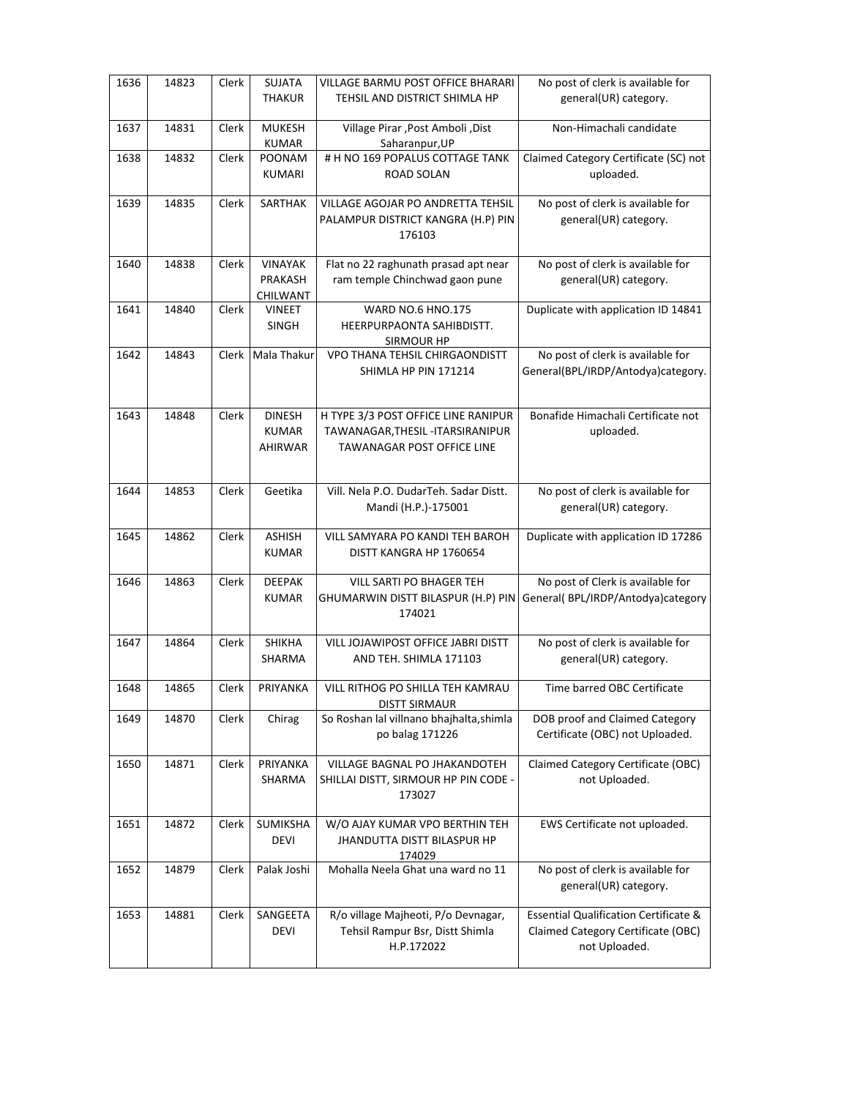| 1636 | 14823 | Clerk        | SUJATA<br><b>THAKUR</b> | VILLAGE BARMU POST OFFICE BHARARI<br>TEHSIL AND DISTRICT SHIMLA HP | No post of clerk is available for<br>general(UR) category. |
|------|-------|--------------|-------------------------|--------------------------------------------------------------------|------------------------------------------------------------|
|      |       |              |                         |                                                                    |                                                            |
| 1637 | 14831 | Clerk        | <b>MUKESH</b><br>KUMAR  | Village Pirar, Post Amboli, Dist<br>Saharanpur, UP                 | Non-Himachali candidate                                    |
| 1638 | 14832 | Clerk        | <b>POONAM</b>           | # H NO 169 POPALUS COTTAGE TANK                                    | Claimed Category Certificate (SC) not                      |
|      |       |              | <b>KUMARI</b>           | ROAD SOLAN                                                         | uploaded.                                                  |
| 1639 | 14835 | Clerk        | SARTHAK                 | VILLAGE AGOJAR PO ANDRETTA TEHSIL                                  | No post of clerk is available for                          |
|      |       |              |                         | PALAMPUR DISTRICT KANGRA (H.P) PIN<br>176103                       | general(UR) category.                                      |
| 1640 | 14838 | Clerk        | <b>VINAYAK</b>          | Flat no 22 raghunath prasad apt near                               | No post of clerk is available for                          |
|      |       |              | PRAKASH<br>CHILWANT     | ram temple Chinchwad gaon pune                                     | general(UR) category.                                      |
| 1641 | 14840 | Clerk        | <b>VINEET</b>           | <b>WARD NO.6 HNO.175</b>                                           | Duplicate with application ID 14841                        |
|      |       |              | <b>SINGH</b>            | HEERPURPAONTA SAHIBDISTT.<br>SIRMOUR HP                            |                                                            |
| 1642 | 14843 | <b>Clerk</b> | <b>Mala Thakur</b>      | VPO THANA TEHSIL CHIRGAONDISTT                                     | No post of clerk is available for                          |
|      |       |              |                         | SHIMLA HP PIN 171214                                               | General(BPL/IRDP/Antodya)category.                         |
| 1643 | 14848 | Clerk        | <b>DINESH</b>           | H TYPE 3/3 POST OFFICE LINE RANIPUR                                | Bonafide Himachali Certificate not                         |
|      |       |              | <b>KUMAR</b>            | TAWANAGAR, THESIL - ITARSIRANIPUR                                  | uploaded.                                                  |
|      |       |              | AHIRWAR                 | <b>TAWANAGAR POST OFFICE LINE</b>                                  |                                                            |
|      |       |              |                         |                                                                    |                                                            |
| 1644 | 14853 | Clerk        | Geetika                 | Vill. Nela P.O. DudarTeh. Sadar Distt.                             | No post of clerk is available for                          |
|      |       |              |                         | Mandi (H.P.)-175001                                                | general(UR) category.                                      |
|      |       |              | <b>ASHISH</b>           | VILL SAMYARA PO KANDI TEH BAROH                                    |                                                            |
| 1645 | 14862 | Clerk        | <b>KUMAR</b>            | DISTT KANGRA HP 1760654                                            | Duplicate with application ID 17286                        |
|      |       |              |                         |                                                                    |                                                            |
| 1646 | 14863 | Clerk        | <b>DEEPAK</b>           | VILL SARTI PO BHAGER TEH                                           | No post of Clerk is available for                          |
|      |       |              | <b>KUMAR</b>            | GHUMARWIN DISTT BILASPUR (H.P) PIN                                 | General( BPL/IRDP/Antodya)category                         |
|      |       |              |                         | 174021                                                             |                                                            |
| 1647 | 14864 | Clerk        | <b>SHIKHA</b>           | VILL JOJAWIPOST OFFICE JABRI DISTT                                 | No post of clerk is available for                          |
|      |       |              | SHARMA                  | AND TEH. SHIMLA 171103                                             | general(UR) category.                                      |
| 1648 | 14865 | Clerk        | PRIYANKA                | VILL RITHOG PO SHILLA TEH KAMRAU                                   | Time barred OBC Certificate                                |
|      |       |              |                         | <b>DISTT SIRMAUR</b>                                               |                                                            |
| 1649 | 14870 | Clerk        | Chirag                  | So Roshan lal villnano bhajhalta, shimla                           | DOB proof and Claimed Category                             |
|      |       |              |                         | po balag 171226                                                    | Certificate (OBC) not Uploaded.                            |
| 1650 | 14871 | Clerk        | PRIYANKA                | VILLAGE BAGNAL PO JHAKANDOTEH                                      | Claimed Category Certificate (OBC)                         |
|      |       |              | SHARMA                  | SHILLAI DISTT, SIRMOUR HP PIN CODE -                               | not Uploaded.                                              |
|      |       |              |                         | 173027                                                             |                                                            |
| 1651 | 14872 | Clerk        | SUMIKSHA                | W/O AJAY KUMAR VPO BERTHIN TEH                                     | EWS Certificate not uploaded.                              |
|      |       |              | <b>DEVI</b>             | JHANDUTTA DISTT BILASPUR HP                                        |                                                            |
|      |       |              |                         | 174029                                                             |                                                            |
| 1652 | 14879 | Clerk        | Palak Joshi             | Mohalla Neela Ghat una ward no 11                                  | No post of clerk is available for<br>general(UR) category. |
|      |       |              |                         |                                                                    |                                                            |
| 1653 | 14881 | Clerk        | SANGEETA                | R/o village Majheoti, P/o Devnagar,                                | <b>Essential Qualification Certificate &amp;</b>           |
|      |       |              | <b>DEVI</b>             | Tehsil Rampur Bsr, Distt Shimla<br>H.P.172022                      | Claimed Category Certificate (OBC)                         |
|      |       |              |                         |                                                                    | not Uploaded.                                              |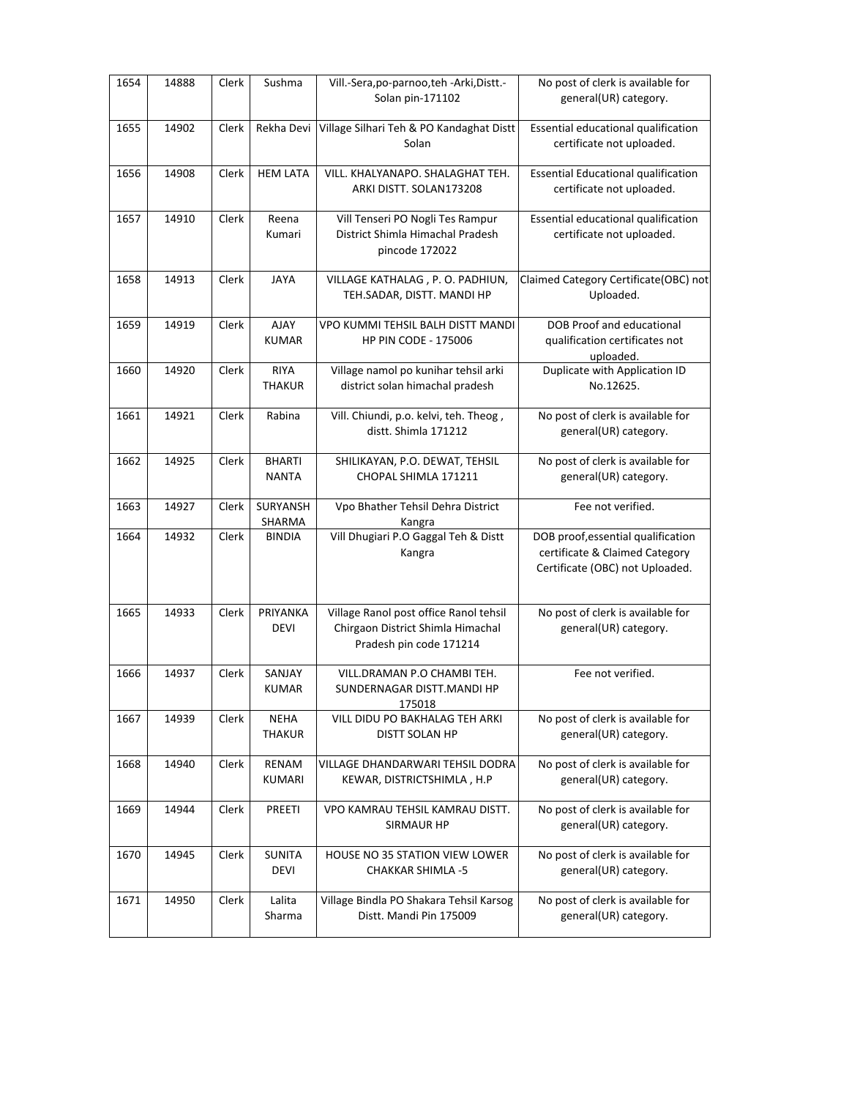| 1654 | 14888 | Clerk | Sushma                        | Vill.-Sera, po-parnoo, teh - Arki, Distt.-<br>Solan pin-171102                                         | No post of clerk is available for<br>general(UR) category.                                              |
|------|-------|-------|-------------------------------|--------------------------------------------------------------------------------------------------------|---------------------------------------------------------------------------------------------------------|
| 1655 | 14902 | Clerk | Rekha Devi                    | Village Silhari Teh & PO Kandaghat Distt<br>Solan                                                      | Essential educational qualification<br>certificate not uploaded.                                        |
| 1656 | 14908 | Clerk | <b>HEM LATA</b>               | VILL. KHALYANAPO. SHALAGHAT TEH.<br>ARKI DISTT. SOLAN173208                                            | <b>Essential Educational qualification</b><br>certificate not uploaded.                                 |
| 1657 | 14910 | Clerk | Reena<br>Kumari               | Vill Tenseri PO Nogli Tes Rampur<br>District Shimla Himachal Pradesh<br>pincode 172022                 | Essential educational qualification<br>certificate not uploaded.                                        |
| 1658 | 14913 | Clerk | <b>JAYA</b>                   | VILLAGE KATHALAG, P.O. PADHIUN,<br>TEH.SADAR, DISTT. MANDI HP                                          | Claimed Category Certificate(OBC) not<br>Uploaded.                                                      |
| 1659 | 14919 | Clerk | <b>AJAY</b><br><b>KUMAR</b>   | VPO KUMMI TEHSIL BALH DISTT MANDI<br><b>HP PIN CODE - 175006</b>                                       | DOB Proof and educational<br>qualification certificates not<br>uploaded.                                |
| 1660 | 14920 | Clerk | <b>RIYA</b><br><b>THAKUR</b>  | Village namol po kunihar tehsil arki<br>district solan himachal pradesh                                | Duplicate with Application ID<br>No.12625.                                                              |
| 1661 | 14921 | Clerk | Rabina                        | Vill. Chiundi, p.o. kelvi, teh. Theog,<br>distt. Shimla 171212                                         | No post of clerk is available for<br>general(UR) category.                                              |
| 1662 | 14925 | Clerk | <b>BHARTI</b><br><b>NANTA</b> | SHILIKAYAN, P.O. DEWAT, TEHSIL<br>CHOPAL SHIMLA 171211                                                 | No post of clerk is available for<br>general(UR) category.                                              |
| 1663 | 14927 | Clerk | SURYANSH<br>SHARMA            | Vpo Bhather Tehsil Dehra District<br>Kangra                                                            | Fee not verified.                                                                                       |
| 1664 | 14932 | Clerk | <b>BINDIA</b>                 | Vill Dhugiari P.O Gaggal Teh & Distt<br>Kangra                                                         | DOB proof, essential qualification<br>certificate & Claimed Category<br>Certificate (OBC) not Uploaded. |
| 1665 | 14933 | Clerk | PRIYANKA<br><b>DEVI</b>       | Village Ranol post office Ranol tehsil<br>Chirgaon District Shimla Himachal<br>Pradesh pin code 171214 | No post of clerk is available for<br>general(UR) category.                                              |
| 1666 | 14937 | Clerk | SANJAY<br><b>KUMAR</b>        | VILL.DRAMAN P.O CHAMBI TEH.<br>SUNDERNAGAR DISTT.MANDI HP<br>175018                                    | Fee not verified.                                                                                       |
| 1667 | 14939 | Clerk | <b>NEHA</b><br><b>THAKUR</b>  | VILL DIDU PO BAKHALAG TEH ARKI<br>DISTT SOLAN HP                                                       | No post of clerk is available for<br>general(UR) category.                                              |
| 1668 | 14940 | Clerk | RENAM<br>KUMARI               | VILLAGE DHANDARWARI TEHSIL DODRA<br>KEWAR, DISTRICTSHIMLA, H.P                                         | No post of clerk is available for<br>general(UR) category.                                              |
| 1669 | 14944 | Clerk | PREETI                        | VPO KAMRAU TEHSIL KAMRAU DISTT.<br><b>SIRMAUR HP</b>                                                   | No post of clerk is available for<br>general(UR) category.                                              |
| 1670 | 14945 | Clerk | <b>SUNITA</b><br>DEVI         | <b>HOUSE NO 35 STATION VIEW LOWER</b><br><b>CHAKKAR SHIMLA -5</b>                                      | No post of clerk is available for<br>general(UR) category.                                              |
| 1671 | 14950 | Clerk | Lalita<br>Sharma              | Village Bindla PO Shakara Tehsil Karsog<br>Distt. Mandi Pin 175009                                     | No post of clerk is available for<br>general(UR) category.                                              |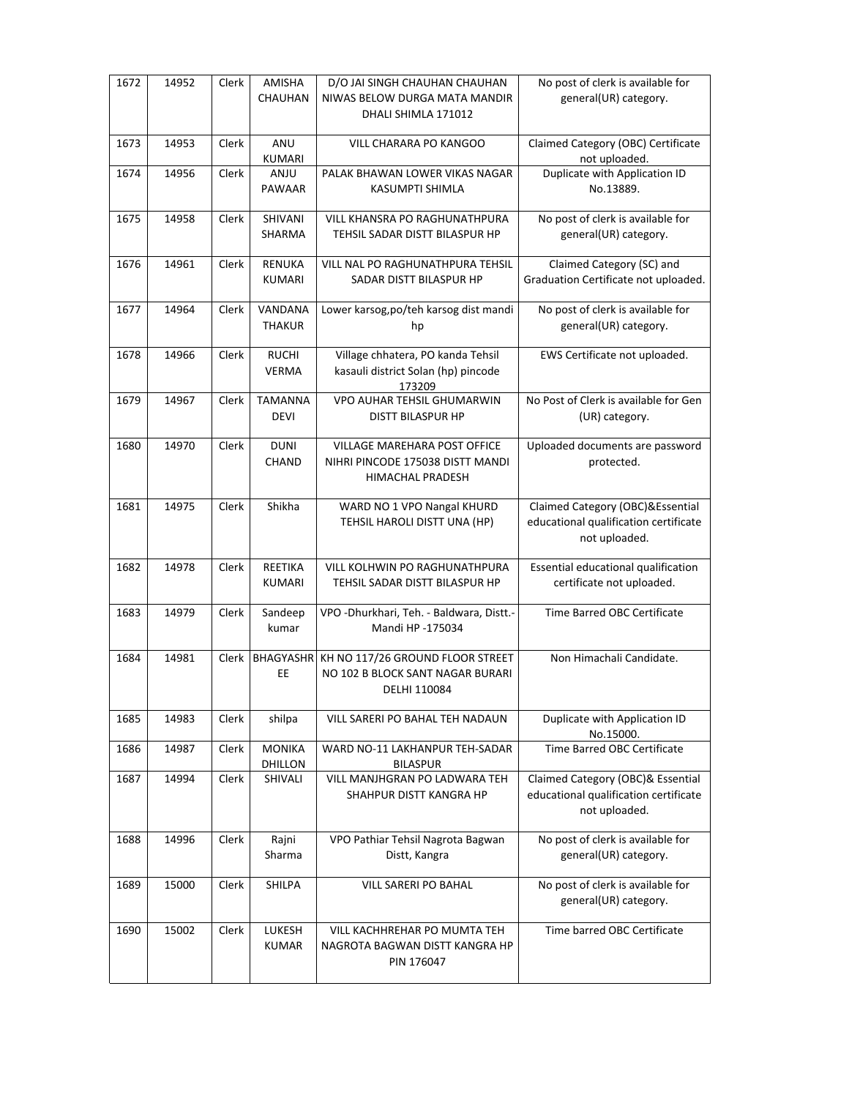| 1672 | 14952 | Clerk | AMISHA<br>CHAUHAN               | D/O JAI SINGH CHAUHAN CHAUHAN<br>NIWAS BELOW DURGA MATA MANDIR<br>DHALI SHIMLA 171012 | No post of clerk is available for<br>general(UR) category.                                  |
|------|-------|-------|---------------------------------|---------------------------------------------------------------------------------------|---------------------------------------------------------------------------------------------|
| 1673 | 14953 | Clerk | ANU<br>KUMARI                   | <b>VILL CHARARA PO KANGOO</b>                                                         | Claimed Category (OBC) Certificate<br>not uploaded.                                         |
| 1674 | 14956 | Clerk | <b>ANJU</b><br><b>PAWAAR</b>    | PALAK BHAWAN LOWER VIKAS NAGAR<br>KASUMPTI SHIMLA                                     | Duplicate with Application ID<br>No.13889.                                                  |
| 1675 | 14958 | Clerk | SHIVANI<br>SHARMA               | VILL KHANSRA PO RAGHUNATHPURA<br>TEHSIL SADAR DISTT BILASPUR HP                       | No post of clerk is available for<br>general(UR) category.                                  |
| 1676 | 14961 | Clerk | <b>RENUKA</b><br>KUMARI         | VILL NAL PO RAGHUNATHPURA TEHSIL<br>SADAR DISTT BILASPUR HP                           | Claimed Category (SC) and<br>Graduation Certificate not uploaded.                           |
| 1677 | 14964 | Clerk | VANDANA<br><b>THAKUR</b>        | Lower karsog, po/teh karsog dist mandi<br>hp                                          | No post of clerk is available for<br>general(UR) category.                                  |
| 1678 | 14966 | Clerk | <b>RUCHI</b><br><b>VERMA</b>    | Village chhatera, PO kanda Tehsil<br>kasauli district Solan (hp) pincode<br>173209    | EWS Certificate not uploaded.                                                               |
| 1679 | 14967 | Clerk | <b>TAMANNA</b><br><b>DEVI</b>   | VPO AUHAR TEHSIL GHUMARWIN<br><b>DISTT BILASPUR HP</b>                                | No Post of Clerk is available for Gen<br>(UR) category.                                     |
| 1680 | 14970 | Clerk | <b>DUNI</b><br><b>CHAND</b>     | VILLAGE MAREHARA POST OFFICE<br>NIHRI PINCODE 175038 DISTT MANDI<br>HIMACHAL PRADESH  | Uploaded documents are password<br>protected.                                               |
| 1681 | 14975 | Clerk | Shikha                          | WARD NO 1 VPO Nangal KHURD<br>TEHSIL HAROLI DISTT UNA (HP)                            | Claimed Category (OBC)&Essential<br>educational qualification certificate<br>not uploaded.  |
| 1682 | 14978 | Clerk | <b>REETIKA</b><br><b>KUMARI</b> | VILL KOLHWIN PO RAGHUNATHPURA<br>TEHSIL SADAR DISTT BILASPUR HP                       | Essential educational qualification<br>certificate not uploaded.                            |
| 1683 | 14979 | Clerk | Sandeep<br>kumar                | VPO - Dhurkhari, Teh. - Baldwara, Distt.-<br>Mandi HP -175034                         | Time Barred OBC Certificate                                                                 |
| 1684 | 14981 | Clerk | <b>BHAGYASHR</b><br>EE          | KH NO 117/26 GROUND FLOOR STREET<br>NO 102 B BLOCK SANT NAGAR BURARI<br>DELHI 110084  | Non Himachali Candidate.                                                                    |
| 1685 | 14983 | Clerk | shilpa                          | VILL SARERI PO BAHAL TEH NADAUN                                                       | Duplicate with Application ID<br>No.15000.                                                  |
| 1686 | 14987 | Clerk | <b>MONIKA</b><br>DHILLON        | WARD NO-11 LAKHANPUR TEH-SADAR<br><b>BILASPUR</b>                                     | Time Barred OBC Certificate                                                                 |
| 1687 | 14994 | Clerk | SHIVALI                         | VILL MANJHGRAN PO LADWARA TEH<br>SHAHPUR DISTT KANGRA HP                              | Claimed Category (OBC)& Essential<br>educational qualification certificate<br>not uploaded. |
| 1688 | 14996 | Clerk | Rajni<br>Sharma                 | VPO Pathiar Tehsil Nagrota Bagwan<br>Distt, Kangra                                    | No post of clerk is available for<br>general(UR) category.                                  |
| 1689 | 15000 | Clerk | <b>SHILPA</b>                   | VILL SARERI PO BAHAL                                                                  | No post of clerk is available for<br>general(UR) category.                                  |
| 1690 | 15002 | Clerk | LUKESH<br><b>KUMAR</b>          | VILL KACHHREHAR PO MUMTA TEH<br>NAGROTA BAGWAN DISTT KANGRA HP<br>PIN 176047          | Time barred OBC Certificate                                                                 |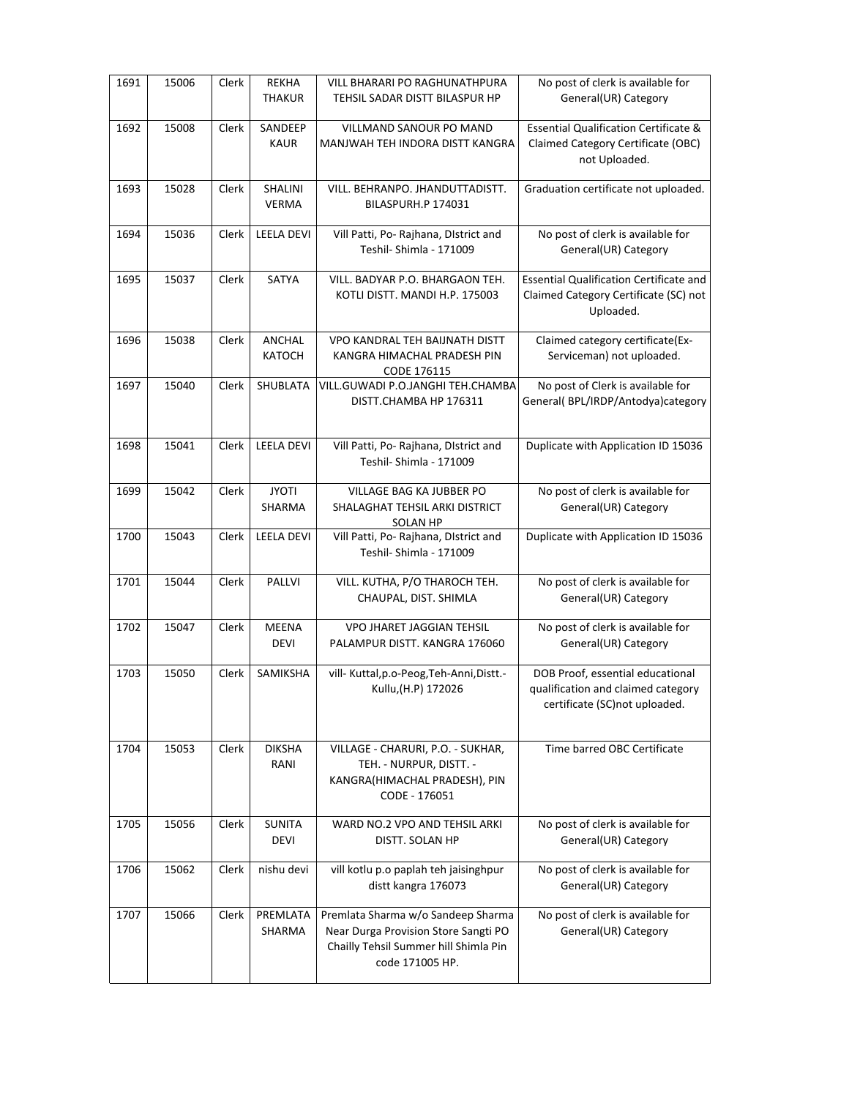| 1691 | 15006 | Clerk | <b>REKHA</b><br><b>THAKUR</b> | <b>VILL BHARARI PO RAGHUNATHPURA</b><br>TEHSIL SADAR DISTT BILASPUR HP                                                                 | No post of clerk is available for<br>General(UR) Category                                               |
|------|-------|-------|-------------------------------|----------------------------------------------------------------------------------------------------------------------------------------|---------------------------------------------------------------------------------------------------------|
| 1692 | 15008 | Clerk | SANDEEP<br><b>KAUR</b>        | VILLMAND SANOUR PO MAND<br>MANJWAH TEH INDORA DISTT KANGRA                                                                             | <b>Essential Qualification Certificate &amp;</b><br>Claimed Category Certificate (OBC)<br>not Uploaded. |
| 1693 | 15028 | Clerk | SHALINI<br><b>VERMA</b>       | VILL. BEHRANPO. JHANDUTTADISTT.<br>BILASPURH.P 174031                                                                                  | Graduation certificate not uploaded.                                                                    |
| 1694 | 15036 | Clerk | <b>LEELA DEVI</b>             | Vill Patti, Po- Rajhana, District and<br>Teshil- Shimla - 171009                                                                       | No post of clerk is available for<br>General(UR) Category                                               |
| 1695 | 15037 | Clerk | SATYA                         | VILL. BADYAR P.O. BHARGAON TEH.<br>KOTLI DISTT. MANDI H.P. 175003                                                                      | <b>Essential Qualification Certificate and</b><br>Claimed Category Certificate (SC) not<br>Uploaded.    |
| 1696 | 15038 | Clerk | ANCHAL<br><b>KATOCH</b>       | VPO KANDRAL TEH BAIJNATH DISTT<br>KANGRA HIMACHAL PRADESH PIN<br>CODE 176115                                                           | Claimed category certificate(Ex-<br>Serviceman) not uploaded.                                           |
| 1697 | 15040 | Clerk | SHUBLATA                      | VILL.GUWADI P.O.JANGHI TEH.CHAMBA<br>DISTT.CHAMBA HP 176311                                                                            | No post of Clerk is available for<br>General( BPL/IRDP/Antodya)category                                 |
| 1698 | 15041 | Clerk | <b>LEELA DEVI</b>             | Vill Patti, Po- Rajhana, District and<br>Teshil- Shimla - 171009                                                                       | Duplicate with Application ID 15036                                                                     |
| 1699 | 15042 | Clerk | <b>JYOTI</b><br>SHARMA        | VILLAGE BAG KA JUBBER PO<br>SHALAGHAT TEHSIL ARKI DISTRICT<br>SOLAN HP                                                                 | No post of clerk is available for<br>General(UR) Category                                               |
| 1700 | 15043 | Clerk | <b>LEELA DEVI</b>             | Vill Patti, Po- Rajhana, District and<br>Teshil- Shimla - 171009                                                                       | Duplicate with Application ID 15036                                                                     |
| 1701 | 15044 | Clerk | PALLVI                        | VILL. KUTHA, P/O THAROCH TEH.<br>CHAUPAL, DIST. SHIMLA                                                                                 | No post of clerk is available for<br>General(UR) Category                                               |
| 1702 | 15047 | Clerk | MEENA<br><b>DEVI</b>          | VPO JHARET JAGGIAN TEHSIL<br>PALAMPUR DISTT. KANGRA 176060                                                                             | No post of clerk is available for<br>General(UR) Category                                               |
| 1703 | 15050 | Clerk | <b>SAMIKSHA</b>               | vill- Kuttal, p.o-Peog, Teh-Anni, Distt.-<br>Kullu, (H.P) 172026                                                                       | DOB Proof, essential educational<br>qualification and claimed category<br>certificate (SC)not uploaded. |
| 1704 | 15053 | Clerk | <b>DIKSHA</b><br>RANI         | VILLAGE - CHARURI, P.O. - SUKHAR,<br>TEH. - NURPUR, DISTT. -<br>KANGRA(HIMACHAL PRADESH), PIN<br>CODE - 176051                         | Time barred OBC Certificate                                                                             |
| 1705 | 15056 | Clerk | <b>SUNITA</b><br><b>DEVI</b>  | WARD NO.2 VPO AND TEHSIL ARKI<br>DISTT. SOLAN HP                                                                                       | No post of clerk is available for<br>General(UR) Category                                               |
| 1706 | 15062 | Clerk | nishu devi                    | vill kotlu p.o paplah teh jaisinghpur<br>distt kangra 176073                                                                           | No post of clerk is available for<br>General(UR) Category                                               |
| 1707 | 15066 | Clerk | PREMLATA<br>SHARMA            | Premlata Sharma w/o Sandeep Sharma<br>Near Durga Provision Store Sangti PO<br>Chailly Tehsil Summer hill Shimla Pin<br>code 171005 HP. | No post of clerk is available for<br>General(UR) Category                                               |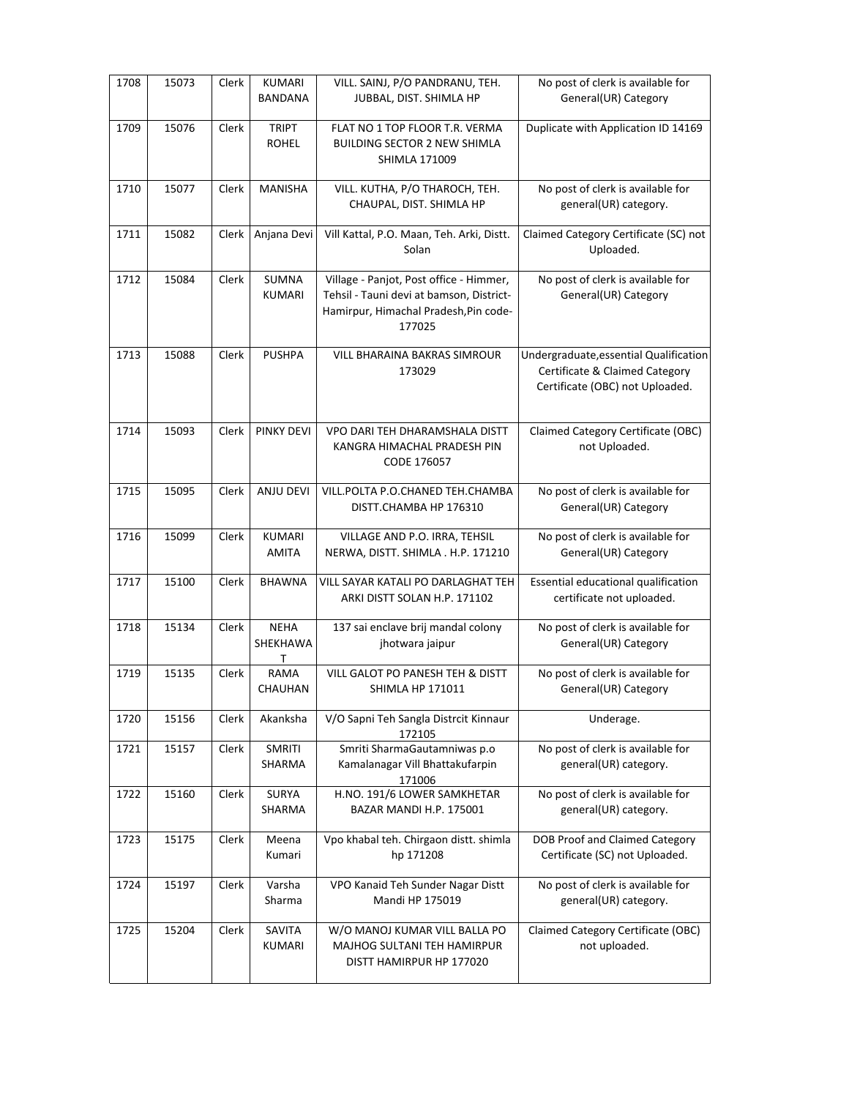| 1708 | 15073 | Clerk | <b>KUMARI</b><br>BANDANA      | VILL. SAINJ, P/O PANDRANU, TEH.<br>JUBBAL, DIST. SHIMLA HP                                                                             | No post of clerk is available for<br>General(UR) Category                                                   |
|------|-------|-------|-------------------------------|----------------------------------------------------------------------------------------------------------------------------------------|-------------------------------------------------------------------------------------------------------------|
| 1709 | 15076 | Clerk | <b>TRIPT</b><br><b>ROHEL</b>  | FLAT NO 1 TOP FLOOR T.R. VERMA<br><b>BUILDING SECTOR 2 NEW SHIMLA</b><br><b>SHIMLA 171009</b>                                          | Duplicate with Application ID 14169                                                                         |
| 1710 | 15077 | Clerk | <b>MANISHA</b>                | VILL. KUTHA, P/O THAROCH, TEH.<br>CHAUPAL, DIST. SHIMLA HP                                                                             | No post of clerk is available for<br>general(UR) category.                                                  |
| 1711 | 15082 | Clerk | Anjana Devi                   | Vill Kattal, P.O. Maan, Teh. Arki, Distt.<br>Solan                                                                                     | Claimed Category Certificate (SC) not<br>Uploaded.                                                          |
| 1712 | 15084 | Clerk | SUMNA<br><b>KUMARI</b>        | Village - Panjot, Post office - Himmer,<br>Tehsil - Tauni devi at bamson, District-<br>Hamirpur, Himachal Pradesh, Pin code-<br>177025 | No post of clerk is available for<br>General(UR) Category                                                   |
| 1713 | 15088 | Clerk | <b>PUSHPA</b>                 | VILL BHARAINA BAKRAS SIMROUR<br>173029                                                                                                 | Undergraduate, essential Qualification<br>Certificate & Claimed Category<br>Certificate (OBC) not Uploaded. |
| 1714 | 15093 | Clerk | <b>PINKY DEVI</b>             | VPO DARI TEH DHARAMSHALA DISTT<br>KANGRA HIMACHAL PRADESH PIN<br>CODE 176057                                                           | Claimed Category Certificate (OBC)<br>not Uploaded.                                                         |
| 1715 | 15095 | Clerk | <b>ANJU DEVI</b>              | VILL.POLTA P.O.CHANED TEH.CHAMBA<br>DISTT.CHAMBA HP 176310                                                                             | No post of clerk is available for<br>General(UR) Category                                                   |
| 1716 | 15099 | Clerk | <b>KUMARI</b><br><b>AMITA</b> | VILLAGE AND P.O. IRRA, TEHSIL<br>NERWA, DISTT. SHIMLA . H.P. 171210                                                                    | No post of clerk is available for<br>General(UR) Category                                                   |
| 1717 | 15100 | Clerk | <b>BHAWNA</b>                 | VILL SAYAR KATALI PO DARLAGHAT TEH<br>ARKI DISTT SOLAN H.P. 171102                                                                     | Essential educational qualification<br>certificate not uploaded.                                            |
| 1718 | 15134 | Clerk | <b>NEHA</b><br>SHEKHAWA<br>т  | 137 sai enclave brij mandal colony<br>jhotwara jaipur                                                                                  | No post of clerk is available for<br>General(UR) Category                                                   |
| 1719 | 15135 | Clerk | RAMA<br>CHAUHAN               | VILL GALOT PO PANESH TEH & DISTT<br><b>SHIMLA HP 171011</b>                                                                            | No post of clerk is available for<br>General(UR) Category                                                   |
| 1720 | 15156 | Clerk | Akanksha                      | V/O Sapni Teh Sangla Distrcit Kinnaur<br>172105                                                                                        | Underage.                                                                                                   |
| 1721 | 15157 | Clerk | <b>SMRITI</b><br>SHARMA       | Smriti SharmaGautamniwas p.o<br>Kamalanagar Vill Bhattakufarpin<br>171006                                                              | No post of clerk is available for<br>general(UR) category.                                                  |
| 1722 | 15160 | Clerk | <b>SURYA</b><br>SHARMA        | H.NO. 191/6 LOWER SAMKHETAR<br>BAZAR MANDI H.P. 175001                                                                                 | No post of clerk is available for<br>general(UR) category.                                                  |
| 1723 | 15175 | Clerk | Meena<br>Kumari               | Vpo khabal teh. Chirgaon distt. shimla<br>hp 171208                                                                                    | DOB Proof and Claimed Category<br>Certificate (SC) not Uploaded.                                            |
| 1724 | 15197 | Clerk | Varsha<br>Sharma              | VPO Kanaid Teh Sunder Nagar Distt<br>Mandi HP 175019                                                                                   | No post of clerk is available for<br>general(UR) category.                                                  |
| 1725 | 15204 | Clerk | <b>SAVITA</b><br>KUMARI       | W/O MANOJ KUMAR VILL BALLA PO<br>MAJHOG SULTANI TEH HAMIRPUR<br>DISTT HAMIRPUR HP 177020                                               | Claimed Category Certificate (OBC)<br>not uploaded.                                                         |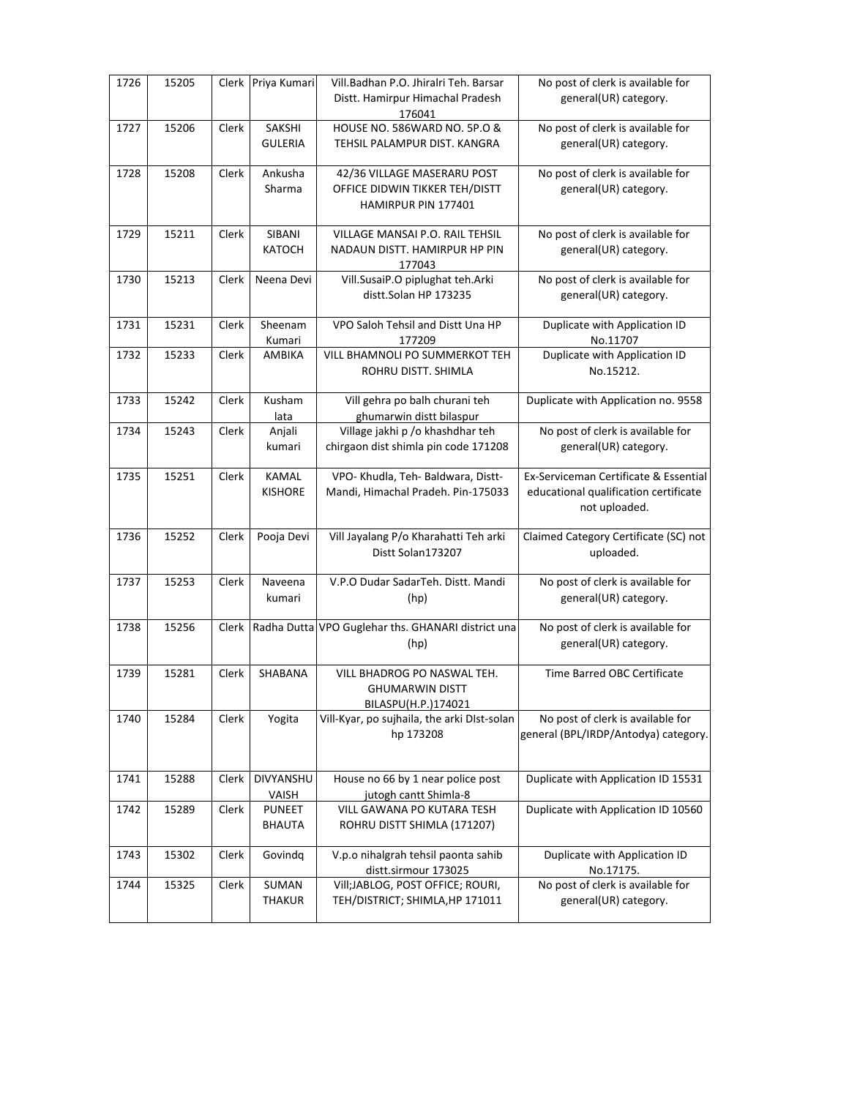| 1726 | 15205 | Clerk | Priya Kumari   | Vill.Badhan P.O. Jhiralri Teh. Barsar                      | No post of clerk is available for     |
|------|-------|-------|----------------|------------------------------------------------------------|---------------------------------------|
|      |       |       |                | Distt. Hamirpur Himachal Pradesh                           | general(UR) category.                 |
|      |       |       |                | 176041                                                     |                                       |
| 1727 | 15206 | Clerk | SAKSHI         | HOUSE NO. 586WARD NO. 5P.O &                               | No post of clerk is available for     |
|      |       |       | <b>GULERIA</b> | TEHSIL PALAMPUR DIST. KANGRA                               | general(UR) category.                 |
|      |       |       |                |                                                            |                                       |
| 1728 | 15208 | Clerk | Ankusha        | 42/36 VILLAGE MASERARU POST                                | No post of clerk is available for     |
|      |       |       | Sharma         | OFFICE DIDWIN TIKKER TEH/DISTT                             | general(UR) category.                 |
|      |       |       |                | HAMIRPUR PIN 177401                                        |                                       |
|      |       |       |                |                                                            |                                       |
| 1729 | 15211 | Clerk | SIBANI         | VILLAGE MANSAI P.O. RAIL TEHSIL                            | No post of clerk is available for     |
|      |       |       | <b>KATOCH</b>  | NADAUN DISTT. HAMIRPUR HP PIN                              | general(UR) category.                 |
|      |       |       |                | 177043                                                     |                                       |
| 1730 | 15213 | Clerk | Neena Devi     | Vill.SusaiP.O piplughat teh.Arki                           | No post of clerk is available for     |
|      |       |       |                | distt.Solan HP 173235                                      | general(UR) category.                 |
| 1731 | 15231 | Clerk | Sheenam        | VPO Saloh Tehsil and Distt Una HP                          | Duplicate with Application ID         |
|      |       |       | Kumari         | 177209                                                     | No.11707                              |
| 1732 | 15233 | Clerk | AMBIKA         | VILL BHAMNOLI PO SUMMERKOT TEH                             | Duplicate with Application ID         |
|      |       |       |                | ROHRU DISTT. SHIMLA                                        | No.15212.                             |
|      |       |       |                |                                                            |                                       |
| 1733 | 15242 | Clerk | Kusham         | Vill gehra po balh churani teh                             | Duplicate with Application no. 9558   |
|      |       |       | lata           | ghumarwin distt bilaspur                                   |                                       |
| 1734 | 15243 | Clerk | Anjali         | Village jakhi p /o khashdhar teh                           | No post of clerk is available for     |
|      |       |       | kumari         | chirgaon dist shimla pin code 171208                       | general(UR) category.                 |
|      |       |       |                |                                                            |                                       |
| 1735 | 15251 | Clerk | <b>KAMAL</b>   | VPO- Khudla, Teh- Baldwara, Distt-                         | Ex-Serviceman Certificate & Essential |
|      |       |       | <b>KISHORE</b> | Mandi, Himachal Pradeh. Pin-175033                         | educational qualification certificate |
|      |       |       |                |                                                            | not uploaded.                         |
|      |       |       |                |                                                            |                                       |
| 1736 | 15252 | Clerk | Pooja Devi     | Vill Jayalang P/o Kharahatti Teh arki                      | Claimed Category Certificate (SC) not |
|      |       |       |                | Distt Solan173207                                          | uploaded.                             |
|      |       |       |                |                                                            |                                       |
| 1737 | 15253 | Clerk | Naveena        | V.P.O Dudar SadarTeh. Distt. Mandi                         | No post of clerk is available for     |
|      |       |       | kumari         | (hp)                                                       | general(UR) category.                 |
| 1738 | 15256 |       |                | Clerk   Radha Dutta VPO Guglehar ths. GHANARI district una | No post of clerk is available for     |
|      |       |       |                | (hp)                                                       | general(UR) category.                 |
|      |       |       |                |                                                            |                                       |
| 1739 | 15281 | Clerk | SHABANA        | VILL BHADROG PO NASWAL TEH.                                | Time Barred OBC Certificate           |
|      |       |       |                | <b>GHUMARWIN DISTT</b>                                     |                                       |
|      |       |       |                | BILASPU(H.P.)174021                                        |                                       |
| 1740 | 15284 | Clerk | Yogita         | Vill-Kyar, po sujhaila, the arki DIst-solan                | No post of clerk is available for     |
|      |       |       |                | hp 173208                                                  | general (BPL/IRDP/Antodya) category.  |
|      |       |       |                |                                                            |                                       |
|      |       |       |                |                                                            |                                       |
| 1741 | 15288 | Clerk | DIVYANSHU      | House no 66 by 1 near police post                          | Duplicate with Application ID 15531   |
|      |       |       | VAISH          | jutogh cantt Shimla-8                                      |                                       |
| 1742 | 15289 | Clerk | <b>PUNEET</b>  | VILL GAWANA PO KUTARA TESH                                 | Duplicate with Application ID 10560   |
|      |       |       | <b>BHAUTA</b>  | ROHRU DISTT SHIMLA (171207)                                |                                       |
| 1743 | 15302 | Clerk | Govindq        | V.p.o nihalgrah tehsil paonta sahib                        | Duplicate with Application ID         |
|      |       |       |                | distt.sirmour 173025                                       | No.17175.                             |
| 1744 | 15325 | Clerk | SUMAN          | Vill;JABLOG, POST OFFICE; ROURI,                           | No post of clerk is available for     |
|      |       |       | <b>THAKUR</b>  | TEH/DISTRICT; SHIMLA, HP 171011                            | general(UR) category.                 |
|      |       |       |                |                                                            |                                       |
|      |       |       |                |                                                            |                                       |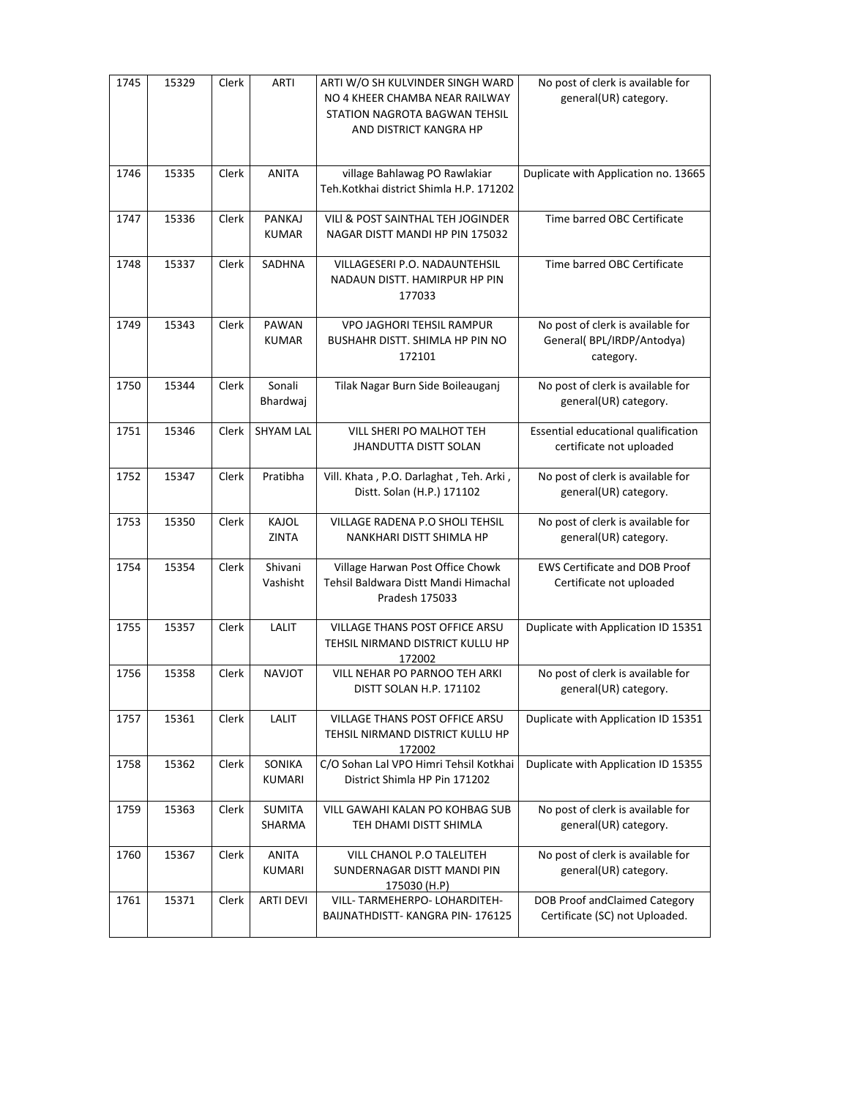| 1745 | 15329 | Clerk | <b>ARTI</b>                   | ARTI W/O SH KULVINDER SINGH WARD<br>NO 4 KHEER CHAMBA NEAR RAILWAY<br>STATION NAGROTA BAGWAN TEHSIL<br>AND DISTRICT KANGRA HP | No post of clerk is available for<br>general(UR) category.                  |
|------|-------|-------|-------------------------------|-------------------------------------------------------------------------------------------------------------------------------|-----------------------------------------------------------------------------|
| 1746 | 15335 | Clerk | <b>ANITA</b>                  | village Bahlawag PO Rawlakiar<br>Teh.Kotkhai district Shimla H.P. 171202                                                      | Duplicate with Application no. 13665                                        |
| 1747 | 15336 | Clerk | PANKAJ<br><b>KUMAR</b>        | VILI & POST SAINTHAL TEH JOGINDER<br>NAGAR DISTT MANDI HP PIN 175032                                                          | Time barred OBC Certificate                                                 |
| 1748 | 15337 | Clerk | SADHNA                        | VILLAGESERI P.O. NADAUNTEHSIL<br>NADAUN DISTT. HAMIRPUR HP PIN<br>177033                                                      | Time barred OBC Certificate                                                 |
| 1749 | 15343 | Clerk | PAWAN<br><b>KUMAR</b>         | <b>VPO JAGHORI TEHSIL RAMPUR</b><br>BUSHAHR DISTT. SHIMLA HP PIN NO<br>172101                                                 | No post of clerk is available for<br>General(BPL/IRDP/Antodya)<br>category. |
| 1750 | 15344 | Clerk | Sonali<br>Bhardwaj            | Tilak Nagar Burn Side Boileauganj                                                                                             | No post of clerk is available for<br>general(UR) category.                  |
| 1751 | 15346 | Clerk | <b>SHYAM LAL</b>              | VILL SHERI PO MALHOT TEH<br><b>JHANDUTTA DISTT SOLAN</b>                                                                      | Essential educational qualification<br>certificate not uploaded             |
| 1752 | 15347 | Clerk | Pratibha                      | Vill. Khata, P.O. Darlaghat, Teh. Arki,<br>Distt. Solan (H.P.) 171102                                                         | No post of clerk is available for<br>general(UR) category.                  |
| 1753 | 15350 | Clerk | KAJOL<br><b>ZINTA</b>         | VILLAGE RADENA P.O SHOLI TEHSIL<br>NANKHARI DISTT SHIMLA HP                                                                   | No post of clerk is available for<br>general(UR) category.                  |
| 1754 | 15354 | Clerk | Shivani<br>Vashisht           | Village Harwan Post Office Chowk<br>Tehsil Baldwara Distt Mandi Himachal<br>Pradesh 175033                                    | <b>EWS Certificate and DOB Proof</b><br>Certificate not uploaded            |
| 1755 | 15357 | Clerk | LALIT                         | <b>VILLAGE THANS POST OFFICE ARSU</b><br>TEHSIL NIRMAND DISTRICT KULLU HP<br>172002                                           | Duplicate with Application ID 15351                                         |
| 1756 | 15358 | Clerk | <b>NAVJOT</b>                 | VILL NEHAR PO PARNOO TEH ARKI<br>DISTT SOLAN H.P. 171102                                                                      | No post of clerk is available for<br>general(UR) category.                  |
| 1757 | 15361 | Clerk | LALIT                         | <b>VILLAGE THANS POST OFFICE ARSU</b><br>TEHSIL NIRMAND DISTRICT KULLU HP<br>172002                                           | Duplicate with Application ID 15351                                         |
| 1758 | 15362 | Clerk | SONIKA<br><b>KUMARI</b>       | C/O Sohan Lal VPO Himri Tehsil Kotkhai<br>District Shimla HP Pin 171202                                                       | Duplicate with Application ID 15355                                         |
| 1759 | 15363 | Clerk | <b>SUMITA</b><br>SHARMA       | VILL GAWAHI KALAN PO KOHBAG SUB<br>TEH DHAMI DISTT SHIMLA                                                                     | No post of clerk is available for<br>general(UR) category.                  |
| 1760 | 15367 | Clerk | <b>ANITA</b><br><b>KUMARI</b> | VILL CHANOL P.O TALELITEH<br>SUNDERNAGAR DISTT MANDI PIN<br>175030 (H.P)                                                      | No post of clerk is available for<br>general(UR) category.                  |
| 1761 | 15371 | Clerk | <b>ARTI DEVI</b>              | VILL-TARMEHERPO-LOHARDITEH-<br>BAIJNATHDISTT-KANGRA PIN-176125                                                                | DOB Proof andClaimed Category<br>Certificate (SC) not Uploaded.             |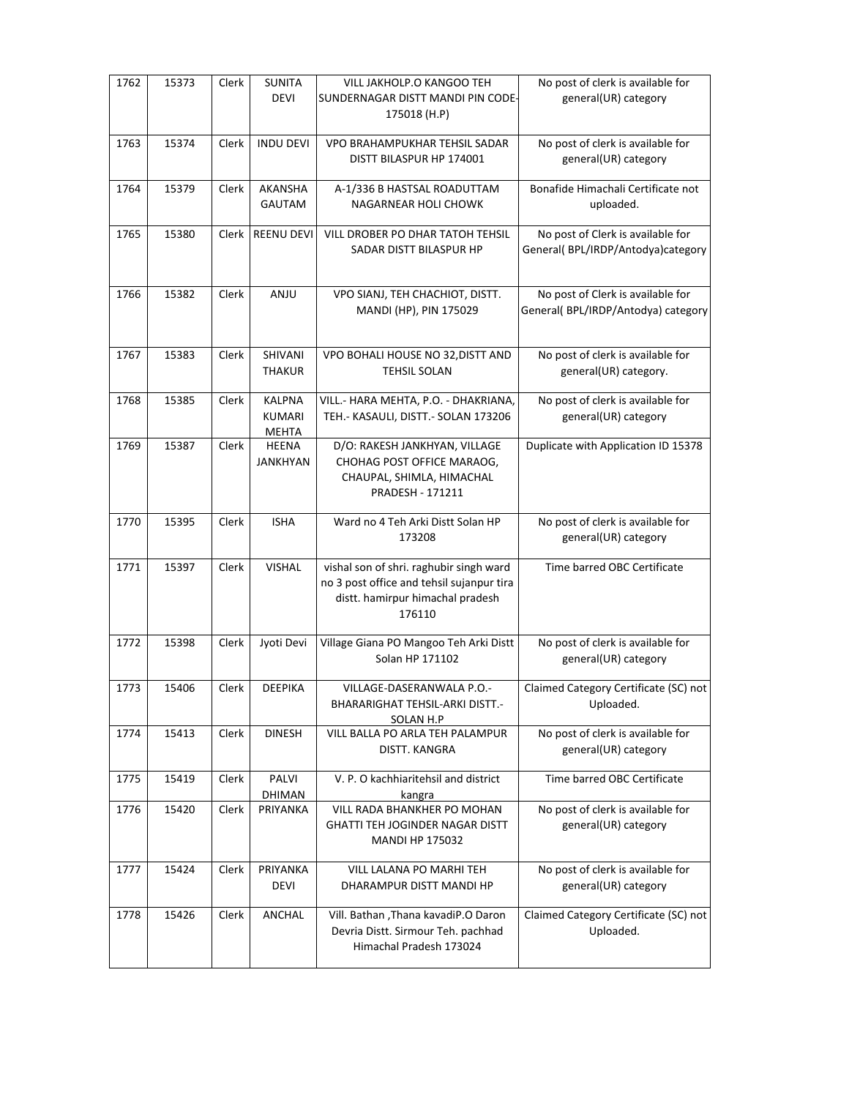| 1762 | 15373 | Clerk | <b>SUNITA</b><br><b>DEVI</b>                   | VILL JAKHOLP.O KANGOO TEH<br>SUNDERNAGAR DISTT MANDI PIN CODE-<br>175018 (H.P)                                                     | No post of clerk is available for<br>general(UR) category                |
|------|-------|-------|------------------------------------------------|------------------------------------------------------------------------------------------------------------------------------------|--------------------------------------------------------------------------|
| 1763 | 15374 | Clerk | <b>INDU DEVI</b>                               | VPO BRAHAMPUKHAR TEHSIL SADAR<br>DISTT BILASPUR HP 174001                                                                          | No post of clerk is available for<br>general(UR) category                |
| 1764 | 15379 | Clerk | AKANSHA<br>GAUTAM                              | A-1/336 B HASTSAL ROADUTTAM<br>NAGARNEAR HOLI CHOWK                                                                                | Bonafide Himachali Certificate not<br>uploaded.                          |
| 1765 | 15380 | Clerk | REENU DEVI                                     | VILL DROBER PO DHAR TATOH TEHSIL<br>SADAR DISTT BILASPUR HP                                                                        | No post of Clerk is available for<br>General( BPL/IRDP/Antodya)category  |
| 1766 | 15382 | Clerk | ANJU                                           | VPO SIANJ, TEH CHACHIOT, DISTT.<br>MANDI (HP), PIN 175029                                                                          | No post of Clerk is available for<br>General( BPL/IRDP/Antodya) category |
| 1767 | 15383 | Clerk | SHIVANI<br><b>THAKUR</b>                       | VPO BOHALI HOUSE NO 32, DISTT AND<br><b>TEHSIL SOLAN</b>                                                                           | No post of clerk is available for<br>general(UR) category.               |
| 1768 | 15385 | Clerk | <b>KALPNA</b><br><b>KUMARI</b><br><b>MEHTA</b> | VILL.- HARA MEHTA, P.O. - DHAKRIANA,<br>TEH.- KASAULI, DISTT.- SOLAN 173206                                                        | No post of clerk is available for<br>general(UR) category                |
| 1769 | 15387 | Clerk | <b>HEENA</b><br><b>JANKHYAN</b>                | D/O: RAKESH JANKHYAN, VILLAGE<br>CHOHAG POST OFFICE MARAOG,<br>CHAUPAL, SHIMLA, HIMACHAL<br>PRADESH - 171211                       | Duplicate with Application ID 15378                                      |
| 1770 | 15395 | Clerk | <b>ISHA</b>                                    | Ward no 4 Teh Arki Distt Solan HP<br>173208                                                                                        | No post of clerk is available for<br>general(UR) category                |
| 1771 | 15397 | Clerk | <b>VISHAL</b>                                  | vishal son of shri. raghubir singh ward<br>no 3 post office and tehsil sujanpur tira<br>distt. hamirpur himachal pradesh<br>176110 | Time barred OBC Certificate                                              |
| 1772 | 15398 | Clerk | Jyoti Devi                                     | Village Giana PO Mangoo Teh Arki Distt<br>Solan HP 171102                                                                          | No post of clerk is available for<br>general(UR) category                |
| 1773 | 15406 | Clerk | <b>DEEPIKA</b>                                 | VILLAGE-DASERANWALA P.O.-<br>BHARARIGHAT TEHSIL-ARKI DISTT.-<br>SOLAN H.P                                                          | Claimed Category Certificate (SC) not<br>Uploaded.                       |
| 1774 | 15413 | Clerk | <b>DINESH</b>                                  | VILL BALLA PO ARLA TEH PALAMPUR<br>DISTT. KANGRA                                                                                   | No post of clerk is available for<br>general(UR) category                |
| 1775 | 15419 | Clerk | PALVI<br>DHIMAN                                | V. P. O kachhiaritehsil and district<br>kangra                                                                                     | Time barred OBC Certificate                                              |
| 1776 | 15420 | Clerk | PRIYANKA                                       | <b>VILL RADA BHANKHER PO MOHAN</b><br><b>GHATTI TEH JOGINDER NAGAR DISTT</b><br><b>MANDI HP 175032</b>                             | No post of clerk is available for<br>general(UR) category                |
| 1777 | 15424 | Clerk | PRIYANKA<br>DEVI                               | VILL LALANA PO MARHI TEH<br>DHARAMPUR DISTT MANDI HP                                                                               | No post of clerk is available for<br>general(UR) category                |
| 1778 | 15426 | Clerk | ANCHAL                                         | Vill. Bathan , Thana kavadiP.O Daron<br>Devria Distt. Sirmour Teh. pachhad<br>Himachal Pradesh 173024                              | Claimed Category Certificate (SC) not<br>Uploaded.                       |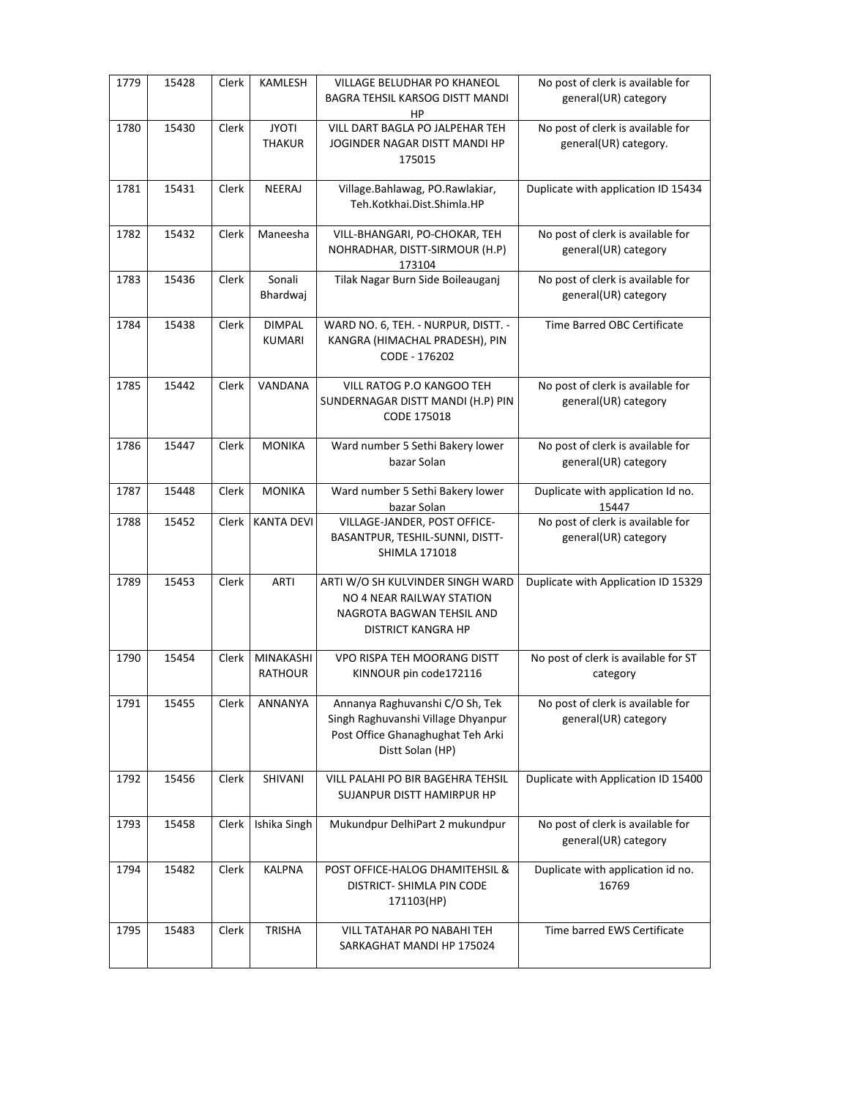| 1779 | 15428 | Clerk | KAMLESH                        | VILLAGE BELUDHAR PO KHANEOL<br><b>BAGRA TEHSIL KARSOG DISTT MANDI</b><br>HP                                                    | No post of clerk is available for<br>general(UR) category  |
|------|-------|-------|--------------------------------|--------------------------------------------------------------------------------------------------------------------------------|------------------------------------------------------------|
| 1780 | 15430 | Clerk | <b>JYOTI</b><br><b>THAKUR</b>  | VILL DART BAGLA PO JALPEHAR TEH<br>JOGINDER NAGAR DISTT MANDI HP<br>175015                                                     | No post of clerk is available for<br>general(UR) category. |
| 1781 | 15431 | Clerk | NEERAJ                         | Village.Bahlawag, PO.Rawlakiar,<br>Teh.Kotkhai.Dist.Shimla.HP                                                                  | Duplicate with application ID 15434                        |
| 1782 | 15432 | Clerk | Maneesha                       | VILL-BHANGARI, PO-CHOKAR, TEH<br>NOHRADHAR, DISTT-SIRMOUR (H.P)<br>173104                                                      | No post of clerk is available for<br>general(UR) category  |
| 1783 | 15436 | Clerk | Sonali<br>Bhardwaj             | Tilak Nagar Burn Side Boileauganj                                                                                              | No post of clerk is available for<br>general(UR) category  |
| 1784 | 15438 | Clerk | <b>DIMPAL</b><br><b>KUMARI</b> | WARD NO. 6, TEH. - NURPUR, DISTT. -<br>KANGRA (HIMACHAL PRADESH), PIN<br>CODE - 176202                                         | Time Barred OBC Certificate                                |
| 1785 | 15442 | Clerk | VANDANA                        | VILL RATOG P.O KANGOO TEH<br>SUNDERNAGAR DISTT MANDI (H.P) PIN<br>CODE 175018                                                  | No post of clerk is available for<br>general(UR) category  |
| 1786 | 15447 | Clerk | <b>MONIKA</b>                  | Ward number 5 Sethi Bakery lower<br>bazar Solan                                                                                | No post of clerk is available for<br>general(UR) category  |
| 1787 | 15448 | Clerk | <b>MONIKA</b>                  | Ward number 5 Sethi Bakery lower<br>bazar Solan                                                                                | Duplicate with application Id no.<br>15447                 |
| 1788 | 15452 | Clerk | <b>KANTA DEVI</b>              | VILLAGE-JANDER, POST OFFICE-<br>BASANTPUR, TESHIL-SUNNI, DISTT-<br><b>SHIMLA 171018</b>                                        | No post of clerk is available for<br>general(UR) category  |
| 1789 | 15453 | Clerk | <b>ARTI</b>                    | ARTI W/O SH KULVINDER SINGH WARD<br>NO 4 NEAR RAILWAY STATION<br>NAGROTA BAGWAN TEHSIL AND<br><b>DISTRICT KANGRA HP</b>        | Duplicate with Application ID 15329                        |
| 1790 | 15454 | Clerk | MINAKASHI<br><b>RATHOUR</b>    | VPO RISPA TEH MOORANG DISTT<br>KINNOUR pin code172116                                                                          | No post of clerk is available for ST<br>category           |
| 1791 | 15455 | Clerk | ANNANYA                        | Annanya Raghuvanshi C/O Sh, Tek<br>Singh Raghuvanshi Village Dhyanpur<br>Post Office Ghanaghughat Teh Arki<br>Distt Solan (HP) | No post of clerk is available for<br>general(UR) category  |
| 1792 | 15456 | Clerk | SHIVANI                        | VILL PALAHI PO BIR BAGEHRA TEHSIL<br>SUJANPUR DISTT HAMIRPUR HP                                                                | Duplicate with Application ID 15400                        |
| 1793 | 15458 | Clerk | Ishika Singh                   | Mukundpur DelhiPart 2 mukundpur                                                                                                | No post of clerk is available for<br>general(UR) category  |
| 1794 | 15482 | Clerk | <b>KALPNA</b>                  | POST OFFICE-HALOG DHAMITEHSIL &<br>DISTRICT- SHIMLA PIN CODE<br>171103(HP)                                                     | Duplicate with application id no.<br>16769                 |
| 1795 | 15483 | Clerk | <b>TRISHA</b>                  | VILL TATAHAR PO NABAHI TEH<br>SARKAGHAT MANDI HP 175024                                                                        | Time barred EWS Certificate                                |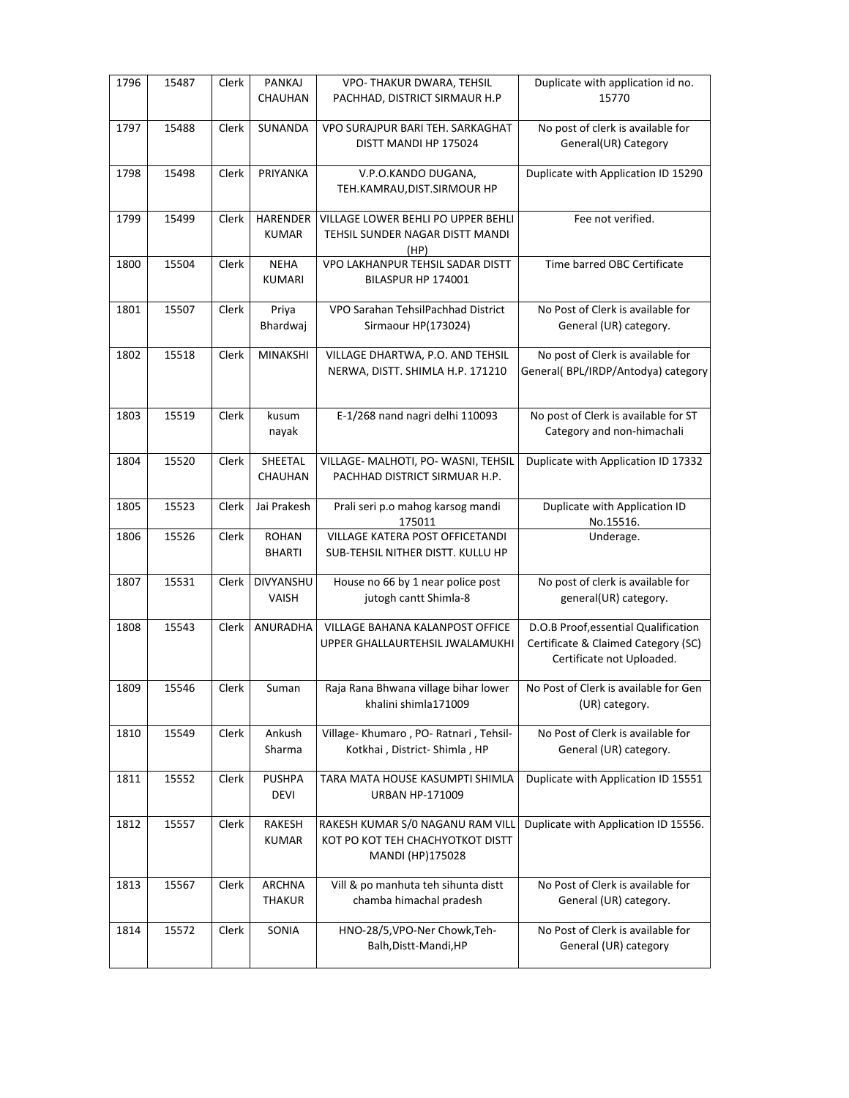| 1796 | 15487 | Clerk        | <b>PANKAJ</b><br>CHAUHAN        | VPO- THAKUR DWARA, TEHSIL<br>PACHHAD, DISTRICT SIRMAUR H.P                               | Duplicate with application id no.<br>15770                                                               |
|------|-------|--------------|---------------------------------|------------------------------------------------------------------------------------------|----------------------------------------------------------------------------------------------------------|
| 1797 | 15488 | Clerk        | SUNANDA                         | VPO SURAJPUR BARI TEH. SARKAGHAT<br>DISTT MANDI HP 175024                                | No post of clerk is available for<br>General(UR) Category                                                |
| 1798 | 15498 | Clerk        | PRIYANKA                        | V.P.O.KANDO DUGANA,<br>TEH.KAMRAU, DIST.SIRMOUR HP                                       | Duplicate with Application ID 15290                                                                      |
| 1799 | 15499 | Clerk        | <b>HARENDER</b><br><b>KUMAR</b> | VILLAGE LOWER BEHLI PO UPPER BEHLI<br>TEHSIL SUNDER NAGAR DISTT MANDI<br>(HP)            | Fee not verified.                                                                                        |
| 1800 | 15504 | Clerk        | <b>NEHA</b><br><b>KUMARI</b>    | VPO LAKHANPUR TEHSIL SADAR DISTT<br>BILASPUR HP 174001                                   | Time barred OBC Certificate                                                                              |
| 1801 | 15507 | Clerk        | Priya<br>Bhardwaj               | VPO Sarahan TehsilPachhad District<br>Sirmaour HP(173024)                                | No Post of Clerk is available for<br>General (UR) category.                                              |
| 1802 | 15518 | Clerk        | <b>MINAKSHI</b>                 | VILLAGE DHARTWA, P.O. AND TEHSIL<br>NERWA, DISTT. SHIMLA H.P. 171210                     | No post of Clerk is available for<br>General( BPL/IRDP/Antodya) category                                 |
| 1803 | 15519 | Clerk        | kusum<br>nayak                  | E-1/268 nand nagri delhi 110093                                                          | No post of Clerk is available for ST<br>Category and non-himachali                                       |
| 1804 | 15520 | <b>Clerk</b> | SHEETAL<br>CHAUHAN              | VILLAGE- MALHOTI, PO- WASNI, TEHSIL<br>PACHHAD DISTRICT SIRMUAR H.P.                     | Duplicate with Application ID 17332                                                                      |
| 1805 | 15523 | Clerk        | Jai Prakesh                     | Prali seri p.o mahog karsog mandi<br>175011                                              | Duplicate with Application ID<br>No.15516.                                                               |
| 1806 | 15526 | Clerk        | <b>ROHAN</b><br><b>BHARTI</b>   | VILLAGE KATERA POST OFFICETANDI<br>SUB-TEHSIL NITHER DISTT. KULLU HP                     | Underage.                                                                                                |
| 1807 | 15531 | Clerk        | DIVYANSHU<br>VAISH              | House no 66 by 1 near police post<br>jutogh cantt Shimla-8                               | No post of clerk is available for<br>general(UR) category.                                               |
| 1808 | 15543 | Clerk        | ANURADHA                        | VILLAGE BAHANA KALANPOST OFFICE<br>UPPER GHALLAURTEHSIL JWALAMUKHI                       | D.O.B Proof, essential Qualification<br>Certificate & Claimed Category (SC)<br>Certificate not Uploaded. |
| 1809 | 15546 | Clerk        | Suman                           | Raja Rana Bhwana village bihar lower<br>khalini shimla171009                             | No Post of Clerk is available for Gen<br>(UR) category.                                                  |
| 1810 | 15549 | Clerk        | Ankush<br>Sharma                | Village-Khumaro, PO-Ratnari, Tehsil-<br>Kotkhai, District-Shimla, HP                     | No Post of Clerk is available for<br>General (UR) category.                                              |
| 1811 | 15552 | Clerk        | <b>PUSHPA</b><br><b>DEVI</b>    | TARA MATA HOUSE KASUMPTI SHIMLA<br><b>URBAN HP-171009</b>                                | Duplicate with Application ID 15551                                                                      |
| 1812 | 15557 | Clerk        | RAKESH<br><b>KUMAR</b>          | RAKESH KUMAR S/0 NAGANU RAM VILL<br>KOT PO KOT TEH CHACHYOTKOT DISTT<br>MANDI (HP)175028 | Duplicate with Application ID 15556.                                                                     |
| 1813 | 15567 | Clerk        | <b>ARCHNA</b><br><b>THAKUR</b>  | Vill & po manhuta teh sihunta distt<br>chamba himachal pradesh                           | No Post of Clerk is available for<br>General (UR) category.                                              |
| 1814 | 15572 | Clerk        | SONIA                           | HNO-28/5, VPO-Ner Chowk, Teh-<br>Balh, Distt-Mandi, HP                                   | No Post of Clerk is available for<br>General (UR) category                                               |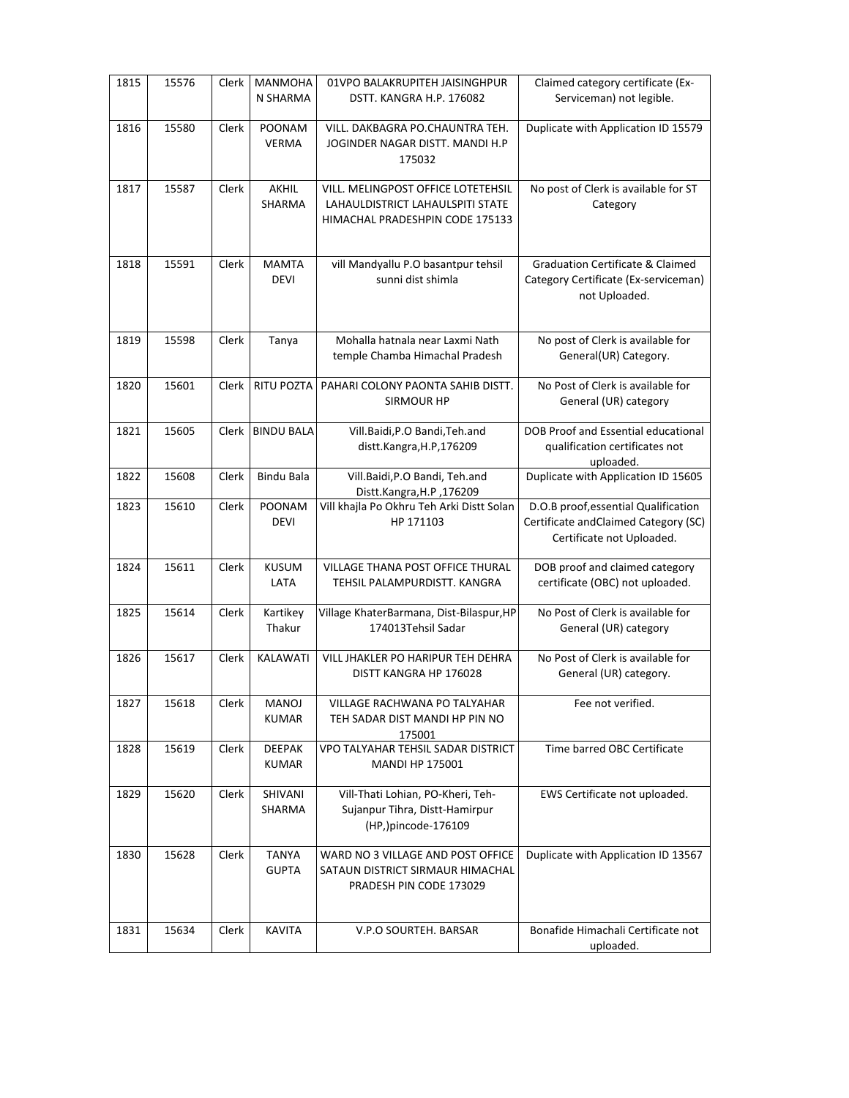| 1815 | 15576 | Clerk | <b>MANMOHA</b><br>N SHARMA    | 01VPO BALAKRUPITEH JAISINGHPUR<br>DSTT. KANGRA H.P. 176082                                                | Claimed category certificate (Ex-<br>Serviceman) not legible.                                             |
|------|-------|-------|-------------------------------|-----------------------------------------------------------------------------------------------------------|-----------------------------------------------------------------------------------------------------------|
| 1816 | 15580 | Clerk | POONAM<br><b>VERMA</b>        | VILL. DAKBAGRA PO.CHAUNTRA TEH.<br>JOGINDER NAGAR DISTT. MANDI H.P<br>175032                              | Duplicate with Application ID 15579                                                                       |
| 1817 | 15587 | Clerk | AKHIL<br>SHARMA               | VILL. MELINGPOST OFFICE LOTETEHSIL<br>LAHAULDISTRICT LAHAULSPITI STATE<br>HIMACHAL PRADESHPIN CODE 175133 | No post of Clerk is available for ST<br>Category                                                          |
| 1818 | 15591 | Clerk | <b>MAMTA</b><br><b>DEVI</b>   | vill Mandyallu P.O basantpur tehsil<br>sunni dist shimla                                                  | <b>Graduation Certificate &amp; Claimed</b><br>Category Certificate (Ex-serviceman)<br>not Uploaded.      |
| 1819 | 15598 | Clerk | Tanya                         | Mohalla hatnala near Laxmi Nath<br>temple Chamba Himachal Pradesh                                         | No post of Clerk is available for<br>General(UR) Category.                                                |
| 1820 | 15601 | Clerk | <b>RITU POZTA</b>             | PAHARI COLONY PAONTA SAHIB DISTT.<br><b>SIRMOUR HP</b>                                                    | No Post of Clerk is available for<br>General (UR) category                                                |
| 1821 | 15605 | Clerk | <b>BINDU BALA</b>             | Vill.Baidi, P.O Bandi, Teh.and<br>distt.Kangra,H.P,176209                                                 | DOB Proof and Essential educational<br>qualification certificates not<br>uploaded.                        |
| 1822 | 15608 | Clerk | <b>Bindu Bala</b>             | Vill.Baidi,P.O Bandi, Teh.and<br>Distt.Kangra, H.P, 176209                                                | Duplicate with Application ID 15605                                                                       |
| 1823 | 15610 | Clerk | <b>POONAM</b><br><b>DEVI</b>  | Vill khajla Po Okhru Teh Arki Distt Solan<br>HP 171103                                                    | D.O.B proof, essential Qualification<br>Certificate andClaimed Category (SC)<br>Certificate not Uploaded. |
| 1824 | 15611 | Clerk | <b>KUSUM</b><br>LATA          | VILLAGE THANA POST OFFICE THURAL<br>TEHSIL PALAMPURDISTT. KANGRA                                          | DOB proof and claimed category<br>certificate (OBC) not uploaded.                                         |
| 1825 | 15614 | Clerk | Kartikey<br>Thakur            | Village KhaterBarmana, Dist-Bilaspur, HP<br>174013Tehsil Sadar                                            | No Post of Clerk is available for<br>General (UR) category                                                |
| 1826 | 15617 | Clerk | KALAWATI                      | VILL JHAKLER PO HARIPUR TEH DEHRA<br>DISTT KANGRA HP 176028                                               | No Post of Clerk is available for<br>General (UR) category.                                               |
| 1827 | 15618 | Clerk | MANOJ<br><b>KUMAR</b>         | <b>VILLAGE RACHWANA PO TALYAHAR</b><br>TEH SADAR DIST MANDI HP PIN NO<br>175001                           | Fee not verified.                                                                                         |
| 1828 | 15619 | Clerk | <b>DEEPAK</b><br><b>KUMAR</b> | VPO TALYAHAR TEHSIL SADAR DISTRICT<br><b>MANDI HP 175001</b>                                              | Time barred OBC Certificate                                                                               |
| 1829 | 15620 | Clerk | SHIVANI<br>SHARMA             | Vill-Thati Lohian, PO-Kheri, Teh-<br>Sujanpur Tihra, Distt-Hamirpur<br>(HP,)pincode-176109                | EWS Certificate not uploaded.                                                                             |
| 1830 | 15628 | Clerk | <b>TANYA</b><br><b>GUPTA</b>  | WARD NO 3 VILLAGE AND POST OFFICE<br>SATAUN DISTRICT SIRMAUR HIMACHAL<br>PRADESH PIN CODE 173029          | Duplicate with Application ID 13567                                                                       |
| 1831 | 15634 | Clerk | <b>KAVITA</b>                 | V.P.O SOURTEH. BARSAR                                                                                     | Bonafide Himachali Certificate not<br>uploaded.                                                           |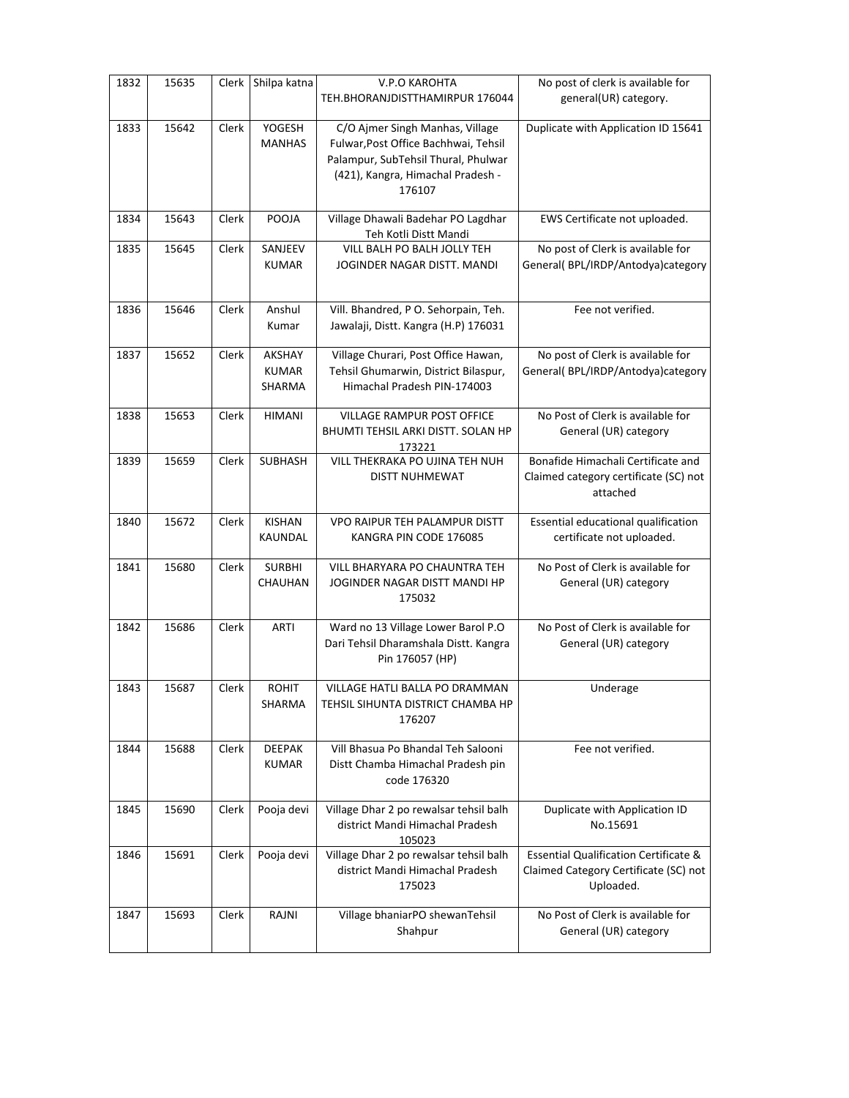| 1832 | 15635 | Clerk | Shilpa katna                   | <b>V.P.O KAROHTA</b><br>TEH.BHORANJDISTTHAMIRPUR 176044                                                                                                       | No post of clerk is available for<br>general(UR) category.                                             |
|------|-------|-------|--------------------------------|---------------------------------------------------------------------------------------------------------------------------------------------------------------|--------------------------------------------------------------------------------------------------------|
| 1833 | 15642 | Clerk | <b>YOGESH</b><br><b>MANHAS</b> | C/O Ajmer Singh Manhas, Village<br>Fulwar, Post Office Bachhwai, Tehsil<br>Palampur, SubTehsil Thural, Phulwar<br>(421), Kangra, Himachal Pradesh -<br>176107 | Duplicate with Application ID 15641                                                                    |
| 1834 | 15643 | Clerk | POOJA                          | Village Dhawali Badehar PO Lagdhar<br>Teh Kotli Distt Mandi                                                                                                   | EWS Certificate not uploaded.                                                                          |
| 1835 | 15645 | Clerk | SANJEEV<br><b>KUMAR</b>        | VILL BALH PO BALH JOLLY TEH<br>JOGINDER NAGAR DISTT. MANDI                                                                                                    | No post of Clerk is available for<br>General( BPL/IRDP/Antodya)category                                |
| 1836 | 15646 | Clerk | Anshul<br>Kumar                | Vill. Bhandred, P O. Sehorpain, Teh.<br>Jawalaji, Distt. Kangra (H.P) 176031                                                                                  | Fee not verified.                                                                                      |
| 1837 | 15652 | Clerk | AKSHAY<br>KUMAR<br>SHARMA      | Village Churari, Post Office Hawan,<br>Tehsil Ghumarwin, District Bilaspur,<br>Himachal Pradesh PIN-174003                                                    | No post of Clerk is available for<br>General( BPL/IRDP/Antodya)category                                |
| 1838 | 15653 | Clerk | <b>HIMANI</b>                  | <b>VILLAGE RAMPUR POST OFFICE</b><br>BHUMTI TEHSIL ARKI DISTT. SOLAN HP<br>173221                                                                             | No Post of Clerk is available for<br>General (UR) category                                             |
| 1839 | 15659 | Clerk | SUBHASH                        | VILL THEKRAKA PO UJINA TEH NUH<br>DISTT NUHMEWAT                                                                                                              | Bonafide Himachali Certificate and<br>Claimed category certificate (SC) not<br>attached                |
| 1840 | 15672 | Clerk | <b>KISHAN</b><br>KAUNDAL       | <b>VPO RAIPUR TEH PALAMPUR DISTT</b><br>KANGRA PIN CODE 176085                                                                                                | Essential educational qualification<br>certificate not uploaded.                                       |
| 1841 | 15680 | Clerk | <b>SURBHI</b><br>CHAUHAN       | VILL BHARYARA PO CHAUNTRA TEH<br>JOGINDER NAGAR DISTT MANDI HP<br>175032                                                                                      | No Post of Clerk is available for<br>General (UR) category                                             |
| 1842 | 15686 | Clerk | <b>ARTI</b>                    | Ward no 13 Village Lower Barol P.O<br>Dari Tehsil Dharamshala Distt. Kangra<br>Pin 176057 (HP)                                                                | No Post of Clerk is available for<br>General (UR) category                                             |
| 1843 | 15687 | Clerk | <b>ROHIT</b><br>SHARMA         | <b>VILLAGE HATLI BALLA PO DRAMMAN</b><br>TEHSIL SIHUNTA DISTRICT CHAMBA HP<br>176207                                                                          | Underage                                                                                               |
| 1844 | 15688 | Clerk | <b>DEEPAK</b><br><b>KUMAR</b>  | Vill Bhasua Po Bhandal Teh Salooni<br>Distt Chamba Himachal Pradesh pin<br>code 176320                                                                        | Fee not verified.                                                                                      |
| 1845 | 15690 | Clerk | Pooja devi                     | Village Dhar 2 po rewalsar tehsil balh<br>district Mandi Himachal Pradesh<br>105023                                                                           | Duplicate with Application ID<br>No.15691                                                              |
| 1846 | 15691 | Clerk | Pooja devi                     | Village Dhar 2 po rewalsar tehsil balh<br>district Mandi Himachal Pradesh<br>175023                                                                           | <b>Essential Qualification Certificate &amp;</b><br>Claimed Category Certificate (SC) not<br>Uploaded. |
| 1847 | 15693 | Clerk | RAJNI                          | Village bhaniarPO shewanTehsil<br>Shahpur                                                                                                                     | No Post of Clerk is available for<br>General (UR) category                                             |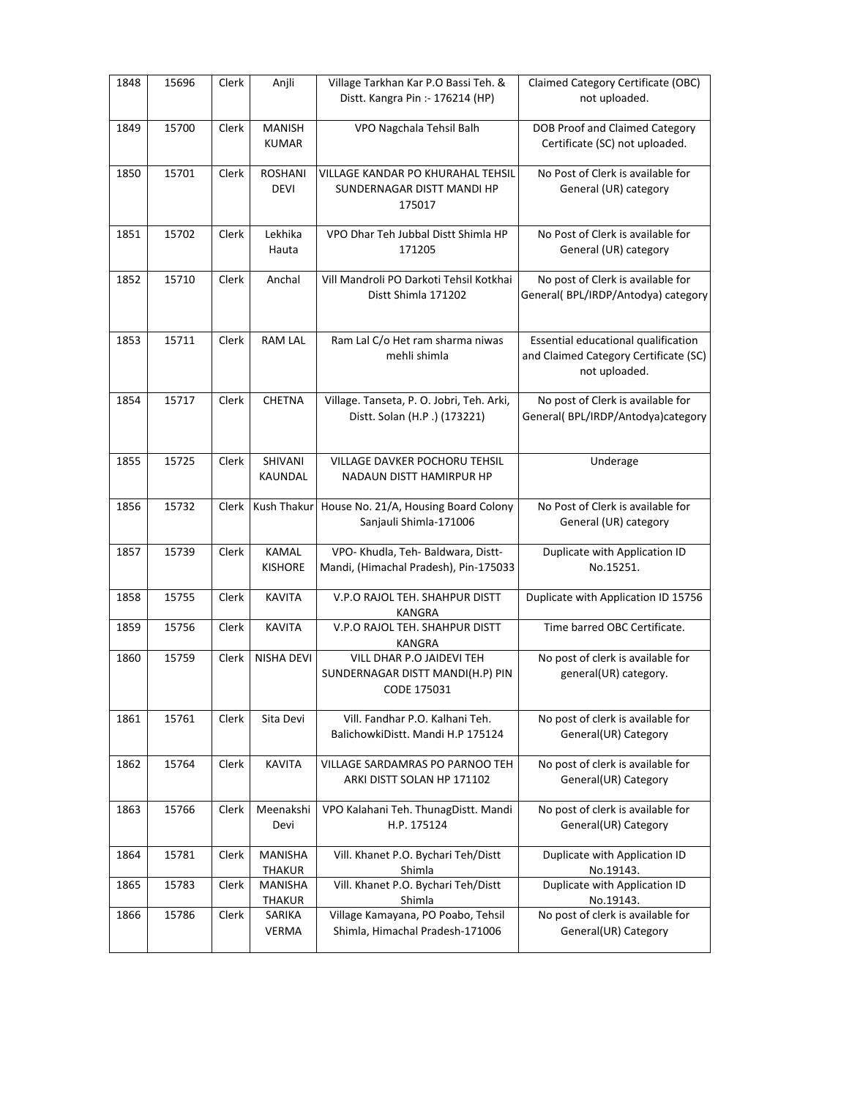| 1848 | 15696 | Clerk | Anjli                          | Village Tarkhan Kar P.O Bassi Teh. &<br>Distt. Kangra Pin :- 176214 (HP)     | Claimed Category Certificate (OBC)<br>not uploaded.                                           |
|------|-------|-------|--------------------------------|------------------------------------------------------------------------------|-----------------------------------------------------------------------------------------------|
| 1849 | 15700 | Clerk | <b>MANISH</b><br><b>KUMAR</b>  | VPO Nagchala Tehsil Balh                                                     | <b>DOB Proof and Claimed Category</b><br>Certificate (SC) not uploaded.                       |
| 1850 | 15701 | Clerk | <b>ROSHANI</b><br><b>DEVI</b>  | VILLAGE KANDAR PO KHURAHAL TEHSIL<br>SUNDERNAGAR DISTT MANDI HP<br>175017    | No Post of Clerk is available for<br>General (UR) category                                    |
| 1851 | 15702 | Clerk | Lekhika<br>Hauta               | VPO Dhar Teh Jubbal Distt Shimla HP<br>171205                                | No Post of Clerk is available for<br>General (UR) category                                    |
| 1852 | 15710 | Clerk | Anchal                         | Vill Mandroli PO Darkoti Tehsil Kotkhai<br>Distt Shimla 171202               | No post of Clerk is available for<br>General(BPL/IRDP/Antodya) category                       |
| 1853 | 15711 | Clerk | <b>RAM LAL</b>                 | Ram Lal C/o Het ram sharma niwas<br>mehli shimla                             | Essential educational qualification<br>and Claimed Category Certificate (SC)<br>not uploaded. |
| 1854 | 15717 | Clerk | <b>CHETNA</b>                  | Village. Tanseta, P. O. Jobri, Teh. Arki,<br>Distt. Solan (H.P.) (173221)    | No post of Clerk is available for<br>General( BPL/IRDP/Antodya)category                       |
| 1855 | 15725 | Clerk | SHIVANI<br>KAUNDAL             | <b>VILLAGE DAVKER POCHORU TEHSIL</b><br>NADAUN DISTT HAMIRPUR HP             | Underage                                                                                      |
| 1856 | 15732 | Clerk | Kush Thakur                    | House No. 21/A, Housing Board Colony<br>Sanjauli Shimla-171006               | No Post of Clerk is available for<br>General (UR) category                                    |
| 1857 | 15739 | Clerk | <b>KAMAL</b><br><b>KISHORE</b> | VPO- Khudla, Teh- Baldwara, Distt-<br>Mandi, (Himachal Pradesh), Pin-175033  | Duplicate with Application ID<br>No.15251.                                                    |
| 1858 | 15755 | Clerk | <b>KAVITA</b>                  | V.P.O RAJOL TEH. SHAHPUR DISTT<br>KANGRA                                     | Duplicate with Application ID 15756                                                           |
| 1859 | 15756 | Clerk | <b>KAVITA</b>                  | V.P.O RAJOL TEH. SHAHPUR DISTT<br>KANGRA                                     | Time barred OBC Certificate.                                                                  |
| 1860 | 15759 | Clerk | NISHA DEVI                     | VILL DHAR P.O JAIDEVI TEH<br>SUNDERNAGAR DISTT MANDI(H.P) PIN<br>CODE 175031 | No post of clerk is available for<br>general(UR) category.                                    |
| 1861 | 15761 | Clerk | Sita Devi                      | Vill. Fandhar P.O. Kalhani Teh.<br>BalichowkiDistt. Mandi H.P 175124         | No post of clerk is available for<br>General(UR) Category                                     |
| 1862 | 15764 | Clerk | <b>KAVITA</b>                  | VILLAGE SARDAMRAS PO PARNOO TEH<br>ARKI DISTT SOLAN HP 171102                | No post of clerk is available for<br>General(UR) Category                                     |
| 1863 | 15766 | Clerk | Meenakshi<br>Devi              | VPO Kalahani Teh. ThunagDistt. Mandi<br>H.P. 175124                          | No post of clerk is available for<br>General(UR) Category                                     |
| 1864 | 15781 | Clerk | MANISHA<br>THAKUR              | Vill. Khanet P.O. Bychari Teh/Distt<br>Shimla                                | Duplicate with Application ID<br>No.19143.                                                    |
| 1865 | 15783 | Clerk | MANISHA<br>THAKUR              | Vill. Khanet P.O. Bychari Teh/Distt<br>Shimla                                | Duplicate with Application ID<br>No.19143.                                                    |
| 1866 | 15786 | Clerk | SARIKA<br>VERMA                | Village Kamayana, PO Poabo, Tehsil<br>Shimla, Himachal Pradesh-171006        | No post of clerk is available for<br>General(UR) Category                                     |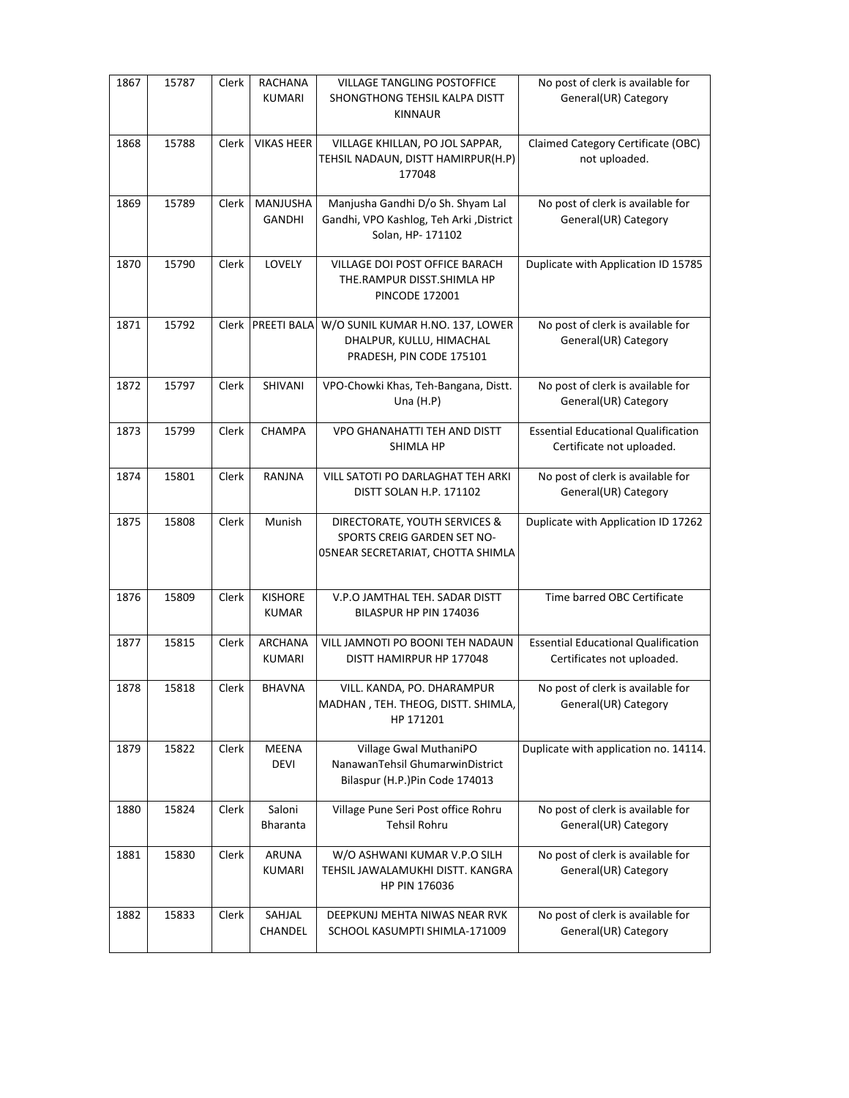| 1867 | 15787 | Clerk | RACHANA<br>KUMARI              | <b>VILLAGE TANGLING POSTOFFICE</b><br>SHONGTHONG TEHSIL KALPA DISTT<br><b>KINNAUR</b>             | No post of clerk is available for<br>General(UR) Category                |
|------|-------|-------|--------------------------------|---------------------------------------------------------------------------------------------------|--------------------------------------------------------------------------|
| 1868 | 15788 | Clerk | <b>VIKAS HEER</b>              | VILLAGE KHILLAN, PO JOL SAPPAR,<br>TEHSIL NADAUN, DISTT HAMIRPUR(H.P)<br>177048                   | Claimed Category Certificate (OBC)<br>not uploaded.                      |
| 1869 | 15789 | Clerk | MANJUSHA<br>GANDHI             | Manjusha Gandhi D/o Sh. Shyam Lal<br>Gandhi, VPO Kashlog, Teh Arki, District<br>Solan, HP- 171102 | No post of clerk is available for<br>General(UR) Category                |
| 1870 | 15790 | Clerk | LOVELY                         | VILLAGE DOI POST OFFICE BARACH<br>THE.RAMPUR DISST.SHIMLA HP<br><b>PINCODE 172001</b>             | Duplicate with Application ID 15785                                      |
| 1871 | 15792 | Clerk | PREETI BALA                    | W/O SUNIL KUMAR H.NO. 137, LOWER<br>DHALPUR, KULLU, HIMACHAL<br>PRADESH, PIN CODE 175101          | No post of clerk is available for<br>General(UR) Category                |
| 1872 | 15797 | Clerk | SHIVANI                        | VPO-Chowki Khas, Teh-Bangana, Distt.<br>Una $(H.P)$                                               | No post of clerk is available for<br>General(UR) Category                |
| 1873 | 15799 | Clerk | CHAMPA                         | <b>VPO GHANAHATTI TEH AND DISTT</b><br>SHIMLA HP                                                  | <b>Essential Educational Qualification</b><br>Certificate not uploaded.  |
| 1874 | 15801 | Clerk | RANJNA                         | VILL SATOTI PO DARLAGHAT TEH ARKI<br>DISTT SOLAN H.P. 171102                                      | No post of clerk is available for<br>General(UR) Category                |
| 1875 | 15808 | Clerk | Munish                         | DIRECTORATE, YOUTH SERVICES &<br>SPORTS CREIG GARDEN SET NO-<br>05NEAR SECRETARIAT, CHOTTA SHIMLA | Duplicate with Application ID 17262                                      |
| 1876 | 15809 | Clerk | <b>KISHORE</b><br><b>KUMAR</b> | V.P.O JAMTHAL TEH. SADAR DISTT<br>BILASPUR HP PIN 174036                                          | Time barred OBC Certificate                                              |
| 1877 | 15815 | Clerk | <b>ARCHANA</b><br>KUMARI       | VILL JAMNOTI PO BOONI TEH NADAUN<br>DISTT HAMIRPUR HP 177048                                      | <b>Essential Educational Qualification</b><br>Certificates not uploaded. |
| 1878 | 15818 | Clerk | <b>BHAVNA</b>                  | VILL. KANDA, PO. DHARAMPUR<br>MADHAN, TEH. THEOG, DISTT. SHIMLA,<br>HP 171201                     | No post of clerk is available for<br>General(UR) Category                |
| 1879 | 15822 | Clerk | <b>MEENA</b><br><b>DEVI</b>    | Village Gwal MuthaniPO<br>NanawanTehsil GhumarwinDistrict<br>Bilaspur (H.P.)Pin Code 174013       | Duplicate with application no. 14114.                                    |
| 1880 | 15824 | Clerk | Saloni<br>Bharanta             | Village Pune Seri Post office Rohru<br><b>Tehsil Rohru</b>                                        | No post of clerk is available for<br>General(UR) Category                |
| 1881 | 15830 | Clerk | ARUNA<br>KUMARI                | W/O ASHWANI KUMAR V.P.O SILH<br>TEHSIL JAWALAMUKHI DISTT. KANGRA<br>HP PIN 176036                 | No post of clerk is available for<br>General(UR) Category                |
| 1882 | 15833 | Clerk | SAHJAL<br>CHANDEL              | DEEPKUNJ MEHTA NIWAS NEAR RVK<br>SCHOOL KASUMPTI SHIMLA-171009                                    | No post of clerk is available for<br>General(UR) Category                |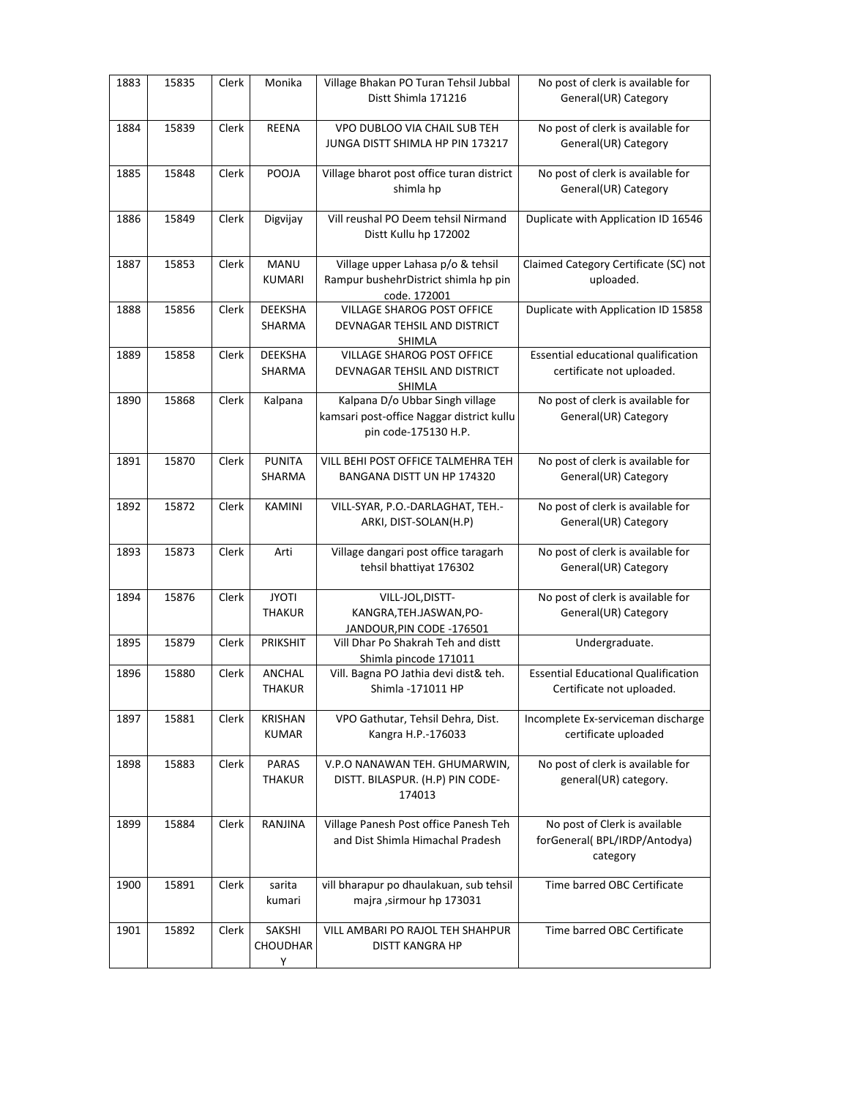| 1883 | 15835 | Clerk | Monika                         | Village Bhakan PO Turan Tehsil Jubbal<br>Distt Shimla 171216                                         | No post of clerk is available for<br>General(UR) Category                 |
|------|-------|-------|--------------------------------|------------------------------------------------------------------------------------------------------|---------------------------------------------------------------------------|
| 1884 | 15839 | Clerk | <b>REENA</b>                   | VPO DUBLOO VIA CHAIL SUB TEH<br>JUNGA DISTT SHIMLA HP PIN 173217                                     | No post of clerk is available for<br>General(UR) Category                 |
| 1885 | 15848 | Clerk | POOJA                          | Village bharot post office turan district<br>shimla hp                                               | No post of clerk is available for<br>General(UR) Category                 |
| 1886 | 15849 | Clerk | Digvijay                       | Vill reushal PO Deem tehsil Nirmand<br>Distt Kullu hp 172002                                         | Duplicate with Application ID 16546                                       |
| 1887 | 15853 | Clerk | MANU<br><b>KUMARI</b>          | Village upper Lahasa p/o & tehsil<br>Rampur bushehrDistrict shimla hp pin<br>code. 172001            | Claimed Category Certificate (SC) not<br>uploaded.                        |
| 1888 | 15856 | Clerk | <b>DEEKSHA</b><br>SHARMA       | VILLAGE SHAROG POST OFFICE<br>DEVNAGAR TEHSIL AND DISTRICT<br>SHIMLA                                 | Duplicate with Application ID 15858                                       |
| 1889 | 15858 | Clerk | <b>DEEKSHA</b><br>SHARMA       | VILLAGE SHAROG POST OFFICE<br>DEVNAGAR TEHSIL AND DISTRICT<br>SHIMLA                                 | Essential educational qualification<br>certificate not uploaded.          |
| 1890 | 15868 | Clerk | Kalpana                        | Kalpana D/o Ubbar Singh village<br>kamsari post-office Naggar district kullu<br>pin code-175130 H.P. | No post of clerk is available for<br>General(UR) Category                 |
| 1891 | 15870 | Clerk | <b>PUNITA</b><br>SHARMA        | VILL BEHI POST OFFICE TALMEHRA TEH<br>BANGANA DISTT UN HP 174320                                     | No post of clerk is available for<br>General(UR) Category                 |
| 1892 | 15872 | Clerk | KAMINI                         | VILL-SYAR, P.O.-DARLAGHAT, TEH.-<br>ARKI, DIST-SOLAN(H.P)                                            | No post of clerk is available for<br>General(UR) Category                 |
| 1893 | 15873 | Clerk | Arti                           | Village dangari post office taragarh<br>tehsil bhattiyat 176302                                      | No post of clerk is available for<br>General(UR) Category                 |
| 1894 | 15876 | Clerk | <b>JYOTI</b><br><b>THAKUR</b>  | VILL-JOL, DISTT-<br>KANGRA, TEH. JASWAN, PO-<br>JANDOUR, PIN CODE - 176501                           | No post of clerk is available for<br>General(UR) Category                 |
| 1895 | 15879 | Clerk | PRIKSHIT                       | Vill Dhar Po Shakrah Teh and distt<br>Shimla pincode 171011                                          | Undergraduate.                                                            |
| 1896 | 15880 | Clerk | ANCHAL<br><b>THAKUR</b>        | Vill. Bagna PO Jathia devi dist& teh.<br>Shimla -171011 HP                                           | <b>Essential Educational Qualification</b><br>Certificate not uploaded.   |
| 1897 | 15881 | Clerk | KRISHAN<br>KUMAR               | VPO Gathutar, Tehsil Dehra, Dist.<br>Kangra H.P.-176033                                              | Incomplete Ex-serviceman discharge<br>certificate uploaded                |
| 1898 | 15883 | Clerk | PARAS<br><b>THAKUR</b>         | V.P.O NANAWAN TEH. GHUMARWIN,<br>DISTT. BILASPUR. (H.P) PIN CODE-<br>174013                          | No post of clerk is available for<br>general(UR) category.                |
| 1899 | 15884 | Clerk | RANJINA                        | Village Panesh Post office Panesh Teh<br>and Dist Shimla Himachal Pradesh                            | No post of Clerk is available<br>forGeneral(BPL/IRDP/Antodya)<br>category |
| 1900 | 15891 | Clerk | sarita<br>kumari               | vill bharapur po dhaulakuan, sub tehsil<br>majra , sirmour hp 173031                                 | Time barred OBC Certificate                                               |
| 1901 | 15892 | Clerk | SAKSHI<br><b>CHOUDHAR</b><br>Y | VILL AMBARI PO RAJOL TEH SHAHPUR<br><b>DISTT KANGRA HP</b>                                           | Time barred OBC Certificate                                               |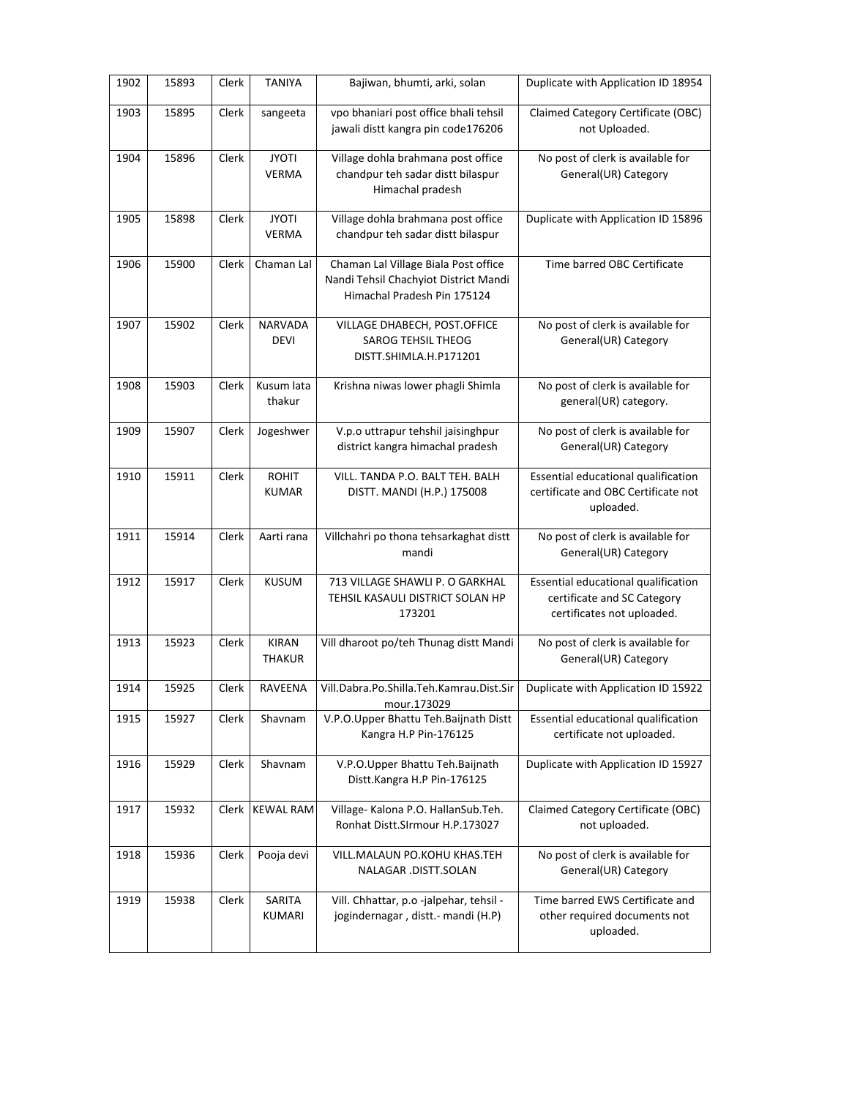| 1902 | 15893 | Clerk | <b>TANIYA</b>                 | Bajiwan, bhumti, arki, solan                                                                                 | Duplicate with Application ID 18954                                                              |
|------|-------|-------|-------------------------------|--------------------------------------------------------------------------------------------------------------|--------------------------------------------------------------------------------------------------|
| 1903 | 15895 | Clerk | sangeeta                      | vpo bhaniari post office bhali tehsil<br>jawali distt kangra pin code176206                                  | Claimed Category Certificate (OBC)<br>not Uploaded.                                              |
| 1904 | 15896 | Clerk | <b>JYOTI</b><br><b>VERMA</b>  | Village dohla brahmana post office<br>chandpur teh sadar distt bilaspur<br>Himachal pradesh                  | No post of clerk is available for<br>General(UR) Category                                        |
| 1905 | 15898 | Clerk | <b>JYOTI</b><br><b>VERMA</b>  | Village dohla brahmana post office<br>chandpur teh sadar distt bilaspur                                      | Duplicate with Application ID 15896                                                              |
| 1906 | 15900 | Clerk | Chaman Lal                    | Chaman Lal Village Biala Post office<br>Nandi Tehsil Chachyiot District Mandi<br>Himachal Pradesh Pin 175124 | Time barred OBC Certificate                                                                      |
| 1907 | 15902 | Clerk | <b>NARVADA</b><br><b>DEVI</b> | VILLAGE DHABECH, POST.OFFICE<br><b>SAROG TEHSIL THEOG</b><br>DISTT.SHIMLA.H.P171201                          | No post of clerk is available for<br>General(UR) Category                                        |
| 1908 | 15903 | Clerk | Kusum lata<br>thakur          | Krishna niwas lower phagli Shimla                                                                            | No post of clerk is available for<br>general(UR) category.                                       |
| 1909 | 15907 | Clerk | Jogeshwer                     | V.p.o uttrapur tehshil jaisinghpur<br>district kangra himachal pradesh                                       | No post of clerk is available for<br>General(UR) Category                                        |
| 1910 | 15911 | Clerk | <b>ROHIT</b><br><b>KUMAR</b>  | VILL. TANDA P.O. BALT TEH. BALH<br>DISTT. MANDI (H.P.) 175008                                                | Essential educational qualification<br>certificate and OBC Certificate not<br>uploaded.          |
| 1911 | 15914 | Clerk | Aarti rana                    | Villchahri po thona tehsarkaghat distt<br>mandi                                                              | No post of clerk is available for<br>General(UR) Category                                        |
| 1912 | 15917 | Clerk | <b>KUSUM</b>                  | 713 VILLAGE SHAWLI P. O GARKHAL<br>TEHSIL KASAULI DISTRICT SOLAN HP<br>173201                                | Essential educational qualification<br>certificate and SC Category<br>certificates not uploaded. |
| 1913 | 15923 | Clerk | <b>KIRAN</b><br><b>THAKUR</b> | Vill dharoot po/teh Thunag distt Mandi                                                                       | No post of clerk is available for<br>General(UR) Category                                        |
| 1914 | 15925 | Clerk | RAVEENA                       | Vill.Dabra.Po.Shilla.Teh.Kamrau.Dist.Sir<br>mour.173029                                                      | Duplicate with Application ID 15922                                                              |
| 1915 | 15927 | Clerk | Shavnam                       | V.P.O.Upper Bhattu Teh.Baijnath Distt<br>Kangra H.P Pin-176125                                               | Essential educational qualification<br>certificate not uploaded.                                 |
| 1916 | 15929 | Clerk | Shavnam                       | V.P.O.Upper Bhattu Teh.Baijnath<br>Distt.Kangra H.P Pin-176125                                               | Duplicate with Application ID 15927                                                              |
| 1917 | 15932 | Clerk | <b>KEWAL RAM</b>              | Village- Kalona P.O. HallanSub.Teh.<br>Ronhat Distt.SIrmour H.P.173027                                       | Claimed Category Certificate (OBC)<br>not uploaded.                                              |
| 1918 | 15936 | Clerk | Pooja devi                    | VILL.MALAUN PO.KOHU KHAS.TEH<br>NALAGAR .DISTT.SOLAN                                                         | No post of clerk is available for<br>General(UR) Category                                        |
| 1919 | 15938 | Clerk | SARITA<br>KUMARI              | Vill. Chhattar, p.o -jalpehar, tehsil -<br>jogindernagar, distt.- mandi (H.P)                                | Time barred EWS Certificate and<br>other required documents not<br>uploaded.                     |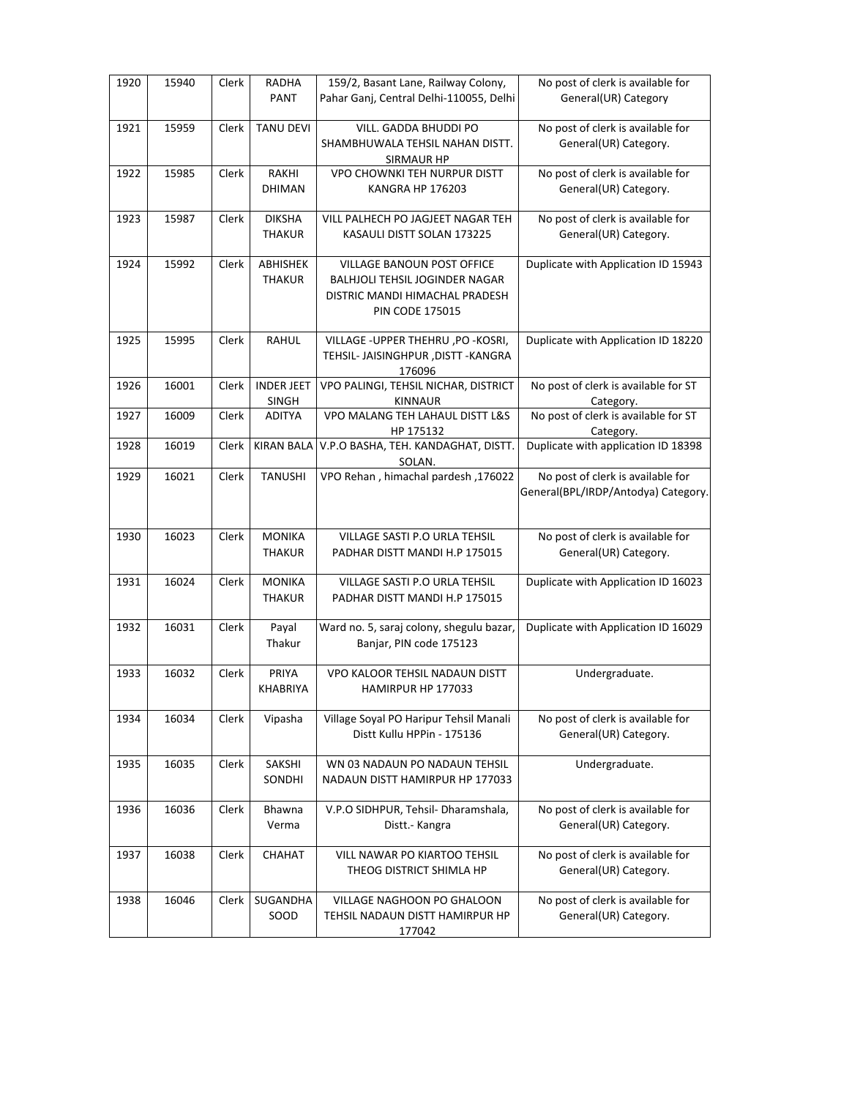| 1920 | 15940 | Clerk | <b>RADHA</b><br>PANT           | 159/2, Basant Lane, Railway Colony,<br>Pahar Ganj, Central Delhi-110055, Delhi                                                         | No post of clerk is available for<br>General(UR) Category                |
|------|-------|-------|--------------------------------|----------------------------------------------------------------------------------------------------------------------------------------|--------------------------------------------------------------------------|
| 1921 | 15959 | Clerk | <b>TANU DEVI</b>               | VILL. GADDA BHUDDI PO<br>SHAMBHUWALA TEHSIL NAHAN DISTT.<br><b>SIRMAUR HP</b>                                                          | No post of clerk is available for<br>General(UR) Category.               |
| 1922 | 15985 | Clerk | RAKHI<br><b>DHIMAN</b>         | VPO CHOWNKI TEH NURPUR DISTT<br><b>KANGRA HP 176203</b>                                                                                | No post of clerk is available for<br>General(UR) Category.               |
| 1923 | 15987 | Clerk | <b>DIKSHA</b><br><b>THAKUR</b> | VILL PALHECH PO JAGJEET NAGAR TEH<br>KASAULI DISTT SOLAN 173225                                                                        | No post of clerk is available for<br>General(UR) Category.               |
| 1924 | 15992 | Clerk | ABHISHEK<br><b>THAKUR</b>      | <b>VILLAGE BANOUN POST OFFICE</b><br><b>BALHJOLI TEHSIL JOGINDER NAGAR</b><br>DISTRIC MANDI HIMACHAL PRADESH<br><b>PIN CODE 175015</b> | Duplicate with Application ID 15943                                      |
| 1925 | 15995 | Clerk | RAHUL                          | VILLAGE - UPPER THEHRU, PO - KOSRI,<br>TEHSIL- JAISINGHPUR , DISTT - KANGRA<br>176096                                                  | Duplicate with Application ID 18220                                      |
| 1926 | 16001 | Clerk | <b>INDER JEET</b><br>SINGH     | VPO PALINGI, TEHSIL NICHAR, DISTRICT<br><b>KINNAUR</b>                                                                                 | No post of clerk is available for ST<br>Category.                        |
| 1927 | 16009 | Clerk | <b>ADITYA</b>                  | VPO MALANG TEH LAHAUL DISTT L&S<br>HP 175132                                                                                           | No post of clerk is available for ST<br>Category.                        |
| 1928 | 16019 | Clerk | KIRAN BALA                     | V.P.O BASHA, TEH. KANDAGHAT, DISTT.<br>SOLAN.                                                                                          | Duplicate with application ID 18398                                      |
| 1929 | 16021 | Clerk | <b>TANUSHI</b>                 | VPO Rehan, himachal pardesh, 176022                                                                                                    | No post of clerk is available for<br>General(BPL/IRDP/Antodya) Category. |
| 1930 | 16023 | Clerk | <b>MONIKA</b><br><b>THAKUR</b> | VILLAGE SASTI P.O URLA TEHSIL<br>PADHAR DISTT MANDI H.P 175015                                                                         | No post of clerk is available for<br>General(UR) Category.               |
| 1931 | 16024 | Clerk | <b>MONIKA</b><br><b>THAKUR</b> | VILLAGE SASTI P.O URLA TEHSIL<br>PADHAR DISTT MANDI H.P 175015                                                                         | Duplicate with Application ID 16023                                      |
| 1932 | 16031 | Clerk | Payal<br>Thakur                | Ward no. 5, saraj colony, shegulu bazar,<br>Banjar, PIN code 175123                                                                    | Duplicate with Application ID 16029                                      |
| 1933 | 16032 | Clerk | PRIYA<br><b>KHABRIYA</b>       | VPO KALOOR TEHSIL NADAUN DISTT<br>HAMIRPUR HP 177033                                                                                   | Undergraduate.                                                           |
| 1934 | 16034 | Clerk | Vipasha                        | Village Soyal PO Haripur Tehsil Manali<br>Distt Kullu HPPin - 175136                                                                   | No post of clerk is available for<br>General(UR) Category.               |
| 1935 | 16035 | Clerk | SAKSHI<br>SONDHI               | WN 03 NADAUN PO NADAUN TEHSIL<br>NADAUN DISTT HAMIRPUR HP 177033                                                                       | Undergraduate.                                                           |
| 1936 | 16036 | Clerk | Bhawna<br>Verma                | V.P.O SIDHPUR, Tehsil- Dharamshala,<br>Distt.- Kangra                                                                                  | No post of clerk is available for<br>General(UR) Category.               |
| 1937 | 16038 | Clerk | CHAHAT                         | VILL NAWAR PO KIARTOO TEHSIL<br>THEOG DISTRICT SHIMLA HP                                                                               | No post of clerk is available for<br>General(UR) Category.               |
| 1938 | 16046 | Clerk | SUGANDHA<br>SOOD               | VILLAGE NAGHOON PO GHALOON<br>TEHSIL NADAUN DISTT HAMIRPUR HP<br>177042                                                                | No post of clerk is available for<br>General(UR) Category.               |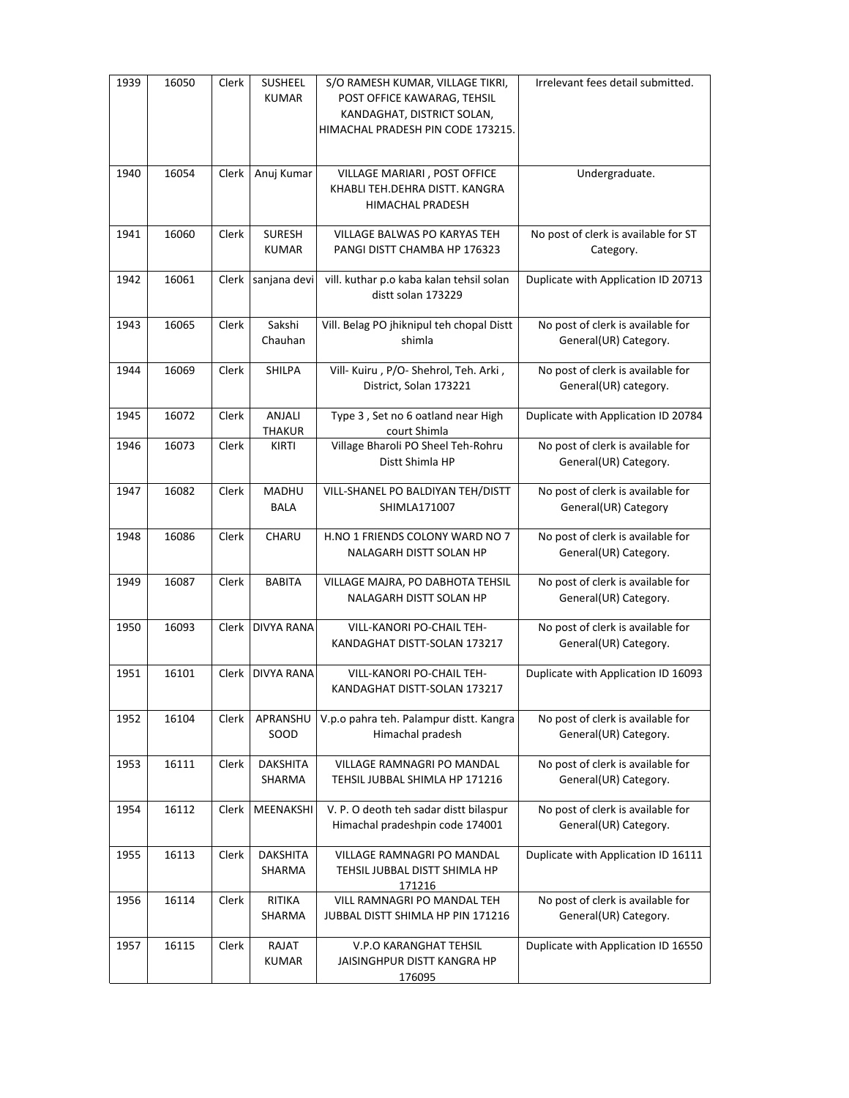| 1939 | 16050 | Clerk | <b>SUSHEEL</b><br><b>KUMAR</b> | S/O RAMESH KUMAR, VILLAGE TIKRI,<br>POST OFFICE KAWARAG, TEHSIL<br>KANDAGHAT, DISTRICT SOLAN,<br>HIMACHAL PRADESH PIN CODE 173215. | Irrelevant fees detail submitted.                          |
|------|-------|-------|--------------------------------|------------------------------------------------------------------------------------------------------------------------------------|------------------------------------------------------------|
| 1940 | 16054 | Clerk | Anuj Kumar                     | VILLAGE MARIARI, POST OFFICE<br>KHABLI TEH.DEHRA DISTT. KANGRA<br>HIMACHAL PRADESH                                                 | Undergraduate.                                             |
| 1941 | 16060 | Clerk | <b>SURESH</b><br><b>KUMAR</b>  | VILLAGE BALWAS PO KARYAS TEH<br>PANGI DISTT CHAMBA HP 176323                                                                       | No post of clerk is available for ST<br>Category.          |
| 1942 | 16061 |       | Clerk sanjana devi             | vill. kuthar p.o kaba kalan tehsil solan<br>distt solan 173229                                                                     | Duplicate with Application ID 20713                        |
| 1943 | 16065 | Clerk | Sakshi<br>Chauhan              | Vill. Belag PO jhiknipul teh chopal Distt<br>shimla                                                                                | No post of clerk is available for<br>General(UR) Category. |
| 1944 | 16069 | Clerk | <b>SHILPA</b>                  | Vill- Kuiru , P/O- Shehrol, Teh. Arki,<br>District, Solan 173221                                                                   | No post of clerk is available for<br>General(UR) category. |
| 1945 | 16072 | Clerk | ANJALI<br>THAKUR               | Type 3, Set no 6 oatland near High<br>court Shimla                                                                                 | Duplicate with Application ID 20784                        |
| 1946 | 16073 | Clerk | KIRTI                          | Village Bharoli PO Sheel Teh-Rohru<br>Distt Shimla HP                                                                              | No post of clerk is available for<br>General(UR) Category. |
| 1947 | 16082 | Clerk | MADHU<br><b>BALA</b>           | VILL-SHANEL PO BALDIYAN TEH/DISTT<br>SHIMLA171007                                                                                  | No post of clerk is available for<br>General(UR) Category  |
| 1948 | 16086 | Clerk | CHARU                          | H.NO 1 FRIENDS COLONY WARD NO 7<br>NALAGARH DISTT SOLAN HP                                                                         | No post of clerk is available for<br>General(UR) Category. |
| 1949 | 16087 | Clerk | <b>BABITA</b>                  | VILLAGE MAJRA, PO DABHOTA TEHSIL<br>NALAGARH DISTT SOLAN HP                                                                        | No post of clerk is available for<br>General(UR) Category. |
| 1950 | 16093 |       | Clerk   DIVYA RANA             | VILL-KANORI PO-CHAIL TEH-<br>KANDAGHAT DISTT-SOLAN 173217                                                                          | No post of clerk is available for<br>General(UR) Category. |
| 1951 | 16101 | Clerk | <b>DIVYA RANA</b>              | VILL-KANORI PO-CHAIL TEH-<br>KANDAGHAT DISTT-SOLAN 173217                                                                          | Duplicate with Application ID 16093                        |
| 1952 | 16104 | Clerk | APRANSHU<br>SOOD               | V.p.o pahra teh. Palampur distt. Kangra<br>Himachal pradesh                                                                        | No post of clerk is available for<br>General(UR) Category. |
| 1953 | 16111 | Clerk | <b>DAKSHITA</b><br>SHARMA      | VILLAGE RAMNAGRI PO MANDAL<br>TEHSIL JUBBAL SHIMLA HP 171216                                                                       | No post of clerk is available for<br>General(UR) Category. |
| 1954 | 16112 | Clerk | MEENAKSHI                      | V. P. O deoth teh sadar distt bilaspur<br>Himachal pradeshpin code 174001                                                          | No post of clerk is available for<br>General(UR) Category. |
| 1955 | 16113 | Clerk | <b>DAKSHITA</b><br>SHARMA      | VILLAGE RAMNAGRI PO MANDAL<br>TEHSIL JUBBAL DISTT SHIMLA HP<br>171216                                                              | Duplicate with Application ID 16111                        |
| 1956 | 16114 | Clerk | RITIKA<br>SHARMA               | VILL RAMNAGRI PO MANDAL TEH<br>JUBBAL DISTT SHIMLA HP PIN 171216                                                                   | No post of clerk is available for<br>General(UR) Category. |
| 1957 | 16115 | Clerk | RAJAT<br><b>KUMAR</b>          | V.P.O KARANGHAT TEHSIL<br>JAISINGHPUR DISTT KANGRA HP<br>176095                                                                    | Duplicate with Application ID 16550                        |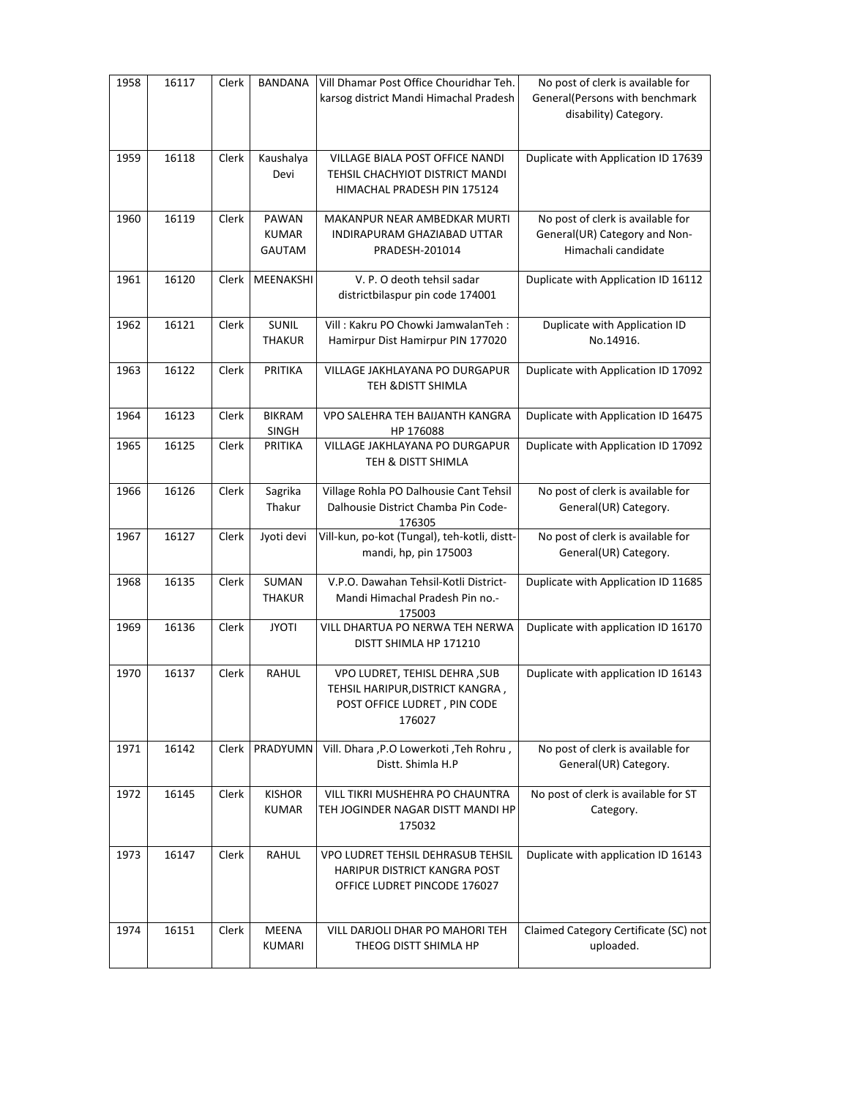| 1958 | 16117 | Clerk        | <b>BANDANA</b>                         | Vill Dhamar Post Office Chouridhar Teh.<br>karsog district Mandi Himachal Pradesh                                  | No post of clerk is available for<br>General(Persons with benchmark<br>disability) Category. |
|------|-------|--------------|----------------------------------------|--------------------------------------------------------------------------------------------------------------------|----------------------------------------------------------------------------------------------|
| 1959 | 16118 | Clerk        | Kaushalya<br>Devi                      | <b>VILLAGE BIALA POST OFFICE NANDI</b><br>TEHSIL CHACHYIOT DISTRICT MANDI<br>HIMACHAL PRADESH PIN 175124           | Duplicate with Application ID 17639                                                          |
| 1960 | 16119 | <b>Clerk</b> | PAWAN<br><b>KUMAR</b><br><b>GAUTAM</b> | MAKANPUR NEAR AMBEDKAR MURTI<br>INDIRAPURAM GHAZIABAD UTTAR<br>PRADESH-201014                                      | No post of clerk is available for<br>General(UR) Category and Non-<br>Himachali candidate    |
| 1961 | 16120 | Clerk        | MEENAKSHI                              | V. P. O deoth tehsil sadar<br>districtbilaspur pin code 174001                                                     | Duplicate with Application ID 16112                                                          |
| 1962 | 16121 | Clerk        | <b>SUNIL</b><br><b>THAKUR</b>          | Vill: Kakru PO Chowki JamwalanTeh:<br>Hamirpur Dist Hamirpur PIN 177020                                            | Duplicate with Application ID<br>No.14916.                                                   |
| 1963 | 16122 | Clerk        | PRITIKA                                | VILLAGE JAKHLAYANA PO DURGAPUR<br><b>TEH &amp;DISTT SHIMLA</b>                                                     | Duplicate with Application ID 17092                                                          |
| 1964 | 16123 | Clerk        | <b>BIKRAM</b><br>SINGH                 | VPO SALEHRA TEH BAIJANTH KANGRA<br>HP 176088                                                                       | Duplicate with Application ID 16475                                                          |
| 1965 | 16125 | Clerk        | PRITIKA                                | VILLAGE JAKHLAYANA PO DURGAPUR<br>TEH & DISTT SHIMLA                                                               | Duplicate with Application ID 17092                                                          |
| 1966 | 16126 | Clerk        | Sagrika<br>Thakur                      | Village Rohla PO Dalhousie Cant Tehsil<br>Dalhousie District Chamba Pin Code-<br>176305                            | No post of clerk is available for<br>General(UR) Category.                                   |
| 1967 | 16127 | Clerk        | Jyoti devi                             | Vill-kun, po-kot (Tungal), teh-kotli, distt-<br>mandi, hp, pin 175003                                              | No post of clerk is available for<br>General(UR) Category.                                   |
| 1968 | 16135 | Clerk        | SUMAN<br><b>THAKUR</b>                 | V.P.O. Dawahan Tehsil-Kotli District-<br>Mandi Himachal Pradesh Pin no.-<br>175003                                 | Duplicate with Application ID 11685                                                          |
| 1969 | 16136 | Clerk        | <b>JYOTI</b>                           | VILL DHARTUA PO NERWA TEH NERWA<br>DISTT SHIMLA HP 171210                                                          | Duplicate with application ID 16170                                                          |
| 1970 | 16137 | Clerk        | RAHUL                                  | <b>VPO LUDRET, TEHISL DEHRA, SUB</b><br>TEHSIL HARIPUR, DISTRICT KANGRA,<br>POST OFFICE LUDRET, PIN CODE<br>176027 | Duplicate with application ID 16143                                                          |
| 1971 | 16142 | Clerk        | PRADYUMN                               | Vill. Dhara , P.O Lowerkoti , Teh Rohru,<br>Distt. Shimla H.P                                                      | No post of clerk is available for<br>General(UR) Category.                                   |
| 1972 | 16145 | Clerk        | <b>KISHOR</b><br><b>KUMAR</b>          | VILL TIKRI MUSHEHRA PO CHAUNTRA<br>TEH JOGINDER NAGAR DISTT MANDI HP<br>175032                                     | No post of clerk is available for ST<br>Category.                                            |
| 1973 | 16147 | Clerk        | RAHUL                                  | <b>VPO LUDRET TEHSIL DEHRASUB TEHSIL</b><br>HARIPUR DISTRICT KANGRA POST<br>OFFICE LUDRET PINCODE 176027           | Duplicate with application ID 16143                                                          |
| 1974 | 16151 | Clerk        | <b>MEENA</b><br>KUMARI                 | VILL DARJOLI DHAR PO MAHORI TEH<br>THEOG DISTT SHIMLA HP                                                           | Claimed Category Certificate (SC) not<br>uploaded.                                           |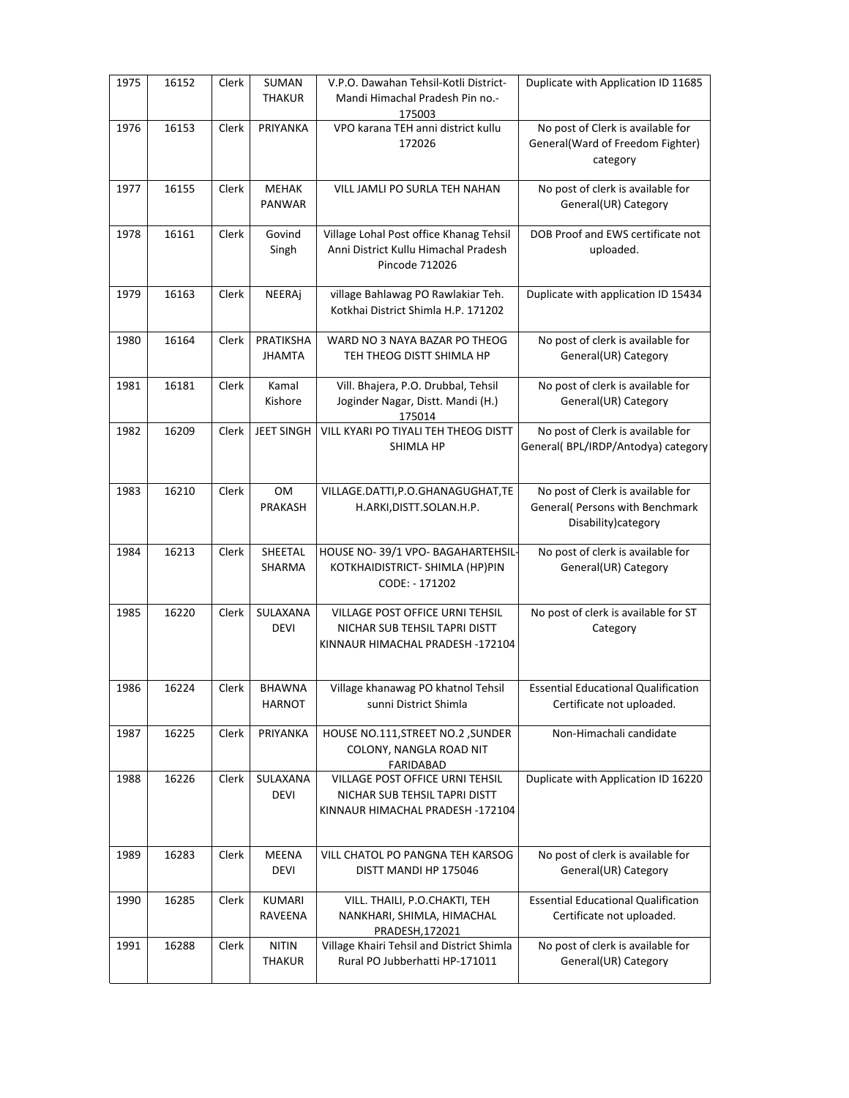| 1975 | 16152 | Clerk | SUMAN<br><b>THAKUR</b>         | V.P.O. Dawahan Tehsil-Kotli District-<br>Mandi Himachal Pradesh Pin no.-<br>175003                   | Duplicate with Application ID 11685                                                          |
|------|-------|-------|--------------------------------|------------------------------------------------------------------------------------------------------|----------------------------------------------------------------------------------------------|
| 1976 | 16153 | Clerk | PRIYANKA                       | VPO karana TEH anni district kullu<br>172026                                                         | No post of Clerk is available for<br>General(Ward of Freedom Fighter)<br>category            |
| 1977 | 16155 | Clerk | <b>MEHAK</b><br>PANWAR         | VILL JAMLI PO SURLA TEH NAHAN                                                                        | No post of clerk is available for<br>General(UR) Category                                    |
| 1978 | 16161 | Clerk | Govind<br>Singh                | Village Lohal Post office Khanag Tehsil<br>Anni District Kullu Himachal Pradesh<br>Pincode 712026    | DOB Proof and EWS certificate not<br>uploaded.                                               |
| 1979 | 16163 | Clerk | NEERAj                         | village Bahlawag PO Rawlakiar Teh.<br>Kotkhai District Shimla H.P. 171202                            | Duplicate with application ID 15434                                                          |
| 1980 | 16164 | Clerk | PRATIKSHA<br><b>JHAMTA</b>     | WARD NO 3 NAYA BAZAR PO THEOG<br>TEH THEOG DISTT SHIMLA HP                                           | No post of clerk is available for<br>General(UR) Category                                    |
| 1981 | 16181 | Clerk | Kamal<br>Kishore               | Vill. Bhajera, P.O. Drubbal, Tehsil<br>Joginder Nagar, Distt. Mandi (H.)<br>175014                   | No post of clerk is available for<br>General(UR) Category                                    |
| 1982 | 16209 | Clerk | <b>JEET SINGH</b>              | VILL KYARI PO TIYALI TEH THEOG DISTT<br><b>SHIMLA HP</b>                                             | No post of Clerk is available for<br>General( BPL/IRDP/Antodya) category                     |
| 1983 | 16210 | Clerk | OM<br>PRAKASH                  | VILLAGE.DATTI, P.O.GHANAGUGHAT, TE<br>H.ARKI, DISTT. SOLAN.H.P.                                      | No post of Clerk is available for<br>General( Persons with Benchmark<br>Disability) category |
| 1984 | 16213 | Clerk | SHEETAL<br>SHARMA              | HOUSE NO-39/1 VPO- BAGAHARTEHSIL-<br>KOTKHAIDISTRICT- SHIMLA (HP)PIN<br>CODE: - 171202               | No post of clerk is available for<br>General(UR) Category                                    |
| 1985 | 16220 | Clerk | SULAXANA<br><b>DEVI</b>        | VILLAGE POST OFFICE URNI TEHSIL<br>NICHAR SUB TEHSIL TAPRI DISTT<br>KINNAUR HIMACHAL PRADESH -172104 | No post of clerk is available for ST<br>Category                                             |
| 1986 | 16224 | Clerk | <b>BHAWNA</b><br><b>HARNOT</b> | Village khanawag PO khatnol Tehsil<br>sunni District Shimla                                          | <b>Essential Educational Qualification</b><br>Certificate not uploaded.                      |
| 1987 | 16225 | Clerk | PRIYANKA                       | HOUSE NO.111, STREET NO.2, SUNDER<br>COLONY, NANGLA ROAD NIT<br>FARIDABAD                            | Non-Himachali candidate                                                                      |
| 1988 | 16226 | Clerk | SULAXANA<br><b>DEVI</b>        | VILLAGE POST OFFICE URNI TEHSIL<br>NICHAR SUB TEHSIL TAPRI DISTT<br>KINNAUR HIMACHAL PRADESH -172104 | Duplicate with Application ID 16220                                                          |
| 1989 | 16283 | Clerk | <b>MEENA</b><br><b>DEVI</b>    | VILL CHATOL PO PANGNA TEH KARSOG<br>DISTT MANDI HP 175046                                            | No post of clerk is available for<br>General(UR) Category                                    |
| 1990 | 16285 | Clerk | KUMARI<br>RAVEENA              | VILL. THAILI, P.O.CHAKTI, TEH<br>NANKHARI, SHIMLA, HIMACHAL<br>PRADESH, 172021                       | <b>Essential Educational Qualification</b><br>Certificate not uploaded.                      |
| 1991 | 16288 | Clerk | <b>NITIN</b><br><b>THAKUR</b>  | Village Khairi Tehsil and District Shimla<br>Rural PO Jubberhatti HP-171011                          | No post of clerk is available for<br>General(UR) Category                                    |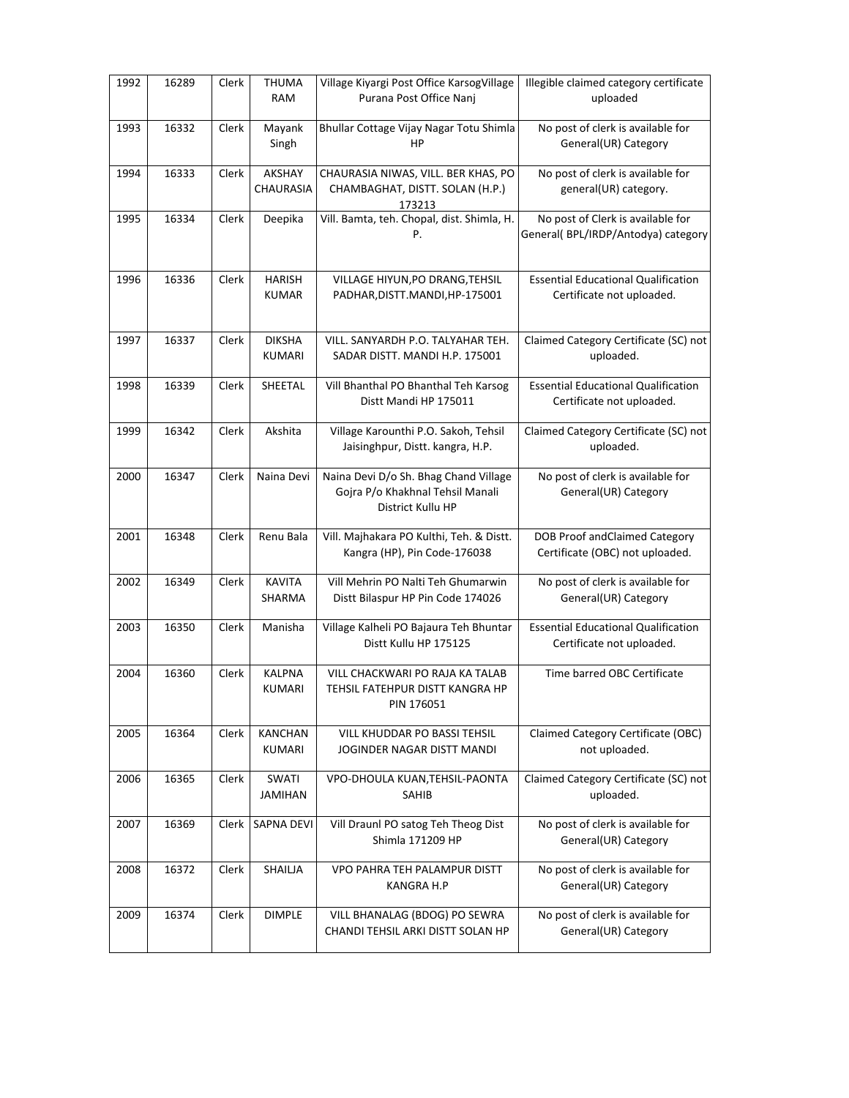| 1992 | 16289 | Clerk | <b>THUMA</b><br>RAM             | Village Kiyargi Post Office KarsogVillage<br>Purana Post Office Nanj                           | Illegible claimed category certificate<br>uploaded                      |
|------|-------|-------|---------------------------------|------------------------------------------------------------------------------------------------|-------------------------------------------------------------------------|
| 1993 | 16332 | Clerk | Mayank<br>Singh                 | Bhullar Cottage Vijay Nagar Totu Shimla<br>HP                                                  | No post of clerk is available for<br>General(UR) Category               |
| 1994 | 16333 | Clerk | AKSHAY<br>CHAURASIA             | CHAURASIA NIWAS, VILL. BER KHAS, PO<br>CHAMBAGHAT, DISTT. SOLAN (H.P.)<br>173213               | No post of clerk is available for<br>general(UR) category.              |
| 1995 | 16334 | Clerk | Deepika                         | Vill. Bamta, teh. Chopal, dist. Shimla, H.<br>Ρ.                                               | No post of Clerk is available for<br>General(BPL/IRDP/Antodya) category |
| 1996 | 16336 | Clerk | <b>HARISH</b><br><b>KUMAR</b>   | VILLAGE HIYUN, PO DRANG, TEHSIL<br>PADHAR, DISTT. MANDI, HP-175001                             | <b>Essential Educational Qualification</b><br>Certificate not uploaded. |
| 1997 | 16337 | Clerk | <b>DIKSHA</b><br><b>KUMARI</b>  | VILL. SANYARDH P.O. TALYAHAR TEH.<br>SADAR DISTT. MANDI H.P. 175001                            | Claimed Category Certificate (SC) not<br>uploaded.                      |
| 1998 | 16339 | Clerk | SHEETAL                         | Vill Bhanthal PO Bhanthal Teh Karsog<br>Distt Mandi HP 175011                                  | <b>Essential Educational Qualification</b><br>Certificate not uploaded. |
| 1999 | 16342 | Clerk | Akshita                         | Village Karounthi P.O. Sakoh, Tehsil<br>Jaisinghpur, Distt. kangra, H.P.                       | Claimed Category Certificate (SC) not<br>uploaded.                      |
| 2000 | 16347 | Clerk | Naina Devi                      | Naina Devi D/o Sh. Bhag Chand Village<br>Gojra P/o Khakhnal Tehsil Manali<br>District Kullu HP | No post of clerk is available for<br>General(UR) Category               |
| 2001 | 16348 | Clerk | Renu Bala                       | Vill. Majhakara PO Kulthi, Teh. & Distt.<br>Kangra (HP), Pin Code-176038                       | DOB Proof andClaimed Category<br>Certificate (OBC) not uploaded.        |
| 2002 | 16349 | Clerk | <b>KAVITA</b><br>SHARMA         | Vill Mehrin PO Nalti Teh Ghumarwin<br>Distt Bilaspur HP Pin Code 174026                        | No post of clerk is available for<br>General(UR) Category               |
| 2003 | 16350 | Clerk | Manisha                         | Village Kalheli PO Bajaura Teh Bhuntar<br>Distt Kullu HP 175125                                | <b>Essential Educational Qualification</b><br>Certificate not uploaded. |
| 2004 | 16360 | Clerk | <b>KALPNA</b><br><b>KUMARI</b>  | VILL CHACKWARI PO RAJA KA TALAB<br>TEHSIL FATEHPUR DISTT KANGRA HP<br>PIN 176051               | Time barred OBC Certificate                                             |
| 2005 | 16364 | Clerk | <b>KANCHAN</b><br><b>KUMARI</b> | VILL KHUDDAR PO BASSI TEHSIL<br>JOGINDER NAGAR DISTT MANDI                                     | Claimed Category Certificate (OBC)<br>not uploaded.                     |
| 2006 | 16365 | Clerk | SWATI<br><b>JAMIHAN</b>         | VPO-DHOULA KUAN, TEHSIL-PAONTA<br>SAHIB                                                        | Claimed Category Certificate (SC) not<br>uploaded.                      |
| 2007 | 16369 | Clerk | SAPNA DEVI                      | Vill Draunl PO satog Teh Theog Dist<br>Shimla 171209 HP                                        | No post of clerk is available for<br>General(UR) Category               |
| 2008 | 16372 | Clerk | SHAILJA                         | VPO PAHRA TEH PALAMPUR DISTT<br>KANGRA H.P                                                     | No post of clerk is available for<br>General(UR) Category               |
| 2009 | 16374 | Clerk | <b>DIMPLE</b>                   | VILL BHANALAG (BDOG) PO SEWRA<br>CHANDI TEHSIL ARKI DISTT SOLAN HP                             | No post of clerk is available for<br>General(UR) Category               |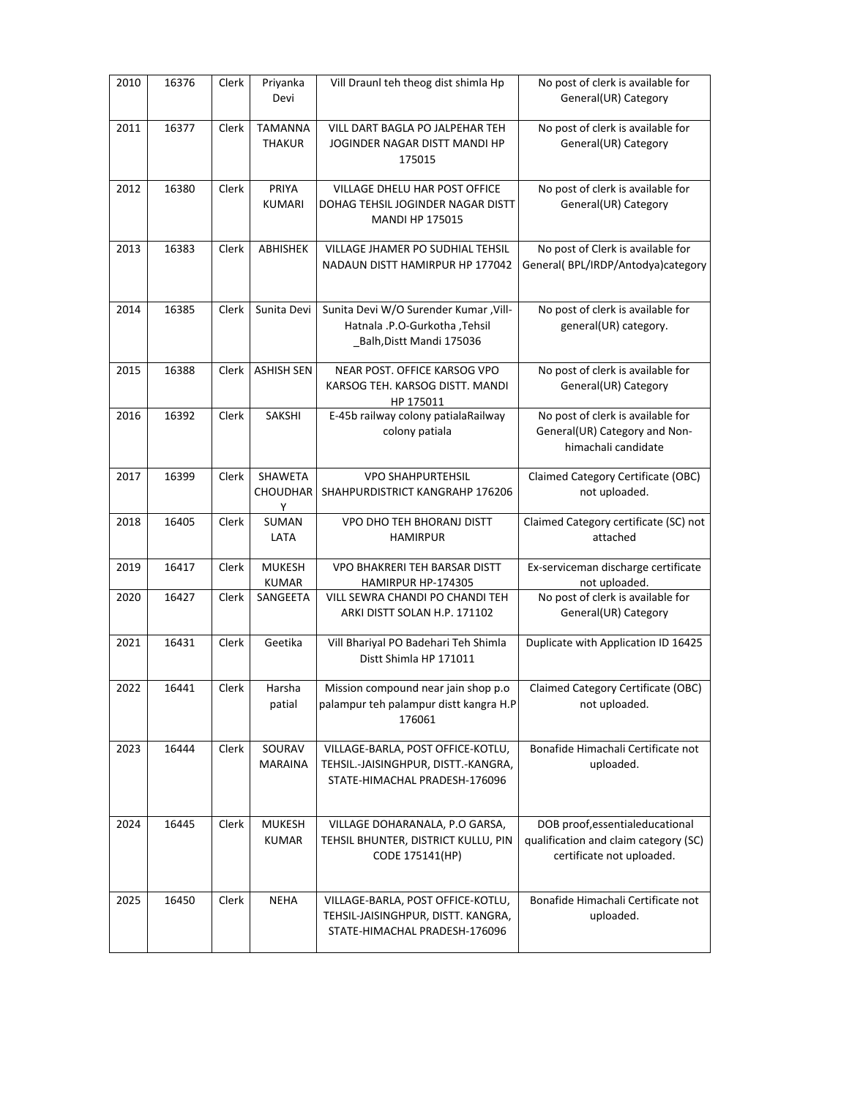| 2010 | 16376 | Clerk | Priyanka<br>Devi                | Vill Draunl teh theog dist shimla Hp                                                                      | No post of clerk is available for<br>General(UR) Category                                             |
|------|-------|-------|---------------------------------|-----------------------------------------------------------------------------------------------------------|-------------------------------------------------------------------------------------------------------|
| 2011 | 16377 | Clerk | <b>TAMANNA</b><br><b>THAKUR</b> | VILL DART BAGLA PO JALPEHAR TEH<br>JOGINDER NAGAR DISTT MANDI HP<br>175015                                | No post of clerk is available for<br>General(UR) Category                                             |
| 2012 | 16380 | Clerk | PRIYA<br><b>KUMARI</b>          | VILLAGE DHELU HAR POST OFFICE<br>DOHAG TEHSIL JOGINDER NAGAR DISTT<br><b>MANDI HP 175015</b>              | No post of clerk is available for<br>General(UR) Category                                             |
| 2013 | 16383 | Clerk | <b>ABHISHEK</b>                 | <b>VILLAGE JHAMER PO SUDHIAL TEHSIL</b><br>NADAUN DISTT HAMIRPUR HP 177042                                | No post of Clerk is available for<br>General( BPL/IRDP/Antodya)category                               |
| 2014 | 16385 | Clerk | Sunita Devi                     | Sunita Devi W/O Surender Kumar , Vill-<br>Hatnala .P.O-Gurkotha ,Tehsil<br>_Balh, Distt Mandi 175036      | No post of clerk is available for<br>general(UR) category.                                            |
| 2015 | 16388 | Clerk | <b>ASHISH SEN</b>               | NEAR POST. OFFICE KARSOG VPO<br>KARSOG TEH. KARSOG DISTT. MANDI<br>HP 175011                              | No post of clerk is available for<br>General(UR) Category                                             |
| 2016 | 16392 | Clerk | SAKSHI                          | E-45b railway colony patialaRailway<br>colony patiala                                                     | No post of clerk is available for<br>General(UR) Category and Non-<br>himachali candidate             |
| 2017 | 16399 | Clerk | SHAWETA<br><b>CHOUDHAR</b><br>Υ | <b>VPO SHAHPURTEHSIL</b><br>SHAHPURDISTRICT KANGRAHP 176206                                               | Claimed Category Certificate (OBC)<br>not uploaded.                                                   |
| 2018 | 16405 | Clerk | SUMAN                           | VPO DHO TEH BHORANJ DISTT                                                                                 | Claimed Category certificate (SC) not                                                                 |
|      |       |       | LATA                            | <b>HAMIRPUR</b>                                                                                           | attached                                                                                              |
| 2019 | 16417 | Clerk | <b>MUKESH</b><br><b>KUMAR</b>   | <b>VPO BHAKRERI TEH BARSAR DISTT</b><br>HAMIRPUR HP-174305                                                | Ex-serviceman discharge certificate<br>not uploaded.                                                  |
| 2020 | 16427 | Clerk | SANGEETA                        | VILL SEWRA CHANDI PO CHANDI TEH<br>ARKI DISTT SOLAN H.P. 171102                                           | No post of clerk is available for<br>General(UR) Category                                             |
| 2021 | 16431 | Clerk | Geetika                         | Vill Bhariyal PO Badehari Teh Shimla<br>Distt Shimla HP 171011                                            | Duplicate with Application ID 16425                                                                   |
| 2022 | 16441 | Clerk | Harsha<br>patial                | Mission compound near jain shop p.o.<br>palampur teh palampur distt kangra H.P<br>176061                  | Claimed Category Certificate (OBC)<br>not uploaded.                                                   |
| 2023 | 16444 | Clerk | SOURAV<br>MARAINA               | VILLAGE-BARLA, POST OFFICE-KOTLU,<br>TEHSIL.-JAISINGHPUR, DISTT.-KANGRA,<br>STATE-HIMACHAL PRADESH-176096 | Bonafide Himachali Certificate not<br>uploaded.                                                       |
| 2024 | 16445 | Clerk | MUKESH<br><b>KUMAR</b>          | VILLAGE DOHARANALA, P.O GARSA,<br>TEHSIL BHUNTER, DISTRICT KULLU, PIN<br>CODE 175141(HP)                  | DOB proof, essentialeducational<br>qualification and claim category (SC)<br>certificate not uploaded. |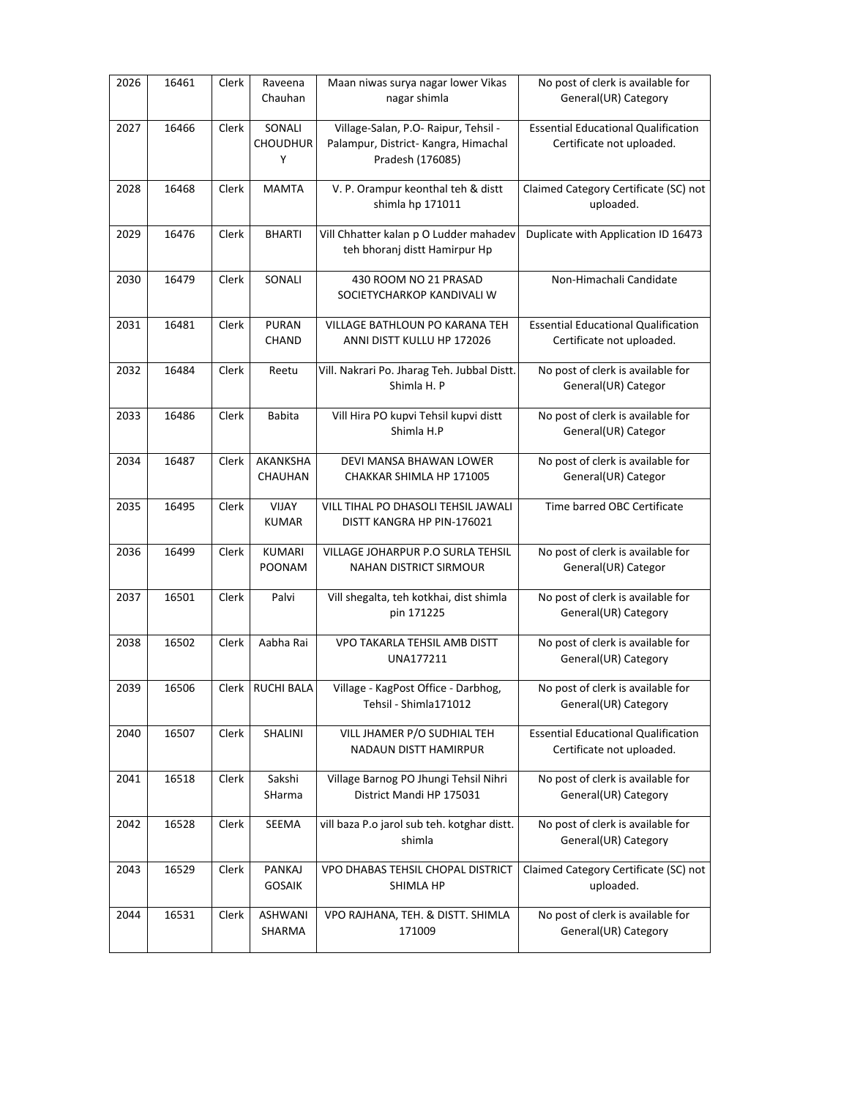| 2026 | 16461 | Clerk | Raveena<br>Chauhan             | Maan niwas surya nagar lower Vikas<br>nagar shimla                                               | No post of clerk is available for<br>General(UR) Category               |
|------|-------|-------|--------------------------------|--------------------------------------------------------------------------------------------------|-------------------------------------------------------------------------|
| 2027 | 16466 | Clerk | SONALI<br><b>CHOUDHUR</b><br>Υ | Village-Salan, P.O- Raipur, Tehsil -<br>Palampur, District- Kangra, Himachal<br>Pradesh (176085) | <b>Essential Educational Qualification</b><br>Certificate not uploaded. |
| 2028 | 16468 | Clerk | <b>MAMTA</b>                   | V. P. Orampur keonthal teh & distt<br>shimla hp 171011                                           | Claimed Category Certificate (SC) not<br>uploaded.                      |
| 2029 | 16476 | Clerk | <b>BHARTI</b>                  | Vill Chhatter kalan p O Ludder mahadev<br>teh bhoranj distt Hamirpur Hp                          | Duplicate with Application ID 16473                                     |
| 2030 | 16479 | Clerk | SONALI                         | 430 ROOM NO 21 PRASAD<br>SOCIETYCHARKOP KANDIVALI W                                              | Non-Himachali Candidate                                                 |
| 2031 | 16481 | Clerk | <b>PURAN</b><br>CHAND          | VILLAGE BATHLOUN PO KARANA TEH<br>ANNI DISTT KULLU HP 172026                                     | <b>Essential Educational Qualification</b><br>Certificate not uploaded. |
| 2032 | 16484 | Clerk | Reetu                          | Vill. Nakrari Po. Jharag Teh. Jubbal Distt.<br>Shimla H. P                                       | No post of clerk is available for<br>General(UR) Categor                |
| 2033 | 16486 | Clerk | <b>Babita</b>                  | Vill Hira PO kupvi Tehsil kupvi distt<br>Shimla H.P                                              | No post of clerk is available for<br>General(UR) Categor                |
| 2034 | 16487 | Clerk | <b>AKANKSHA</b><br>CHAUHAN     | DEVI MANSA BHAWAN LOWER<br>CHAKKAR SHIMLA HP 171005                                              | No post of clerk is available for<br>General(UR) Categor                |
| 2035 | 16495 | Clerk | VIJAY<br><b>KUMAR</b>          | VILL TIHAL PO DHASOLI TEHSIL JAWALI<br>DISTT KANGRA HP PIN-176021                                | Time barred OBC Certificate                                             |
| 2036 | 16499 | Clerk | KUMARI<br><b>POONAM</b>        | VILLAGE JOHARPUR P.O SURLA TEHSIL<br><b>NAHAN DISTRICT SIRMOUR</b>                               | No post of clerk is available for<br>General(UR) Categor                |
| 2037 | 16501 | Clerk | Palvi                          | Vill shegalta, teh kotkhai, dist shimla<br>pin 171225                                            | No post of clerk is available for<br>General(UR) Category               |
| 2038 | 16502 | Clerk | Aabha Rai                      | VPO TAKARLA TEHSIL AMB DISTT<br>UNA177211                                                        | No post of clerk is available for<br>General(UR) Category               |
| 2039 | 16506 |       | Clerk RUCHI BALA               | Village - KagPost Office - Darbhog,<br>Tehsil - Shimla171012                                     | No post of clerk is available for<br>General(UR) Category               |
| 2040 | 16507 | Clerk | SHALINI                        | VILL JHAMER P/O SUDHIAL TEH<br><b>NADAUN DISTT HAMIRPUR</b>                                      | <b>Essential Educational Qualification</b><br>Certificate not uploaded. |
| 2041 | 16518 | Clerk | Sakshi<br>SHarma               | Village Barnog PO Jhungi Tehsil Nihri<br>District Mandi HP 175031                                | No post of clerk is available for<br>General(UR) Category               |
| 2042 | 16528 | Clerk | SEEMA                          | vill baza P.o jarol sub teh. kotghar distt.<br>shimla                                            | No post of clerk is available for<br>General(UR) Category               |
| 2043 | 16529 | Clerk | PANKAJ<br><b>GOSAIK</b>        | VPO DHABAS TEHSIL CHOPAL DISTRICT<br>SHIMLA HP                                                   | Claimed Category Certificate (SC) not<br>uploaded.                      |
| 2044 | 16531 | Clerk | ASHWANI<br>SHARMA              | VPO RAJHANA, TEH. & DISTT. SHIMLA<br>171009                                                      | No post of clerk is available for<br>General(UR) Category               |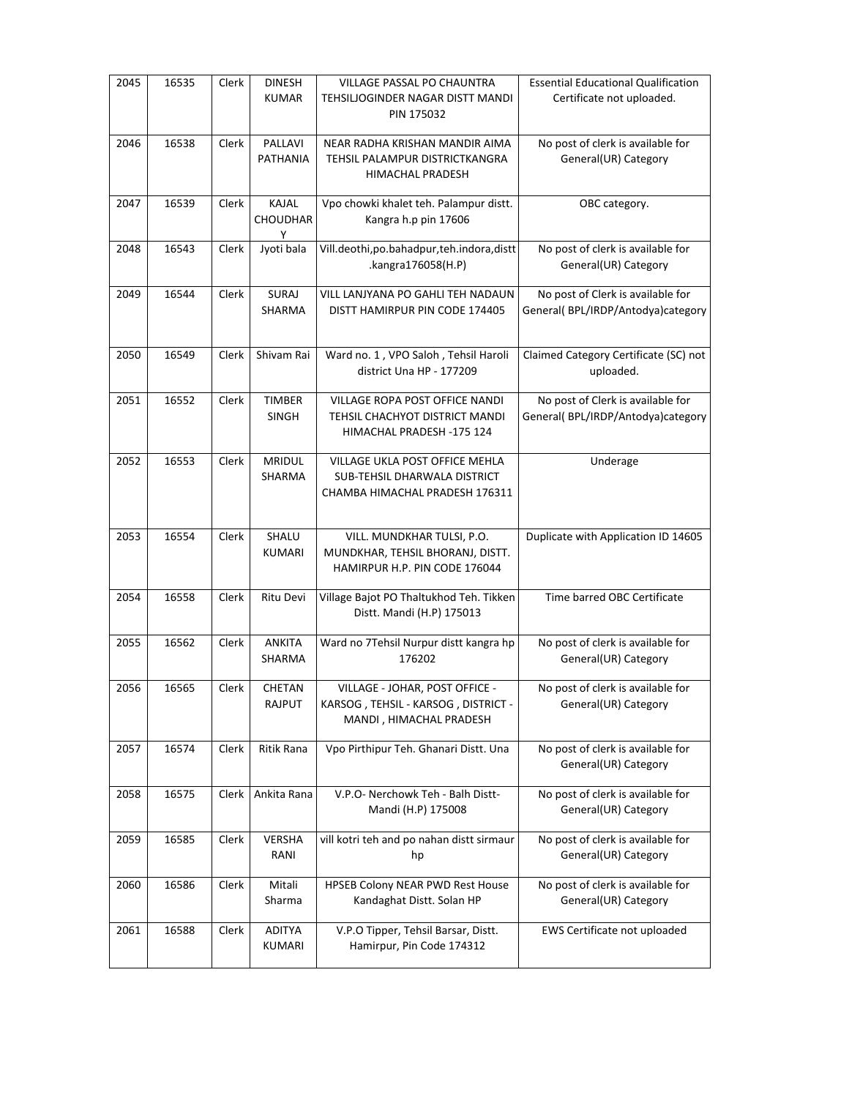| 2045 | 16535 | Clerk | <b>DINESH</b><br><b>KUMAR</b> | VILLAGE PASSAL PO CHAUNTRA<br>TEHSILJOGINDER NAGAR DISTT MANDI<br>PIN 175032                     | <b>Essential Educational Qualification</b><br>Certificate not uploaded. |
|------|-------|-------|-------------------------------|--------------------------------------------------------------------------------------------------|-------------------------------------------------------------------------|
| 2046 | 16538 | Clerk | PALLAVI<br>PATHANIA           | NEAR RADHA KRISHAN MANDIR AIMA<br>TEHSIL PALAMPUR DISTRICTKANGRA<br>HIMACHAL PRADESH             | No post of clerk is available for<br>General(UR) Category               |
| 2047 | 16539 | Clerk | KAJAL<br><b>CHOUDHAR</b><br>Υ | Vpo chowki khalet teh. Palampur distt.<br>Kangra h.p pin 17606                                   | OBC category.                                                           |
| 2048 | 16543 | Clerk | Jyoti bala                    | Vill.deothi, po.bahadpur, teh. indora, distt<br>.kangra176058(H.P)                               | No post of clerk is available for<br>General(UR) Category               |
| 2049 | 16544 | Clerk | <b>SURAJ</b><br>SHARMA        | VILL LANJYANA PO GAHLI TEH NADAUN<br>DISTT HAMIRPUR PIN CODE 174405                              | No post of Clerk is available for<br>General(BPL/IRDP/Antodya)category  |
| 2050 | 16549 | Clerk | Shivam Rai                    | Ward no. 1, VPO Saloh, Tehsil Haroli<br>district Una HP - 177209                                 | Claimed Category Certificate (SC) not<br>uploaded.                      |
| 2051 | 16552 | Clerk | <b>TIMBER</b><br>SINGH        | VILLAGE ROPA POST OFFICE NANDI<br>TEHSIL CHACHYOT DISTRICT MANDI<br>HIMACHAL PRADESH -175 124    | No post of Clerk is available for<br>General( BPL/IRDP/Antodya)category |
| 2052 | 16553 | Clerk | <b>MRIDUL</b><br>SHARMA       | VILLAGE UKLA POST OFFICE MEHLA<br>SUB-TEHSIL DHARWALA DISTRICT<br>CHAMBA HIMACHAL PRADESH 176311 | Underage                                                                |
| 2053 | 16554 | Clerk | SHALU<br><b>KUMARI</b>        | VILL. MUNDKHAR TULSI, P.O.<br>MUNDKHAR, TEHSIL BHORANJ, DISTT.<br>HAMIRPUR H.P. PIN CODE 176044  | Duplicate with Application ID 14605                                     |
| 2054 | 16558 | Clerk | Ritu Devi                     | Village Bajot PO Thaltukhod Teh. Tikken<br>Distt. Mandi (H.P) 175013                             | Time barred OBC Certificate                                             |
| 2055 | 16562 | Clerk | ANKITA<br>SHARMA              | Ward no 7Tehsil Nurpur distt kangra hp<br>176202                                                 | No post of clerk is available for<br>General(UR) Category               |
| 2056 | 16565 | Clerk | <b>CHETAN</b><br>RAJPUT       | VILLAGE - JOHAR, POST OFFICE -<br>KARSOG, TEHSIL - KARSOG, DISTRICT -<br>MANDI, HIMACHAL PRADESH | No post of clerk is available for<br>General(UR) Category               |
| 2057 | 16574 | Clerk | <b>Ritik Rana</b>             | Vpo Pirthipur Teh. Ghanari Distt. Una                                                            | No post of clerk is available for<br>General(UR) Category               |
| 2058 | 16575 | Clerk | Ankita Rana                   | V.P.O- Nerchowk Teh - Balh Distt-<br>Mandi (H.P) 175008                                          | No post of clerk is available for<br>General(UR) Category               |
| 2059 | 16585 | Clerk | <b>VERSHA</b><br>RANI         | vill kotri teh and po nahan distt sirmaur<br>hp                                                  | No post of clerk is available for<br>General(UR) Category               |
| 2060 | 16586 | Clerk | Mitali<br>Sharma              | HPSEB Colony NEAR PWD Rest House<br>Kandaghat Distt. Solan HP                                    | No post of clerk is available for<br>General(UR) Category               |
| 2061 | 16588 | Clerk | ADITYA<br>KUMARI              | V.P.O Tipper, Tehsil Barsar, Distt.<br>Hamirpur, Pin Code 174312                                 | EWS Certificate not uploaded                                            |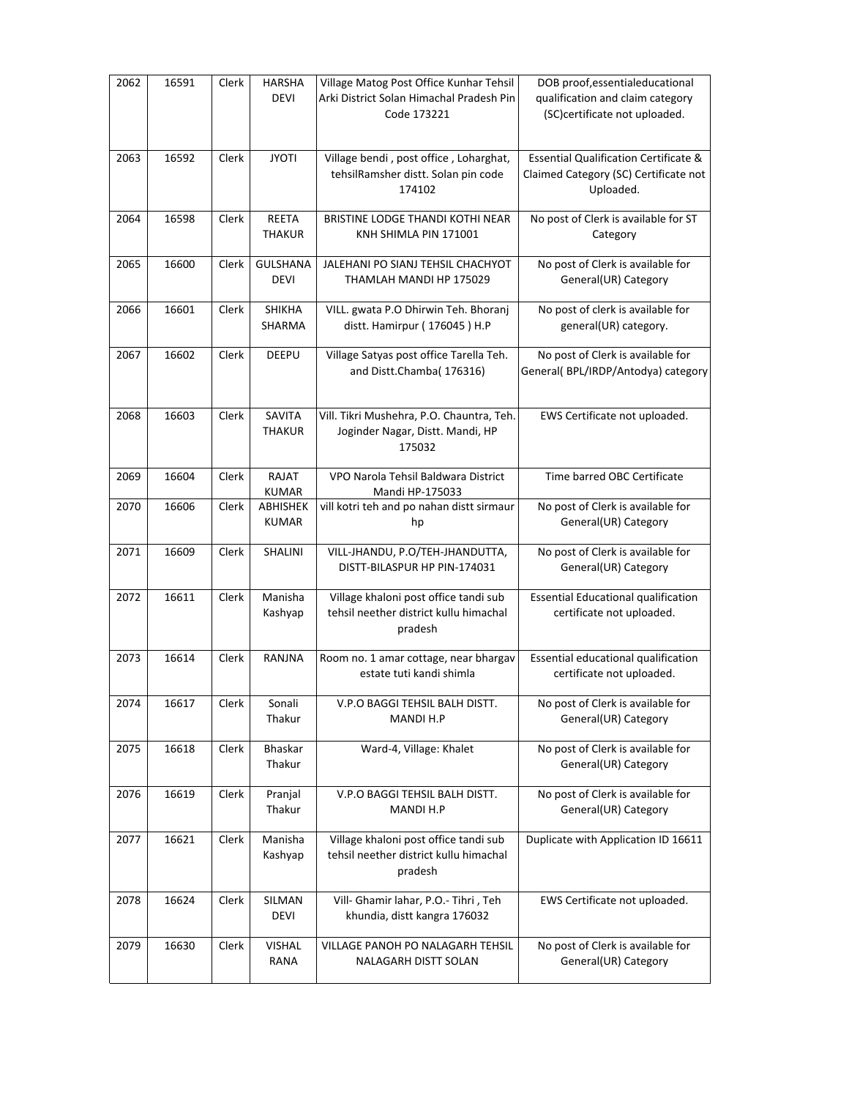| 2062 | 16591 | Clerk | <b>HARSHA</b><br><b>DEVI</b>    | Village Matog Post Office Kunhar Tehsil<br>Arki District Solan Himachal Pradesh Pin<br>Code 173221 | DOB proof, essentialeducational<br>qualification and claim category<br>(SC)certificate not uploaded.   |
|------|-------|-------|---------------------------------|----------------------------------------------------------------------------------------------------|--------------------------------------------------------------------------------------------------------|
| 2063 | 16592 | Clerk | <b>JYOTI</b>                    | Village bendi, post office, Loharghat,<br>tehsilRamsher distt. Solan pin code<br>174102            | <b>Essential Qualification Certificate &amp;</b><br>Claimed Category (SC) Certificate not<br>Uploaded. |
| 2064 | 16598 | Clerk | <b>REETA</b><br><b>THAKUR</b>   | BRISTINE LODGE THANDI KOTHI NEAR<br>KNH SHIMLA PIN 171001                                          | No post of Clerk is available for ST<br>Category                                                       |
| 2065 | 16600 | Clerk | <b>GULSHANA</b><br><b>DEVI</b>  | JALEHANI PO SIANJ TEHSIL CHACHYOT<br>THAMLAH MANDI HP 175029                                       | No post of Clerk is available for<br>General(UR) Category                                              |
| 2066 | 16601 | Clerk | <b>SHIKHA</b><br>SHARMA         | VILL. gwata P.O Dhirwin Teh. Bhoranj<br>distt. Hamirpur (176045) H.P                               | No post of clerk is available for<br>general(UR) category.                                             |
| 2067 | 16602 | Clerk | DEEPU                           | Village Satyas post office Tarella Teh.<br>and Distt.Chamba(176316)                                | No post of Clerk is available for<br>General( BPL/IRDP/Antodya) category                               |
| 2068 | 16603 | Clerk | SAVITA<br><b>THAKUR</b>         | Vill. Tikri Mushehra, P.O. Chauntra, Teh.<br>Joginder Nagar, Distt. Mandi, HP<br>175032            | EWS Certificate not uploaded.                                                                          |
| 2069 | 16604 | Clerk | RAJAT<br><b>KUMAR</b>           | VPO Narola Tehsil Baldwara District<br>Mandi HP-175033                                             | Time barred OBC Certificate                                                                            |
| 2070 | 16606 | Clerk | <b>ABHISHEK</b><br><b>KUMAR</b> | vill kotri teh and po nahan distt sirmaur<br>hp                                                    | No post of Clerk is available for<br>General(UR) Category                                              |
| 2071 | 16609 | Clerk | SHALINI                         | VILL-JHANDU, P.O/TEH-JHANDUTTA,<br>DISTT-BILASPUR HP PIN-174031                                    | No post of Clerk is available for<br>General(UR) Category                                              |
| 2072 | 16611 | Clerk | Manisha<br>Kashyap              | Village khaloni post office tandi sub<br>tehsil neether district kullu himachal<br>pradesh         | <b>Essential Educational qualification</b><br>certificate not uploaded.                                |
| 2073 | 16614 | Clerk | RANJNA                          | Room no. 1 amar cottage, near bhargav<br>estate tuti kandi shimla                                  | Essential educational qualification<br>certificate not uploaded.                                       |
| 2074 | 16617 | Clerk | Sonali<br>Thakur                | V.P.O BAGGI TEHSIL BALH DISTT.<br>MANDI H.P                                                        | No post of Clerk is available for<br>General(UR) Category                                              |
| 2075 | 16618 | Clerk | Bhaskar<br>Thakur               | Ward-4, Village: Khalet                                                                            | No post of Clerk is available for<br>General(UR) Category                                              |
| 2076 | 16619 | Clerk | Pranjal<br>Thakur               | V.P.O BAGGI TEHSIL BALH DISTT.<br>MANDI H.P                                                        | No post of Clerk is available for<br>General(UR) Category                                              |
| 2077 | 16621 | Clerk | Manisha<br>Kashyap              | Village khaloni post office tandi sub<br>tehsil neether district kullu himachal<br>pradesh         | Duplicate with Application ID 16611                                                                    |
| 2078 | 16624 | Clerk | SILMAN<br><b>DEVI</b>           | Vill- Ghamir lahar, P.O.- Tihri, Teh<br>khundia, distt kangra 176032                               | EWS Certificate not uploaded.                                                                          |
| 2079 | 16630 | Clerk | <b>VISHAL</b><br>RANA           | VILLAGE PANOH PO NALAGARH TEHSIL<br>NALAGARH DISTT SOLAN                                           | No post of Clerk is available for<br>General(UR) Category                                              |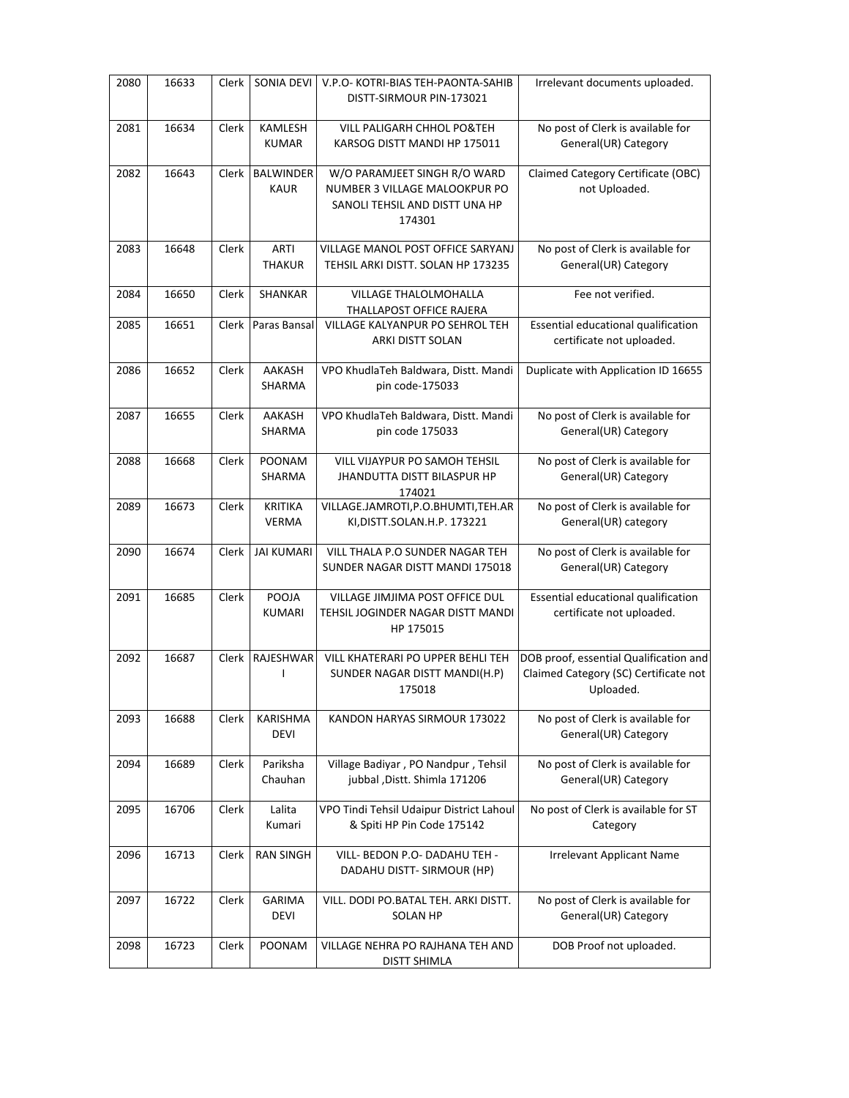| 2080 | 16633 | Clerk | SONIA DEVI                      | V.P.O- KOTRI-BIAS TEH-PAONTA-SAHIB<br>DISTT-SIRMOUR PIN-173021                                            | Irrelevant documents uploaded.                                                               |
|------|-------|-------|---------------------------------|-----------------------------------------------------------------------------------------------------------|----------------------------------------------------------------------------------------------|
| 2081 | 16634 | Clerk | KAMLESH<br><b>KUMAR</b>         | VILL PALIGARH CHHOL PO&TEH<br>KARSOG DISTT MANDI HP 175011                                                | No post of Clerk is available for<br>General(UR) Category                                    |
| 2082 | 16643 | Clerk | <b>BALWINDER</b><br><b>KAUR</b> | W/O PARAMJEET SINGH R/O WARD<br>NUMBER 3 VILLAGE MALOOKPUR PO<br>SANOLI TEHSIL AND DISTT UNA HP<br>174301 | Claimed Category Certificate (OBC)<br>not Uploaded.                                          |
| 2083 | 16648 | Clerk | ARTI<br><b>THAKUR</b>           | VILLAGE MANOL POST OFFICE SARYANJ<br>TEHSIL ARKI DISTT. SOLAN HP 173235                                   | No post of Clerk is available for<br>General(UR) Category                                    |
| 2084 | 16650 | Clerk | SHANKAR                         | VILLAGE THALOLMOHALLA<br>THALLAPOST OFFICE RAJERA                                                         | Fee not verified.                                                                            |
| 2085 | 16651 | Clerk | Paras Bansal                    | VILLAGE KALYANPUR PO SEHROL TEH<br>ARKI DISTT SOLAN                                                       | Essential educational qualification<br>certificate not uploaded.                             |
| 2086 | 16652 | Clerk | AAKASH<br>SHARMA                | VPO KhudlaTeh Baldwara, Distt. Mandi<br>pin code-175033                                                   | Duplicate with Application ID 16655                                                          |
| 2087 | 16655 | Clerk | AAKASH<br>SHARMA                | VPO KhudlaTeh Baldwara, Distt. Mandi<br>pin code 175033                                                   | No post of Clerk is available for<br>General(UR) Category                                    |
| 2088 | 16668 | Clerk | <b>POONAM</b><br>SHARMA         | VILL VIJAYPUR PO SAMOH TEHSIL<br><b>JHANDUTTA DISTT BILASPUR HP</b><br>174021                             | No post of Clerk is available for<br>General(UR) Category                                    |
| 2089 | 16673 | Clerk | <b>KRITIKA</b><br><b>VERMA</b>  | VILLAGE.JAMROTI, P.O.BHUMTI, TEH.AR<br>KI, DISTT. SOLAN.H.P. 173221                                       | No post of Clerk is available for<br>General(UR) category                                    |
| 2090 | 16674 | Clerk | <b>JAI KUMARI</b>               | VILL THALA P.O SUNDER NAGAR TEH<br>SUNDER NAGAR DISTT MANDI 175018                                        | No post of Clerk is available for<br>General(UR) Category                                    |
| 2091 | 16685 | Clerk | POOJA<br><b>KUMARI</b>          | VILLAGE JIMJIMA POST OFFICE DUL<br>TEHSIL JOGINDER NAGAR DISTT MANDI<br>HP 175015                         | Essential educational qualification<br>certificate not uploaded.                             |
| 2092 | 16687 | Clerk | RAJESHWAR<br>L                  | VILL KHATERARI PO UPPER BEHLI TEH<br>SUNDER NAGAR DISTT MANDI(H.P)<br>175018                              | DOB proof, essential Qualification and<br>Claimed Category (SC) Certificate not<br>Uploaded. |
| 2093 | 16688 | Clerk | KARISHMA<br><b>DEVI</b>         | KANDON HARYAS SIRMOUR 173022                                                                              | No post of Clerk is available for<br>General(UR) Category                                    |
| 2094 | 16689 | Clerk | Pariksha<br>Chauhan             | Village Badiyar, PO Nandpur, Tehsil<br>jubbal, Distt. Shimla 171206                                       | No post of Clerk is available for<br>General(UR) Category                                    |
| 2095 | 16706 | Clerk | Lalita<br>Kumari                | VPO Tindi Tehsil Udaipur District Lahoul<br>& Spiti HP Pin Code 175142                                    | No post of Clerk is available for ST<br>Category                                             |
| 2096 | 16713 | Clerk | <b>RAN SINGH</b>                | VILL- BEDON P.O- DADAHU TEH -<br>DADAHU DISTT- SIRMOUR (HP)                                               | <b>Irrelevant Applicant Name</b>                                                             |
| 2097 | 16722 | Clerk | GARIMA<br><b>DEVI</b>           | VILL. DODI PO.BATAL TEH. ARKI DISTT.<br>SOLAN HP                                                          | No post of Clerk is available for<br>General(UR) Category                                    |
| 2098 | 16723 | Clerk | <b>POONAM</b>                   | VILLAGE NEHRA PO RAJHANA TEH AND<br><b>DISTT SHIMLA</b>                                                   | DOB Proof not uploaded.                                                                      |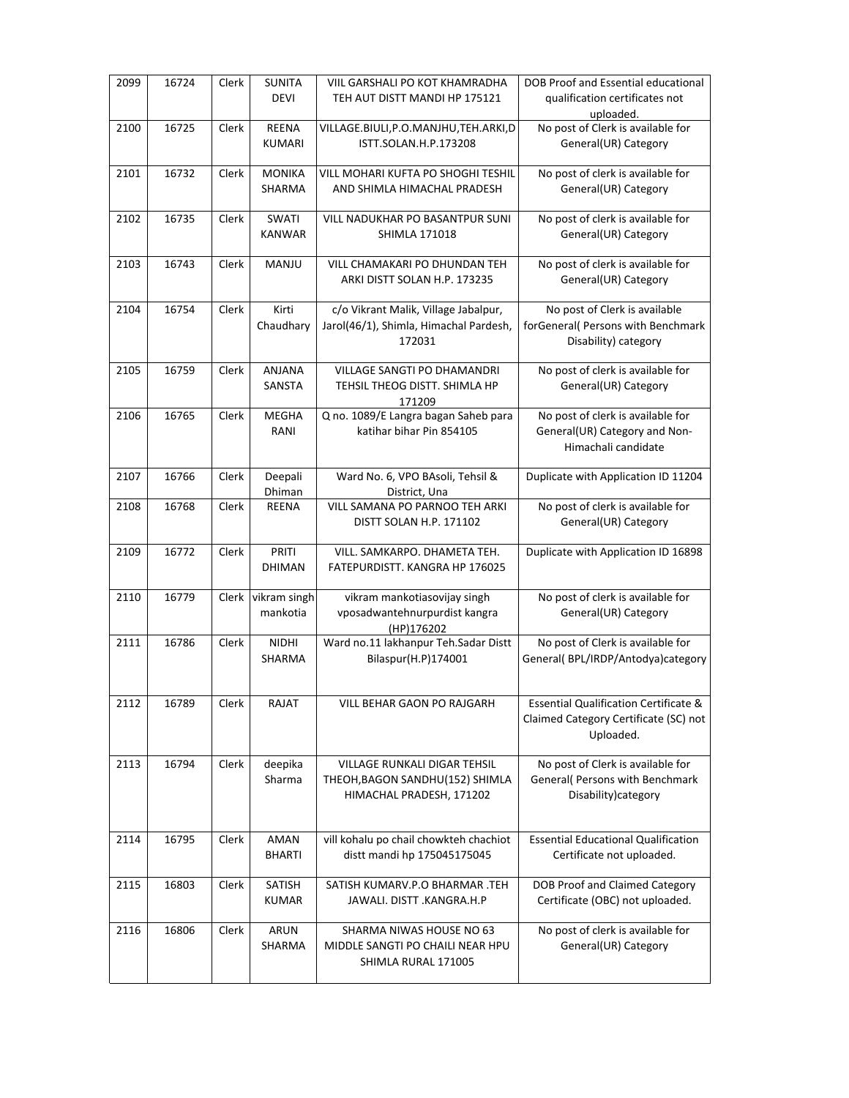| 2099 | 16724 | Clerk | <b>SUNITA</b><br><b>DEVI</b>  | VIIL GARSHALI PO KOT KHAMRADHA<br>TEH AUT DISTT MANDI HP 175121                             | DOB Proof and Essential educational<br>qualification certificates not                                  |
|------|-------|-------|-------------------------------|---------------------------------------------------------------------------------------------|--------------------------------------------------------------------------------------------------------|
| 2100 | 16725 | Clerk | REENA<br><b>KUMARI</b>        | VILLAGE.BIULI, P.O.MANJHU, TEH.ARKI, D<br>ISTT.SOLAN.H.P.173208                             | uploaded.<br>No post of Clerk is available for<br>General(UR) Category                                 |
| 2101 | 16732 | Clerk | <b>MONIKA</b><br>SHARMA       | VILL MOHARI KUFTA PO SHOGHI TESHIL<br>AND SHIMLA HIMACHAL PRADESH                           | No post of clerk is available for<br>General(UR) Category                                              |
| 2102 | 16735 | Clerk | SWATI<br><b>KANWAR</b>        | VILL NADUKHAR PO BASANTPUR SUNI<br><b>SHIMLA 171018</b>                                     | No post of clerk is available for<br>General(UR) Category                                              |
| 2103 | 16743 | Clerk | MANJU                         | VILL CHAMAKARI PO DHUNDAN TEH<br>ARKI DISTT SOLAN H.P. 173235                               | No post of clerk is available for<br>General(UR) Category                                              |
| 2104 | 16754 | Clerk | Kirti<br>Chaudhary            | c/o Vikrant Malik, Village Jabalpur,<br>Jarol(46/1), Shimla, Himachal Pardesh,<br>172031    | No post of Clerk is available<br>forGeneral( Persons with Benchmark<br>Disability) category            |
| 2105 | 16759 | Clerk | ANJANA<br>SANSTA              | <b>VILLAGE SANGTI PO DHAMANDRI</b><br>TEHSIL THEOG DISTT. SHIMLA HP<br>171209               | No post of clerk is available for<br>General(UR) Category                                              |
| 2106 | 16765 | Clerk | <b>MEGHA</b><br>RANI          | Q no. 1089/E Langra bagan Saheb para<br>katihar bihar Pin 854105                            | No post of clerk is available for<br>General(UR) Category and Non-<br>Himachali candidate              |
| 2107 | 16766 | Clerk | Deepali<br>Dhiman             | Ward No. 6, VPO BAsoli, Tehsil &<br>District, Una                                           | Duplicate with Application ID 11204                                                                    |
| 2108 | 16768 | Clerk | REENA                         | VILL SAMANA PO PARNOO TEH ARKI<br>DISTT SOLAN H.P. 171102                                   | No post of clerk is available for<br>General(UR) Category                                              |
| 2109 | 16772 | Clerk | PRITI<br><b>DHIMAN</b>        | VILL. SAMKARPO. DHAMETA TEH.<br>FATEPURDISTT. KANGRA HP 176025                              | Duplicate with Application ID 16898                                                                    |
| 2110 | 16779 | Clerk | vikram singh<br>mankotia      | vikram mankotiasovijay singh<br>vposadwantehnurpurdist kangra<br>(HP)176202                 | No post of clerk is available for<br>General(UR) Category                                              |
| 2111 | 16786 | Clerk | <b>NIDHI</b><br><b>SHARMA</b> | Ward no.11 lakhanpur Teh.Sadar Distt<br>Bilaspur(H.P)174001                                 | No post of Clerk is available for<br>General( BPL/IRDP/Antodya)category                                |
| 2112 | 16789 | Clerk | RAJAT                         | VILL BEHAR GAON PO RAJGARH                                                                  | <b>Essential Qualification Certificate &amp;</b><br>Claimed Category Certificate (SC) not<br>Uploaded. |
| 2113 | 16794 | Clerk | deepika<br>Sharma             | VILLAGE RUNKALI DIGAR TEHSIL<br>THEOH, BAGON SANDHU(152) SHIMLA<br>HIMACHAL PRADESH, 171202 | No post of Clerk is available for<br>General( Persons with Benchmark<br>Disability) category           |
| 2114 | 16795 | Clerk | AMAN<br><b>BHARTI</b>         | vill kohalu po chail chowkteh chachiot<br>distt mandi hp 175045175045                       | <b>Essential Educational Qualification</b><br>Certificate not uploaded.                                |
| 2115 | 16803 | Clerk | SATISH<br><b>KUMAR</b>        | SATISH KUMARV.P.O BHARMAR .TEH<br>JAWALI. DISTT .KANGRA.H.P                                 | DOB Proof and Claimed Category<br>Certificate (OBC) not uploaded.                                      |
| 2116 | 16806 | Clerk | ARUN<br>SHARMA                | SHARMA NIWAS HOUSE NO 63<br>MIDDLE SANGTI PO CHAILI NEAR HPU<br>SHIMLA RURAL 171005         | No post of clerk is available for<br>General(UR) Category                                              |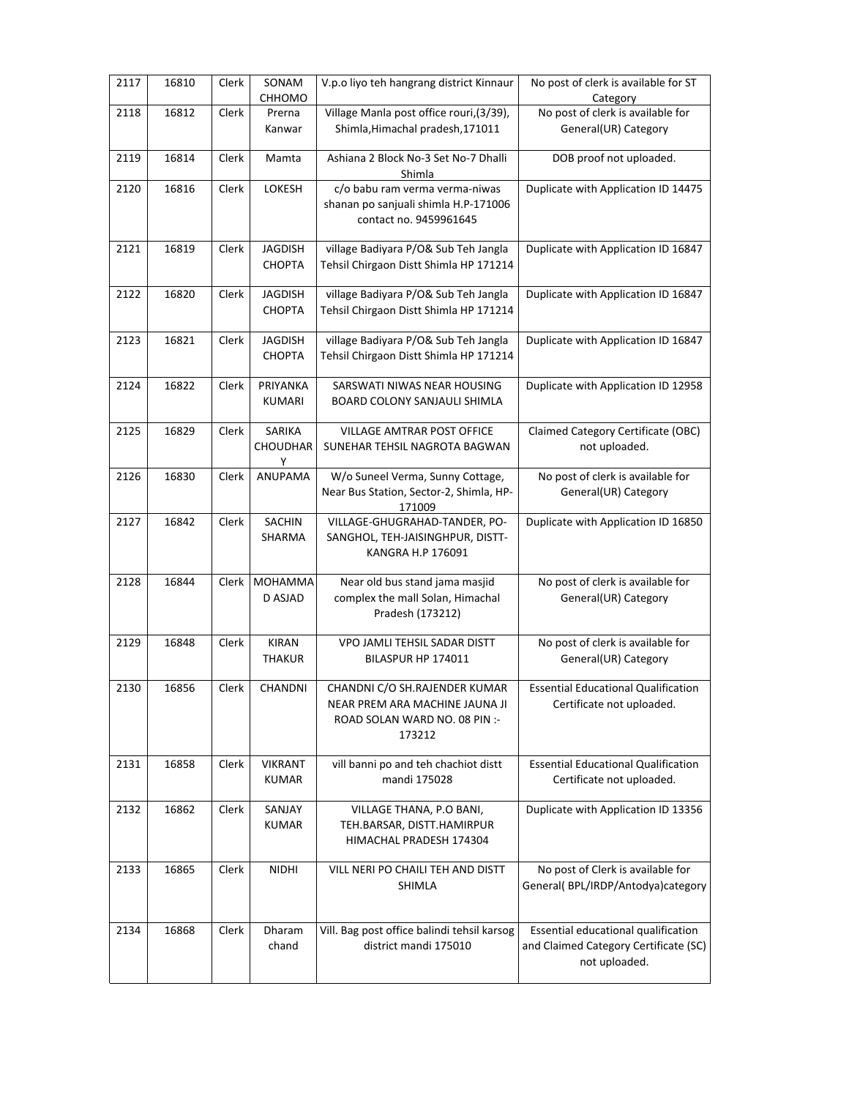| 2117 | 16810 | Clerk        | SONAM<br>CHHOMO                 | V.p.o liyo teh hangrang district Kinnaur                                                                   | No post of clerk is available for ST<br>Category                                              |
|------|-------|--------------|---------------------------------|------------------------------------------------------------------------------------------------------------|-----------------------------------------------------------------------------------------------|
| 2118 | 16812 | Clerk        | Prerna<br>Kanwar                | Village Manla post office rouri, (3/39),<br>Shimla, Himachal pradesh, 171011                               | No post of clerk is available for<br>General(UR) Category                                     |
| 2119 | 16814 | Clerk        | Mamta                           | Ashiana 2 Block No-3 Set No-7 Dhalli<br>Shimla                                                             | DOB proof not uploaded.                                                                       |
| 2120 | 16816 | Clerk        | LOKESH                          | c/o babu ram verma verma-niwas<br>shanan po sanjuali shimla H.P-171006<br>contact no. 9459961645           | Duplicate with Application ID 14475                                                           |
| 2121 | 16819 | Clerk        | <b>JAGDISH</b><br><b>CHOPTA</b> | village Badiyara P/O& Sub Teh Jangla<br>Tehsil Chirgaon Distt Shimla HP 171214                             | Duplicate with Application ID 16847                                                           |
| 2122 | 16820 | Clerk        | <b>JAGDISH</b><br><b>CHOPTA</b> | village Badiyara P/O& Sub Teh Jangla<br>Tehsil Chirgaon Distt Shimla HP 171214                             | Duplicate with Application ID 16847                                                           |
| 2123 | 16821 | Clerk        | <b>JAGDISH</b><br><b>CHOPTA</b> | village Badiyara P/O& Sub Teh Jangla<br>Tehsil Chirgaon Distt Shimla HP 171214                             | Duplicate with Application ID 16847                                                           |
| 2124 | 16822 | Clerk        | PRIYANKA<br><b>KUMARI</b>       | SARSWATI NIWAS NEAR HOUSING<br>BOARD COLONY SANJAULI SHIMLA                                                | Duplicate with Application ID 12958                                                           |
| 2125 | 16829 | Clerk        | SARIKA<br>CHOUDHAR<br>Y         | VILLAGE AMTRAR POST OFFICE<br>SUNEHAR TEHSIL NAGROTA BAGWAN                                                | Claimed Category Certificate (OBC)<br>not uploaded.                                           |
| 2126 | 16830 | Clerk        | ANUPAMA                         | W/o Suneel Verma, Sunny Cottage,<br>Near Bus Station, Sector-2, Shimla, HP-<br>171009                      | No post of clerk is available for<br>General(UR) Category                                     |
| 2127 | 16842 | Clerk        | <b>SACHIN</b><br>SHARMA         | VILLAGE-GHUGRAHAD-TANDER, PO-<br>SANGHOL, TEH-JAISINGHPUR, DISTT-<br>KANGRA H.P 176091                     | Duplicate with Application ID 16850                                                           |
| 2128 | 16844 | Clerk        | <b>MOHAMMA</b><br>D ASJAD       | Near old bus stand jama masjid<br>complex the mall Solan, Himachal<br>Pradesh (173212)                     | No post of clerk is available for<br>General(UR) Category                                     |
| 2129 | 16848 | Clerk        | <b>KIRAN</b><br><b>THAKUR</b>   | VPO JAMLI TEHSIL SADAR DISTT<br>BILASPUR HP 174011                                                         | No post of clerk is available for<br>General(UR) Category                                     |
| 2130 | 16856 | Clerk        | CHANDNI                         | CHANDNI C/O SH.RAJENDER KUMAR<br>NEAR PREM ARA MACHINE JAUNA JI<br>ROAD SOLAN WARD NO. 08 PIN :-<br>173212 | <b>Essential Educational Qualification</b><br>Certificate not uploaded.                       |
| 2131 | 16858 | Clerk        | <b>VIKRANT</b><br><b>KUMAR</b>  | vill banni po and teh chachiot distt<br>mandi 175028                                                       | <b>Essential Educational Qualification</b><br>Certificate not uploaded.                       |
| 2132 | 16862 | Clerk        | SANJAY<br><b>KUMAR</b>          | VILLAGE THANA, P.O BANI,<br>TEH.BARSAR, DISTT.HAMIRPUR<br>HIMACHAL PRADESH 174304                          | Duplicate with Application ID 13356                                                           |
| 2133 | 16865 | <b>Clerk</b> | <b>NIDHI</b>                    | VILL NERI PO CHAILI TEH AND DISTT<br><b>SHIMLA</b>                                                         | No post of Clerk is available for<br>General(BPL/IRDP/Antodya)category                        |
| 2134 | 16868 | Clerk        | Dharam<br>chand                 | Vill. Bag post office balindi tehsil karsog<br>district mandi 175010                                       | Essential educational qualification<br>and Claimed Category Certificate (SC)<br>not uploaded. |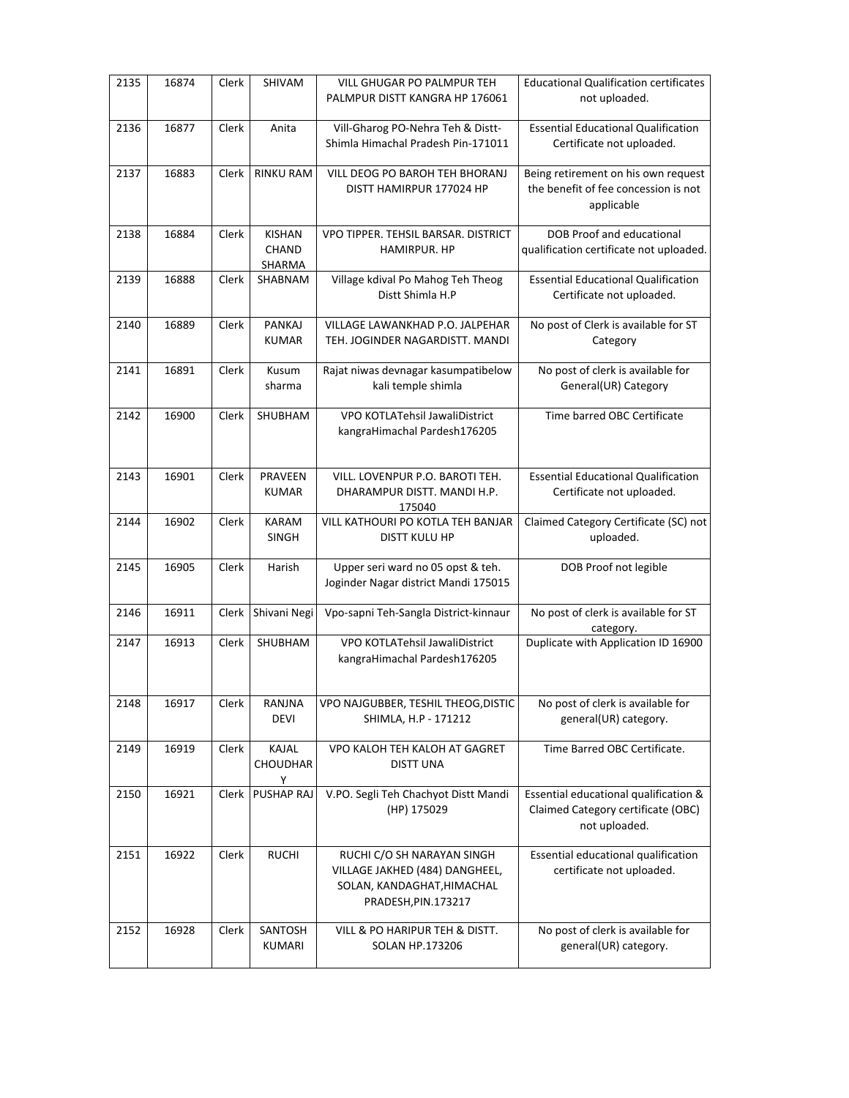| 2135 | 16874 | Clerk        | SHIVAM                                  | <b>VILL GHUGAR PO PALMPUR TEH</b><br>PALMPUR DISTT KANGRA HP 176061                                               | <b>Educational Qualification certificates</b><br>not uploaded.                               |
|------|-------|--------------|-----------------------------------------|-------------------------------------------------------------------------------------------------------------------|----------------------------------------------------------------------------------------------|
| 2136 | 16877 | Clerk        | Anita                                   | Vill-Gharog PO-Nehra Teh & Distt-<br>Shimla Himachal Pradesh Pin-171011                                           | <b>Essential Educational Qualification</b><br>Certificate not uploaded.                      |
| 2137 | 16883 | Clerk        | <b>RINKU RAM</b>                        | VILL DEOG PO BAROH TEH BHORANJ<br>DISTT HAMIRPUR 177024 HP                                                        | Being retirement on his own request<br>the benefit of fee concession is not<br>applicable    |
| 2138 | 16884 | <b>Clerk</b> | <b>KISHAN</b><br><b>CHAND</b><br>SHARMA | VPO TIPPER. TEHSIL BARSAR. DISTRICT<br><b>HAMIRPUR, HP</b>                                                        | DOB Proof and educational<br>qualification certificate not uploaded.                         |
| 2139 | 16888 | Clerk        | SHABNAM                                 | Village kdival Po Mahog Teh Theog<br>Distt Shimla H.P                                                             | <b>Essential Educational Qualification</b><br>Certificate not uploaded.                      |
| 2140 | 16889 | Clerk        | <b>PANKAJ</b><br><b>KUMAR</b>           | VILLAGE LAWANKHAD P.O. JALPEHAR<br>TEH. JOGINDER NAGARDISTT. MANDI                                                | No post of Clerk is available for ST<br>Category                                             |
| 2141 | 16891 | Clerk        | Kusum<br>sharma                         | Rajat niwas devnagar kasumpatibelow<br>kali temple shimla                                                         | No post of clerk is available for<br>General(UR) Category                                    |
| 2142 | 16900 | Clerk        | SHUBHAM                                 | VPO KOTLATehsil JawaliDistrict<br>kangraHimachal Pardesh176205                                                    | Time barred OBC Certificate                                                                  |
| 2143 | 16901 | Clerk        | PRAVEEN<br><b>KUMAR</b>                 | VILL. LOVENPUR P.O. BAROTI TEH.<br>DHARAMPUR DISTT. MANDI H.P.<br>175040                                          | <b>Essential Educational Qualification</b><br>Certificate not uploaded.                      |
| 2144 | 16902 | Clerk        | <b>KARAM</b><br>SINGH                   | VILL KATHOURI PO KOTLA TEH BANJAR<br><b>DISTT KULU HP</b>                                                         | Claimed Category Certificate (SC) not<br>uploaded.                                           |
| 2145 | 16905 | Clerk        | Harish                                  | Upper seri ward no 05 opst & teh.<br>Joginder Nagar district Mandi 175015                                         | DOB Proof not legible                                                                        |
| 2146 | 16911 | Clerk        | Shivani Negi                            | Vpo-sapni Teh-Sangla District-kinnaur                                                                             | No post of clerk is available for ST<br>category.                                            |
| 2147 | 16913 | Clerk        | SHUBHAM                                 | VPO KOTLATehsil JawaliDistrict<br>kangraHimachal Pardesh176205                                                    | Duplicate with Application ID 16900                                                          |
| 2148 | 16917 | Clerk        | RANJNA<br><b>DEVI</b>                   | VPO NAJGUBBER, TESHIL THEOG, DISTIC<br>SHIMLA, H.P - 171212                                                       | No post of clerk is available for<br>general(UR) category.                                   |
| 2149 | 16919 | Clerk        | <b>KAJAL</b><br><b>CHOUDHAR</b><br>Y    | VPO KALOH TEH KALOH AT GAGRET<br><b>DISTT UNA</b>                                                                 | Time Barred OBC Certificate.                                                                 |
| 2150 | 16921 | Clerk        | PUSHAP RAJ                              | V.PO. Segli Teh Chachyot Distt Mandi<br>(HP) 175029                                                               | Essential educational qualification &<br>Claimed Category certificate (OBC)<br>not uploaded. |
| 2151 | 16922 | Clerk        | <b>RUCHI</b>                            | RUCHI C/O SH NARAYAN SINGH<br>VILLAGE JAKHED (484) DANGHEEL,<br>SOLAN, KANDAGHAT, HIMACHAL<br>PRADESH, PIN.173217 | Essential educational qualification<br>certificate not uploaded.                             |
| 2152 | 16928 | Clerk        | SANTOSH<br>KUMARI                       | VILL & PO HARIPUR TEH & DISTT.<br>SOLAN HP.173206                                                                 | No post of clerk is available for<br>general(UR) category.                                   |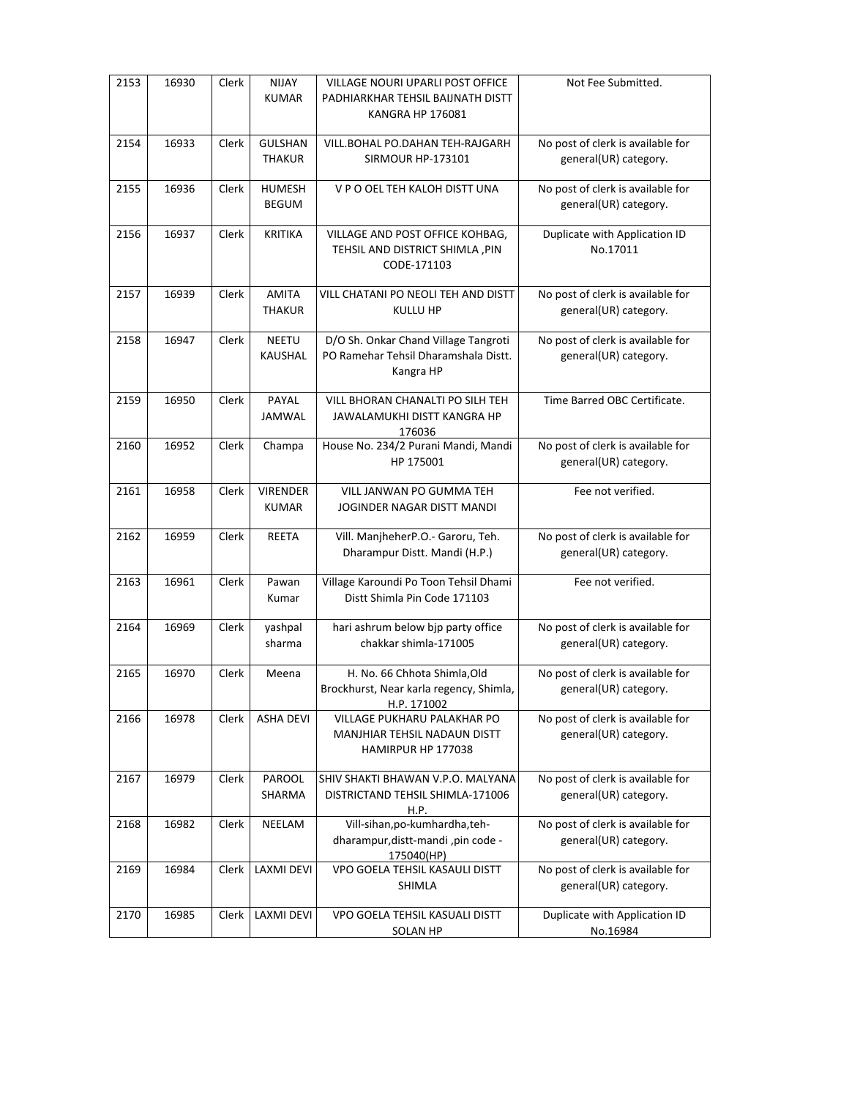| 2153 | 16930 | <b>Clerk</b> | <b>NIJAY</b><br><b>KUMAR</b>    | VILLAGE NOURI UPARLI POST OFFICE<br>PADHIARKHAR TEHSIL BAIJNATH DISTT<br><b>KANGRA HP 176081</b> | Not Fee Submitted.                                         |
|------|-------|--------------|---------------------------------|--------------------------------------------------------------------------------------------------|------------------------------------------------------------|
| 2154 | 16933 | Clerk        | <b>GULSHAN</b><br><b>THAKUR</b> | VILL.BOHAL PO.DAHAN TEH-RAJGARH<br><b>SIRMOUR HP-173101</b>                                      | No post of clerk is available for<br>general(UR) category. |
| 2155 | 16936 | Clerk        | HUMESH<br><b>BEGUM</b>          | V P O OEL TEH KALOH DISTT UNA                                                                    | No post of clerk is available for<br>general(UR) category. |
| 2156 | 16937 | Clerk        | <b>KRITIKA</b>                  | VILLAGE AND POST OFFICE KOHBAG,<br>TEHSIL AND DISTRICT SHIMLA , PIN<br>CODE-171103               | Duplicate with Application ID<br>No.17011                  |
| 2157 | 16939 | Clerk        | <b>AMITA</b><br><b>THAKUR</b>   | VILL CHATANI PO NEOLI TEH AND DISTT<br><b>KULLU HP</b>                                           | No post of clerk is available for<br>general(UR) category. |
| 2158 | 16947 | Clerk        | <b>NEETU</b><br>KAUSHAL         | D/O Sh. Onkar Chand Village Tangroti<br>PO Ramehar Tehsil Dharamshala Distt.<br>Kangra HP        | No post of clerk is available for<br>general(UR) category. |
| 2159 | 16950 | Clerk        | PAYAL<br>JAMWAL                 | VILL BHORAN CHANALTI PO SILH TEH<br>JAWALAMUKHI DISTT KANGRA HP<br>176036                        | Time Barred OBC Certificate.                               |
| 2160 | 16952 | Clerk        | Champa                          | House No. 234/2 Purani Mandi, Mandi<br>HP 175001                                                 | No post of clerk is available for<br>general(UR) category. |
| 2161 | 16958 | Clerk        | <b>VIRENDER</b><br><b>KUMAR</b> | VILL JANWAN PO GUMMA TEH<br>JOGINDER NAGAR DISTT MANDI                                           | Fee not verified.                                          |
| 2162 | 16959 | Clerk        | <b>REETA</b>                    | Vill. ManjheherP.O.- Garoru, Teh.<br>Dharampur Distt. Mandi (H.P.)                               | No post of clerk is available for<br>general(UR) category. |
| 2163 | 16961 | Clerk        | Pawan<br>Kumar                  | Village Karoundi Po Toon Tehsil Dhami<br>Distt Shimla Pin Code 171103                            | Fee not verified.                                          |
| 2164 | 16969 | Clerk        | yashpal<br>sharma               | hari ashrum below bjp party office<br>chakkar shimla-171005                                      | No post of clerk is available for<br>general(UR) category. |
| 2165 | 16970 | Clerk        | Meena                           | H. No. 66 Chhota Shimla, Old<br>Brockhurst, Near karla regency, Shimla,<br>H.P. 171002           | No post of clerk is available for<br>general(UR) category. |
| 2166 | 16978 | Clerk        | <b>ASHA DEVI</b>                | VILLAGE PUKHARU PALAKHAR PO<br>MANJHIAR TEHSIL NADAUN DISTT<br>HAMIRPUR HP 177038                | No post of clerk is available for<br>general(UR) category. |
| 2167 | 16979 | Clerk        | PAROOL<br>SHARMA                | SHIV SHAKTI BHAWAN V.P.O. MALYANA<br>DISTRICTAND TEHSIL SHIMLA-171006<br>H.P.                    | No post of clerk is available for<br>general(UR) category. |
| 2168 | 16982 | Clerk        | NEELAM                          | Vill-sihan, po-kumhardha, teh-<br>dharampur, distt-mandi, pin code -<br>175040(HP)               | No post of clerk is available for<br>general(UR) category. |
| 2169 | 16984 | Clerk        | <b>LAXMI DEVI</b>               | VPO GOELA TEHSIL KASAULI DISTT<br><b>SHIMLA</b>                                                  | No post of clerk is available for<br>general(UR) category. |
| 2170 | 16985 | Clerk        | LAXMI DEVI                      | VPO GOELA TEHSIL KASUALI DISTT<br><b>SOLAN HP</b>                                                | Duplicate with Application ID<br>No.16984                  |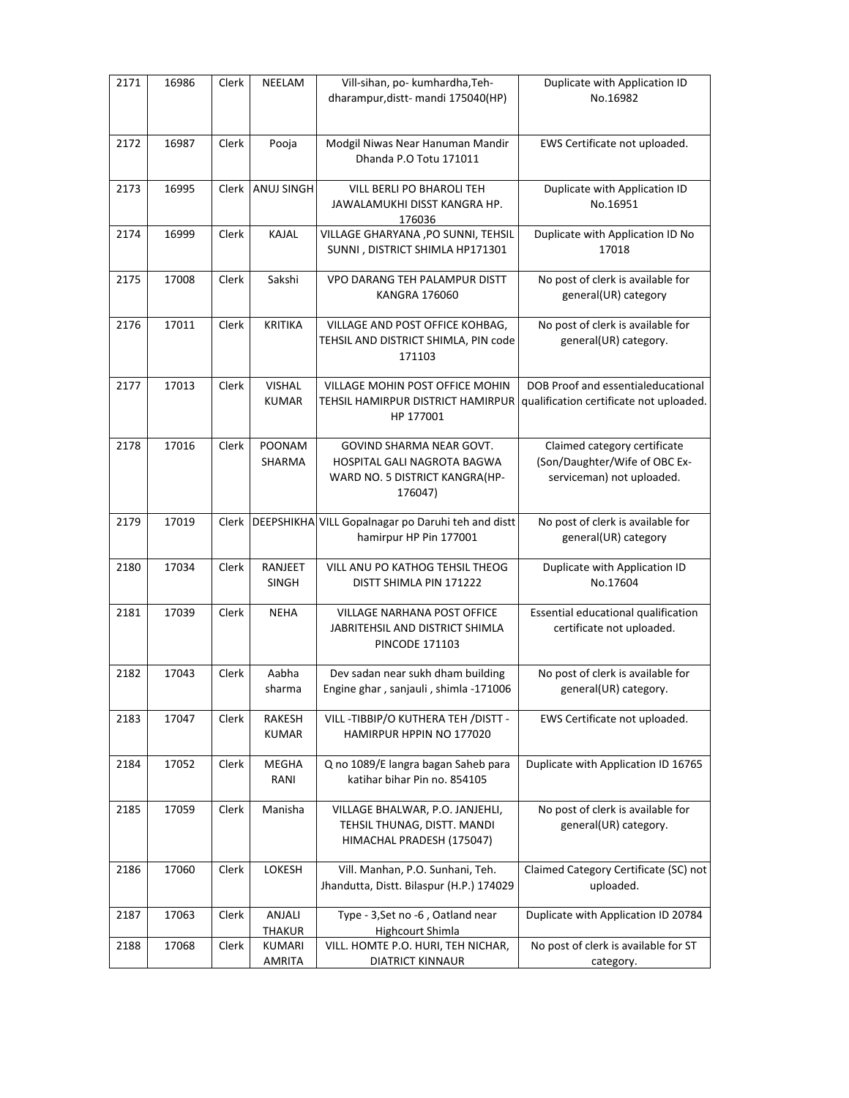| 2171 | 16986 | Clerk | NEELAM                        | Vill-sihan, po- kumhardha, Teh-<br>dharampur, distt- mandi 175040(HP)                                | Duplicate with Application ID<br>No.16982                                                  |
|------|-------|-------|-------------------------------|------------------------------------------------------------------------------------------------------|--------------------------------------------------------------------------------------------|
|      |       |       |                               |                                                                                                      |                                                                                            |
| 2172 | 16987 | Clerk | Pooja                         | Modgil Niwas Near Hanuman Mandir                                                                     | EWS Certificate not uploaded.                                                              |
|      |       |       |                               | Dhanda P.O Totu 171011                                                                               |                                                                                            |
| 2173 | 16995 | Clerk | ANUJ SINGH                    | VILL BERLI PO BHAROLI TEH<br>JAWALAMUKHI DISST KANGRA HP.<br>176036                                  | Duplicate with Application ID<br>No.16951                                                  |
| 2174 | 16999 | Clerk | KAJAL                         | VILLAGE GHARYANA , PO SUNNI, TEHSIL<br>SUNNI, DISTRICT SHIMLA HP171301                               | Duplicate with Application ID No<br>17018                                                  |
| 2175 | 17008 | Clerk | Sakshi                        | <b>VPO DARANG TEH PALAMPUR DISTT</b><br><b>KANGRA 176060</b>                                         | No post of clerk is available for<br>general(UR) category                                  |
| 2176 | 17011 | Clerk | <b>KRITIKA</b>                | VILLAGE AND POST OFFICE KOHBAG,<br>TEHSIL AND DISTRICT SHIMLA, PIN code<br>171103                    | No post of clerk is available for<br>general(UR) category.                                 |
| 2177 | 17013 | Clerk | <b>VISHAL</b><br><b>KUMAR</b> | VILLAGE MOHIN POST OFFICE MOHIN<br>TEHSIL HAMIRPUR DISTRICT HAMIRPUR<br>HP 177001                    | DOB Proof and essentialeducational<br>qualification certificate not uploaded.              |
| 2178 | 17016 | Clerk | POONAM<br>SHARMA              | GOVIND SHARMA NEAR GOVT.<br>HOSPITAL GALI NAGROTA BAGWA<br>WARD NO. 5 DISTRICT KANGRA(HP-<br>176047) | Claimed category certificate<br>(Son/Daughter/Wife of OBC Ex-<br>serviceman) not uploaded. |
| 2179 | 17019 |       |                               | Clerk   DEEPSHIKHA VILL Gopalnagar po Daruhi teh and distt<br>hamirpur HP Pin 177001                 | No post of clerk is available for<br>general(UR) category                                  |
| 2180 | 17034 | Clerk | RANJEET<br><b>SINGH</b>       | VILL ANU PO KATHOG TEHSIL THEOG<br>DISTT SHIMLA PIN 171222                                           | Duplicate with Application ID<br>No.17604                                                  |
| 2181 | 17039 | Clerk | <b>NEHA</b>                   | VILLAGE NARHANA POST OFFICE<br>JABRITEHSIL AND DISTRICT SHIMLA<br><b>PINCODE 171103</b>              | Essential educational qualification<br>certificate not uploaded.                           |
| 2182 | 17043 | Clerk | Aabha<br>sharma               | Dev sadan near sukh dham building<br>Engine ghar, sanjauli, shimla -171006                           | No post of clerk is available for<br>general(UR) category.                                 |
| 2183 | 17047 | Clerk | <b>RAKESH</b><br><b>KUMAR</b> | VILL-TIBBIP/O KUTHERA TEH /DISTT -<br>HAMIRPUR HPPIN NO 177020                                       | EWS Certificate not uploaded.                                                              |
| 2184 | 17052 | Clerk | <b>MEGHA</b><br>RANI          | Q no 1089/E langra bagan Saheb para<br>katihar bihar Pin no. 854105                                  | Duplicate with Application ID 16765                                                        |
| 2185 | 17059 | Clerk | Manisha                       | VILLAGE BHALWAR, P.O. JANJEHLI,<br>TEHSIL THUNAG, DISTT. MANDI<br>HIMACHAL PRADESH (175047)          | No post of clerk is available for<br>general(UR) category.                                 |
| 2186 | 17060 | Clerk | LOKESH                        | Vill. Manhan, P.O. Sunhani, Teh.<br>Jhandutta, Distt. Bilaspur (H.P.) 174029                         | Claimed Category Certificate (SC) not<br>uploaded.                                         |
| 2187 | 17063 | Clerk | ANJALI<br>THAKUR              | Type - 3, Set no -6, Oatland near<br>Highcourt Shimla                                                | Duplicate with Application ID 20784                                                        |
| 2188 | 17068 | Clerk | KUMARI<br>AMRITA              | VILL. HOMTE P.O. HURI, TEH NICHAR,<br><b>DIATRICT KINNAUR</b>                                        | No post of clerk is available for ST<br>category.                                          |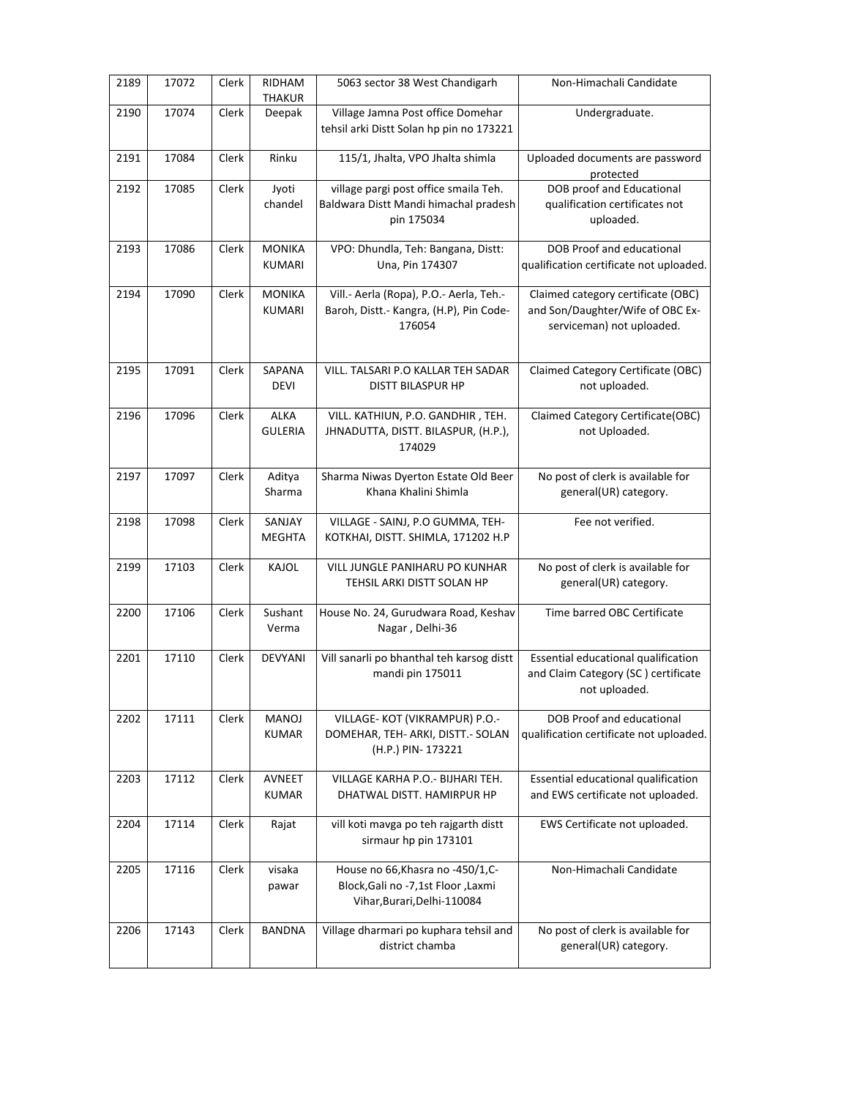| 2189 | 17072 | Clerk | <b>RIDHAM</b><br>THAKUR        | 5063 sector 38 West Chandigarh                                                                          | Non-Himachali Candidate                                                                             |
|------|-------|-------|--------------------------------|---------------------------------------------------------------------------------------------------------|-----------------------------------------------------------------------------------------------------|
| 2190 | 17074 | Clerk | Deepak                         | Village Jamna Post office Domehar<br>tehsil arki Distt Solan hp pin no 173221                           | Undergraduate.                                                                                      |
| 2191 | 17084 | Clerk | Rinku                          | 115/1, Jhalta, VPO Jhalta shimla                                                                        | Uploaded documents are password<br>protected                                                        |
| 2192 | 17085 | Clerk | Jyoti<br>chandel               | village pargi post office smaila Teh.<br>Baldwara Distt Mandi himachal pradesh<br>pin 175034            | DOB proof and Educational<br>qualification certificates not<br>uploaded.                            |
| 2193 | 17086 | Clerk | <b>MONIKA</b><br><b>KUMARI</b> | VPO: Dhundla, Teh: Bangana, Distt:<br>Una, Pin 174307                                                   | DOB Proof and educational<br>qualification certificate not uploaded.                                |
| 2194 | 17090 | Clerk | <b>MONIKA</b><br><b>KUMARI</b> | Vill.- Aerla (Ropa), P.O.- Aerla, Teh.-<br>Baroh, Distt.- Kangra, (H.P), Pin Code-<br>176054            | Claimed category certificate (OBC)<br>and Son/Daughter/Wife of OBC Ex-<br>serviceman) not uploaded. |
| 2195 | 17091 | Clerk | SAPANA<br><b>DEVI</b>          | VILL. TALSARI P.O KALLAR TEH SADAR<br><b>DISTT BILASPUR HP</b>                                          | Claimed Category Certificate (OBC)<br>not uploaded.                                                 |
| 2196 | 17096 | Clerk | <b>ALKA</b><br><b>GULERIA</b>  | VILL. KATHIUN, P.O. GANDHIR, TEH.<br>JHNADUTTA, DISTT. BILASPUR, (H.P.),<br>174029                      | Claimed Category Certificate(OBC)<br>not Uploaded.                                                  |
| 2197 | 17097 | Clerk | Aditya<br>Sharma               | Sharma Niwas Dyerton Estate Old Beer<br>Khana Khalini Shimla                                            | No post of clerk is available for<br>general(UR) category.                                          |
| 2198 | 17098 | Clerk | SANJAY<br><b>MEGHTA</b>        | VILLAGE - SAINJ, P.O GUMMA, TEH-<br>KOTKHAI, DISTT. SHIMLA, 171202 H.P                                  | Fee not verified.                                                                                   |
| 2199 | 17103 | Clerk | KAJOL                          | VILL JUNGLE PANIHARU PO KUNHAR<br>TEHSIL ARKI DISTT SOLAN HP                                            | No post of clerk is available for<br>general(UR) category.                                          |
| 2200 | 17106 | Clerk | Sushant<br>Verma               | House No. 24, Gurudwara Road, Keshav<br>Nagar, Delhi-36                                                 | Time barred OBC Certificate                                                                         |
| 2201 | 17110 | Clerk | <b>DEVYANI</b>                 | Vill sanarli po bhanthal teh karsog distt<br>mandi pin 175011                                           | Essential educational qualification<br>and Claim Category (SC) certificate<br>not uploaded.         |
| 2202 | 17111 | Clerk | <b>MANOJ</b><br><b>KUMAR</b>   | VILLAGE-KOT (VIKRAMPUR) P.O.-<br>DOMEHAR, TEH- ARKI, DISTT.- SOLAN<br>(H.P.) PIN-173221                 | DOB Proof and educational<br>qualification certificate not uploaded.                                |
| 2203 | 17112 | Clerk | AVNEET<br><b>KUMAR</b>         | VILLAGE KARHA P.O.- BIJHARI TEH.<br>DHATWAL DISTT. HAMIRPUR HP                                          | Essential educational qualification<br>and EWS certificate not uploaded.                            |
| 2204 | 17114 | Clerk | Rajat                          | vill koti mavga po teh rajgarth distt<br>sirmaur hp pin 173101                                          | EWS Certificate not uploaded.                                                                       |
| 2205 | 17116 | Clerk | visaka<br>pawar                | House no 66, Khasra no -450/1, C-<br>Block, Gali no -7, 1st Floor, Laxmi<br>Vihar, Burari, Delhi-110084 | Non-Himachali Candidate                                                                             |
| 2206 | 17143 | Clerk | <b>BANDNA</b>                  | Village dharmari po kuphara tehsil and<br>district chamba                                               | No post of clerk is available for<br>general(UR) category.                                          |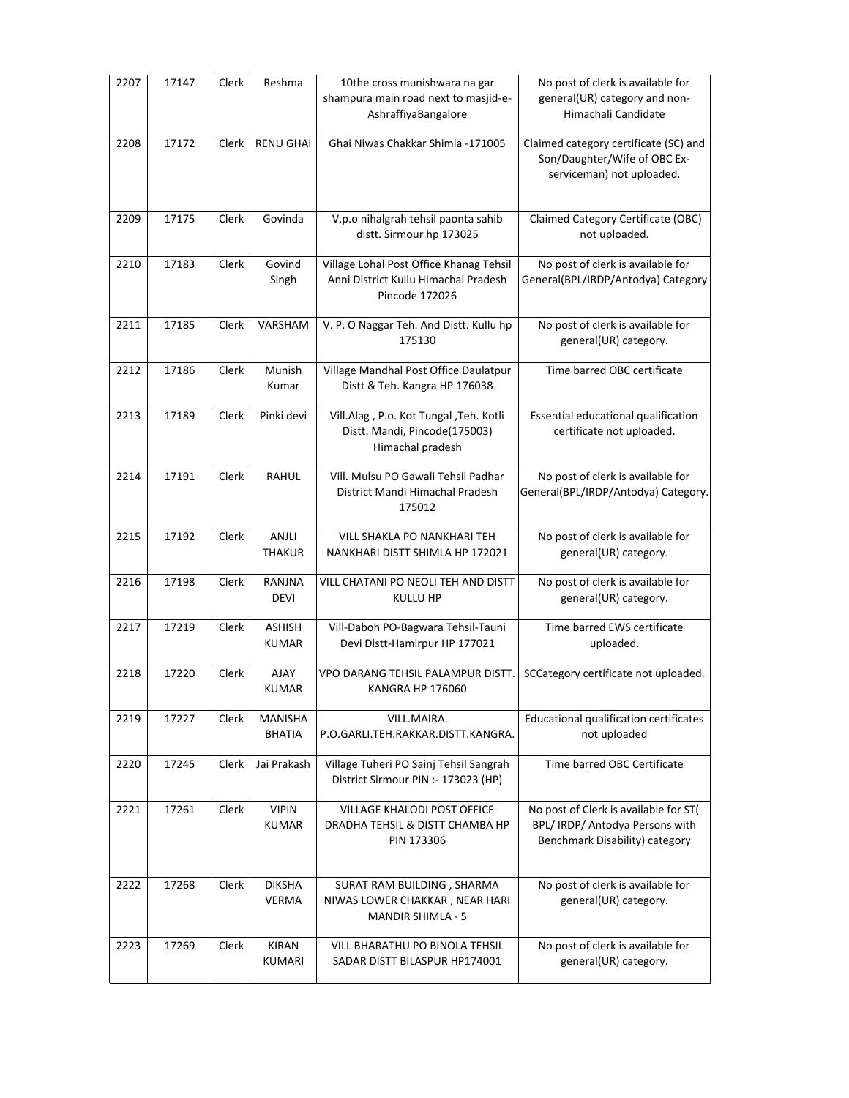| 2207 | 17147 | Clerk | Reshma                          | 10the cross munishwara na gar<br>shampura main road next to masjid-e-<br>AshraffiyaBangalore      | No post of clerk is available for<br>general(UR) category and non-<br>Himachali Candidate                  |
|------|-------|-------|---------------------------------|---------------------------------------------------------------------------------------------------|------------------------------------------------------------------------------------------------------------|
| 2208 | 17172 | Clerk | <b>RENU GHAI</b>                | Ghai Niwas Chakkar Shimla -171005                                                                 | Claimed category certificate (SC) and<br>Son/Daughter/Wife of OBC Ex-<br>serviceman) not uploaded.         |
| 2209 | 17175 | Clerk | Govinda                         | V.p.o nihalgrah tehsil paonta sahib<br>distt. Sirmour hp 173025                                   | Claimed Category Certificate (OBC)<br>not uploaded.                                                        |
| 2210 | 17183 | Clerk | Govind<br>Singh                 | Village Lohal Post Office Khanag Tehsil<br>Anni District Kullu Himachal Pradesh<br>Pincode 172026 | No post of clerk is available for<br>General(BPL/IRDP/Antodya) Category                                    |
| 2211 | 17185 | Clerk | VARSHAM                         | V. P. O Naggar Teh. And Distt. Kullu hp<br>175130                                                 | No post of clerk is available for<br>general(UR) category.                                                 |
| 2212 | 17186 | Clerk | Munish<br>Kumar                 | Village Mandhal Post Office Daulatpur<br>Distt & Teh. Kangra HP 176038                            | Time barred OBC certificate                                                                                |
| 2213 | 17189 | Clerk | Pinki devi                      | Vill.Alag, P.o. Kot Tungal, Teh. Kotli<br>Distt. Mandi, Pincode(175003)<br>Himachal pradesh       | Essential educational qualification<br>certificate not uploaded.                                           |
| 2214 | 17191 | Clerk | <b>RAHUL</b>                    | Vill. Mulsu PO Gawali Tehsil Padhar<br>District Mandi Himachal Pradesh<br>175012                  | No post of clerk is available for<br>General(BPL/IRDP/Antodya) Category.                                   |
| 2215 | 17192 | Clerk | ANJLI<br><b>THAKUR</b>          | VILL SHAKLA PO NANKHARI TEH<br>NANKHARI DISTT SHIMLA HP 172021                                    | No post of clerk is available for<br>general(UR) category.                                                 |
| 2216 | 17198 | Clerk | RANJNA<br><b>DEVI</b>           | VILL CHATANI PO NEOLI TEH AND DISTT<br>KULLU HP                                                   | No post of clerk is available for<br>general(UR) category.                                                 |
| 2217 | 17219 | Clerk | <b>ASHISH</b><br><b>KUMAR</b>   | Vill-Daboh PO-Bagwara Tehsil-Tauni<br>Devi Distt-Hamirpur HP 177021                               | Time barred EWS certificate<br>uploaded.                                                                   |
| 2218 | 17220 | Clerk | <b>AJAY</b><br><b>KUMAR</b>     | VPO DARANG TEHSIL PALAMPUR DISTT.<br><b>KANGRA HP 176060</b>                                      | SCCategory certificate not uploaded.                                                                       |
| 2219 | 17227 | Clerk | <b>MANISHA</b><br><b>BHATIA</b> | VILL.MAIRA.<br>P.O.GARLI.TEH.RAKKAR.DISTT.KANGRA.                                                 | Educational qualification certificates<br>not uploaded                                                     |
| 2220 | 17245 | Clerk | Jai Prakash                     | Village Tuheri PO Sainj Tehsil Sangrah<br>District Sirmour PIN :- 173023 (HP)                     | Time barred OBC Certificate                                                                                |
| 2221 | 17261 | Clerk | <b>VIPIN</b><br><b>KUMAR</b>    | VILLAGE KHALODI POST OFFICE<br>DRADHA TEHSIL & DISTT CHAMBA HP<br>PIN 173306                      | No post of Clerk is available for ST(<br>BPL/ IRDP/ Antodya Persons with<br>Benchmark Disability) category |
| 2222 | 17268 | Clerk | <b>DIKSHA</b><br>VERMA          | SURAT RAM BUILDING, SHARMA<br>NIWAS LOWER CHAKKAR, NEAR HARI<br><b>MANDIR SHIMLA - 5</b>          | No post of clerk is available for<br>general(UR) category.                                                 |
| 2223 | 17269 | Clerk | <b>KIRAN</b><br>KUMARI          | VILL BHARATHU PO BINOLA TEHSIL<br>SADAR DISTT BILASPUR HP174001                                   | No post of clerk is available for<br>general(UR) category.                                                 |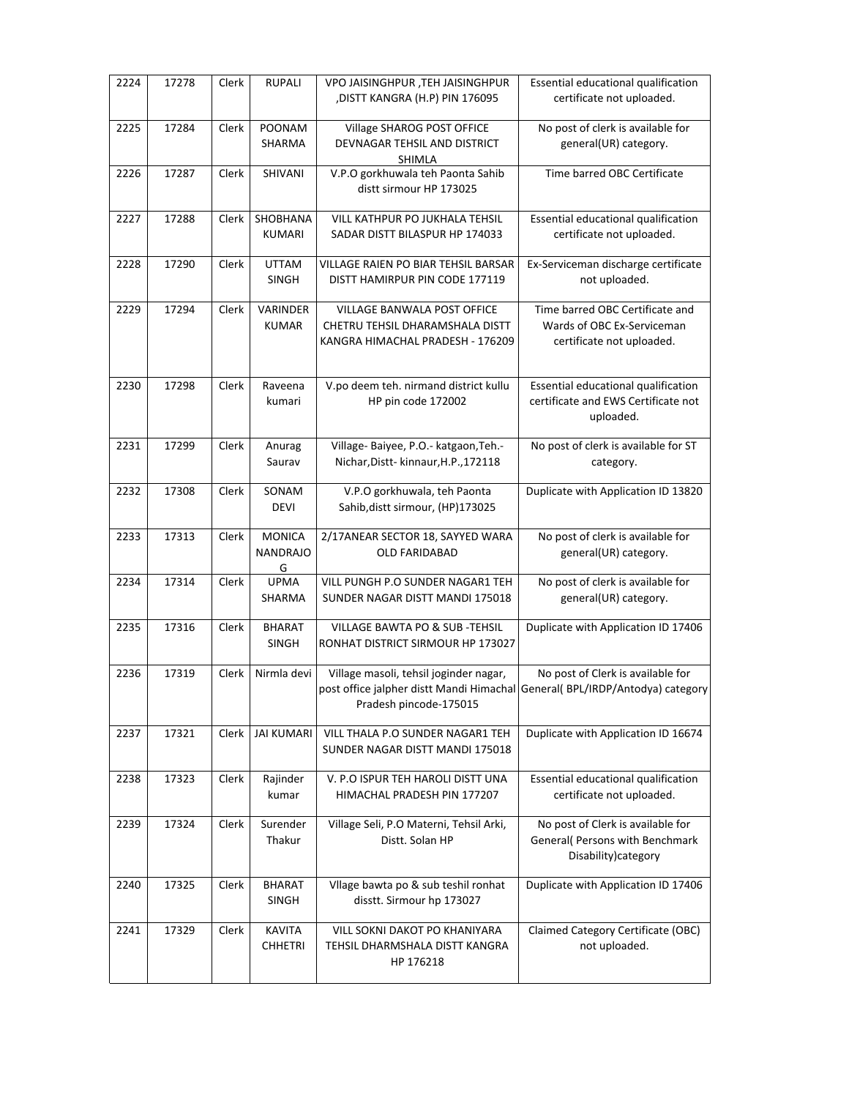| 2224 | 17278 | Clerk | <b>RUPALI</b>                         | VPO JAISINGHPUR ,TEH JAISINGHPUR<br>,DISTT KANGRA (H.P) PIN 176095                                                                               | Essential educational qualification<br>certificate not uploaded.                             |
|------|-------|-------|---------------------------------------|--------------------------------------------------------------------------------------------------------------------------------------------------|----------------------------------------------------------------------------------------------|
| 2225 | 17284 | Clerk | POONAM<br>SHARMA                      | Village SHAROG POST OFFICE<br>DEVNAGAR TEHSIL AND DISTRICT<br>SHIMLA                                                                             | No post of clerk is available for<br>general(UR) category.                                   |
| 2226 | 17287 | Clerk | SHIVANI                               | V.P.O gorkhuwala teh Paonta Sahib<br>distt sirmour HP 173025                                                                                     | Time barred OBC Certificate                                                                  |
| 2227 | 17288 | Clerk | SHOBHANA<br><b>KUMARI</b>             | <b>VILL KATHPUR PO JUKHALA TEHSIL</b><br>SADAR DISTT BILASPUR HP 174033                                                                          | Essential educational qualification<br>certificate not uploaded.                             |
| 2228 | 17290 | Clerk | <b>UTTAM</b><br><b>SINGH</b>          | VILLAGE RAIEN PO BIAR TEHSIL BARSAR<br>DISTT HAMIRPUR PIN CODE 177119                                                                            | Ex-Serviceman discharge certificate<br>not uploaded.                                         |
| 2229 | 17294 | Clerk | VARINDER<br><b>KUMAR</b>              | VILLAGE BANWALA POST OFFICE<br>CHETRU TEHSIL DHARAMSHALA DISTT<br>KANGRA HIMACHAL PRADESH - 176209                                               | Time barred OBC Certificate and<br>Wards of OBC Ex-Serviceman<br>certificate not uploaded.   |
| 2230 | 17298 | Clerk | Raveena<br>kumari                     | V.po deem teh. nirmand district kullu<br>HP pin code 172002                                                                                      | Essential educational qualification<br>certificate and EWS Certificate not<br>uploaded.      |
| 2231 | 17299 | Clerk | Anurag<br>Saurav                      | Village- Baiyee, P.O.- katgaon, Teh.-<br>Nichar, Distt-kinnaur, H.P., 172118                                                                     | No post of clerk is available for ST<br>category.                                            |
| 2232 | 17308 | Clerk | SONAM<br><b>DEVI</b>                  | V.P.O gorkhuwala, teh Paonta<br>Sahib, distt sirmour, (HP)173025                                                                                 | Duplicate with Application ID 13820                                                          |
| 2233 | 17313 | Clerk | <b>MONICA</b><br><b>NANDRAJO</b><br>G | 2/17ANEAR SECTOR 18, SAYYED WARA<br><b>OLD FARIDABAD</b>                                                                                         | No post of clerk is available for<br>general(UR) category.                                   |
| 2234 | 17314 | Clerk | <b>UPMA</b><br>SHARMA                 | VILL PUNGH P.O SUNDER NAGAR1 TEH<br>SUNDER NAGAR DISTT MANDI 175018                                                                              | No post of clerk is available for<br>general(UR) category.                                   |
| 2235 | 17316 | Clerk | <b>BHARAT</b><br><b>SINGH</b>         | VILLAGE BAWTA PO & SUB-TEHSIL<br>RONHAT DISTRICT SIRMOUR HP 173027                                                                               | Duplicate with Application ID 17406                                                          |
| 2236 | 17319 | Clerk | Nirmla devi                           | Village masoli, tehsil joginder nagar,<br>post office jalpher distt Mandi Himachal General( BPL/IRDP/Antodya) category<br>Pradesh pincode-175015 | No post of Clerk is available for                                                            |
| 2237 | 17321 | Clerk | <b>JAI KUMARI</b>                     | VILL THALA P.O SUNDER NAGAR1 TEH<br>SUNDER NAGAR DISTT MANDI 175018                                                                              | Duplicate with Application ID 16674                                                          |
| 2238 | 17323 | Clerk | Rajinder<br>kumar                     | V. P.O ISPUR TEH HAROLI DISTT UNA<br>HIMACHAL PRADESH PIN 177207                                                                                 | Essential educational qualification<br>certificate not uploaded.                             |
| 2239 | 17324 | Clerk | Surender<br>Thakur                    | Village Seli, P.O Materni, Tehsil Arki,<br>Distt. Solan HP                                                                                       | No post of Clerk is available for<br>General( Persons with Benchmark<br>Disability) category |
| 2240 | 17325 | Clerk | <b>BHARAT</b><br><b>SINGH</b>         | Vllage bawta po & sub teshil ronhat<br>disstt. Sirmour hp 173027                                                                                 | Duplicate with Application ID 17406                                                          |
| 2241 |       |       |                                       |                                                                                                                                                  |                                                                                              |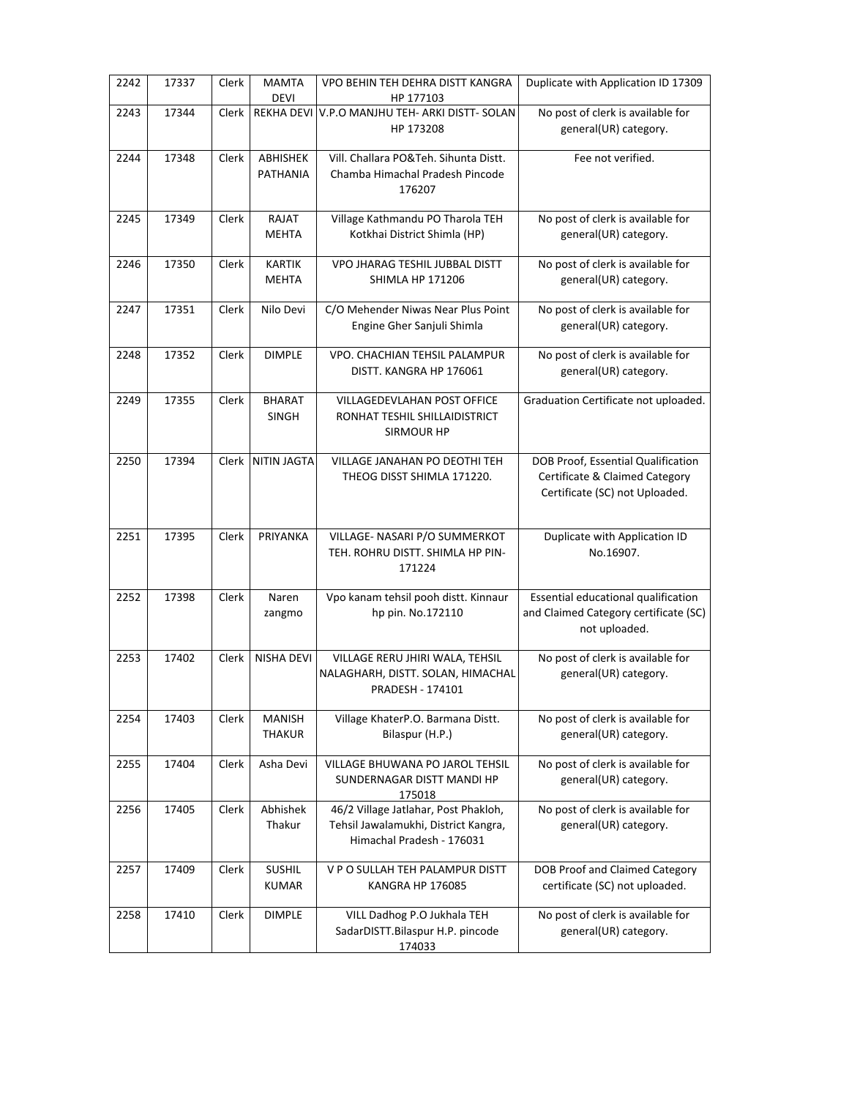| 2242 | 17337 | Clerk        | <b>MAMTA</b><br><b>DEVI</b>    | VPO BEHIN TEH DEHRA DISTT KANGRA<br>HP 177103                                                             | Duplicate with Application ID 17309                                                                    |
|------|-------|--------------|--------------------------------|-----------------------------------------------------------------------------------------------------------|--------------------------------------------------------------------------------------------------------|
| 2243 | 17344 | Clerk        |                                | REKHA DEVI V.P.O MANJHU TEH- ARKI DISTT- SOLAN<br>HP 173208                                               | No post of clerk is available for<br>general(UR) category.                                             |
| 2244 | 17348 | <b>Clerk</b> | <b>ABHISHEK</b><br>PATHANIA    | Vill. Challara PO&Teh. Sihunta Distt.<br>Chamba Himachal Pradesh Pincode<br>176207                        | Fee not verified.                                                                                      |
| 2245 | 17349 | Clerk        | RAJAT<br><b>MEHTA</b>          | Village Kathmandu PO Tharola TEH<br>Kotkhai District Shimla (HP)                                          | No post of clerk is available for<br>general(UR) category.                                             |
| 2246 | 17350 | Clerk        | <b>KARTIK</b><br><b>MEHTA</b>  | VPO JHARAG TESHIL JUBBAL DISTT<br><b>SHIMLA HP 171206</b>                                                 | No post of clerk is available for<br>general(UR) category.                                             |
| 2247 | 17351 | Clerk        | Nilo Devi                      | C/O Mehender Niwas Near Plus Point<br>Engine Gher Sanjuli Shimla                                          | No post of clerk is available for<br>general(UR) category.                                             |
| 2248 | 17352 | Clerk        | <b>DIMPLE</b>                  | VPO. CHACHIAN TEHSIL PALAMPUR<br>DISTT. KANGRA HP 176061                                                  | No post of clerk is available for<br>general(UR) category.                                             |
| 2249 | 17355 | Clerk        | <b>BHARAT</b><br>SINGH         | VILLAGEDEVLAHAN POST OFFICE<br>RONHAT TESHIL SHILLAIDISTRICT<br>SIRMOUR HP                                | Graduation Certificate not uploaded.                                                                   |
| 2250 | 17394 | <b>Clerk</b> | NITIN JAGTA                    | VILLAGE JANAHAN PO DEOTHI TEH<br>THEOG DISST SHIMLA 171220.                                               | DOB Proof, Essential Qualification<br>Certificate & Claimed Category<br>Certificate (SC) not Uploaded. |
| 2251 | 17395 | Clerk        | PRIYANKA                       | VILLAGE- NASARI P/O SUMMERKOT<br>TEH. ROHRU DISTT. SHIMLA HP PIN-<br>171224                               | Duplicate with Application ID<br>No.16907.                                                             |
| 2252 | 17398 | Clerk        | Naren<br>zangmo                | Vpo kanam tehsil pooh distt. Kinnaur<br>hp pin. No.172110                                                 | Essential educational qualification<br>and Claimed Category certificate (SC)<br>not uploaded.          |
| 2253 | 17402 | Clerk        | <b>NISHA DEVI</b>              | VILLAGE RERU JHIRI WALA, TEHSIL<br>NALAGHARH, DISTT. SOLAN, HIMACHAL<br>PRADESH - 174101                  | No post of clerk is available for<br>general(UR) category.                                             |
| 2254 | 17403 | Clerk        | <b>MANISH</b><br><b>THAKUR</b> | Village KhaterP.O. Barmana Distt.<br>Bilaspur (H.P.)                                                      | No post of clerk is available for<br>general(UR) category.                                             |
| 2255 | 17404 | Clerk        | Asha Devi                      | VILLAGE BHUWANA PO JAROL TEHSIL<br>SUNDERNAGAR DISTT MANDI HP<br>175018                                   | No post of clerk is available for<br>general(UR) category.                                             |
| 2256 | 17405 | Clerk        | Abhishek<br>Thakur             | 46/2 Village Jatlahar, Post Phakloh,<br>Tehsil Jawalamukhi, District Kangra,<br>Himachal Pradesh - 176031 | No post of clerk is available for<br>general(UR) category.                                             |
| 2257 | 17409 | Clerk        | <b>SUSHIL</b><br><b>KUMAR</b>  | V P O SULLAH TEH PALAMPUR DISTT<br><b>KANGRA HP 176085</b>                                                | DOB Proof and Claimed Category<br>certificate (SC) not uploaded.                                       |
| 2258 | 17410 | Clerk        | <b>DIMPLE</b>                  | VILL Dadhog P.O Jukhala TEH<br>SadarDISTT.Bilaspur H.P. pincode<br>174033                                 | No post of clerk is available for<br>general(UR) category.                                             |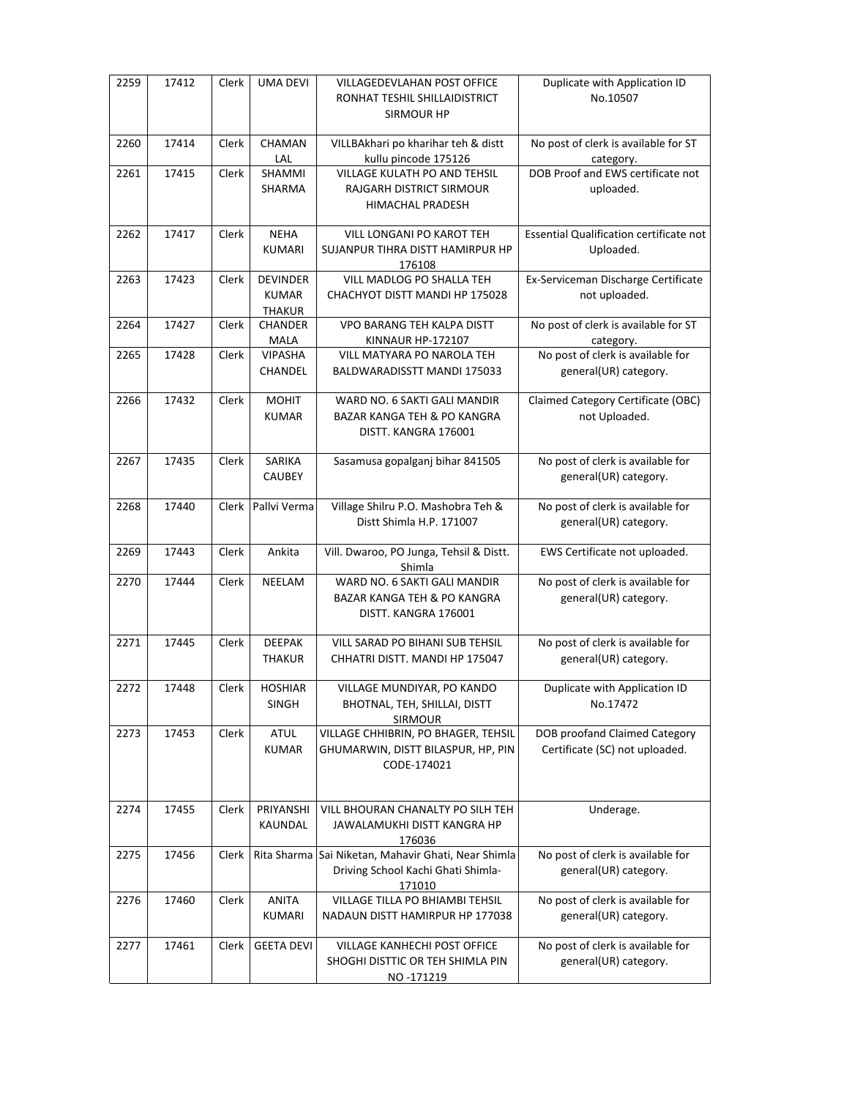| 2259 | 17412 | Clerk | <b>UMA DEVI</b>                                  | VILLAGEDEVLAHAN POST OFFICE<br>RONHAT TESHIL SHILLAIDISTRICT<br>SIRMOUR HP                          | Duplicate with Application ID<br>No.10507                       |
|------|-------|-------|--------------------------------------------------|-----------------------------------------------------------------------------------------------------|-----------------------------------------------------------------|
| 2260 | 17414 | Clerk | CHAMAN<br>LAL                                    | VILLBAkhari po kharihar teh & distt<br>kullu pincode 175126                                         | No post of clerk is available for ST<br>category.               |
| 2261 | 17415 | Clerk | SHAMMI<br>SHARMA                                 | <b>VILLAGE KULATH PO AND TEHSIL</b><br>RAJGARH DISTRICT SIRMOUR<br><b>HIMACHAL PRADESH</b>          | DOB Proof and EWS certificate not<br>uploaded.                  |
| 2262 | 17417 | Clerk | <b>NEHA</b><br><b>KUMARI</b>                     | VILL LONGANI PO KAROT TEH<br>SUJANPUR TIHRA DISTT HAMIRPUR HP<br>176108                             | Essential Qualification certificate not<br>Uploaded.            |
| 2263 | 17423 | Clerk | <b>DEVINDER</b><br><b>KUMAR</b><br><b>THAKUR</b> | VILL MADLOG PO SHALLA TEH<br>CHACHYOT DISTT MANDI HP 175028                                         | Ex-Serviceman Discharge Certificate<br>not uploaded.            |
| 2264 | 17427 | Clerk | <b>CHANDER</b><br>MALA                           | <b>VPO BARANG TEH KALPA DISTT</b><br>KINNAUR HP-172107                                              | No post of clerk is available for ST<br>category.               |
| 2265 | 17428 | Clerk | <b>VIPASHA</b><br>CHANDEL                        | VILL MATYARA PO NAROLA TEH<br>BALDWARADISSTT MANDI 175033                                           | No post of clerk is available for<br>general(UR) category.      |
| 2266 | 17432 | Clerk | <b>MOHIT</b><br><b>KUMAR</b>                     | WARD NO. 6 SAKTI GALI MANDIR<br><b>BAZAR KANGA TEH &amp; PO KANGRA</b><br>DISTT. KANGRA 176001      | Claimed Category Certificate (OBC)<br>not Uploaded.             |
| 2267 | 17435 | Clerk | SARIKA<br><b>CAUBEY</b>                          | Sasamusa gopalganj bihar 841505                                                                     | No post of clerk is available for<br>general(UR) category.      |
| 2268 | 17440 | Clerk | Pallvi Verma                                     | Village Shilru P.O. Mashobra Teh &<br>Distt Shimla H.P. 171007                                      | No post of clerk is available for<br>general(UR) category.      |
| 2269 | 17443 | Clerk | Ankita                                           | Vill. Dwaroo, PO Junga, Tehsil & Distt.<br>Shimla                                                   | EWS Certificate not uploaded.                                   |
| 2270 | 17444 | Clerk | NEELAM                                           | WARD NO. 6 SAKTI GALI MANDIR<br><b>BAZAR KANGA TEH &amp; PO KANGRA</b><br>DISTT. KANGRA 176001      | No post of clerk is available for<br>general(UR) category.      |
| 2271 | 17445 | Clerk | <b>DEEPAK</b><br><b>THAKUR</b>                   | VILL SARAD PO BIHANI SUB TEHSIL<br>CHHATRI DISTT. MANDI HP 175047                                   | No post of clerk is available for<br>general(UR) category.      |
| 2272 | 17448 | Clerk | <b>HOSHIAR</b><br><b>SINGH</b>                   | VILLAGE MUNDIYAR, PO KANDO<br>BHOTNAL, TEH, SHILLAI, DISTT<br>SIRMOUR                               | Duplicate with Application ID<br>No.17472                       |
| 2273 | 17453 | Clerk | <b>ATUL</b><br><b>KUMAR</b>                      | VILLAGE CHHIBRIN, PO BHAGER, TEHSIL<br>GHUMARWIN, DISTT BILASPUR, HP, PIN<br>CODE-174021            | DOB proofand Claimed Category<br>Certificate (SC) not uploaded. |
| 2274 | 17455 | Clerk | PRIYANSHI<br>KAUNDAL                             | VILL BHOURAN CHANALTY PO SILH TEH<br>JAWALAMUKHI DISTT KANGRA HP<br>176036                          | Underage.                                                       |
| 2275 | 17456 | Clerk |                                                  | Rita Sharma Sai Niketan, Mahavir Ghati, Near Shimla<br>Driving School Kachi Ghati Shimla-<br>171010 | No post of clerk is available for<br>general(UR) category.      |
| 2276 | 17460 | Clerk | <b>ANITA</b><br><b>KUMARI</b>                    | VILLAGE TILLA PO BHIAMBI TEHSIL<br>NADAUN DISTT HAMIRPUR HP 177038                                  | No post of clerk is available for<br>general(UR) category.      |
| 2277 | 17461 | Clerk | <b>GEETA DEVI</b>                                | VILLAGE KANHECHI POST OFFICE<br>SHOGHI DISTTIC OR TEH SHIMLA PIN<br>NO-171219                       | No post of clerk is available for<br>general(UR) category.      |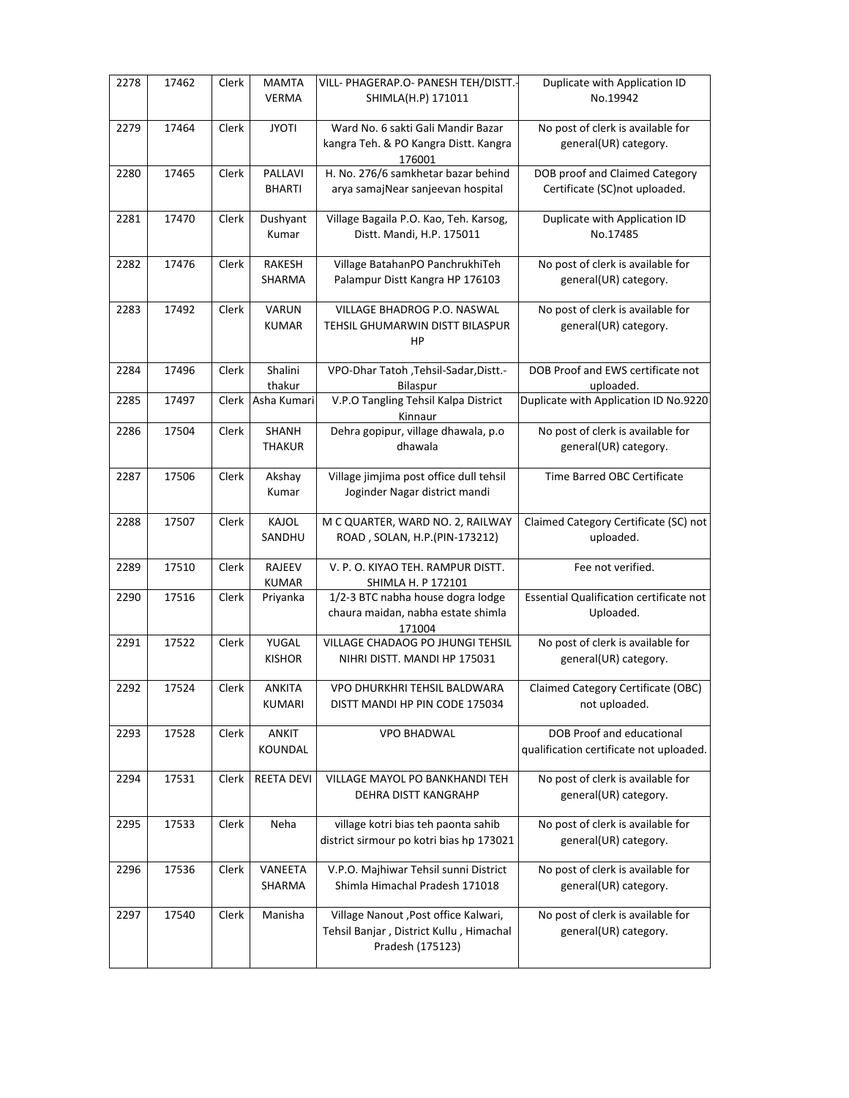| 2278 | 17462 | Clerk | <b>MAMTA</b><br><b>VERMA</b> | VILL- PHAGERAP.O- PANESH TEH/DISTT.-<br>SHIMLA(H.P) 171011                                           | Duplicate with Application ID<br>No.19942                            |
|------|-------|-------|------------------------------|------------------------------------------------------------------------------------------------------|----------------------------------------------------------------------|
| 2279 | 17464 | Clerk | <b>JYOTI</b>                 | Ward No. 6 sakti Gali Mandir Bazar<br>kangra Teh. & PO Kangra Distt. Kangra                          | No post of clerk is available for<br>general(UR) category.           |
| 2280 | 17465 | Clerk | PALLAVI<br><b>BHARTI</b>     | 176001<br>H. No. 276/6 samkhetar bazar behind<br>arya samajNear sanjeevan hospital                   | DOB proof and Claimed Category<br>Certificate (SC)not uploaded.      |
| 2281 | 17470 | Clerk | Dushyant<br>Kumar            | Village Bagaila P.O. Kao, Teh. Karsog,<br>Distt. Mandi, H.P. 175011                                  | Duplicate with Application ID<br>No.17485                            |
| 2282 | 17476 | Clerk | RAKESH<br>SHARMA             | Village BatahanPO PanchrukhiTeh<br>Palampur Distt Kangra HP 176103                                   | No post of clerk is available for<br>general(UR) category.           |
| 2283 | 17492 | Clerk | VARUN<br><b>KUMAR</b>        | VILLAGE BHADROG P.O. NASWAL<br>TEHSIL GHUMARWIN DISTT BILASPUR<br>HP                                 | No post of clerk is available for<br>general(UR) category.           |
| 2284 | 17496 | Clerk | Shalini<br>thakur            | VPO-Dhar Tatoh , Tehsil-Sadar, Distt.-<br>Bilaspur                                                   | DOB Proof and EWS certificate not<br>uploaded.                       |
| 2285 | 17497 | Clerk | Asha Kumari                  | V.P.O Tangling Tehsil Kalpa District<br>Kinnaur                                                      | Duplicate with Application ID No.9220                                |
| 2286 | 17504 | Clerk | SHANH<br><b>THAKUR</b>       | Dehra gopipur, village dhawala, p.o<br>dhawala                                                       | No post of clerk is available for<br>general(UR) category.           |
| 2287 | 17506 | Clerk | Akshay<br>Kumar              | Village jimjima post office dull tehsil<br>Joginder Nagar district mandi                             | Time Barred OBC Certificate                                          |
| 2288 | 17507 | Clerk | KAJOL<br>SANDHU              | M C QUARTER, WARD NO. 2, RAILWAY<br>ROAD, SOLAN, H.P.(PIN-173212)                                    | Claimed Category Certificate (SC) not<br>uploaded.                   |
| 2289 | 17510 | Clerk | RAJEEV<br><b>KUMAR</b>       | V. P. O. KIYAO TEH. RAMPUR DISTT.<br>SHIMLA H. P 172101                                              | Fee not verified.                                                    |
| 2290 | 17516 | Clerk | Priyanka                     | 1/2-3 BTC nabha house dogra lodge<br>chaura maidan, nabha estate shimla<br>171004                    | Essential Qualification certificate not<br>Uploaded.                 |
| 2291 | 17522 | Clerk | YUGAL<br><b>KISHOR</b>       | VILLAGE CHADAOG PO JHUNGI TEHSIL<br>NIHRI DISTT. MANDI HP 175031                                     | No post of clerk is available for<br>general(UR) category.           |
| 2292 | 17524 | Clerk | ANKITA<br>KUMARI             | VPO DHURKHRI TEHSIL BALDWARA<br>DISTT MANDI HP PIN CODE 175034                                       | Claimed Category Certificate (OBC)<br>not uploaded.                  |
| 2293 | 17528 | Clerk | <b>ANKIT</b><br>KOUNDAL      | VPO BHADWAL                                                                                          | DOB Proof and educational<br>qualification certificate not uploaded. |
| 2294 | 17531 | Clerk | <b>REETA DEVI</b>            | VILLAGE MAYOL PO BANKHANDI TEH<br>DEHRA DISTT KANGRAHP                                               | No post of clerk is available for<br>general(UR) category.           |
| 2295 | 17533 | Clerk | Neha                         | village kotri bias teh paonta sahib<br>district sirmour po kotri bias hp 173021                      | No post of clerk is available for<br>general(UR) category.           |
| 2296 | 17536 | Clerk | VANEETA<br>SHARMA            | V.P.O. Majhiwar Tehsil sunni District<br>Shimla Himachal Pradesh 171018                              | No post of clerk is available for<br>general(UR) category.           |
| 2297 | 17540 | Clerk | Manisha                      | Village Nanout , Post office Kalwari,<br>Tehsil Banjar, District Kullu, Himachal<br>Pradesh (175123) | No post of clerk is available for<br>general(UR) category.           |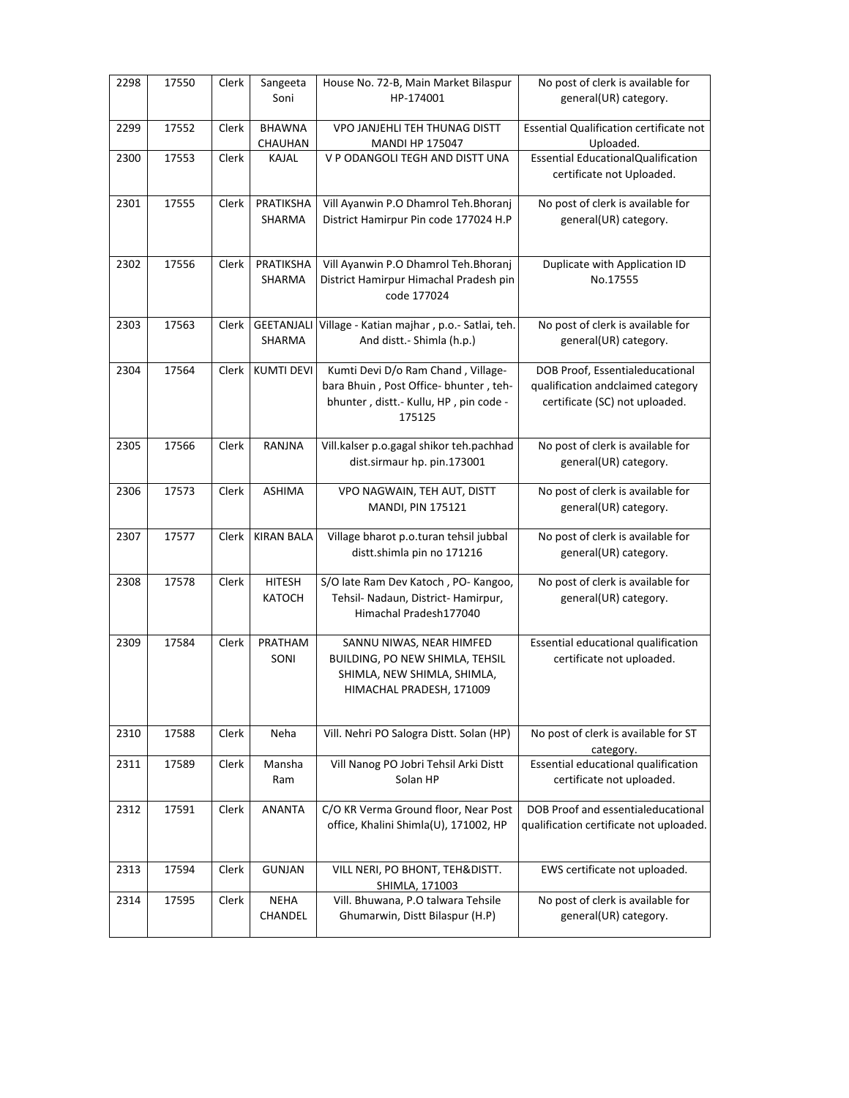| 2298 | 17550 | Clerk | Sangeeta<br>Soni               | House No. 72-B, Main Market Bilaspur<br>HP-174001                                                                               | No post of clerk is available for<br>general(UR) category.                                             |
|------|-------|-------|--------------------------------|---------------------------------------------------------------------------------------------------------------------------------|--------------------------------------------------------------------------------------------------------|
| 2299 | 17552 | Clerk | <b>BHAWNA</b><br>CHAUHAN       | VPO JANJEHLI TEH THUNAG DISTT<br><b>MANDI HP 175047</b>                                                                         | <b>Essential Qualification certificate not</b><br>Uploaded.                                            |
| 2300 | 17553 | Clerk | KAJAL                          | V P ODANGOLI TEGH AND DISTT UNA                                                                                                 | <b>Essential EducationalQualification</b><br>certificate not Uploaded.                                 |
| 2301 | 17555 | Clerk | PRATIKSHA<br>SHARMA            | Vill Ayanwin P.O Dhamrol Teh.Bhoranj<br>District Hamirpur Pin code 177024 H.P                                                   | No post of clerk is available for<br>general(UR) category.                                             |
| 2302 | 17556 | Clerk | PRATIKSHA<br>SHARMA            | Vill Ayanwin P.O Dhamrol Teh.Bhoranj<br>District Hamirpur Himachal Pradesh pin<br>code 177024                                   | Duplicate with Application ID<br>No.17555                                                              |
| 2303 | 17563 | Clerk | <b>GEETANJALI</b><br>SHARMA    | Village - Katian majhar, p.o.- Satlai, teh.<br>And distt.- Shimla (h.p.)                                                        | No post of clerk is available for<br>general(UR) category.                                             |
| 2304 | 17564 | Clerk | <b>KUMTI DEVI</b>              | Kumti Devi D/o Ram Chand, Village-<br>bara Bhuin, Post Office-bhunter, teh-<br>bhunter, distt.- Kullu, HP, pin code -<br>175125 | DOB Proof, Essentialeducational<br>qualification andclaimed category<br>certificate (SC) not uploaded. |
| 2305 | 17566 | Clerk | RANJNA                         | Vill.kalser p.o.gagal shikor teh.pachhad<br>dist.sirmaur hp. pin.173001                                                         | No post of clerk is available for<br>general(UR) category.                                             |
| 2306 | 17573 | Clerk | <b>ASHIMA</b>                  | VPO NAGWAIN, TEH AUT, DISTT<br>MANDI, PIN 175121                                                                                | No post of clerk is available for<br>general(UR) category.                                             |
| 2307 | 17577 | Clerk | <b>KIRAN BALA</b>              | Village bharot p.o.turan tehsil jubbal<br>distt.shimla pin no 171216                                                            | No post of clerk is available for<br>general(UR) category.                                             |
| 2308 | 17578 | Clerk | <b>HITESH</b><br><b>KATOCH</b> | S/O late Ram Dev Katoch, PO- Kangoo,<br>Tehsil- Nadaun, District- Hamirpur,<br>Himachal Pradesh177040                           | No post of clerk is available for<br>general(UR) category.                                             |
| 2309 | 17584 | Clerk | PRATHAM<br>SONI                | SANNU NIWAS, NEAR HIMFED<br>BUILDING, PO NEW SHIMLA, TEHSIL<br>SHIMLA, NEW SHIMLA, SHIMLA,<br>HIMACHAL PRADESH, 171009          | Essential educational qualification<br>certificate not uploaded.                                       |
| 2310 | 17588 | Clerk | Neha                           | Vill. Nehri PO Salogra Distt. Solan (HP)                                                                                        | No post of clerk is available for ST<br>category.                                                      |
| 2311 | 17589 | Clerk | Mansha<br>Ram                  | Vill Nanog PO Jobri Tehsil Arki Distt<br>Solan HP                                                                               | Essential educational qualification<br>certificate not uploaded.                                       |
| 2312 | 17591 | Clerk | ANANTA                         | C/O KR Verma Ground floor, Near Post<br>office, Khalini Shimla(U), 171002, HP                                                   | DOB Proof and essentialeducational<br>qualification certificate not uploaded.                          |
| 2313 | 17594 | Clerk | GUNJAN                         | VILL NERI, PO BHONT, TEH&DISTT.<br>SHIMLA, 171003                                                                               | EWS certificate not uploaded.                                                                          |
| 2314 | 17595 | Clerk | NEHA<br>CHANDEL                | Vill. Bhuwana, P.O talwara Tehsile<br>Ghumarwin, Distt Bilaspur (H.P)                                                           | No post of clerk is available for<br>general(UR) category.                                             |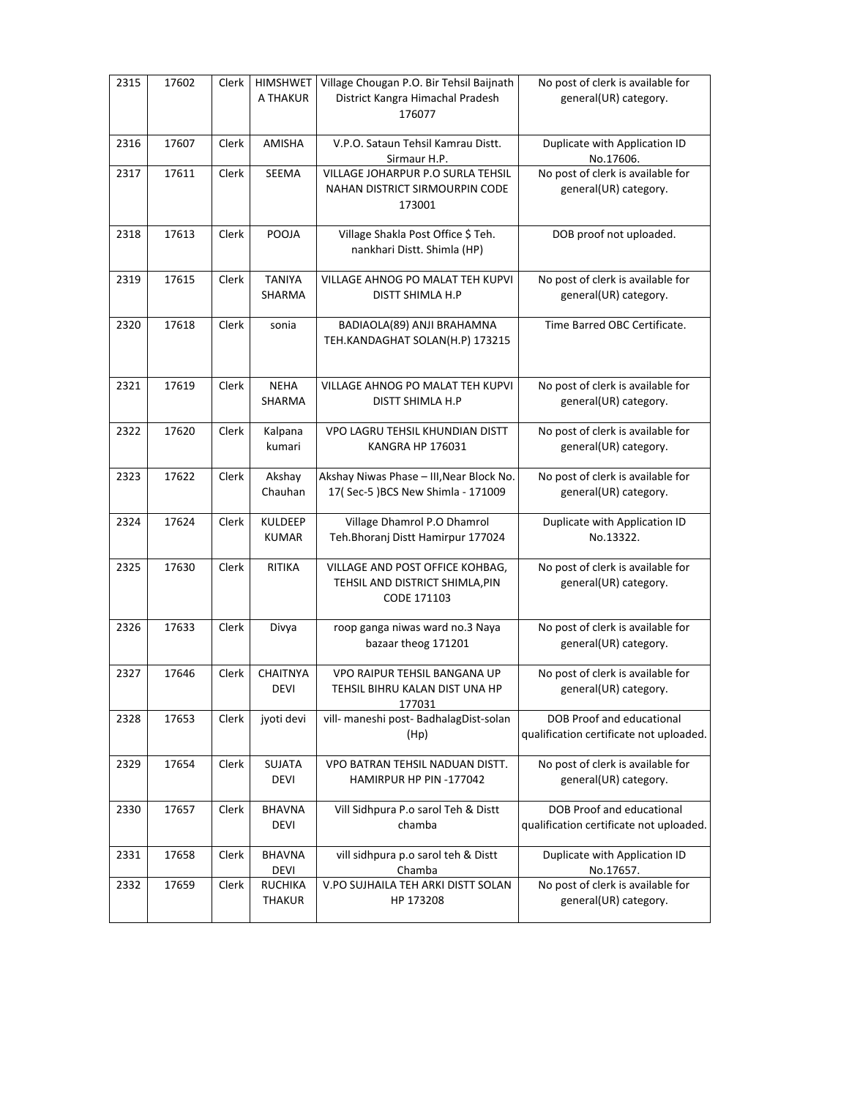| 2315 | 17602 | Clerk | HIMSHWET<br>A THAKUR            | Village Chougan P.O. Bir Tehsil Baijnath<br>District Kangra Himachal Pradesh<br>176077 | No post of clerk is available for<br>general(UR) category.                  |
|------|-------|-------|---------------------------------|----------------------------------------------------------------------------------------|-----------------------------------------------------------------------------|
| 2316 | 17607 | Clerk | AMISHA                          | V.P.O. Sataun Tehsil Kamrau Distt.<br>Sirmaur H.P.                                     | Duplicate with Application ID<br>No.17606.                                  |
| 2317 | 17611 | Clerk | SEEMA                           | VILLAGE JOHARPUR P.O SURLA TEHSIL<br>NAHAN DISTRICT SIRMOURPIN CODE<br>173001          | No post of clerk is available for<br>general(UR) category.                  |
| 2318 | 17613 | Clerk | POOJA                           | Village Shakla Post Office \$ Teh.<br>nankhari Distt. Shimla (HP)                      | DOB proof not uploaded.                                                     |
| 2319 | 17615 | Clerk | <b>TANIYA</b><br>SHARMA         | VILLAGE AHNOG PO MALAT TEH KUPVI<br>DISTT SHIMLA H.P                                   | No post of clerk is available for<br>general(UR) category.                  |
| 2320 | 17618 | Clerk | sonia                           | BADIAOLA(89) ANJI BRAHAMNA<br>TEH.KANDAGHAT SOLAN(H.P) 173215                          | Time Barred OBC Certificate.                                                |
| 2321 | 17619 | Clerk | <b>NEHA</b><br>SHARMA           | <b>VILLAGE AHNOG PO MALAT TEH KUPVI</b><br>DISTT SHIMLA H.P                            | No post of clerk is available for<br>general(UR) category.                  |
| 2322 | 17620 | Clerk | Kalpana<br>kumari               | VPO LAGRU TEHSIL KHUNDIAN DISTT<br><b>KANGRA HP 176031</b>                             | No post of clerk is available for<br>general(UR) category.                  |
| 2323 | 17622 | Clerk | Akshay<br>Chauhan               | Akshay Niwas Phase - III, Near Block No.<br>17(Sec-5) BCS New Shimla - 171009          | No post of clerk is available for<br>general(UR) category.                  |
| 2324 | 17624 | Clerk | <b>KULDEEP</b><br><b>KUMAR</b>  | Village Dhamrol P.O Dhamrol<br>Teh. Bhoranj Distt Hamirpur 177024                      | Duplicate with Application ID<br>No.13322.                                  |
| 2325 | 17630 | Clerk | RITIKA                          | VILLAGE AND POST OFFICE KOHBAG,<br>TEHSIL AND DISTRICT SHIMLA, PIN<br>CODE 171103      | No post of clerk is available for<br>general(UR) category.                  |
| 2326 | 17633 | Clerk | Divya                           | roop ganga niwas ward no.3 Naya<br>bazaar theog 171201                                 | No post of clerk is available for<br>general(UR) category.                  |
| 2327 | 17646 | Clerk | <b>CHAITNYA</b><br>DEVI         | VPO RAIPUR TEHSIL BANGANA UP<br>TEHSIL BIHRU KALAN DIST UNA HP<br>177031               | No post of clerk is available for<br>general(UR) category.                  |
| 2328 | 17653 | Clerk | jyoti devi                      | vill- maneshi post- BadhalagDist-solan<br>(Hp)                                         | <b>DOB Proof and educational</b><br>qualification certificate not uploaded. |
| 2329 | 17654 | Clerk | <b>SUJATA</b><br><b>DEVI</b>    | VPO BATRAN TEHSIL NADUAN DISTT.<br>HAMIRPUR HP PIN -177042                             | No post of clerk is available for<br>general(UR) category.                  |
| 2330 | 17657 | Clerk | <b>BHAVNA</b><br><b>DEVI</b>    | Vill Sidhpura P.o sarol Teh & Distt<br>chamba                                          | <b>DOB Proof and educational</b><br>qualification certificate not uploaded. |
| 2331 | 17658 | Clerk | <b>BHAVNA</b><br><b>DEVI</b>    | vill sidhpura p.o sarol teh & Distt<br>Chamba                                          | Duplicate with Application ID<br>No.17657.                                  |
| 2332 | 17659 | Clerk | <b>RUCHIKA</b><br><b>THAKUR</b> | V.PO SUJHAILA TEH ARKI DISTT SOLAN<br>HP 173208                                        | No post of clerk is available for<br>general(UR) category.                  |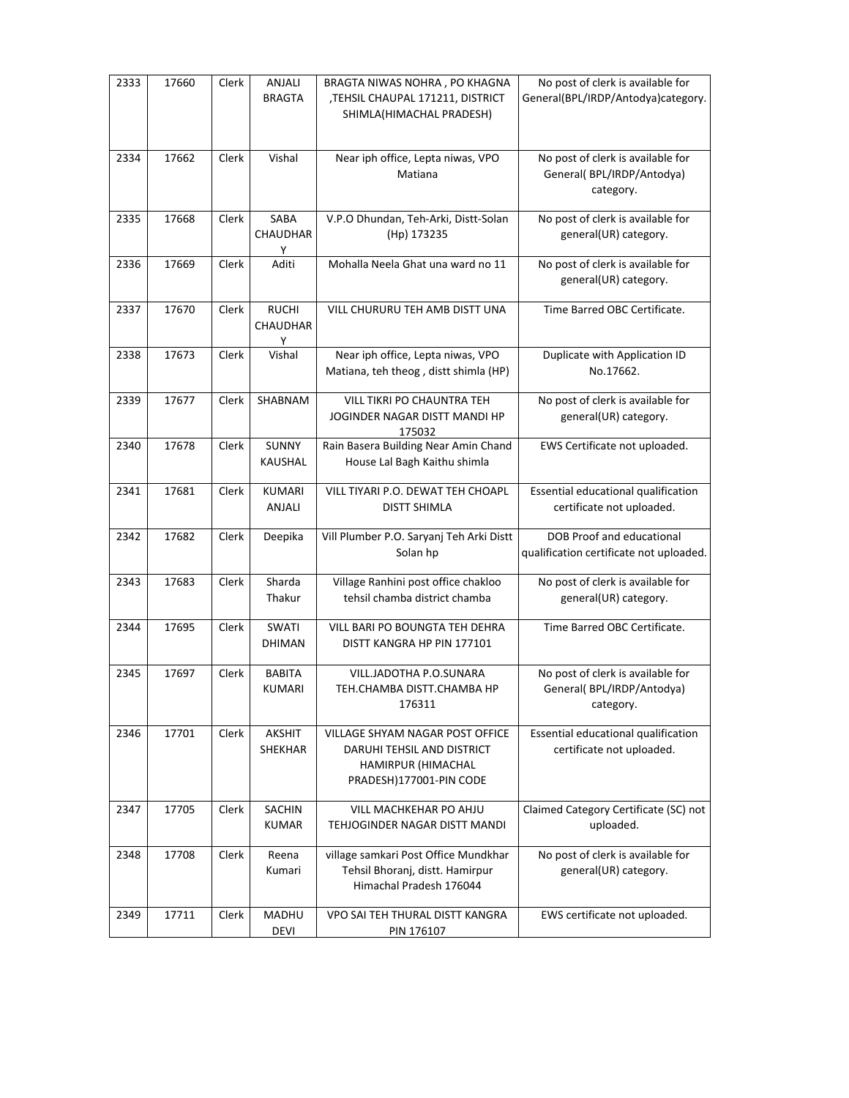| 2333 | 17660 | Clerk | ANJALI<br><b>BRAGTA</b>       | BRAGTA NIWAS NOHRA, PO KHAGNA<br>,TEHSIL CHAUPAL 171211, DISTRICT<br>SHIMLA(HIMACHAL PRADESH)                  | No post of clerk is available for<br>General(BPL/IRDP/Antodya)category.      |
|------|-------|-------|-------------------------------|----------------------------------------------------------------------------------------------------------------|------------------------------------------------------------------------------|
| 2334 | 17662 | Clerk | Vishal                        | Near iph office, Lepta niwas, VPO<br>Matiana                                                                   | No post of clerk is available for<br>General(BPL/IRDP/Antodya)<br>category.  |
| 2335 | 17668 | Clerk | SABA<br>CHAUDHAR<br>Υ         | V.P.O Dhundan, Teh-Arki, Distt-Solan<br>(Hp) 173235                                                            | No post of clerk is available for<br>general(UR) category.                   |
| 2336 | 17669 | Clerk | Aditi                         | Mohalla Neela Ghat una ward no 11                                                                              | No post of clerk is available for<br>general(UR) category.                   |
| 2337 | 17670 | Clerk | <b>RUCHI</b><br>CHAUDHAR<br>Υ | VILL CHURURU TEH AMB DISTT UNA                                                                                 | Time Barred OBC Certificate.                                                 |
| 2338 | 17673 | Clerk | Vishal                        | Near iph office, Lepta niwas, VPO<br>Matiana, teh theog, distt shimla (HP)                                     | Duplicate with Application ID<br>No.17662.                                   |
| 2339 | 17677 | Clerk | SHABNAM                       | VILL TIKRI PO CHAUNTRA TEH<br>JOGINDER NAGAR DISTT MANDI HP<br>175032                                          | No post of clerk is available for<br>general(UR) category.                   |
| 2340 | 17678 | Clerk | SUNNY<br>KAUSHAL              | Rain Basera Building Near Amin Chand<br>House Lal Bagh Kaithu shimla                                           | EWS Certificate not uploaded.                                                |
| 2341 | 17681 | Clerk | <b>KUMARI</b><br>ANJALI       | VILL TIYARI P.O. DEWAT TEH CHOAPL<br><b>DISTT SHIMLA</b>                                                       | Essential educational qualification<br>certificate not uploaded.             |
| 2342 | 17682 | Clerk | Deepika                       | Vill Plumber P.O. Saryanj Teh Arki Distt<br>Solan hp                                                           | DOB Proof and educational<br>qualification certificate not uploaded.         |
| 2343 | 17683 | Clerk | Sharda<br>Thakur              | Village Ranhini post office chakloo<br>tehsil chamba district chamba                                           | No post of clerk is available for<br>general(UR) category.                   |
| 2344 | 17695 | Clerk | SWATI<br><b>DHIMAN</b>        | VILL BARI PO BOUNGTA TEH DEHRA<br>DISTT KANGRA HP PIN 177101                                                   | Time Barred OBC Certificate.                                                 |
| 2345 | 17697 | Clerk | BABITA<br>KUMARI              | VILL.JADOTHA P.O.SUNARA<br>TEH.CHAMBA DISTT.CHAMBA HP<br>176311                                                | No post of clerk is available for<br>General( BPL/IRDP/Antodya)<br>category. |
| 2346 | 17701 | Clerk | <b>AKSHIT</b><br>SHEKHAR      | VILLAGE SHYAM NAGAR POST OFFICE<br>DARUHI TEHSIL AND DISTRICT<br>HAMIRPUR (HIMACHAL<br>PRADESH)177001-PIN CODE | Essential educational qualification<br>certificate not uploaded.             |
| 2347 | 17705 | Clerk | SACHIN<br><b>KUMAR</b>        | VILL MACHKEHAR PO AHJU<br>TEHJOGINDER NAGAR DISTT MANDI                                                        | Claimed Category Certificate (SC) not<br>uploaded.                           |
| 2348 | 17708 | Clerk | Reena<br>Kumari               | village samkari Post Office Mundkhar<br>Tehsil Bhoranj, distt. Hamirpur<br>Himachal Pradesh 176044             | No post of clerk is available for<br>general(UR) category.                   |
| 2349 | 17711 | Clerk | MADHU<br><b>DEVI</b>          | VPO SAI TEH THURAL DISTT KANGRA<br>PIN 176107                                                                  | EWS certificate not uploaded.                                                |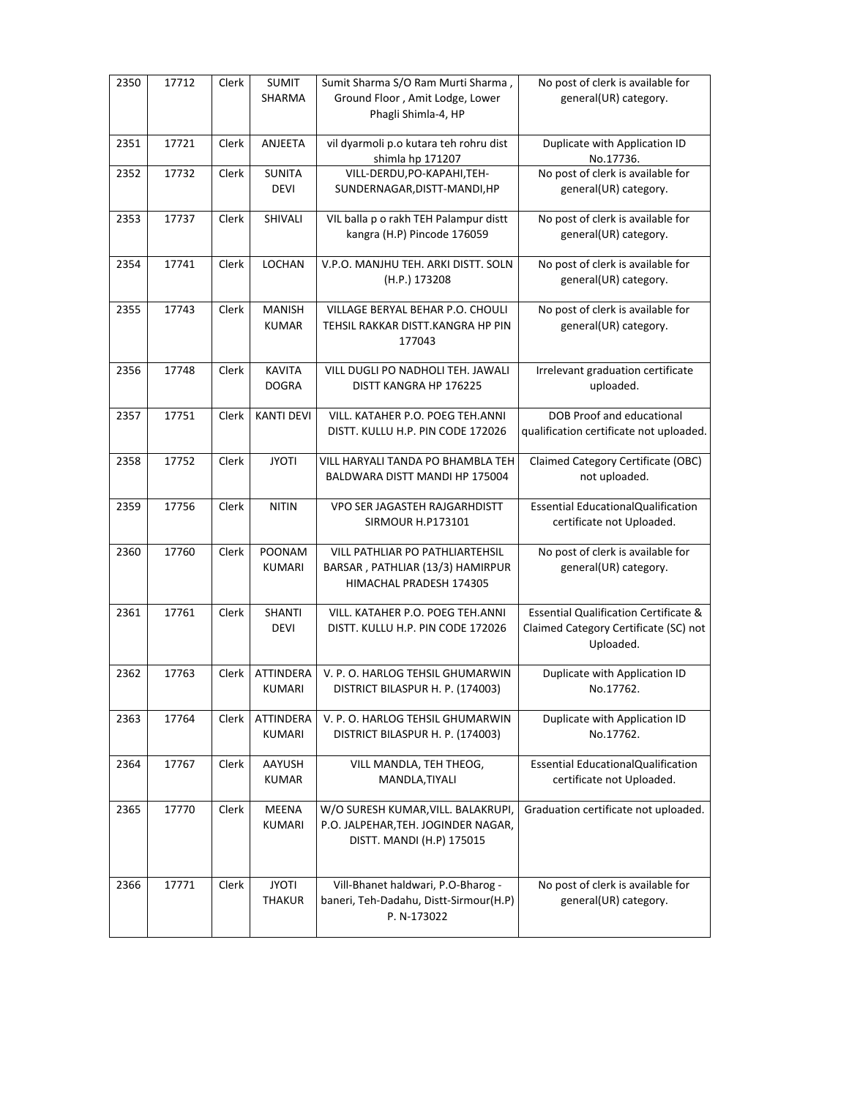| 2350 | 17712 | Clerk | <b>SUMIT</b><br>SHARMA            | Sumit Sharma S/O Ram Murti Sharma,<br>Ground Floor, Amit Lodge, Lower<br>Phagli Shimla-4, HP           | No post of clerk is available for<br>general(UR) category.                                             |
|------|-------|-------|-----------------------------------|--------------------------------------------------------------------------------------------------------|--------------------------------------------------------------------------------------------------------|
| 2351 | 17721 | Clerk | ANJEETA                           | vil dyarmoli p.o kutara teh rohru dist<br>shimla hp 171207                                             | Duplicate with Application ID<br>No.17736.                                                             |
| 2352 | 17732 | Clerk | <b>SUNITA</b><br><b>DEVI</b>      | VILL-DERDU, PO-KAPAHI, TEH-<br>SUNDERNAGAR, DISTT-MANDI, HP                                            | No post of clerk is available for<br>general(UR) category.                                             |
| 2353 | 17737 | Clerk | SHIVALI                           | VIL balla p o rakh TEH Palampur distt<br>kangra (H.P) Pincode 176059                                   | No post of clerk is available for<br>general(UR) category.                                             |
| 2354 | 17741 | Clerk | LOCHAN                            | V.P.O. MANJHU TEH. ARKI DISTT. SOLN<br>(H.P.) 173208                                                   | No post of clerk is available for<br>general(UR) category.                                             |
| 2355 | 17743 | Clerk | MANISH<br><b>KUMAR</b>            | VILLAGE BERYAL BEHAR P.O. CHOULI<br>TEHSIL RAKKAR DISTT.KANGRA HP PIN<br>177043                        | No post of clerk is available for<br>general(UR) category.                                             |
| 2356 | 17748 | Clerk | <b>KAVITA</b><br><b>DOGRA</b>     | VILL DUGLI PO NADHOLI TEH. JAWALI<br>DISTT KANGRA HP 176225                                            | Irrelevant graduation certificate<br>uploaded.                                                         |
| 2357 | 17751 | Clerk | <b>KANTI DEVI</b>                 | VILL. KATAHER P.O. POEG TEH.ANNI<br>DISTT. KULLU H.P. PIN CODE 172026                                  | DOB Proof and educational<br>qualification certificate not uploaded.                                   |
| 2358 | 17752 | Clerk | <b>JYOTI</b>                      | VILL HARYALI TANDA PO BHAMBLA TEH<br>BALDWARA DISTT MANDI HP 175004                                    | Claimed Category Certificate (OBC)<br>not uploaded.                                                    |
| 2359 | 17756 | Clerk | <b>NITIN</b>                      | VPO SER JAGASTEH RAJGARHDISTT<br><b>SIRMOUR H.P173101</b>                                              | <b>Essential EducationalQualification</b><br>certificate not Uploaded.                                 |
| 2360 | 17760 | Clerk | POONAM<br><b>KUMARI</b>           | VILL PATHLIAR PO PATHLIARTEHSIL<br>BARSAR, PATHLIAR (13/3) HAMIRPUR<br>HIMACHAL PRADESH 174305         | No post of clerk is available for<br>general(UR) category.                                             |
| 2361 | 17761 | Clerk | <b>SHANTI</b><br><b>DEVI</b>      | VILL, KATAHER P.O. POEG TEH.ANNI<br>DISTT. KULLU H.P. PIN CODE 172026                                  | <b>Essential Qualification Certificate &amp;</b><br>Claimed Category Certificate (SC) not<br>Uploaded. |
| 2362 | 17763 | Clerk | <b>ATTINDERA</b><br><b>KUMARI</b> | V. P. O. HARLOG TEHSIL GHUMARWIN<br>DISTRICT BILASPUR H. P. (174003)                                   | Duplicate with Application ID<br>No.17762.                                                             |
| 2363 | 17764 | Clerk | <b>ATTINDERA</b><br>KUMARI        | V. P. O. HARLOG TEHSIL GHUMARWIN<br>DISTRICT BILASPUR H. P. (174003)                                   | Duplicate with Application ID<br>No.17762.                                                             |
| 2364 | 17767 | Clerk | AAYUSH<br><b>KUMAR</b>            | VILL MANDLA, TEH THEOG,<br>MANDLA, TIYALI                                                              | <b>Essential EducationalQualification</b><br>certificate not Uploaded.                                 |
| 2365 | 17770 | Clerk | MEENA<br><b>KUMARI</b>            | W/O SURESH KUMAR, VILL. BALAKRUPI,<br>P.O. JALPEHAR, TEH. JOGINDER NAGAR,<br>DISTT. MANDI (H.P) 175015 | Graduation certificate not uploaded.                                                                   |
| 2366 | 17771 | Clerk | <b>JYOTI</b><br><b>THAKUR</b>     | Vill-Bhanet haldwari, P.O-Bharog -<br>baneri, Teh-Dadahu, Distt-Sirmour(H.P)<br>P. N-173022            | No post of clerk is available for<br>general(UR) category.                                             |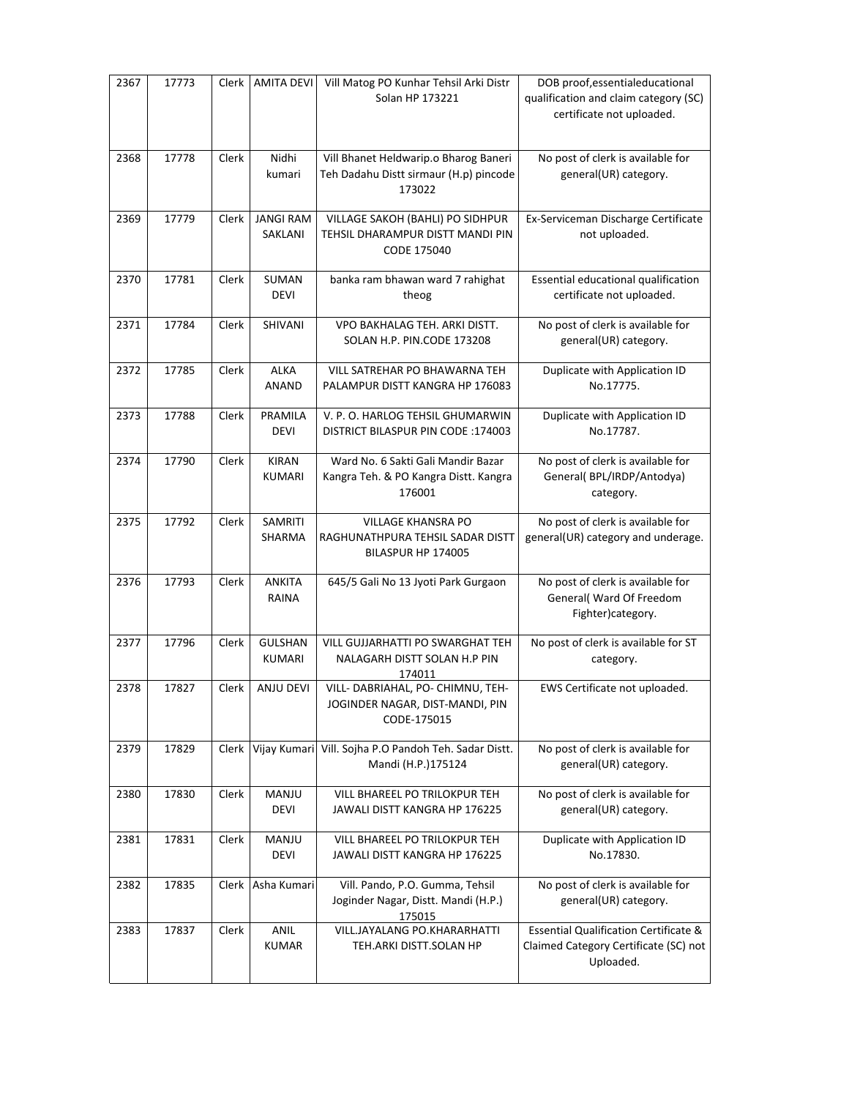| 2367 | 17773 | Clerk | AMITA DEVI                      | Vill Matog PO Kunhar Tehsil Arki Distr<br>Solan HP 173221                                 | DOB proof, essentialeducational<br>qualification and claim category (SC)<br>certificate not uploaded.  |
|------|-------|-------|---------------------------------|-------------------------------------------------------------------------------------------|--------------------------------------------------------------------------------------------------------|
| 2368 | 17778 | Clerk | Nidhi<br>kumari                 | Vill Bhanet Heldwarip.o Bharog Baneri<br>Teh Dadahu Distt sirmaur (H.p) pincode<br>173022 | No post of clerk is available for<br>general(UR) category.                                             |
| 2369 | 17779 | Clerk | <b>JANGI RAM</b><br>SAKLANI     | VILLAGE SAKOH (BAHLI) PO SIDHPUR<br>TEHSIL DHARAMPUR DISTT MANDI PIN<br>CODE 175040       | Ex-Serviceman Discharge Certificate<br>not uploaded.                                                   |
| 2370 | 17781 | Clerk | SUMAN<br><b>DEVI</b>            | banka ram bhawan ward 7 rahighat<br>theog                                                 | Essential educational qualification<br>certificate not uploaded.                                       |
| 2371 | 17784 | Clerk | SHIVANI                         | VPO BAKHALAG TEH. ARKI DISTT.<br>SOLAN H.P. PIN.CODE 173208                               | No post of clerk is available for<br>general(UR) category.                                             |
| 2372 | 17785 | Clerk | <b>ALKA</b><br><b>ANAND</b>     | VILL SATREHAR PO BHAWARNA TEH<br>PALAMPUR DISTT KANGRA HP 176083                          | Duplicate with Application ID<br>No.17775.                                                             |
| 2373 | 17788 | Clerk | PRAMILA<br><b>DEVI</b>          | V. P. O. HARLOG TEHSIL GHUMARWIN<br><b>DISTRICT BILASPUR PIN CODE: 174003</b>             | Duplicate with Application ID<br>No.17787.                                                             |
| 2374 | 17790 | Clerk | <b>KIRAN</b><br><b>KUMARI</b>   | Ward No. 6 Sakti Gali Mandir Bazar<br>Kangra Teh. & PO Kangra Distt. Kangra<br>176001     | No post of clerk is available for<br>General(BPL/IRDP/Antodya)<br>category.                            |
| 2375 | 17792 | Clerk | SAMRITI<br>SHARMA               | <b>VILLAGE KHANSRA PO</b><br>RAGHUNATHPURA TEHSIL SADAR DISTT<br>BILASPUR HP 174005       | No post of clerk is available for<br>general(UR) category and underage.                                |
| 2376 | 17793 | Clerk | <b>ANKITA</b><br>RAINA          | 645/5 Gali No 13 Jyoti Park Gurgaon                                                       | No post of clerk is available for<br>General( Ward Of Freedom<br>Fighter)category.                     |
| 2377 | 17796 | Clerk | <b>GULSHAN</b><br><b>KUMARI</b> | VILL GUJJARHATTI PO SWARGHAT TEH<br>NALAGARH DISTT SOLAN H.P PIN<br>174011                | No post of clerk is available for ST<br>category.                                                      |
| 2378 | 17827 | Clerk | <b>ANJU DEVI</b>                | VILL- DABRIAHAL, PO- CHIMNU, TEH-<br>JOGINDER NAGAR, DIST-MANDI, PIN<br>CODE-175015       | EWS Certificate not uploaded.                                                                          |
| 2379 | 17829 | Clerk | Vijay Kumari                    | Vill. Sojha P.O Pandoh Teh. Sadar Distt.<br>Mandi (H.P.)175124                            | No post of clerk is available for<br>general(UR) category.                                             |
| 2380 | 17830 | Clerk | MANJU<br><b>DEVI</b>            | VILL BHAREEL PO TRILOKPUR TEH<br>JAWALI DISTT KANGRA HP 176225                            | No post of clerk is available for<br>general(UR) category.                                             |
| 2381 | 17831 | Clerk | MANJU<br><b>DEVI</b>            | VILL BHAREEL PO TRILOKPUR TEH<br>JAWALI DISTT KANGRA HP 176225                            | Duplicate with Application ID<br>No.17830.                                                             |
| 2382 | 17835 | Clerk | Asha Kumari                     | Vill. Pando, P.O. Gumma, Tehsil<br>Joginder Nagar, Distt. Mandi (H.P.)<br>175015          | No post of clerk is available for<br>general(UR) category.                                             |
| 2383 | 17837 | Clerk | ANIL<br><b>KUMAR</b>            | VILL.JAYALANG PO.KHARARHATTI<br>TEH.ARKI DISTT.SOLAN HP                                   | <b>Essential Qualification Certificate &amp;</b><br>Claimed Category Certificate (SC) not<br>Uploaded. |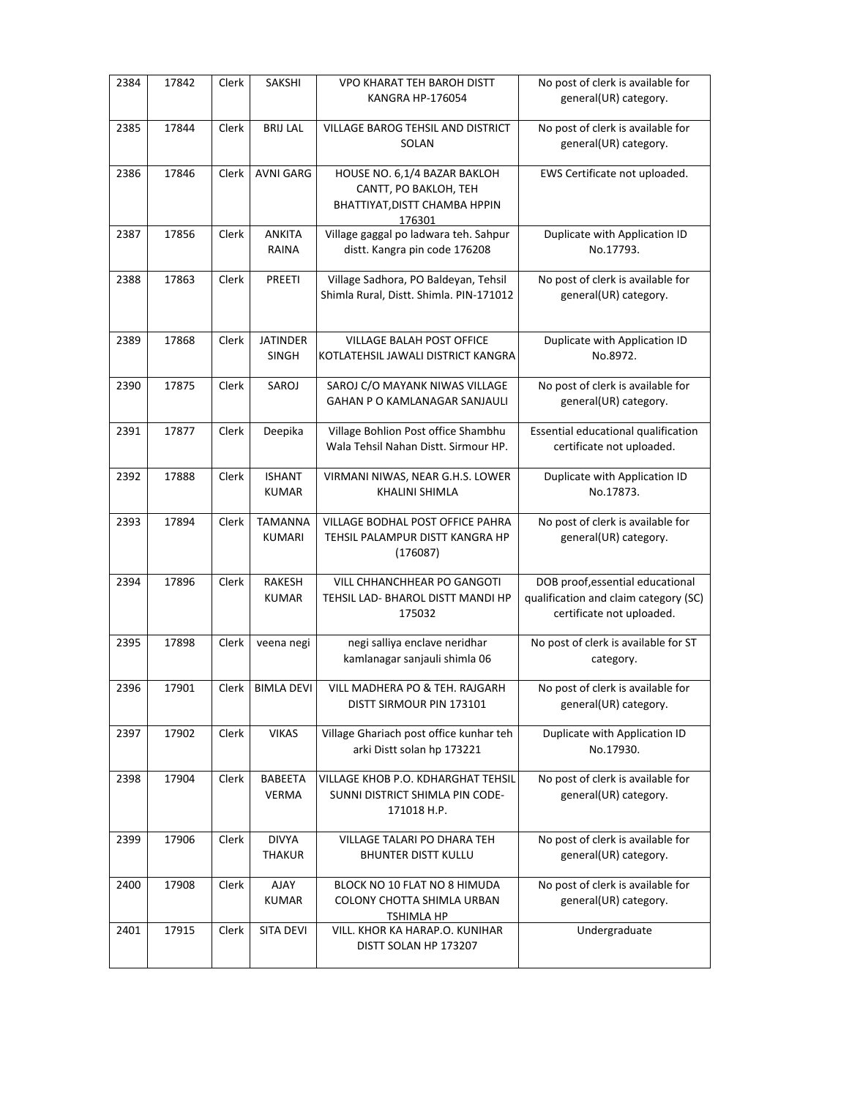| 2384 | 17842 | Clerk | SAKSHI                          | VPO KHARAT TEH BAROH DISTT<br>KANGRA HP-176054                                                   | No post of clerk is available for<br>general(UR) category.                                             |
|------|-------|-------|---------------------------------|--------------------------------------------------------------------------------------------------|--------------------------------------------------------------------------------------------------------|
| 2385 | 17844 | Clerk | <b>BRIJ LAL</b>                 | VILLAGE BAROG TEHSIL AND DISTRICT<br>SOLAN                                                       | No post of clerk is available for<br>general(UR) category.                                             |
| 2386 | 17846 | Clerk | <b>AVNI GARG</b>                | HOUSE NO. 6,1/4 BAZAR BAKLOH<br>CANTT, PO BAKLOH, TEH<br>BHATTIYAT, DISTT CHAMBA HPPIN<br>176301 | EWS Certificate not uploaded.                                                                          |
| 2387 | 17856 | Clerk | <b>ANKITA</b><br>RAINA          | Village gaggal po ladwara teh. Sahpur<br>distt. Kangra pin code 176208                           | Duplicate with Application ID<br>No.17793.                                                             |
| 2388 | 17863 | Clerk | PREETI                          | Village Sadhora, PO Baldeyan, Tehsil<br>Shimla Rural, Distt. Shimla. PIN-171012                  | No post of clerk is available for<br>general(UR) category.                                             |
| 2389 | 17868 | Clerk | <b>JATINDER</b><br><b>SINGH</b> | VILLAGE BALAH POST OFFICE<br>KOTLATEHSIL JAWALI DISTRICT KANGRA                                  | Duplicate with Application ID<br>No.8972.                                                              |
| 2390 | 17875 | Clerk | SAROJ                           | SAROJ C/O MAYANK NIWAS VILLAGE<br>GAHAN P O KAMLANAGAR SANJAULI                                  | No post of clerk is available for<br>general(UR) category.                                             |
| 2391 | 17877 | Clerk | Deepika                         | Village Bohlion Post office Shambhu<br>Wala Tehsil Nahan Distt. Sirmour HP.                      | Essential educational qualification<br>certificate not uploaded.                                       |
| 2392 | 17888 | Clerk | <b>ISHANT</b><br><b>KUMAR</b>   | VIRMANI NIWAS, NEAR G.H.S. LOWER<br>KHALINI SHIMLA                                               | Duplicate with Application ID<br>No.17873.                                                             |
| 2393 | 17894 | Clerk | <b>TAMANNA</b><br>KUMARI        | VILLAGE BODHAL POST OFFICE PAHRA<br>TEHSIL PALAMPUR DISTT KANGRA HP<br>(176087)                  | No post of clerk is available for<br>general(UR) category.                                             |
| 2394 | 17896 | Clerk | RAKESH<br><b>KUMAR</b>          | VILL CHHANCHHEAR PO GANGOTI<br>TEHSIL LAD- BHAROL DISTT MANDI HP<br>175032                       | DOB proof, essential educational<br>qualification and claim category (SC)<br>certificate not uploaded. |
| 2395 | 17898 | Clerk | veena negi                      | negi salliya enclave neridhar<br>kamlanagar sanjauli shimla 06                                   | No post of clerk is available for ST<br>category.                                                      |
| 2396 | 17901 |       | Clerk   BIMLA DEVI              | VILL MADHERA PO & TEH. RAJGARH<br>DISTT SIRMOUR PIN 173101                                       | No post of clerk is available for<br>general(UR) category.                                             |
| 2397 | 17902 | Clerk | <b>VIKAS</b>                    | Village Ghariach post office kunhar teh<br>arki Distt solan hp 173221                            | Duplicate with Application ID<br>No.17930.                                                             |
| 2398 | 17904 | Clerk | BABEETA<br><b>VERMA</b>         | VILLAGE KHOB P.O. KDHARGHAT TEHSIL<br>SUNNI DISTRICT SHIMLA PIN CODE-<br>171018 H.P.             | No post of clerk is available for<br>general(UR) category.                                             |
| 2399 | 17906 | Clerk | <b>DIVYA</b><br><b>THAKUR</b>   | VILLAGE TALARI PO DHARA TEH<br><b>BHUNTER DISTT KULLU</b>                                        | No post of clerk is available for<br>general(UR) category.                                             |
| 2400 | 17908 | Clerk | AJAY<br><b>KUMAR</b>            | BLOCK NO 10 FLAT NO 8 HIMUDA<br>COLONY CHOTTA SHIMLA URBAN<br><b>TSHIMLA HP</b>                  | No post of clerk is available for<br>general(UR) category.                                             |
| 2401 | 17915 | Clerk | <b>SITA DEVI</b>                | VILL. KHOR KA HARAP.O. KUNIHAR<br>DISTT SOLAN HP 173207                                          | Undergraduate                                                                                          |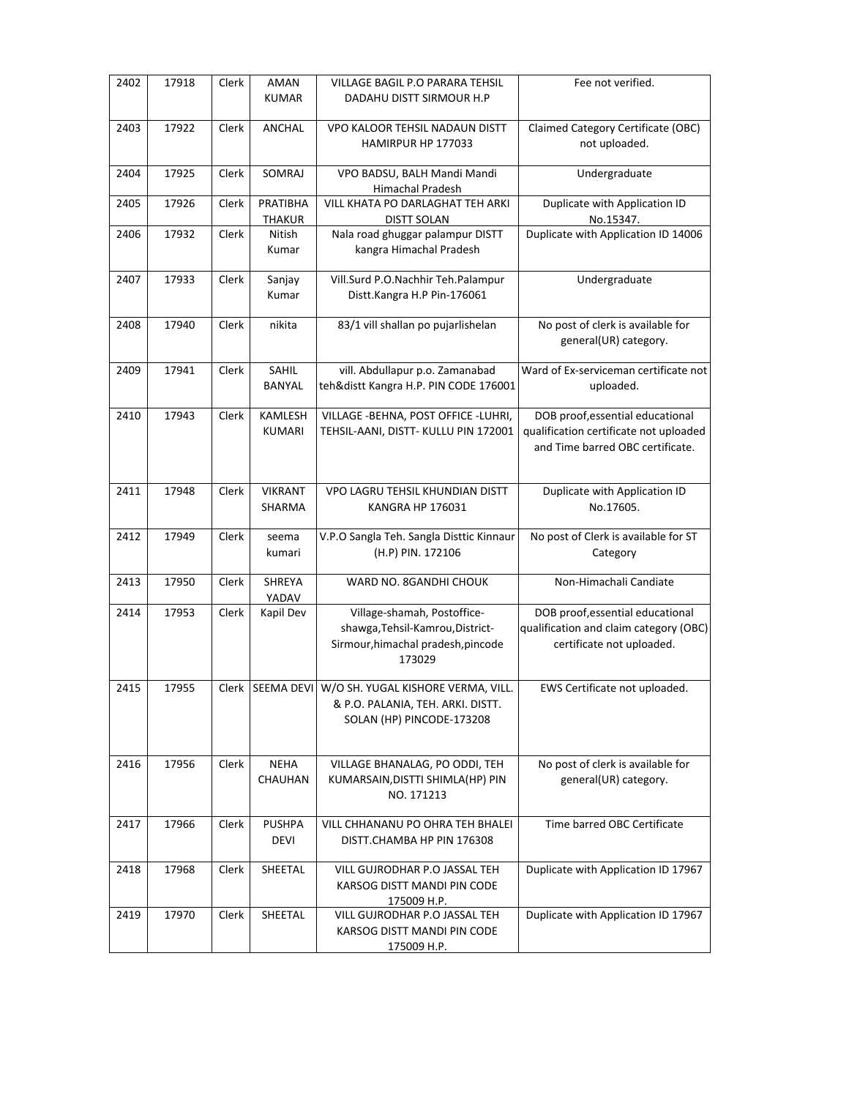| 2402 | 17918 | Clerk | AMAN<br><b>KUMAR</b>      | VILLAGE BAGIL P.O PARARA TEHSIL<br>DADAHU DISTT SIRMOUR H.P                                                               | Fee not verified.                                                                                              |
|------|-------|-------|---------------------------|---------------------------------------------------------------------------------------------------------------------------|----------------------------------------------------------------------------------------------------------------|
| 2403 | 17922 | Clerk | ANCHAL                    | VPO KALOOR TEHSIL NADAUN DISTT<br>HAMIRPUR HP 177033                                                                      | Claimed Category Certificate (OBC)<br>not uploaded.                                                            |
| 2404 | 17925 | Clerk | <b>SOMRAJ</b>             | VPO BADSU, BALH Mandi Mandi<br>Himachal Pradesh                                                                           | Undergraduate                                                                                                  |
| 2405 | 17926 | Clerk | PRATIBHA<br><b>THAKUR</b> | VILL KHATA PO DARLAGHAT TEH ARKI<br><b>DISTT SOLAN</b>                                                                    | Duplicate with Application ID<br>No.15347.                                                                     |
| 2406 | 17932 | Clerk | Nitish<br>Kumar           | Nala road ghuggar palampur DISTT<br>kangra Himachal Pradesh                                                               | Duplicate with Application ID 14006                                                                            |
| 2407 | 17933 | Clerk | Sanjay<br>Kumar           | Vill.Surd P.O.Nachhir Teh.Palampur<br>Distt.Kangra H.P Pin-176061                                                         | Undergraduate                                                                                                  |
| 2408 | 17940 | Clerk | nikita                    | 83/1 vill shallan po pujarlishelan                                                                                        | No post of clerk is available for<br>general(UR) category.                                                     |
| 2409 | 17941 | Clerk | SAHIL<br><b>BANYAL</b>    | vill. Abdullapur p.o. Zamanabad<br>teh&distt Kangra H.P. PIN CODE 176001                                                  | Ward of Ex-serviceman certificate not<br>uploaded.                                                             |
| 2410 | 17943 | Clerk | <b>KAMLESH</b><br>KUMARI  | VILLAGE - BEHNA, POST OFFICE - LUHRI,<br>TEHSIL-AANI, DISTT- KULLU PIN 172001                                             | DOB proof, essential educational<br>qualification certificate not uploaded<br>and Time barred OBC certificate. |
| 2411 | 17948 | Clerk | <b>VIKRANT</b><br>SHARMA  | VPO LAGRU TEHSIL KHUNDIAN DISTT<br>KANGRA HP 176031                                                                       | Duplicate with Application ID<br>No.17605.                                                                     |
| 2412 | 17949 | Clerk | seema<br>kumari           | V.P.O Sangla Teh. Sangla Disttic Kinnaur<br>(H.P) PIN. 172106                                                             | No post of Clerk is available for ST<br>Category                                                               |
| 2413 | 17950 | Clerk | <b>SHREYA</b><br>YADAV    | WARD NO. 8GANDHI CHOUK                                                                                                    | Non-Himachali Candiate                                                                                         |
| 2414 | 17953 | Clerk | Kapil Dev                 | Village-shamah, Postoffice-<br>shawga, Tehsil-Kamrou, District-<br>Sirmour, himachal pradesh, pincode<br>173029           | DOB proof, essential educational<br>qualification and claim category (OBC)<br>certificate not uploaded.        |
| 2415 | 17955 |       |                           | Clerk   SEEMA DEVI   W/O SH. YUGAL KISHORE VERMA, VILL.<br>& P.O. PALANIA, TEH. ARKI. DISTT.<br>SOLAN (HP) PINCODE-173208 | EWS Certificate not uploaded.                                                                                  |
| 2416 | 17956 | Clerk | <b>NEHA</b><br>CHAUHAN    | VILLAGE BHANALAG, PO ODDI, TEH<br>KUMARSAIN, DISTTI SHIMLA(HP) PIN<br>NO. 171213                                          | No post of clerk is available for<br>general(UR) category.                                                     |
| 2417 | 17966 | Clerk | <b>PUSHPA</b><br>DEVI     | VILL CHHANANU PO OHRA TEH BHALEI<br>DISTT.CHAMBA HP PIN 176308                                                            | Time barred OBC Certificate                                                                                    |
| 2418 | 17968 | Clerk | SHEETAL                   | VILL GUJRODHAR P.O JASSAL TEH<br>KARSOG DISTT MANDI PIN CODE<br>175009 H.P.                                               | Duplicate with Application ID 17967                                                                            |
| 2419 | 17970 | Clerk | SHEETAL                   | VILL GUJRODHAR P.O JASSAL TEH<br>KARSOG DISTT MANDI PIN CODE<br>175009 H.P.                                               | Duplicate with Application ID 17967                                                                            |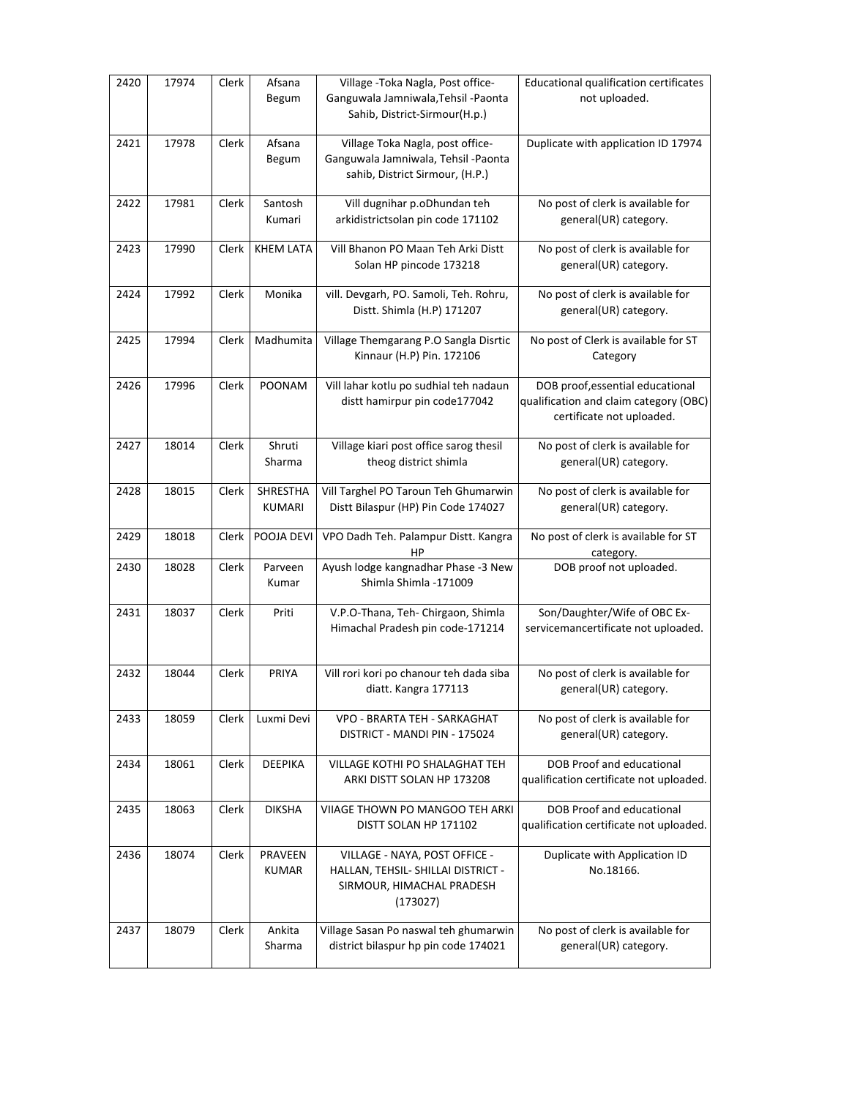| 2420 | 17974 | Clerk | Afsana<br>Begum           | Village - Toka Nagla, Post office-<br>Ganguwala Jamniwala, Tehsil - Paonta<br>Sahib, District-Sirmour(H.p.)  | Educational qualification certificates<br>not uploaded.                                                 |
|------|-------|-------|---------------------------|--------------------------------------------------------------------------------------------------------------|---------------------------------------------------------------------------------------------------------|
| 2421 | 17978 | Clerk | Afsana<br>Begum           | Village Toka Nagla, post office-<br>Ganguwala Jamniwala, Tehsil -Paonta<br>sahib, District Sirmour, (H.P.)   | Duplicate with application ID 17974                                                                     |
| 2422 | 17981 | Clerk | Santosh<br>Kumari         | Vill dugnihar p.oDhundan teh<br>arkidistrictsolan pin code 171102                                            | No post of clerk is available for<br>general(UR) category.                                              |
| 2423 | 17990 | Clerk | <b>KHEM LATA</b>          | Vill Bhanon PO Maan Teh Arki Distt<br>Solan HP pincode 173218                                                | No post of clerk is available for<br>general(UR) category.                                              |
| 2424 | 17992 | Clerk | Monika                    | vill. Devgarh, PO. Samoli, Teh. Rohru,<br>Distt. Shimla (H.P) 171207                                         | No post of clerk is available for<br>general(UR) category.                                              |
| 2425 | 17994 | Clerk | Madhumita                 | Village Themgarang P.O Sangla Disrtic<br>Kinnaur (H.P) Pin. 172106                                           | No post of Clerk is available for ST<br>Category                                                        |
| 2426 | 17996 | Clerk | <b>POONAM</b>             | Vill lahar kotlu po sudhial teh nadaun<br>distt hamirpur pin code177042                                      | DOB proof, essential educational<br>qualification and claim category (OBC)<br>certificate not uploaded. |
| 2427 | 18014 | Clerk | Shruti<br>Sharma          | Village kiari post office sarog thesil<br>theog district shimla                                              | No post of clerk is available for<br>general(UR) category.                                              |
| 2428 | 18015 | Clerk | SHRESTHA<br><b>KUMARI</b> | Vill Targhel PO Taroun Teh Ghumarwin<br>Distt Bilaspur (HP) Pin Code 174027                                  | No post of clerk is available for<br>general(UR) category.                                              |
| 2429 | 18018 | Clerk | POOJA DEVI                | VPO Dadh Teh. Palampur Distt. Kangra<br>HP                                                                   | No post of clerk is available for ST<br>category.                                                       |
| 2430 | 18028 | Clerk | Parveen<br>Kumar          | Ayush lodge kangnadhar Phase -3 New<br>Shimla Shimla -171009                                                 | DOB proof not uploaded.                                                                                 |
| 2431 | 18037 | Clerk | Priti                     | V.P.O-Thana, Teh- Chirgaon, Shimla<br>Himachal Pradesh pin code-171214                                       | Son/Daughter/Wife of OBC Ex-<br>servicemancertificate not uploaded.                                     |
| 2432 | 18044 | Clerk | PRIYA                     | Vill rori kori po chanour teh dada siba<br>diatt. Kangra 177113                                              | No post of clerk is available for<br>general(UR) category.                                              |
| 2433 | 18059 | Clerk | Luxmi Devi                | VPO - BRARTA TEH - SARKAGHAT<br>DISTRICT - MANDI PIN - 175024                                                | No post of clerk is available for<br>general(UR) category.                                              |
| 2434 | 18061 | Clerk | <b>DEEPIKA</b>            | VILLAGE KOTHI PO SHALAGHAT TEH<br>ARKI DISTT SOLAN HP 173208                                                 | DOB Proof and educational<br>qualification certificate not uploaded.                                    |
| 2435 | 18063 | Clerk | <b>DIKSHA</b>             | VIIAGE THOWN PO MANGOO TEH ARKI<br>DISTT SOLAN HP 171102                                                     | <b>DOB Proof and educational</b><br>qualification certificate not uploaded.                             |
| 2436 | 18074 | Clerk | PRAVEEN<br><b>KUMAR</b>   | VILLAGE - NAYA, POST OFFICE -<br>HALLAN, TEHSIL- SHILLAI DISTRICT -<br>SIRMOUR, HIMACHAL PRADESH<br>(173027) | Duplicate with Application ID<br>No.18166.                                                              |
| 2437 | 18079 | Clerk | Ankita<br>Sharma          | Village Sasan Po naswal teh ghumarwin<br>district bilaspur hp pin code 174021                                | No post of clerk is available for<br>general(UR) category.                                              |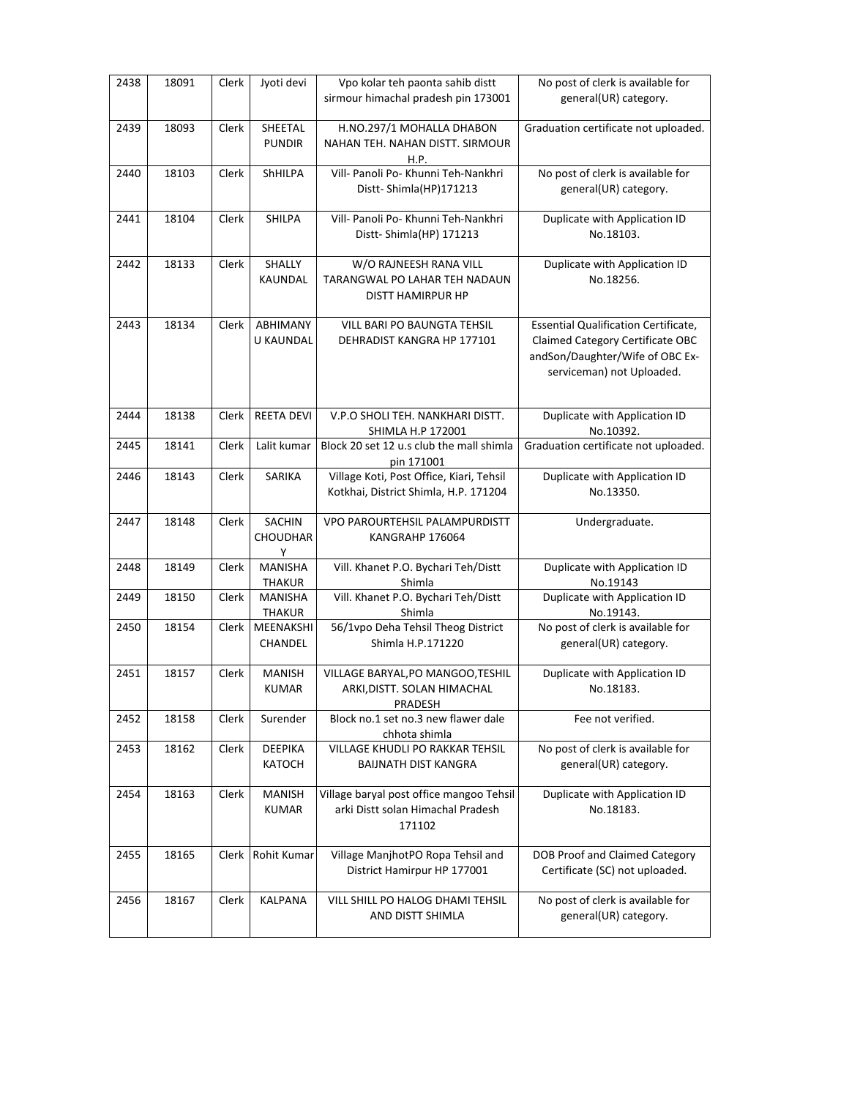| 2438 | 18091 | Clerk | Jyoti devi                            | Vpo kolar teh paonta sahib distt<br>sirmour himachal pradesh pin 173001                 | No post of clerk is available for<br>general(UR) category.                                                                               |
|------|-------|-------|---------------------------------------|-----------------------------------------------------------------------------------------|------------------------------------------------------------------------------------------------------------------------------------------|
| 2439 | 18093 | Clerk | SHEETAL<br><b>PUNDIR</b>              | H.NO.297/1 MOHALLA DHABON<br>NAHAN TEH. NAHAN DISTT. SIRMOUR<br>H.P.                    | Graduation certificate not uploaded.                                                                                                     |
| 2440 | 18103 | Clerk | ShHILPA                               | Vill- Panoli Po- Khunni Teh-Nankhri<br>Distt-Shimla(HP)171213                           | No post of clerk is available for<br>general(UR) category.                                                                               |
| 2441 | 18104 | Clerk | SHILPA                                | Vill- Panoli Po- Khunni Teh-Nankhri<br>Distt-Shimla(HP) 171213                          | Duplicate with Application ID<br>No.18103.                                                                                               |
| 2442 | 18133 | Clerk | SHALLY<br>KAUNDAL                     | W/O RAJNEESH RANA VILL<br>TARANGWAL PO LAHAR TEH NADAUN<br>DISTT HAMIRPUR HP            | Duplicate with Application ID<br>No.18256.                                                                                               |
| 2443 | 18134 | Clerk | ABHIMANY<br>U KAUNDAL                 | VILL BARI PO BAUNGTA TEHSIL<br>DEHRADIST KANGRA HP 177101                               | Essential Qualification Certificate,<br>Claimed Category Certificate OBC<br>andSon/Daughter/Wife of OBC Ex-<br>serviceman) not Uploaded. |
| 2444 | 18138 | Clerk | <b>REETA DEVI</b>                     | V.P.O SHOLI TEH. NANKHARI DISTT.<br>SHIMLA H.P 172001                                   | Duplicate with Application ID<br>No.10392.                                                                                               |
| 2445 | 18141 | Clerk | Lalit kumar                           | Block 20 set 12 u.s club the mall shimla<br>pin 171001                                  | Graduation certificate not uploaded.                                                                                                     |
| 2446 | 18143 | Clerk | <b>SARIKA</b>                         | Village Koti, Post Office, Kiari, Tehsil<br>Kotkhai, District Shimla, H.P. 171204       | Duplicate with Application ID<br>No.13350.                                                                                               |
| 2447 | 18148 | Clerk | <b>SACHIN</b><br><b>CHOUDHAR</b><br>Υ | VPO PAROURTEHSIL PALAMPURDISTT<br>KANGRAHP 176064                                       | Undergraduate.                                                                                                                           |
| 2448 | 18149 | Clerk | <b>MANISHA</b><br><b>THAKUR</b>       | Vill. Khanet P.O. Bychari Teh/Distt<br>Shimla                                           | Duplicate with Application ID<br>No.19143                                                                                                |
| 2449 | 18150 | Clerk | <b>MANISHA</b><br>THAKUR              | Vill. Khanet P.O. Bychari Teh/Distt<br>Shimla                                           | Duplicate with Application ID<br>No.19143.                                                                                               |
| 2450 | 18154 | Clerk | MEENAKSHI<br>CHANDEL                  | 56/1vpo Deha Tehsil Theog District<br>Shimla H.P.171220                                 | No post of clerk is available for<br>general(UR) category.                                                                               |
| 2451 | 18157 | Clerk | <b>MANISH</b><br><b>KUMAR</b>         | VILLAGE BARYAL, PO MANGOO, TESHIL<br>ARKI, DISTT. SOLAN HIMACHAL<br>PRADESH             | Duplicate with Application ID<br>No.18183.                                                                                               |
| 2452 | 18158 | Clerk | Surender                              | Block no.1 set no.3 new flawer dale<br>chhota shimla                                    | Fee not verified.                                                                                                                        |
| 2453 | 18162 | Clerk | <b>DEEPIKA</b><br>KATOCH              | <b>VILLAGE KHUDLI PO RAKKAR TEHSIL</b><br><b>BAIJNATH DIST KANGRA</b>                   | No post of clerk is available for<br>general(UR) category.                                                                               |
| 2454 | 18163 | Clerk | <b>MANISH</b><br><b>KUMAR</b>         | Village baryal post office mangoo Tehsil<br>arki Distt solan Himachal Pradesh<br>171102 | Duplicate with Application ID<br>No.18183.                                                                                               |
| 2455 | 18165 | Clerk | <b>Rohit Kumar</b>                    | Village ManjhotPO Ropa Tehsil and<br>District Hamirpur HP 177001                        | DOB Proof and Claimed Category<br>Certificate (SC) not uploaded.                                                                         |
| 2456 | 18167 | Clerk | KALPANA                               | VILL SHILL PO HALOG DHAMI TEHSIL<br>AND DISTT SHIMLA                                    | No post of clerk is available for<br>general(UR) category.                                                                               |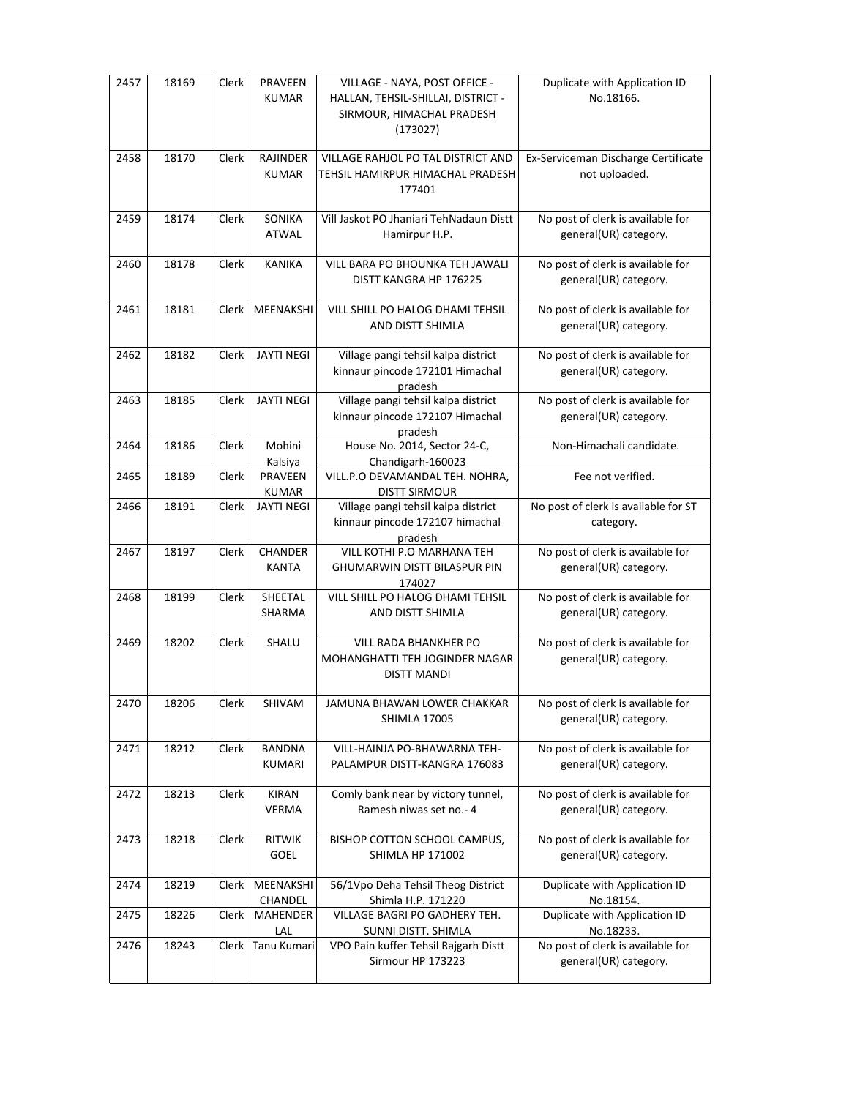| 2457 | 18169 | Clerk | PRAVEEN<br><b>KUMAR</b>        | VILLAGE - NAYA, POST OFFICE -<br>HALLAN, TEHSIL-SHILLAI, DISTRICT -<br>SIRMOUR, HIMACHAL PRADESH<br>(173027) | Duplicate with Application ID<br>No.18166.                 |
|------|-------|-------|--------------------------------|--------------------------------------------------------------------------------------------------------------|------------------------------------------------------------|
| 2458 | 18170 | Clerk | RAJINDER<br><b>KUMAR</b>       | VILLAGE RAHJOL PO TAL DISTRICT AND<br>TEHSIL HAMIRPUR HIMACHAL PRADESH<br>177401                             | Ex-Serviceman Discharge Certificate<br>not uploaded.       |
| 2459 | 18174 | Clerk | SONIKA<br><b>ATWAL</b>         | Vill Jaskot PO Jhaniari TehNadaun Distt<br>Hamirpur H.P.                                                     | No post of clerk is available for<br>general(UR) category. |
| 2460 | 18178 | Clerk | <b>KANIKA</b>                  | VILL BARA PO BHOUNKA TEH JAWALI<br>DISTT KANGRA HP 176225                                                    | No post of clerk is available for<br>general(UR) category. |
| 2461 | 18181 | Clerk | MEENAKSHI                      | VILL SHILL PO HALOG DHAMI TEHSIL<br>AND DISTT SHIMLA                                                         | No post of clerk is available for<br>general(UR) category. |
| 2462 | 18182 | Clerk | <b>JAYTI NEGI</b>              | Village pangi tehsil kalpa district<br>kinnaur pincode 172101 Himachal<br>pradesh                            | No post of clerk is available for<br>general(UR) category. |
| 2463 | 18185 | Clerk | <b>JAYTI NEGI</b>              | Village pangi tehsil kalpa district<br>kinnaur pincode 172107 Himachal<br>pradesh                            | No post of clerk is available for<br>general(UR) category. |
| 2464 | 18186 | Clerk | Mohini<br>Kalsiya              | House No. 2014, Sector 24-C,<br>Chandigarh-160023                                                            | Non-Himachali candidate.                                   |
| 2465 | 18189 | Clerk | <b>PRAVEEN</b><br><b>KUMAR</b> | VILL.P.O DEVAMANDAL TEH. NOHRA,<br><b>DISTT SIRMOUR</b>                                                      | Fee not verified.                                          |
| 2466 | 18191 | Clerk | JAYTI NEGI                     | Village pangi tehsil kalpa district<br>kinnaur pincode 172107 himachal<br>pradesh                            | No post of clerk is available for ST<br>category.          |
| 2467 | 18197 | Clerk | CHANDER<br><b>KANTA</b>        | VILL KOTHI P.O MARHANA TEH<br><b>GHUMARWIN DISTT BILASPUR PIN</b><br>174027                                  | No post of clerk is available for<br>general(UR) category. |
| 2468 | 18199 | Clerk | SHEETAL<br>SHARMA              | VILL SHILL PO HALOG DHAMI TEHSIL<br>AND DISTT SHIMLA                                                         | No post of clerk is available for<br>general(UR) category. |
| 2469 | 18202 | Clerk | SHALU                          | <b>VILL RADA BHANKHER PO</b><br>MOHANGHATTI TEH JOGINDER NAGAR<br><b>DISTT MANDI</b>                         | No post of clerk is available for<br>general(UR) category. |
| 2470 | 18206 | Clerk | SHIVAM                         | JAMUNA BHAWAN LOWER CHAKKAR<br><b>SHIMLA 17005</b>                                                           | No post of clerk is available for<br>general(UR) category. |
| 2471 | 18212 | Clerk | <b>BANDNA</b><br><b>KUMARI</b> | VILL-HAINJA PO-BHAWARNA TEH-<br>PALAMPUR DISTT-KANGRA 176083                                                 | No post of clerk is available for<br>general(UR) category. |
| 2472 | 18213 | Clerk | <b>KIRAN</b><br><b>VERMA</b>   | Comly bank near by victory tunnel,<br>Ramesh niwas set no.- 4                                                | No post of clerk is available for<br>general(UR) category. |
| 2473 | 18218 | Clerk | <b>RITWIK</b><br>GOEL          | BISHOP COTTON SCHOOL CAMPUS,<br>SHIMLA HP 171002                                                             | No post of clerk is available for<br>general(UR) category. |
| 2474 | 18219 | Clerk | MEENAKSHI<br>CHANDEL           | 56/1Vpo Deha Tehsil Theog District<br>Shimla H.P. 171220                                                     | Duplicate with Application ID<br>No.18154.                 |
| 2475 | 18226 | Clerk | MAHENDER<br>LAL                | VILLAGE BAGRI PO GADHERY TEH.<br>SUNNI DISTT. SHIMLA                                                         | Duplicate with Application ID<br>No.18233.                 |
| 2476 | 18243 | Clerk | Tanu Kumari                    | VPO Pain kuffer Tehsil Rajgarh Distt<br>Sirmour HP 173223                                                    | No post of clerk is available for<br>general(UR) category. |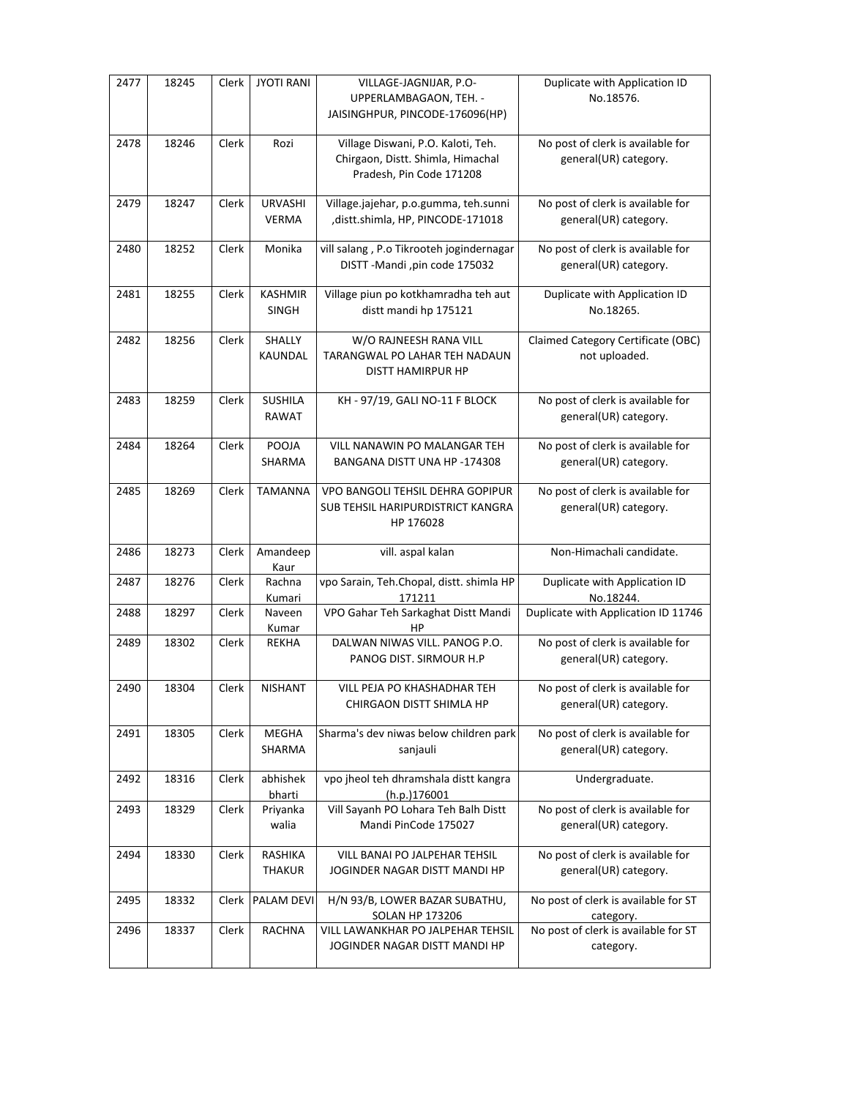| 2477 | 18245 | Clerk        | <b>JYOTI RANI</b>              | VILLAGE-JAGNIJAR, P.O-<br>UPPERLAMBAGAON, TEH. -<br>JAISINGHPUR, PINCODE-176096(HP)                 | Duplicate with Application ID<br>No.18576.                 |
|------|-------|--------------|--------------------------------|-----------------------------------------------------------------------------------------------------|------------------------------------------------------------|
| 2478 | 18246 | Clerk        | Rozi                           | Village Diswani, P.O. Kaloti, Teh.<br>Chirgaon, Distt. Shimla, Himachal<br>Pradesh, Pin Code 171208 | No post of clerk is available for<br>general(UR) category. |
| 2479 | 18247 | Clerk        | <b>URVASHI</b><br><b>VERMA</b> | Village.jajehar, p.o.gumma, teh.sunni<br>,distt.shimla, HP, PINCODE-171018                          | No post of clerk is available for<br>general(UR) category. |
| 2480 | 18252 | Clerk        | Monika                         | vill salang, P.o Tikrooteh jogindernagar<br>DISTT-Mandi, pin code 175032                            | No post of clerk is available for<br>general(UR) category. |
| 2481 | 18255 | Clerk        | <b>KASHMIR</b><br><b>SINGH</b> | Village piun po kotkhamradha teh aut<br>distt mandi hp 175121                                       | Duplicate with Application ID<br>No.18265.                 |
| 2482 | 18256 | Clerk        | SHALLY<br>KAUNDAL              | W/O RAJNEESH RANA VILL<br>TARANGWAL PO LAHAR TEH NADAUN<br><b>DISTT HAMIRPUR HP</b>                 | Claimed Category Certificate (OBC)<br>not uploaded.        |
| 2483 | 18259 | Clerk        | SUSHILA<br><b>RAWAT</b>        | KH-97/19, GALI NO-11 F BLOCK                                                                        | No post of clerk is available for<br>general(UR) category. |
| 2484 | 18264 | <b>Clerk</b> | POOJA<br><b>SHARMA</b>         | VILL NANAWIN PO MALANGAR TEH<br>BANGANA DISTT UNA HP -174308                                        | No post of clerk is available for<br>general(UR) category. |
| 2485 | 18269 | Clerk        | <b>TAMANNA</b>                 | VPO BANGOLI TEHSIL DEHRA GOPIPUR<br>SUB TEHSIL HARIPURDISTRICT KANGRA<br>HP 176028                  | No post of clerk is available for<br>general(UR) category. |
| 2486 | 18273 | Clerk        | Amandeep<br>Kaur               | vill. aspal kalan                                                                                   | Non-Himachali candidate.                                   |
| 2487 | 18276 | Clerk        | Rachna<br>Kumari               | vpo Sarain, Teh.Chopal, distt. shimla HP<br>171211                                                  | Duplicate with Application ID<br>No.18244.                 |
| 2488 | 18297 | Clerk        | Naveen<br>Kumar                | VPO Gahar Teh Sarkaghat Distt Mandi<br>HP                                                           | Duplicate with Application ID 11746                        |
| 2489 | 18302 | Clerk        | REKHA                          | DALWAN NIWAS VILL. PANOG P.O.<br>PANOG DIST. SIRMOUR H.P                                            | No post of clerk is available for<br>general(UR) category. |
| 2490 | 18304 | Clerk        | <b>NISHANT</b>                 | VILL PEJA PO KHASHADHAR TEH<br>CHIRGAON DISTT SHIMLA HP                                             | No post of clerk is available for<br>general(UR) category. |
| 2491 | 18305 | Clerk        | <b>MEGHA</b><br>SHARMA         | Sharma's dev niwas below children park<br>sanjauli                                                  | No post of clerk is available for<br>general(UR) category. |
| 2492 | 18316 | Clerk        | abhishek<br>bharti             | vpo jheol teh dhramshala distt kangra<br>(h.p.)176001                                               | Undergraduate.                                             |
| 2493 | 18329 | Clerk        | Priyanka<br>walia              | Vill Sayanh PO Lohara Teh Balh Distt<br>Mandi PinCode 175027                                        | No post of clerk is available for<br>general(UR) category. |
| 2494 | 18330 | Clerk        | RASHIKA<br><b>THAKUR</b>       | VILL BANAI PO JALPEHAR TEHSIL<br>JOGINDER NAGAR DISTT MANDI HP                                      | No post of clerk is available for<br>general(UR) category. |
| 2495 | 18332 | Clerk        | <b>PALAM DEVI</b>              | H/N 93/B, LOWER BAZAR SUBATHU,<br><b>SOLAN HP 173206</b>                                            | No post of clerk is available for ST<br>category.          |
| 2496 | 18337 | Clerk        | <b>RACHNA</b>                  | VILL LAWANKHAR PO JALPEHAR TEHSIL<br>JOGINDER NAGAR DISTT MANDI HP                                  | No post of clerk is available for ST<br>category.          |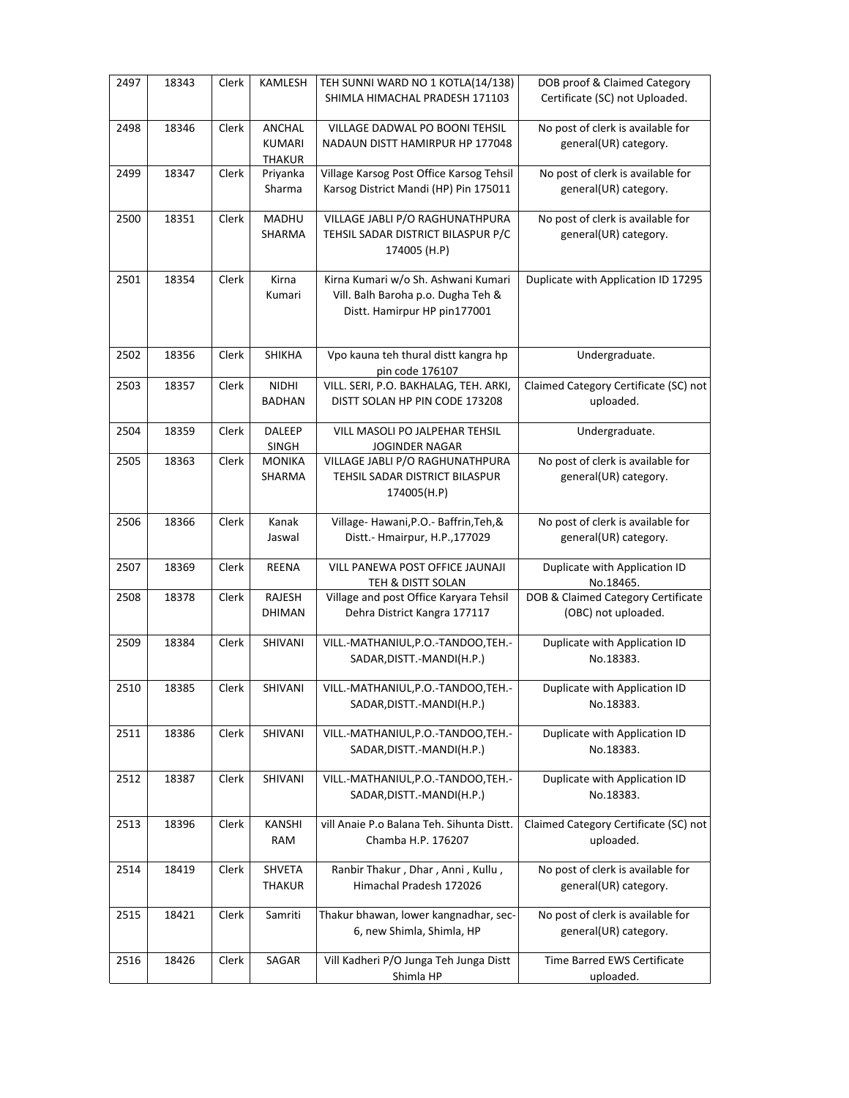| 2497 | 18343 | Clerk | KAMLESH                                  | TEH SUNNI WARD NO 1 KOTLA(14/138)<br>SHIMLA HIMACHAL PRADESH 171103                                       | DOB proof & Claimed Category<br>Certificate (SC) not Uploaded. |
|------|-------|-------|------------------------------------------|-----------------------------------------------------------------------------------------------------------|----------------------------------------------------------------|
| 2498 | 18346 | Clerk | ANCHAL<br><b>KUMARI</b><br><b>THAKUR</b> | VILLAGE DADWAL PO BOONI TEHSIL<br>NADAUN DISTT HAMIRPUR HP 177048                                         | No post of clerk is available for<br>general(UR) category.     |
| 2499 | 18347 | Clerk | Priyanka<br>Sharma                       | Village Karsog Post Office Karsog Tehsil<br>Karsog District Mandi (HP) Pin 175011                         | No post of clerk is available for<br>general(UR) category.     |
| 2500 | 18351 | Clerk | MADHU<br>SHARMA                          | VILLAGE JABLI P/O RAGHUNATHPURA<br>TEHSIL SADAR DISTRICT BILASPUR P/C<br>174005 (H.P)                     | No post of clerk is available for<br>general(UR) category.     |
| 2501 | 18354 | Clerk | Kirna<br>Kumari                          | Kirna Kumari w/o Sh. Ashwani Kumari<br>Vill. Balh Baroha p.o. Dugha Teh &<br>Distt. Hamirpur HP pin177001 | Duplicate with Application ID 17295                            |
| 2502 | 18356 | Clerk | <b>SHIKHA</b>                            | Vpo kauna teh thural distt kangra hp<br>pin code 176107                                                   | Undergraduate.                                                 |
| 2503 | 18357 | Clerk | <b>NIDHI</b><br><b>BADHAN</b>            | VILL. SERI, P.O. BAKHALAG, TEH. ARKI,<br>DISTT SOLAN HP PIN CODE 173208                                   | Claimed Category Certificate (SC) not<br>uploaded.             |
| 2504 | 18359 | Clerk | <b>DALEEP</b><br>SINGH                   | VILL MASOLI PO JALPEHAR TEHSIL<br><b>JOGINDER NAGAR</b>                                                   | Undergraduate.                                                 |
| 2505 | 18363 | Clerk | <b>MONIKA</b><br>SHARMA                  | VILLAGE JABLI P/O RAGHUNATHPURA<br>TEHSIL SADAR DISTRICT BILASPUR<br>174005(H.P)                          | No post of clerk is available for<br>general(UR) category.     |
| 2506 | 18366 | Clerk | Kanak<br>Jaswal                          | Village-Hawani, P.O. - Baffrin, Teh, &<br>Distt.- Hmairpur, H.P.,177029                                   | No post of clerk is available for<br>general(UR) category.     |
| 2507 | 18369 | Clerk | REENA                                    | VILL PANEWA POST OFFICE JAUNAJI<br>TEH & DISTT SOLAN                                                      | Duplicate with Application ID<br>No.18465.                     |
| 2508 | 18378 | Clerk | RAJESH<br><b>DHIMAN</b>                  | Village and post Office Karyara Tehsil<br>Dehra District Kangra 177117                                    | DOB & Claimed Category Certificate<br>(OBC) not uploaded.      |
| 2509 | 18384 | Clerk | SHIVANI                                  | VILL.-MATHANIUL, P.O.-TANDOO, TEH.-<br>SADAR, DISTT.-MANDI(H.P.)                                          | Duplicate with Application ID<br>No.18383.                     |
| 2510 | 18385 | Clerk | SHIVANI                                  | VILL.-MATHANIUL, P.O.-TANDOO, TEH.-<br>SADAR, DISTT.-MANDI(H.P.)                                          | Duplicate with Application ID<br>No.18383.                     |
| 2511 | 18386 | Clerk | SHIVANI                                  | VILL.-MATHANIUL, P.O.-TANDOO, TEH.-<br>SADAR, DISTT.-MANDI(H.P.)                                          | Duplicate with Application ID<br>No.18383.                     |
| 2512 | 18387 | Clerk | SHIVANI                                  | VILL.-MATHANIUL, P.O.-TANDOO, TEH.-<br>SADAR, DISTT.-MANDI(H.P.)                                          | Duplicate with Application ID<br>No.18383.                     |
| 2513 | 18396 | Clerk | KANSHI<br>RAM                            | vill Anaie P.o Balana Teh. Sihunta Distt.<br>Chamba H.P. 176207                                           | Claimed Category Certificate (SC) not<br>uploaded.             |
| 2514 | 18419 | Clerk | SHVETA<br><b>THAKUR</b>                  | Ranbir Thakur, Dhar, Anni, Kullu,<br>Himachal Pradesh 172026                                              | No post of clerk is available for<br>general(UR) category.     |
| 2515 | 18421 | Clerk | Samriti                                  | Thakur bhawan, lower kangnadhar, sec-<br>6, new Shimla, Shimla, HP                                        | No post of clerk is available for<br>general(UR) category.     |
| 2516 | 18426 | Clerk | SAGAR                                    | Vill Kadheri P/O Junga Teh Junga Distt<br>Shimla HP                                                       | Time Barred EWS Certificate<br>uploaded.                       |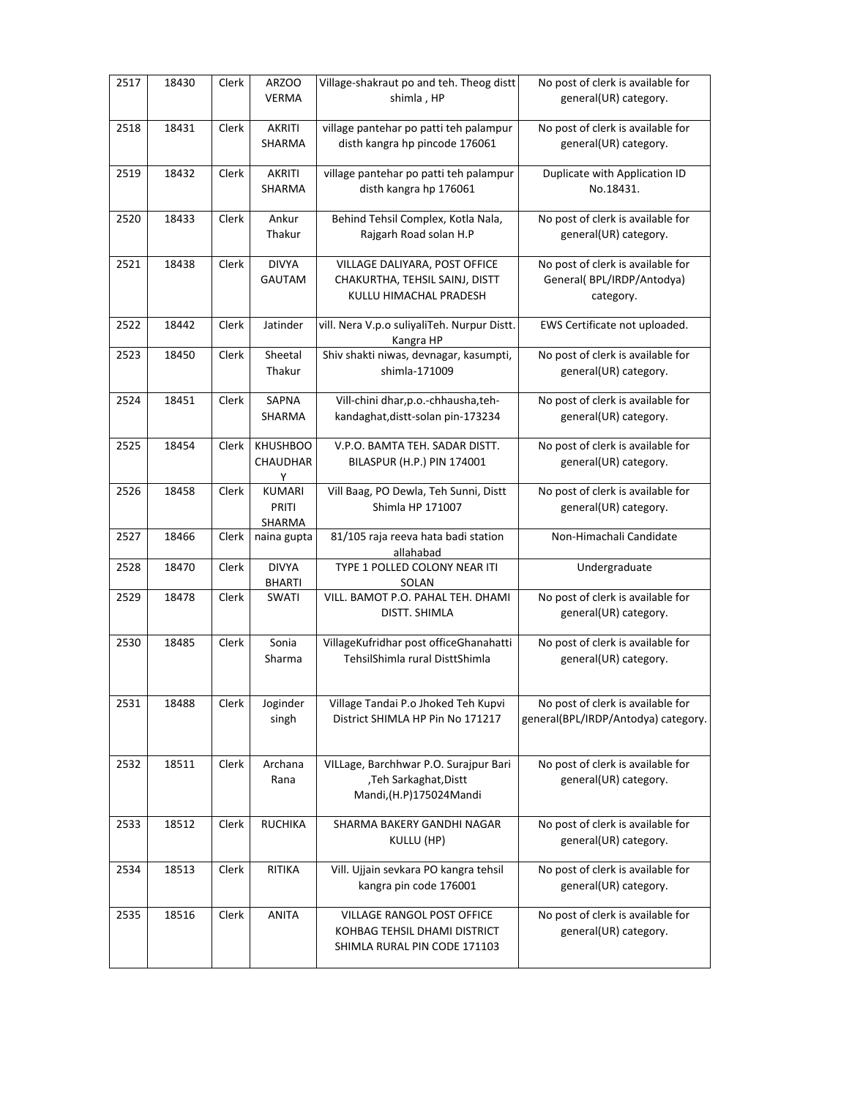| 2517 | 18430 | Clerk | ARZOO<br><b>VERMA</b>                   | Village-shakraut po and teh. Theog distt<br>shimla, HP                                     | No post of clerk is available for<br>general(UR) category.                  |
|------|-------|-------|-----------------------------------------|--------------------------------------------------------------------------------------------|-----------------------------------------------------------------------------|
| 2518 | 18431 | Clerk | AKRITI<br>SHARMA                        | village pantehar po patti teh palampur<br>disth kangra hp pincode 176061                   | No post of clerk is available for<br>general(UR) category.                  |
| 2519 | 18432 | Clerk | <b>AKRITI</b><br>SHARMA                 | village pantehar po patti teh palampur<br>disth kangra hp 176061                           | Duplicate with Application ID<br>No.18431.                                  |
| 2520 | 18433 | Clerk | Ankur<br>Thakur                         | Behind Tehsil Complex, Kotla Nala,<br>Rajgarh Road solan H.P                               | No post of clerk is available for<br>general(UR) category.                  |
| 2521 | 18438 | Clerk | <b>DIVYA</b><br>GAUTAM                  | VILLAGE DALIYARA, POST OFFICE<br>CHAKURTHA, TEHSIL SAINJ, DISTT<br>KULLU HIMACHAL PRADESH  | No post of clerk is available for<br>General(BPL/IRDP/Antodya)<br>category. |
| 2522 | 18442 | Clerk | Jatinder                                | vill. Nera V.p.o suliyaliTeh. Nurpur Distt.<br>Kangra HP                                   | EWS Certificate not uploaded.                                               |
| 2523 | 18450 | Clerk | Sheetal<br>Thakur                       | Shiv shakti niwas, devnagar, kasumpti,<br>shimla-171009                                    | No post of clerk is available for<br>general(UR) category.                  |
| 2524 | 18451 | Clerk | SAPNA<br>SHARMA                         | Vill-chini dhar, p.o.-chhausha, teh-<br>kandaghat, distt-solan pin-173234                  | No post of clerk is available for<br>general(UR) category.                  |
| 2525 | 18454 | Clerk | <b>KHUSHBOO</b><br><b>CHAUDHAR</b><br>Υ | V.P.O. BAMTA TEH. SADAR DISTT.<br>BILASPUR (H.P.) PIN 174001                               | No post of clerk is available for<br>general(UR) category.                  |
| 2526 | 18458 | Clerk | <b>KUMARI</b><br>PRITI<br><b>SHARMA</b> | Vill Baag, PO Dewla, Teh Sunni, Distt<br>Shimla HP 171007                                  | No post of clerk is available for<br>general(UR) category.                  |
| 2527 | 18466 | Clerk | naina gupta                             | 81/105 raja reeva hata badi station<br>allahabad                                           | Non-Himachali Candidate                                                     |
| 2528 | 18470 | Clerk | <b>DIVYA</b><br><b>BHARTI</b>           | TYPE 1 POLLED COLONY NEAR ITI<br>SOLAN                                                     | Undergraduate                                                               |
| 2529 | 18478 | Clerk | SWATI                                   | VILL. BAMOT P.O. PAHAL TEH. DHAMI<br>DISTT. SHIMLA                                         | No post of clerk is available for<br>general(UR) category.                  |
| 2530 | 18485 | Clerk | Sonia<br>Sharma                         | VillageKufridhar post officeGhanahatti<br>TehsilShimla rural DisttShimla                   | No post of clerk is available for<br>general(UR) category.                  |
| 2531 | 18488 | Clerk | Joginder<br>singh                       | Village Tandai P.o Jhoked Teh Kupvi<br>District SHIMLA HP Pin No 171217                    | No post of clerk is available for<br>general(BPL/IRDP/Antodya) category.    |
| 2532 | 18511 | Clerk | Archana<br>Rana                         | VILLage, Barchhwar P.O. Surajpur Bari<br>,Teh Sarkaghat,Distt<br>Mandi, (H.P)175024Mandi   | No post of clerk is available for<br>general(UR) category.                  |
| 2533 | 18512 | Clerk | <b>RUCHIKA</b>                          | SHARMA BAKERY GANDHI NAGAR<br>KULLU (HP)                                                   | No post of clerk is available for<br>general(UR) category.                  |
| 2534 | 18513 | Clerk | RITIKA                                  | Vill. Ujjain sevkara PO kangra tehsil<br>kangra pin code 176001                            | No post of clerk is available for<br>general(UR) category.                  |
| 2535 | 18516 | Clerk | ANITA                                   | VILLAGE RANGOL POST OFFICE<br>KOHBAG TEHSIL DHAMI DISTRICT<br>SHIMLA RURAL PIN CODE 171103 | No post of clerk is available for<br>general(UR) category.                  |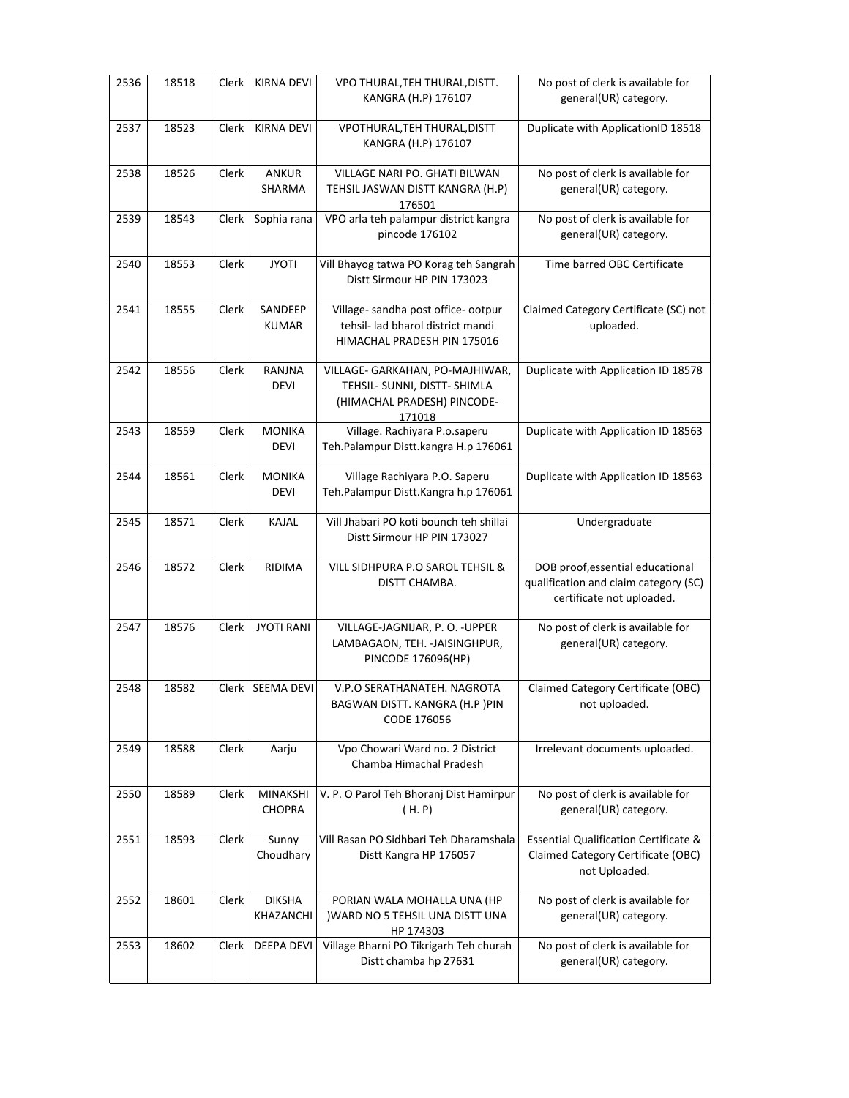| 2536 | 18518 | Clerk | <b>KIRNA DEVI</b>            | VPO THURAL, TEH THURAL, DISTT.<br>KANGRA (H.P) 176107                                                    | No post of clerk is available for<br>general(UR) category.                                              |
|------|-------|-------|------------------------------|----------------------------------------------------------------------------------------------------------|---------------------------------------------------------------------------------------------------------|
| 2537 | 18523 | Clerk | <b>KIRNA DEVI</b>            | VPOTHURAL, TEH THURAL, DISTT<br>KANGRA (H.P) 176107                                                      | Duplicate with ApplicationID 18518                                                                      |
| 2538 | 18526 | Clerk | <b>ANKUR</b><br>SHARMA       | VILLAGE NARI PO. GHATI BILWAN<br>TEHSIL JASWAN DISTT KANGRA (H.P)<br>176501                              | No post of clerk is available for<br>general(UR) category.                                              |
| 2539 | 18543 | Clerk | Sophia rana                  | VPO arla teh palampur district kangra<br>pincode 176102                                                  | No post of clerk is available for<br>general(UR) category.                                              |
| 2540 | 18553 | Clerk | <b>JYOTI</b>                 | Vill Bhayog tatwa PO Korag teh Sangrah<br>Distt Sirmour HP PIN 173023                                    | Time barred OBC Certificate                                                                             |
| 2541 | 18555 | Clerk | SANDEEP<br><b>KUMAR</b>      | Village- sandha post office- ootpur<br>tehsil- lad bharol district mandi<br>HIMACHAL PRADESH PIN 175016  | Claimed Category Certificate (SC) not<br>uploaded.                                                      |
| 2542 | 18556 | Clerk | RANJNA<br><b>DEVI</b>        | VILLAGE- GARKAHAN, PO-MAJHIWAR,<br>TEHSIL- SUNNI, DISTT- SHIMLA<br>(HIMACHAL PRADESH) PINCODE-<br>171018 | Duplicate with Application ID 18578                                                                     |
| 2543 | 18559 | Clerk | <b>MONIKA</b><br><b>DEVI</b> | Village. Rachiyara P.o.saperu<br>Teh.Palampur Distt.kangra H.p 176061                                    | Duplicate with Application ID 18563                                                                     |
| 2544 | 18561 | Clerk | <b>MONIKA</b><br><b>DEVI</b> | Village Rachiyara P.O. Saperu<br>Teh.Palampur Distt.Kangra h.p 176061                                    | Duplicate with Application ID 18563                                                                     |
| 2545 | 18571 | Clerk | KAJAL                        | Vill Jhabari PO koti bounch teh shillai<br>Distt Sirmour HP PIN 173027                                   | Undergraduate                                                                                           |
| 2546 | 18572 | Clerk | RIDIMA                       | VILL SIDHPURA P.O SAROL TEHSIL &<br>DISTT CHAMBA.                                                        | DOB proof, essential educational<br>qualification and claim category (SC)<br>certificate not uploaded.  |
| 2547 | 18576 | Clerk | <b>JYOTI RANI</b>            | VILLAGE-JAGNIJAR, P. O. - UPPER<br>LAMBAGAON, TEH. - JAISINGHPUR,<br>PINCODE 176096(HP)                  | No post of clerk is available for<br>general(UR) category.                                              |
| 2548 | 18582 |       | Clerk   SEEMA DEVI           | V.P.O SERATHANATEH. NAGROTA<br>BAGWAN DISTT. KANGRA (H.P )PIN<br>CODE 176056                             | Claimed Category Certificate (OBC)<br>not uploaded.                                                     |
| 2549 | 18588 | Clerk | Aarju                        | Vpo Chowari Ward no. 2 District<br>Chamba Himachal Pradesh                                               | Irrelevant documents uploaded.                                                                          |
| 2550 | 18589 | Clerk | MINAKSHI<br><b>CHOPRA</b>    | V. P. O Parol Teh Bhoranj Dist Hamirpur<br>(H.P)                                                         | No post of clerk is available for<br>general(UR) category.                                              |
| 2551 | 18593 | Clerk | Sunny<br>Choudhary           | Vill Rasan PO Sidhbari Teh Dharamshala<br>Distt Kangra HP 176057                                         | <b>Essential Qualification Certificate &amp;</b><br>Claimed Category Certificate (OBC)<br>not Uploaded. |
| 2552 | 18601 | Clerk | <b>DIKSHA</b><br>KHAZANCHI   | PORIAN WALA MOHALLA UNA (HP<br>) WARD NO 5 TEHSIL UNA DISTT UNA<br>HP 174303                             | No post of clerk is available for<br>general(UR) category.                                              |
| 2553 | 18602 | Clerk | <b>DEEPA DEVI</b>            | Village Bharni PO Tikrigarh Teh churah<br>Distt chamba hp 27631                                          | No post of clerk is available for<br>general(UR) category.                                              |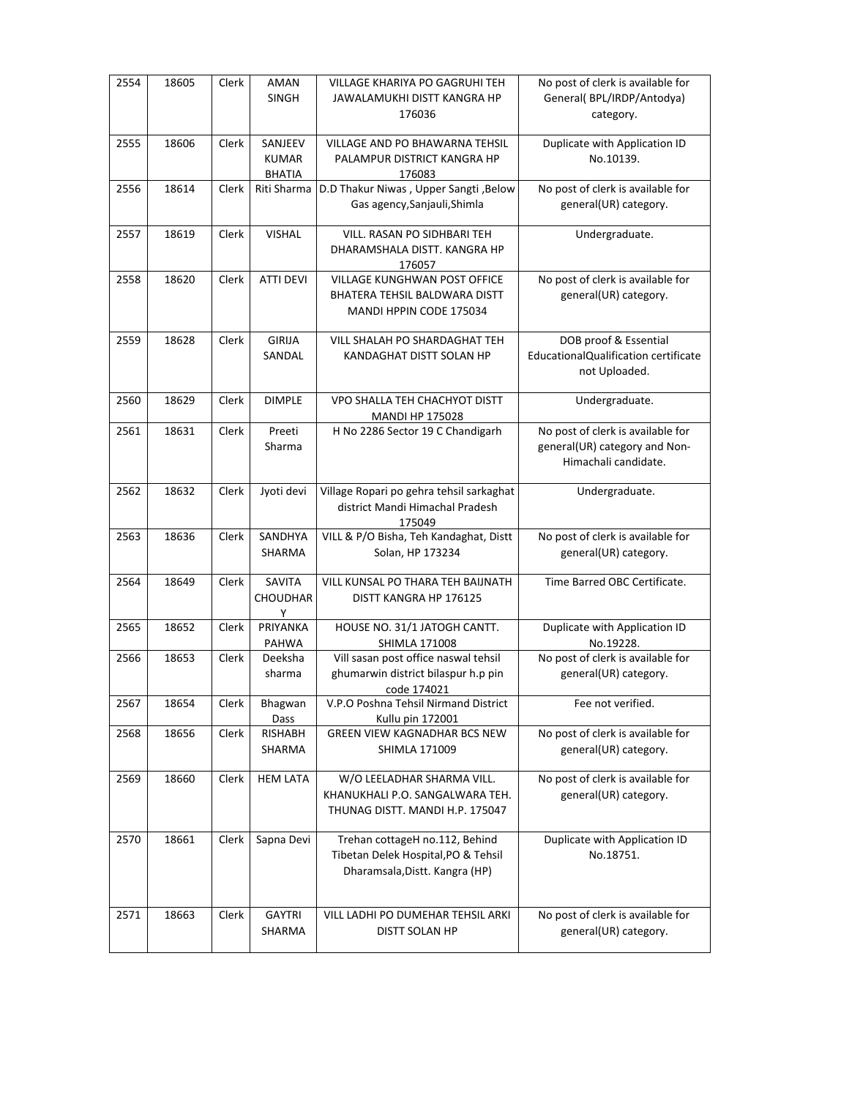| 2554 | 18605 | Clerk | <b>AMAN</b><br><b>SINGH</b>              | VILLAGE KHARIYA PO GAGRUHI TEH<br>JAWALAMUKHI DISTT KANGRA HP<br>176036                                 | No post of clerk is available for<br>General(BPL/IRDP/Antodya)<br>category.                |
|------|-------|-------|------------------------------------------|---------------------------------------------------------------------------------------------------------|--------------------------------------------------------------------------------------------|
| 2555 | 18606 | Clerk | SANJEEV<br><b>KUMAR</b><br><b>BHATIA</b> | VILLAGE AND PO BHAWARNA TEHSIL<br>PALAMPUR DISTRICT KANGRA HP<br>176083                                 | Duplicate with Application ID<br>No.10139.                                                 |
| 2556 | 18614 | Clerk | Riti Sharma                              | D.D Thakur Niwas, Upper Sangti, Below<br>Gas agency, Sanjauli, Shimla                                   | No post of clerk is available for<br>general(UR) category.                                 |
| 2557 | 18619 | Clerk | <b>VISHAL</b>                            | VILL. RASAN PO SIDHBARI TEH<br>DHARAMSHALA DISTT. KANGRA HP<br>176057                                   | Undergraduate.                                                                             |
| 2558 | 18620 | Clerk | <b>ATTI DEVI</b>                         | VILLAGE KUNGHWAN POST OFFICE<br>BHATERA TEHSIL BALDWARA DISTT<br>MANDI HPPIN CODE 175034                | No post of clerk is available for<br>general(UR) category.                                 |
| 2559 | 18628 | Clerk | <b>GIRIJA</b><br>SANDAL                  | VILL SHALAH PO SHARDAGHAT TEH<br>KANDAGHAT DISTT SOLAN HP                                               | DOB proof & Essential<br>EducationalQualification certificate<br>not Uploaded.             |
| 2560 | 18629 | Clerk | <b>DIMPLE</b>                            | VPO SHALLA TEH CHACHYOT DISTT<br><b>MANDI HP 175028</b>                                                 | Undergraduate.                                                                             |
| 2561 | 18631 | Clerk | Preeti<br>Sharma                         | H No 2286 Sector 19 C Chandigarh                                                                        | No post of clerk is available for<br>general(UR) category and Non-<br>Himachali candidate. |
| 2562 | 18632 | Clerk | Jyoti devi                               | Village Ropari po gehra tehsil sarkaghat<br>district Mandi Himachal Pradesh<br>175049                   | Undergraduate.                                                                             |
| 2563 | 18636 | Clerk | SANDHYA<br>SHARMA                        | VILL & P/O Bisha, Teh Kandaghat, Distt<br>Solan, HP 173234                                              | No post of clerk is available for<br>general(UR) category.                                 |
| 2564 | 18649 | Clerk | SAVITA<br><b>CHOUDHAR</b><br>Υ           | VILL KUNSAL PO THARA TEH BAIJNATH<br>DISTT KANGRA HP 176125                                             | Time Barred OBC Certificate.                                                               |
| 2565 | 18652 | Clerk | PRIYANKA<br>PAHWA                        | HOUSE NO. 31/1 JATOGH CANTT.<br><b>SHIMLA 171008</b>                                                    | Duplicate with Application ID<br>No.19228.                                                 |
| 2566 | 18653 | Clerk | Deeksha<br>sharma                        | Vill sasan post office naswal tehsil<br>ghumarwin district bilaspur h.p pin<br>code 174021              | No post of clerk is available for<br>general(UR) category.                                 |
| 2567 | 18654 | Clerk | Bhagwan<br>Dass                          | V.P.O Poshna Tehsil Nirmand District<br>Kullu pin 172001                                                | Fee not verified.                                                                          |
| 2568 | 18656 | Clerk | RISHABH<br>SHARMA                        | GREEN VIEW KAGNADHAR BCS NEW<br>SHIMLA 171009                                                           | No post of clerk is available for<br>general(UR) category.                                 |
| 2569 | 18660 | Clerk | <b>HEM LATA</b>                          | W/O LEELADHAR SHARMA VILL.<br>KHANUKHALI P.O. SANGALWARA TEH.<br>THUNAG DISTT. MANDI H.P. 175047        | No post of clerk is available for<br>general(UR) category.                                 |
| 2570 | 18661 | Clerk | Sapna Devi                               | Trehan cottageH no.112, Behind<br>Tibetan Delek Hospital, PO & Tehsil<br>Dharamsala, Distt. Kangra (HP) | Duplicate with Application ID<br>No.18751.                                                 |
| 2571 | 18663 | Clerk | <b>GAYTRI</b><br>SHARMA                  | VILL LADHI PO DUMEHAR TEHSIL ARKI<br>DISTT SOLAN HP                                                     | No post of clerk is available for<br>general(UR) category.                                 |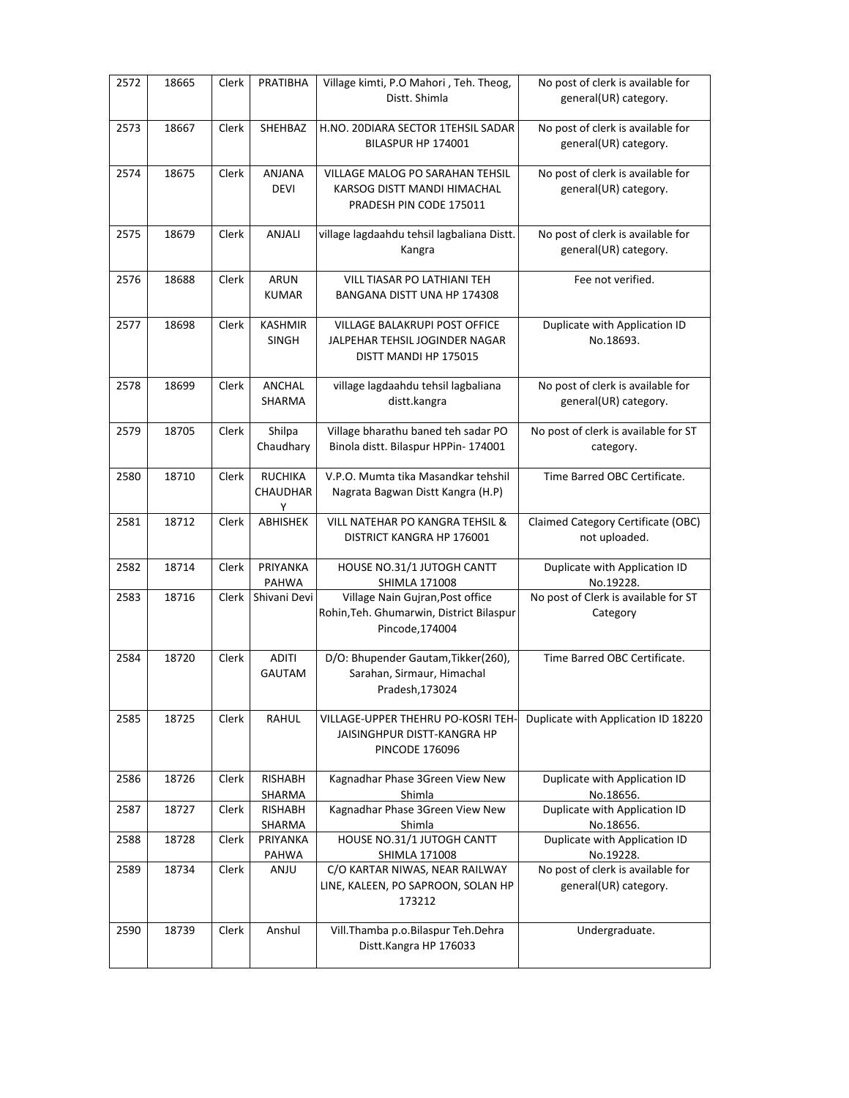| 2572 | 18665 | Clerk | PRATIBHA                        | Village kimti, P.O Mahori, Teh. Theog,<br>Distt. Shimla                                         | No post of clerk is available for<br>general(UR) category. |
|------|-------|-------|---------------------------------|-------------------------------------------------------------------------------------------------|------------------------------------------------------------|
| 2573 | 18667 | Clerk | SHEHBAZ                         | H.NO. 20DIARA SECTOR 1TEHSIL SADAR<br>BILASPUR HP 174001                                        | No post of clerk is available for<br>general(UR) category. |
| 2574 | 18675 | Clerk | ANJANA<br>DEVI                  | VILLAGE MALOG PO SARAHAN TEHSIL<br>KARSOG DISTT MANDI HIMACHAL<br>PRADESH PIN CODE 175011       | No post of clerk is available for<br>general(UR) category. |
| 2575 | 18679 | Clerk | ANJALI                          | village lagdaahdu tehsil lagbaliana Distt.<br>Kangra                                            | No post of clerk is available for<br>general(UR) category. |
| 2576 | 18688 | Clerk | <b>ARUN</b><br><b>KUMAR</b>     | VILL TIASAR PO LATHIANI TEH<br>BANGANA DISTT UNA HP 174308                                      | Fee not verified.                                          |
| 2577 | 18698 | Clerk | <b>KASHMIR</b><br><b>SINGH</b>  | VILLAGE BALAKRUPI POST OFFICE<br>JALPEHAR TEHSIL JOGINDER NAGAR<br>DISTT MANDI HP 175015        | Duplicate with Application ID<br>No.18693.                 |
| 2578 | 18699 | Clerk | ANCHAL<br>SHARMA                | village lagdaahdu tehsil lagbaliana<br>distt.kangra                                             | No post of clerk is available for<br>general(UR) category. |
| 2579 | 18705 | Clerk | Shilpa<br>Chaudhary             | Village bharathu baned teh sadar PO<br>Binola distt. Bilaspur HPPin-174001                      | No post of clerk is available for ST<br>category.          |
| 2580 | 18710 | Clerk | <b>RUCHIKA</b><br>CHAUDHAR<br>Υ | V.P.O. Mumta tika Masandkar tehshil<br>Nagrata Bagwan Distt Kangra (H.P)                        | Time Barred OBC Certificate.                               |
| 2581 | 18712 | Clerk | ABHISHEK                        | <b>VILL NATEHAR PO KANGRA TEHSIL &amp;</b><br>DISTRICT KANGRA HP 176001                         | Claimed Category Certificate (OBC)<br>not uploaded.        |
| 2582 | 18714 | Clerk | PRIYANKA<br>PAHWA               | HOUSE NO.31/1 JUTOGH CANTT<br><b>SHIMLA 171008</b>                                              | Duplicate with Application ID<br>No.19228.                 |
| 2583 | 18716 | Clerk | Shivani Devi                    | Village Nain Gujran, Post office<br>Rohin, Teh. Ghumarwin, District Bilaspur<br>Pincode, 174004 | No post of Clerk is available for ST<br>Category           |
| 2584 | 18720 | Clerk | <b>ADITI</b><br>GAUTAM          | D/O: Bhupender Gautam, Tikker(260),<br>Sarahan, Sirmaur, Himachal<br>Pradesh, 173024            | Time Barred OBC Certificate.                               |
| 2585 | 18725 | Clerk | <b>RAHUL</b>                    | VILLAGE-UPPER THEHRU PO-KOSRI TEH-<br>JAISINGHPUR DISTT-KANGRA HP<br><b>PINCODE 176096</b>      | Duplicate with Application ID 18220                        |
| 2586 | 18726 | Clerk | <b>RISHABH</b><br>SHARMA        | Kagnadhar Phase 3Green View New<br>Shimla                                                       | Duplicate with Application ID<br>No.18656.                 |
| 2587 | 18727 | Clerk | RISHABH<br>SHARMA               | Kagnadhar Phase 3Green View New<br>Shimla                                                       | Duplicate with Application ID<br>No.18656.                 |
| 2588 | 18728 | Clerk | PRIYANKA<br>PAHWA               | HOUSE NO.31/1 JUTOGH CANTT<br><b>SHIMLA 171008</b>                                              | Duplicate with Application ID<br>No.19228.                 |
| 2589 | 18734 | Clerk | <b>ANJU</b>                     | C/O KARTAR NIWAS, NEAR RAILWAY<br>LINE, KALEEN, PO SAPROON, SOLAN HP<br>173212                  | No post of clerk is available for<br>general(UR) category. |
| 2590 | 18739 | Clerk | Anshul                          | Vill.Thamba p.o.Bilaspur Teh.Dehra<br>Distt.Kangra HP 176033                                    | Undergraduate.                                             |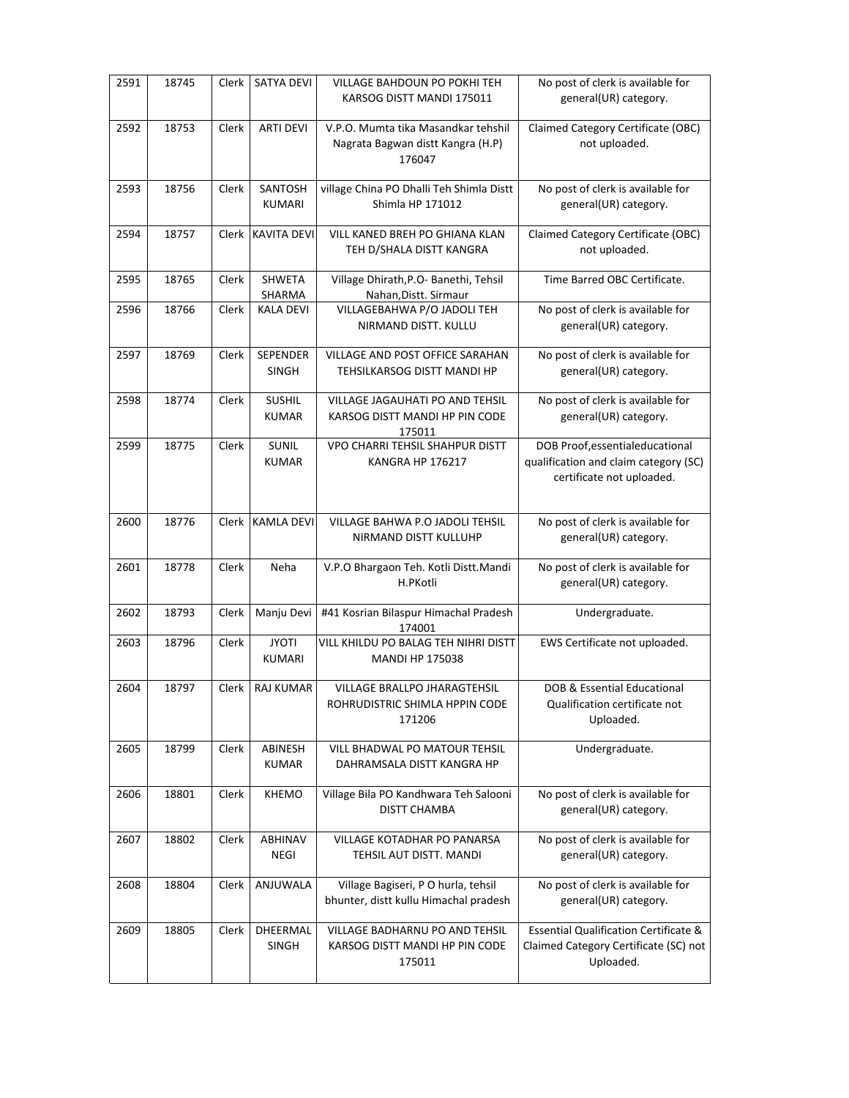| 2591 | 18745 | Clerk | <b>SATYA DEVI</b>             | VILLAGE BAHDOUN PO POKHI TEH<br>KARSOG DISTT MANDI 175011                          | No post of clerk is available for<br>general(UR) category.                                             |
|------|-------|-------|-------------------------------|------------------------------------------------------------------------------------|--------------------------------------------------------------------------------------------------------|
| 2592 | 18753 | Clerk | <b>ARTI DEVI</b>              | V.P.O. Mumta tika Masandkar tehshil<br>Nagrata Bagwan distt Kangra (H.P)<br>176047 | Claimed Category Certificate (OBC)<br>not uploaded.                                                    |
| 2593 | 18756 | Clerk | SANTOSH<br><b>KUMARI</b>      | village China PO Dhalli Teh Shimla Distt<br>Shimla HP 171012                       | No post of clerk is available for<br>general(UR) category.                                             |
| 2594 | 18757 | Clerk | <b>KAVITA DEVI</b>            | VILL KANED BREH PO GHIANA KLAN<br>TEH D/SHALA DISTT KANGRA                         | Claimed Category Certificate (OBC)<br>not uploaded.                                                    |
| 2595 | 18765 | Clerk | <b>SHWETA</b><br>SHARMA       | Village Dhirath, P.O- Banethi, Tehsil<br>Nahan, Distt. Sirmaur                     | Time Barred OBC Certificate.                                                                           |
| 2596 | 18766 | Clerk | <b>KALA DEVI</b>              | VILLAGEBAHWA P/O JADOLI TEH<br>NIRMAND DISTT. KULLU                                | No post of clerk is available for<br>general(UR) category.                                             |
| 2597 | 18769 | Clerk | SEPENDER<br>SINGH             | VILLAGE AND POST OFFICE SARAHAN<br>TEHSILKARSOG DISTT MANDI HP                     | No post of clerk is available for<br>general(UR) category.                                             |
| 2598 | 18774 | Clerk | SUSHIL<br><b>KUMAR</b>        | <b>VILLAGE JAGAUHATI PO AND TEHSIL</b><br>KARSOG DISTT MANDI HP PIN CODE<br>175011 | No post of clerk is available for<br>general(UR) category.                                             |
| 2599 | 18775 | Clerk | <b>SUNIL</b><br><b>KUMAR</b>  | VPO CHARRI TEHSIL SHAHPUR DISTT<br>KANGRA HP 176217                                | DOB Proof, essential educational<br>qualification and claim category (SC)<br>certificate not uploaded. |
| 2600 | 18776 | Clerk | <b>KAMLA DEVI</b>             | VILLAGE BAHWA P.O JADOLI TEHSIL<br>NIRMAND DISTT KULLUHP                           | No post of clerk is available for<br>general(UR) category.                                             |
| 2601 | 18778 | Clerk | Neha                          | V.P.O Bhargaon Teh. Kotli Distt.Mandi<br>H.PKotli                                  | No post of clerk is available for<br>general(UR) category.                                             |
| 2602 | 18793 | Clerk | Manju Devi                    | #41 Kosrian Bilaspur Himachal Pradesh<br>174001                                    | Undergraduate.                                                                                         |
| 2603 | 18796 | Clerk | <b>JYOTI</b><br><b>KUMARI</b> | VILL KHILDU PO BALAG TEH NIHRI DISTT<br><b>MANDI HP 175038</b>                     | EWS Certificate not uploaded.                                                                          |
| 2604 | 18797 |       | Clerk   RAJ KUMAR             | VILLAGE BRALLPO JHARAGTEHSIL<br>ROHRUDISTRIC SHIMLA HPPIN CODE<br>171206           | DOB & Essential Educational<br>Qualification certificate not<br>Uploaded.                              |
| 2605 | 18799 | Clerk | ABINESH<br><b>KUMAR</b>       | VILL BHADWAL PO MATOUR TEHSIL<br>DAHRAMSALA DISTT KANGRA HP                        | Undergraduate.                                                                                         |
| 2606 | 18801 | Clerk | KHEMO                         | Village Bila PO Kandhwara Teh Salooni<br><b>DISTT CHAMBA</b>                       | No post of clerk is available for<br>general(UR) category.                                             |
| 2607 | 18802 | Clerk | <b>ABHINAV</b><br><b>NEGI</b> | VILLAGE KOTADHAR PO PANARSA<br>TEHSIL AUT DISTT. MANDI                             | No post of clerk is available for<br>general(UR) category.                                             |
| 2608 | 18804 | Clerk | ANJUWALA                      | Village Bagiseri, P O hurla, tehsil<br>bhunter, distt kullu Himachal pradesh       | No post of clerk is available for<br>general(UR) category.                                             |
| 2609 | 18805 | Clerk | DHEERMAL<br>SINGH             | VILLAGE BADHARNU PO AND TEHSIL<br>KARSOG DISTT MANDI HP PIN CODE<br>175011         | <b>Essential Qualification Certificate &amp;</b><br>Claimed Category Certificate (SC) not<br>Uploaded. |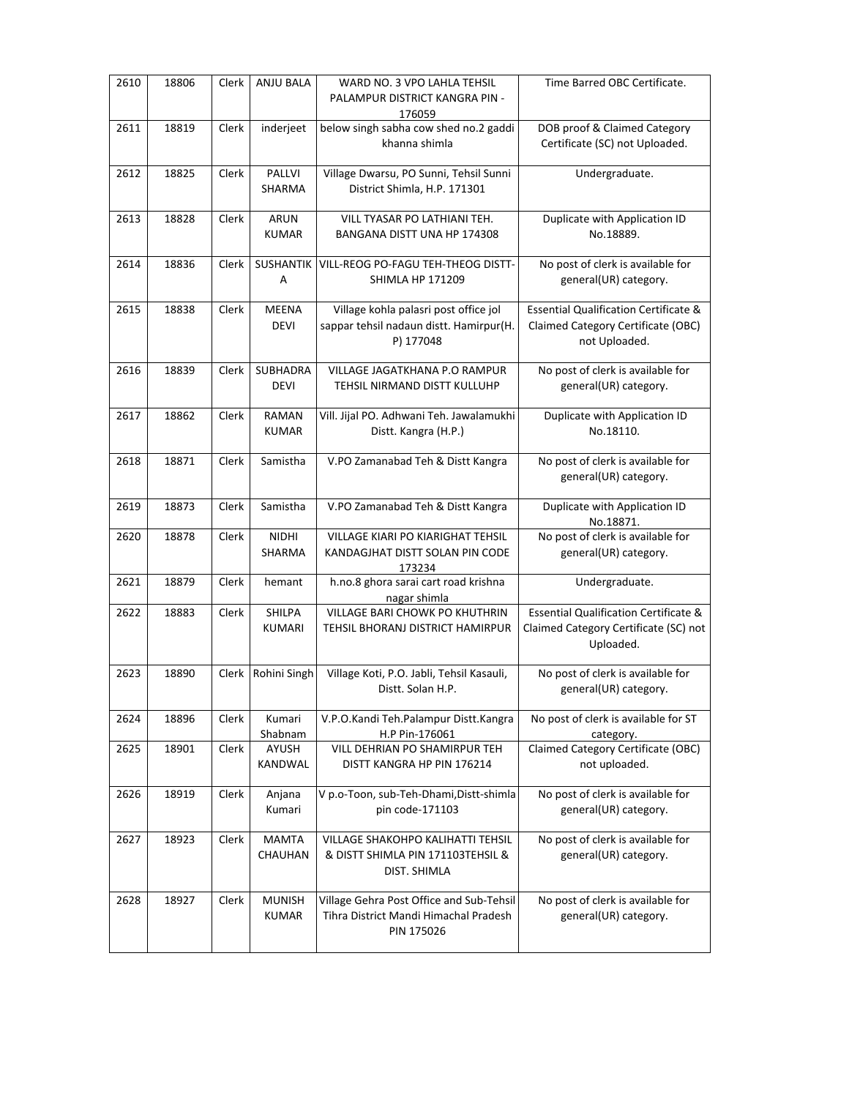| 2610 | 18806 | Clerk | ANJU BALA                      | WARD NO. 3 VPO LAHLA TEHSIL<br>PALAMPUR DISTRICT KANGRA PIN -<br>176059                         | Time Barred OBC Certificate.                                                                            |
|------|-------|-------|--------------------------------|-------------------------------------------------------------------------------------------------|---------------------------------------------------------------------------------------------------------|
| 2611 | 18819 | Clerk | inderjeet                      | below singh sabha cow shed no.2 gaddi<br>khanna shimla                                          | DOB proof & Claimed Category<br>Certificate (SC) not Uploaded.                                          |
| 2612 | 18825 | Clerk | PALLVI<br>SHARMA               | Village Dwarsu, PO Sunni, Tehsil Sunni<br>District Shimla, H.P. 171301                          | Undergraduate.                                                                                          |
| 2613 | 18828 | Clerk | ARUN<br><b>KUMAR</b>           | VILL TYASAR PO LATHIANI TEH.<br>BANGANA DISTT UNA HP 174308                                     | Duplicate with Application ID<br>No.18889.                                                              |
| 2614 | 18836 | Clerk | SUSHANTIK<br>Α                 | VILL-REOG PO-FAGU TEH-THEOG DISTT-<br><b>SHIMLA HP 171209</b>                                   | No post of clerk is available for<br>general(UR) category.                                              |
| 2615 | 18838 | Clerk | <b>MEENA</b><br><b>DEVI</b>    | Village kohla palasri post office jol<br>sappar tehsil nadaun distt. Hamirpur(H.<br>P) 177048   | <b>Essential Qualification Certificate &amp;</b><br>Claimed Category Certificate (OBC)<br>not Uploaded. |
| 2616 | 18839 | Clerk | <b>SUBHADRA</b><br><b>DEVI</b> | VILLAGE JAGATKHANA P.O RAMPUR<br>TEHSIL NIRMAND DISTT KULLUHP                                   | No post of clerk is available for<br>general(UR) category.                                              |
| 2617 | 18862 | Clerk | <b>RAMAN</b><br><b>KUMAR</b>   | Vill. Jijal PO. Adhwani Teh. Jawalamukhi<br>Distt. Kangra (H.P.)                                | Duplicate with Application ID<br>No.18110.                                                              |
| 2618 | 18871 | Clerk | Samistha                       | V.PO Zamanabad Teh & Distt Kangra                                                               | No post of clerk is available for<br>general(UR) category.                                              |
| 2619 | 18873 | Clerk | Samistha                       | V.PO Zamanabad Teh & Distt Kangra                                                               | Duplicate with Application ID<br>No.18871.                                                              |
| 2620 | 18878 | Clerk | NIDHI<br>SHARMA                | VILLAGE KIARI PO KIARIGHAT TEHSIL<br>KANDAGJHAT DISTT SOLAN PIN CODE<br>173234                  | No post of clerk is available for<br>general(UR) category.                                              |
| 2621 | 18879 | Clerk | hemant                         | h.no.8 ghora sarai cart road krishna<br>nagar shimla                                            | Undergraduate.                                                                                          |
| 2622 | 18883 | Clerk | SHILPA<br><b>KUMARI</b>        | VILLAGE BARI CHOWK PO KHUTHRIN<br>TEHSIL BHORANJ DISTRICT HAMIRPUR                              | <b>Essential Qualification Certificate &amp;</b><br>Claimed Category Certificate (SC) not<br>Uploaded.  |
| 2623 | 18890 | Clerk | Rohini Singh                   | Village Koti, P.O. Jabli, Tehsil Kasauli,<br>Distt. Solan H.P.                                  | No post of clerk is available for<br>general(UR) category.                                              |
| 2624 | 18896 | Clerk | Kumari<br>Shabnam              | V.P.O.Kandi Teh.Palampur Distt.Kangra<br>H.P Pin-176061                                         | No post of clerk is available for ST<br>category.                                                       |
| 2625 | 18901 | Clerk | AYUSH<br>KANDWAL               | VILL DEHRIAN PO SHAMIRPUR TEH<br>DISTT KANGRA HP PIN 176214                                     | Claimed Category Certificate (OBC)<br>not uploaded.                                                     |
| 2626 | 18919 | Clerk | Anjana<br>Kumari               | V p.o-Toon, sub-Teh-Dhami, Distt-shimla<br>pin code-171103                                      | No post of clerk is available for<br>general(UR) category.                                              |
| 2627 | 18923 | Clerk | <b>MAMTA</b><br>CHAUHAN        | VILLAGE SHAKOHPO KALIHATTI TEHSIL<br>& DISTT SHIMLA PIN 171103TEHSIL &<br>DIST. SHIMLA          | No post of clerk is available for<br>general(UR) category.                                              |
| 2628 | 18927 | Clerk | <b>MUNISH</b><br><b>KUMAR</b>  | Village Gehra Post Office and Sub-Tehsil<br>Tihra District Mandi Himachal Pradesh<br>PIN 175026 | No post of clerk is available for<br>general(UR) category.                                              |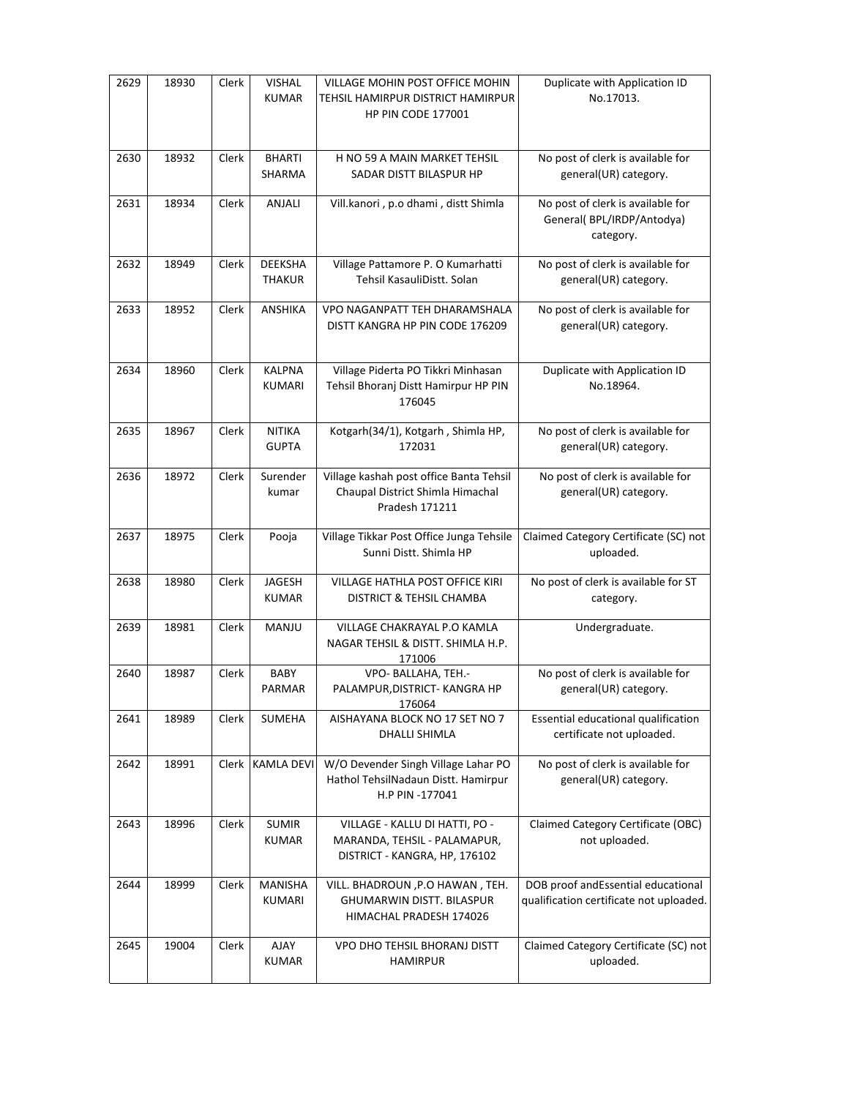| 2629 | 18930 | Clerk | <b>VISHAL</b><br><b>KUMAR</b>   | VILLAGE MOHIN POST OFFICE MOHIN<br>TEHSIL HAMIRPUR DISTRICT HAMIRPUR<br><b>HP PIN CODE 177001</b> | Duplicate with Application ID<br>No.17013.                                     |
|------|-------|-------|---------------------------------|---------------------------------------------------------------------------------------------------|--------------------------------------------------------------------------------|
|      |       |       |                                 |                                                                                                   |                                                                                |
| 2630 | 18932 | Clerk | <b>BHARTI</b><br>SHARMA         | H NO 59 A MAIN MARKET TEHSIL<br>SADAR DISTT BILASPUR HP                                           | No post of clerk is available for<br>general(UR) category.                     |
| 2631 | 18934 | Clerk | ANJALI                          | Vill.kanori, p.o dhami, distt Shimla                                                              | No post of clerk is available for<br>General(BPL/IRDP/Antodya)<br>category.    |
| 2632 | 18949 | Clerk | <b>DEEKSHA</b><br><b>THAKUR</b> | Village Pattamore P. O Kumarhatti<br>Tehsil KasauliDistt. Solan                                   | No post of clerk is available for<br>general(UR) category.                     |
| 2633 | 18952 | Clerk | ANSHIKA                         | VPO NAGANPATT TEH DHARAMSHALA<br>DISTT KANGRA HP PIN CODE 176209                                  | No post of clerk is available for<br>general(UR) category.                     |
| 2634 | 18960 | Clerk | <b>KALPNA</b><br>KUMARI         | Village Piderta PO Tikkri Minhasan<br>Tehsil Bhoranj Distt Hamirpur HP PIN<br>176045              | Duplicate with Application ID<br>No.18964.                                     |
| 2635 | 18967 | Clerk | <b>NITIKA</b><br><b>GUPTA</b>   | Kotgarh(34/1), Kotgarh, Shimla HP,<br>172031                                                      | No post of clerk is available for<br>general(UR) category.                     |
| 2636 | 18972 | Clerk | Surender<br>kumar               | Village kashah post office Banta Tehsil<br>Chaupal District Shimla Himachal<br>Pradesh 171211     | No post of clerk is available for<br>general(UR) category.                     |
|      |       |       |                                 |                                                                                                   |                                                                                |
| 2637 | 18975 | Clerk | Pooja                           | Village Tikkar Post Office Junga Tehsile<br>Sunni Distt. Shimla HP                                | Claimed Category Certificate (SC) not<br>uploaded.                             |
| 2638 | 18980 | Clerk | JAGESH<br><b>KUMAR</b>          | VILLAGE HATHLA POST OFFICE KIRI<br>DISTRICT & TEHSIL CHAMBA                                       | No post of clerk is available for ST<br>category.                              |
| 2639 | 18981 | Clerk | MANJU                           | VILLAGE CHAKRAYAL P.O KAMLA<br>NAGAR TEHSIL & DISTT. SHIMLA H.P.<br>171006                        | Undergraduate.                                                                 |
| 2640 | 18987 | Clerk | <b>BABY</b><br>PARMAR           | VPO- BALLAHA, TEH.-<br>PALAMPUR, DISTRICT- KANGRA HP<br>176064                                    | No post of clerk is available for<br>general(UR) category.                     |
| 2641 | 18989 | Clerk | SUMEHA                          | AISHAYANA BLOCK NO 17 SET NO 7<br><b>DHALLI SHIMLA</b>                                            | Essential educational qualification<br>certificate not uploaded.               |
| 2642 | 18991 | Clerk | <b>KAMLA DEVI</b>               | W/O Devender Singh Village Lahar PO<br>Hathol TehsilNadaun Distt. Hamirpur<br>H.P PIN -177041     | No post of clerk is available for<br>general(UR) category.                     |
| 2643 | 18996 | Clerk | <b>SUMIR</b><br><b>KUMAR</b>    | VILLAGE - KALLU DI HATTI, PO -<br>MARANDA, TEHSIL - PALAMAPUR,<br>DISTRICT - KANGRA, HP, 176102   | Claimed Category Certificate (OBC)<br>not uploaded.                            |
| 2644 | 18999 | Clerk | <b>MANISHA</b><br>KUMARI        | VILL. BHADROUN , P.O HAWAN, TEH.<br>GHUMARWIN DISTT. BILASPUR<br>HIMACHAL PRADESH 174026          | DOB proof and Essential educational<br>qualification certificate not uploaded. |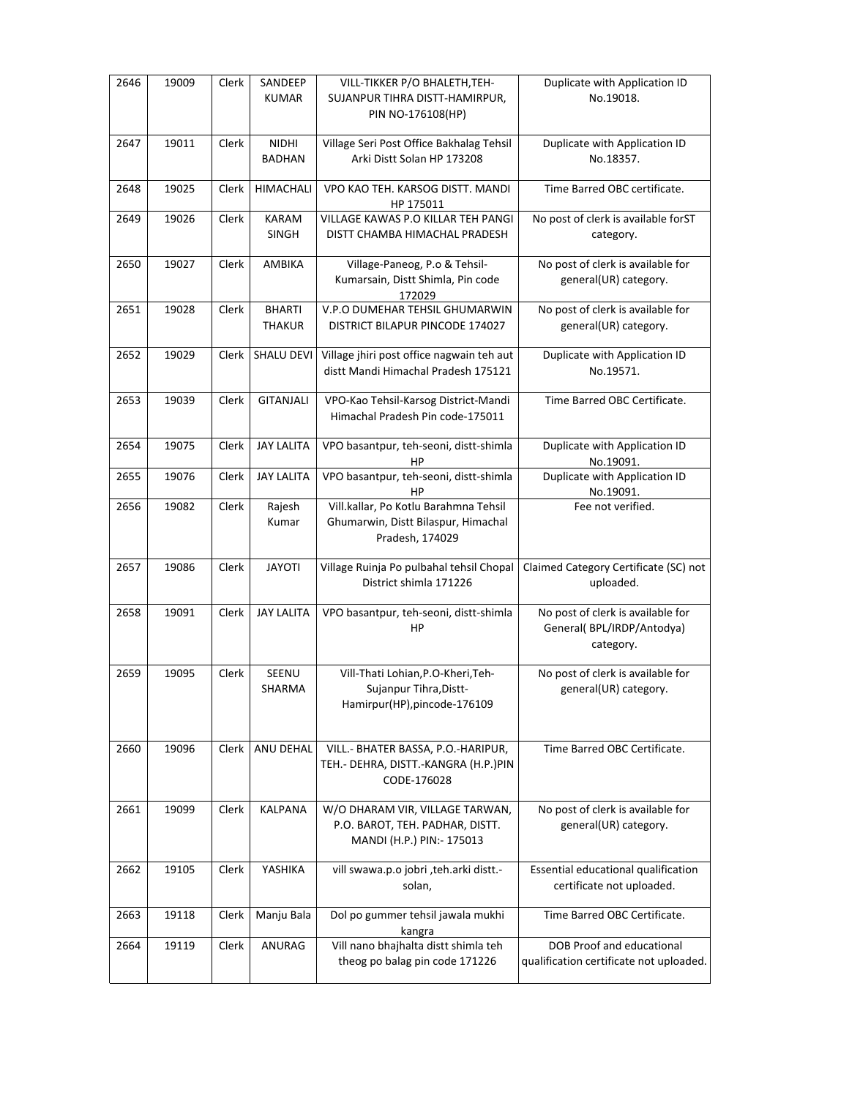| 2646 | 19009 | Clerk | SANDEEP<br><b>KUMAR</b>        | VILL-TIKKER P/O BHALETH, TEH-<br>SUJANPUR TIHRA DISTT-HAMIRPUR,<br>PIN NO-176108(HP)            | Duplicate with Application ID<br>No.19018.                                  |
|------|-------|-------|--------------------------------|-------------------------------------------------------------------------------------------------|-----------------------------------------------------------------------------|
| 2647 | 19011 | Clerk | <b>NIDHI</b><br><b>BADHAN</b>  | Village Seri Post Office Bakhalag Tehsil<br>Arki Distt Solan HP 173208                          | Duplicate with Application ID<br>No.18357.                                  |
| 2648 | 19025 | Clerk | HIMACHALI                      | VPO KAO TEH. KARSOG DISTT. MANDI<br>HP 175011                                                   | Time Barred OBC certificate.                                                |
| 2649 | 19026 | Clerk | KARAM<br>SINGH                 | VILLAGE KAWAS P.O KILLAR TEH PANGI<br>DISTT CHAMBA HIMACHAL PRADESH                             | No post of clerk is available forST<br>category.                            |
| 2650 | 19027 | Clerk | AMBIKA                         | Village-Paneog, P.o & Tehsil-<br>Kumarsain, Distt Shimla, Pin code<br>172029                    | No post of clerk is available for<br>general(UR) category.                  |
| 2651 | 19028 | Clerk | <b>BHARTI</b><br><b>THAKUR</b> | V.P.O DUMEHAR TEHSIL GHUMARWIN<br>DISTRICT BILAPUR PINCODE 174027                               | No post of clerk is available for<br>general(UR) category.                  |
| 2652 | 19029 | Clerk | SHALU DEVI                     | Village jhiri post office nagwain teh aut<br>distt Mandi Himachal Pradesh 175121                | Duplicate with Application ID<br>No.19571.                                  |
| 2653 | 19039 | Clerk | <b>GITANJALI</b>               | VPO-Kao Tehsil-Karsog District-Mandi<br>Himachal Pradesh Pin code-175011                        | Time Barred OBC Certificate.                                                |
| 2654 | 19075 | Clerk | <b>JAY LALITA</b>              | VPO basantpur, teh-seoni, distt-shimla<br>HP                                                    | Duplicate with Application ID<br>No.19091.                                  |
| 2655 | 19076 | Clerk | <b>JAY LALITA</b>              | VPO basantpur, teh-seoni, distt-shimla<br>HP                                                    | Duplicate with Application ID<br>No.19091.                                  |
| 2656 | 19082 | Clerk | Rajesh<br>Kumar                | Vill.kallar, Po Kotlu Barahmna Tehsil<br>Ghumarwin, Distt Bilaspur, Himachal<br>Pradesh, 174029 | Fee not verified.                                                           |
| 2657 | 19086 | Clerk | <b>JAYOTI</b>                  | Village Ruinja Po pulbahal tehsil Chopal<br>District shimla 171226                              | Claimed Category Certificate (SC) not<br>uploaded.                          |
| 2658 | 19091 | Clerk | <b>JAY LALITA</b>              | VPO basantpur, teh-seoni, distt-shimla<br>HP                                                    | No post of clerk is available for<br>General(BPL/IRDP/Antodya)<br>category. |
| 2659 | 19095 | Clerk | SEENU<br>SHARMA                | Vill-Thati Lohian, P.O-Kheri, Teh-<br>Sujanpur Tihra, Distt-<br>Hamirpur(HP), pincode-176109    | No post of clerk is available for<br>general(UR) category.                  |
| 2660 | 19096 | Clerk | ANU DEHAL                      | VILL.- BHATER BASSA, P.O.-HARIPUR,<br>TEH.- DEHRA, DISTT.-KANGRA (H.P.)PIN<br>CODE-176028       | Time Barred OBC Certificate.                                                |
| 2661 | 19099 | Clerk | <b>KALPANA</b>                 | W/O DHARAM VIR, VILLAGE TARWAN,<br>P.O. BAROT, TEH. PADHAR, DISTT.<br>MANDI (H.P.) PIN:- 175013 | No post of clerk is available for<br>general(UR) category.                  |
| 2662 | 19105 | Clerk | YASHIKA                        | vill swawa.p.o jobri ,teh.arki distt.-<br>solan,                                                | Essential educational qualification<br>certificate not uploaded.            |
| 2663 | 19118 | Clerk | Manju Bala                     | Dol po gummer tehsil jawala mukhi<br>kangra                                                     | Time Barred OBC Certificate.                                                |
| 2664 | 19119 | Clerk | ANURAG                         | Vill nano bhajhalta distt shimla teh<br>theog po balag pin code 171226                          | DOB Proof and educational<br>qualification certificate not uploaded.        |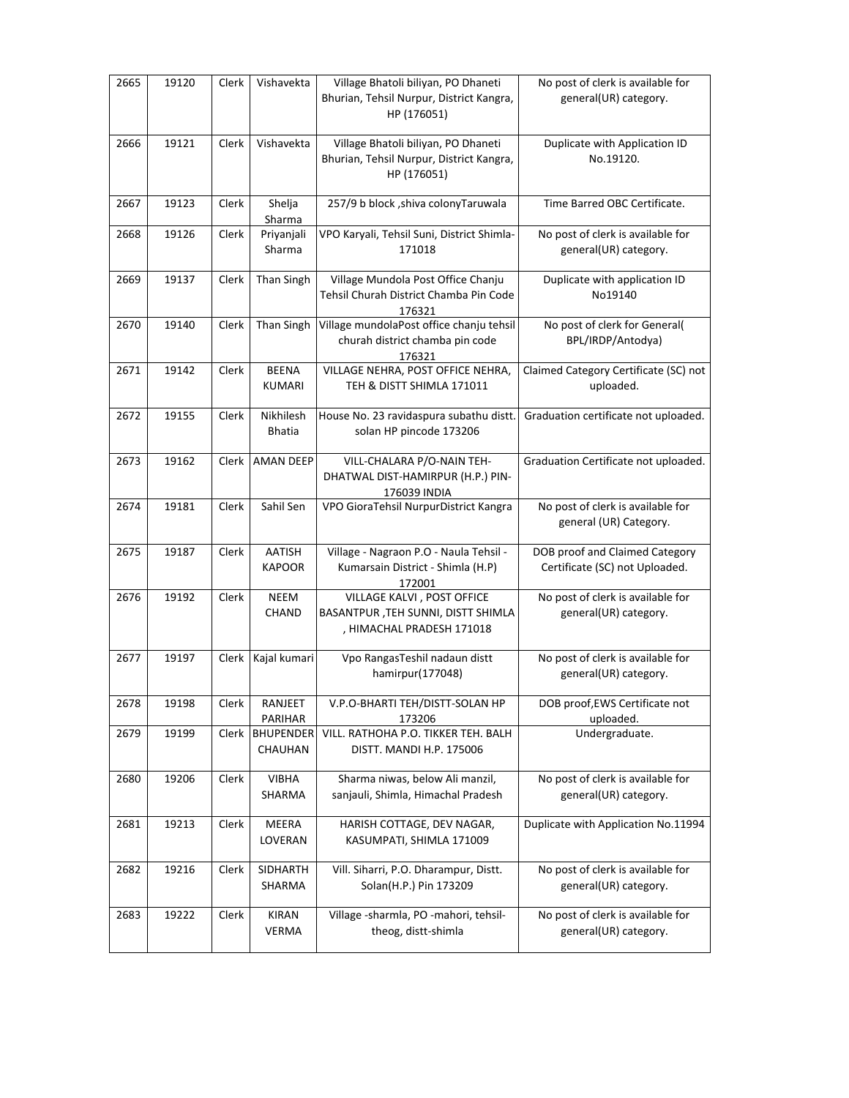| 2665 | 19120 | Clerk | Vishavekta                    | Village Bhatoli biliyan, PO Dhaneti<br>Bhurian, Tehsil Nurpur, District Kangra,<br>HP (176051) | No post of clerk is available for<br>general(UR) category.       |
|------|-------|-------|-------------------------------|------------------------------------------------------------------------------------------------|------------------------------------------------------------------|
| 2666 | 19121 | Clerk | Vishavekta                    | Village Bhatoli biliyan, PO Dhaneti<br>Bhurian, Tehsil Nurpur, District Kangra,<br>HP (176051) | Duplicate with Application ID<br>No.19120.                       |
| 2667 | 19123 | Clerk | Shelja<br>Sharma              | 257/9 b block , shiva colony Taruwala                                                          | Time Barred OBC Certificate.                                     |
| 2668 | 19126 | Clerk | Priyanjali<br>Sharma          | VPO Karyali, Tehsil Suni, District Shimla-<br>171018                                           | No post of clerk is available for<br>general(UR) category.       |
| 2669 | 19137 | Clerk | Than Singh                    | Village Mundola Post Office Chanju<br>Tehsil Churah District Chamba Pin Code<br>176321         | Duplicate with application ID<br>No19140                         |
| 2670 | 19140 | Clerk | Than Singh                    | Village mundolaPost office chanju tehsil<br>churah district chamba pin code<br>176321          | No post of clerk for General(<br>BPL/IRDP/Antodya)               |
| 2671 | 19142 | Clerk | <b>BEENA</b><br><b>KUMARI</b> | VILLAGE NEHRA, POST OFFICE NEHRA,<br>TEH & DISTT SHIMLA 171011                                 | Claimed Category Certificate (SC) not<br>uploaded.               |
| 2672 | 19155 | Clerk | Nikhilesh<br><b>Bhatia</b>    | House No. 23 ravidaspura subathu distt.<br>solan HP pincode 173206                             | Graduation certificate not uploaded.                             |
| 2673 | 19162 |       | Clerk   AMAN DEEP             | VILL-CHALARA P/O-NAIN TEH-<br>DHATWAL DIST-HAMIRPUR (H.P.) PIN-<br>176039 INDIA                | Graduation Certificate not uploaded.                             |
| 2674 | 19181 | Clerk | Sahil Sen                     | VPO GioraTehsil NurpurDistrict Kangra                                                          | No post of clerk is available for<br>general (UR) Category.      |
| 2675 | 19187 | Clerk | AATISH<br><b>KAPOOR</b>       | Village - Nagraon P.O - Naula Tehsil -<br>Kumarsain District - Shimla (H.P)<br>172001          | DOB proof and Claimed Category<br>Certificate (SC) not Uploaded. |
| 2676 | 19192 | Clerk | <b>NEEM</b><br>CHAND          | VILLAGE KALVI, POST OFFICE<br>BASANTPUR, TEH SUNNI, DISTT SHIMLA<br>, HIMACHAL PRADESH 171018  | No post of clerk is available for<br>general(UR) category.       |
| 2677 | 19197 | Clerk | Kajal kumari                  | Vpo RangasTeshil nadaun distt<br>hamirpur(177048)                                              | No post of clerk is available for<br>general(UR) category.       |
| 2678 | 19198 | Clerk | RANJEET<br>PARIHAR            | V.P.O-BHARTI TEH/DISTT-SOLAN HP<br>173206                                                      | DOB proof, EWS Certificate not<br>uploaded.                      |
| 2679 | 19199 | Clerk | <b>BHUPENDER</b><br>CHAUHAN   | VILL. RATHOHA P.O. TIKKER TEH. BALH<br>DISTT. MANDI H.P. 175006                                | Undergraduate.                                                   |
| 2680 | 19206 | Clerk | VIBHA<br>SHARMA               | Sharma niwas, below Ali manzil,<br>sanjauli, Shimla, Himachal Pradesh                          | No post of clerk is available for<br>general(UR) category.       |
| 2681 | 19213 | Clerk | MEERA<br>LOVERAN              | HARISH COTTAGE, DEV NAGAR,<br>KASUMPATI, SHIMLA 171009                                         | Duplicate with Application No.11994                              |
| 2682 | 19216 | Clerk | SIDHARTH<br>SHARMA            | Vill. Siharri, P.O. Dharampur, Distt.<br>Solan(H.P.) Pin 173209                                | No post of clerk is available for<br>general(UR) category.       |
| 2683 | 19222 | Clerk | <b>KIRAN</b><br><b>VERMA</b>  | Village -sharmla, PO -mahori, tehsil-<br>theog, distt-shimla                                   | No post of clerk is available for<br>general(UR) category.       |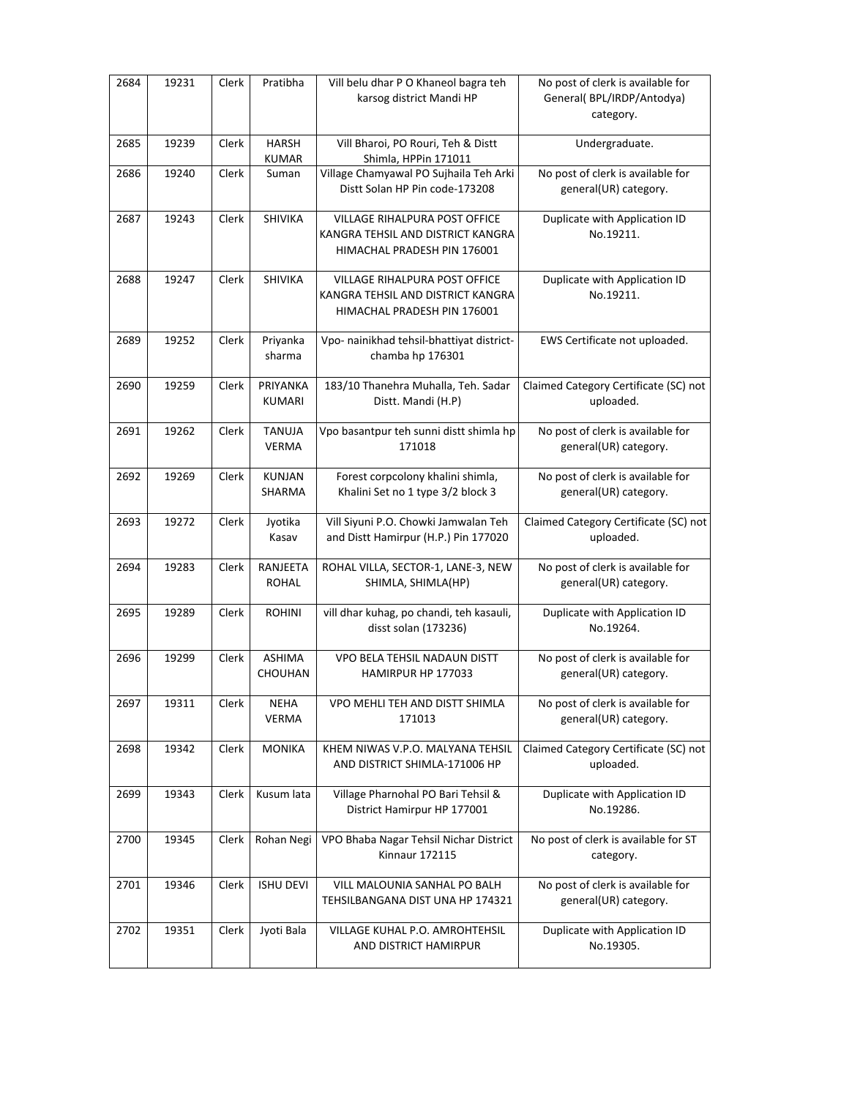| 2684 | 19231 | Clerk | Pratibha                      | Vill belu dhar P O Khaneol bagra teh<br>karsog district Mandi HP                                  | No post of clerk is available for<br>General(BPL/IRDP/Antodya)<br>category. |
|------|-------|-------|-------------------------------|---------------------------------------------------------------------------------------------------|-----------------------------------------------------------------------------|
| 2685 | 19239 | Clerk | <b>HARSH</b><br><b>KUMAR</b>  | Vill Bharoi, PO Rouri, Teh & Distt<br>Shimla, HPPin 171011                                        | Undergraduate.                                                              |
| 2686 | 19240 | Clerk | Suman                         | Village Chamyawal PO Sujhaila Teh Arki<br>Distt Solan HP Pin code-173208                          | No post of clerk is available for<br>general(UR) category.                  |
| 2687 | 19243 | Clerk | SHIVIKA                       | VILLAGE RIHALPURA POST OFFICE<br>KANGRA TEHSIL AND DISTRICT KANGRA<br>HIMACHAL PRADESH PIN 176001 | Duplicate with Application ID<br>No.19211.                                  |
| 2688 | 19247 | Clerk | SHIVIKA                       | VILLAGE RIHALPURA POST OFFICE<br>KANGRA TEHSIL AND DISTRICT KANGRA<br>HIMACHAL PRADESH PIN 176001 | Duplicate with Application ID<br>No.19211.                                  |
| 2689 | 19252 | Clerk | Priyanka<br>sharma            | Vpo- nainikhad tehsil-bhattiyat district-<br>chamba hp 176301                                     | EWS Certificate not uploaded.                                               |
| 2690 | 19259 | Clerk | PRIYANKA<br><b>KUMARI</b>     | 183/10 Thanehra Muhalla, Teh. Sadar<br>Distt. Mandi (H.P)                                         | Claimed Category Certificate (SC) not<br>uploaded.                          |
| 2691 | 19262 | Clerk | <b>TANUJA</b><br><b>VERMA</b> | Vpo basantpur teh sunni distt shimla hp<br>171018                                                 | No post of clerk is available for<br>general(UR) category.                  |
| 2692 | 19269 | Clerk | <b>KUNJAN</b><br>SHARMA       | Forest corpcolony khalini shimla,<br>Khalini Set no 1 type 3/2 block 3                            | No post of clerk is available for<br>general(UR) category.                  |
| 2693 | 19272 | Clerk | Jyotika<br>Kasav              | Vill Siyuni P.O. Chowki Jamwalan Teh<br>and Distt Hamirpur (H.P.) Pin 177020                      | Claimed Category Certificate (SC) not<br>uploaded.                          |
| 2694 | 19283 | Clerk | RANJEETA<br><b>ROHAL</b>      | ROHAL VILLA, SECTOR-1, LANE-3, NEW<br>SHIMLA, SHIMLA(HP)                                          | No post of clerk is available for<br>general(UR) category.                  |
| 2695 | 19289 | Clerk | <b>ROHINI</b>                 | vill dhar kuhag, po chandi, teh kasauli,<br>disst solan (173236)                                  | Duplicate with Application ID<br>No.19264.                                  |
| 2696 | 19299 | Clerk | <b>ASHIMA</b><br>CHOUHAN      | VPO BELA TEHSIL NADAUN DISTT<br>HAMIRPUR HP 177033                                                | No post of clerk is available for<br>general(UR) category.                  |
| 2697 | 19311 | Clerk | <b>NEHA</b><br><b>VERMA</b>   | VPO MEHLI TEH AND DISTT SHIMLA<br>171013                                                          | No post of clerk is available for<br>general(UR) category.                  |
| 2698 | 19342 | Clerk | <b>MONIKA</b>                 | KHEM NIWAS V.P.O. MALYANA TEHSIL<br>AND DISTRICT SHIMLA-171006 HP                                 | Claimed Category Certificate (SC) not<br>uploaded.                          |
| 2699 | 19343 | Clerk | Kusum lata                    | Village Pharnohal PO Bari Tehsil &<br>District Hamirpur HP 177001                                 | Duplicate with Application ID<br>No.19286.                                  |
| 2700 | 19345 | Clerk | Rohan Negi                    | VPO Bhaba Nagar Tehsil Nichar District<br><b>Kinnaur 172115</b>                                   | No post of clerk is available for ST<br>category.                           |
| 2701 | 19346 | Clerk | <b>ISHU DEVI</b>              | VILL MALOUNIA SANHAL PO BALH<br>TEHSILBANGANA DIST UNA HP 174321                                  | No post of clerk is available for<br>general(UR) category.                  |
| 2702 | 19351 | Clerk | Jyoti Bala                    | VILLAGE KUHAL P.O. AMROHTEHSIL<br>AND DISTRICT HAMIRPUR                                           | Duplicate with Application ID<br>No.19305.                                  |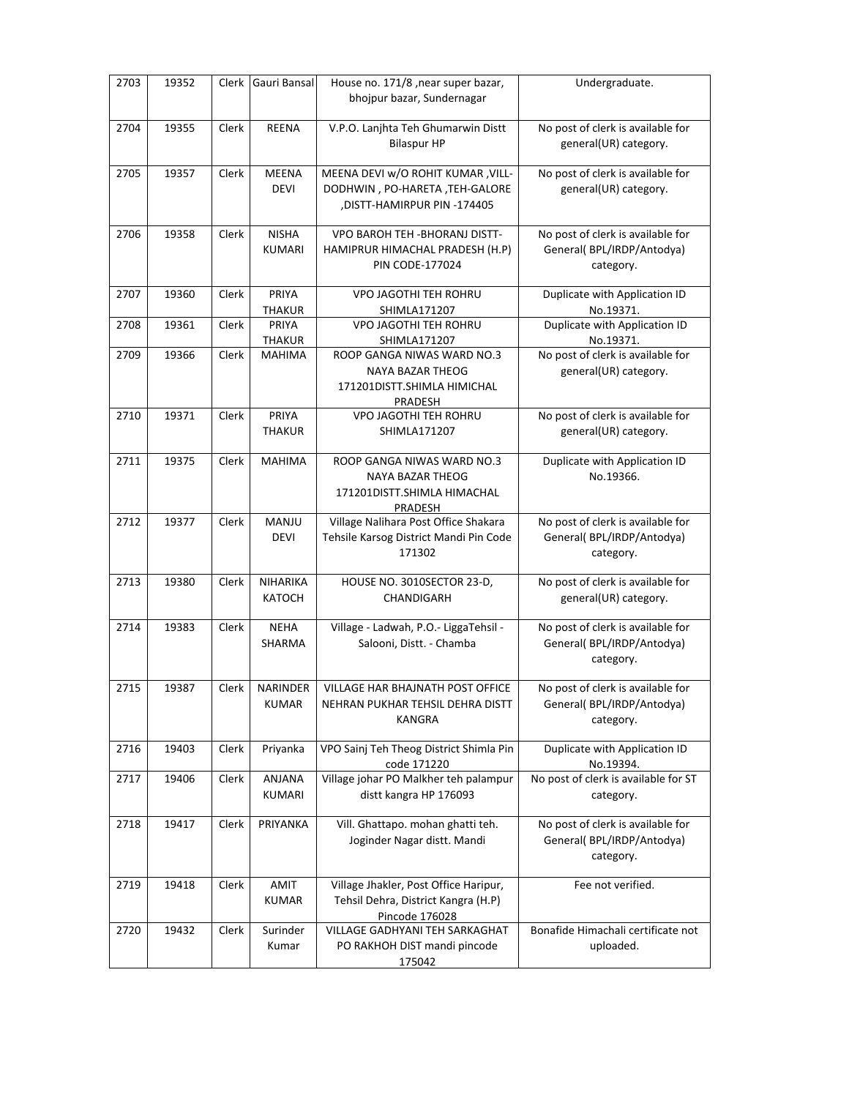| 2703 | 19352 | Clerk | Gauri Bansal                    | House no. 171/8, near super bazar,<br>bhojpur bazar, Sundernagar                                   | Undergraduate.                                                              |
|------|-------|-------|---------------------------------|----------------------------------------------------------------------------------------------------|-----------------------------------------------------------------------------|
| 2704 | 19355 | Clerk | <b>REENA</b>                    | V.P.O. Lanjhta Teh Ghumarwin Distt<br><b>Bilaspur HP</b>                                           | No post of clerk is available for<br>general(UR) category.                  |
| 2705 | 19357 | Clerk | <b>MEENA</b><br><b>DEVI</b>     | MEENA DEVI w/O ROHIT KUMAR, VILL-<br>DODHWIN, PO-HARETA, TEH-GALORE<br>,DISTT-HAMIRPUR PIN -174405 | No post of clerk is available for<br>general(UR) category.                  |
| 2706 | 19358 | Clerk | <b>NISHA</b><br>KUMARI          | VPO BAROH TEH - BHORANJ DISTT-<br>HAMIPRUR HIMACHAL PRADESH (H.P)<br><b>PIN CODE-177024</b>        | No post of clerk is available for<br>General(BPL/IRDP/Antodya)<br>category. |
| 2707 | 19360 | Clerk | PRIYA<br><b>THAKUR</b>          | VPO JAGOTHI TEH ROHRU<br>SHIMLA171207                                                              | Duplicate with Application ID<br>No.19371.                                  |
| 2708 | 19361 | Clerk | PRIYA<br><b>THAKUR</b>          | VPO JAGOTHI TEH ROHRU<br>SHIMLA171207                                                              | Duplicate with Application ID<br>No.19371.                                  |
| 2709 | 19366 | Clerk | <b>MAHIMA</b>                   | ROOP GANGA NIWAS WARD NO.3<br>NAYA BAZAR THEOG<br>171201DISTT.SHIMLA HIMICHAL<br>PRADESH           | No post of clerk is available for<br>general(UR) category.                  |
| 2710 | 19371 | Clerk | PRIYA<br><b>THAKUR</b>          | <b>VPO JAGOTHI TEH ROHRU</b><br>SHIMLA171207                                                       | No post of clerk is available for<br>general(UR) category.                  |
| 2711 | 19375 | Clerk | <b>MAHIMA</b>                   | ROOP GANGA NIWAS WARD NO.3<br>NAYA BAZAR THEOG<br>171201DISTT.SHIMLA HIMACHAL<br>PRADESH           | Duplicate with Application ID<br>No.19366.                                  |
| 2712 | 19377 | Clerk | MANJU<br><b>DEVI</b>            | Village Nalihara Post Office Shakara<br>Tehsile Karsog District Mandi Pin Code<br>171302           | No post of clerk is available for<br>General(BPL/IRDP/Antodya)<br>category. |
| 2713 | 19380 | Clerk | NIHARIKA<br>KATOCH              | HOUSE NO. 3010SECTOR 23-D,<br>CHANDIGARH                                                           | No post of clerk is available for<br>general(UR) category.                  |
| 2714 | 19383 | Clerk | <b>NEHA</b><br>SHARMA           | Village - Ladwah, P.O.- LiggaTehsil -<br>Salooni, Distt. - Chamba                                  | No post of clerk is available for<br>General(BPL/IRDP/Antodya)<br>category. |
| 2715 | 19387 | Clerk | <b>NARINDER</b><br><b>KUMAR</b> | VILLAGE HAR BHAJNATH POST OFFICE<br>NEHRAN PUKHAR TEHSIL DEHRA DISTT<br><b>KANGRA</b>              | No post of clerk is available for<br>General(BPL/IRDP/Antodya)<br>category. |
| 2716 | 19403 | Clerk | Priyanka                        | VPO Sainj Teh Theog District Shimla Pin<br>code 171220                                             | Duplicate with Application ID<br>No.19394.                                  |
| 2717 | 19406 | Clerk | ANJANA<br>KUMARI                | Village johar PO Malkher teh palampur<br>distt kangra HP 176093                                    | No post of clerk is available for ST<br>category.                           |
| 2718 | 19417 | Clerk | PRIYANKA                        | Vill. Ghattapo. mohan ghatti teh.<br>Joginder Nagar distt. Mandi                                   | No post of clerk is available for<br>General(BPL/IRDP/Antodya)<br>category. |
| 2719 | 19418 | Clerk | AMIT<br><b>KUMAR</b>            | Village Jhakler, Post Office Haripur,<br>Tehsil Dehra, District Kangra (H.P)<br>Pincode 176028     | Fee not verified.                                                           |
| 2720 | 19432 | Clerk | Surinder<br>Kumar               | VILLAGE GADHYANI TEH SARKAGHAT<br>PO RAKHOH DIST mandi pincode<br>175042                           | Bonafide Himachali certificate not<br>uploaded.                             |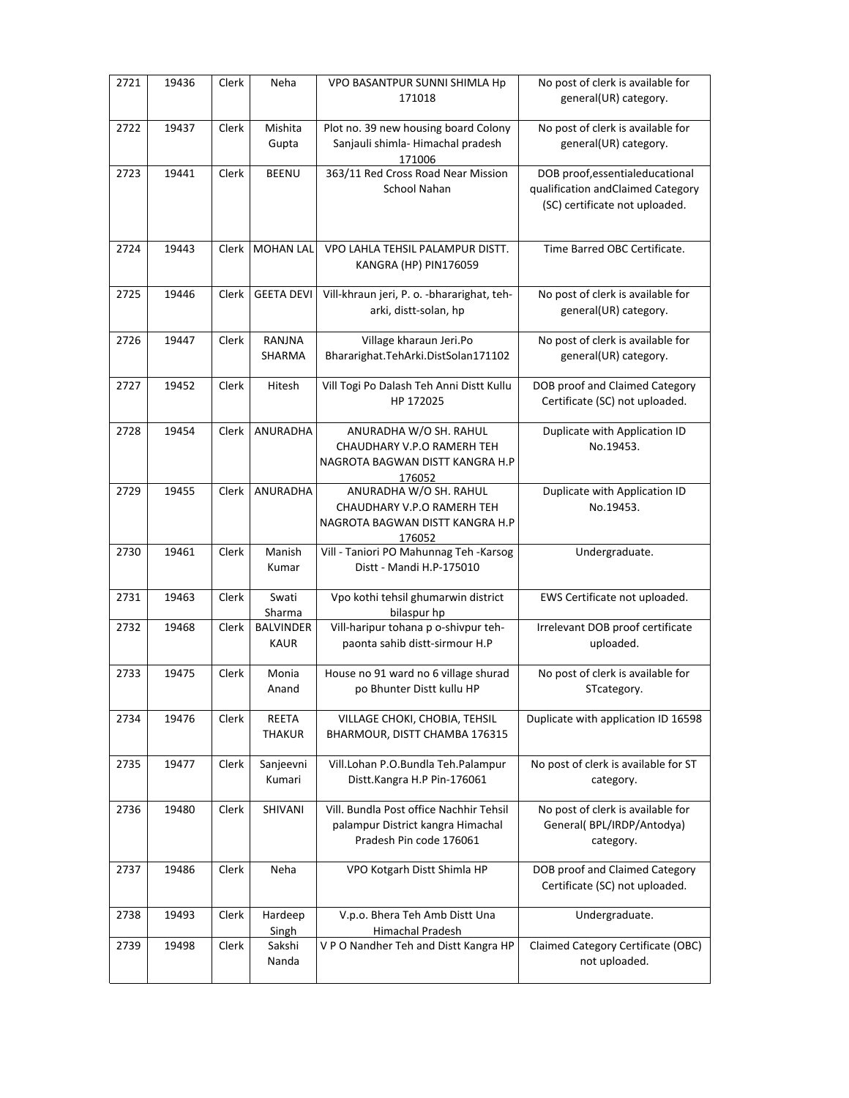| 2721 | 19436 | Clerk | Neha                            | VPO BASANTPUR SUNNI SHIMLA Hp<br>171018                                                                 | No post of clerk is available for<br>general(UR) category.                                               |
|------|-------|-------|---------------------------------|---------------------------------------------------------------------------------------------------------|----------------------------------------------------------------------------------------------------------|
| 2722 | 19437 | Clerk | Mishita<br>Gupta                | Plot no. 39 new housing board Colony<br>Sanjauli shimla- Himachal pradesh<br>171006                     | No post of clerk is available for<br>general(UR) category.                                               |
| 2723 | 19441 | Clerk | <b>BEENU</b>                    | 363/11 Red Cross Road Near Mission<br>School Nahan                                                      | DOB proof, essential educational<br>qualification and Claimed Category<br>(SC) certificate not uploaded. |
| 2724 | 19443 | Clerk | <b>MOHAN LAL</b>                | VPO LAHLA TEHSIL PALAMPUR DISTT.<br>KANGRA (HP) PIN176059                                               | Time Barred OBC Certificate.                                                                             |
| 2725 | 19446 | Clerk | <b>GEETA DEVI</b>               | Vill-khraun jeri, P. o. - bhararighat, teh-<br>arki, distt-solan, hp                                    | No post of clerk is available for<br>general(UR) category.                                               |
| 2726 | 19447 | Clerk | RANJNA<br>SHARMA                | Village kharaun Jeri.Po<br>Bhararighat.TehArki.DistSolan171102                                          | No post of clerk is available for<br>general(UR) category.                                               |
| 2727 | 19452 | Clerk | Hitesh                          | Vill Togi Po Dalash Teh Anni Distt Kullu<br>HP 172025                                                   | DOB proof and Claimed Category<br>Certificate (SC) not uploaded.                                         |
| 2728 | 19454 | Clerk | ANURADHA                        | ANURADHA W/O SH. RAHUL<br>CHAUDHARY V.P.O RAMERH TEH<br>NAGROTA BAGWAN DISTT KANGRA H.P<br>176052       | Duplicate with Application ID<br>No.19453.                                                               |
| 2729 | 19455 | Clerk | ANURADHA                        | ANURADHA W/O SH. RAHUL<br>CHAUDHARY V.P.O RAMERH TEH<br>NAGROTA BAGWAN DISTT KANGRA H.P<br>176052       | Duplicate with Application ID<br>No.19453.                                                               |
| 2730 | 19461 | Clerk | Manish<br>Kumar                 | Vill - Taniori PO Mahunnag Teh -Karsog<br>Distt - Mandi H.P-175010                                      | Undergraduate.                                                                                           |
| 2731 | 19463 | Clerk | Swati<br>Sharma                 | Vpo kothi tehsil ghumarwin district<br>bilaspur hp                                                      | EWS Certificate not uploaded.                                                                            |
| 2732 | 19468 | Clerk | <b>BALVINDER</b><br><b>KAUR</b> | Vill-haripur tohana p o-shivpur teh-<br>paonta sahib distt-sirmour H.P                                  | Irrelevant DOB proof certificate<br>uploaded.                                                            |
| 2733 | 19475 | Clerk | Monia<br>Anand                  | House no 91 ward no 6 village shurad<br>po Bhunter Distt kullu HP                                       | No post of clerk is available for<br>STcategory.                                                         |
| 2734 | 19476 | Clerk | <b>REETA</b><br><b>THAKUR</b>   | VILLAGE CHOKI, CHOBIA, TEHSIL<br>BHARMOUR, DISTT CHAMBA 176315                                          | Duplicate with application ID 16598                                                                      |
| 2735 | 19477 | Clerk | Sanjeevni<br>Kumari             | Vill.Lohan P.O.Bundla Teh.Palampur<br>Distt.Kangra H.P Pin-176061                                       | No post of clerk is available for ST<br>category.                                                        |
| 2736 | 19480 | Clerk | SHIVANI                         | Vill. Bundla Post office Nachhir Tehsil<br>palampur District kangra Himachal<br>Pradesh Pin code 176061 | No post of clerk is available for<br>General(BPL/IRDP/Antodya)<br>category.                              |
| 2737 | 19486 | Clerk | Neha                            | VPO Kotgarh Distt Shimla HP                                                                             | DOB proof and Claimed Category<br>Certificate (SC) not uploaded.                                         |
| 2738 | 19493 | Clerk | Hardeep<br>Singh                | V.p.o. Bhera Teh Amb Distt Una<br>Himachal Pradesh                                                      | Undergraduate.                                                                                           |
| 2739 | 19498 | Clerk | Sakshi<br>Nanda                 | V P O Nandher Teh and Distt Kangra HP                                                                   | Claimed Category Certificate (OBC)<br>not uploaded.                                                      |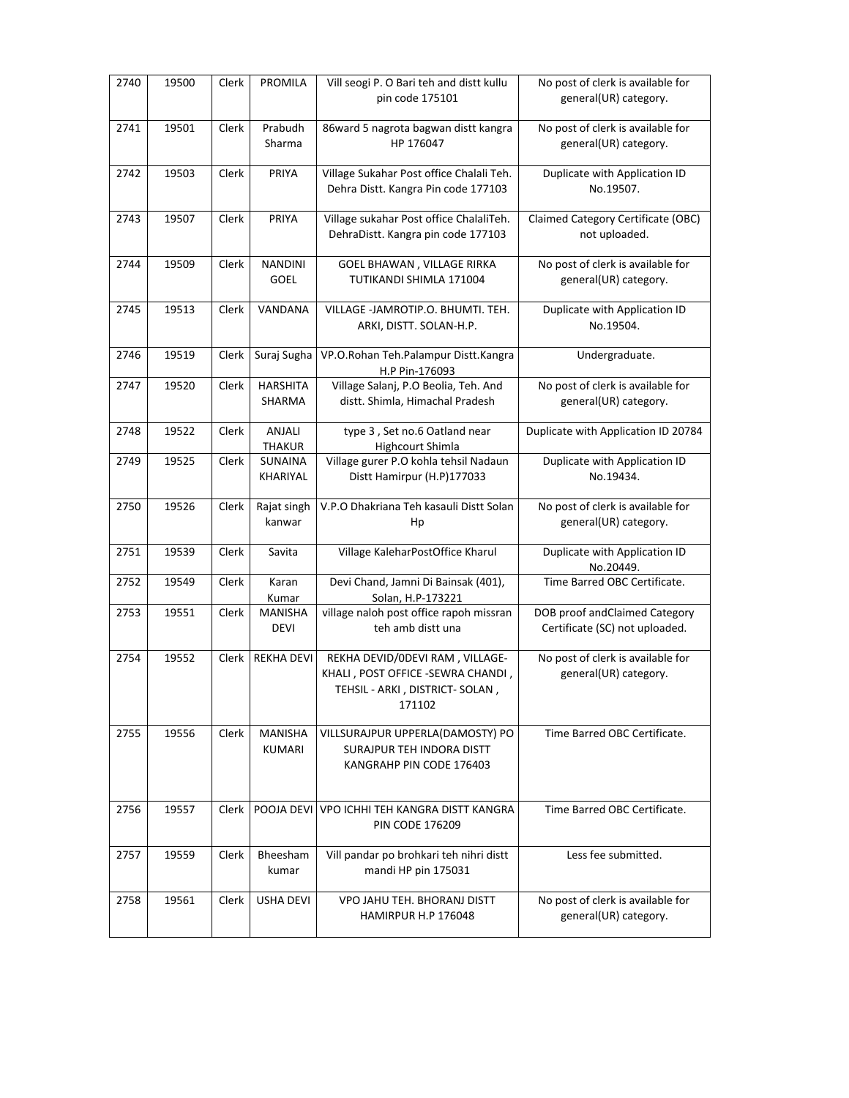| 2740 | 19500 | Clerk        | <b>PROMILA</b>                   | Vill seogi P. O Bari teh and distt kullu<br>pin code 175101                                                       | No post of clerk is available for<br>general(UR) category.      |
|------|-------|--------------|----------------------------------|-------------------------------------------------------------------------------------------------------------------|-----------------------------------------------------------------|
| 2741 | 19501 | Clerk        | Prabudh<br>Sharma                | 86ward 5 nagrota bagwan distt kangra<br>HP 176047                                                                 | No post of clerk is available for<br>general(UR) category.      |
| 2742 | 19503 | Clerk        | PRIYA                            | Village Sukahar Post office Chalali Teh.<br>Dehra Distt. Kangra Pin code 177103                                   | Duplicate with Application ID<br>No.19507.                      |
| 2743 | 19507 | Clerk        | PRIYA                            | Village sukahar Post office ChalaliTeh.<br>DehraDistt. Kangra pin code 177103                                     | Claimed Category Certificate (OBC)<br>not uploaded.             |
| 2744 | 19509 | Clerk        | <b>NANDINI</b><br>GOEL           | GOEL BHAWAN, VILLAGE RIRKA<br>TUTIKANDI SHIMLA 171004                                                             | No post of clerk is available for<br>general(UR) category.      |
| 2745 | 19513 | Clerk        | VANDANA                          | VILLAGE -JAMROTIP.O. BHUMTI. TEH.<br>ARKI, DISTT. SOLAN-H.P.                                                      | Duplicate with Application ID<br>No.19504.                      |
| 2746 | 19519 | Clerk        | Suraj Sugha                      | VP.O.Rohan Teh.Palampur Distt.Kangra<br>H.P Pin-176093                                                            | Undergraduate.                                                  |
| 2747 | 19520 | Clerk        | <b>HARSHITA</b><br><b>SHARMA</b> | Village Salanj, P.O Beolia, Teh. And<br>distt. Shimla, Himachal Pradesh                                           | No post of clerk is available for<br>general(UR) category.      |
| 2748 | 19522 | Clerk        | ANJALI<br><b>THAKUR</b>          | type 3, Set no.6 Oatland near<br>Highcourt Shimla                                                                 | Duplicate with Application ID 20784                             |
| 2749 | 19525 | Clerk        | SUNAINA<br>KHARIYAL              | Village gurer P.O kohla tehsil Nadaun<br>Distt Hamirpur (H.P)177033                                               | Duplicate with Application ID<br>No.19434.                      |
| 2750 | 19526 | Clerk        | Rajat singh<br>kanwar            | V.P.O Dhakriana Teh kasauli Distt Solan<br>Hp                                                                     | No post of clerk is available for<br>general(UR) category.      |
| 2751 | 19539 | Clerk        | Savita                           | Village KaleharPostOffice Kharul                                                                                  | Duplicate with Application ID<br>No.20449.                      |
| 2752 | 19549 | Clerk        | Karan<br>Kumar                   | Devi Chand, Jamni Di Bainsak (401),<br>Solan, H.P-173221                                                          | Time Barred OBC Certificate.                                    |
| 2753 | 19551 | Clerk        | MANISHA<br><b>DEVI</b>           | village naloh post office rapoh missran<br>teh amb distt una                                                      | DOB proof andClaimed Category<br>Certificate (SC) not uploaded. |
| 2754 | 19552 | Clerk        | <b>REKHA DEVI</b>                | REKHA DEVID/ODEVI RAM, VILLAGE-<br>KHALI, POST OFFICE -SEWRA CHANDI,<br>TEHSIL - ARKI, DISTRICT- SOLAN,<br>171102 | No post of clerk is available for<br>general(UR) category.      |
| 2755 | 19556 | <b>Clerk</b> | <b>MANISHA</b><br>KUMARI         | VILLSURAJPUR UPPERLA(DAMOSTY) PO<br>SURAJPUR TEH INDORA DISTT<br>KANGRAHP PIN CODE 176403                         | Time Barred OBC Certificate.                                    |
| 2756 | 19557 | Clerk        |                                  | POOJA DEVI VPO ICHHI TEH KANGRA DISTT KANGRA<br><b>PIN CODE 176209</b>                                            | Time Barred OBC Certificate.                                    |
| 2757 | 19559 | Clerk        | Bheesham<br>kumar                | Vill pandar po brohkari teh nihri distt<br>mandi HP pin 175031                                                    | Less fee submitted.                                             |
| 2758 | 19561 | <b>Clerk</b> | <b>USHA DEVI</b>                 | VPO JAHU TEH. BHORANJ DISTT<br>HAMIRPUR H.P 176048                                                                | No post of clerk is available for<br>general(UR) category.      |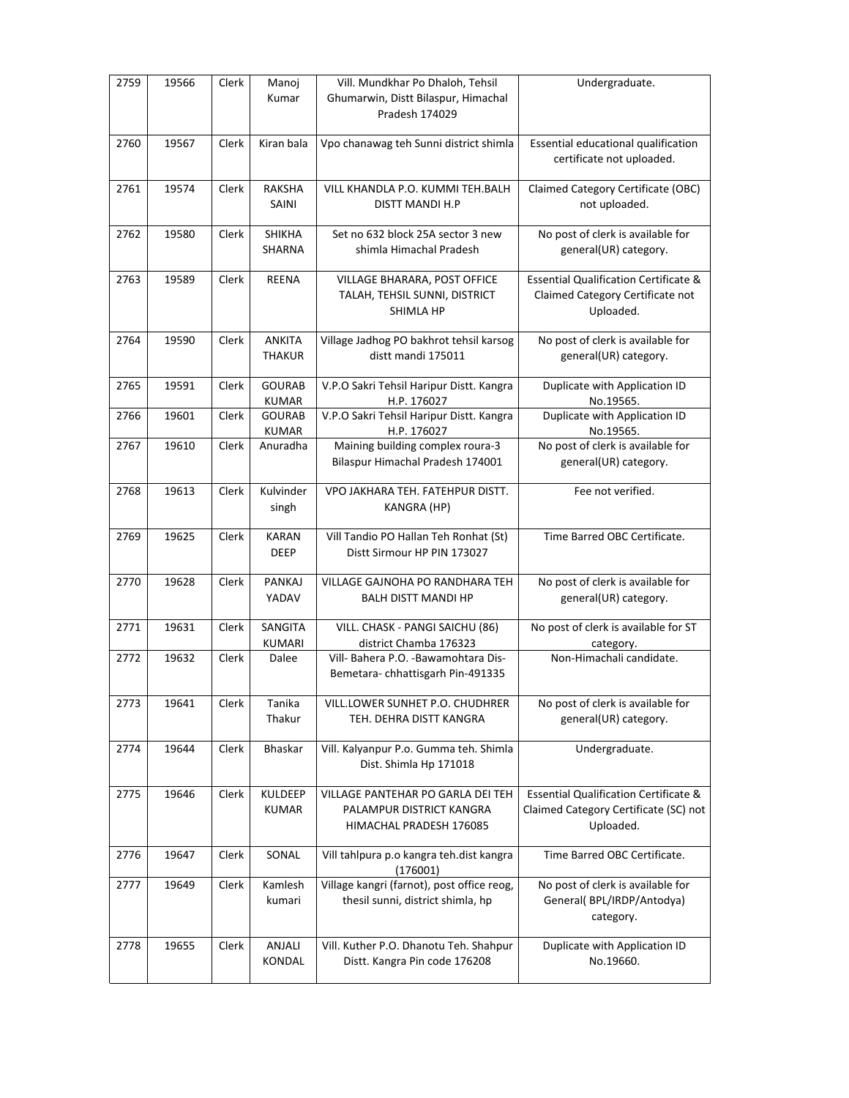| 2759 | 19566 | Clerk        | Manoj<br>Kumar                 | Vill. Mundkhar Po Dhaloh, Tehsil<br>Ghumarwin, Distt Bilaspur, Himachal<br>Pradesh 174029 | Undergraduate.                                                                                         |
|------|-------|--------------|--------------------------------|-------------------------------------------------------------------------------------------|--------------------------------------------------------------------------------------------------------|
| 2760 | 19567 | Clerk        | Kiran bala                     | Vpo chanawag teh Sunni district shimla                                                    | Essential educational qualification<br>certificate not uploaded.                                       |
| 2761 | 19574 | Clerk        | <b>RAKSHA</b><br>SAINI         | VILL KHANDLA P.O. KUMMI TEH.BALH<br>DISTT MANDI H.P                                       | Claimed Category Certificate (OBC)<br>not uploaded.                                                    |
| 2762 | 19580 | Clerk        | SHIKHA<br>SHARNA               | Set no 632 block 25A sector 3 new<br>shimla Himachal Pradesh                              | No post of clerk is available for<br>general(UR) category.                                             |
| 2763 | 19589 | Clerk        | REENA                          | VILLAGE BHARARA, POST OFFICE<br>TALAH, TEHSIL SUNNI, DISTRICT<br>SHIMLA HP                | <b>Essential Qualification Certificate &amp;</b><br>Claimed Category Certificate not<br>Uploaded.      |
| 2764 | 19590 | Clerk        | <b>ANKITA</b><br><b>THAKUR</b> | Village Jadhog PO bakhrot tehsil karsog<br>distt mandi 175011                             | No post of clerk is available for<br>general(UR) category.                                             |
| 2765 | 19591 | Clerk        | <b>GOURAB</b><br><b>KUMAR</b>  | V.P.O Sakri Tehsil Haripur Distt. Kangra<br>H.P. 176027                                   | Duplicate with Application ID<br>No.19565.                                                             |
| 2766 | 19601 | Clerk        | <b>GOURAB</b><br>KUMAR         | V.P.O Sakri Tehsil Haripur Distt. Kangra<br>H.P. 176027                                   | Duplicate with Application ID<br>No.19565.                                                             |
| 2767 | 19610 | Clerk        | Anuradha                       | Maining building complex roura-3<br>Bilaspur Himachal Pradesh 174001                      | No post of clerk is available for<br>general(UR) category.                                             |
| 2768 | 19613 | Clerk        | Kulvinder<br>singh             | VPO JAKHARA TEH. FATEHPUR DISTT.<br>KANGRA (HP)                                           | Fee not verified.                                                                                      |
| 2769 | 19625 | Clerk        | <b>KARAN</b><br><b>DEEP</b>    | Vill Tandio PO Hallan Teh Ronhat (St)<br>Distt Sirmour HP PIN 173027                      | Time Barred OBC Certificate.                                                                           |
| 2770 | 19628 | <b>Clerk</b> | PANKAJ<br>YADAV                | VILLAGE GAJNOHA PO RANDHARA TEH<br><b>BALH DISTT MANDI HP</b>                             | No post of clerk is available for<br>general(UR) category.                                             |
| 2771 | 19631 | Clerk        | SANGITA<br><b>KUMARI</b>       | VILL. CHASK - PANGI SAICHU (86)<br>district Chamba 176323                                 | No post of clerk is available for ST<br>category.                                                      |
| 2772 | 19632 | Clerk        | Dalee                          | Vill- Bahera P.O. - Bawamohtara Dis-<br>Bemetara-chhattisgarh Pin-491335                  | Non-Himachali candidate.                                                                               |
| 2773 | 19641 | Clerk        | Tanika<br>Thakur               | VILL.LOWER SUNHET P.O. CHUDHRER<br>TEH. DEHRA DISTT KANGRA                                | No post of clerk is available for<br>general(UR) category.                                             |
| 2774 | 19644 | Clerk        | <b>Bhaskar</b>                 | Vill. Kalyanpur P.o. Gumma teh. Shimla<br>Dist. Shimla Hp 171018                          | Undergraduate.                                                                                         |
| 2775 | 19646 | Clerk        | <b>KULDEEP</b><br><b>KUMAR</b> | VILLAGE PANTEHAR PO GARLA DEI TEH<br>PALAMPUR DISTRICT KANGRA<br>HIMACHAL PRADESH 176085  | <b>Essential Qualification Certificate &amp;</b><br>Claimed Category Certificate (SC) not<br>Uploaded. |
| 2776 | 19647 | Clerk        | SONAL                          | Vill tahlpura p.o kangra teh.dist kangra<br>(176001)                                      | Time Barred OBC Certificate.                                                                           |
| 2777 | 19649 | Clerk        | Kamlesh<br>kumari              | Village kangri (farnot), post office reog,<br>thesil sunni, district shimla, hp           | No post of clerk is available for<br>General(BPL/IRDP/Antodya)<br>category.                            |
| 2778 | 19655 | Clerk        | ANJALI<br>KONDAL               | Vill. Kuther P.O. Dhanotu Teh. Shahpur<br>Distt. Kangra Pin code 176208                   | Duplicate with Application ID<br>No.19660.                                                             |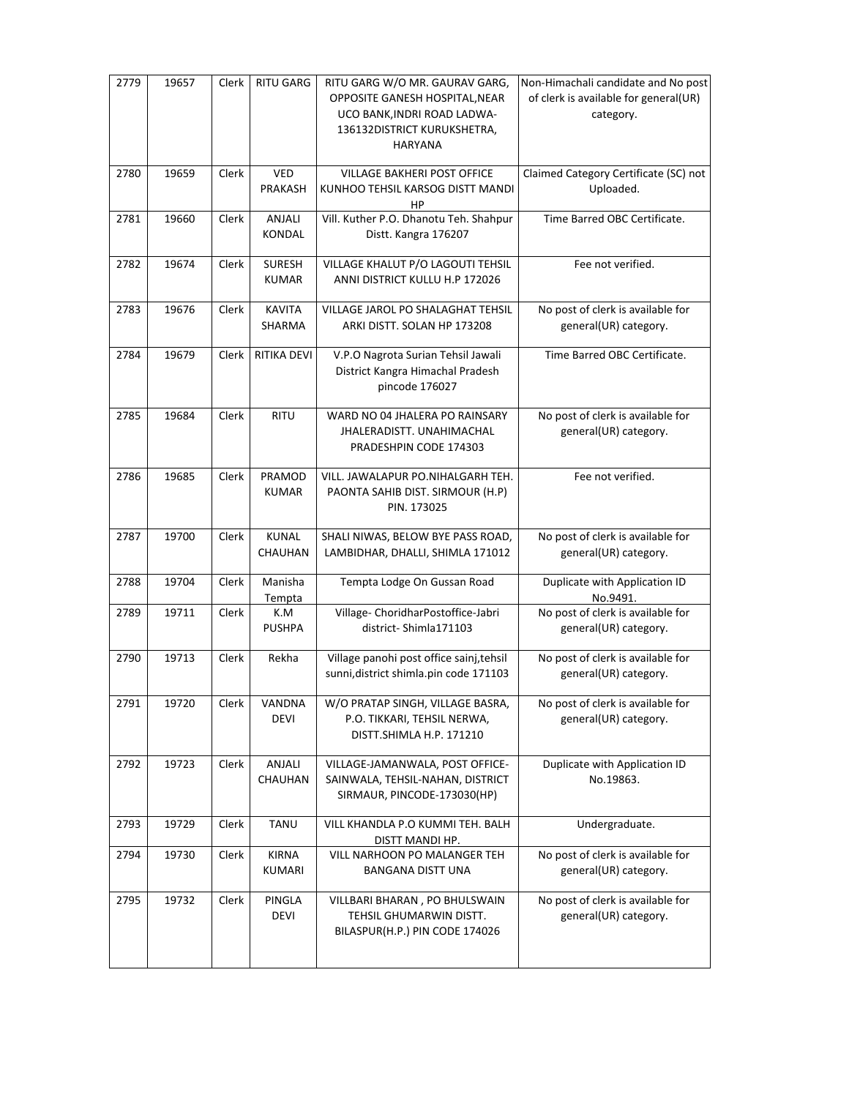| 2779 | 19657 | Clerk        | <b>RITU GARG</b>              | RITU GARG W/O MR. GAURAV GARG,<br>OPPOSITE GANESH HOSPITAL, NEAR<br>UCO BANK, INDRI ROAD LADWA-<br>136132DISTRICT KURUKSHETRA, | Non-Himachali candidate and No post<br>of clerk is available for general(UR)<br>category. |
|------|-------|--------------|-------------------------------|--------------------------------------------------------------------------------------------------------------------------------|-------------------------------------------------------------------------------------------|
|      |       |              |                               | <b>HARYANA</b>                                                                                                                 |                                                                                           |
| 2780 | 19659 | Clerk        | VED<br>PRAKASH                | <b>VILLAGE BAKHERI POST OFFICE</b><br>KUNHOO TEHSIL KARSOG DISTT MANDI<br>HP                                                   | Claimed Category Certificate (SC) not<br>Uploaded.                                        |
| 2781 | 19660 | Clerk        | ANJALI<br>KONDAL              | Vill. Kuther P.O. Dhanotu Teh. Shahpur<br>Distt. Kangra 176207                                                                 | Time Barred OBC Certificate.                                                              |
| 2782 | 19674 | Clerk        | <b>SURESH</b><br><b>KUMAR</b> | VILLAGE KHALUT P/O LAGOUTI TEHSIL<br>ANNI DISTRICT KULLU H.P 172026                                                            | Fee not verified.                                                                         |
| 2783 | 19676 | Clerk        | <b>KAVITA</b><br>SHARMA       | VILLAGE JAROL PO SHALAGHAT TEHSIL<br>ARKI DISTT. SOLAN HP 173208                                                               | No post of clerk is available for<br>general(UR) category.                                |
| 2784 | 19679 | Clerk        | RITIKA DEVI                   | V.P.O Nagrota Surian Tehsil Jawali<br>District Kangra Himachal Pradesh<br>pincode 176027                                       | Time Barred OBC Certificate.                                                              |
| 2785 | 19684 | Clerk        | <b>RITU</b>                   | WARD NO 04 JHALERA PO RAINSARY<br><b>JHALERADISTT, UNAHIMACHAL</b><br>PRADESHPIN CODE 174303                                   | No post of clerk is available for<br>general(UR) category.                                |
| 2786 | 19685 | Clerk        | PRAMOD<br><b>KUMAR</b>        | VILL. JAWALAPUR PO.NIHALGARH TEH.<br>PAONTA SAHIB DIST. SIRMOUR (H.P)<br>PIN. 173025                                           | Fee not verified.                                                                         |
| 2787 | 19700 | Clerk        | <b>KUNAL</b><br>CHAUHAN       | SHALI NIWAS, BELOW BYE PASS ROAD,<br>LAMBIDHAR, DHALLI, SHIMLA 171012                                                          | No post of clerk is available for<br>general(UR) category.                                |
| 2788 | 19704 | Clerk        | Manisha<br>Tempta             | Tempta Lodge On Gussan Road                                                                                                    | Duplicate with Application ID<br>No.9491.                                                 |
| 2789 | 19711 | Clerk        | K.M<br><b>PUSHPA</b>          | Village- ChoridharPostoffice-Jabri<br>district-Shimla171103                                                                    | No post of clerk is available for<br>general(UR) category.                                |
| 2790 | 19713 | <b>Clerk</b> | Rekha                         | Village panohi post office sainj, tehsil<br>sunni, district shimla.pin code 171103                                             | No post of clerk is available for<br>general(UR) category.                                |
| 2791 | 19720 | Clerk        | VANDNA<br>DEVI                | W/O PRATAP SINGH, VILLAGE BASRA,<br>P.O. TIKKARI, TEHSIL NERWA,<br>DISTT.SHIMLA H.P. 171210                                    | No post of clerk is available for<br>general(UR) category.                                |
| 2792 | 19723 | Clerk        | ANJALI<br>CHAUHAN             | VILLAGE-JAMANWALA, POST OFFICE-<br>SAINWALA, TEHSIL-NAHAN, DISTRICT<br>SIRMAUR, PINCODE-173030(HP)                             | Duplicate with Application ID<br>No.19863.                                                |
| 2793 | 19729 | Clerk        | <b>TANU</b>                   | VILL KHANDLA P.O KUMMI TEH. BALH<br>DISTT MANDI HP.                                                                            | Undergraduate.                                                                            |
| 2794 | 19730 | Clerk        | <b>KIRNA</b><br>KUMARI        | VILL NARHOON PO MALANGER TEH<br>BANGANA DISTT UNA                                                                              | No post of clerk is available for<br>general(UR) category.                                |
| 2795 | 19732 | Clerk        | PINGLA<br>DEVI                | VILLBARI BHARAN, PO BHULSWAIN<br>TEHSIL GHUMARWIN DISTT.<br>BILASPUR(H.P.) PIN CODE 174026                                     | No post of clerk is available for<br>general(UR) category.                                |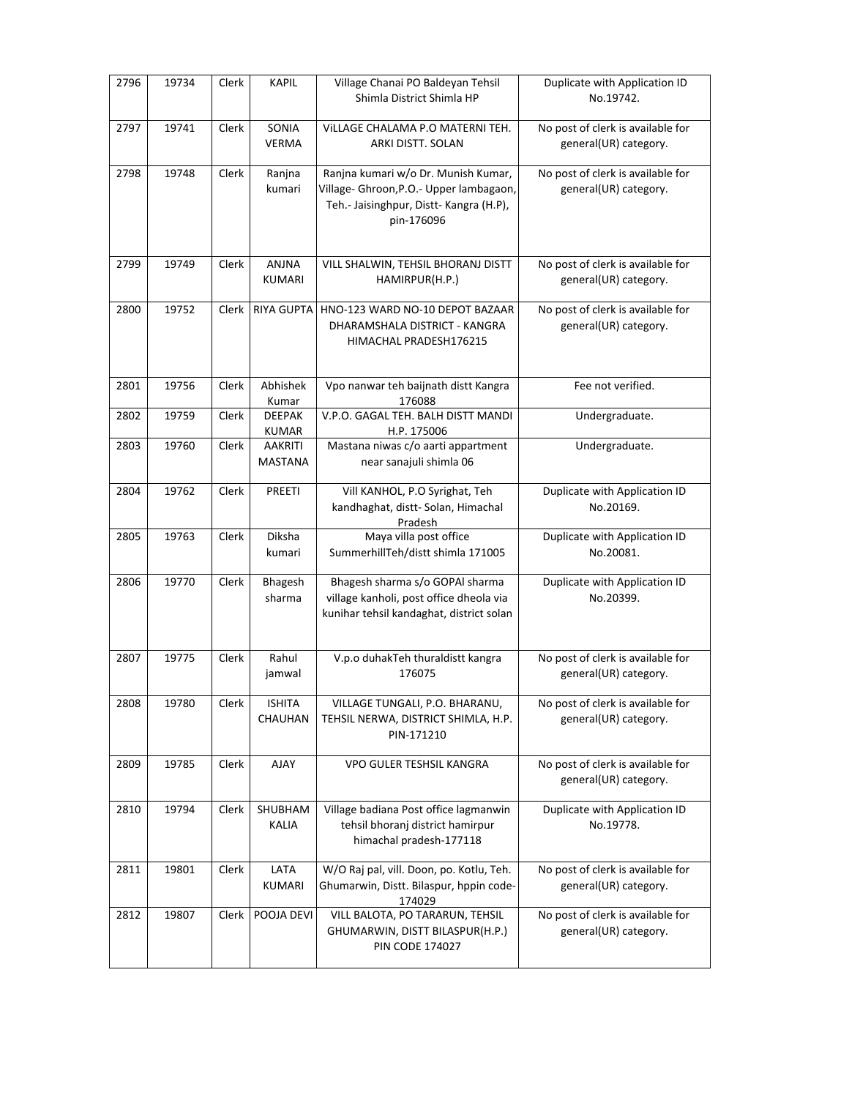| 2796 | 19734 | Clerk        | <b>KAPIL</b>                     | Village Chanai PO Baldeyan Tehsil<br>Shimla District Shimla HP                                                                          | Duplicate with Application ID<br>No.19742.                 |
|------|-------|--------------|----------------------------------|-----------------------------------------------------------------------------------------------------------------------------------------|------------------------------------------------------------|
| 2797 | 19741 | <b>Clerk</b> | SONIA<br><b>VERMA</b>            | VILLAGE CHALAMA P.O MATERNI TEH.<br>ARKI DISTT. SOLAN                                                                                   | No post of clerk is available for<br>general(UR) category. |
| 2798 | 19748 | Clerk        | Ranjna<br>kumari                 | Ranjna kumari w/o Dr. Munish Kumar,<br>Village- Ghroon, P.O.- Upper lambagaon,<br>Teh.- Jaisinghpur, Distt- Kangra (H.P),<br>pin-176096 | No post of clerk is available for<br>general(UR) category. |
| 2799 | 19749 | Clerk        | ANJNA<br>KUMARI                  | VILL SHALWIN, TEHSIL BHORANJ DISTT<br>HAMIRPUR(H.P.)                                                                                    | No post of clerk is available for<br>general(UR) category. |
| 2800 | 19752 | Clerk        | <b>RIYA GUPTA</b>                | HNO-123 WARD NO-10 DEPOT BAZAAR<br>DHARAMSHALA DISTRICT - KANGRA<br>HIMACHAL PRADESH176215                                              | No post of clerk is available for<br>general(UR) category. |
| 2801 | 19756 | Clerk        | Abhishek<br>Kumar                | Vpo nanwar teh baijnath distt Kangra<br>176088                                                                                          | Fee not verified.                                          |
| 2802 | 19759 | Clerk        | <b>DEEPAK</b><br><b>KUMAR</b>    | V.P.O. GAGAL TEH. BALH DISTT MANDI<br>H.P. 175006                                                                                       | Undergraduate.                                             |
| 2803 | 19760 | Clerk        | <b>AAKRITI</b><br><b>MASTANA</b> | Mastana niwas c/o aarti appartment<br>near sanajuli shimla 06                                                                           | Undergraduate.                                             |
| 2804 | 19762 | Clerk        | <b>PREETI</b>                    | Vill KANHOL, P.O Syrighat, Teh<br>kandhaghat, distt-Solan, Himachal<br>Pradesh                                                          | Duplicate with Application ID<br>No.20169.                 |
| 2805 | 19763 | Clerk        | Diksha<br>kumari                 | Maya villa post office<br>SummerhillTeh/distt shimla 171005                                                                             | Duplicate with Application ID<br>No.20081.                 |
| 2806 | 19770 | Clerk        | Bhagesh<br>sharma                | Bhagesh sharma s/o GOPAI sharma<br>village kanholi, post office dheola via<br>kunihar tehsil kandaghat, district solan                  | Duplicate with Application ID<br>No.20399.                 |
| 2807 | 19775 | Clerk        | Rahul<br>jamwal                  | V.p.o duhakTeh thuraldistt kangra<br>176075                                                                                             | No post of clerk is available for<br>general(UR) category. |
| 2808 | 19780 | Clerk        | <b>ISHITA</b><br>CHAUHAN         | VILLAGE TUNGALI, P.O. BHARANU,<br>TEHSIL NERWA, DISTRICT SHIMLA, H.P.<br>PIN-171210                                                     | No post of clerk is available for<br>general(UR) category. |
| 2809 | 19785 | Clerk        | AJAY                             | VPO GULER TESHSIL KANGRA                                                                                                                | No post of clerk is available for<br>general(UR) category. |
| 2810 | 19794 | Clerk        | SHUBHAM<br>KALIA                 | Village badiana Post office lagmanwin<br>tehsil bhoranj district hamirpur<br>himachal pradesh-177118                                    | Duplicate with Application ID<br>No.19778.                 |
| 2811 | 19801 | Clerk        | LATA<br>KUMARI                   | W/O Raj pal, vill. Doon, po. Kotlu, Teh.<br>Ghumarwin, Distt. Bilaspur, hppin code-<br>174029                                           | No post of clerk is available for<br>general(UR) category. |
| 2812 | 19807 | Clerk        | POOJA DEVI                       | VILL BALOTA, PO TARARUN, TEHSIL<br>GHUMARWIN, DISTT BILASPUR(H.P.)<br><b>PIN CODE 174027</b>                                            | No post of clerk is available for<br>general(UR) category. |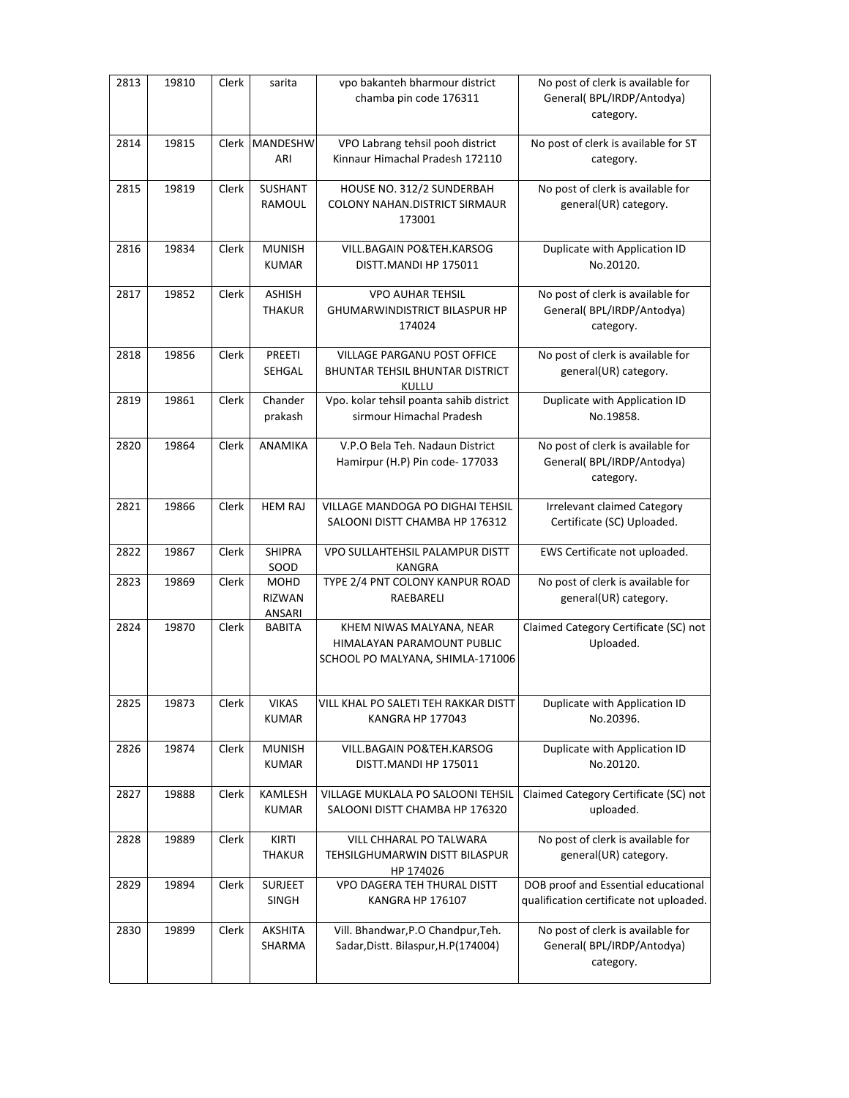| 2813 | 19810 | Clerk | sarita                                 | vpo bakanteh bharmour district<br>chamba pin code 176311                                   | No post of clerk is available for<br>General(BPL/IRDP/Antodya)<br>category.    |
|------|-------|-------|----------------------------------------|--------------------------------------------------------------------------------------------|--------------------------------------------------------------------------------|
| 2814 | 19815 | Clerk | <b>MANDESHW</b><br>ARI                 | VPO Labrang tehsil pooh district<br>Kinnaur Himachal Pradesh 172110                        | No post of clerk is available for ST<br>category.                              |
| 2815 | 19819 | Clerk | SUSHANT<br>RAMOUL                      | HOUSE NO. 312/2 SUNDERBAH<br><b>COLONY NAHAN.DISTRICT SIRMAUR</b><br>173001                | No post of clerk is available for<br>general(UR) category.                     |
| 2816 | 19834 | Clerk | <b>MUNISH</b><br><b>KUMAR</b>          | VILL.BAGAIN PO&TEH.KARSOG<br>DISTT.MANDI HP 175011                                         | Duplicate with Application ID<br>No.20120.                                     |
| 2817 | 19852 | Clerk | <b>ASHISH</b><br><b>THAKUR</b>         | <b>VPO AUHAR TEHSIL</b><br><b>GHUMARWINDISTRICT BILASPUR HP</b><br>174024                  | No post of clerk is available for<br>General(BPL/IRDP/Antodya)<br>category.    |
| 2818 | 19856 | Clerk | PREETI<br>SEHGAL                       | VILLAGE PARGANU POST OFFICE<br><b>BHUNTAR TEHSIL BHUNTAR DISTRICT</b><br><b>KULLU</b>      | No post of clerk is available for<br>general(UR) category.                     |
| 2819 | 19861 | Clerk | Chander<br>prakash                     | Vpo. kolar tehsil poanta sahib district<br>sirmour Himachal Pradesh                        | Duplicate with Application ID<br>No.19858.                                     |
| 2820 | 19864 | Clerk | ANAMIKA                                | V.P.O Bela Teh. Nadaun District<br>Hamirpur (H.P) Pin code- 177033                         | No post of clerk is available for<br>General(BPL/IRDP/Antodya)<br>category.    |
| 2821 | 19866 | Clerk | <b>HEM RAJ</b>                         | VILLAGE MANDOGA PO DIGHAI TEHSIL<br>SALOONI DISTT CHAMBA HP 176312                         | <b>Irrelevant claimed Category</b><br>Certificate (SC) Uploaded.               |
| 2822 | 19867 | Clerk | <b>SHIPRA</b><br>SOOD                  | VPO SULLAHTEHSIL PALAMPUR DISTT<br>KANGRA                                                  | EWS Certificate not uploaded.                                                  |
| 2823 | 19869 | Clerk | <b>MOHD</b><br><b>RIZWAN</b><br>ANSARI | TYPE 2/4 PNT COLONY KANPUR ROAD<br>RAEBARELI                                               | No post of clerk is available for<br>general(UR) category.                     |
| 2824 | 19870 | Clerk | <b>BABITA</b>                          | KHEM NIWAS MALYANA, NEAR<br>HIMALAYAN PARAMOUNT PUBLIC<br>SCHOOL PO MALYANA, SHIMLA-171006 | Claimed Category Certificate (SC) not<br>Uploaded.                             |
| 2825 | 19873 | Clerk | <b>VIKAS</b><br><b>KUMAR</b>           | VILL KHAL PO SALETI TEH RAKKAR DISTT<br>KANGRA HP 177043                                   | Duplicate with Application ID<br>No.20396.                                     |
| 2826 | 19874 | Clerk | <b>MUNISH</b><br><b>KUMAR</b>          | VILL.BAGAIN PO&TEH.KARSOG<br>DISTT.MANDI HP 175011                                         | Duplicate with Application ID<br>No.20120.                                     |
| 2827 | 19888 | Clerk | KAMLESH<br><b>KUMAR</b>                | VILLAGE MUKLALA PO SALOONI TEHSIL<br>SALOONI DISTT CHAMBA HP 176320                        | Claimed Category Certificate (SC) not<br>uploaded.                             |
| 2828 | 19889 | Clerk | KIRTI<br><b>THAKUR</b>                 | VILL CHHARAL PO TALWARA<br>TEHSILGHUMARWIN DISTT BILASPUR<br>HP 174026                     | No post of clerk is available for<br>general(UR) category.                     |
| 2829 | 19894 | Clerk | SURJEET<br>SINGH                       | VPO DAGERA TEH THURAL DISTT<br>KANGRA HP 176107                                            | DOB proof and Essential educational<br>qualification certificate not uploaded. |
| 2830 | 19899 | Clerk | AKSHITA<br>SHARMA                      | Vill. Bhandwar, P.O Chandpur, Teh.<br>Sadar, Distt. Bilaspur, H.P(174004)                  | No post of clerk is available for<br>General(BPL/IRDP/Antodya)<br>category.    |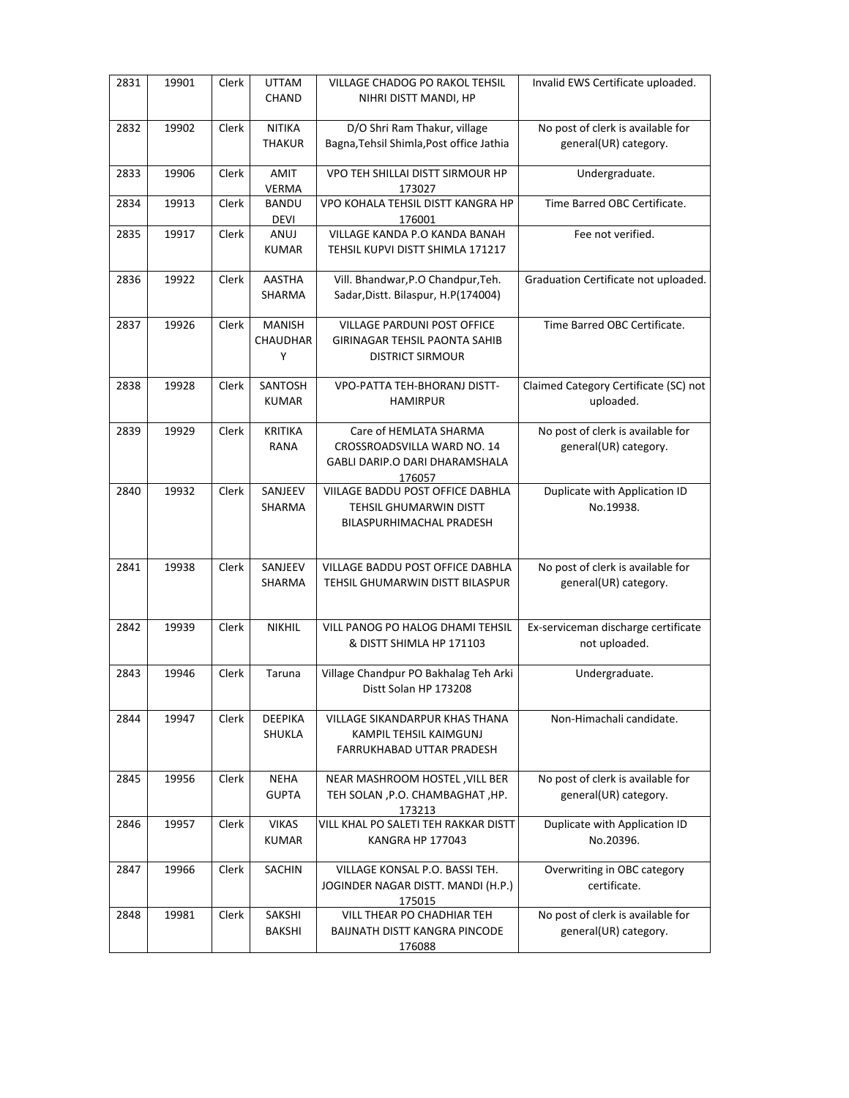| 2831 | 19901 | Clerk        | <b>UTTAM</b><br><b>CHAND</b>          | <b>VILLAGE CHADOG PO RAKOL TEHSIL</b><br>NIHRI DISTT MANDI, HP                                    | Invalid EWS Certificate uploaded.                          |
|------|-------|--------------|---------------------------------------|---------------------------------------------------------------------------------------------------|------------------------------------------------------------|
| 2832 | 19902 | Clerk        | <b>NITIKA</b><br><b>THAKUR</b>        | D/O Shri Ram Thakur, village<br>Bagna, Tehsil Shimla, Post office Jathia                          | No post of clerk is available for<br>general(UR) category. |
| 2833 | 19906 | Clerk        | <b>AMIT</b><br><b>VERMA</b>           | VPO TEH SHILLAI DISTT SIRMOUR HP<br>173027                                                        | Undergraduate.                                             |
| 2834 | 19913 | Clerk        | <b>BANDU</b><br><b>DEVI</b>           | VPO KOHALA TEHSIL DISTT KANGRA HP<br>176001                                                       | Time Barred OBC Certificate.                               |
| 2835 | 19917 | Clerk        | ANUJ<br><b>KUMAR</b>                  | VILLAGE KANDA P.O KANDA BANAH<br>TEHSIL KUPVI DISTT SHIMLA 171217                                 | Fee not verified.                                          |
| 2836 | 19922 | Clerk        | <b>AASTHA</b><br>SHARMA               | Vill. Bhandwar, P.O Chandpur, Teh.<br>Sadar, Distt. Bilaspur, H.P(174004)                         | Graduation Certificate not uploaded.                       |
| 2837 | 19926 | Clerk        | <b>MANISH</b><br><b>CHAUDHAR</b><br>Υ | <b>VILLAGE PARDUNI POST OFFICE</b><br>GIRINAGAR TEHSIL PAONTA SAHIB<br><b>DISTRICT SIRMOUR</b>    | Time Barred OBC Certificate.                               |
| 2838 | 19928 | Clerk        | SANTOSH<br><b>KUMAR</b>               | VPO-PATTA TEH-BHORANJ DISTT-<br><b>HAMIRPUR</b>                                                   | Claimed Category Certificate (SC) not<br>uploaded.         |
| 2839 | 19929 | Clerk        | <b>KRITIKA</b><br><b>RANA</b>         | Care of HEMLATA SHARMA<br>CROSSROADSVILLA WARD NO. 14<br>GABLI DARIP.O DARI DHARAMSHALA<br>176057 | No post of clerk is available for<br>general(UR) category. |
| 2840 | 19932 | Clerk        | SANJEEV<br>SHARMA                     | VIILAGE BADDU POST OFFICE DABHLA<br>TEHSIL GHUMARWIN DISTT<br>BILASPURHIMACHAL PRADESH            | Duplicate with Application ID<br>No.19938.                 |
| 2841 | 19938 | Clerk        | SANJEEV<br>SHARMA                     | VILLAGE BADDU POST OFFICE DABHLA<br>TEHSIL GHUMARWIN DISTT BILASPUR                               | No post of clerk is available for<br>general(UR) category. |
| 2842 | 19939 | Clerk        | <b>NIKHIL</b>                         | VILL PANOG PO HALOG DHAMI TEHSIL<br>& DISTT SHIMLA HP 171103                                      | Ex-serviceman discharge certificate<br>not uploaded.       |
| 2843 | 19946 | Clerk        | Taruna                                | Village Chandpur PO Bakhalag Teh Arki<br>Distt Solan HP 173208                                    | Undergraduate.                                             |
| 2844 | 19947 | Clerk        | <b>DEEPIKA</b><br>SHUKLA              | VILLAGE SIKANDARPUR KHAS THANA<br>KAMPIL TEHSIL KAIMGUNJ<br>FARRUKHABAD UTTAR PRADESH             | Non-Himachali candidate.                                   |
| 2845 | 19956 | <b>Clerk</b> | <b>NEHA</b><br><b>GUPTA</b>           | NEAR MASHROOM HOSTEL, VILL BER<br>TEH SOLAN , P.O. CHAMBAGHAT, HP.<br>173213                      | No post of clerk is available for<br>general(UR) category. |
| 2846 | 19957 | Clerk        | <b>VIKAS</b><br><b>KUMAR</b>          | VILL KHAL PO SALETI TEH RAKKAR DISTT<br><b>KANGRA HP 177043</b>                                   | Duplicate with Application ID<br>No.20396.                 |
| 2847 | 19966 | Clerk        | <b>SACHIN</b>                         | VILLAGE KONSAL P.O. BASSI TEH.<br>JOGINDER NAGAR DISTT. MANDI (H.P.)<br>175015                    | Overwriting in OBC category<br>certificate.                |
| 2848 | 19981 | Clerk        | SAKSHI<br>BAKSHI                      | VILL THEAR PO CHADHIAR TEH<br>BAIJNATH DISTT KANGRA PINCODE<br>176088                             | No post of clerk is available for<br>general(UR) category. |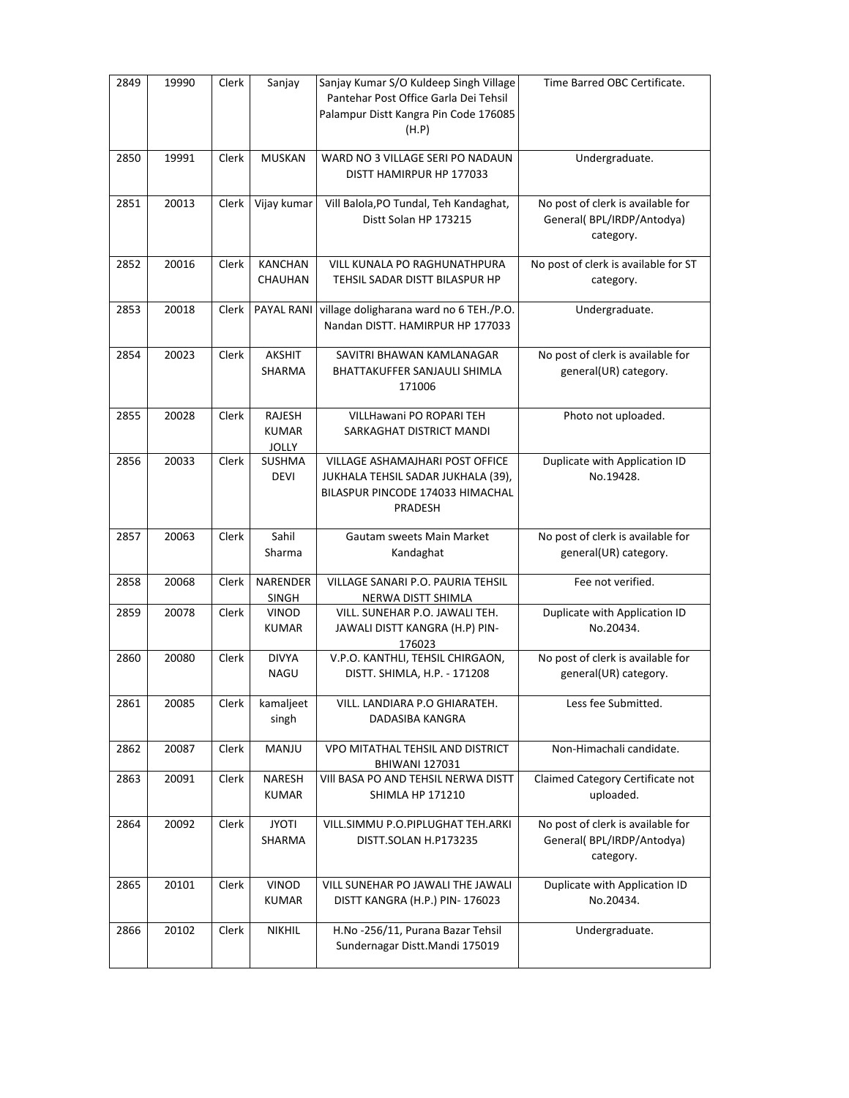| 2849 | 19990 | <b>Clerk</b> | Sanjay                                 | Sanjay Kumar S/O Kuldeep Singh Village<br>Pantehar Post Office Garla Dei Tehsil<br>Palampur Distt Kangra Pin Code 176085<br>(H.P) | Time Barred OBC Certificate.                                                |
|------|-------|--------------|----------------------------------------|-----------------------------------------------------------------------------------------------------------------------------------|-----------------------------------------------------------------------------|
| 2850 | 19991 | Clerk        | <b>MUSKAN</b>                          | WARD NO 3 VILLAGE SERI PO NADAUN<br>DISTT HAMIRPUR HP 177033                                                                      | Undergraduate.                                                              |
| 2851 | 20013 | Clerk        | Vijay kumar                            | Vill Balola, PO Tundal, Teh Kandaghat,<br>Distt Solan HP 173215                                                                   | No post of clerk is available for<br>General(BPL/IRDP/Antodya)<br>category. |
| 2852 | 20016 | Clerk        | KANCHAN<br>CHAUHAN                     | VILL KUNALA PO RAGHUNATHPURA<br>TEHSIL SADAR DISTT BILASPUR HP                                                                    | No post of clerk is available for ST<br>category.                           |
| 2853 | 20018 | Clerk        | PAYAL RANI                             | village doligharana ward no 6 TEH./P.O.<br>Nandan DISTT. HAMIRPUR HP 177033                                                       | Undergraduate.                                                              |
| 2854 | 20023 | Clerk        | <b>AKSHIT</b><br>SHARMA                | SAVITRI BHAWAN KAMLANAGAR<br>BHATTAKUFFER SANJAULI SHIMLA<br>171006                                                               | No post of clerk is available for<br>general(UR) category.                  |
| 2855 | 20028 | Clerk        | <b>RAJESH</b><br><b>KUMAR</b><br>JOLLY | VILLHawani PO ROPARI TEH<br>SARKAGHAT DISTRICT MANDI                                                                              | Photo not uploaded.                                                         |
| 2856 | 20033 | Clerk        | SUSHMA<br><b>DEVI</b>                  | VILLAGE ASHAMAJHARI POST OFFICE<br>JUKHALA TEHSIL SADAR JUKHALA (39),<br>BILASPUR PINCODE 174033 HIMACHAL<br>PRADESH              | Duplicate with Application ID<br>No.19428.                                  |
| 2857 | 20063 | Clerk        | Sahil<br>Sharma                        | Gautam sweets Main Market<br>Kandaghat                                                                                            | No post of clerk is available for<br>general(UR) category.                  |
| 2858 | 20068 | Clerk        | NARENDER<br><b>SINGH</b>               | VILLAGE SANARI P.O. PAURIA TEHSIL<br>NERWA DISTT SHIMLA                                                                           | Fee not verified.                                                           |
| 2859 | 20078 | Clerk        | VINOD<br><b>KUMAR</b>                  | VILL. SUNEHAR P.O. JAWALI TEH.<br>JAWALI DISTT KANGRA (H.P) PIN-<br>176023                                                        | Duplicate with Application ID<br>No.20434.                                  |
| 2860 | 20080 | Clerk        | <b>DIVYA</b><br><b>NAGU</b>            | V.P.O. KANTHLI, TEHSIL CHIRGAON,<br>DISTT. SHIMLA, H.P. - 171208                                                                  | No post of clerk is available for<br>general(UR) category.                  |
| 2861 | 20085 | Clerk        | kamaljeet<br>singh                     | VILL. LANDIARA P.O GHIARATEH.<br>DADASIBA KANGRA                                                                                  | Less fee Submitted.                                                         |
| 2862 | 20087 | Clerk        | <b>MANJU</b>                           | VPO MITATHAL TEHSIL AND DISTRICT<br><b>BHIWANI 127031</b>                                                                         | Non-Himachali candidate.                                                    |
| 2863 | 20091 | Clerk        | <b>NARESH</b><br><b>KUMAR</b>          | VIII BASA PO AND TEHSIL NERWA DISTT<br>SHIMLA HP 171210                                                                           | Claimed Category Certificate not<br>uploaded.                               |
| 2864 | 20092 | Clerk        | <b>JYOTI</b><br>SHARMA                 | VILL.SIMMU P.O.PIPLUGHAT TEH.ARKI<br>DISTT.SOLAN H.P173235                                                                        | No post of clerk is available for<br>General(BPL/IRDP/Antodya)<br>category. |
| 2865 | 20101 | Clerk        | VINOD<br><b>KUMAR</b>                  | VILL SUNEHAR PO JAWALI THE JAWALI<br>DISTT KANGRA (H.P.) PIN-176023                                                               | Duplicate with Application ID<br>No.20434.                                  |
| 2866 | 20102 | Clerk        | <b>NIKHIL</b>                          | H.No -256/11, Purana Bazar Tehsil<br>Sundernagar Distt.Mandi 175019                                                               | Undergraduate.                                                              |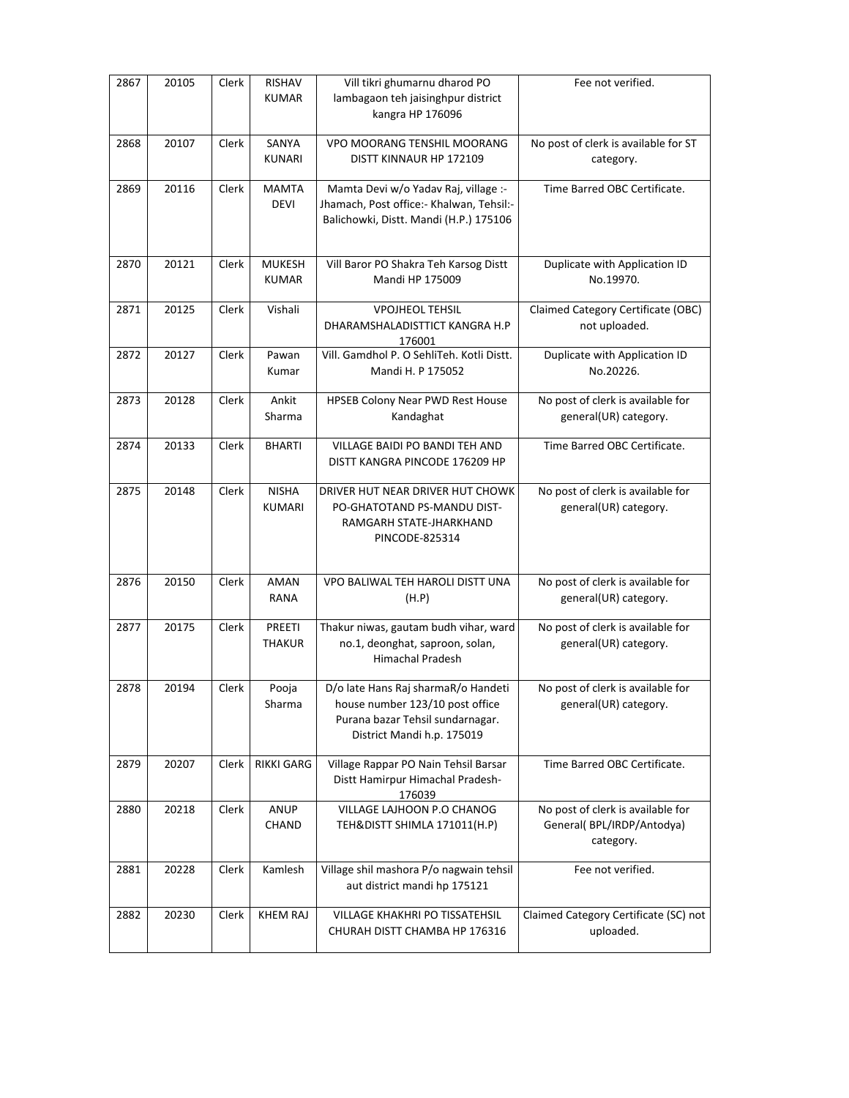| 2867 | 20105 | Clerk | <b>RISHAV</b><br><b>KUMAR</b>  | Vill tikri ghumarnu dharod PO<br>lambagaon teh jaisinghpur district<br>kangra HP 176096                                                  | Fee not verified.                                                           |
|------|-------|-------|--------------------------------|------------------------------------------------------------------------------------------------------------------------------------------|-----------------------------------------------------------------------------|
| 2868 | 20107 | Clerk | SANYA<br><b>KUNARI</b>         | VPO MOORANG TENSHIL MOORANG<br>DISTT KINNAUR HP 172109                                                                                   | No post of clerk is available for ST<br>category.                           |
| 2869 | 20116 | Clerk | <b>MAMTA</b><br><b>DEVI</b>    | Mamta Devi w/o Yadav Raj, village :-<br>Jhamach, Post office:- Khalwan, Tehsil:-<br>Balichowki, Distt. Mandi (H.P.) 175106               | Time Barred OBC Certificate.                                                |
| 2870 | 20121 | Clerk | <b>MUKESH</b><br><b>KUMAR</b>  | Vill Baror PO Shakra Teh Karsog Distt<br>Mandi HP 175009                                                                                 | Duplicate with Application ID<br>No.19970.                                  |
| 2871 | 20125 | Clerk | Vishali                        | <b>VPOJHEOL TEHSIL</b><br>DHARAMSHALADISTTICT KANGRA H.P<br>176001                                                                       | Claimed Category Certificate (OBC)<br>not uploaded.                         |
| 2872 | 20127 | Clerk | Pawan<br>Kumar                 | Vill. Gamdhol P. O SehliTeh. Kotli Distt.<br>Mandi H. P 175052                                                                           | Duplicate with Application ID<br>No.20226.                                  |
| 2873 | 20128 | Clerk | Ankit<br>Sharma                | HPSEB Colony Near PWD Rest House<br>Kandaghat                                                                                            | No post of clerk is available for<br>general(UR) category.                  |
| 2874 | 20133 | Clerk | <b>BHARTI</b>                  | VILLAGE BAIDI PO BANDI TEH AND<br>DISTT KANGRA PINCODE 176209 HP                                                                         | Time Barred OBC Certificate.                                                |
| 2875 | 20148 | Clerk | <b>NISHA</b><br>KUMARI         | DRIVER HUT NEAR DRIVER HUT CHOWK<br>PO-GHATOTAND PS-MANDU DIST-<br>RAMGARH STATE-JHARKHAND<br>PINCODE-825314                             | No post of clerk is available for<br>general(UR) category.                  |
| 2876 | 20150 | Clerk | AMAN<br>RANA                   | VPO BALIWAL TEH HAROLI DISTT UNA<br>(H.P)                                                                                                | No post of clerk is available for<br>general(UR) category.                  |
| 2877 | 20175 | Clerk | <b>PREETI</b><br><b>THAKUR</b> | Thakur niwas, gautam budh vihar, ward<br>no.1, deonghat, saproon, solan,<br><b>Himachal Pradesh</b>                                      | No post of clerk is available for<br>general(UR) category.                  |
| 2878 | 20194 | Clerk | Pooja<br>Sharma                | D/o late Hans Raj sharmaR/o Handeti<br>house number 123/10 post office<br>Purana bazar Tehsil sundarnagar.<br>District Mandi h.p. 175019 | No post of clerk is available for<br>general(UR) category.                  |
| 2879 | 20207 | Clerk | <b>RIKKI GARG</b>              | Village Rappar PO Nain Tehsil Barsar<br>Distt Hamirpur Himachal Pradesh-<br>176039                                                       | Time Barred OBC Certificate.                                                |
| 2880 | 20218 | Clerk | ANUP<br>CHAND                  | VILLAGE LAJHOON P.O CHANOG<br>TEH&DISTT SHIMLA 171011(H.P)                                                                               | No post of clerk is available for<br>General(BPL/IRDP/Antodya)<br>category. |
| 2881 | 20228 | Clerk | Kamlesh                        | Village shil mashora P/o nagwain tehsil<br>aut district mandi hp 175121                                                                  | Fee not verified.                                                           |
| 2882 | 20230 | Clerk | <b>KHEM RAJ</b>                | VILLAGE KHAKHRI PO TISSATEHSIL<br>CHURAH DISTT CHAMBA HP 176316                                                                          | Claimed Category Certificate (SC) not<br>uploaded.                          |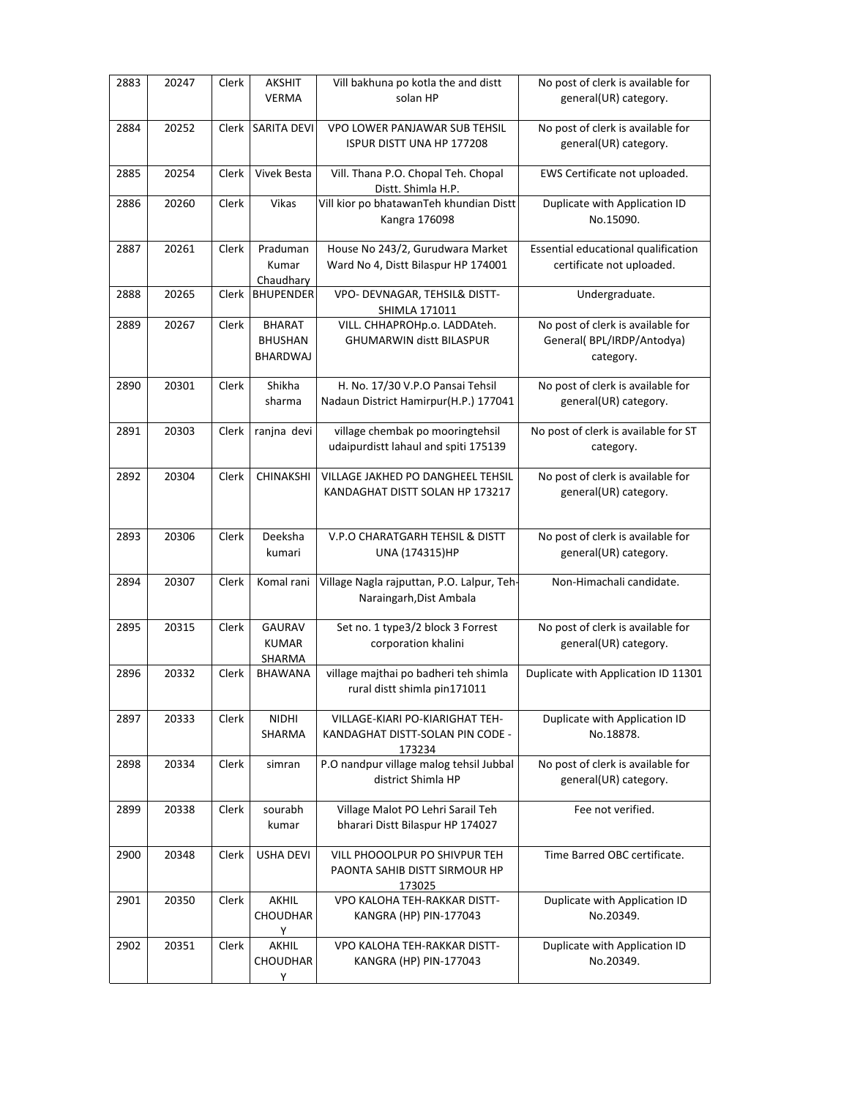| 2883 | 20247 | Clerk | <b>AKSHIT</b>      | Vill bakhuna po kotla the and distt                                      | No post of clerk is available for          |
|------|-------|-------|--------------------|--------------------------------------------------------------------------|--------------------------------------------|
|      |       |       | <b>VERMA</b>       | solan HP                                                                 | general(UR) category.                      |
| 2884 | 20252 | Clerk | <b>SARITA DEVI</b> | VPO LOWER PANJAWAR SUB TEHSIL                                            | No post of clerk is available for          |
|      |       |       |                    | <b>ISPUR DISTT UNA HP 177208</b>                                         | general(UR) category.                      |
| 2885 | 20254 | Clerk | Vivek Besta        | Vill. Thana P.O. Chopal Teh. Chopal<br>Distt. Shimla H.P.                | EWS Certificate not uploaded.              |
| 2886 | 20260 | Clerk | Vikas              | Vill kior po bhatawanTeh khundian Distt                                  | Duplicate with Application ID              |
|      |       |       |                    | Kangra 176098                                                            | No.15090.                                  |
| 2887 | 20261 | Clerk | Praduman           | House No 243/2, Gurudwara Market                                         | Essential educational qualification        |
|      |       |       | Kumar<br>Chaudhary | Ward No 4, Distt Bilaspur HP 174001                                      | certificate not uploaded.                  |
| 2888 | 20265 | Clerk | <b>BHUPENDER</b>   | VPO- DEVNAGAR, TEHSIL& DISTT-                                            | Undergraduate.                             |
|      |       |       |                    | SHIMLA 171011                                                            |                                            |
| 2889 | 20267 | Clerk | <b>BHARAT</b>      | VILL. CHHAPROHp.o. LADDAteh.                                             | No post of clerk is available for          |
|      |       |       | <b>BHUSHAN</b>     | <b>GHUMARWIN distt BILASPUR</b>                                          | General(BPL/IRDP/Antodya)                  |
|      |       |       | <b>BHARDWAJ</b>    |                                                                          | category.                                  |
| 2890 | 20301 | Clerk | Shikha             | H. No. 17/30 V.P.O Pansai Tehsil                                         | No post of clerk is available for          |
|      |       |       | sharma             | Nadaun District Hamirpur(H.P.) 177041                                    | general(UR) category.                      |
|      |       |       |                    |                                                                          |                                            |
| 2891 | 20303 | Clerk | ranjna devi        | village chembak po mooringtehsil<br>udaipurdistt lahaul and spiti 175139 | No post of clerk is available for ST       |
|      |       |       |                    |                                                                          | category.                                  |
| 2892 | 20304 | Clerk | CHINAKSHI          | VILLAGE JAKHED PO DANGHEEL TEHSIL                                        | No post of clerk is available for          |
|      |       |       |                    | KANDAGHAT DISTT SOLAN HP 173217                                          | general(UR) category.                      |
|      |       |       |                    |                                                                          |                                            |
| 2893 | 20306 | Clerk | Deeksha            | V.P.O CHARATGARH TEHSIL & DISTT                                          | No post of clerk is available for          |
|      |       |       |                    |                                                                          |                                            |
|      |       |       | kumari             | UNA (174315)HP                                                           | general(UR) category.                      |
|      |       |       |                    |                                                                          |                                            |
| 2894 | 20307 | Clerk | Komal rani         | Village Nagla rajputtan, P.O. Lalpur, Teh-                               | Non-Himachali candidate.                   |
|      |       |       |                    | Naraingarh, Dist Ambala                                                  |                                            |
| 2895 | 20315 | Clerk | <b>GAURAV</b>      | Set no. 1 type3/2 block 3 Forrest                                        | No post of clerk is available for          |
|      |       |       | <b>KUMAR</b>       | corporation khalini                                                      | general(UR) category.                      |
|      |       |       | <b>SHARMA</b>      |                                                                          |                                            |
| 2896 | 20332 | Clerk | <b>BHAWANA</b>     | village majthai po badheri teh shimla                                    | Duplicate with Application ID 11301        |
|      |       |       |                    | rural distt shimla pin171011                                             |                                            |
| 2897 | 20333 | Clerk | <b>NIDHI</b>       | VILLAGE-KIARI PO-KIARIGHAT TEH-                                          | Duplicate with Application ID              |
|      |       |       | SHARMA             | KANDAGHAT DISTT-SOLAN PIN CODE -                                         | No.18878.                                  |
|      |       |       |                    | 173234                                                                   |                                            |
| 2898 | 20334 | Clerk | simran             | P.O nandpur village malog tehsil Jubbal                                  | No post of clerk is available for          |
|      |       |       |                    | district Shimla HP                                                       | general(UR) category.                      |
| 2899 | 20338 | Clerk | sourabh            | Village Malot PO Lehri Sarail Teh                                        | Fee not verified.                          |
|      |       |       | kumar              | bharari Distt Bilaspur HP 174027                                         |                                            |
|      |       |       |                    |                                                                          |                                            |
| 2900 | 20348 | Clerk | <b>USHA DEVI</b>   | VILL PHOOOLPUR PO SHIVPUR TEH<br>PAONTA SAHIB DISTT SIRMOUR HP           | Time Barred OBC certificate.               |
|      |       |       |                    | 173025                                                                   |                                            |
| 2901 | 20350 | Clerk | AKHIL              | VPO KALOHA TEH-RAKKAR DISTT-                                             | Duplicate with Application ID              |
|      |       |       | <b>CHOUDHAR</b>    | KANGRA (HP) PIN-177043                                                   | No.20349.                                  |
| 2902 | 20351 | Clerk | Y<br>AKHIL         | VPO KALOHA TEH-RAKKAR DISTT-                                             |                                            |
|      |       |       | <b>CHOUDHAR</b>    | KANGRA (HP) PIN-177043                                                   | Duplicate with Application ID<br>No.20349. |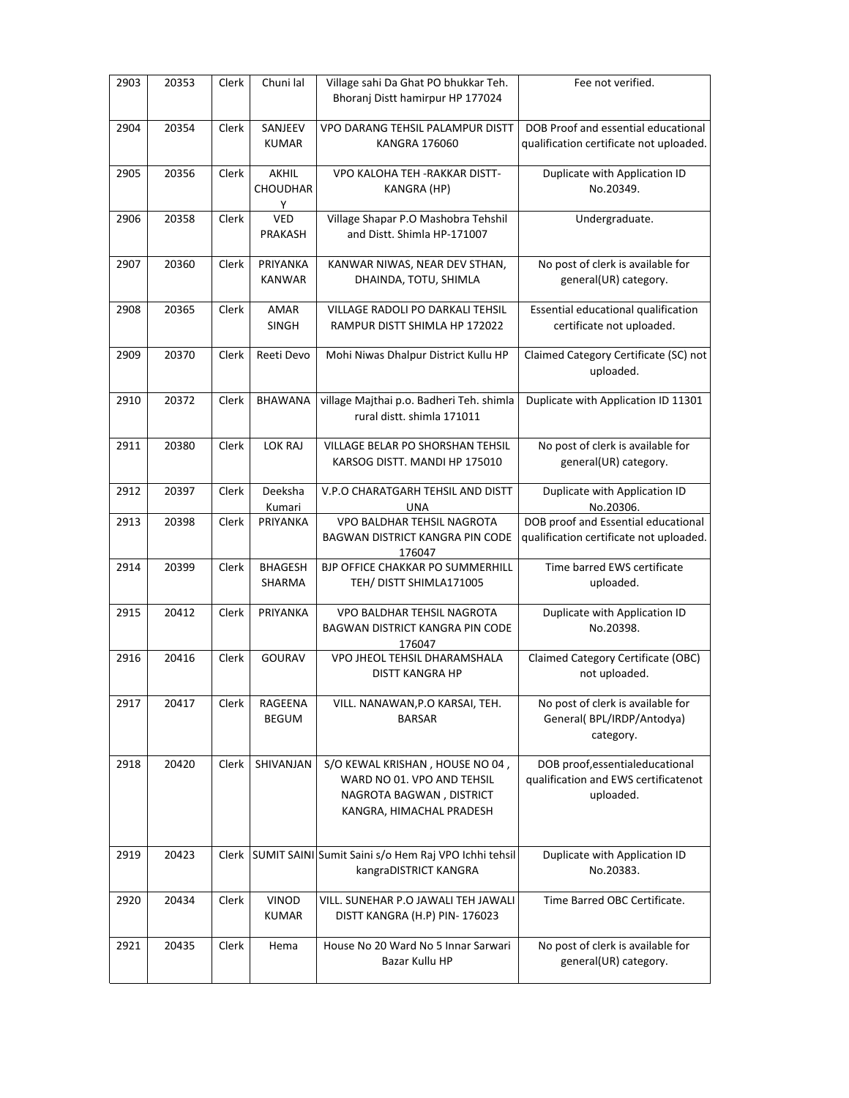| 2903 | 20353 | Clerk        | Chuni lal                 | Village sahi Da Ghat PO bhukkar Teh.<br>Bhoranj Distt hamirpur HP 177024                                              | Fee not verified.                                                                     |
|------|-------|--------------|---------------------------|-----------------------------------------------------------------------------------------------------------------------|---------------------------------------------------------------------------------------|
| 2904 | 20354 | Clerk        | SANJEEV<br><b>KUMAR</b>   | VPO DARANG TEHSIL PALAMPUR DISTT<br>KANGRA 176060                                                                     | DOB Proof and essential educational<br>qualification certificate not uploaded.        |
| 2905 | 20356 | Clerk        | AKHIL<br>CHOUDHAR<br>Y    | VPO KALOHA TEH - RAKKAR DISTT-<br>KANGRA (HP)                                                                         | Duplicate with Application ID<br>No.20349.                                            |
| 2906 | 20358 | Clerk        | VED<br>PRAKASH            | Village Shapar P.O Mashobra Tehshil<br>and Distt. Shimla HP-171007                                                    | Undergraduate.                                                                        |
| 2907 | 20360 | Clerk        | PRIYANKA<br><b>KANWAR</b> | KANWAR NIWAS, NEAR DEV STHAN,<br>DHAINDA, TOTU, SHIMLA                                                                | No post of clerk is available for<br>general(UR) category.                            |
| 2908 | 20365 | Clerk        | AMAR<br><b>SINGH</b>      | VILLAGE RADOLI PO DARKALI TEHSIL<br>RAMPUR DISTT SHIMLA HP 172022                                                     | Essential educational qualification<br>certificate not uploaded.                      |
| 2909 | 20370 | <b>Clerk</b> | Reeti Devo                | Mohi Niwas Dhalpur District Kullu HP                                                                                  | Claimed Category Certificate (SC) not<br>uploaded.                                    |
| 2910 | 20372 | Clerk        | <b>BHAWANA</b>            | village Majthai p.o. Badheri Teh. shimla<br>rural distt. shimla 171011                                                | Duplicate with Application ID 11301                                                   |
| 2911 | 20380 | Clerk        | <b>LOK RAJ</b>            | VILLAGE BELAR PO SHORSHAN TEHSIL<br>KARSOG DISTT. MANDI HP 175010                                                     | No post of clerk is available for<br>general(UR) category.                            |
| 2912 | 20397 | Clerk        | Deeksha<br>Kumari         | V.P.O CHARATGARH TEHSIL AND DISTT<br>UNA                                                                              | Duplicate with Application ID<br>No.20306.                                            |
| 2913 | 20398 | Clerk        | PRIYANKA                  | VPO BALDHAR TEHSIL NAGROTA<br>BAGWAN DISTRICT KANGRA PIN CODE<br>176047                                               | DOB proof and Essential educational<br>qualification certificate not uploaded.        |
| 2914 | 20399 | Clerk        | BHAGESH<br>SHARMA         | BJP OFFICE CHAKKAR PO SUMMERHILL<br>TEH/ DISTT SHIMLA171005                                                           | Time barred EWS certificate<br>uploaded.                                              |
| 2915 | 20412 | Clerk        | PRIYANKA                  | VPO BALDHAR TEHSIL NAGROTA<br>BAGWAN DISTRICT KANGRA PIN CODE<br>176047                                               | Duplicate with Application ID<br>No.20398.                                            |
| 2916 | 20416 | Clerk        | GOURAV                    | VPO JHEOL TEHSIL DHARAMSHALA<br><b>DISTT KANGRA HP</b>                                                                | Claimed Category Certificate (OBC)<br>not uploaded.                                   |
| 2917 | 20417 | Clerk        | RAGEENA<br><b>BEGUM</b>   | VILL. NANAWAN, P.O KARSAI, TEH.<br><b>BARSAR</b>                                                                      | No post of clerk is available for<br>General(BPL/IRDP/Antodya)<br>category.           |
| 2918 | 20420 | Clerk        | SHIVANJAN                 | S/O KEWAL KRISHAN, HOUSE NO 04,<br>WARD NO 01. VPO AND TEHSIL<br>NAGROTA BAGWAN, DISTRICT<br>KANGRA, HIMACHAL PRADESH | DOB proof, essential educational<br>qualification and EWS certificatenot<br>uploaded. |
| 2919 | 20423 | Clerk        |                           | SUMIT SAINI Sumit Saini s/o Hem Raj VPO Ichhi tehsil<br>kangraDISTRICT KANGRA                                         | Duplicate with Application ID<br>No.20383.                                            |
| 2920 | 20434 | Clerk        | <b>VINOD</b><br>KUMAR     | VILL. SUNEHAR P.O JAWALI TEH JAWALI<br>DISTT KANGRA (H.P) PIN-176023                                                  | Time Barred OBC Certificate.                                                          |
| 2921 | 20435 | Clerk        | Hema                      | House No 20 Ward No 5 Innar Sarwari<br>Bazar Kullu HP                                                                 | No post of clerk is available for<br>general(UR) category.                            |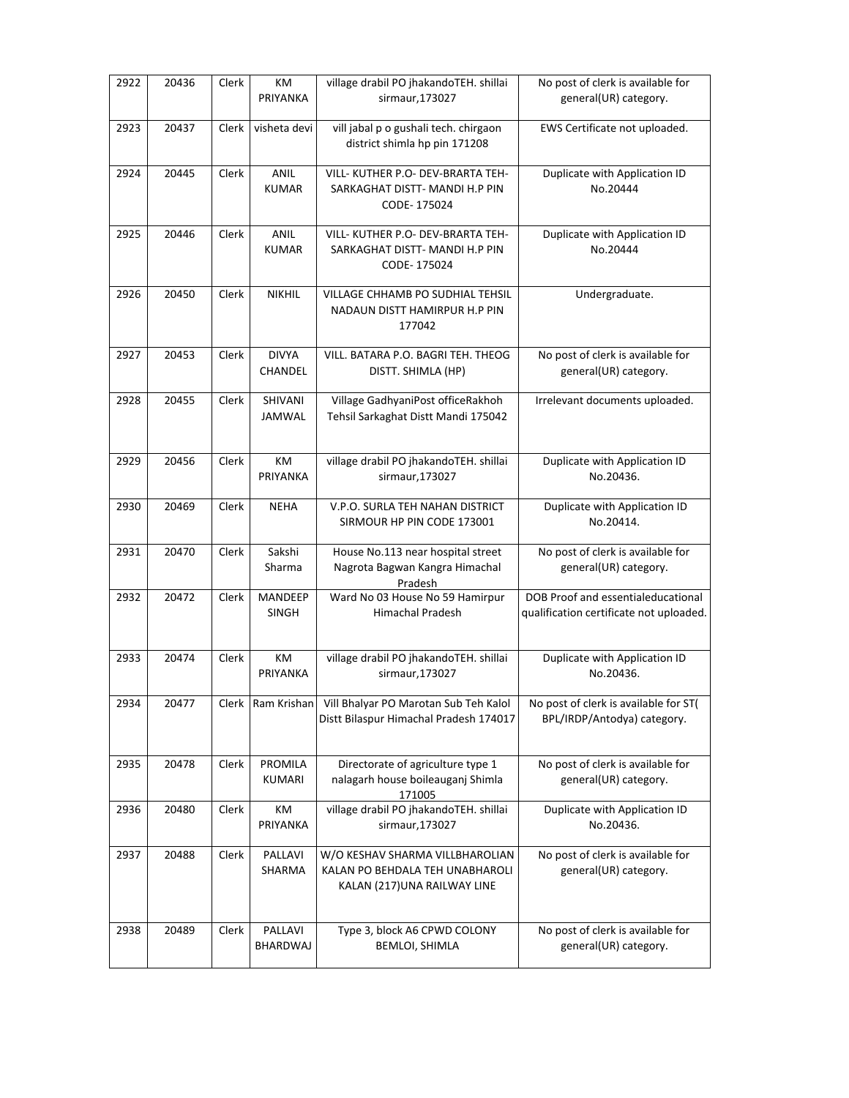| 2922 | 20436 | Clerk | КM<br>PRIYANKA              | village drabil PO jhakandoTEH. shillai<br>sirmaur, 173027                                         | No post of clerk is available for<br>general(UR) category.                    |
|------|-------|-------|-----------------------------|---------------------------------------------------------------------------------------------------|-------------------------------------------------------------------------------|
| 2923 | 20437 | Clerk | visheta devi                | vill jabal p o gushali tech. chirgaon<br>district shimla hp pin 171208                            | EWS Certificate not uploaded.                                                 |
| 2924 | 20445 | Clerk | <b>ANIL</b><br><b>KUMAR</b> | VILL- KUTHER P.O- DEV-BRARTA TEH-<br>SARKAGHAT DISTT- MANDI H.P PIN<br>CODE-175024                | Duplicate with Application ID<br>No.20444                                     |
| 2925 | 20446 | Clerk | ANIL<br><b>KUMAR</b>        | VILL- KUTHER P.O- DEV-BRARTA TEH-<br>SARKAGHAT DISTT- MANDI H.P PIN<br>CODE-175024                | Duplicate with Application ID<br>No.20444                                     |
| 2926 | 20450 | Clerk | <b>NIKHIL</b>               | VILLAGE CHHAMB PO SUDHIAL TEHSIL<br>NADAUN DISTT HAMIRPUR H.P PIN<br>177042                       | Undergraduate.                                                                |
| 2927 | 20453 | Clerk | <b>DIVYA</b><br>CHANDEL     | VILL. BATARA P.O. BAGRI TEH. THEOG<br>DISTT. SHIMLA (HP)                                          | No post of clerk is available for<br>general(UR) category.                    |
| 2928 | 20455 | Clerk | SHIVANI<br><b>JAMWAL</b>    | Village GadhyaniPost officeRakhoh<br>Tehsil Sarkaghat Distt Mandi 175042                          | Irrelevant documents uploaded.                                                |
| 2929 | 20456 | Clerk | KM<br>PRIYANKA              | village drabil PO jhakandoTEH. shillai<br>sirmaur, 173027                                         | Duplicate with Application ID<br>No.20436.                                    |
| 2930 | 20469 | Clerk | <b>NEHA</b>                 | V.P.O. SURLA TEH NAHAN DISTRICT<br>SIRMOUR HP PIN CODE 173001                                     | Duplicate with Application ID<br>No.20414.                                    |
| 2931 | 20470 | Clerk | Sakshi<br>Sharma            | House No.113 near hospital street<br>Nagrota Bagwan Kangra Himachal<br>Pradesh                    | No post of clerk is available for<br>general(UR) category.                    |
| 2932 | 20472 | Clerk | MANDEEP<br><b>SINGH</b>     | Ward No 03 House No 59 Hamirpur<br><b>Himachal Pradesh</b>                                        | DOB Proof and essentialeducational<br>qualification certificate not uploaded. |
| 2933 | 20474 | Clerk | КM<br>PRIYANKA              | village drabil PO jhakandoTEH. shillai<br>sirmaur, 173027                                         | Duplicate with Application ID<br>No.20436.                                    |
| 2934 | 20477 |       |                             | Clerk Ram Krishan Vill Bhalyar PO Marotan Sub Teh Kalol<br>Distt Bilaspur Himachal Pradesh 174017 | No post of clerk is available for ST(<br>BPL/IRDP/Antodya) category.          |
| 2935 | 20478 | Clerk | <b>PROMILA</b><br>KUMARI    | Directorate of agriculture type 1<br>nalagarh house boileauganj Shimla<br>171005                  | No post of clerk is available for<br>general(UR) category.                    |
| 2936 | 20480 | Clerk | КM<br>PRIYANKA              | village drabil PO jhakandoTEH. shillai<br>sirmaur, 173027                                         | Duplicate with Application ID<br>No.20436.                                    |
| 2937 | 20488 | Clerk | PALLAVI<br>SHARMA           | W/O KESHAV SHARMA VILLBHAROLIAN<br>KALAN PO BEHDALA TEH UNABHAROLI<br>KALAN (217)UNA RAILWAY LINE | No post of clerk is available for<br>general(UR) category.                    |
| 2938 | 20489 | Clerk | PALLAVI<br>BHARDWAJ         | Type 3, block A6 CPWD COLONY<br><b>BEMLOI, SHIMLA</b>                                             | No post of clerk is available for<br>general(UR) category.                    |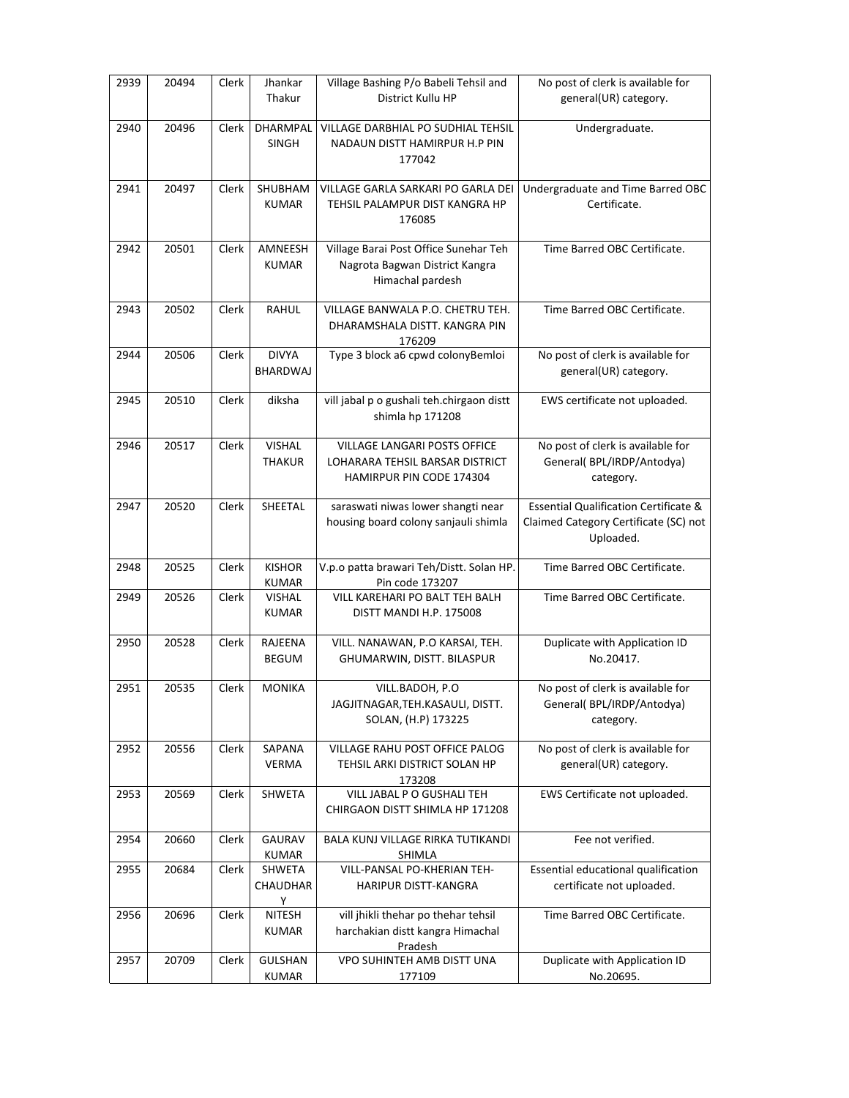| 2939 | 20494 | Clerk | Jhankar<br>Thakur              | Village Bashing P/o Babeli Tehsil and<br>District Kullu HP                                  | No post of clerk is available for<br>general(UR) category.                                             |
|------|-------|-------|--------------------------------|---------------------------------------------------------------------------------------------|--------------------------------------------------------------------------------------------------------|
| 2940 | 20496 | Clerk | DHARMPAL<br><b>SINGH</b>       | VILLAGE DARBHIAL PO SUDHIAL TEHSIL<br>NADAUN DISTT HAMIRPUR H.P PIN<br>177042               | Undergraduate.                                                                                         |
| 2941 | 20497 | Clerk | SHUBHAM<br><b>KUMAR</b>        | VILLAGE GARLA SARKARI PO GARLA DEI<br>TEHSIL PALAMPUR DIST KANGRA HP<br>176085              | Undergraduate and Time Barred OBC<br>Certificate.                                                      |
| 2942 | 20501 | Clerk | AMNEESH<br><b>KUMAR</b>        | Village Barai Post Office Sunehar Teh<br>Nagrota Bagwan District Kangra<br>Himachal pardesh | Time Barred OBC Certificate.                                                                           |
| 2943 | 20502 | Clerk | RAHUL                          | VILLAGE BANWALA P.O. CHETRU TEH.<br>DHARAMSHALA DISTT. KANGRA PIN<br>176209                 | Time Barred OBC Certificate.                                                                           |
| 2944 | 20506 | Clerk | <b>DIVYA</b><br>BHARDWAJ       | Type 3 block a6 cpwd colonyBemloi                                                           | No post of clerk is available for<br>general(UR) category.                                             |
| 2945 | 20510 | Clerk | diksha                         | vill jabal p o gushali teh.chirgaon distt<br>shimla hp 171208                               | EWS certificate not uploaded.                                                                          |
| 2946 | 20517 | Clerk | <b>VISHAL</b><br><b>THAKUR</b> | VILLAGE LANGARI POSTS OFFICE<br>LOHARARA TEHSIL BARSAR DISTRICT<br>HAMIRPUR PIN CODE 174304 | No post of clerk is available for<br>General(BPL/IRDP/Antodya)<br>category.                            |
| 2947 | 20520 | Clerk | SHEETAL                        | saraswati niwas lower shangti near<br>housing board colony sanjauli shimla                  | <b>Essential Qualification Certificate &amp;</b><br>Claimed Category Certificate (SC) not<br>Uploaded. |
| 2948 | 20525 | Clerk | <b>KISHOR</b><br><b>KUMAR</b>  | V.p.o patta brawari Teh/Distt. Solan HP.<br>Pin code 173207                                 | Time Barred OBC Certificate.                                                                           |
| 2949 | 20526 | Clerk | <b>VISHAL</b><br><b>KUMAR</b>  | VILL KAREHARI PO BALT TEH BALH<br>DISTT MANDI H.P. 175008                                   | Time Barred OBC Certificate.                                                                           |
| 2950 | 20528 | Clerk | RAJEENA<br><b>BEGUM</b>        | VILL. NANAWAN, P.O KARSAI, TEH.<br>GHUMARWIN, DISTT. BILASPUR                               | Duplicate with Application ID<br>No.20417.                                                             |
| 2951 | 20535 | Clerk | MONIKA                         | VILL.BADOH, P.O<br>JAGJITNAGAR, TEH.KASAULI, DISTT.<br>SOLAN, (H.P) 173225                  | No post of clerk is available for<br>General(BPL/IRDP/Antodya)<br>category.                            |
| 2952 | 20556 | Clerk | SAPANA<br><b>VERMA</b>         | VILLAGE RAHU POST OFFICE PALOG<br>TEHSIL ARKI DISTRICT SOLAN HP<br>173208                   | No post of clerk is available for<br>general(UR) category.                                             |
| 2953 | 20569 | Clerk | SHWETA                         | VILL JABAL P O GUSHALI TEH<br>CHIRGAON DISTT SHIMLA HP 171208                               | EWS Certificate not uploaded.                                                                          |
| 2954 | 20660 | Clerk | <b>GAURAV</b><br>KUMAR         | BALA KUNJ VILLAGE RIRKA TUTIKANDI<br>SHIMLA                                                 | Fee not verified.                                                                                      |
| 2955 | 20684 | Clerk | SHWETA<br>CHAUDHAR<br>Y        | VILL-PANSAL PO-KHERIAN TEH-<br>HARIPUR DISTT-KANGRA                                         | Essential educational qualification<br>certificate not uploaded.                                       |
| 2956 | 20696 | Clerk | <b>NITESH</b><br><b>KUMAR</b>  | vill jhikli thehar po thehar tehsil<br>harchakian distt kangra Himachal<br>Pradesh          | Time Barred OBC Certificate.                                                                           |
| 2957 | 20709 | Clerk | <b>GULSHAN</b><br>KUMAR        | VPO SUHINTEH AMB DISTT UNA<br>177109                                                        | Duplicate with Application ID<br>No.20695.                                                             |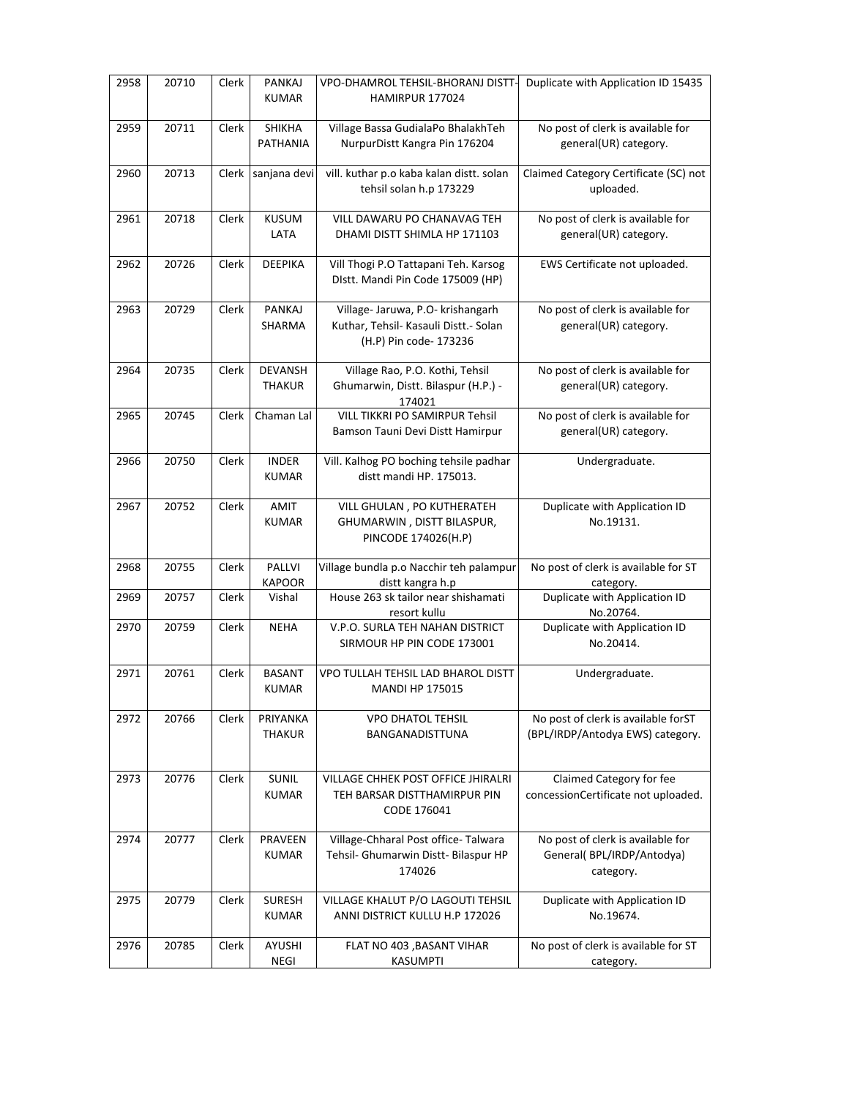| 2958 | 20710 | Clerk | PANKAJ<br><b>KUMAR</b>          | VPO-DHAMROL TEHSIL-BHORANJ DISTT-<br>HAMIRPUR 177024                                                 | Duplicate with Application ID 15435                                         |
|------|-------|-------|---------------------------------|------------------------------------------------------------------------------------------------------|-----------------------------------------------------------------------------|
| 2959 | 20711 | Clerk | SHIKHA<br><b>PATHANIA</b>       | Village Bassa GudialaPo BhalakhTeh<br>NurpurDistt Kangra Pin 176204                                  | No post of clerk is available for<br>general(UR) category.                  |
| 2960 | 20713 | Clerk | sanjana devi                    | vill. kuthar p.o kaba kalan distt. solan<br>tehsil solan h.p 173229                                  | Claimed Category Certificate (SC) not<br>uploaded.                          |
| 2961 | 20718 | Clerk | <b>KUSUM</b><br>LATA            | VILL DAWARU PO CHANAVAG TEH<br>DHAMI DISTT SHIMLA HP 171103                                          | No post of clerk is available for<br>general(UR) category.                  |
| 2962 | 20726 | Clerk | <b>DEEPIKA</b>                  | Vill Thogi P.O Tattapani Teh. Karsog<br>Distt. Mandi Pin Code 175009 (HP)                            | EWS Certificate not uploaded.                                               |
| 2963 | 20729 | Clerk | PANKAJ<br>SHARMA                | Village- Jaruwa, P.O- krishangarh<br>Kuthar, Tehsil- Kasauli Distt.- Solan<br>(H.P) Pin code- 173236 | No post of clerk is available for<br>general(UR) category.                  |
| 2964 | 20735 | Clerk | <b>DEVANSH</b><br><b>THAKUR</b> | Village Rao, P.O. Kothi, Tehsil<br>Ghumarwin, Distt. Bilaspur (H.P.) -<br>174021                     | No post of clerk is available for<br>general(UR) category.                  |
| 2965 | 20745 | Clerk | Chaman Lal                      | VILL TIKKRI PO SAMIRPUR Tehsil<br>Bamson Tauni Devi Distt Hamirpur                                   | No post of clerk is available for<br>general(UR) category.                  |
| 2966 | 20750 | Clerk | <b>INDER</b><br><b>KUMAR</b>    | Vill. Kalhog PO boching tehsile padhar<br>distt mandi HP. 175013.                                    | Undergraduate.                                                              |
| 2967 | 20752 | Clerk | <b>AMIT</b><br><b>KUMAR</b>     | VILL GHULAN, PO KUTHERATEH<br>GHUMARWIN, DISTT BILASPUR,<br>PINCODE 174026(H.P)                      | Duplicate with Application ID<br>No.19131.                                  |
| 2968 | 20755 | Clerk | PALLVI<br><b>KAPOOR</b>         | Village bundla p.o Nacchir teh palampur<br>distt kangra h.p                                          | No post of clerk is available for ST<br>category.                           |
| 2969 | 20757 | Clerk | Vishal                          | House 263 sk tailor near shishamati<br>resort kullu                                                  | Duplicate with Application ID<br>No.20764.                                  |
| 2970 | 20759 | Clerk | <b>NEHA</b>                     | V.P.O. SURLA TEH NAHAN DISTRICT<br>SIRMOUR HP PIN CODE 173001                                        | Duplicate with Application ID<br>No.20414.                                  |
| 2971 | 20761 | Clerk | <b>BASANT</b><br><b>KUMAR</b>   | VPO TULLAH TEHSIL LAD BHAROL DISTT<br><b>MANDI HP 175015</b>                                         | Undergraduate.                                                              |
| 2972 | 20766 | Clerk | PRIYANKA<br><b>THAKUR</b>       | <b>VPO DHATOL TEHSIL</b><br>BANGANADISTTUNA                                                          | No post of clerk is available forST<br>(BPL/IRDP/Antodya EWS) category.     |
| 2973 | 20776 | Clerk | SUNIL<br><b>KUMAR</b>           | VILLAGE CHHEK POST OFFICE JHIRALRI<br>TEH BARSAR DISTTHAMIRPUR PIN<br>CODE 176041                    | Claimed Category for fee<br>concessionCertificate not uploaded.             |
| 2974 | 20777 | Clerk | PRAVEEN<br><b>KUMAR</b>         | Village-Chharal Post office-Talwara<br>Tehsil- Ghumarwin Distt- Bilaspur HP<br>174026                | No post of clerk is available for<br>General(BPL/IRDP/Antodya)<br>category. |
| 2975 | 20779 | Clerk | <b>SURESH</b><br><b>KUMAR</b>   | VILLAGE KHALUT P/O LAGOUTI TEHSIL<br>ANNI DISTRICT KULLU H.P 172026                                  | Duplicate with Application ID<br>No.19674.                                  |
| 2976 | 20785 | Clerk | AYUSHI<br><b>NEGI</b>           | FLAT NO 403 , BASANT VIHAR<br><b>KASUMPTI</b>                                                        | No post of clerk is available for ST<br>category.                           |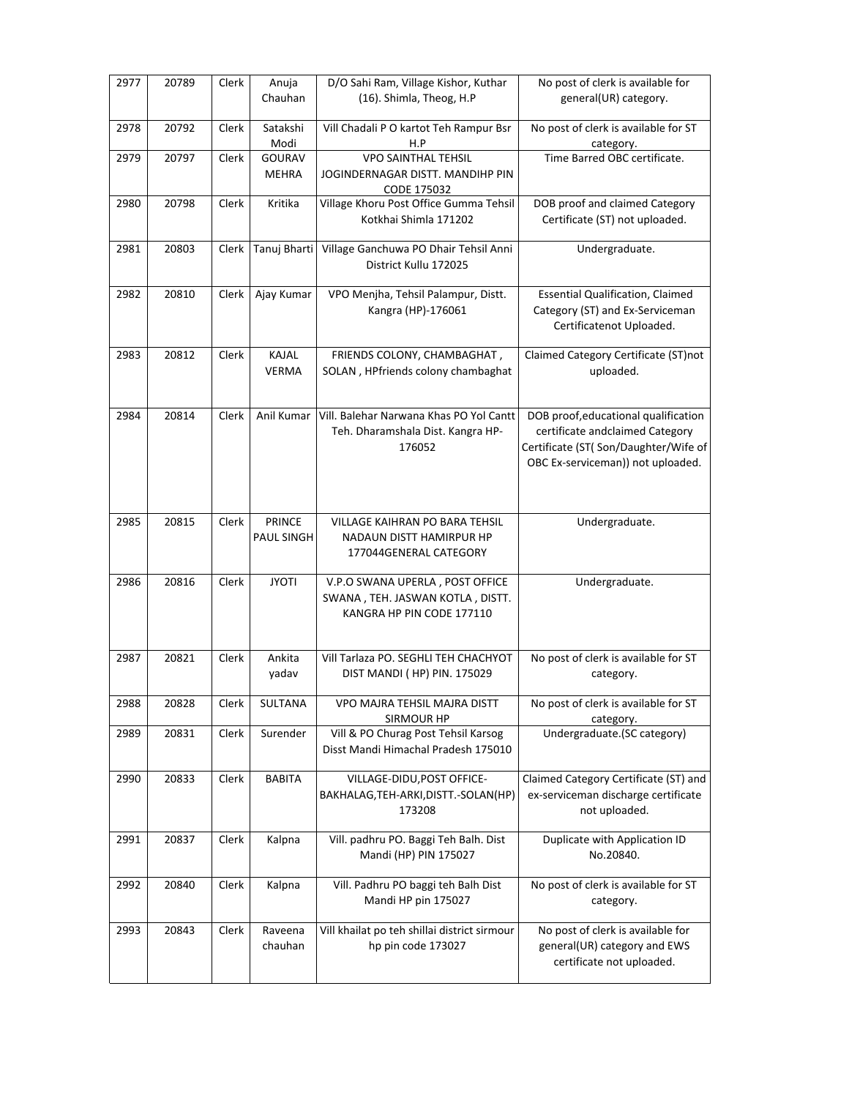| 2977 | 20789 | Clerk | Anuja         | D/O Sahi Ram, Village Kishor, Kuthar                           | No post of clerk is available for       |
|------|-------|-------|---------------|----------------------------------------------------------------|-----------------------------------------|
|      |       |       | Chauhan       | (16). Shimla, Theog, H.P                                       | general(UR) category.                   |
|      |       |       |               |                                                                |                                         |
| 2978 | 20792 | Clerk | Satakshi      | Vill Chadali P O kartot Teh Rampur Bsr                         | No post of clerk is available for ST    |
|      |       |       | Modi          | H.P                                                            | category.                               |
| 2979 | 20797 | Clerk | <b>GOURAV</b> | <b>VPO SAINTHAL TEHSIL</b>                                     | Time Barred OBC certificate.            |
|      |       |       | <b>MEHRA</b>  | JOGINDERNAGAR DISTT. MANDIHP PIN                               |                                         |
|      |       |       |               | CODE 175032                                                    |                                         |
| 2980 | 20798 | Clerk | Kritika       | Village Khoru Post Office Gumma Tehsil                         | DOB proof and claimed Category          |
|      |       |       |               | Kotkhai Shimla 171202                                          | Certificate (ST) not uploaded.          |
|      |       |       |               |                                                                |                                         |
| 2981 | 20803 | Clerk | Tanuj Bharti  |                                                                |                                         |
|      |       |       |               | Village Ganchuwa PO Dhair Tehsil Anni<br>District Kullu 172025 | Undergraduate.                          |
|      |       |       |               |                                                                |                                         |
|      |       |       |               |                                                                |                                         |
| 2982 | 20810 | Clerk | Ajay Kumar    | VPO Menjha, Tehsil Palampur, Distt.                            | <b>Essential Qualification, Claimed</b> |
|      |       |       |               | Kangra (HP)-176061                                             | Category (ST) and Ex-Serviceman         |
|      |       |       |               |                                                                | Certificatenot Uploaded.                |
|      |       |       |               |                                                                |                                         |
| 2983 | 20812 | Clerk | KAJAL         | FRIENDS COLONY, CHAMBAGHAT,                                    | Claimed Category Certificate (ST)not    |
|      |       |       | <b>VERMA</b>  | SOLAN, HPfriends colony chambaghat                             | uploaded.                               |
|      |       |       |               |                                                                |                                         |
|      |       |       |               |                                                                |                                         |
| 2984 | 20814 | Clerk | Anil Kumar    | Vill. Balehar Narwana Khas PO Yol Cantt                        | DOB proof, educational qualification    |
|      |       |       |               | Teh. Dharamshala Dist. Kangra HP-                              | certificate andclaimed Category         |
|      |       |       |               | 176052                                                         | Certificate (ST( Son/Daughter/Wife of   |
|      |       |       |               |                                                                |                                         |
|      |       |       |               |                                                                | OBC Ex-serviceman)) not uploaded.       |
|      |       |       |               |                                                                |                                         |
|      |       |       |               |                                                                |                                         |
|      |       |       |               |                                                                |                                         |
| 2985 | 20815 | Clerk | <b>PRINCE</b> | VILLAGE KAIHRAN PO BARA TEHSIL                                 | Undergraduate.                          |
|      |       |       | PAUL SINGH    | NADAUN DISTT HAMIRPUR HP                                       |                                         |
|      |       |       |               | 177044GENERAL CATEGORY                                         |                                         |
|      |       |       |               |                                                                |                                         |
| 2986 | 20816 | Clerk | <b>JYOTI</b>  | V.P.O SWANA UPERLA, POST OFFICE                                | Undergraduate.                          |
|      |       |       |               | SWANA, TEH. JASWAN KOTLA, DISTT.                               |                                         |
|      |       |       |               | KANGRA HP PIN CODE 177110                                      |                                         |
|      |       |       |               |                                                                |                                         |
|      |       |       |               |                                                                |                                         |
| 2987 | 20821 | Clerk | Ankita        | Vill Tarlaza PO. SEGHLI TEH CHACHYOT                           | No post of clerk is available for ST    |
|      |       |       | yadav         | DIST MANDI (HP) PIN. 175029                                    | category.                               |
|      |       |       |               |                                                                |                                         |
| 2988 | 20828 | Clerk | SULTANA       | VPO MAJRA TEHSIL MAJRA DISTT                                   | No post of clerk is available for ST    |
|      |       |       |               |                                                                |                                         |
|      |       |       |               | <b>SIRMOUR HP</b>                                              | category.                               |
| 2989 | 20831 | Clerk | Surender      | Vill & PO Churag Post Tehsil Karsog                            | Undergraduate.(SC category)             |
|      |       |       |               | Disst Mandi Himachal Pradesh 175010                            |                                         |
|      |       |       |               |                                                                |                                         |
| 2990 | 20833 | Clerk | <b>BABITA</b> | VILLAGE-DIDU, POST OFFICE-                                     | Claimed Category Certificate (ST) and   |
|      |       |       |               | BAKHALAG, TEH-ARKI, DISTT.-SOLAN (HP)                          | ex-serviceman discharge certificate     |
|      |       |       |               | 173208                                                         | not uploaded.                           |
|      |       |       |               |                                                                |                                         |
| 2991 | 20837 | Clerk | Kalpna        | Vill. padhru PO. Baggi Teh Balh. Dist                          | Duplicate with Application ID           |
|      |       |       |               | Mandi (HP) PIN 175027                                          | No.20840.                               |
|      |       |       |               |                                                                |                                         |
| 2992 | 20840 | Clerk | Kalpna        | Vill. Padhru PO baggi teh Balh Dist                            | No post of clerk is available for ST    |
|      |       |       |               | Mandi HP pin 175027                                            | category.                               |
|      |       |       |               |                                                                |                                         |
| 2993 | 20843 | Clerk | Raveena       | Vill khailat po teh shillai district sirmour                   | No post of clerk is available for       |
|      |       |       |               |                                                                |                                         |
|      |       |       | chauhan       | hp pin code 173027                                             | general(UR) category and EWS            |
|      |       |       |               |                                                                | certificate not uploaded.               |
|      |       |       |               |                                                                |                                         |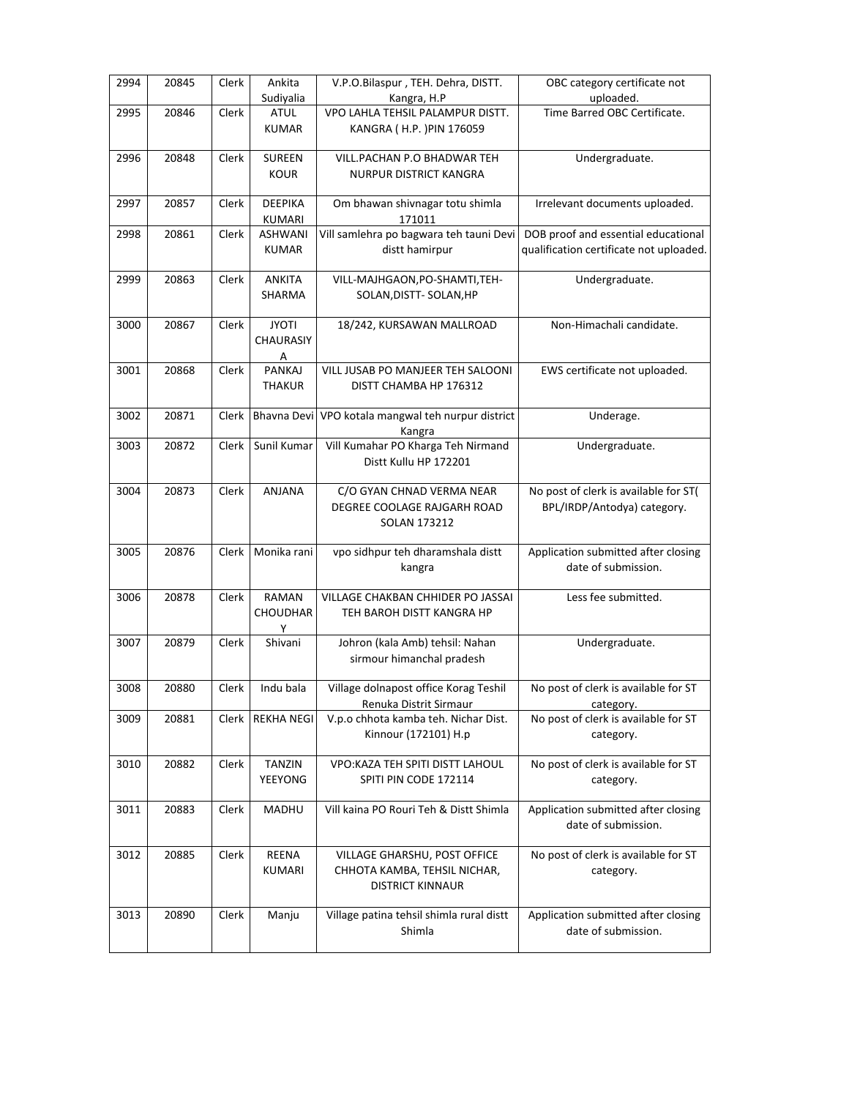| 2994 | 20845 | Clerk | Ankita            | V.P.O.Bilaspur, TEH. Dehra, DISTT.       | OBC category certificate not            |
|------|-------|-------|-------------------|------------------------------------------|-----------------------------------------|
|      |       |       | Sudiyalia         | Kangra, H.P                              | uploaded.                               |
| 2995 | 20846 | Clerk | <b>ATUL</b>       | VPO LAHLA TEHSIL PALAMPUR DISTT.         | Time Barred OBC Certificate.            |
|      |       |       | <b>KUMAR</b>      | KANGRA (H.P.) PIN 176059                 |                                         |
|      |       |       |                   |                                          |                                         |
| 2996 | 20848 | Clerk | <b>SUREEN</b>     | VILL.PACHAN P.O BHADWAR TEH              | Undergraduate.                          |
|      |       |       | <b>KOUR</b>       | <b>NURPUR DISTRICT KANGRA</b>            |                                         |
|      |       |       |                   |                                          |                                         |
| 2997 | 20857 | Clerk | <b>DEEPIKA</b>    | Om bhawan shivnagar totu shimla          | Irrelevant documents uploaded.          |
|      |       |       | KUMARI            | 171011                                   |                                         |
| 2998 | 20861 | Clerk | <b>ASHWANI</b>    | Vill samlehra po bagwara teh tauni Devi  | DOB proof and essential educational     |
|      |       |       | <b>KUMAR</b>      | distt hamirpur                           | qualification certificate not uploaded. |
|      |       |       |                   |                                          |                                         |
| 2999 | 20863 | Clerk | <b>ANKITA</b>     | VILL-MAJHGAON, PO-SHAMTI, TEH-           | Undergraduate.                          |
|      |       |       | SHARMA            | SOLAN, DISTT- SOLAN, HP                  |                                         |
|      |       |       |                   |                                          |                                         |
| 3000 | 20867 | Clerk | <b>JYOTI</b>      | 18/242, KURSAWAN MALLROAD                | Non-Himachali candidate.                |
|      |       |       | CHAURASIY         |                                          |                                         |
|      |       |       | $\overline{A}$    |                                          |                                         |
| 3001 | 20868 | Clerk | <b>PANKAJ</b>     | VILL JUSAB PO MANJEER TEH SALOONI        | EWS certificate not uploaded.           |
|      |       |       | <b>THAKUR</b>     | DISTT CHAMBA HP 176312                   |                                         |
|      |       |       |                   |                                          |                                         |
| 3002 | 20871 | Clerk | Bhavna Devi       | VPO kotala mangwal teh nurpur district   | Underage.                               |
|      |       |       |                   | Kangra                                   |                                         |
| 3003 | 20872 | Clerk | Sunil Kumar       | Vill Kumahar PO Kharga Teh Nirmand       | Undergraduate.                          |
|      |       |       |                   | Distt Kullu HP 172201                    |                                         |
|      |       |       |                   |                                          |                                         |
| 3004 | 20873 | Clerk | ANJANA            | C/O GYAN CHNAD VERMA NEAR                | No post of clerk is available for ST(   |
|      |       |       |                   | DEGREE COOLAGE RAJGARH ROAD              | BPL/IRDP/Antodya) category.             |
|      |       |       |                   | SOLAN 173212                             |                                         |
| 3005 | 20876 | Clerk | Monika rani       | vpo sidhpur teh dharamshala distt        | Application submitted after closing     |
|      |       |       |                   |                                          | date of submission.                     |
|      |       |       |                   | kangra                                   |                                         |
| 3006 | 20878 | Clerk | RAMAN             | VILLAGE CHAKBAN CHHIDER PO JASSAI        | Less fee submitted.                     |
|      |       |       | CHOUDHAR          | TEH BAROH DISTT KANGRA HP                |                                         |
|      |       |       | Y                 |                                          |                                         |
| 3007 | 20879 | Clerk | Shivani           | Johron (kala Amb) tehsil: Nahan          | Undergraduate.                          |
|      |       |       |                   | sirmour himanchal pradesh                |                                         |
|      |       |       |                   |                                          |                                         |
| 3008 | 20880 | Clerk | Indu bala         | Village dolnapost office Korag Teshil    | No post of clerk is available for ST    |
|      |       |       |                   | Renuka Distrit Sirmaur                   | category.                               |
| 3009 | 20881 | Clerk | <b>REKHA NEGI</b> | V.p.o chhota kamba teh. Nichar Dist.     | No post of clerk is available for ST    |
|      |       |       |                   | Kinnour (172101) H.p                     | category.                               |
|      |       |       |                   |                                          |                                         |
| 3010 | 20882 | Clerk | <b>TANZIN</b>     | <b>VPO:KAZA TEH SPITI DISTT LAHOUL</b>   | No post of clerk is available for ST    |
|      |       |       | YEEYONG           | SPITI PIN CODE 172114                    | category.                               |
|      |       |       |                   |                                          |                                         |
| 3011 | 20883 | Clerk | MADHU             | Vill kaina PO Rouri Teh & Distt Shimla   | Application submitted after closing     |
|      |       |       |                   |                                          | date of submission.                     |
|      |       |       |                   |                                          |                                         |
| 3012 | 20885 | Clerk | REENA             | VILLAGE GHARSHU, POST OFFICE             | No post of clerk is available for ST    |
|      |       |       | KUMARI            | CHHOTA KAMBA, TEHSIL NICHAR,             | category.                               |
|      |       |       |                   | <b>DISTRICT KINNAUR</b>                  |                                         |
|      |       |       |                   |                                          |                                         |
| 3013 | 20890 | Clerk | Manju             | Village patina tehsil shimla rural distt | Application submitted after closing     |
|      |       |       |                   | Shimla                                   | date of submission.                     |
|      |       |       |                   |                                          |                                         |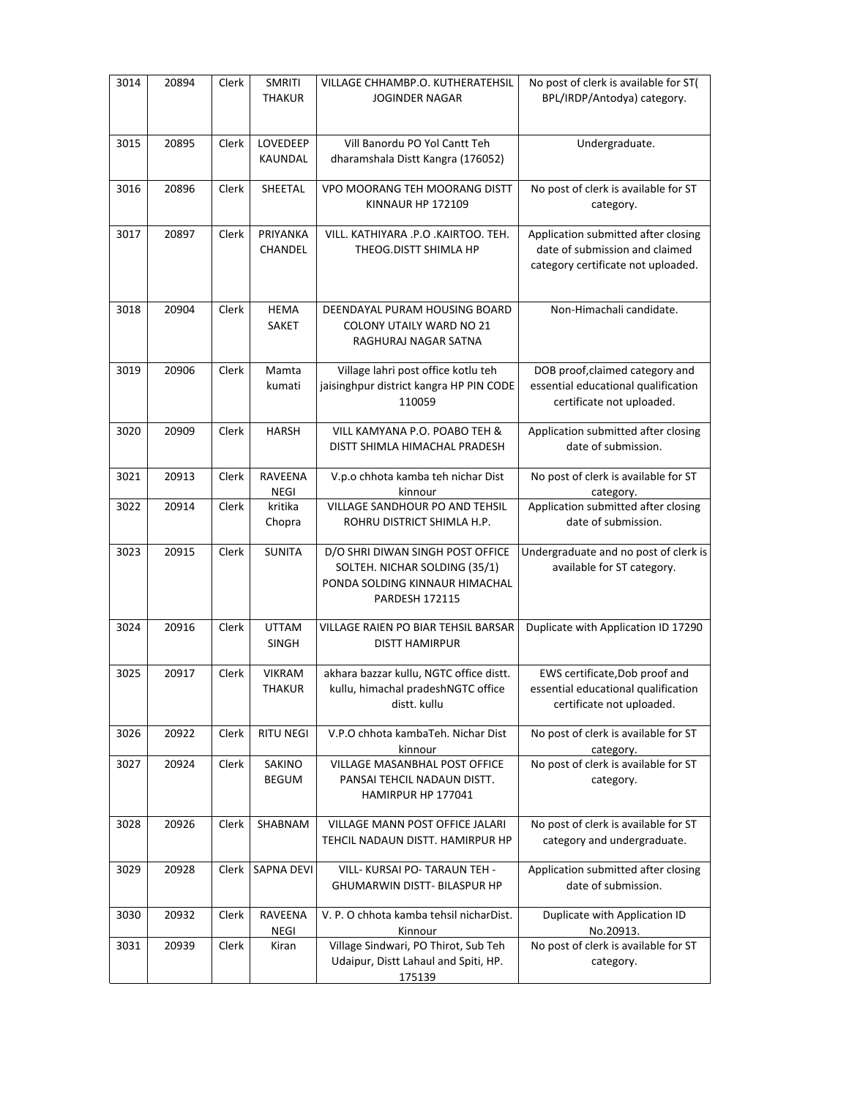| 3014 | 20894 | Clerk | <b>SMRITI</b><br>THAKUR        | VILLAGE CHHAMBP.O. KUTHERATEHSIL<br>JOGINDER NAGAR                                                                           | No post of clerk is available for ST(<br>BPL/IRDP/Antodya) category.                                        |
|------|-------|-------|--------------------------------|------------------------------------------------------------------------------------------------------------------------------|-------------------------------------------------------------------------------------------------------------|
| 3015 | 20895 | Clerk | LOVEDEEP<br>KAUNDAL            | Vill Banordu PO Yol Cantt Teh<br>dharamshala Distt Kangra (176052)                                                           | Undergraduate.                                                                                              |
| 3016 | 20896 | Clerk | SHEETAL                        | VPO MOORANG TEH MOORANG DISTT<br><b>KINNAUR HP 172109</b>                                                                    | No post of clerk is available for ST<br>category.                                                           |
| 3017 | 20897 | Clerk | PRIYANKA<br>CHANDEL            | VILL, KATHIYARA .P.O .KAIRTOO. TEH.<br>THEOG.DISTT SHIMLA HP                                                                 | Application submitted after closing<br>date of submission and claimed<br>category certificate not uploaded. |
| 3018 | 20904 | Clerk | <b>HEMA</b><br><b>SAKET</b>    | DEENDAYAL PURAM HOUSING BOARD<br><b>COLONY UTAILY WARD NO 21</b><br>RAGHURAJ NAGAR SATNA                                     | Non-Himachali candidate.                                                                                    |
| 3019 | 20906 | Clerk | Mamta<br>kumati                | Village lahri post office kotlu teh<br>jaisinghpur district kangra HP PIN CODE<br>110059                                     | DOB proof, claimed category and<br>essential educational qualification<br>certificate not uploaded.         |
| 3020 | 20909 | Clerk | <b>HARSH</b>                   | VILL KAMYANA P.O. POABO TEH &<br>DISTT SHIMLA HIMACHAL PRADESH                                                               | Application submitted after closing<br>date of submission.                                                  |
| 3021 | 20913 | Clerk | RAVEENA<br><b>NEGI</b>         | V.p.o chhota kamba teh nichar Dist<br>kinnour                                                                                | No post of clerk is available for ST<br>category.                                                           |
| 3022 | 20914 | Clerk | kritika<br>Chopra              | VILLAGE SANDHOUR PO AND TEHSIL<br>ROHRU DISTRICT SHIMLA H.P.                                                                 | Application submitted after closing<br>date of submission.                                                  |
| 3023 | 20915 | Clerk | <b>SUNITA</b>                  | D/O SHRI DIWAN SINGH POST OFFICE<br>SOLTEH. NICHAR SOLDING (35/1)<br>PONDA SOLDING KINNAUR HIMACHAL<br><b>PARDESH 172115</b> | Undergraduate and no post of clerk is<br>available for ST category.                                         |
| 3024 | 20916 | Clerk | <b>UTTAM</b><br><b>SINGH</b>   | <b>VILLAGE RAIEN PO BIAR TEHSIL BARSAR</b><br><b>DISTT HAMIRPUR</b>                                                          | Duplicate with Application ID 17290                                                                         |
| 3025 | 20917 | Clerk | <b>VIKRAM</b><br><b>THAKUR</b> | akhara bazzar kullu, NGTC office distt.<br>kullu, himachal pradeshNGTC office<br>distt. kullu                                | EWS certificate, Dob proof and<br>essential educational qualification<br>certificate not uploaded.          |
| 3026 | 20922 | Clerk | <b>RITU NEGI</b>               | V.P.O chhota kambaTeh. Nichar Dist<br>kinnour                                                                                | No post of clerk is available for ST<br>category.                                                           |
| 3027 | 20924 | Clerk | SAKINO<br><b>BEGUM</b>         | VILLAGE MASANBHAL POST OFFICE<br>PANSAI TEHCIL NADAUN DISTT.<br>HAMIRPUR HP 177041                                           | No post of clerk is available for ST<br>category.                                                           |
| 3028 | 20926 | Clerk | SHABNAM                        | VILLAGE MANN POST OFFICE JALARI<br>TEHCIL NADAUN DISTT. HAMIRPUR HP                                                          | No post of clerk is available for ST<br>category and undergraduate.                                         |
| 3029 | 20928 | Clerk | SAPNA DEVI                     | VILL- KURSAI PO- TARAUN TEH -<br>GHUMARWIN DISTT- BILASPUR HP                                                                | Application submitted after closing<br>date of submission.                                                  |
| 3030 | 20932 | Clerk | RAVEENA<br>$\sf NEGI$          | V. P. O chhota kamba tehsil nicharDist.<br>Kinnour                                                                           | Duplicate with Application ID<br>No.20913.                                                                  |
| 3031 | 20939 | Clerk | Kiran                          | Village Sindwari, PO Thirot, Sub Teh<br>Udaipur, Distt Lahaul and Spiti, HP.<br>175139                                       | No post of clerk is available for ST<br>category.                                                           |